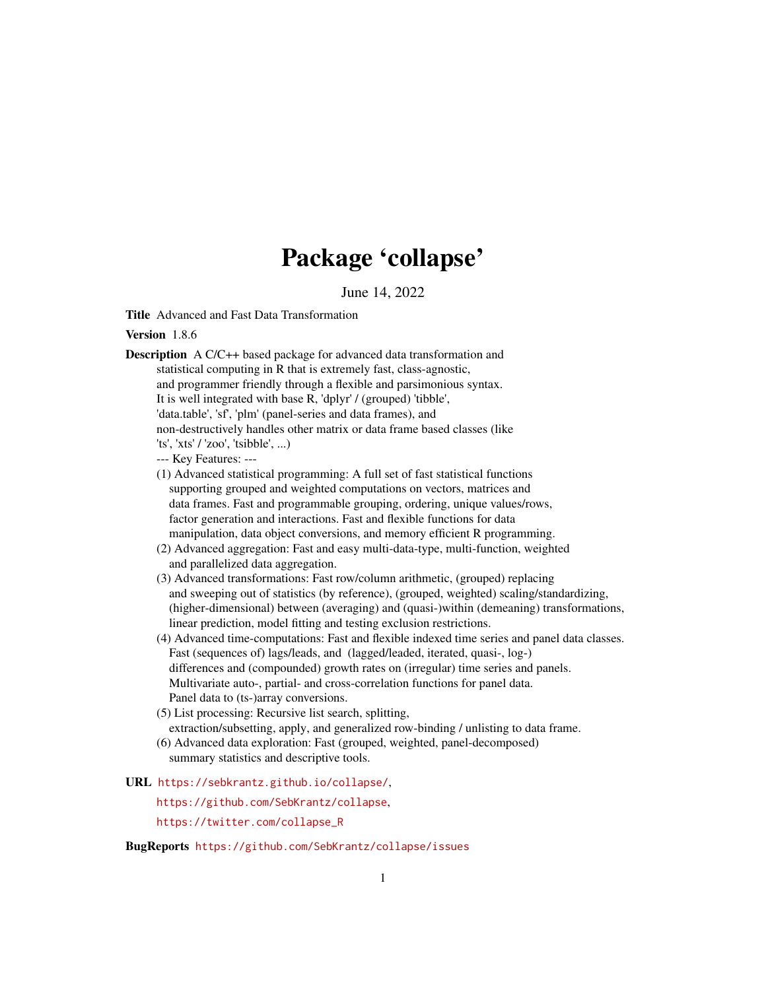# Package 'collapse'

June 14, 2022

<span id="page-0-0"></span>Title Advanced and Fast Data Transformation

Version 186

- Description A C/C++ based package for advanced data transformation and statistical computing in R that is extremely fast, class-agnostic, and programmer friendly through a flexible and parsimonious syntax. It is well integrated with base R, 'dplyr' / (grouped) 'tibble', 'data.table', 'sf', 'plm' (panel-series and data frames), and non-destructively handles other matrix or data frame based classes (like 'ts', 'xts' / 'zoo', 'tsibble', ...)
	- --- Key Features: ---
	- (1) Advanced statistical programming: A full set of fast statistical functions supporting grouped and weighted computations on vectors, matrices and data frames. Fast and programmable grouping, ordering, unique values/rows, factor generation and interactions. Fast and flexible functions for data manipulation, data object conversions, and memory efficient R programming.
	- (2) Advanced aggregation: Fast and easy multi-data-type, multi-function, weighted and parallelized data aggregation.
	- (3) Advanced transformations: Fast row/column arithmetic, (grouped) replacing and sweeping out of statistics (by reference), (grouped, weighted) scaling/standardizing, (higher-dimensional) between (averaging) and (quasi-)within (demeaning) transformations, linear prediction, model fitting and testing exclusion restrictions.
	- (4) Advanced time-computations: Fast and flexible indexed time series and panel data classes. Fast (sequences of) lags/leads, and (lagged/leaded, iterated, quasi-, log-) differences and (compounded) growth rates on (irregular) time series and panels. Multivariate auto-, partial- and cross-correlation functions for panel data. Panel data to (ts-)array conversions.
	- (5) List processing: Recursive list search, splitting, extraction/subsetting, apply, and generalized row-binding / unlisting to data frame.
	- (6) Advanced data exploration: Fast (grouped, weighted, panel-decomposed) summary statistics and descriptive tools.
- URL <https://sebkrantz.github.io/collapse/>,

<https://github.com/SebKrantz/collapse>,

[https://twitter.com/collapse\\_R](https://twitter.com/collapse_R)

BugReports <https://github.com/SebKrantz/collapse/issues>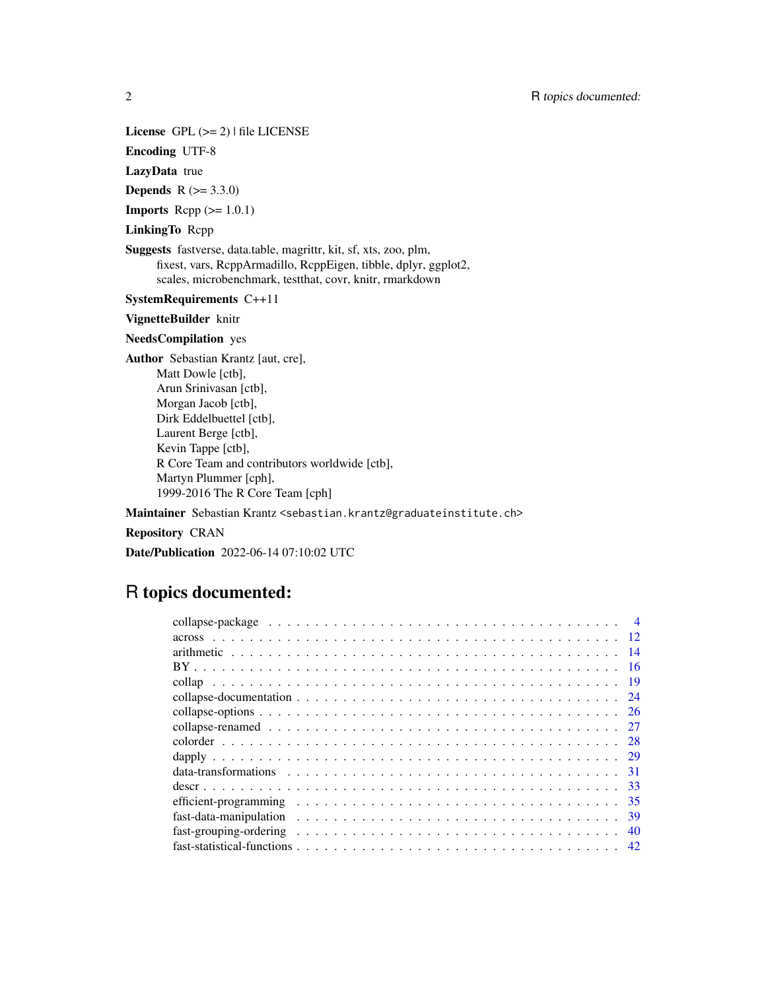# License  $GPL (= 2)$  | file LICENSE

Encoding UTF-8

# LazyData true

**Depends** R  $(>= 3.3.0)$ 

**Imports** Rcpp  $(>= 1.0.1)$ 

### LinkingTo Rcpp

Suggests fastverse, data.table, magrittr, kit, sf, xts, zoo, plm, fixest, vars, RcppArmadillo, RcppEigen, tibble, dplyr, ggplot2, scales, microbenchmark, testthat, covr, knitr, rmarkdown

#### SystemRequirements C++11

#### VignetteBuilder knitr

#### NeedsCompilation yes

Author Sebastian Krantz [aut, cre], Matt Dowle [ctb], Arun Srinivasan [ctb], Morgan Jacob [ctb], Dirk Eddelbuettel [ctb], Laurent Berge [ctb], Kevin Tappe [ctb], R Core Team and contributors worldwide [ctb], Martyn Plummer [cph], 1999-2016 The R Core Team [cph]

#### Maintainer Sebastian Krantz <sebastian.krantz@graduateinstitute.ch>

#### Repository CRAN

Date/Publication 2022-06-14 07:10:02 UTC

# R topics documented: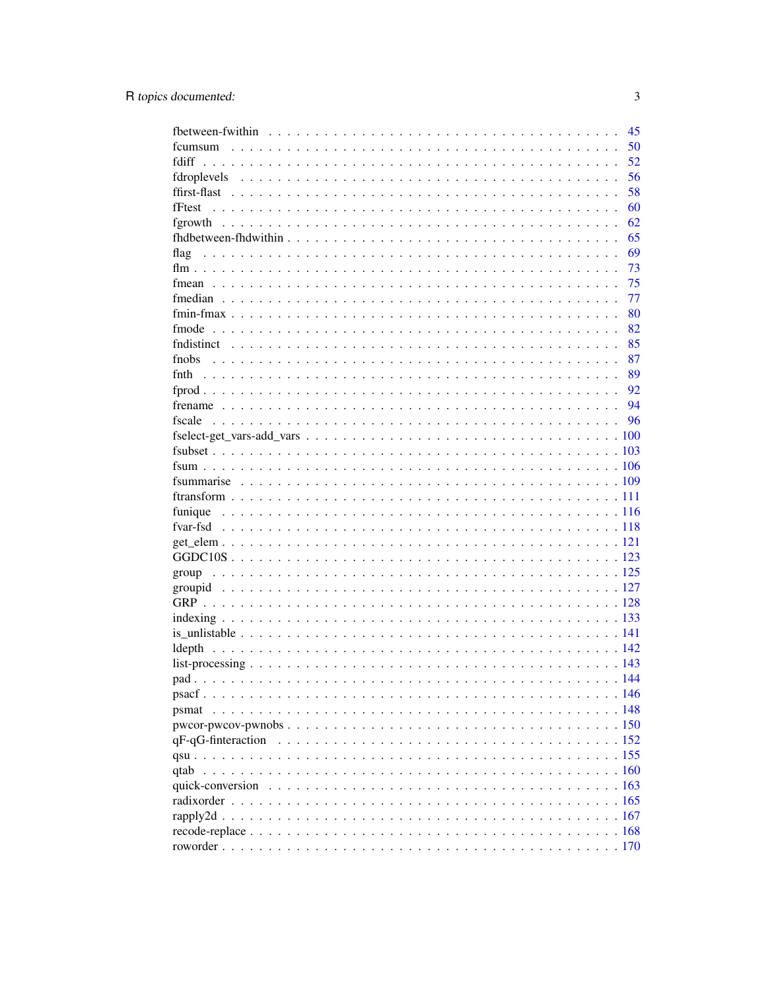|       | 45 |
|-------|----|
|       | 50 |
|       | 52 |
|       | 56 |
|       | 58 |
|       | 60 |
|       | 62 |
|       | 65 |
| flag  | 69 |
|       | 73 |
|       | 75 |
|       | 77 |
|       | 80 |
|       | 82 |
|       | 85 |
| fnobs | 87 |
|       | 89 |
|       |    |
|       | 92 |
|       |    |
|       |    |
|       |    |
|       |    |
|       |    |
|       |    |
|       |    |
|       |    |
|       |    |
|       |    |
|       |    |
|       |    |
|       |    |
|       |    |
|       |    |
|       |    |
|       |    |
|       |    |
|       |    |
|       |    |
| psmat |    |
|       |    |
|       |    |
|       |    |
|       |    |
| qtab  |    |
|       |    |
|       |    |
|       |    |
|       |    |
|       |    |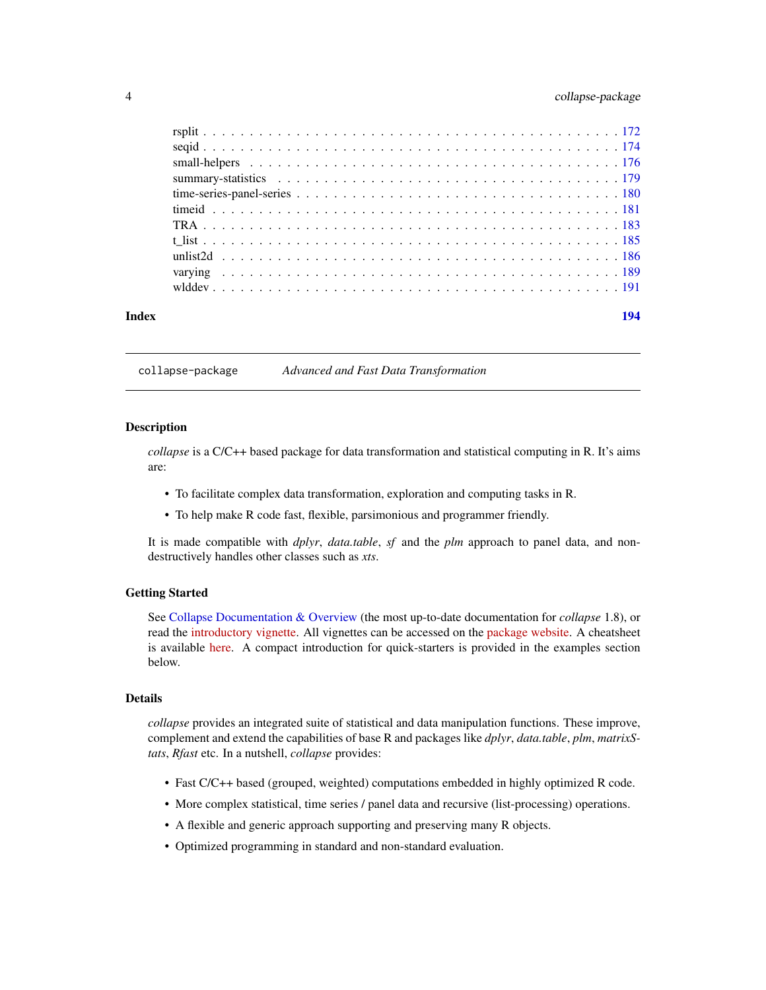## <span id="page-3-0"></span>4 collapse-package

<span id="page-3-2"></span>collapse-package *Advanced and Fast Data Transformation*

#### <span id="page-3-1"></span>**Description**

*collapse* is a C/C++ based package for data transformation and statistical computing in R. It's aims are:

- To facilitate complex data transformation, exploration and computing tasks in R.
- To help make R code fast, flexible, parsimonious and programmer friendly.

It is made compatible with *dplyr*, *data.table*, *sf* and the *plm* approach to panel data, and nondestructively handles other classes such as *xts*.

#### Getting Started

See [Collapse Documentation & Overview](#page-23-1) (the most up-to-date documentation for *collapse* 1.8), or read the [introductory vignette.](https://sebkrantz.github.io/collapse/articles/collapse_intro.html) All vignettes can be accessed on the [package website.](https://sebkrantz.github.io/collapse/) A cheatsheet is available [here.](https://raw.githubusercontent.com/SebKrantz/cheatsheets/master/collapse.pdf) A compact introduction for quick-starters is provided in the examples section below.

#### Details

*collapse* provides an integrated suite of statistical and data manipulation functions. These improve, complement and extend the capabilities of base R and packages like *dplyr*, *data.table*, *plm*, *matrixStats*, *Rfast* etc. In a nutshell, *collapse* provides:

- Fast C/C++ based (grouped, weighted) computations embedded in highly optimized R code.
- More complex statistical, time series / panel data and recursive (list-processing) operations.
- A flexible and generic approach supporting and preserving many R objects.
- Optimized programming in standard and non-standard evaluation.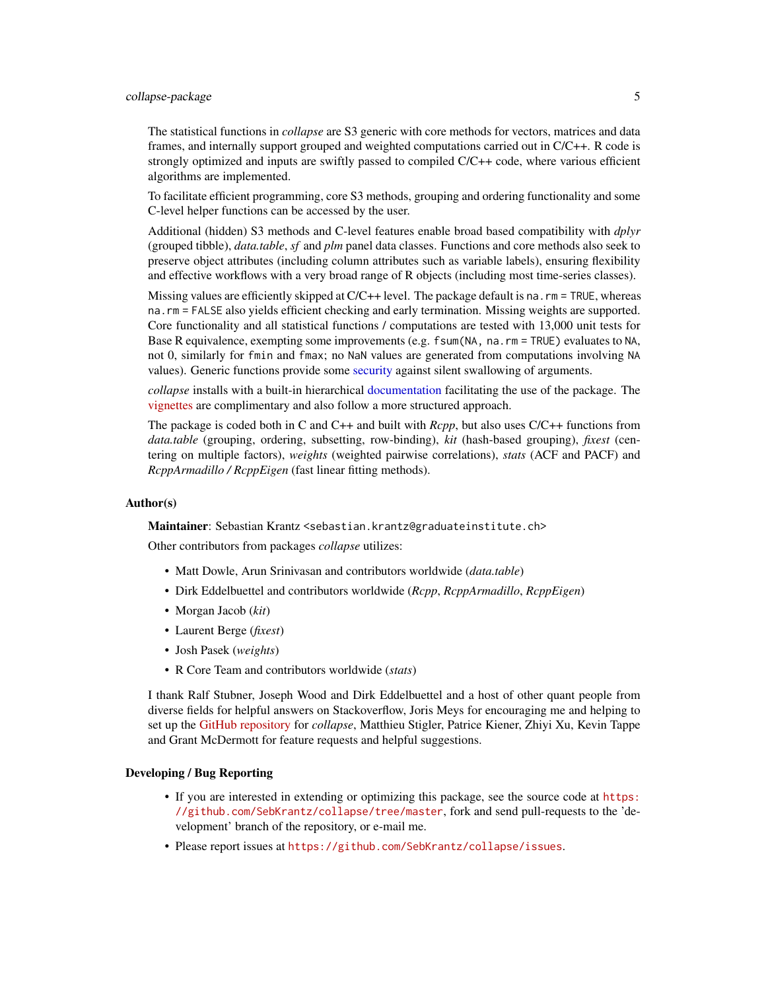### collapse-package 5

The statistical functions in *collapse* are S3 generic with core methods for vectors, matrices and data frames, and internally support grouped and weighted computations carried out in C/C++. R code is strongly optimized and inputs are swiftly passed to compiled  $C/C++$  code, where various efficient algorithms are implemented.

To facilitate efficient programming, core S3 methods, grouping and ordering functionality and some C-level helper functions can be accessed by the user.

Additional (hidden) S3 methods and C-level features enable broad based compatibility with *dplyr* (grouped tibble), *data.table*, *sf* and *plm* panel data classes. Functions and core methods also seek to preserve object attributes (including column attributes such as variable labels), ensuring flexibility and effective workflows with a very broad range of R objects (including most time-series classes).

Missing values are efficiently skipped at C/C++ level. The package default is na.rm = TRUE, whereas na.rm = FALSE also yields efficient checking and early termination. Missing weights are supported. Core functionality and all statistical functions / computations are tested with 13,000 unit tests for Base R equivalence, exempting some improvements (e.g. fsum(NA, na.rm = TRUE) evaluates to NA, not 0, similarly for fmin and fmax; no NaN values are generated from computations involving NA values). Generic functions provide some [security](#page-25-1) against silent swallowing of arguments.

*collapse* installs with a built-in hierarchical [documentation](#page-23-1) facilitating the use of the package. The [vignettes](https://sebkrantz.github.io/collapse/articles/index.html) are complimentary and also follow a more structured approach.

The package is coded both in C and C++ and built with *Rcpp*, but also uses C/C++ functions from *data.table* (grouping, ordering, subsetting, row-binding), *kit* (hash-based grouping), *fixest* (centering on multiple factors), *weights* (weighted pairwise correlations), *stats* (ACF and PACF) and *RcppArmadillo / RcppEigen* (fast linear fitting methods).

#### Author(s)

Maintainer: Sebastian Krantz <sebastian.krantz@graduateinstitute.ch>

Other contributors from packages *collapse* utilizes:

- Matt Dowle, Arun Srinivasan and contributors worldwide (*data.table*)
- Dirk Eddelbuettel and contributors worldwide (*Rcpp*, *RcppArmadillo*, *RcppEigen*)
- Morgan Jacob (*kit*)
- Laurent Berge (*fixest*)
- Josh Pasek (*weights*)
- R Core Team and contributors worldwide (*stats*)

I thank Ralf Stubner, Joseph Wood and Dirk Eddelbuettel and a host of other quant people from diverse fields for helpful answers on Stackoverflow, Joris Meys for encouraging me and helping to set up the [GitHub repository](https://github.com/SebKrantz/collapse) for *collapse*, Matthieu Stigler, Patrice Kiener, Zhiyi Xu, Kevin Tappe and Grant McDermott for feature requests and helpful suggestions.

#### Developing / Bug Reporting

- If you are interested in extending or optimizing this package, see the source code at [https:](https://github.com/SebKrantz/collapse/tree/master) [//github.com/SebKrantz/collapse/tree/master](https://github.com/SebKrantz/collapse/tree/master), fork and send pull-requests to the 'development' branch of the repository, or e-mail me.
- Please report issues at <https://github.com/SebKrantz/collapse/issues>.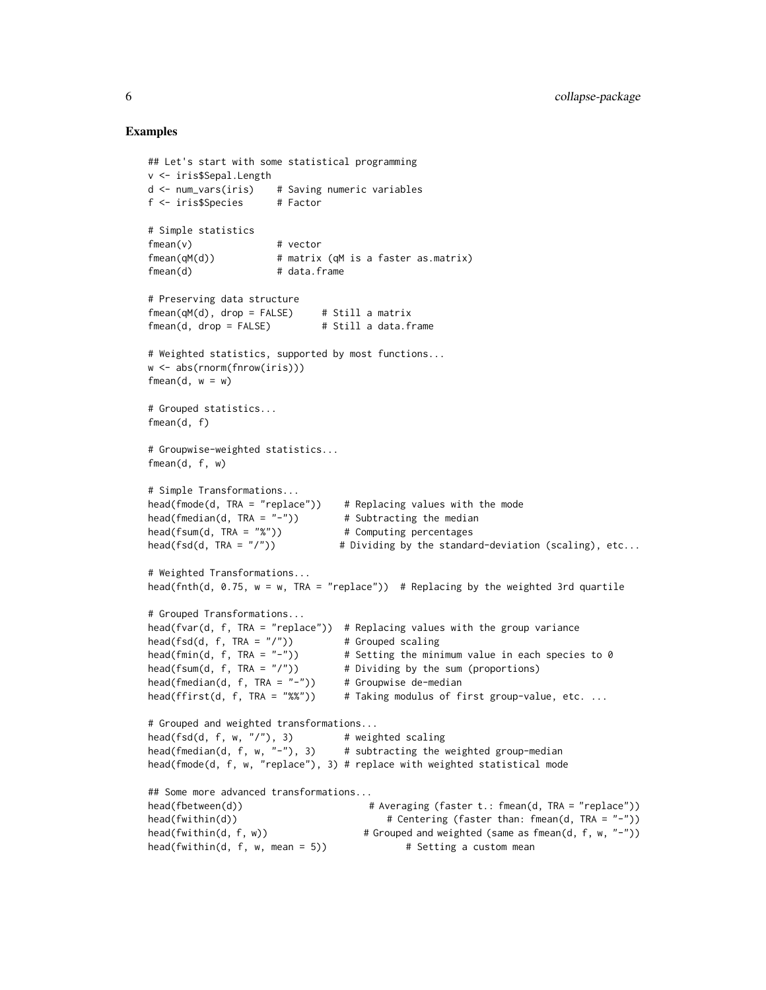#### Examples

```
## Let's start with some statistical programming
v <- iris$Sepal.Length
d <- num_vars(iris) # Saving numeric variables
f <- iris$Species # Factor
# Simple statistics
fmean(v) # vector
fmean(qM(d)) # matrix (qM is a faster as.matrix)
fmean(d) # data frame# Preserving data structure
fmean(qM(d), drop = FALSE) # Still a matrix
fmean(d, drop = FALSE) # Still a data.frame
# Weighted statistics, supported by most functions...
w <- abs(rnorm(fnrow(iris)))
fmean(d, w = w)# Grouped statistics...
fmean(d, f)
# Groupwise-weighted statistics...
fmean(d, f, w)
# Simple Transformations...
head(fmode(d, TRA = "replace")) # Replacing values with the mode
head(fmedian(d, TRA = "-")) * Subtracting the median
head(fsum(d, TRA = "%")) # Computing percentages
head(fsd(d, TRA = "/")) # Dividing by the standard-deviation (scaling), etc...
# Weighted Transformations...
head(fnth(d, 0.75, w = w, TRA = "replace")) # Replacing by the weighted 3rd quartile
# Grouped Transformations...
head(fvar(d, f, TRA = "replace")) # Replacing values with the group variance
head(fsd(d, f, TRA = ''/")) # Grouped scaling
head(fmin(d, f, TRA = "-")) \qquad # Setting the minimum value in each species to 0
head(fsum(d, f, TRA = "/")) # Dividing by the sum (proportions)
head(fmedian(d, f, TRA = "-")) # Groupwise de-median
head(ffirst(d, f, TRA = "%%")) # Taking modulus of first group-value, etc. ...
# Grouped and weighted transformations...
head(fsd(d, f, w, "/"), 3) # weighted scaling
head(fmedian(d, f, w, "-"), 3) \# subtracting the weighted group-median
head(fmode(d, f, w, "replace"), 3) # replace with weighted statistical mode
## Some more advanced transformations...
head(fbetween(d)) # Averaging (faster t.: fmean(d, TRA = "replace"))
head(fwithin(d)) # Centering (faster than: fmean(d, TRA = "-"))
head(fwithin(d, f, w)) # Grouped and weighted (same as fmean(d, f, w, "-"))
head(fwithin(d, f, w, mean = 5)) \qquad # Setting a custom mean
```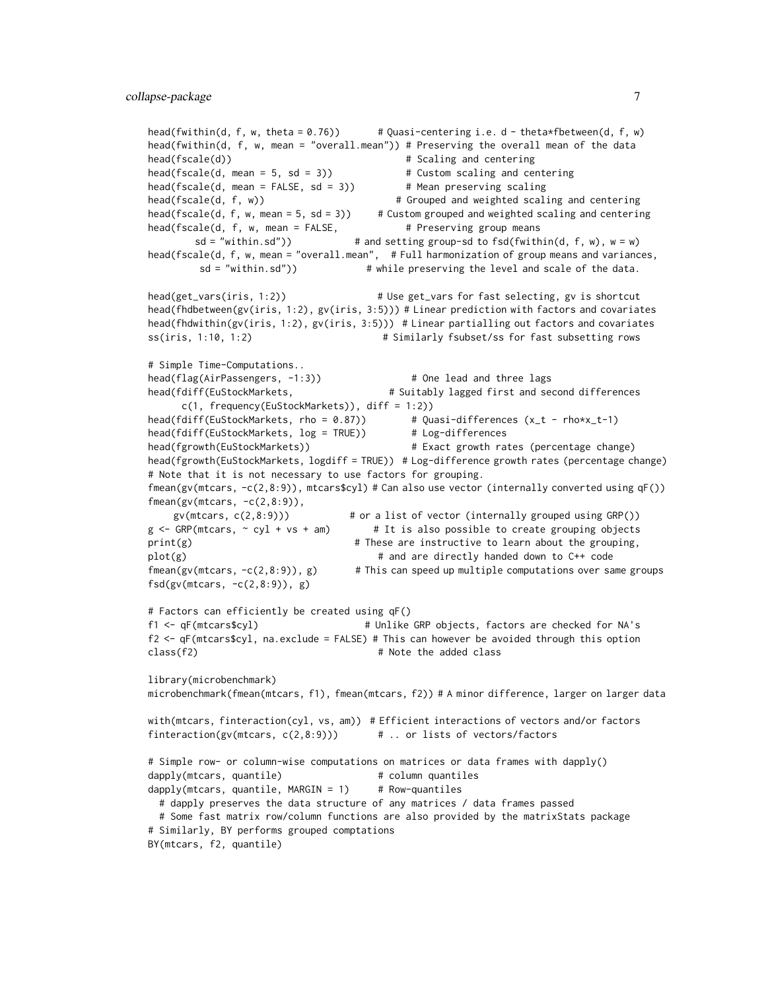```
head(fwithin(d, f, w, theta = 0.76)) # Quasi-centering i.e. d - theta*fbetween(d, f, w)
head(fwithin(d, f, w, mean = "overall.mean")) # Preserving the overall mean of the data
head(fscale(d)) \qquad \qquad \qquad \qquad # Scaling and centering
head(fscale(d, mean = 5, sd = 3)) \qquad # Custom scaling and centering
head(fscale(d, mean = FALSE, sd = 3)) # Mean preserving scaling
head(fscale(d, f, w)) # Grouped and weighted scaling and centering
head(fscale(d, f, w, mean = 5, sd = 3)) \# Custom grouped and weighted scaling and centering
head(fscale(d, f, w, mean = FALSE, # Preserving group means
       sd = "within sd") # and setting group-sd to fsd(fwithin(d, f, w), w = w)
head(fscale(d, f, w, mean = "overall.mean", # Full harmonization of group means and variances,
        sd = "within.sd")) # while preserving the level and scale of the data.
head(get_vars(iris, 1:2)) # Use get_vars for fast selecting, gv is shortcut
head(fhdbetween(gv(iris, 1:2), gv(iris, 3:5))) # Linear prediction with factors and covariates
head(fhdwithin(gv(iris, 1:2), gv(iris, 3:5))) # Linear partialling out factors and covariates
ss(iris, 1:10, 1:2) # Similarly fsubset/ss for fast subsetting rows
# Simple Time-Computations..
head(flag(AirPassengers, -1:3)) # One lead and three lags
head(fdiff(EuStockMarkets, \qquad # Suitably lagged first and second differences
     c(1, frequency(EuStockMarkets)), diff = 1:2))
head(fdiff(EuStockMarkets, rho = 0.87)) # Quasi-differences (x_t - rho*x_t-1)
head(fdiff(EuStockMarkets, log = TRUE)) # Log-differences
head(fgrowth(EuStockMarkets)) # Exact growth rates (percentage change)
head(fgrowth(EuStockMarkets, logdiff = TRUE)) # Log-difference growth rates (percentage change)
# Note that it is not necessary to use factors for grouping.
fmean(gv(mtcars, -c(2,8:9)), mtcars$cyl) # Can also use vector (internally converted using qF())
fmean(gv(mtcars, -c(2,8:9)),gv(mtcars, c(2,8:9))) # or a list of vector (internally grouped using GRP())
g \leftarrow GRP(mtcars, \sim cyl + vs + am) # It is also possible to create grouping objects
print(g) \# These are instructive to learn about the grouping,
plot(g) \qquad # and are directly handed down to C++ code
fmean(gv(mtcars, -c(2, 8:9)), g) # This can speed up multiple computations over same groups
fsd(gv(mtcars, -c(2, 8:9)), g)# Factors can efficiently be created using qF()
f1 <- qF(mtcars$cyl) # Unlike GRP objects, factors are checked for NA's
f2 <- qF(mtcars$cyl, na.exclude = FALSE) # This can however be avoided through this option
class(f2) \qquad # Note the added class
library(microbenchmark)
microbenchmark(fmean(mtcars, f1), fmean(mtcars, f2)) # A minor difference, larger on larger data
with(mtcars, finteraction(cyl, vs, am)) # Efficient interactions of vectors and/or factors
finteraction(gv(mtcars, c(2,8:9)) # .. or lists of vectors/factors
# Simple row- or column-wise computations on matrices or data frames with dapply()
dapply(mtcars, quantile) # column quantiles
dapply(mtcars, quantile, MARGIN = 1) # Row-quantiles
 # dapply preserves the data structure of any matrices / data frames passed
 # Some fast matrix row/column functions are also provided by the matrixStats package
# Similarly, BY performs grouped comptations
BY(mtcars, f2, quantile)
```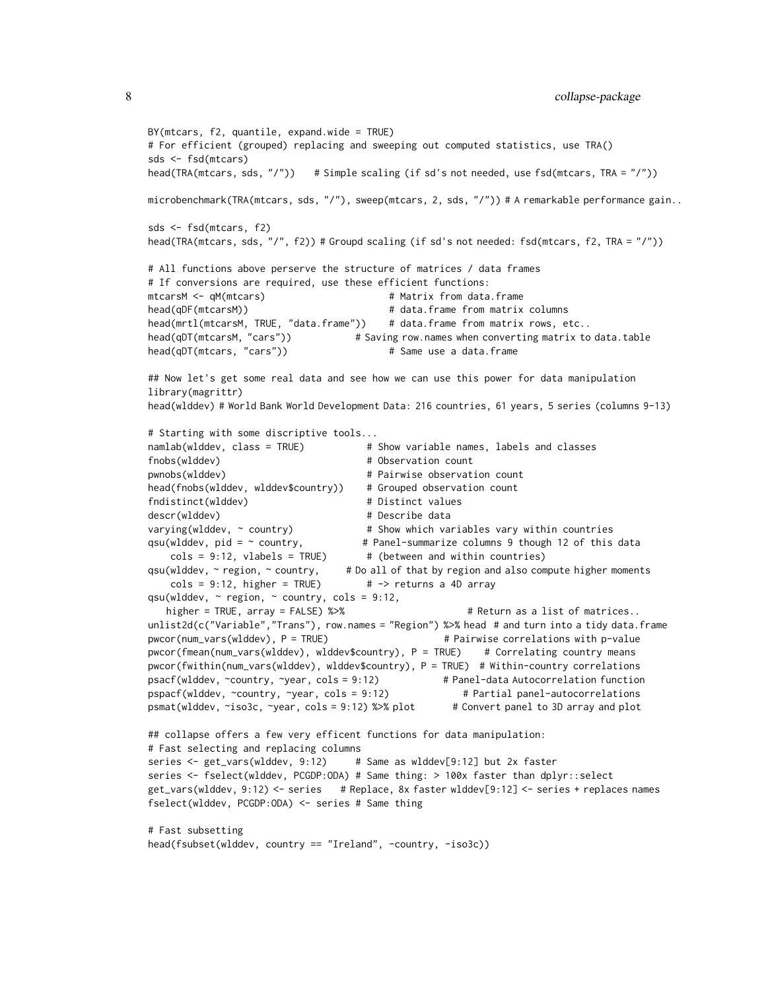```
BY(mtcars, f2, quantile, expand.wide = TRUE)
# For efficient (grouped) replacing and sweeping out computed statistics, use TRA()
sds <- fsd(mtcars)
head(TRA(mtcars, sds, "/")) # Simple scaling (if sd's not needed, use fsd(mtcars, TRA = "/"))
microbenchmark(TRA(mtcars, sds, "/"), sweep(mtcars, 2, sds, "/")) # A remarkable performance gain..
sds <- fsd(mtcars, f2)
head(TRA(mtcars, sds, "/", f2)) # Groupd scaling (if sd's not needed: fsd(mtcars, f2, TRA = "/"))
# All functions above perserve the structure of matrices / data frames
# If conversions are required, use these efficient functions:
mtcarsM <- qM(mtcars) # Matrix from data.frame
head(qDF(mtcarsM)) # data.frame from matrix columns
head(mrtl(mtcarsM, TRUE, "data.frame")) # data.frame from matrix rows, etc..
head(qDT(mtcarsM, "cars")) \qquad \qquad \# Saving row.names when converting matrix to data.table
head(qDT(mtcars, "cars")) # Same use a data.frame
## Now let's get some real data and see how we can use this power for data manipulation
library(magrittr)
head(wlddev) # World Bank World Development Data: 216 countries, 61 years, 5 series (columns 9-13)
# Starting with some discriptive tools...
namlab(wlddev, class = TRUE) # Show variable names, labels and classes
fnobs(wlddev) \qquad \qquad \qquad \qquad # Observation count
pwnobs(wlddev) # Pairwise observation count
head(fnobs(wlddev, wlddev$country)) # Grouped observation count
fndistinct(wlddev) # Distinct values
descr(wlddev) \qquad # Describe data
varying(wlddev, \sim country) \qquad # Show which variables vary within countries
qsu(wlddev, pid = ~ country, # Panel-summarize columns 9 though 12 of this data
   \text{cols} = 9:12, vlabels = TRUE) # (between and within countries)
qsu(wlddev, ~ region, ~ country, # Do all of that by region and also compute higher moments
   \text{cols} = 9:12, higher = TRUE) # -> returns a 4D array
qsu(wlddev, \sim region, \sim country, cols = 9:12,
   higher = TRUE, array = FALSE) %>% # Return as a list of matrices..
unlist2d(c("Variable","Trans"), row.names = "Region") %>% head # and turn into a tidy data.frame
pwcor(num_vars(wlddev), P = TRUE) # Pairwise correlations with p-value
pwcor(fmean(num_vars(wlddev), wlddev$country), P = TRUE) # Correlating country means
pwcor(fwithin(num_vars(wlddev), wlddev$country), P = TRUE) # Within-country correlations
psacf(wlddev, ~country, ~year, cols = 9:12) # Panel-data Autocorrelation function
pspacf(wlddev, ~country, ~year, cols = 9:12) # Partial panel-autocorrelations
psmat(wlddev, ~iso3c, ~year, cols = 9:12) %>% plot # Convert panel to 3D array and plot
## collapse offers a few very efficent functions for data manipulation:
# Fast selecting and replacing columns
series <- get_vars(wlddev, 9:12) # Same as wlddev[9:12] but 2x faster
series <- fselect(wlddev, PCGDP:ODA) # Same thing: > 100x faster than dplyr::select
get_vars(wlddev, 9:12) <- series # Replace, 8x faster wlddev[9:12] <- series + replaces names
fselect(wlddev, PCGDP:ODA) <- series # Same thing
# Fast subsetting
head(fsubset(wlddev, country == "Ireland", -country, -iso3c))
```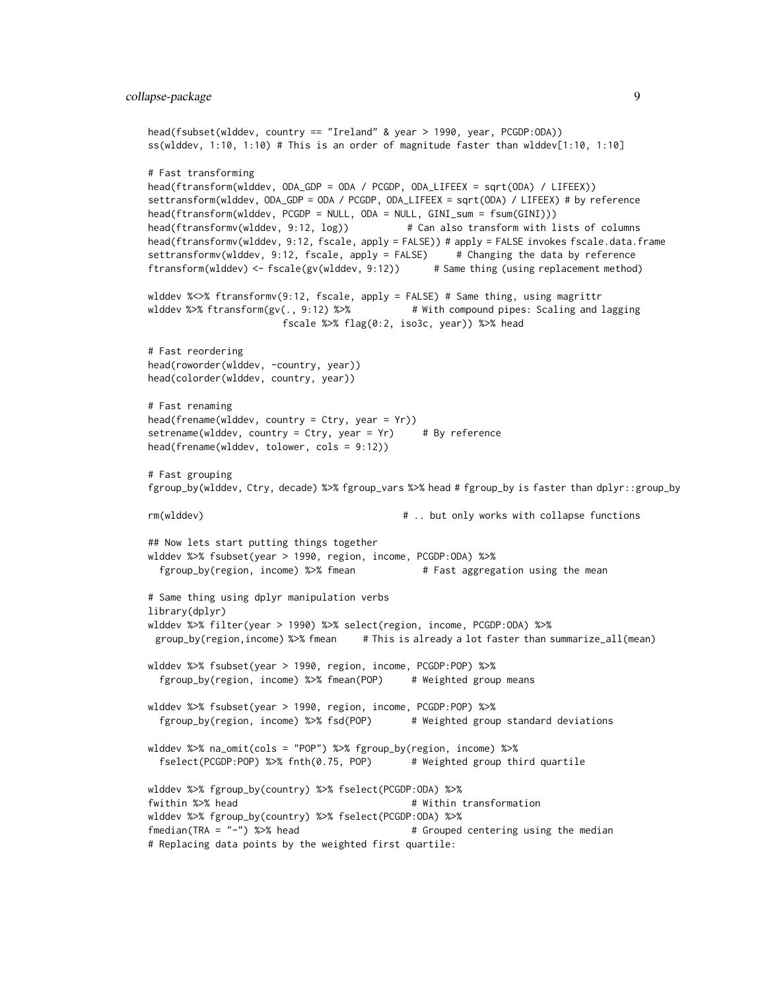```
head(fsubset(wlddev, country == "Ireland" & year > 1990, year, PCGDP:ODA))
ss(wlddev, 1:10, 1:10) # This is an order of magnitude faster than wlddev[1:10, 1:10]
# Fast transforming
head(ftransform(wlddev, ODA_GDP = ODA / PCGDP, ODA_LIFEEX = sqrt(ODA) / LIFEEX))
settransform(wlddev, ODA_GDP = ODA / PCGDP, ODA_LIFEEX = sqrt(ODA) / LIFEEX) # by reference
head(ftransform(wlddev, PCGDP = NULL, ODA = NULL, GINI_sum = fsum(GINI)))
head(ftransformv(wlddev, 9:12, log)) # Can also transform with lists of columns
head(ftransformv(wlddev, 9:12, fscale, apply = FALSE)) # apply = FALSE invokes fscale.data.frame
settransformv(wlddev, 9:12, fscale, apply = FALSE) # Changing the data by reference
ftransform(wlddev) <- fscale(gv(wlddev, 9:12)) # Same thing (using replacement method)
wlddev %<>% ftransformv(9:12, fscale, apply = FALSE) # Same thing, using magrittr
wlddev %>% ftransform(gv(., 9:12) %>% # With compound pipes: Scaling and lagging
                       fscale %>% flag(0:2, iso3c, year)) %>% head
# Fast reordering
head(roworder(wlddev, -country, year))
head(colorder(wlddev, country, year))
# Fast renaming
head(frename(wlddev, country = Ctry, year = Yr))
setrename(wlddev, country = Ctry, year = Yr) # By reference
head(frename(wlddev, tolower, cols = 9:12))
# Fast grouping
fgroup_by(wlddev, Ctry, decade) %>% fgroup_vars %>% head # fgroup_by is faster than dplyr::group_by
rm(wlddev) # .. but only works with collapse functions
## Now lets start putting things together
wlddev %>% fsubset(year > 1990, region, income, PCGDP:ODA) %>%
 fgroup_by(region, income) %>% fmean \qquad # Fast aggregation using the mean
# Same thing using dplyr manipulation verbs
library(dplyr)
wlddev %>% filter(year > 1990) %>% select(region, income, PCGDP:ODA) %>%
 group_by(region,income) %>% fmean # This is already a lot faster than summarize_all(mean)
wlddev %>% fsubset(year > 1990, region, income, PCGDP:POP) %>%
 fgroup_by(region, income) %>% fmean(POP) # Weighted group means
wlddev %>% fsubset(year > 1990, region, income, PCGDP:POP) %>%
 fgroup_by(region, income) %>% fsd(POP) # Weighted group standard deviations
wlddev %>% na_omit(cols = "POP") %>% fgroup_by(region, income) %>%
 fselect(PCGDP:POP) %>% fnth(0.75, POP) # Weighted group third quartile
wlddev %>% fgroup_by(country) %>% fselect(PCGDP:ODA) %>%
fwithin %>% head \overline{a} + Within transformation
wlddev %>% fgroup_by(country) %>% fselect(PCGDP:ODA) %>%
f_{\text{median}}(TRA = " -") %>% head \qquad \qquad # Grouped centering using the median
# Replacing data points by the weighted first quartile:
```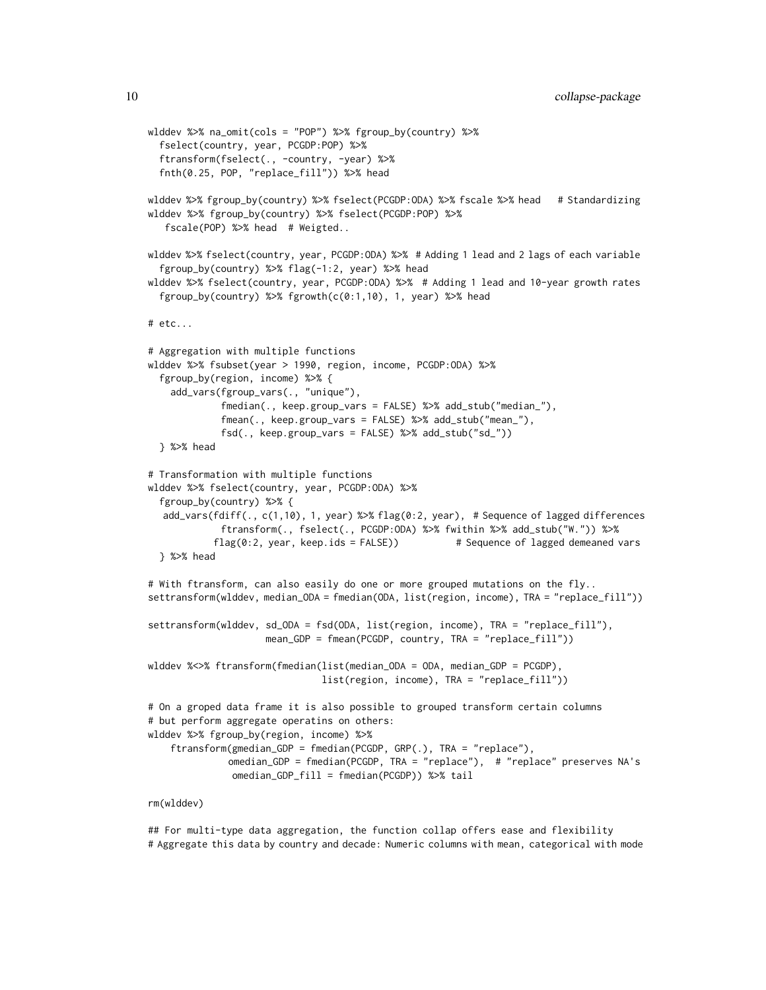```
wlddev %>% na_omit(cols = "POP") %>% fgroup_by(country) %>%
  fselect(country, year, PCGDP:POP) %>%
 ftransform(fselect(., -country, -year) %>%
 fnth(0.25, POP, "replace_fill")) %>% head
wlddev %>% fgroup_by(country) %>% fselect(PCGDP:ODA) %>% fscale %>% head # Standardizing
wlddev %>% fgroup_by(country) %>% fselect(PCGDP:POP) %>%
   fscale(POP) %>% head # Weigted..
wlddev %>% fselect(country, year, PCGDP:ODA) %>% # Adding 1 lead and 2 lags of each variable
  fgroup_by(country) %>% flag(-1:2, year) %>% head
wlddev %>% fselect(country, year, PCGDP:ODA) %>% # Adding 1 lead and 10-year growth rates
  fgroup_by(country) %>% fgrowth(c(0:1,10), 1, year) %>% head
# etc...
# Aggregation with multiple functions
wlddev %>% fsubset(year > 1990, region, income, PCGDP:ODA) %>%
 fgroup_by(region, income) %>% {
    add_vars(fgroup_vars(., "unique"),
             fmedian(., keep.group_vars = FALSE) %>% add_stub("median_"),
             fmean(., keep.group_vars = FALSE) %>% add_stub("mean_"),
             fsd(., keep.group_vars = FALSE) %>% add_stub("sd_"))
 } %>% head
# Transformation with multiple functions
wlddev %>% fselect(country, year, PCGDP:ODA) %>%
 fgroup_by(country) %>% {
  add_vars(fdiff(., c(1,10), 1, year) %>% flag(0:2, year), # Sequence of lagged differences
             ftransform(., fselect(., PCGDP:ODA) %>% fwithin %>% add_stub("W.")) %>%
            flag(0:2, year, keep.ids = FALSE)) # Sequence of lagged demeaned vars
 } %>% head
# With ftransform, can also easily do one or more grouped mutations on the fly..
settransform(wlddev, median_ODA = fmedian(ODA, list(region, income), TRA = "replace_fill"))
settransform(wlddev, sd_ODA = fsd(ODA, list(region, income), TRA = "replace_fill"),
                     mean_GDP = fmean(PCGDP, country, TRA = "replace_fill"))
wlddev %<>% ftransform(fmedian(list(median_ODA = ODA, median_GDP = PCGDP),
                               list(region, income), TRA = "replace_fill"))
# On a groped data frame it is also possible to grouped transform certain columns
# but perform aggregate operatins on others:
wlddev %>% fgroup_by(region, income) %>%
    ftransform(gmedian_GDP = fmedian(PCGDP, GRP(.), TRA = "replace"),
              omedian_GDP = fmedian(PCGDP, TRA = "replace"), # "replace" preserves NA's
              omedian_GDP_fill = fmedian(PCGDP)) %>% tail
```
#### rm(wlddev)

## For multi-type data aggregation, the function collap offers ease and flexibility # Aggregate this data by country and decade: Numeric columns with mean, categorical with mode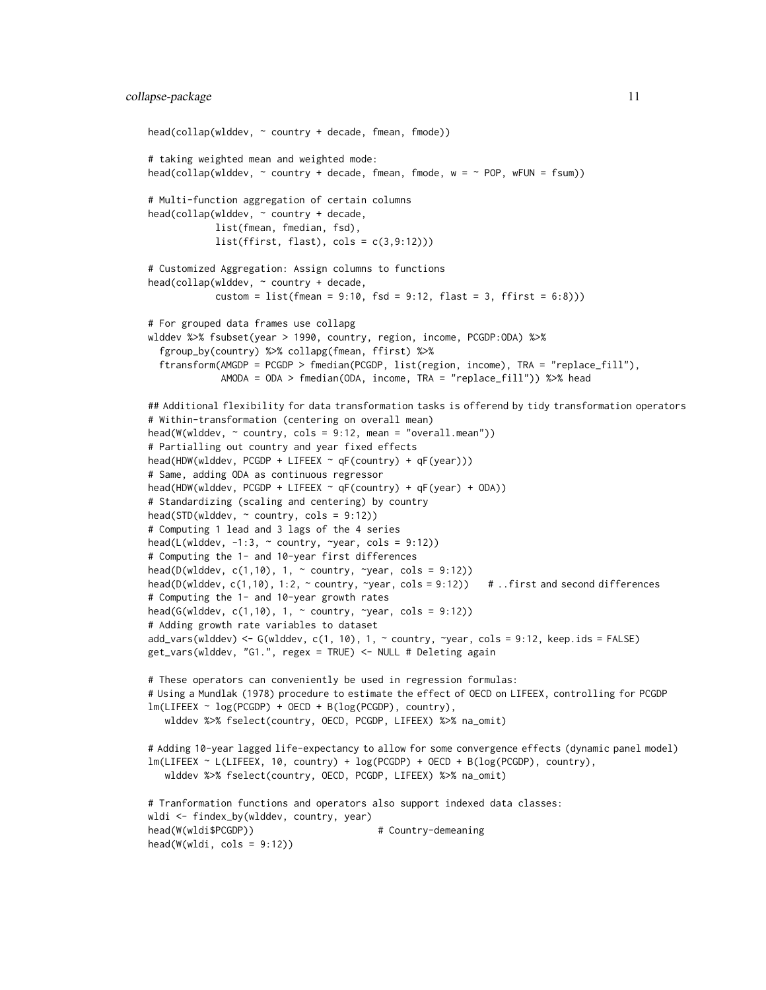```
head(collap(wlddev, ~ country + decade, fmean, fmode))
# taking weighted mean and weighted mode:
head(collap(wlddev, \sim country + decade, fmean, fmode, w = \sim POP, wFUN = fsum))
# Multi-function aggregation of certain columns
head(collap(wlddev, ~ country + decade,
            list(fmean, fmedian, fsd),
            list(ffirst, flat), cols = c(3, 9:12))# Customized Aggregation: Assign columns to functions
head(collap(wlddev, ~ ~ ~ ~ ~ ~ ~ ~ ~ ~ ~ ~ ~ ~ ~ ~\text{custom} = \text{list}(\text{fmean} = 9:10, \text{ fsd} = 9:12, \text{ flast} = 3, \text{ ffirst} = 6:8)))# For grouped data frames use collapg
wlddev %>% fsubset(year > 1990, country, region, income, PCGDP:ODA) %>%
  fgroup_by(country) %>% collapg(fmean, ffirst) %>%
 ftransform(AMGDP = PCGDP > fmedian(PCGDP, list(region, income), TRA = "replace_fill"),
             AMODA = ODA > fmedian(ODA, income, TRA = "replace_fill")) %>% head
## Additional flexibility for data transformation tasks is offerend by tidy transformation operators
# Within-transformation (centering on overall mean)
head(W(wlddev, ~ country, cols = 9:12, mean = "overall.mean"))
# Partialling out country and year fixed effects
head(HDW(wlddev, PCGDP + LIFEEX ~ qF(country) + qF(year)))
# Same, adding ODA as continuous regressor
head(HDW(wlddev, PCGDP + LIFEEX ~ qF(country) + qF(year) + ODA))
# Standardizing (scaling and centering) by country
head(STD(wlddev, ~ country, cols = 9:12))
# Computing 1 lead and 3 lags of the 4 series
head(L(wlddev, -1:3, \sim country, \simyear, cols = 9:12))
# Computing the 1- and 10-year first differences
head(D(wlddev, c(1,10), 1, \sim country, \simyear, cols = 9:12))
head(D(wlddev, c(1,10), 1:2, ~ country, ~year, cols = 9:12)) # ..first and second differences
# Computing the 1- and 10-year growth rates
head(G(wlddev, c(1,10), 1, \sim country, \simyear, cols = 9:12))
# Adding growth rate variables to dataset
add_vars(wlddev) <- G(wlddev, c(1, 10), 1, ~ country, ~year, cols = 9:12, keep.ids = FALSE)
get_vars(wlddev, "G1.", regex = TRUE) <- NULL # Deleting again
# These operators can conveniently be used in regression formulas:
# Using a Mundlak (1978) procedure to estimate the effect of OECD on LIFEEX, controlling for PCGDP
lm(LIFEEX ~ log(PCGDP) + OECD + B(log(PCGDP), country),
  wlddev %>% fselect(country, OECD, PCGDP, LIFEEX) %>% na_omit)
# Adding 10-year lagged life-expectancy to allow for some convergence effects (dynamic panel model)
lm(LIFEEX ~ L(LIFEEX, 10, country) + log(PCGDP) + OECD + B(log(PCGDP), country),
  wlddev %>% fselect(country, OECD, PCGDP, LIFEEX) %>% na_omit)
# Tranformation functions and operators also support indexed data classes:
wldi <- findex_by(wlddev, country, year)
head(W(wldi$PCGDP)) # Country-demeaning
head(W(wldi, \text{cols} = 9:12))
```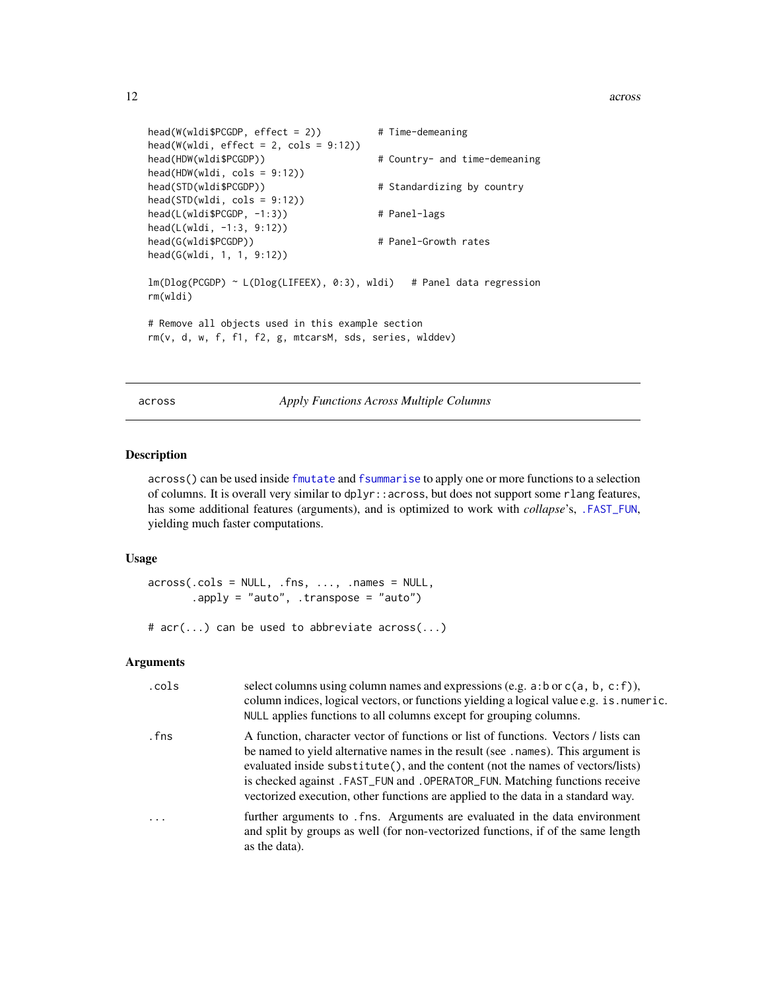#### <span id="page-11-0"></span>12 across and the contract of the contract of the contract of the contract of the contract of the contract of the contract of the contract of the contract of the contract of the contract of the contract of the contract of

```
head(W(wldi$PCGDP, effect = 2)) # Time-demeaning
head(W(wldi, effect = 2, cols = 9:12))head(HDW(wldi$PCGDP)) # Country- and time-demeaning
head(HDW(wldi, cols = 9:12))
head(STD(wldi$PCGDP)) \qquad # Standardizing by country
head(STD(wldi, cols = 9:12))
head(L(wldi$PCGDP, -1:3)) # Panel-lags
head(L(wldi, -1:3, 9:12))
head(G(wldi$PCGDP))  # Panel-Growth rates
head(G(wldi, 1, 1, 9:12))
lm(Dlog(PCGDP) ~ L(Dlog(LIFEEX), 0:3), wldi) # Panel data regression
rm(wldi)
# Remove all objects used in this example section
rm(v, d, w, f, f1, f2, g, mtcarsM, sds, series, wlddev)
```
<span id="page-11-1"></span>across *Apply Functions Across Multiple Columns*

#### Description

across() can be used inside [fmutate](#page-110-1) and [fsummarise](#page-108-1) to apply one or more functions to a selection of columns. It is overall very similar to dplyr::across, but does not support some rlang features, has some additional features (arguments), and is optimized to work with *collapse*'s, [.FAST\\_FUN](#page-41-1), yielding much faster computations.

### Usage

```
across(.cols = NULL, .fns, . . . , .names = NULL,.apply = "auto", .transpose = "auto")
```
# acr(...) can be used to abbreviate across(...)

| .cols      | select columns using column names and expressions (e.g. $a:b$ or $c(a, b, c:f)$ ),<br>column indices, logical vectors, or functions yielding a logical value e.g. is numeric.<br>NULL applies functions to all columns except for grouping columns.                                                                                                                                                                            |
|------------|--------------------------------------------------------------------------------------------------------------------------------------------------------------------------------------------------------------------------------------------------------------------------------------------------------------------------------------------------------------------------------------------------------------------------------|
| . fns      | A function, character vector of functions or list of functions. Vectors / lists can<br>be named to yield alternative names in the result (see . names). This argument is<br>evaluated inside substitute(), and the content (not the names of vectors/lists)<br>is checked against. FAST_FUN and . OPERATOR_FUN. Matching functions receive<br>vectorized execution, other functions are applied to the data in a standard way. |
| $\ddots$ . | further arguments to . fns. Arguments are evaluated in the data environment<br>and split by groups as well (for non-vectorized functions, if of the same length<br>as the data).                                                                                                                                                                                                                                               |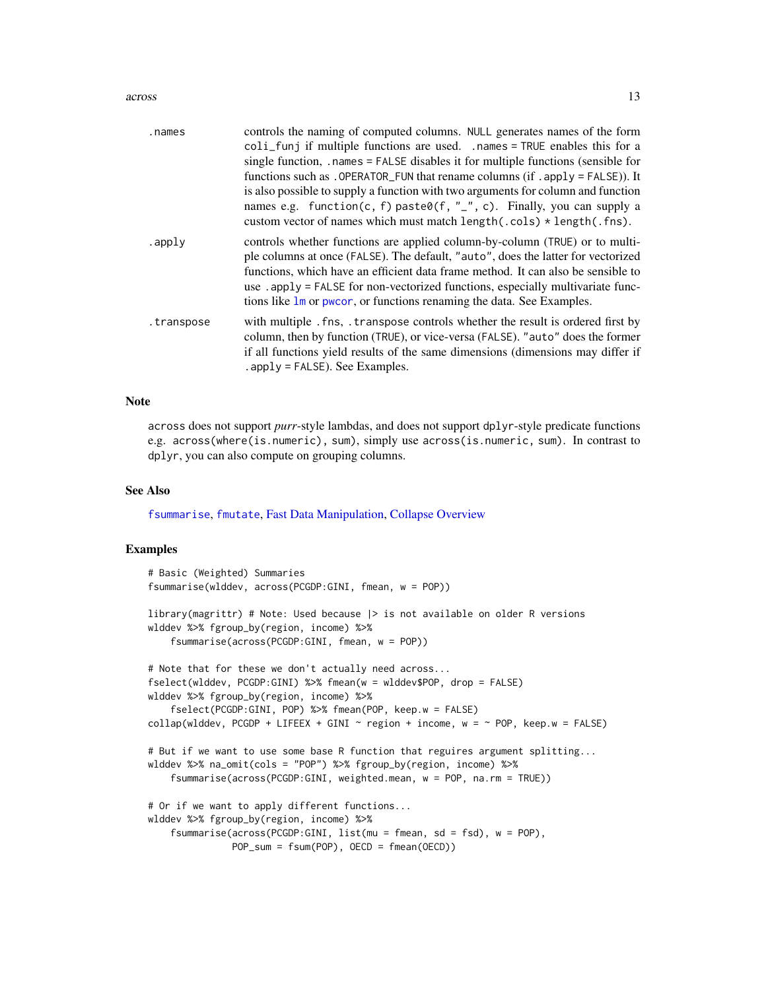#### across and the contract of the contract of the contract of the contract of the contract of the contract of the contract of the contract of the contract of the contract of the contract of the contract of the contract of the

| .names     | controls the naming of computed columns. NULL generates names of the form<br>coli_funj if multiple functions are used. .names = TRUE enables this for a<br>single function, .names = FALSE disables it for multiple functions (sensible for<br>functions such as . OPERATOR_FUN that rename columns (if . apply = $FALSE$ )). It<br>is also possible to supply a function with two arguments for column and function<br>names e.g. function(c, f) paste0(f, "_", c). Finally, you can supply a<br>custom vector of names which must match $length(.cols) * length(.fns)$ . |
|------------|----------------------------------------------------------------------------------------------------------------------------------------------------------------------------------------------------------------------------------------------------------------------------------------------------------------------------------------------------------------------------------------------------------------------------------------------------------------------------------------------------------------------------------------------------------------------------|
| .apply     | controls whether functions are applied column-by-column (TRUE) or to multi-<br>ple columns at once (FALSE). The default, "auto", does the latter for vectorized<br>functions, which have an efficient data frame method. It can also be sensible to<br>use . apply = FALSE for non-vectorized functions, especially multivariate func-<br>tions like 1m or pwcor, or functions renaming the data. See Examples.                                                                                                                                                            |
| .transpose | with multiple . fns, transpose controls whether the result is ordered first by<br>column, then by function (TRUE), or vice-versa (FALSE). "auto" does the former<br>if all functions yield results of the same dimensions (dimensions may differ if<br>$apply = FALSE$ . See Examples.                                                                                                                                                                                                                                                                                     |

#### Note

across does not support *purr*-style lambdas, and does not support dplyr-style predicate functions e.g. across(where(is.numeric), sum), simply use across(is.numeric, sum). In contrast to dplyr, you can also compute on grouping columns.

#### See Also

[fsummarise](#page-108-1), [fmutate](#page-110-1), [Fast Data Manipulation,](#page-38-1) [Collapse Overview](#page-23-1)

#### Examples

```
# Basic (Weighted) Summaries
fsummarise(wlddev, across(PCGDP:GINI, fmean, w = POP))
library(magrittr) # Note: Used because |> is not available on older R versions
wlddev %>% fgroup_by(region, income) %>%
    fsummarise(across(PCGDP:GINI, fmean, w = POP))
# Note that for these we don't actually need across...
fselect(wlddev, PCGDP:GINI) %>% fmean(w = wlddev$POP, drop = FALSE)
wlddev %>% fgroup_by(region, income) %>%
    fselect(PCGDP:GINI, POP) %>% fmean(POP, keep.w = FALSE)
collap(wlddev, PCGDP + LIFEEX + GINI \sim region + income, w = \sim POP, keep.w = FALSE)
# But if we want to use some base R function that reguires argument splitting...
wlddev %>% na_omit(cols = "POP") %>% fgroup_by(region, income) %>%
    fsummarise(across(PCGDP:GINI, weighted.mean, w = POP, na.rm = TRUE))
# Or if we want to apply different functions...
wlddev %>% fgroup_by(region, income) %>%
    fsummarise(across(PCGDP:GINI, list(mu = fmean, sd = fsd), w = POP),
              POP_sum = fsum(POP), OECD = fmean(OECD))
```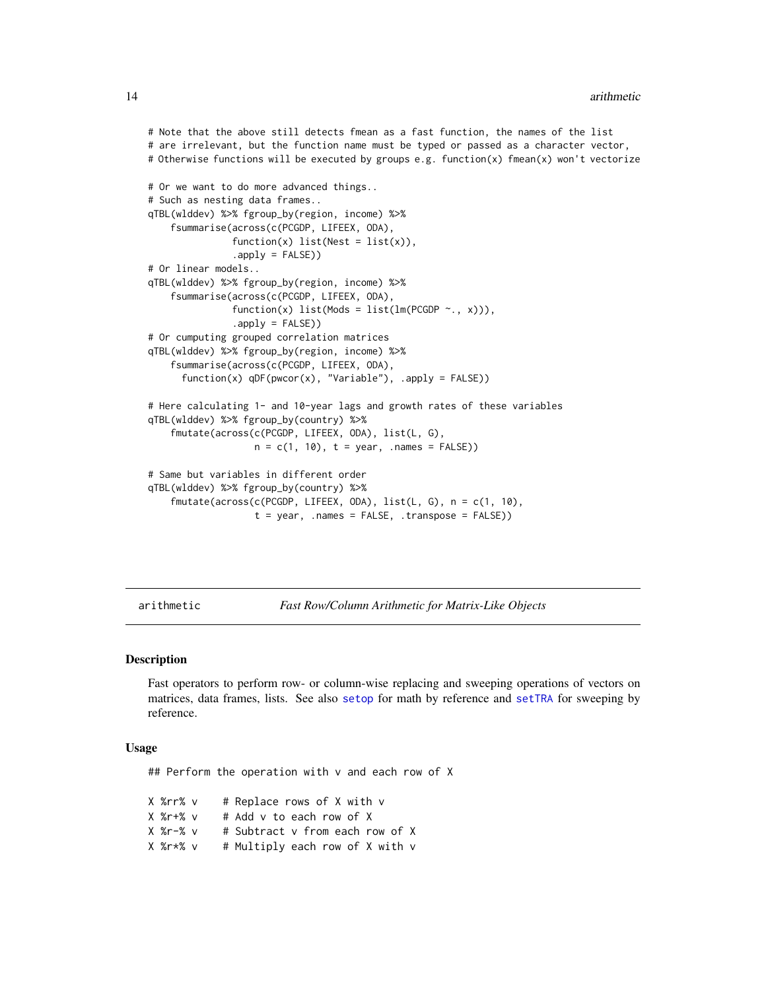```
# Note that the above still detects fmean as a fast function, the names of the list
# are irrelevant, but the function name must be typed or passed as a character vector,
# Otherwise functions will be executed by groups e.g. function(x) fmean(x) won't vectorize
# Or we want to do more advanced things..
# Such as nesting data frames..
qTBL(wlddev) %>% fgroup_by(region, income) %>%
    fsummarise(across(c(PCGDP, LIFEEX, ODA),
               function(x) list(Nest = list(x)),
               .apply = FALSE))
# Or linear models..
qTBL(wlddev) %>% fgroup_by(region, income) %>%
    fsummarise(across(c(PCGDP, LIFEEX, ODA),
               function(x) list(Mods = list(lm(PCGDP \sim ., x))),
               .apply = FALSE))
# Or cumputing grouped correlation matrices
qTBL(wlddev) %>% fgroup_by(region, income) %>%
    fsummarise(across(c(PCGDP, LIFEEX, ODA),
      function(x) qDF(pwcor(x), "Variable"), .apply = FALSE))
# Here calculating 1- and 10-year lags and growth rates of these variables
qTBL(wlddev) %>% fgroup_by(country) %>%
    fmutate(across(c(PCGDP, LIFEEX, ODA), list(L, G),
                   n = c(1, 10), t = year, ... names = FALSE)
# Same but variables in different order
qTBL(wlddev) %>% fgroup_by(country) %>%
    fmutate(across(c(PCGDP, LIFEEX, ODA), list(L, G), n = c(1, 10),
                   t = year, .names = FALSE, .transpose = FALSE))
```
<span id="page-13-1"></span>arithmetic *Fast Row/Column Arithmetic for Matrix-Like Objects*

#### <span id="page-13-2"></span>Description

Fast operators to perform row- or column-wise replacing and sweeping operations of vectors on matrices, data frames, lists. See also [setop](#page-34-1) for math by reference and [setTRA](#page-182-1) for sweeping by reference.

#### Usage

## Perform the operation with v and each row of X

X %rr% v # Replace rows of X with v X %r+% v # Add v to each row of X X %r-% v # Subtract v from each row of X X %r\*% v # Multiply each row of X with v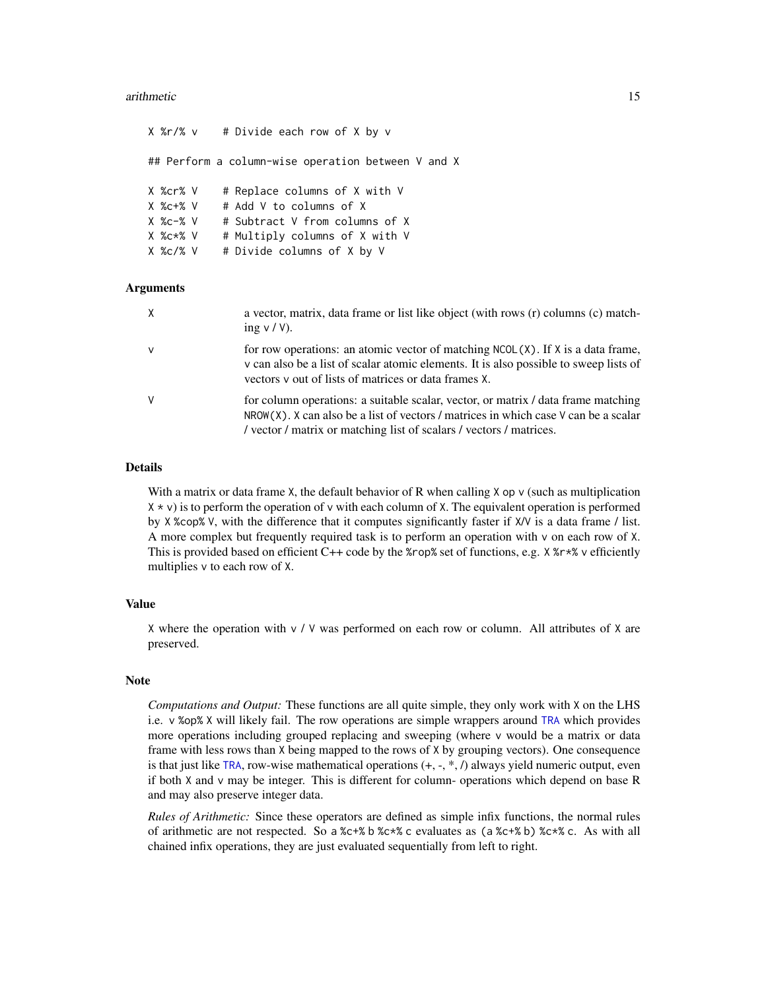#### arithmetic 15

| ## Perform a column–wise operation between V and X<br># Replace columns of X with V<br>X %cr% V<br># Add V to columns of X<br>X %c+% V<br># Subtract V from columns of X<br>X %c-% V<br># Multiply columns of X with V<br>X %c*% V<br># Divide columns of X by V<br>X %c/% V |  | X %r/% v    # Divide each row of X by v |
|------------------------------------------------------------------------------------------------------------------------------------------------------------------------------------------------------------------------------------------------------------------------------|--|-----------------------------------------|
|                                                                                                                                                                                                                                                                              |  |                                         |
|                                                                                                                                                                                                                                                                              |  |                                         |

#### Arguments

| $\times$     | a vector, matrix, data frame or list like object (with rows (r) columns (c) match-<br>ing $v / V$ ).                                                                                                                                               |
|--------------|----------------------------------------------------------------------------------------------------------------------------------------------------------------------------------------------------------------------------------------------------|
| $\mathbf{V}$ | for row operations: an atomic vector of matching $NCOL(X)$ . If X is a data frame,<br>v can also be a list of scalar atomic elements. It is also possible to sweep lists of<br>vectors y out of lists of matrices or data frames X.                |
| V            | for column operations: a suitable scalar, vector, or matrix / data frame matching<br>$NROW(X)$ . X can also be a list of vectors / matrices in which case V can be a scalar<br>/ vector / matrix or matching list of scalars / vectors / matrices. |

#### Details

With a matrix or data frame X, the default behavior of R when calling X op v (such as multiplication  $X \times V$  is to perform the operation of v with each column of X. The equivalent operation is performed by X %cop% V, with the difference that it computes significantly faster if X/V is a data frame / list. A more complex but frequently required task is to perform an operation with v on each row of X. This is provided based on efficient C++ code by the %rop% set of functions, e.g. X %r\*% v efficiently multiplies v to each row of X.

#### Value

X where the operation with  $v / V$  was performed on each row or column. All attributes of X are preserved.

### Note

*Computations and Output:* These functions are all quite simple, they only work with X on the LHS i.e. v %op% X will likely fail. The row operations are simple wrappers around [TRA](#page-182-2) which provides more operations including grouped replacing and sweeping (where v would be a matrix or data frame with less rows than X being mapped to the rows of X by grouping vectors). One consequence is that just like [TRA](#page-182-2), row-wise mathematical operations  $(+, \cdot, *, /)$  always yield numeric output, even if both X and v may be integer. This is different for column- operations which depend on base R and may also preserve integer data.

*Rules of Arithmetic:* Since these operators are defined as simple infix functions, the normal rules of arithmetic are not respected. So a %c+% b %c\*% c evaluates as (a %c+% b) %c\*% c. As with all chained infix operations, they are just evaluated sequentially from left to right.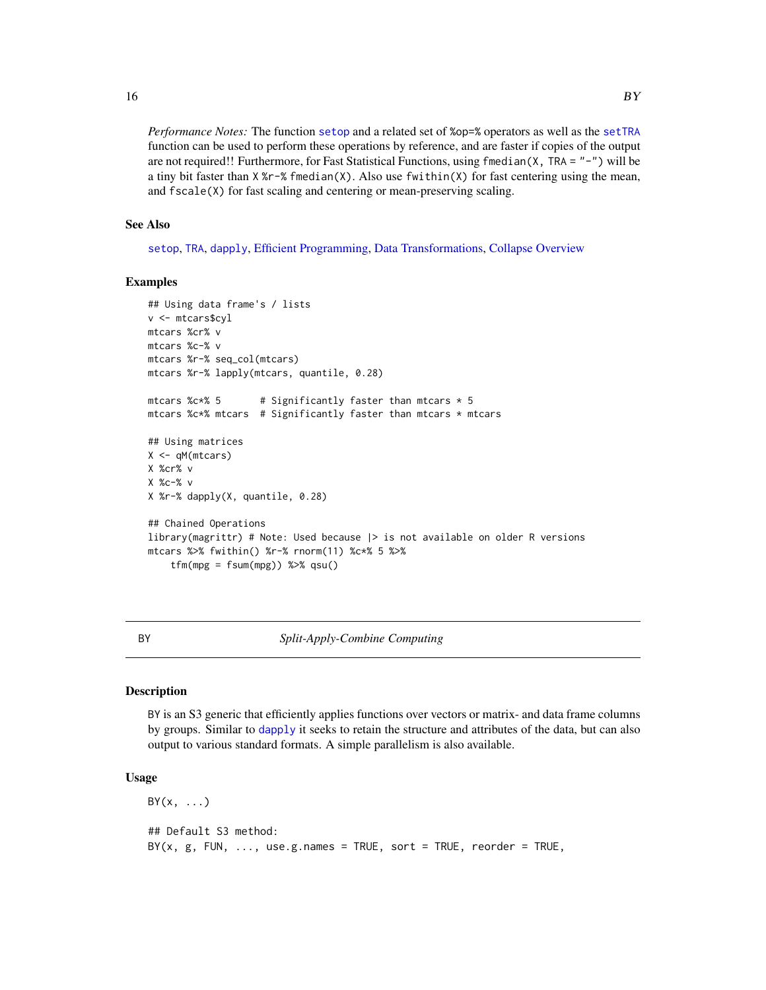*Performance Notes:* The function [setop](#page-34-1) and a related set of %op=% operators as well as the [setTRA](#page-182-1) function can be used to perform these operations by reference, and are faster if copies of the output are not required!! Furthermore, for Fast Statistical Functions, using  $f_{\text{medation}}(X, TRA = " -")$  will be a tiny bit faster than  $X \times r - X$  finedian(X). Also use fwithin(X) for fast centering using the mean, and fscale(X) for fast scaling and centering or mean-preserving scaling.

#### See Also

[setop](#page-34-1), [TRA](#page-182-2), [dapply](#page-28-1), [Efficient Programming,](#page-34-2) [Data Transformations,](#page-30-1) [Collapse Overview](#page-23-1)

#### Examples

```
## Using data frame's / lists
v <- mtcars$cyl
mtcars %cr% v
mtcars %c-% v
mtcars %r-% seq_col(mtcars)
mtcars %r-% lapply(mtcars, quantile, 0.28)
mtcars %c*% 5 \qquad # Significantly faster than mtcars * 5
mtcars %c*% mtcars # Significantly faster than mtcars * mtcars
## Using matrices
X < -qM(mtcars)X %cr% v
X %c-% v
X %r-% dapply(X, quantile, 0.28)
## Chained Operations
library(magrittr) # Note: Used because |> is not available on older R versions
mtcars %>% fwithin() %r-% rnorm(11) %c*% 5 %>%
    tfm(mpg = fsum(mpg)) %>% qsu()
```
<span id="page-15-1"></span>

#### BY *Split-Apply-Combine Computing*

#### Description

BY is an S3 generic that efficiently applies functions over vectors or matrix- and data frame columns by groups. Similar to [dapply](#page-28-1) it seeks to retain the structure and attributes of the data, but can also output to various standard formats. A simple parallelism is also available.

#### Usage

 $BY(x, \ldots)$ ## Default S3 method:  $BY(x, g, FUN, ..., use.g. names = TRUE, sort = TRUE, reorder = TRUE,$ 

<span id="page-15-0"></span>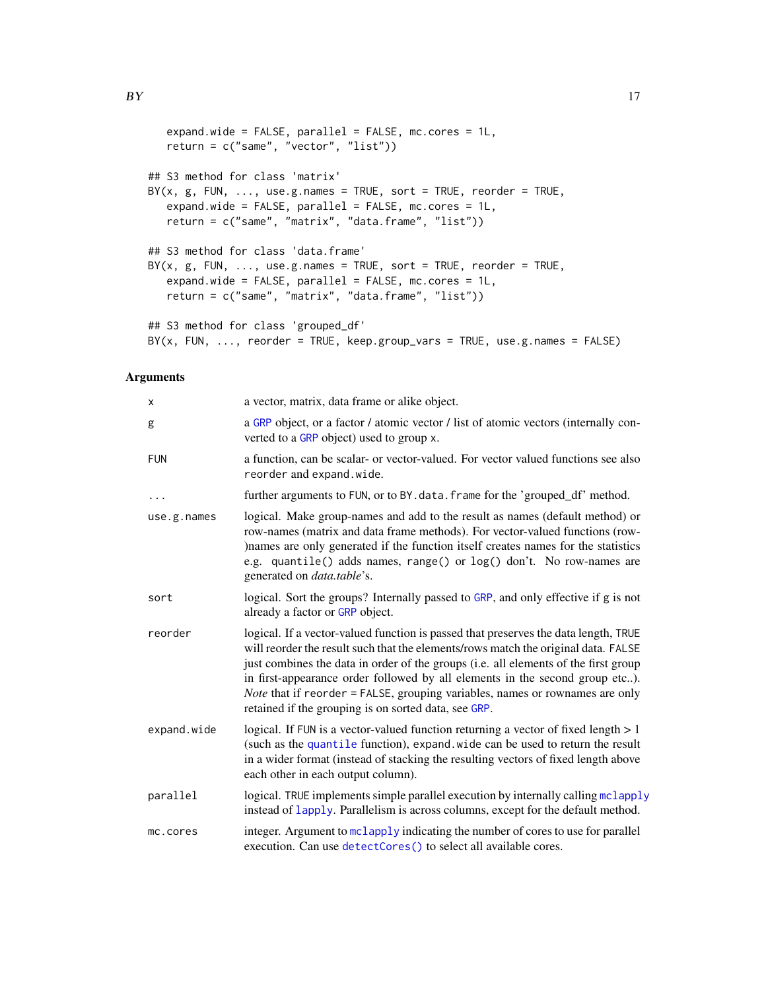```
expand.wide = FALSE, parallel = FALSE, mc.cores = 1L,
   return = c("same", "vector", "list"))
## S3 method for class 'matrix'
BY(x, g, FUN, ..., use.g. names = TRUE, sort = TRUE, reorder = TRUE,expand.wide = FALSE, parallel = FALSE, mc.cores = 1L,
   return = c("same", "matrix", "data.frame", "list"))
## S3 method for class 'data.frame'
BY(x, g, FUN, ..., use.g. names = TRUE, sort = TRUE, reorder = TRUE,expand.wide = FALSE, parallel = FALSE, mc.cores = 1L,
   return = c("same", "matrix", "data.frame", "list"))
## S3 method for class 'grouped_df'
BY(x, FUN, ..., reorder = TRUE, keep.group_vars = TRUE, use.g.name = FALSE)
```

| x           | a vector, matrix, data frame or alike object.                                                                                                                                                                                                                                                                                                                                                                                                                                                   |
|-------------|-------------------------------------------------------------------------------------------------------------------------------------------------------------------------------------------------------------------------------------------------------------------------------------------------------------------------------------------------------------------------------------------------------------------------------------------------------------------------------------------------|
| g           | a GRP object, or a factor / atomic vector / list of atomic vectors (internally con-<br>verted to a GRP object) used to group x.                                                                                                                                                                                                                                                                                                                                                                 |
| <b>FUN</b>  | a function, can be scalar- or vector-valued. For vector valued functions see also<br>reorder and expand.wide.                                                                                                                                                                                                                                                                                                                                                                                   |
| .           | further arguments to FUN, or to BY. data. frame for the 'grouped_df' method.                                                                                                                                                                                                                                                                                                                                                                                                                    |
| use.g.names | logical. Make group-names and add to the result as names (default method) or<br>row-names (matrix and data frame methods). For vector-valued functions (row-<br>)names are only generated if the function itself creates names for the statistics<br>e.g. quantile() adds names, range() or log() don't. No row-names are<br>generated on <i>data.table's.</i>                                                                                                                                  |
| sort        | logical. Sort the groups? Internally passed to GRP, and only effective if g is not<br>already a factor or GRP object.                                                                                                                                                                                                                                                                                                                                                                           |
| reorder     | logical. If a vector-valued function is passed that preserves the data length, TRUE<br>will reorder the result such that the elements/rows match the original data. FALSE<br>just combines the data in order of the groups (i.e. all elements of the first group<br>in first-appearance order followed by all elements in the second group etc).<br><i>Note</i> that if reorder = FALSE, grouping variables, names or rownames are only<br>retained if the grouping is on sorted data, see GRP. |
| expand.wide | logical. If FUN is a vector-valued function returning a vector of fixed length $> 1$<br>(such as the quantile function), expand. wide can be used to return the result<br>in a wider format (instead of stacking the resulting vectors of fixed length above<br>each other in each output column).                                                                                                                                                                                              |
| parallel    | logical. TRUE implements simple parallel execution by internally calling mclapply<br>instead of lapply. Parallelism is across columns, except for the default method.                                                                                                                                                                                                                                                                                                                           |
| mc.cores    | integer. Argument to mclapply indicating the number of cores to use for parallel<br>execution. Can use detectCores() to select all available cores.                                                                                                                                                                                                                                                                                                                                             |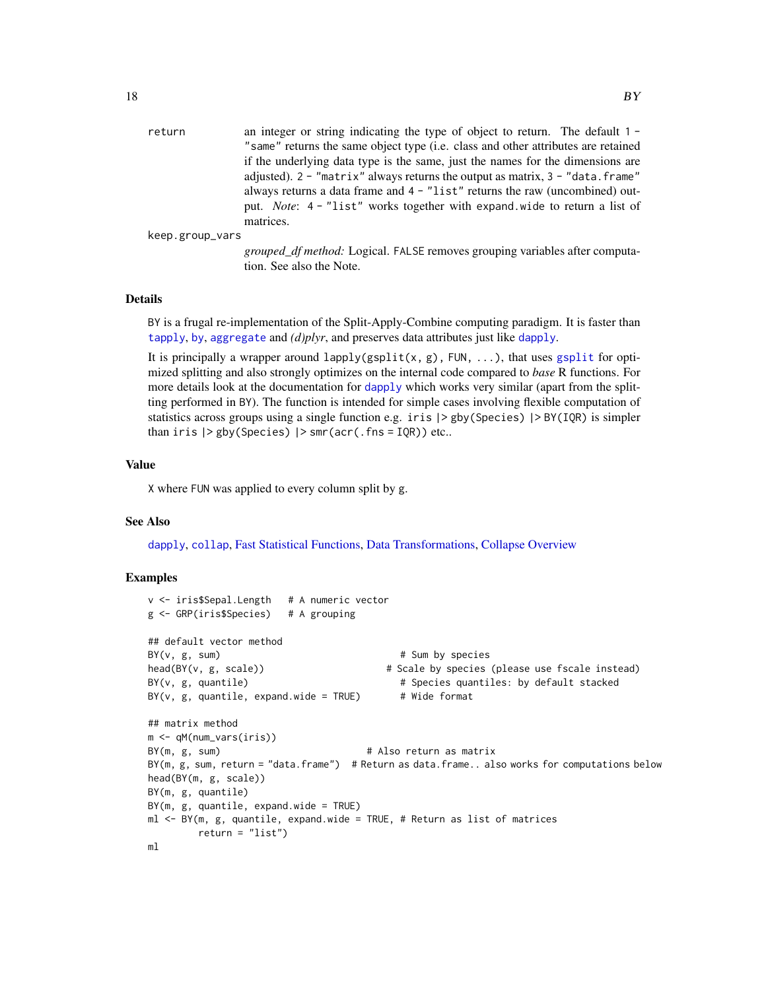| return          | an integer or string indicating the type of object to return. The default $1 -$    |
|-----------------|------------------------------------------------------------------------------------|
|                 | "same" returns the same object type (i.e. class and other attributes are retained  |
|                 | if the underlying data type is the same, just the names for the dimensions are     |
|                 | adjusted). $2 -$ "matrix" always returns the output as matrix, $3 -$ "data. frame" |
|                 | always returns a data frame and $4 -$ "list" returns the raw (uncombined) out-     |
|                 | put. Note: 4 - "list" works together with expand wide to return a list of          |
|                 | matrices.                                                                          |
| keep.group_vars |                                                                                    |
|                 |                                                                                    |

*grouped\_df method:* Logical. FALSE removes grouping variables after computation. See also the Note.

#### Details

BY is a frugal re-implementation of the Split-Apply-Combine computing paradigm. It is faster than [tapply](#page-0-0), [by](#page-0-0), [aggregate](#page-0-0) and *(d)plyr*, and preserves data attributes just like [dapply](#page-28-1).

It is principally a wrapper around lapply([gsplit](#page-127-2)(x, g), FUN, ...), that uses gsplit for optimized splitting and also strongly optimizes on the internal code compared to *base* R functions. For more details look at the documentation for [dapply](#page-28-1) which works very similar (apart from the splitting performed in BY). The function is intended for simple cases involving flexible computation of statistics across groups using a single function e.g. iris |> gby(Species) |> BY(IQR) is simpler than iris |> gby(Species) |> smr(acr(.fns = IQR)) etc..

#### Value

X where FUN was applied to every column split by g.

#### See Also

[dapply](#page-28-1), [collap](#page-18-1), [Fast Statistical Functions,](#page-41-2) [Data Transformations,](#page-30-1) [Collapse Overview](#page-23-1)

#### Examples

```
v <- iris$Sepal.Length # A numeric vector
g <- GRP(iris$Species) # A grouping
## default vector method
BY(v, g, sum) # Sum by species
head(BY(v, g, scale)) \qquad # Scale by species (please use fscale instead)
BY(v, g, quantile) \qquad # Species quantiles: by default stacked
BY(v, g, quantile, expand.wide = TRUE) # Wide format
## matrix method
m <- qM(num_vars(iris))
BY(m, g, sum) \# Also return as matrix
BY(m, g, sum, return = "data.frame") # Return as data.frame.. also works for computations below
head(BY(m, g, scale))
BY(m, g, quantile)
BY(m, g, quantile, expand-wide = TRUE)ml <- BY(m, g, quantile, expand.wide = TRUE, # Return as list of matrices
       return = "list")
ml
```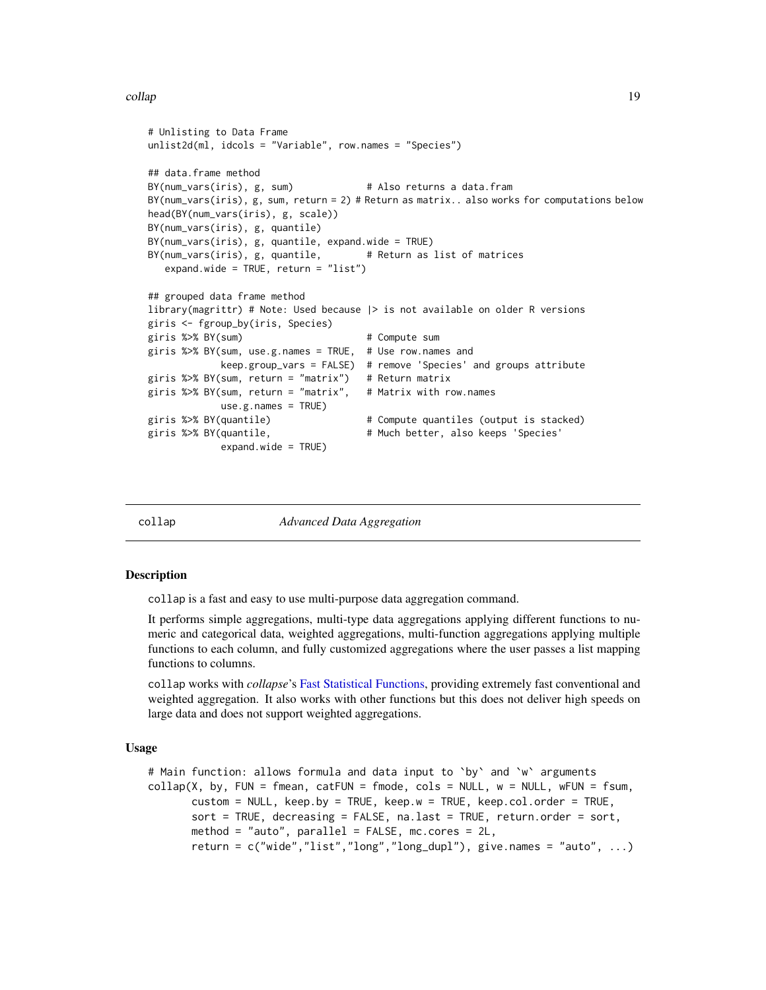#### <span id="page-18-0"></span>collap to the collapse of the collapse of the collapse of the collapse of the collapse of the collapse of the collapse of the collapse of the collapse of the collapse of the collapse of the collapse of the collapse of the

```
# Unlisting to Data Frame
unlist2d(ml, idcols = "Variable", row.names = "Species")
## data.frame method
BY(num_vars(iris), g, sum) # Also returns a data.fram
BY(num_vars(iris), g, sum, return = 2) # Return as matrix.. also works for computations below
head(BY(num_vars(iris), g, scale))
BY(num_vars(iris), g, quantile)
BY(num_vars(iris), g, quantile, expand.wide = TRUE)
BY(num_vars(iris), g, quantile, # Return as list of matrices
  expand.wide = TRUE, return = "list")
## grouped data frame method
library(magrittr) # Note: Used because |> is not available on older R versions
giris <- fgroup_by(iris, Species)
giris %>% BY(sum) # Compute sum
giris %>% BY(sum, use.g.names = TRUE, # Use row.names and
            keep.group_vars = FALSE) # remove 'Species' and groups attribute
giris %>% BY(sum, return = "matrix") # Return matrix
giris %>% BY(sum, return = "matrix", # Matrix with row.names
            use.g.names = TRUE)giris %>% BY(quantile) # Compute quantiles (output is stacked)
giris %>% BY(quantile, \qquad \qquad # Much better, also keeps 'Species'
            expand.wide = TRUE)
```
<span id="page-18-1"></span>collap *Advanced Data Aggregation*

#### <span id="page-18-2"></span>**Description**

collap is a fast and easy to use multi-purpose data aggregation command.

It performs simple aggregations, multi-type data aggregations applying different functions to numeric and categorical data, weighted aggregations, multi-function aggregations applying multiple functions to each column, and fully customized aggregations where the user passes a list mapping functions to columns.

collap works with *collapse*'s [Fast Statistical Functions,](#page-41-2) providing extremely fast conventional and weighted aggregation. It also works with other functions but this does not deliver high speeds on large data and does not support weighted aggregations.

#### Usage

```
# Main function: allows formula and data input to `by` and `w` arguments
\text{collap}(X, \text{ by, } \text{FUN = fmean, } \text{catFUN = fmode, } \text{cols = NULL, } w = \text{NULL, } w\text{FUN = fsum, }custom = NULL, keep.by = TRUE, keep.w = TRUE, keep.col.order = TRUE,
        sort = TRUE, decreasing = FALSE, na.last = TRUE, return.order = sort,
       method = "auto", parallel = FALSE, mc. cores = 2L,return = c("wide", "list", "long", "long_dupl"), give names = "auto", ...)
```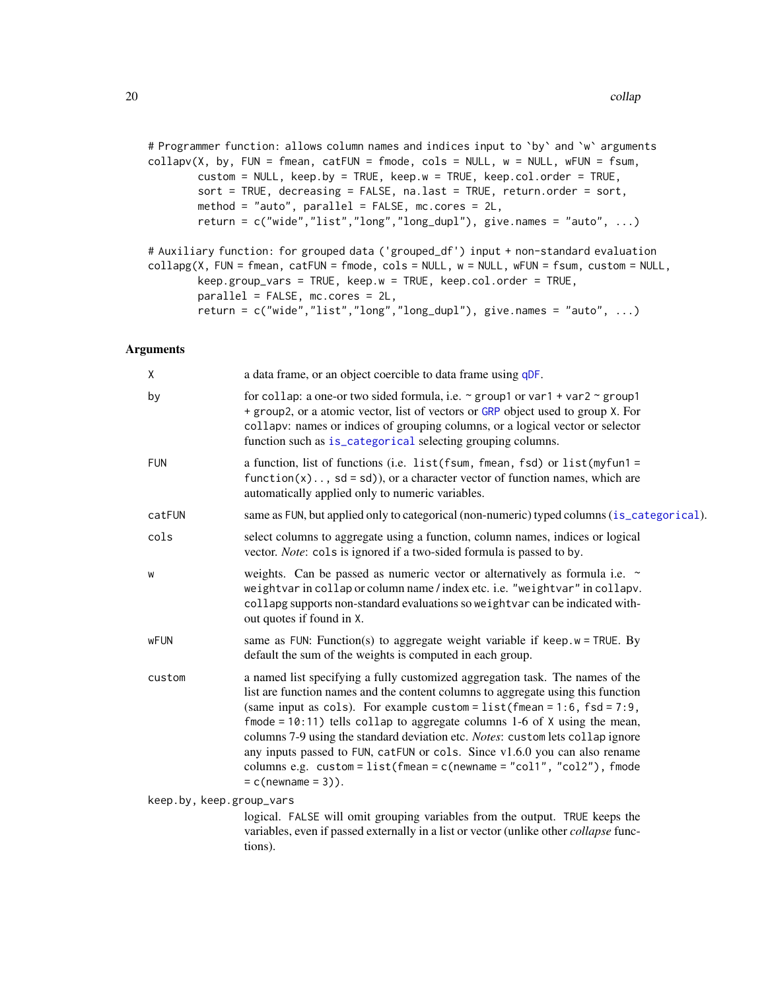```
# Programmer function: allows column names and indices input to `by` and `w` arguments
\text{collapv}(X, \text{ by}, \text{ FUN} = \text{fmean}, \text{catFUN} = \text{fmode}, \text{cols} = \text{NULL}, \text{w} = \text{NULL}, \text{wFUN} = \text{fsum},custom = NULL, keep.by = TRUE, keep.w = TRUE, keep.col.order = TRUE,
         sort = TRUE, decreasing = FALSE, na.last = TRUE, return.order = sort,
         method = "auto", parallel = FALSE, mc.cores = 2L,
         return = c("wide", "list", "long", "long_dupl"), give names = "auto", ...)
```

```
# Auxiliary function: for grouped data ('grouped_df') input + non-standard evaluation
collapg(X, FUN = fmean, catFUN = fmode, cols = NULL, w = NULL, wFUN = fsum, custom = NULL,
        keep.group_vars = TRUE, keep.w = TRUE, keep.col.order = TRUE,
        parallel = FALSE, mc.cores = 2L,
        return = c("wide", "list", "long", "long_dupl"), give.name = "auto", ...)
```

| Χ                        | a data frame, or an object coercible to data frame using qDF.                                                                                                                                                                                                                                                                                                                                                                                                                                                                                                                                                 |
|--------------------------|---------------------------------------------------------------------------------------------------------------------------------------------------------------------------------------------------------------------------------------------------------------------------------------------------------------------------------------------------------------------------------------------------------------------------------------------------------------------------------------------------------------------------------------------------------------------------------------------------------------|
| by                       | for collap: a one-or two sided formula, i.e. $\sim$ group1 or var1 + var2 $\sim$ group1<br>+ group2, or a atomic vector, list of vectors or GRP object used to group X. For<br>collapv: names or indices of grouping columns, or a logical vector or selector<br>function such as is_categorical selecting grouping columns.                                                                                                                                                                                                                                                                                  |
| <b>FUN</b>               | a function, list of functions (i.e. list (fsum, fmean, fsd) or list (myfun1 =<br>$function(x) \dots$ , sd = sd), or a character vector of function names, which are<br>automatically applied only to numeric variables.                                                                                                                                                                                                                                                                                                                                                                                       |
| catFUN                   | same as FUN, but applied only to categorical (non-numeric) typed columns (is_categorical).                                                                                                                                                                                                                                                                                                                                                                                                                                                                                                                    |
| cols                     | select columns to aggregate using a function, column names, indices or logical<br>vector. <i>Note</i> : cols is ignored if a two-sided formula is passed to by.                                                                                                                                                                                                                                                                                                                                                                                                                                               |
| W                        | weights. Can be passed as numeric vector or alternatively as formula i.e. ~<br>weightvar in collap or column name / index etc. i.e. "weightvar" in collapv.<br>collapg supports non-standard evaluations so weightvar can be indicated with-<br>out quotes if found in X.                                                                                                                                                                                                                                                                                                                                     |
| <b>wFUN</b>              | same as FUN: Function(s) to aggregate weight variable if keep. $w = TRUE$ . By<br>default the sum of the weights is computed in each group.                                                                                                                                                                                                                                                                                                                                                                                                                                                                   |
| custom                   | a named list specifying a fully customized aggregation task. The names of the<br>list are function names and the content columns to aggregate using this function<br>(same input as cols). For example custom = $list(fmean = 1:6, fsd = 7:9,$<br>$f$ mode = 10:11) tells collap to aggregate columns 1-6 of $X$ using the mean,<br>columns 7-9 using the standard deviation etc. Notes: custom lets collap ignore<br>any inputs passed to FUN, catFUN or cols. Since v1.6.0 you can also rename<br>columns e.g. $\ncustom = list(fmean = c(newname = "col1", "col2")$ , fmode<br>$= c(\text{newhame} = 3)).$ |
| keep.by, keep.group_vars | logical. FALSE will omit grouping variables from the output. TRUE keeps the<br>variables, even if passed externally in a list or vector (unlike other collapse func-<br>tions).                                                                                                                                                                                                                                                                                                                                                                                                                               |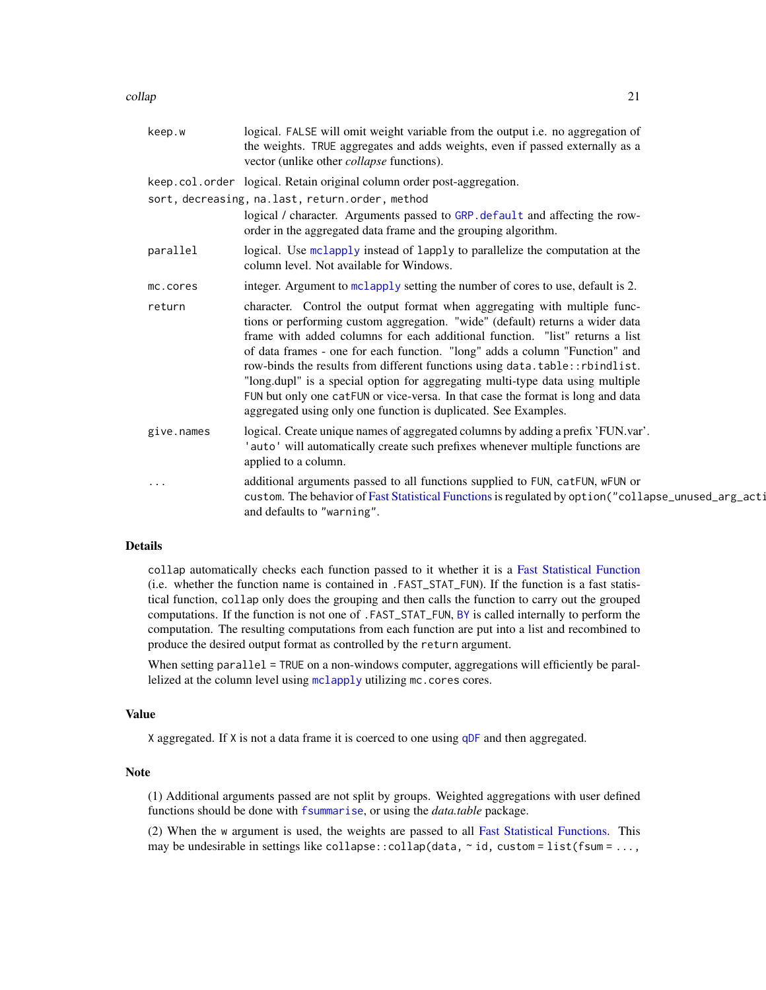collap 21

| keep.w     | logical. FALSE will omit weight variable from the output i.e. no aggregation of<br>the weights. TRUE aggregates and adds weights, even if passed externally as a<br>vector (unlike other <i>collapse</i> functions).                                                                                                                                                                                                                                                                                                                                                                                                                              |
|------------|---------------------------------------------------------------------------------------------------------------------------------------------------------------------------------------------------------------------------------------------------------------------------------------------------------------------------------------------------------------------------------------------------------------------------------------------------------------------------------------------------------------------------------------------------------------------------------------------------------------------------------------------------|
|            | keep.col.order logical. Retain original column order post-aggregation.                                                                                                                                                                                                                                                                                                                                                                                                                                                                                                                                                                            |
|            | sort, decreasing, na.last, return.order, method                                                                                                                                                                                                                                                                                                                                                                                                                                                                                                                                                                                                   |
|            | logical / character. Arguments passed to GRP. default and affecting the row-<br>order in the aggregated data frame and the grouping algorithm.                                                                                                                                                                                                                                                                                                                                                                                                                                                                                                    |
| parallel   | logical. Use mclapply instead of lapply to parallelize the computation at the<br>column level. Not available for Windows.                                                                                                                                                                                                                                                                                                                                                                                                                                                                                                                         |
| mc.cores   | integer. Argument to mclapply setting the number of cores to use, default is 2.                                                                                                                                                                                                                                                                                                                                                                                                                                                                                                                                                                   |
| return     | character. Control the output format when aggregating with multiple func-<br>tions or performing custom aggregation. "wide" (default) returns a wider data<br>frame with added columns for each additional function. "list" returns a list<br>of data frames - one for each function. "long" adds a column "Function" and<br>row-binds the results from different functions using data.table:: rbindlist.<br>"long.dupl" is a special option for aggregating multi-type data using multiple<br>FUN but only one catFUN or vice-versa. In that case the format is long and data<br>aggregated using only one function is duplicated. See Examples. |
| give.names | logical. Create unique names of aggregated columns by adding a prefix 'FUN.var'.<br>'auto' will automatically create such prefixes whenever multiple functions are<br>applied to a column.                                                                                                                                                                                                                                                                                                                                                                                                                                                        |
| .          | additional arguments passed to all functions supplied to FUN, catFUN, wFUN or<br>custom. The behavior of Fast Statistical Functions is regulated by option ("collapse_unused_arg_acti<br>and defaults to "warning".                                                                                                                                                                                                                                                                                                                                                                                                                               |
|            |                                                                                                                                                                                                                                                                                                                                                                                                                                                                                                                                                                                                                                                   |

#### Details

collap automatically checks each function passed to it whether it is a [Fast Statistical Function](#page-41-2) (i.e. whether the function name is contained in .FAST\_STAT\_FUN). If the function is a fast statistical function, collap only does the grouping and then calls the function to carry out the grouped computations. If the function is not one of .FAST\_STAT\_FUN, [BY](#page-15-1) is called internally to perform the computation. The resulting computations from each function are put into a list and recombined to produce the desired output format as controlled by the return argument.

When setting parallel = TRUE on a non-windows computer, aggregations will efficiently be parallelized at the column level using [mclapply](#page-0-0) utilizing mc.cores cores.

#### Value

X aggregated. If X is not a data frame it is coerced to one using [qDF](#page-162-1) and then aggregated.

#### Note

(1) Additional arguments passed are not split by groups. Weighted aggregations with user defined functions should be done with [fsummarise](#page-108-1), or using the *data.table* package.

(2) When the w argument is used, the weights are passed to all [Fast Statistical Functions.](#page-41-2) This may be undesirable in settings like collapse::collap(data,  $\sim$  id, custom = list(fsum = ...,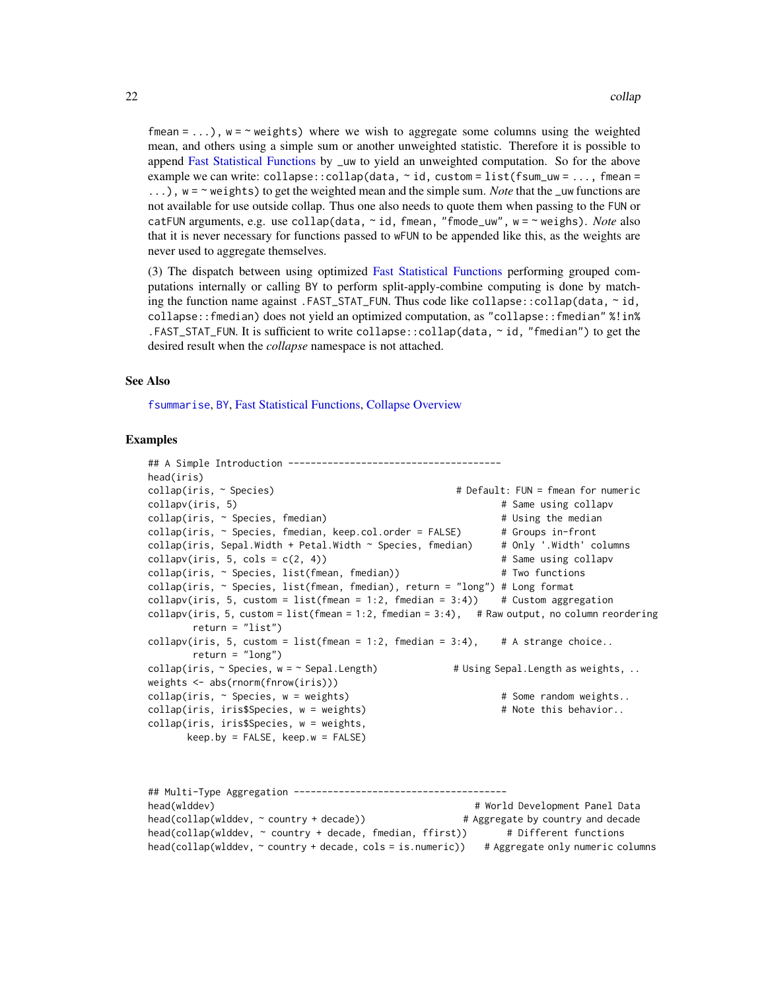fmean = ...),  $w = \sim$  weights) where we wish to aggregate some columns using the weighted mean, and others using a simple sum or another unweighted statistic. Therefore it is possible to append [Fast Statistical Functions](#page-41-2) by \_uw to yield an unweighted computation. So for the above example we can write:  $\text{collapse}::\text{collapse}$  (data,  $\sim$  id,  $\text{custom} = \text{list}(\text{fsum\_uw} = \dots, \text{fmean} =$ ...),  $w = \gamma$  weights) to get the weighted mean and the simple sum. *Note* that the <u>uw</u> functions are not available for use outside collap. Thus one also needs to quote them when passing to the FUN or catFUN arguments, e.g. use collap(data, ~ id, fmean, "fmode\_uw", w = ~ weighs). *Note* also that it is never necessary for functions passed to wFUN to be appended like this, as the weights are never used to aggregate themselves.

(3) The dispatch between using optimized [Fast Statistical Functions](#page-41-2) performing grouped computations internally or calling BY to perform split-apply-combine computing is done by matching the function name against .FAST\_STAT\_FUN. Thus code like collapse::collap(data,  $\sim$  id, collapse::fmedian) does not yield an optimized computation, as "collapse::fmedian" %!in% .FAST\_STAT\_FUN. It is sufficient to write collapse::collap(data, ~ id, "fmedian") to get the desired result when the *collapse* namespace is not attached.

#### See Also

[fsummarise](#page-108-1), [BY](#page-15-1), [Fast Statistical Functions,](#page-41-2) [Collapse Overview](#page-23-1)

#### Examples

```
## A Simple Introduction --------------------------------------
head(iris)
collap(iris, \sim Species) \qquad \qquad \qquad # Default: FUN = fmean for numeric
collapv(iris, 5) \qquad \qquad \qquad \qquad \qquad \qquad \qquad \qquad \qquad \qquad \qquad \qquad \qquad \qquad \qquad \qquad \qquad \qquad \qquad \qquad \qquad \qquad \qquad \qquad \qquad \qquad \qquad \qquad \qquad \qquad \qquad \qquad \qquad \qquad collap(iris, ~ Species, fmedian) # Using the median
\text{collap}(iris, \sim Species, \text{fmedian}, \text{keep}.\text{col}.\text{order} = FALSE) # Groups in-front
\text{collap}(iris, Sepal.Width + Petal.Width ~ Species, fmedian) # Only '.Width' columns
\text{collapv}(iris, 5, \text{cols} = c(2, 4)) # Same using collapv
collap(iris, ~ Species, list(fmean, fmedian)) # Two functions
collap(iris, ~ Species, list(fmean, fmedian), return = "long") # Long format
collapv(iris, 5, custom = list(fmean = 1:2, fmedian = 3:4)) # Custom aggregation
collapv(iris, 5, custom = list(fmean = 1:2, fmedian = 3:4), # Raw output, no column reordering
        return = "list")collapv(iris, 5, custom = list(fmean = 1:2, fmedian = 3:4), # A strange choice..
        return = "long")
collap(iris, \sim Species, w = \sim Sepal.Length) \qquad \qquad # Using Sepal.Length as weights, ..
weights <- abs(rnorm(fnrow(iris)))
collap(iris, ~ Species, w = weights) \qquad # Some random weights..
\text{collap}(i\text{ris},\text{iris$Species},\text{w = weights}) # Note this behavior..
collap(iris, iris$Species, w = weights,
       keep.by = FALSE, keep.w = FALSE)
```
## Multi-Type Aggregation ------------------------------------- head(wlddev) # World Development Panel Data head(collap(wlddev, ~ country + decade))  $\qquad \qquad #$  Aggregate by country and decade head(collap(wlddev, ~ country + decade, fmedian, ffirst)) # Different functions head(collap(wlddev, ~ country + decade, cols = is.numeric)) # Aggregate only numeric columns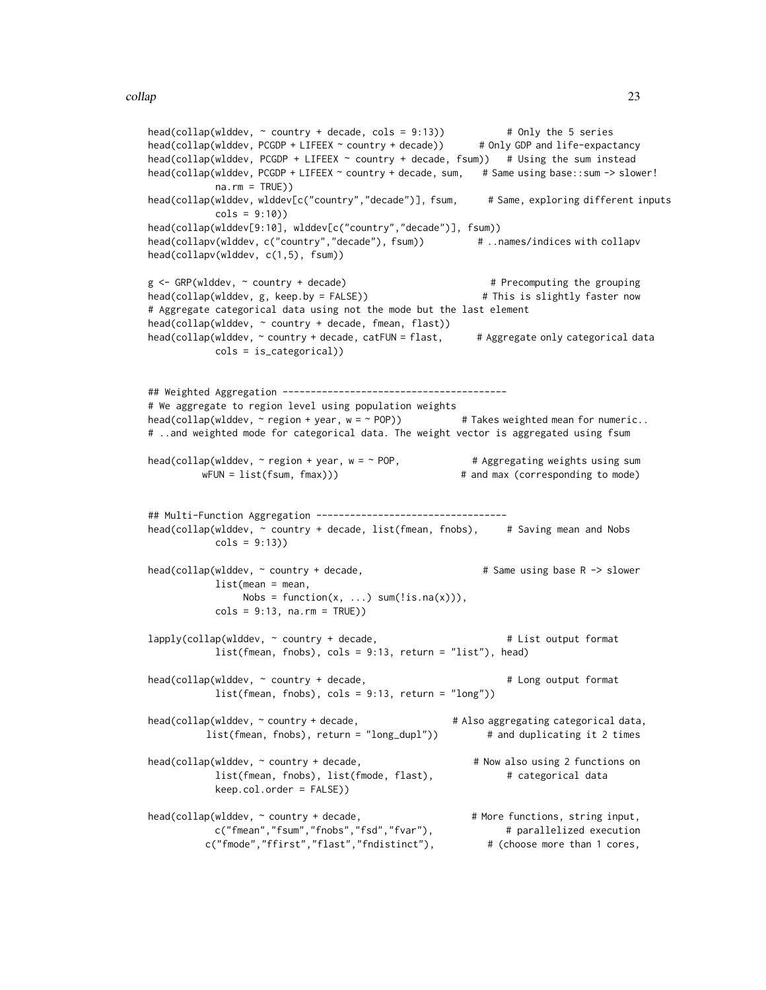```
head(collap(wlddev, \sim country + decade, cols = 9:13)) \qquad \qquad # Only the 5 series
head(collap(wlddev, PCGDP + LIFEEX ~ country + decade)) # Only GDP and life-expactancy
head(collap(wlddev, PCGDP + LIFEEX ~ country + decade, fsum)) # Using the sum instead
head(collap(wlddev, PCGDP + LIFEEX ~ country + decade, sum, # Same using base::sum -> slower!
           na.rm = TRUE))
head(collap(wlddev, wlddev[c("country","decade")], fsum, # Same, exploring different inputs
           \text{cols} = 9:10))
head(collap(wlddev[9:10], wlddev[c("country","decade")], fsum))
head(collapv(wlddev, c("country","decade"), fsum)) # ..names/indices with collapv
head(collapv(wlddev, c(1,5), fsum))
g <- GRP(wlddev, ~ country + decade) # Precomputing the grouping
head(collap(wlddev, g, keep.by = FALSE)) # This is slightly faster now
# Aggregate categorical data using not the mode but the last element
head(collap(wlddev, ~ country + decade, fmean, flast))
head(collap(wlddev, ~ country + decade, catFUN = flast, \qquad # Aggregate only categorical data
           cols = is_categorical))
## Weighted Aggregation ----------------------------------------
# We aggregate to region level using population weights
head(collap(wlddev, ~ region + year, w = ~ POP)) # Takes weighted mean for numeric..
# ..and weighted mode for categorical data. The weight vector is aggregated using fsum
head(collap(wlddev, \sim region + year, w = \sim POP, \qquad \qquad # Aggregating weights using sum
         wFUN = list(fsum, fmax))) \qquad \qquad \qquad # and max (corresponding to mode)
## Multi-Function Aggregation ----------------------------------
head(collap(wlddev, ~ country + decade, list(fmean, fnobs), # Saving mean and Nobs
           \text{cols} = 9:13)head(collap(wlddev, \sim country + decade, \sim # Same using base R -> slower
           list(mean = mean,
                Nobs = function(x, \ldots) sum(lis.na(x)),
           \text{cols} = 9:13, na.rm = TRUE))
lapply(collap(wlddev, ~ country + decade, \qquad # List output format
           list(fmean, fnobs), cols = 9:13, return = "list"), head)
head(collap(wlddev, \sim country + decade, \sim # Long output format
           list(fmean, fnobs), cols = 9:13, return = "long"))
head(collap(wlddev, ~ country + decade, \qquad \qquad \qquad \qquad \qquad \qquad \qquad \qquad \text{# Also aggregating categorical data},list(fmean, fnobs), return = "long_dupl")) # and duplicating it 2 times
head(collap(wlddev, \sim country + decade, \# Now also using 2 functions on
           list(fmean, fnobs), list(fmode, flast), \qquad # categorical data
           keep.col.order = FALSE))
head(collap(wlddev, \sim country + decade, \qquad \qquad \qquad \# More functions, string input,
           c("fmean","fsum","fnobs","fsd","fvar"), # parallelized execution
         c("fmode","ffirst","flast","fndistinct"), # (choose more than 1 cores,
```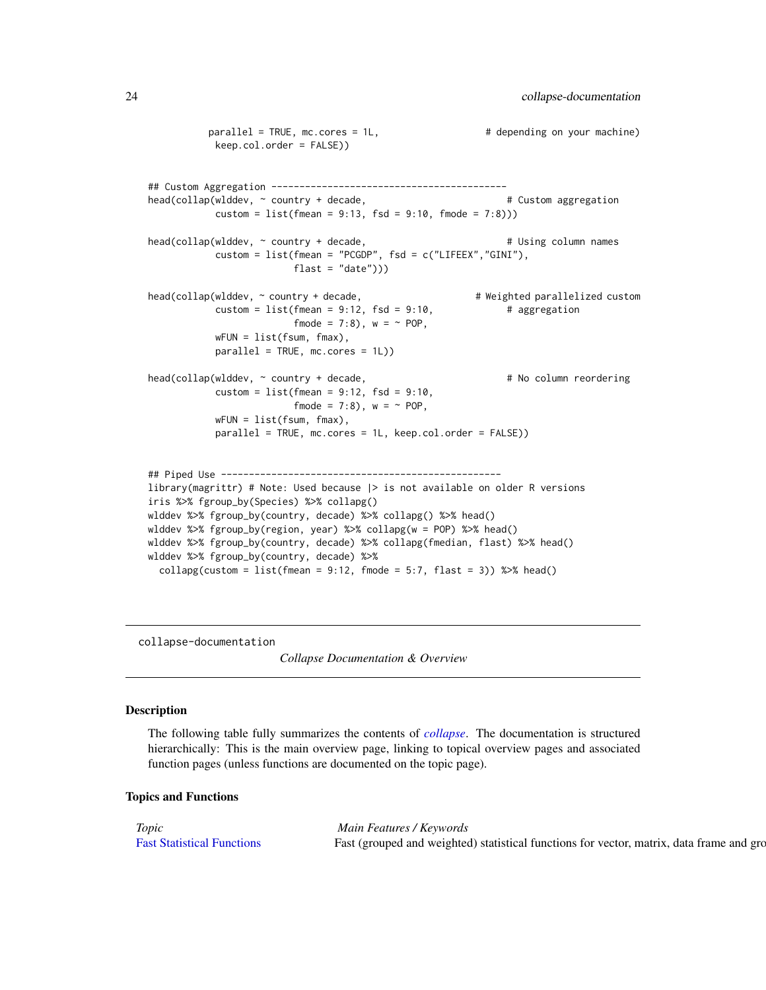```
parallel = TRUE, mc.cores = 1L, \qquad # depending on your machine)
           keep.col.order = FALSE))
## Custom Aggregation ------------------------------------------
head(collap(wlddev, ~ ~ ~ country + decade, # Custom aggregation
           \text{custom} = \text{list}(\text{fmean} = 9:13, \text{ fsd} = 9:10, \text{ fmode} = 7:8)))head(collap(wlddev, ~ country + decade, \qquad # Using column names
           custom = list(fmean = "PCGDP", fsd = c("LIFEEX","GINI"),
                         float = "date"))
head(collap(wlddev, ~ country + decade, # # Weighted parallelized custom
           custom = list(fmean = 9:12, fsd = 9:10, # aggregation
                         fmode = 7:8), w = \sim POP,
           wFUN = list(fsum, fmax),
           parallel = TRUE, mc.cores = 1L))
head(collap(wlddev, ~ country + decade, \# No column reordering
           custom = list(fmean = 9:12, fs = 9:10,fmode = 7:8), w = \sim POP,
           wFUN = list(fsum, fmax),
           parallel = TRUE, mc.cores = 1L, keep.col.order = FALSE))
## Piped Use --------------------------------------------------
library(magrittr) # Note: Used because |> is not available on older R versions
iris %>% fgroup_by(Species) %>% collapg()
wlddev %>% fgroup_by(country, decade) %>% collapg() %>% head()
wlddev %>% fgroup_by(region, year) %>% collapg(w = POP) %>% head()
wlddev %>% fgroup_by(country, decade) %>% collapg(fmedian, flast) %>% head()
wlddev %>% fgroup_by(country, decade) %>%
 collapg(custom = list(fmean = 9:12, fmode = 5:7, flast = 3)) %\gg head()
```
<span id="page-23-1"></span>collapse-documentation

*Collapse Documentation & Overview*

#### Description

The following table fully summarizes the contents of *[collapse](#page-3-1)*. The documentation is structured hierarchically: This is the main overview page, linking to topical overview pages and associated function pages (unless functions are documented on the topic page).

#### Topics and Functions

| Main Features / Keywords                                                                                            |  |  |  |
|---------------------------------------------------------------------------------------------------------------------|--|--|--|
| Fast Statistical Functions Fast (grouped and weighted) statistical functions for vector, matrix, data frame and gro |  |  |  |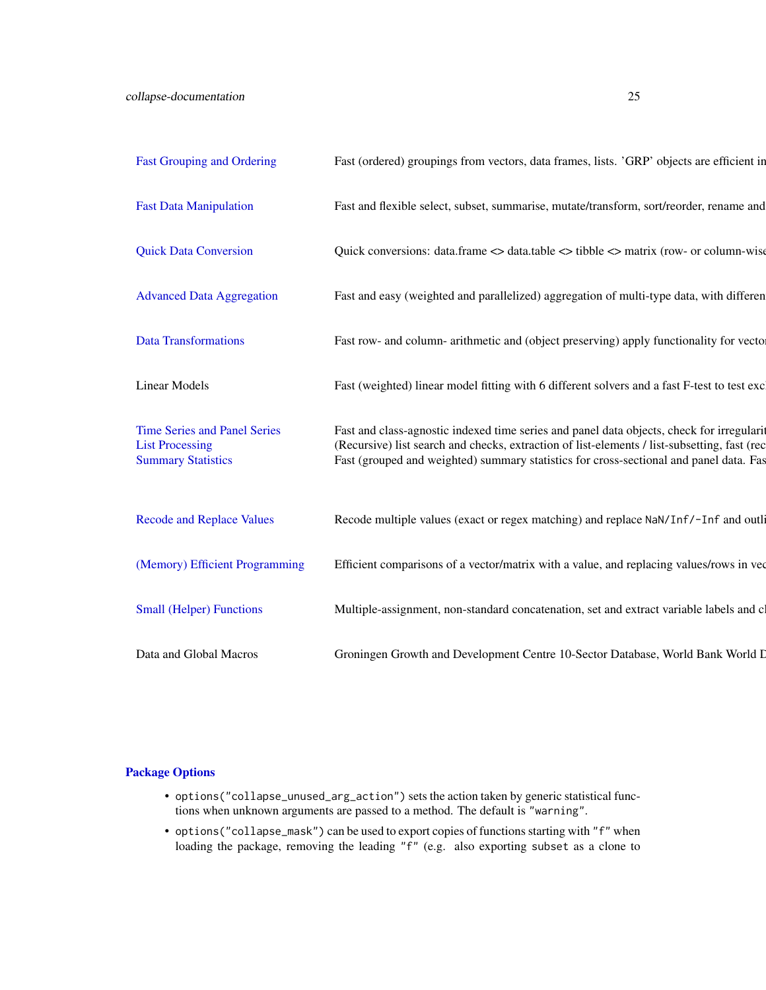| <b>Fast Grouping and Ordering</b>                   | Fast (ordered) groupings from vectors, data frames, lists. 'GRP' objects are efficient in                                                                                              |
|-----------------------------------------------------|----------------------------------------------------------------------------------------------------------------------------------------------------------------------------------------|
| <b>Fast Data Manipulation</b>                       | Fast and flexible select, subset, summarise, mutate/transform, sort/reorder, rename and                                                                                                |
| <b>Quick Data Conversion</b>                        | Quick conversions: data.frame <> data.table <> tibble <> matrix (row- or column-wise                                                                                                   |
| <b>Advanced Data Aggregation</b>                    | Fast and easy (weighted and parallelized) aggregation of multi-type data, with different                                                                                               |
|                                                     |                                                                                                                                                                                        |
| Data Transformations                                | Fast row- and column- arithmetic and (object preserving) apply functionality for vector                                                                                                |
| <b>Linear Models</b>                                | Fast (weighted) linear model fitting with 6 different solvers and a fast F-test to test exc                                                                                            |
| <b>Time Series and Panel Series</b>                 | Fast and class-agnostic indexed time series and panel data objects, check for irregularit                                                                                              |
| <b>List Processing</b><br><b>Summary Statistics</b> | (Recursive) list search and checks, extraction of list-elements / list-subsetting, fast (rec<br>Fast (grouped and weighted) summary statistics for cross-sectional and panel data. Fas |
|                                                     |                                                                                                                                                                                        |
| <b>Recode and Replace Values</b>                    | Recode multiple values (exact or regex matching) and replace NaN/Inf/-Inf and outli                                                                                                    |
| (Memory) Efficient Programming                      | Efficient comparisons of a vector/matrix with a value, and replacing values/rows in vec                                                                                                |
| <b>Small (Helper) Functions</b>                     | Multiple-assignment, non-standard concatenation, set and extract variable labels and c                                                                                                 |
| Data and Global Macros                              | Groningen Growth and Development Centre 10-Sector Database, World Bank World I                                                                                                         |

# [Package Options](#page-25-1)

- options("collapse\_unused\_arg\_action") sets the action taken by generic statistical functions when unknown arguments are passed to a method. The default is "warning".
- options("collapse\_mask") can be used to export copies of functions starting with "f" when loading the package, removing the leading "f" (e.g. also exporting subset as a clone to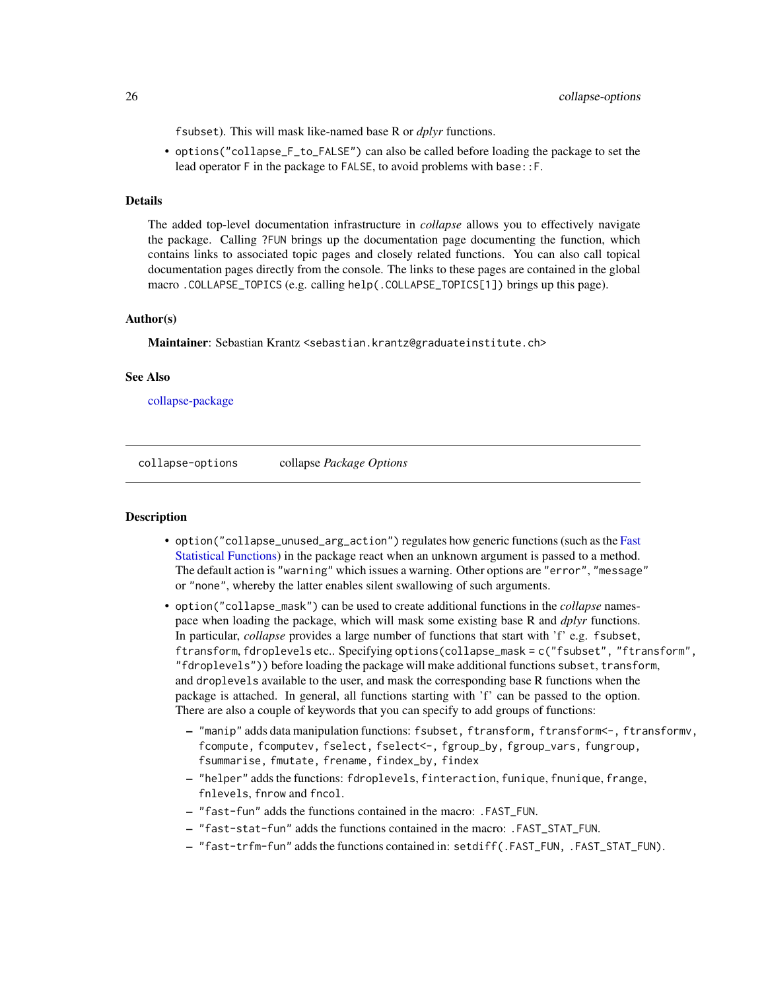<span id="page-25-0"></span>fsubset). This will mask like-named base R or *dplyr* functions.

• options("collapse\_F\_to\_FALSE") can also be called before loading the package to set the lead operator F in the package to FALSE, to avoid problems with base::F.

#### Details

The added top-level documentation infrastructure in *collapse* allows you to effectively navigate the package. Calling ?FUN brings up the documentation page documenting the function, which contains links to associated topic pages and closely related functions. You can also call topical documentation pages directly from the console. The links to these pages are contained in the global macro .COLLAPSE\_TOPICS (e.g. calling help(.COLLAPSE\_TOPICS[1]) brings up this page).

#### Author(s)

Maintainer: Sebastian Krantz <sebastian.krantz@graduateinstitute.ch>

#### See Also

[collapse-package](#page-3-2)

<span id="page-25-1"></span>collapse-options collapse *Package Options*

#### **Description**

- option ("collapse\_unused\_arg\_action") regulates how generic functions (such as the [Fast](#page-41-2) [Statistical Functions\)](#page-41-2) in the package react when an unknown argument is passed to a method. The default action is "warning" which issues a warning. Other options are "error", "message" or "none", whereby the latter enables silent swallowing of such arguments.
- option("collapse\_mask") can be used to create additional functions in the *collapse* namespace when loading the package, which will mask some existing base R and *dplyr* functions. In particular, *collapse* provides a large number of functions that start with 'f' e.g. fsubset, ftransform, fdroplevels etc.. Specifying options(collapse\_mask = c("fsubset", "ftransform", "fdroplevels")) before loading the package will make additional functions subset, transform, and droplevels available to the user, and mask the corresponding base R functions when the package is attached. In general, all functions starting with 'f' can be passed to the option. There are also a couple of keywords that you can specify to add groups of functions:
	- "manip" adds data manipulation functions: fsubset, ftransform, ftransform<-, ftransformv, fcompute, fcomputev, fselect, fselect<-, fgroup\_by, fgroup\_vars, fungroup, fsummarise, fmutate, frename, findex\_by, findex
	- "helper" adds the functions: fdroplevels, finteraction, funique, fnunique, frange, fnlevels, fnrow and fncol.
	- "fast-fun" adds the functions contained in the macro: .FAST\_FUN.
	- "fast-stat-fun" adds the functions contained in the macro: .FAST\_STAT\_FUN.
	- "fast-trfm-fun" adds the functions contained in: setdiff(.FAST\_FUN, .FAST\_STAT\_FUN).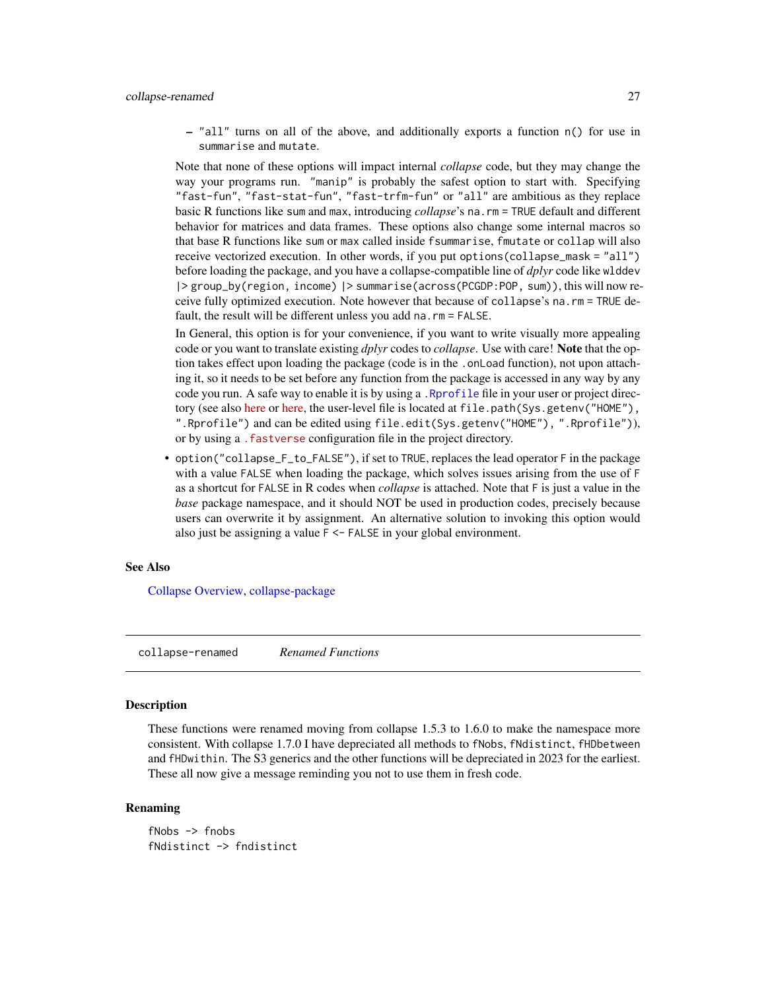<span id="page-26-0"></span>– "all" turns on all of the above, and additionally exports a function n() for use in summarise and mutate.

Note that none of these options will impact internal *collapse* code, but they may change the way your programs run. "manip" is probably the safest option to start with. Specifying "fast-fun", "fast-stat-fun", "fast-trfm-fun" or "all" are ambitious as they replace basic R functions like sum and max, introducing *collapse*'s na.rm = TRUE default and different behavior for matrices and data frames. These options also change some internal macros so that base R functions like sum or max called inside fsummarise, fmutate or collap will also receive vectorized execution. In other words, if you put options(collapse\_mask = "all") before loading the package, and you have a collapse-compatible line of *dplyr* code like wlddev |> group\_by(region, income) |> summarise(across(PCGDP:POP, sum)), this will now receive fully optimized execution. Note however that because of collapse's na.rm = TRUE default, the result will be different unless you add na.rm = FALSE.

In General, this option is for your convenience, if you want to write visually more appealing code or you want to translate existing *dplyr* codes to *collapse*. Use with care! Note that the option takes effect upon loading the package (code is in the .onLoad function), not upon attaching it, so it needs to be set before any function from the package is accessed in any way by any code you run. A safe way to enable it is by using a [.Rprofile](#page-0-0) file in your user or project directory (see also [here](https://www.statmethods.net/interface/customizing.html) or [here,](https://support.rstudio.com/hc/en-us/articles/360047157094-Managing-R-with-Rprofile-Renviron-Rprofile-site-Renviron-site-rsession-conf-and-repos-conf) the user-level file is located at file.path(Sys.getenv("HOME"), ".Rprofile") and can be edited using file.edit(Sys.getenv("HOME"), ".Rprofile")), or by using a [.fastverse](https://fastverse.github.io/fastverse/articles/fastverse_intro.html#custom-fastverse-configurations-for-projects) configuration file in the project directory.

• option("collapse\_F\_to\_FALSE"), if set to TRUE, replaces the lead operator F in the package with a value FALSE when loading the package, which solves issues arising from the use of F as a shortcut for FALSE in R codes when *collapse* is attached. Note that F is just a value in the *base* package namespace, and it should NOT be used in production codes, precisely because users can overwrite it by assignment. An alternative solution to invoking this option would also just be assigning a value F <- FALSE in your global environment.

#### See Also

[Collapse Overview,](#page-23-1) [collapse-package](#page-3-2)

collapse-renamed *Renamed Functions*

#### **Description**

These functions were renamed moving from collapse 1.5.3 to 1.6.0 to make the namespace more consistent. With collapse 1.7.0 I have depreciated all methods to fNobs, fNdistinct, fHDbetween and fHDwithin. The S3 generics and the other functions will be depreciated in 2023 for the earliest. These all now give a message reminding you not to use them in fresh code.

#### Renaming

fNobs -> fnobs fNdistinct -> fndistinct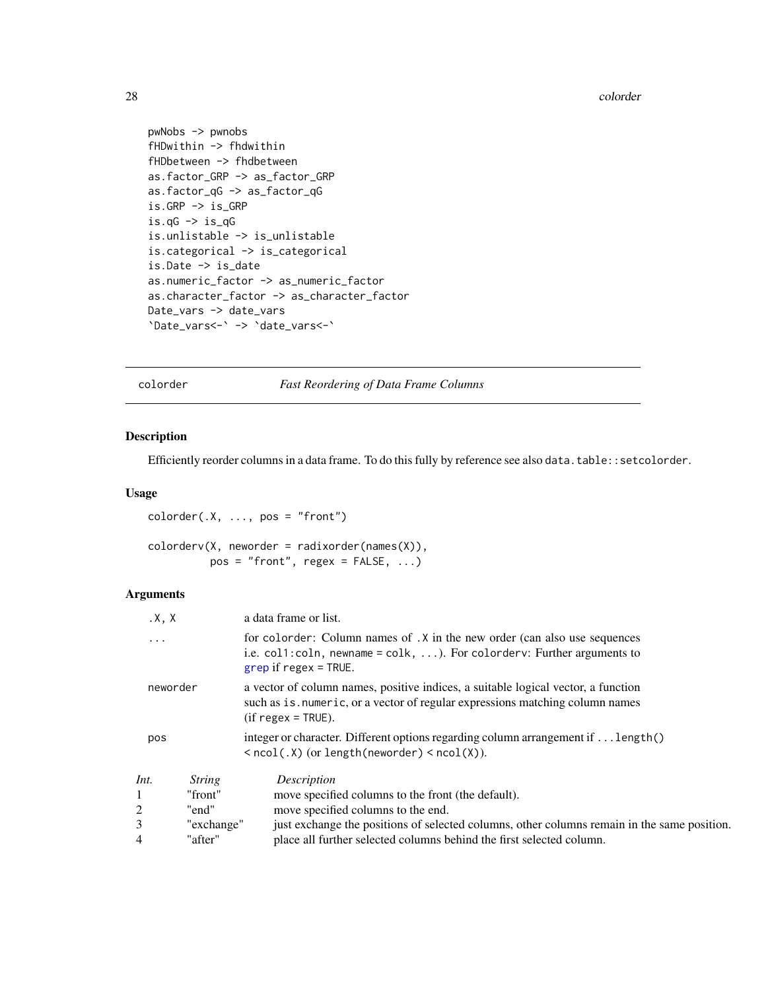```
pwNobs -> pwnobs
fHDwithin -> fhdwithin
fHDbetween -> fhdbetween
as.factor_GRP -> as_factor_GRP
as.factor_qG -> as_factor_qG
is.GRP -> is_GRP
is.qG \rightarrow is_qGis.unlistable -> is_unlistable
is.categorical -> is_categorical
is.Date -> is_date
as.numeric_factor -> as_numeric_factor
as.character_factor -> as_character_factor
Date_vars -> date_vars
`Date_vars<-` -> `date_vars<-`
```
<span id="page-27-1"></span>colorder *Fast Reordering of Data Frame Columns*

# Description

Efficiently reorder columns in a data frame. To do this fully by reference see also data.table::setcolorder.

#### Usage

```
colorer(.X, ..., pos = "front")color((X, neworder = radiusorder(name(X)),
         pos = "front", regex = FALSE, ...)
```

| $\cdot$ X, X |               | a data frame or list.                                                                                                                                                                               |  |  |  |  |
|--------------|---------------|-----------------------------------------------------------------------------------------------------------------------------------------------------------------------------------------------------|--|--|--|--|
| .            |               | for colorder: Column names of . X in the new order (can also use sequences<br>i.e. col1:coln, newname = colk, $\dots$ ). For colorderv: Further arguments to<br>$\frac{1}{2}$ grep if regex = TRUE. |  |  |  |  |
| neworder     |               | a vector of column names, positive indices, a suitable logical vector, a function<br>such as is numeric, or a vector of regular expressions matching column names<br>$(if$ regex = TRUE).           |  |  |  |  |
| pos          |               | integer or character. Different options regarding column arrangement if $\dots$ length()<br>$\langle \text{ncol}(x, x) \rangle$ (or length (neworder) $\langle \text{ncol}(x) \rangle$ .            |  |  |  |  |
| Int.         | <i>String</i> | Description                                                                                                                                                                                         |  |  |  |  |
|              | "front"       | move specified columns to the front (the default).                                                                                                                                                  |  |  |  |  |
| 2            | "end"         | move specified columns to the end.                                                                                                                                                                  |  |  |  |  |
| 3            | "exchange"    | just exchange the positions of selected columns, other columns remain in the same position.                                                                                                         |  |  |  |  |
| 4            | "after"       | place all further selected columns behind the first selected column.                                                                                                                                |  |  |  |  |

<span id="page-27-0"></span>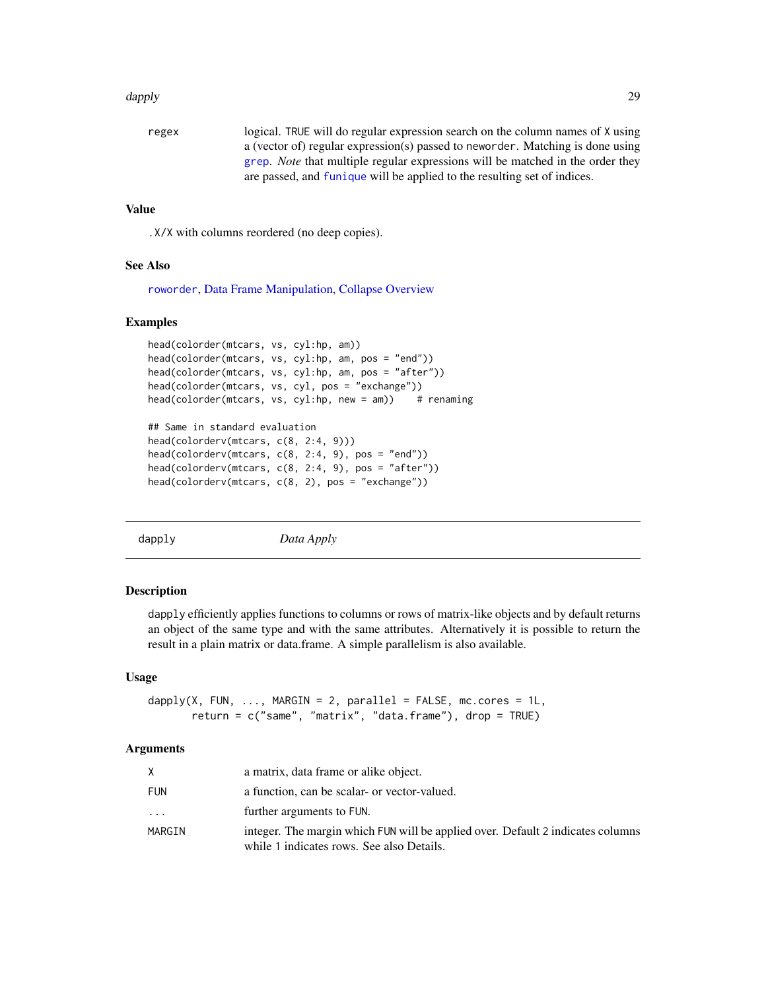#### <span id="page-28-0"></span>dapply the control of the control of the control of the control of the control of the control of the control of the control of the control of the control of the control of the control of the control of the control of the c

```
regex logical. TRUE will do regular expression search on the column names of X using
                  a (vector of) regular expression(s) passed to neworder. Matching is done using
                  grep. Note that multiple regular expressions will be matched in the order they
                  are passed, and funique will be applied to the resulting set of indices.
```
#### Value

.X/X with columns reordered (no deep copies).

#### See Also

[roworder](#page-169-1), [Data Frame Manipulation,](#page-38-1) [Collapse Overview](#page-23-1)

#### Examples

```
head(colorder(mtcars, vs, cyl:hp, am))
head(colorder(mtcars, vs, cyl:hp, am, pos = "end"))
head(colorder(mtcars, vs, cyl:hp, am, pos = "after"))
head(colorder(mtcars, vs, cyl, pos = "exchange"))
head(colorder(mtcars, vs, cyl:hp, new = am)) # renaming
## Same in standard evaluation
```

```
head(colorderv(mtcars, c(8, 2:4, 9)))
head(colorderv(mtcars, c(8, 2:4, 9), pos = "end"))
head(colorderv(mtcars, c(8, 2:4, 9), pos = "after"))
head(colorderv(mtcars, c(8, 2), pos = "exchange"))
```
<span id="page-28-1"></span>dapply *Data Apply*

#### Description

dapply efficiently applies functions to columns or rows of matrix-like objects and by default returns an object of the same type and with the same attributes. Alternatively it is possible to return the result in a plain matrix or data.frame. A simple parallelism is also available.

#### Usage

```
dapply(X, FUN, \ldots, MARGIN = 2, parallel = FALSE, mc.cores = 1L,
       return = c("same", "matrix", "data.frame"), drop = TRUE)
```

| X          | a matrix, data frame or alike object.                                                                                        |
|------------|------------------------------------------------------------------------------------------------------------------------------|
| <b>FUN</b> | a function, can be scalar- or vector-valued.                                                                                 |
| $\cdots$   | further arguments to FUN.                                                                                                    |
| MARGIN     | integer. The margin which FUN will be applied over. Default 2 indicates columns<br>while 1 indicates rows. See also Details. |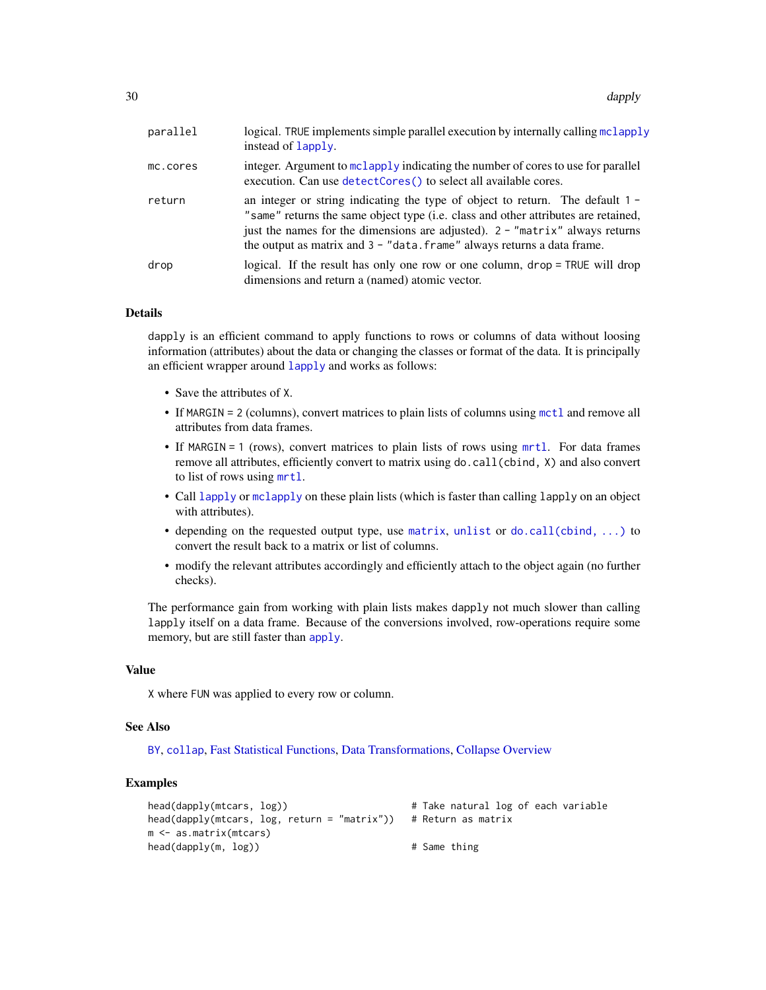| parallel | logical. TRUE implements simple parallel execution by internally calling mclapply<br>instead of Lapply.                                                                                                                                                                                                                               |
|----------|---------------------------------------------------------------------------------------------------------------------------------------------------------------------------------------------------------------------------------------------------------------------------------------------------------------------------------------|
| mc.cores | integer. Argument to mclapply indicating the number of cores to use for parallel<br>execution. Can use detectCores() to select all available cores.                                                                                                                                                                                   |
| return   | an integer or string indicating the type of object to return. The default $1 -$<br>"same" returns the same object type (i.e. class and other attributes are retained,<br>just the names for the dimensions are adjusted). $2 - 7$ "matrix" always returns<br>the output as matrix and $3 - "data frame"$ always returns a data frame. |
| drop     | logical. If the result has only one row or one column, drop = TRUE will drop<br>dimensions and return a (named) atomic vector.                                                                                                                                                                                                        |

#### Details

dapply is an efficient command to apply functions to rows or columns of data without loosing information (attributes) about the data or changing the classes or format of the data. It is principally an efficient wrapper around [lapply](#page-0-0) and works as follows:

- Save the attributes of X.
- If MARGIN = 2 (columns), convert matrices to plain lists of columns using [mctl](#page-162-1) and remove all attributes from data frames.
- If MARGIN = 1 (rows), convert matrices to plain lists of rows using [mrtl](#page-162-1). For data frames remove all attributes, efficiently convert to matrix using do.call(cbind, X) and also convert to list of rows using [mrtl](#page-162-1).
- Call [lapply](#page-0-0) or [mclapply](#page-0-0) on these plain lists (which is faster than calling lapply on an object with attributes).
- depending on the requested output type, use [matrix](#page-0-0), [unlist](#page-0-0) or [do.call\(cbind, ...\)](#page-0-0) to convert the result back to a matrix or list of columns.
- modify the relevant attributes accordingly and efficiently attach to the object again (no further checks).

The performance gain from working with plain lists makes dapply not much slower than calling lapply itself on a data frame. Because of the conversions involved, row-operations require some memory, but are still faster than [apply](#page-0-0).

#### Value

X where FUN was applied to every row or column.

#### See Also

[BY](#page-15-1), [collap](#page-18-1), [Fast Statistical Functions,](#page-41-2) [Data Transformations,](#page-30-1) [Collapse Overview](#page-23-1)

#### Examples

```
head(dapply(mtcars, log)) \qquad \qquad \qquad # Take natural log of each variable
head(dapply(mtcars, log, return = "matrix")) # Return as matrix
m <- as.matrix(mtcars)
head(dapply(m, log)) # Same thing
```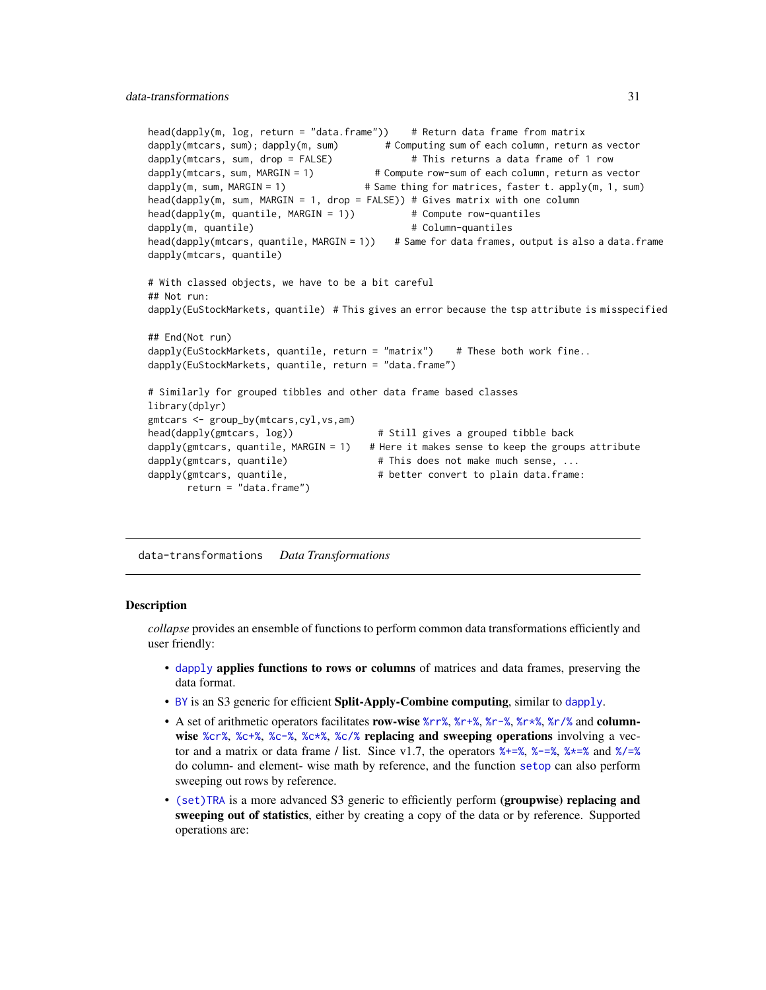```
head(dapply(m, log, return = "data.frame")) # Return data frame from matrix
dapply(mtcars, sum); dapply(m, sum) # Computing sum of each column, return as vector
dapply(mtcars, sum, drop = FALSE) # This returns a data frame of 1 row<br>dapply(mtcars, sum, MARGIN = 1) # Compute row-sum of each column, return as ve
                                         # Compute row-sum of each column, return as vector
dapply(m, sum, MARGIN = 1) \qquad \qquad \qquad \qquad \qquad # Same thing for matrices, faster t. apply(m, 1, sum)
head(dapply(m, sum, MARGIN = 1, drop = FALSE)) # Gives matrix with one column
head(dapply(m, quantile, MARGIN = 1)) # Compute row-quantiles
dapply(m, quantile) \qquad \qquad \qquad \qquad # Column-quantiles
head(dapply(mtcars, quantile, MARGIN = 1)) # Same for data frames, output is also a data.frame
dapply(mtcars, quantile)
# With classed objects, we have to be a bit careful
## Not run:
dapply(EuStockMarkets, quantile) # This gives an error because the tsp attribute is misspecified
## End(Not run)
dapply(EuStockMarkets, quantile, return = "matrix") # These both work fine..
dapply(EuStockMarkets, quantile, return = "data.frame")
# Similarly for grouped tibbles and other data frame based classes
library(dplyr)
gmtcars <- group_by(mtcars,cyl,vs,am)
head(dapply(gmtcars, log)) # Still gives a grouped tibble back
dapply(gmtcars, quantile, MARGIN = 1) # Here it makes sense to keep the groups attribute
dapply(gmtcars, quantile) # This does not make much sense, ...
dapply(gmtcars, quantile, # better convert to plain data.frame:
       return = "data.frame")
```
<span id="page-30-1"></span>data-transformations *Data Transformations*

#### <span id="page-30-2"></span>Description

*collapse* provides an ensemble of functions to perform common data transformations efficiently and user friendly:

- [dapply](#page-28-1) applies functions to rows or columns of matrices and data frames, preserving the data format.
- [BY](#page-15-1) is an S3 generic for efficient Split-Apply-Combine computing, similar to [dapply](#page-28-1).
- A set of arithmetic operators facilitates row-wise [%rr%](#page-13-2), [%r+%](#page-13-2), [%r-%](#page-13-2), %r+%, [%r/%](#page-13-2) and column-wise [%cr%](#page-13-2), [%c+%](#page-13-2), [%c-%](#page-13-2), [%c\\*%](#page-13-2), [%c/%](#page-13-2) replacing and sweeping operations involving a vector and a matrix or data frame / list. Since v1.7, the operators  $\frac{1}{2}$ ,  $\frac{1}{2}$ ,  $\frac{1}{2}$ ,  $\frac{1}{2}$  and  $\frac{1}{2}$ do column- and element- wise math by reference, and the function [setop](#page-34-1) can also perform sweeping out rows by reference.
- [\(set\)TRA](#page-182-2) is a more advanced S3 generic to efficiently perform (groupwise) replacing and sweeping out of statistics, either by creating a copy of the data or by reference. Supported operations are: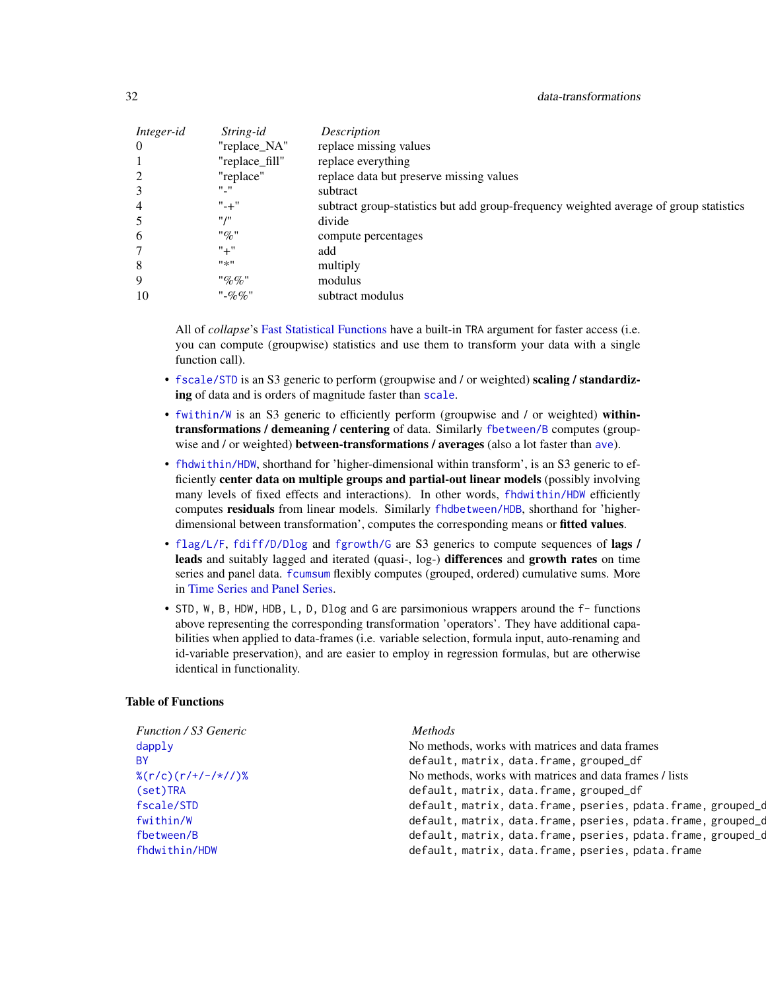| Integer-id | String-id      | Description                                                                            |
|------------|----------------|----------------------------------------------------------------------------------------|
| $\Omega$   | "replace_NA"   | replace missing values                                                                 |
|            | "replace_fill" | replace everything                                                                     |
| 2          | "replace"      | replace data but preserve missing values                                               |
| 3          | "''            | subtract                                                                               |
| 4          | $" - +"$       | subtract group-statistics but add group-frequency weighted average of group statistics |
| 5          | <b>** /**</b>  | divide                                                                                 |
| 6          | "%"            | compute percentages                                                                    |
|            | $" +"$         | add                                                                                    |
| 8          | #来#            | multiply                                                                               |
| 9          | "%%            | modulus                                                                                |
| 10         | $"$ -%%"       | subtract modulus                                                                       |

All of *collapse*'s [Fast Statistical Functions](#page-41-2) have a built-in TRA argument for faster access (i.e. you can compute (groupwise) statistics and use them to transform your data with a single function call).

- [fscale/STD](#page-95-1) is an S3 generic to perform (groupwise and / or weighted) scaling / standardizing of data and is orders of magnitude faster than [scale](#page-0-0).
- [fwithin/W](#page-44-1) is an S3 generic to efficiently perform (groupwise and / or weighted) withintransformations / demeaning / centering of data. Similarly [fbetween/B](#page-44-1) computes (groupwise and / or weighted) **between-transformations / [ave](#page-0-0)rages** (also a lot faster than ave).
- [fhdwithin/HDW](#page-64-1), shorthand for 'higher-dimensional within transform', is an S3 generic to efficiently center data on multiple groups and partial-out linear models (possibly involving many levels of fixed effects and interactions). In other words, [fhdwithin/HDW](#page-64-1) efficiently computes residuals from linear models. Similarly [fhdbetween/HDB](#page-64-1), shorthand for 'higherdimensional between transformation', computes the corresponding means or **fitted values**.
- [flag/L/F](#page-68-1), [fdiff/D/Dlog](#page-51-1) and [fgrowth/G](#page-61-1) are S3 generics to compute sequences of lags / leads and suitably lagged and iterated (quasi-, log-) differences and growth rates on time series and panel data. [fcumsum](#page-49-1) flexibly computes (grouped, ordered) cumulative sums. More in [Time Series and Panel Series.](#page-179-1)
- STD, W, B, HDW, HDB, L, D, Dlog and G are parsimonious wrappers around the f- functions above representing the corresponding transformation 'operators'. They have additional capabilities when applied to data-frames (i.e. variable selection, formula input, auto-renaming and id-variable preservation), and are easier to employ in regression formulas, but are otherwise identical in functionality.

#### Table of Functions

| <b>Function / S3 Generic</b>                         | <i>Methods</i>                                               |
|------------------------------------------------------|--------------------------------------------------------------|
| $d$ apply                                            | No methods, works with matrices and data frames              |
| BY.                                                  | default, matrix, data.frame, grouped_df                      |
| $\frac{\% (r/c) (r/4 - \frac{\times}{\sqrt{2}})}{r}$ | No methods, works with matrices and data frames / lists      |
| (set)TRA                                             | default, matrix, data.frame, grouped_df                      |
| fscale/STD                                           | default, matrix, data.frame, pseries, pdata.frame, grouped_c |
| fwithin/W                                            | default, matrix, data.frame, pseries, pdata.frame, grouped_c |
| fbetween/B                                           | default, matrix, data.frame, pseries, pdata.frame, grouped_c |
| fhdwithin/HDW                                        | default, matrix, data.frame, pseries, pdata.frame            |
|                                                      |                                                              |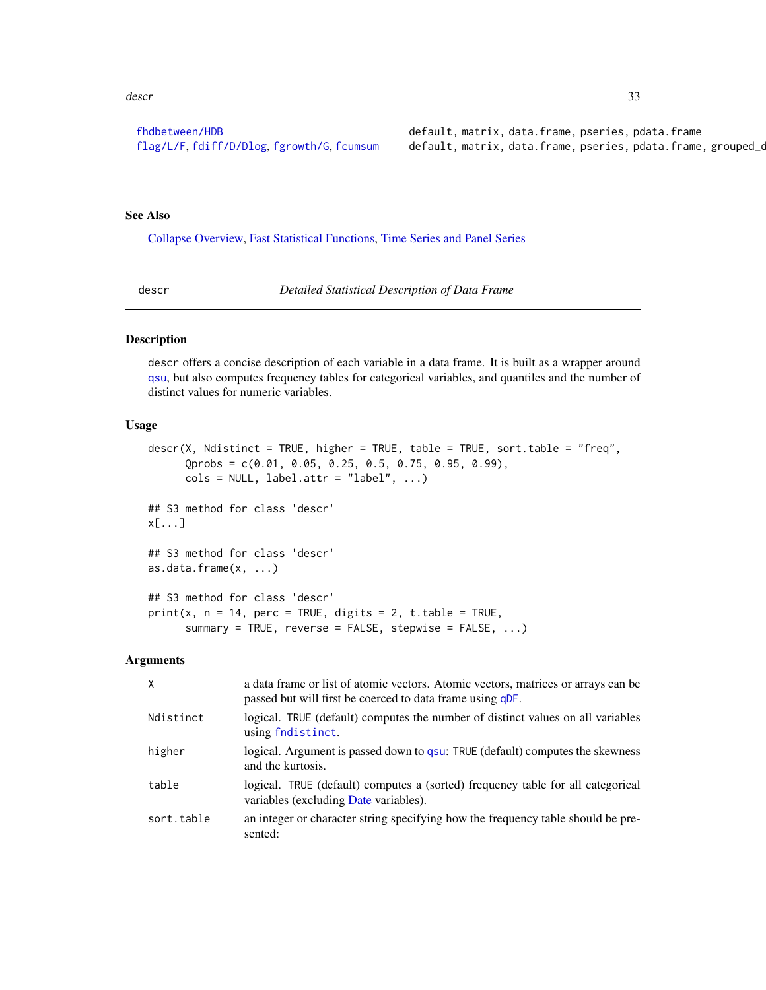#### <span id="page-32-0"></span>descr 33

[fhdbetween/HDB](#page-64-1) default, matrix, data.frame, pseries, pdata.frame high-dimensional averages and default, matrix, data.frame, pseries, pdata.frame [flag/L/F](#page-68-1), [fdiff/D/Dlog](#page-51-1), [fgrowth/G](#page-51-1), [fcumsum](#page-49-1) default, matrix, data.frame, pseries, pdata.frame, grouped\_cumulative sums differences of

### See Also

[Collapse Overview,](#page-23-1) [Fast Statistical Functions,](#page-41-2) [Time Series and Panel Series](#page-179-1)

<span id="page-32-1"></span>

descr *Detailed Statistical Description of Data Frame*

#### Description

descr offers a concise description of each variable in a data frame. It is built as a wrapper around [qsu](#page-154-1), but also computes frequency tables for categorical variables, and quantiles and the number of distinct values for numeric variables.

#### Usage

```
descr(X, Ndistinct = TRUE, higher = TRUE, table = TRUE, sort.table = "freq",
      Qprobs = c(0.01, 0.05, 0.25, 0.5, 0.75, 0.95, 0.99),
      \text{cols} = \text{NULL}, \text{ label}.\text{attr} = \text{"label", ...}## S3 method for class 'descr'
x[...]
## S3 method for class 'descr'
as.data.frame(x, ...)
## S3 method for class 'descr'
print(x, n = 14, perc = TRUE, digits = 2, t.table = TRUE,
      summary = TRUE, reverse = FALSE, stepwise = FALSE, ...)
```

| $\mathsf{X}$ | a data frame or list of atomic vectors. Atomic vectors, matrices or arrays can be<br>passed but will first be coerced to data frame using qDF. |
|--------------|------------------------------------------------------------------------------------------------------------------------------------------------|
| Ndistinct    | logical. TRUE (default) computes the number of distinct values on all variables<br>using findistinct.                                          |
| higher       | logical. Argument is passed down to qsu: TRUE (default) computes the skewness<br>and the kurtosis.                                             |
| table        | logical. TRUE (default) computes a (sorted) frequency table for all categorical<br>variables (excluding Date variables).                       |
| sort.table   | an integer or character string specifying how the frequency table should be pre-<br>sented:                                                    |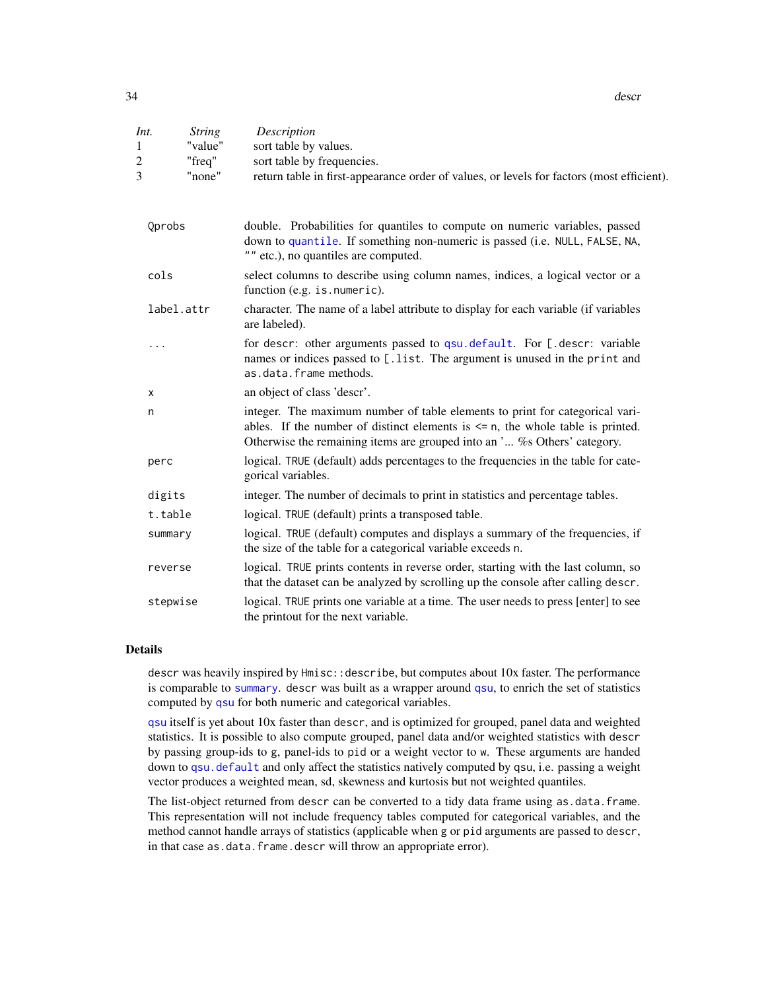34 descr

| Int.<br>1<br>2<br>3 | <b>String</b><br>"value"<br>"freq"<br>"none" | Description<br>sort table by values.<br>sort table by frequencies.<br>return table in first-appearance order of values, or levels for factors (most efficient).                                                                                |
|---------------------|----------------------------------------------|------------------------------------------------------------------------------------------------------------------------------------------------------------------------------------------------------------------------------------------------|
| Qprobs              |                                              | double. Probabilities for quantiles to compute on numeric variables, passed<br>down to quantile. If something non-numeric is passed (i.e. NULL, FALSE, NA,<br>"" etc.), no quantiles are computed.                                             |
| cols                |                                              | select columns to describe using column names, indices, a logical vector or a<br>function (e.g. is. numeric).                                                                                                                                  |
|                     | label.attr                                   | character. The name of a label attribute to display for each variable (if variables<br>are labeled).                                                                                                                                           |
| .                   |                                              | for descr: other arguments passed to qsu.default. For [.descr: variable<br>names or indices passed to [.list. The argument is unused in the print and<br>as.data.frame methods.                                                                |
| х                   |                                              | an object of class 'descr'.                                                                                                                                                                                                                    |
| n                   |                                              | integer. The maximum number of table elements to print for categorical vari-<br>ables. If the number of distinct elements is $\leq n$ , the whole table is printed.<br>Otherwise the remaining items are grouped into an ' % Others' category. |
| perc                |                                              | logical. TRUE (default) adds percentages to the frequencies in the table for cate-<br>gorical variables.                                                                                                                                       |
| digits              |                                              | integer. The number of decimals to print in statistics and percentage tables.                                                                                                                                                                  |
|                     | t.table                                      | logical. TRUE (default) prints a transposed table.                                                                                                                                                                                             |
|                     | summary                                      | logical. TRUE (default) computes and displays a summary of the frequencies, if<br>the size of the table for a categorical variable exceeds n.                                                                                                  |
|                     | reverse                                      | logical. TRUE prints contents in reverse order, starting with the last column, so<br>that the dataset can be analyzed by scrolling up the console after calling descr.                                                                         |
|                     | stepwise                                     | logical. TRUE prints one variable at a time. The user needs to press [enter] to see<br>the printout for the next variable.                                                                                                                     |

#### Details

descr was heavily inspired by Hmisc::describe, but computes about 10x faster. The performance is comparable to [summary](#page-0-0). descr was built as a wrapper around [qsu](#page-154-1), to enrich the set of statistics computed by [qsu](#page-154-1) for both numeric and categorical variables.

[qsu](#page-154-1) itself is yet about 10x faster than descr, and is optimized for grouped, panel data and weighted statistics. It is possible to also compute grouped, panel data and/or weighted statistics with descr by passing group-ids to g, panel-ids to pid or a weight vector to w. These arguments are handed down to qsu. default and only affect the statistics natively computed by qsu, i.e. passing a weight vector produces a weighted mean, sd, skewness and kurtosis but not weighted quantiles.

The list-object returned from descr can be converted to a tidy data frame using as.data.frame. This representation will not include frequency tables computed for categorical variables, and the method cannot handle arrays of statistics (applicable when g or pid arguments are passed to descr, in that case as.data.frame.descr will throw an appropriate error).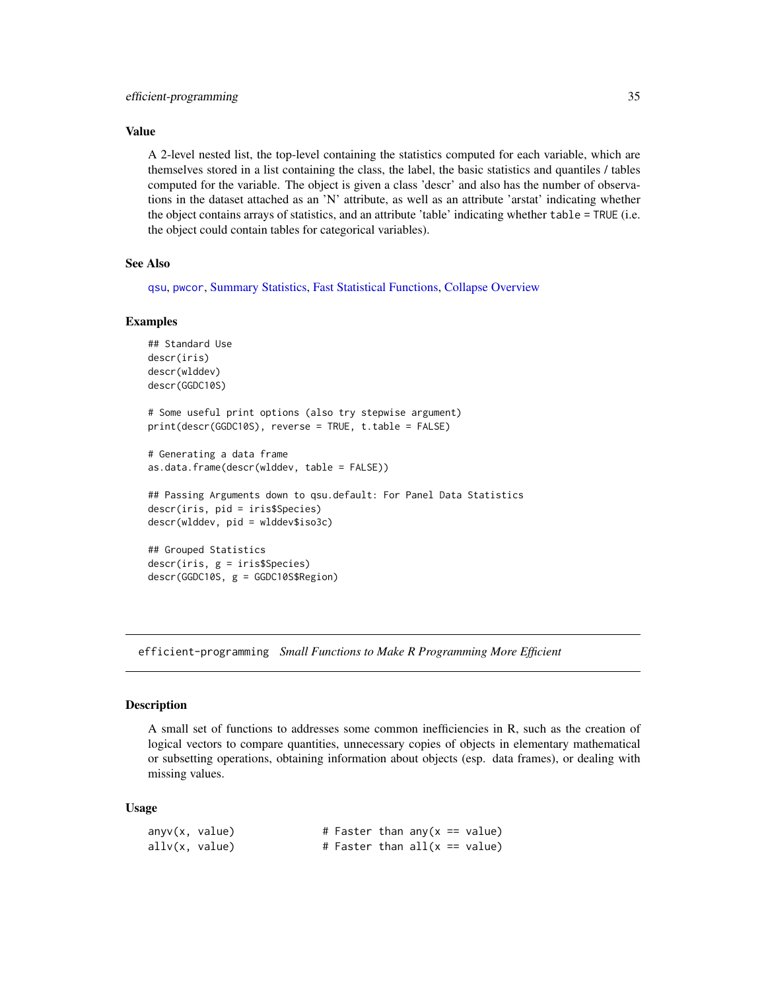#### <span id="page-34-0"></span>Value

A 2-level nested list, the top-level containing the statistics computed for each variable, which are themselves stored in a list containing the class, the label, the basic statistics and quantiles / tables computed for the variable. The object is given a class 'descr' and also has the number of observations in the dataset attached as an 'N' attribute, as well as an attribute 'arstat' indicating whether the object contains arrays of statistics, and an attribute 'table' indicating whether table = TRUE (i.e. the object could contain tables for categorical variables).

#### See Also

[qsu](#page-154-1), [pwcor](#page-149-1), [Summary Statistics,](#page-178-1) [Fast Statistical Functions,](#page-41-2) [Collapse Overview](#page-23-1)

#### Examples

```
## Standard Use
descr(iris)
descr(wlddev)
descr(GGDC10S)
# Some useful print options (also try stepwise argument)
print(descr(GGDC10S), reverse = TRUE, t.table = FALSE)
# Generating a data frame
as.data.frame(descr(wlddev, table = FALSE))
## Passing Arguments down to qsu.default: For Panel Data Statistics
descr(iris, pid = iris$Species)
descr(wlddev, pid = wlddev$iso3c)
## Grouped Statistics
descr(iris, g = iris$Species)
descr(GGDC10S, g = GGDC10S$Region)
```
<span id="page-34-2"></span>efficient-programming *Small Functions to Make R Programming More Efficient*

#### <span id="page-34-1"></span>Description

A small set of functions to addresses some common inefficiencies in R, such as the creation of logical vectors to compare quantities, unnecessary copies of objects in elementary mathematical or subsetting operations, obtaining information about objects (esp. data frames), or dealing with missing values.

#### Usage

| anyv(x, value)                  |  | # Faster than any $(x == value)$ |  |  |
|---------------------------------|--|----------------------------------|--|--|
| $\text{allv}(x, \text{ value})$ |  | # Faster than $all(x == value)$  |  |  |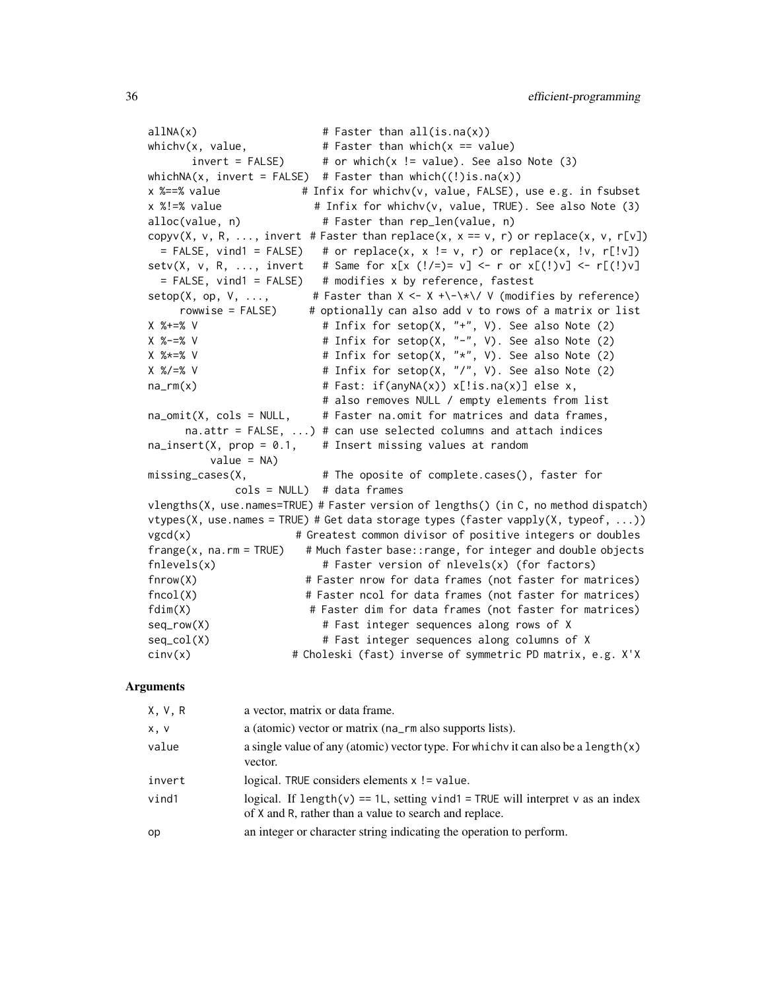$allNA(x)$  # Faster than  $all(is.na(x))$ whichv(x, value,  $\qquad \qquad #$  Faster than which(x == value) invert = FALSE)  $\#$  or which(x != value). See also Note (3) whichNA(x, invert = FALSE) # Faster than which( $(!)$ is.na(x)) x %==% value # Infix for whichv(v, value, FALSE), use e.g. in fsubset x %!=% value # Infix for whichv(v, value, TRUE). See also Note (3) alloc(value, n) # Faster than rep\_len(value, n) copyv(X, v, R, ..., invert # Faster than replace(x,  $x == v$ , r) or replace(x,  $v$ , r[v]) = FALSE, vind1 = FALSE) # or replace(x, x != v, r) or replace(x, !v, r[!v]) setv(X, v, R, ..., invert # Same for x[x (!/=)= v] <- r or x[(!)v] <- r[(!)v] = FALSE, vind1 = FALSE) # modifies x by reference, fastest  $setop(X, op, V, ...,$  # Faster than  $X \leftarrow X +\{-\times\}/ V$  (modifies by reference) rowwise =  $FALSE$   $*$  optionally can also add  $v$  to rows of a matrix or list  $X$  %+=% V  $*$   $*$   $H$  Infix for setop(X, "+", V). See also Note (2)  $X$  %-=% V  $*$  # Infix for setop(X, "-", V). See also Note (2) X %\*=% V # Infix for setop(X, "\*", V). See also Note (2) X %/=% V # Infix for setop(X, "/", V). See also Note (2)  $na\_rm(x)$  # Fast: if(anyNA(x)) x[!is.na(x)] else x, # also removes NULL / empty elements from list  $na\_omit(X, cols = NULL, # Eastern a.omit for matrices and data frames,$ na.attr = FALSE,  $\ldots$ ) # can use selected columns and attach indices  $na\_insert(X, prop = 0.1, # Insert missing values at random$  $value = NA$ ) missing\_cases(X, # The oposite of complete.cases(), faster for  $cols = NULL$ ) # data frames vlengths(X, use.names=TRUE) # Faster version of lengths() (in C, no method dispatch) vtypes(X, use.names = TRUE) # Get data storage types (faster vapply(X, typeof, ...))  $vgcd(x)$  # Greatest common divisor of positive integers or doubles  $frange(x, na.rm = TRUE)$  # Much faster base::range, for integer and double objects  $f\nexists(x)$  # Faster version of nlevels(x) (for factors) fnrow(X) # Faster nrow for data frames (not faster for matrices) fncol(X) # Faster ncol for data frames (not faster for matrices) fdim(X) # Faster dim for data frames (not faster for matrices) seq\_row(X) # Fast integer sequences along rows of X seq\_col(X)  $\qquad$  # Fast integer sequences along columns of X cinv(x) # Choleski (fast) inverse of symmetric PD matrix, e.g. X'X

| X, V, R | a vector, matrix or data frame.                                                                                                          |
|---------|------------------------------------------------------------------------------------------------------------------------------------------|
| x, v    | a (atomic) vector or matrix (na_rm also supports lists).                                                                                 |
| value   | a single value of any (atomic) vector type. For which v it can also be a length $(x)$<br>vector.                                         |
| invert  | logical. TRUE considers elements $x$ ! = value.                                                                                          |
| vind1   | logical. If length(v) == 1L, setting vind1 = TRUE will interpret v as an index<br>of X and R, rather than a value to search and replace. |
| op      | an integer or character string indicating the operation to perform.                                                                      |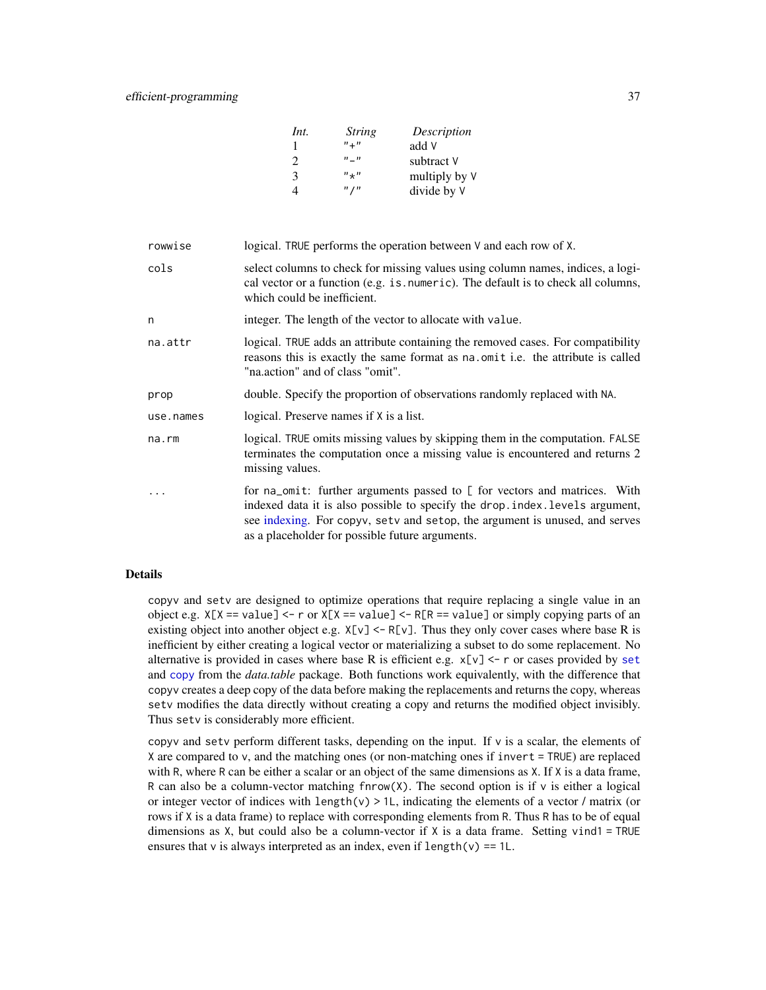# efficient-programming 37

| Int. | <i>String</i> | Description   |
|------|---------------|---------------|
| 1    | $n + n$       | add V         |
| 2    | $n = n$       | subtract V    |
| 3    | $'' +''$      | multiply by V |
| 4    | $"$ / $"$     | divide by V   |

| rowwise     | logical. TRUE performs the operation between V and each row of X.                                                                                                                                                                                                                            |
|-------------|----------------------------------------------------------------------------------------------------------------------------------------------------------------------------------------------------------------------------------------------------------------------------------------------|
| cols        | select columns to check for missing values using column names, indices, a logi-<br>cal vector or a function (e.g. is numeric). The default is to check all columns,<br>which could be inefficient.                                                                                           |
| n           | integer. The length of the vector to allocate with value.                                                                                                                                                                                                                                    |
| na.attr     | logical. TRUE adds an attribute containing the removed cases. For compatibility<br>reasons this is exactly the same format as na.omit i.e. the attribute is called<br>"na.action" and of class "omit".                                                                                       |
| prop        | double. Specify the proportion of observations randomly replaced with NA.                                                                                                                                                                                                                    |
| use.names   | logical. Preserve names if X is a list.                                                                                                                                                                                                                                                      |
| $na$ . $rm$ | logical. TRUE omits missing values by skipping them in the computation. FALSE<br>terminates the computation once a missing value is encountered and returns 2<br>missing values.                                                                                                             |
| .           | for na_omit: further arguments passed to [ for vectors and matrices. With<br>indexed data it is also possible to specify the drop. index. levels argument,<br>see indexing. For copyv, setv and setop, the argument is unused, and serves<br>as a placeholder for possible future arguments. |

#### Details

copyv and setv are designed to optimize operations that require replacing a single value in an object e.g.  $X[X] = value]$  <- r or  $X[X] = value$  <- R[R == value] or simply copying parts of an existing object into another object e.g.  $X[v] \le R[v]$ . Thus they only cover cases where base R is inefficient by either creating a logical vector or materializing a subset to do some replacement. No alternative is provided in cases where base R is efficient e.g.  $x[v] \le r$  or cases provided by [set](#page-0-0) and [copy](#page-0-0) from the *data.table* package. Both functions work equivalently, with the difference that copyv creates a deep copy of the data before making the replacements and returns the copy, whereas setv modifies the data directly without creating a copy and returns the modified object invisibly. Thus setv is considerably more efficient.

copyv and setv perform different tasks, depending on the input. If v is a scalar, the elements of X are compared to v, and the matching ones (or non-matching ones if invert = TRUE) are replaced with R, where R can be either a scalar or an object of the same dimensions as X. If X is a data frame, R can also be a column-vector matching finrow(X). The second option is if  $\nu$  is either a logical or integer vector of indices with length(v)  $> 1$ , indicating the elements of a vector / matrix (or rows if X is a data frame) to replace with corresponding elements from R. Thus R has to be of equal dimensions as X, but could also be a column-vector if X is a data frame. Setting vind1 = TRUE ensures that v is always interpreted as an index, even if  $length(v) == 1L$ .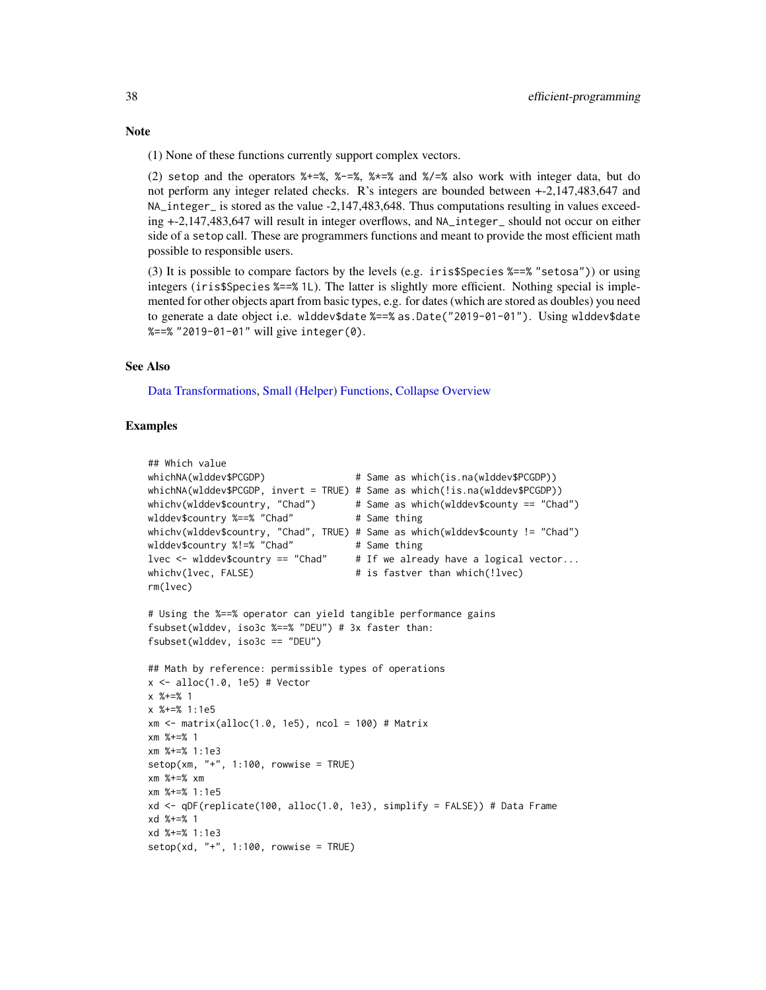(2) setop and the operators %+=%, %-=%, %\*=% and %/=% also work with integer data, but do not perform any integer related checks. R's integers are bounded between +-2,147,483,647 and NA\_integer\_ is stored as the value -2,147,483,648. Thus computations resulting in values exceeding +-2,147,483,647 will result in integer overflows, and NA\_integer\_ should not occur on either side of a setop call. These are programmers functions and meant to provide the most efficient math possible to responsible users.

(3) It is possible to compare factors by the levels (e.g. iris\$Species %==% "setosa")) or using integers (iris\$Species %==% 1L). The latter is slightly more efficient. Nothing special is implemented for other objects apart from basic types, e.g. for dates (which are stored as doubles) you need to generate a date object i.e. wlddev\$date %==% as.Date("2019-01-01"). Using wlddev\$date %==% "2019-01-01" will give integer(0).

## See Also

[Data Transformations,](#page-30-0) [Small \(Helper\) Functions,](#page-175-0) [Collapse Overview](#page-23-0)

```
## Which value
whichNA(wlddev$PCGDP) # Same as which(is.na(wlddev$PCGDP))
whichNA(wlddev$PCGDP, invert = TRUE) # Same as which(!is.na(wlddev$PCGDP))
whichv(wlddev$country, "Chad") \qquad # Same as which(wlddev$county == "Chad")
wlddev$country %==% "Chad" # Same thing
whichv(wlddev$country, "Chad", TRUE) # Same as which(wlddev$county != "Chad")
wlddev$country %!=% "Chad" # Same thing
lvec \le wlddev$country == "Chad" # If we already have a logical vector...
whichv(lvec, FALSE) \qquad # is fastver than which(!lvec)
rm(lvec)
# Using the %==% operator can yield tangible performance gains
fsubset(wlddev, iso3c %==% "DEU") # 3x faster than:
fsubset(wlddev, iso3c == "DEU")
## Math by reference: permissible types of operations
x \leftarrow alloc(1.0, 1e5) # Vector
x %+=% 1
x %+=% 1:1e5
xm <- matrix(alloc(1.0, 1e5), ncol = 100) # Matrix
xm %+=% 1
xm %+=% 1:1e3
setop(xm, "+'', 1:100, rowwise = TRUE)xm %+=% xm
xm %+=% 1:1e5
xd <- qDF(replicate(100, alloc(1.0, 1e3), simplify = FALSE)) # Data Frame
xd %+=% 1
xd %+=% 1:1e3
setop(xd, "+", 1:100, rowwise = TRUE)
```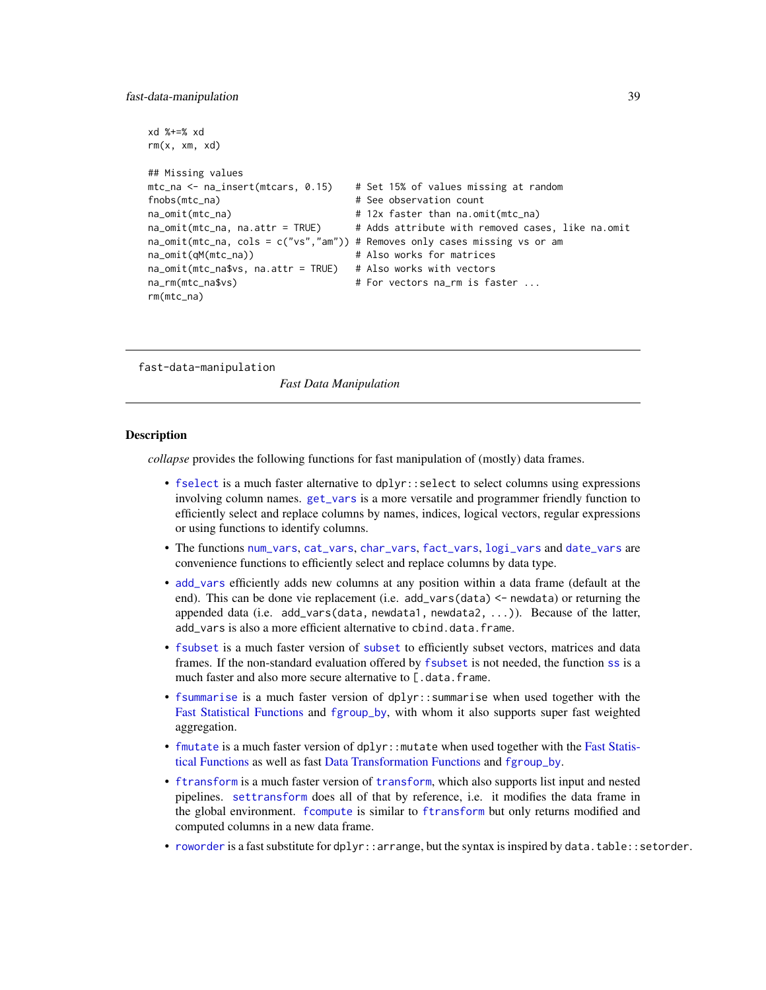```
xd %+=% xd
rm(x, xm, xd)
## Missing values
mtc_na <- na_insert(mtcars, 0.15) # Set 15% of values missing at random
fnobs(mtc_na) # See observation count
na_omit(mtc_na) # 12x faster than na.omit(mtc_na)
na_omit(mtc_na, na.attr = TRUE) # Adds attribute with removed cases, like na.omit
na_omit(mtc_na, cols = c("vs","am")) # Removes only cases missing vs or am
na_omit(qM(mtc_na)) # Also works for matrices
na_omit(mtc_na$vs, na.attr = TRUE) # Also works with vectors
na_rm(mtc_na$vs) # For vectors na_rm is faster ...
rm(mtc_na)
```
<span id="page-38-0"></span>fast-data-manipulation

*Fast Data Manipulation*

#### **Description**

*collapse* provides the following functions for fast manipulation of (mostly) data frames.

- [fselect](#page-99-0) is a much faster alternative to dplyr::select to select columns using expressions involving column names. [get\\_vars](#page-99-0) is a more versatile and programmer friendly function to efficiently select and replace columns by names, indices, logical vectors, regular expressions or using functions to identify columns.
- The functions [num\\_vars](#page-99-0), [cat\\_vars](#page-99-0), [char\\_vars](#page-99-0), [fact\\_vars](#page-99-0), [logi\\_vars](#page-99-0) and [date\\_vars](#page-99-0) are convenience functions to efficiently select and replace columns by data type.
- [add\\_vars](#page-99-0) efficiently adds new columns at any position within a data frame (default at the end). This can be done vie replacement (i.e. add\_vars(data) <- newdata) or returning the appended data (i.e. add\_vars(data, newdata1, newdata2, ...)). Because of the latter, add vars is also a more efficient alternative to cbind.data.frame.
- [fsubset](#page-102-0) is a much faster version of [subset](#page-0-0) to efficiently subset vectors, matrices and data frames. If the non-standard evaluation offered by [fsubset](#page-102-0) is not needed, the function [ss](#page-102-1) is a much faster and also more secure alternative to [.data.frame.
- [fsummarise](#page-108-0) is a much faster version of dplyr::summarise when used together with the [Fast Statistical Functions](#page-41-0) and [fgroup\\_by](#page-127-0), with whom it also supports super fast weighted aggregation.
- [fmutate](#page-110-0) is a much faster version of dplyr: : mutate when used together with the [Fast Statis](#page-41-0)[tical Functions](#page-41-0) as well as fast [Data Transformation Functions](#page-30-0) and [fgroup\\_by](#page-127-0).
- [ftransform](#page-110-1) is a much faster version of [transform](#page-0-0), which also supports list input and nested pipelines. [settransform](#page-110-0) does all of that by reference, i.e. it modifies the data frame in the global environment. [fcompute](#page-110-0) is similar to [ftransform](#page-110-1) but only returns modified and computed columns in a new data frame.
- [roworder](#page-169-0) is a fast substitute for dplyr:: arrange, but the syntax is inspired by data.table:: setorder.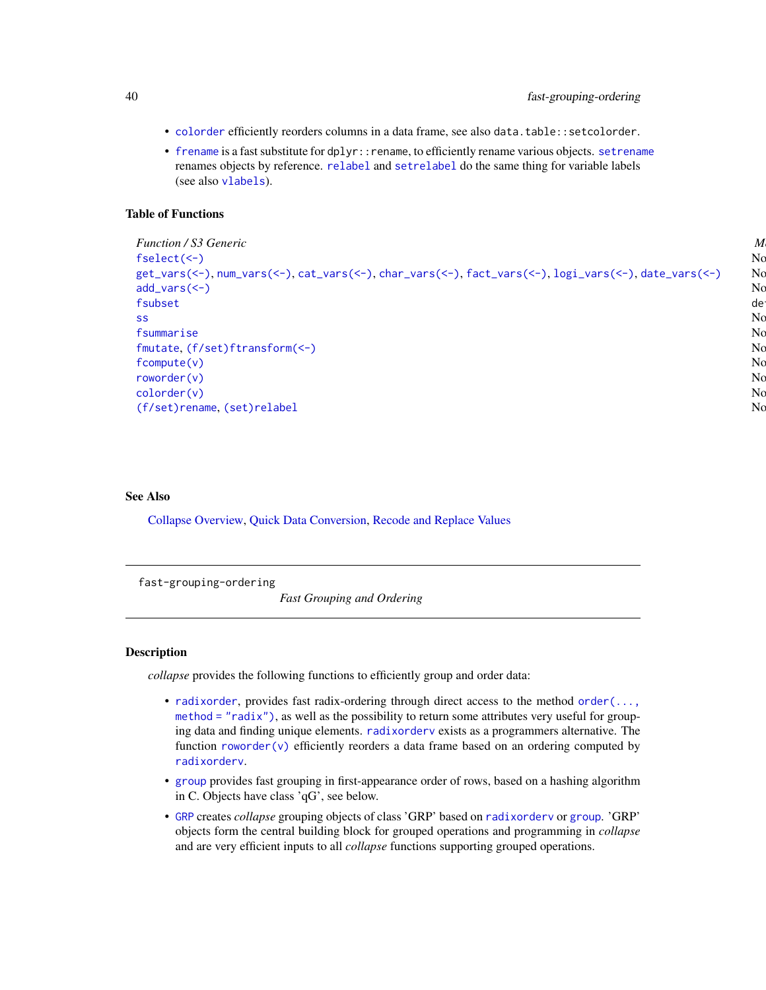- [colorder](#page-27-0) efficiently reorders columns in a data frame, see also data.table::setcolorder.
- [frename](#page-93-0) is a fast substitute for dplyr:: rename, to efficiently rename various objects. [setrename](#page-93-1) renames objects by reference. [relabel](#page-93-1) and [setrelabel](#page-93-1) do the same thing for variable labels (see also [vlabels](#page-175-1)).

# Table of Functions

```
Function / S3 Generic Methods Description
fselect(<-) \rm Noget_vars(<-)num_vars(<-)cat_vars(<-)char_vars(<-)fact_vars(<-)logi_vars(<-)date_vars(<-) No
add_vars(<-) No methods, for data frames Fast add columns
fsubset default, matrix, data.frame, pseudosa, pseudosa, poeta, pseudosa, pseudosa, pseudosa, pseudosa, pseudosa, pseudosa, pseudosa, pseudosa, pseudosa, pseudosa, pseudosa, pseudosa, pseudosa, pseudosa, pseudosa, pseud
ss \sim No methods, for data frames \sim No methods, for data frames \sim No \simfsummarise No methods, for data frames No methods, for data aggregations, No methods, No methods, No methods, No methods, No methods, No methods, No methods, No methods, No methods, No methods, fmutate(f/set)ftransform(<-) No methods, for data frames Compute, models, models, models, models, models, models, models, models, models, models, models, models, models, models, models, models, models, models, models, mo
fcompute(v) and methods, for data frames N_{\rm C} and N_{\rm C} and N_{\rm C}roworder(v) incl. pdata frames incl. pdata frames incl. pdata frames incl. pdata frames incl. pdata frames incl. N_{\rm C}\sim colorder (v) and reduced and return data frames Reorder columns and return data frame (standard and non-standard evaluation). No
(f/set)rename(set)relabel No methods, for all objects with 'names' attribute Rename and return objects with \alpha
```
# See Also

[Collapse Overview,](#page-23-0) [Quick Data Conversion,](#page-162-0) [Recode and Replace Values](#page-167-0)

<span id="page-39-0"></span>fast-grouping-ordering

*Fast Grouping and Ordering*

### Description

*collapse* provides the following functions to efficiently group and order data:

- [radixorder](#page-164-0), provides fast radix-ordering through direct access to the method [order\(...,](#page-0-0) method = " $radix$ "), as well as the possibility to return some attributes very useful for grouping data and finding unique elements. [radixorderv](#page-164-1) exists as a programmers alternative. The function [roworder\(v\)](#page-169-0) efficiently reorders a data frame based on an ordering computed by [radixorderv](#page-164-1).
- [group](#page-124-0) provides fast grouping in first-appearance order of rows, based on a hashing algorithm in C. Objects have class 'qG', see below.
- [GRP](#page-127-1) creates *collapse* grouping objects of class 'GRP' based on [radixorderv](#page-164-1) or [group](#page-124-0). 'GRP' objects form the central building block for grouped operations and programming in *collapse* and are very efficient inputs to all *collapse* functions supporting grouped operations.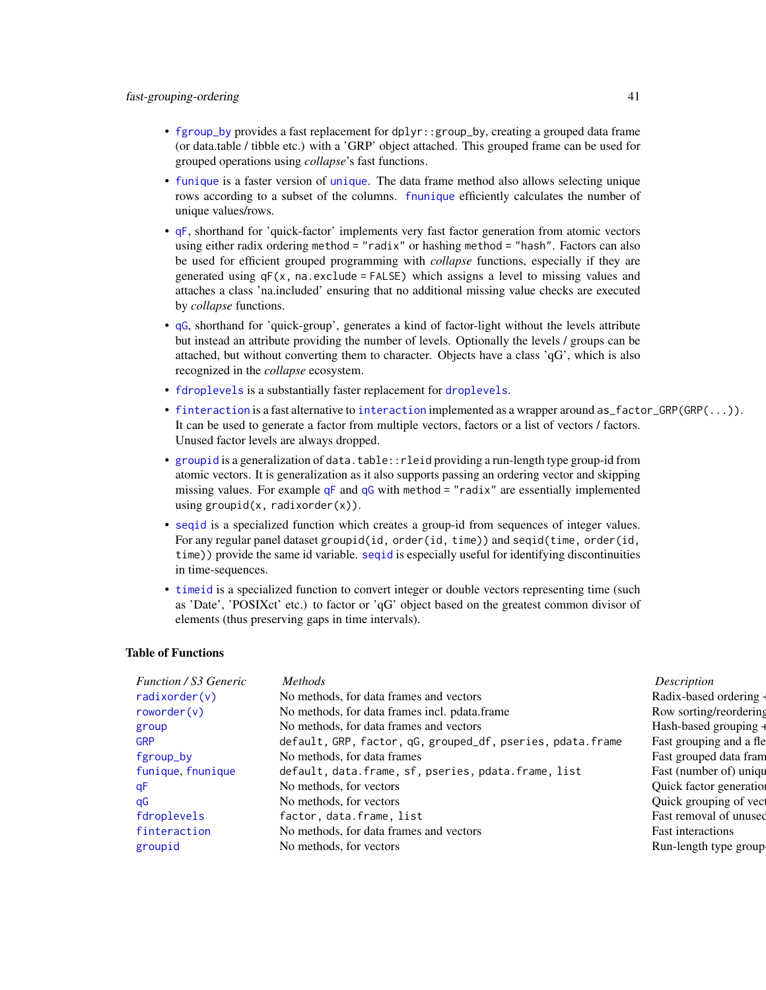- [fgroup\\_by](#page-127-0) provides a fast replacement for dplyr::group\_by, creating a grouped data frame (or data.table / tibble etc.) with a 'GRP' object attached. This grouped frame can be used for grouped operations using *collapse*'s fast functions.
- [funique](#page-115-0) is a faster version of [unique](#page-0-0). The data frame method also allows selecting unique rows according to a subset of the columns. [fnunique](#page-115-1) efficiently calculates the number of unique values/rows.
- [qF](#page-151-0), shorthand for 'quick-factor' implements very fast factor generation from atomic vectors using either radix ordering method = "radix" or hashing method = "hash". Factors can also be used for efficient grouped programming with *collapse* functions, especially if they are generated using  $qF(x)$ , na.exclude = FALSE) which assigns a level to missing values and attaches a class 'na.included' ensuring that no additional missing value checks are executed by *collapse* functions.
- [qG](#page-151-0), shorthand for 'quick-group', generates a kind of factor-light without the levels attribute but instead an attribute providing the number of levels. Optionally the levels / groups can be attached, but without converting them to character. Objects have a class 'qG', which is also recognized in the *collapse* ecosystem.
- [fdroplevels](#page-55-0) is a substantially faster replacement for [droplevels](#page-0-0).
- [finteraction](#page-151-0) is a fast alternative to [interaction](#page-0-0) implemented as a wrapper around as\_factor\_GRP(GRP(...)). It can be used to generate a factor from multiple vectors, factors or a list of vectors / factors. Unused factor levels are always dropped.
- [groupid](#page-126-0) is a generalization of data.table::rleid providing a run-length type group-id from atomic vectors. It is generalization as it also supports passing an ordering vector and skipping missing values. For example  $qF$  and  $qG$  with method = "radix" are essentially implemented using groupid( $x$ , radixorder( $x$ )).
- [seqid](#page-173-0) is a specialized function which creates a group-id from sequences of integer values. For any regular panel dataset groupid(id, order(id, time)) and seqid(time, order(id, time)) provide the same id variable. [seqid](#page-173-0) is especially useful for identifying discontinuities in time-sequences.
- [timeid](#page-180-0) is a specialized function to convert integer or double vectors representing time (such as 'Date', 'POSIXct' etc.) to factor or 'qG' object based on the greatest common divisor of elements (thus preserving gaps in time intervals).

#### Table of Functions

| <b>Function / S3 Generic</b> | <b>Methods</b>                                             | Description              |
|------------------------------|------------------------------------------------------------|--------------------------|
| radixorder(v)                | No methods, for data frames and vectors                    | Radix-based ordering -   |
| roworder(v)                  | No methods, for data frames incl. pdata.frame              | Row sorting/reordering   |
| group                        | No methods, for data frames and vectors                    | Hash-based grouping +    |
| <b>GRP</b>                   | default, GRP, factor, qG, grouped_df, pseries, pdata.frame | Fast grouping and a fle  |
| fgroup_by                    | No methods, for data frames                                | Fast grouped data fram   |
| funique, fnunique            | default, data.frame, sf, pseries, pdata.frame, list        | Fast (number of) uniqu   |
| qF                           | No methods, for vectors                                    | Quick factor generation  |
| qG                           | No methods, for vectors                                    | Quick grouping of vect   |
| fdroplevels                  | factor, data.frame, list                                   | Fast removal of unused   |
| finteraction                 | No methods, for data frames and vectors                    | <b>Fast interactions</b> |
| groupid                      | No methods, for vectors                                    | Run-length type group    |
|                              |                                                            |                          |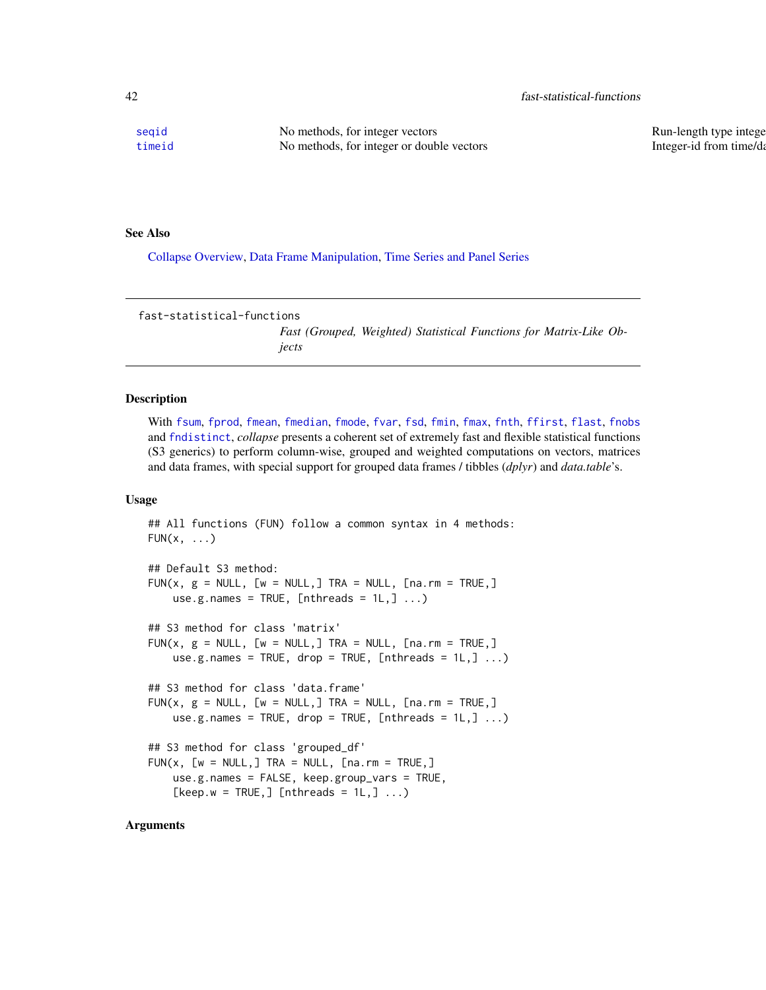[seqid](#page-173-0) No methods, for integer vectors Run-length type integer [timeid](#page-180-0) No methods, for integer or double vectors Integer-id from time/date sequences integer-id from time/date

### See Also

[Collapse Overview,](#page-23-0) [Data Frame Manipulation,](#page-38-0) [Time Series and Panel Series](#page-179-0)

<span id="page-41-0"></span>fast-statistical-functions

*Fast (Grouped, Weighted) Statistical Functions for Matrix-Like Objects*

## Description

With [fsum](#page-105-0), [fprod](#page-91-0), [fmean](#page-74-0), [fmedian](#page-76-0), [fmode](#page-81-0), [fvar](#page-117-0), [fsd](#page-117-0), [fmin](#page-79-0), [fmax](#page-79-0), [fnth](#page-88-0), [ffirst](#page-57-0), [flast](#page-57-0), [fnobs](#page-86-0) and [fndistinct](#page-84-0), *collapse* presents a coherent set of extremely fast and flexible statistical functions (S3 generics) to perform column-wise, grouped and weighted computations on vectors, matrices and data frames, with special support for grouped data frames / tibbles (*dplyr*) and *data.table*'s.

## Usage

```
## All functions (FUN) follow a common syntax in 4 methods:
FUN(x, \ldots)## Default S3 method:
FUN(x, g = NULL, [w = NULL,] TRA = NULL, [na.rm = TRUE,]
   use.g.names = TRUE, [nthreads = 1L,] ...)
## S3 method for class 'matrix'
FUN(x, g = NULL, [w = NULL,] TRA = NULL, [na.rm = TRUE,]
   use.g.names = TRUE, drop = TRUE, [nthreads = 1L,] ...)
## S3 method for class 'data.frame'
FUN(x, g = NULL, [w = NULL,] TRA = NULL, [na.rm = TRUE,]
   use.g.names = TRUE, drop = TRUE, [nthreads = 1L,] ...)
## S3 method for class 'grouped_df'
FUN(x, [w = NULL, ] TRA = NULL, [na.rm = TRUE, ]use.g.names = FALSE, keep.group_vars = TRUE,
    [keep.w = TRUE,] [nthreads = 1L,] ...)
```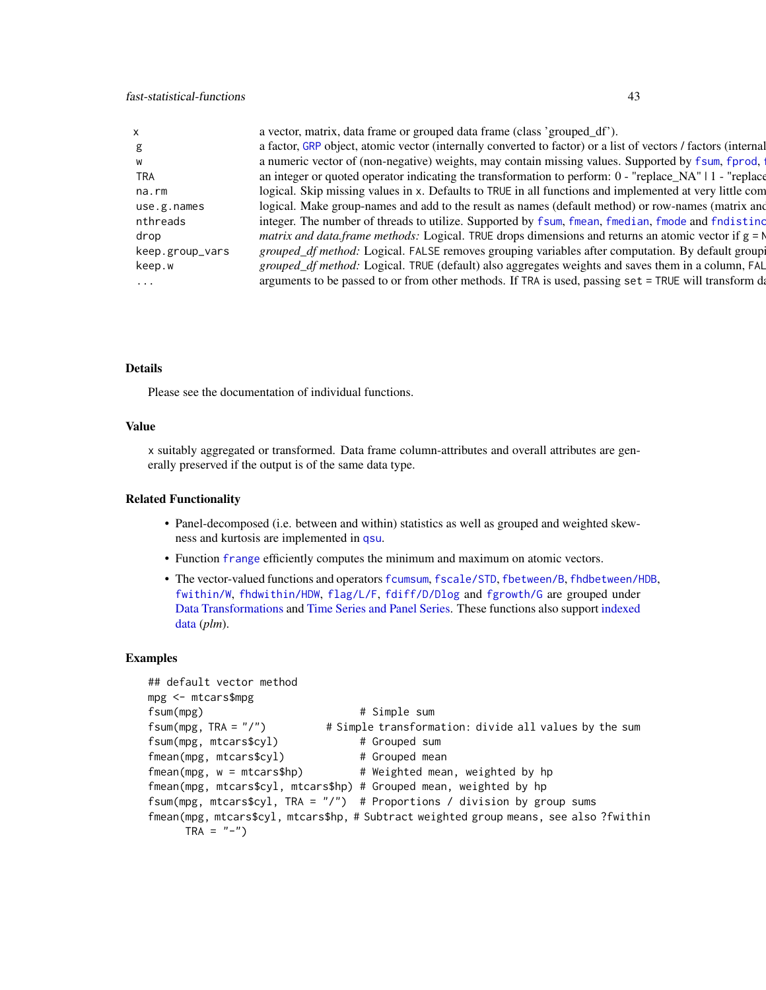# fast-statistical-functions 43

|                 | a vector, matrix, data frame or grouped data frame (class 'grouped_df').                                      |
|-----------------|---------------------------------------------------------------------------------------------------------------|
|                 | a factor, GRP object, atomic vector (internally converted to factor) or a list of vectors / factors (internal |
|                 | a numeric vector of (non-negative) weights, may contain missing values. Supported by f sum, f prod,           |
| TRA             | an integer or quoted operator indicating the transformation to perform: $0 -$ "replace_NA"   1 - "replace     |
| na.rm           | logical. Skip missing values in x. Defaults to TRUE in all functions and implemented at very little com       |
| use.g.names     | logical. Make group-names and add to the result as names (default method) or row-names (matrix and            |
| nthreads        | integer. The number of threads to utilize. Supported by fsum, fmean, fmedian, fmode and fndistinc             |
| drop            | <i>matrix and data.frame methods:</i> Logical. TRUE drops dimensions and returns an atomic vector if $g = N$  |
| keep.group_vars | grouped_df method: Logical. FALSE removes grouping variables after computation. By default groupi             |
| keep.w          | grouped_df method: Logical. TRUE (default) also aggregates weights and saves them in a column, FAL            |
| $\cdots$        | arguments to be passed to or from other methods. If TRA is used, passing set = TRUE will transform da         |

# Details

Please see the documentation of individual functions.

# Value

x suitably aggregated or transformed. Data frame column-attributes and overall attributes are generally preserved if the output is of the same data type.

# Related Functionality

- Panel-decomposed (i.e. between and within) statistics as well as grouped and weighted skewness and kurtosis are implemented in [qsu](#page-154-0).
- Function [frange](#page-34-0) efficiently computes the minimum and maximum on atomic vectors.
- The vector-valued functions and operators [fcumsum](#page-49-0), [fscale/STD](#page-95-0), [fbetween/B](#page-44-0), [fhdbetween/HDB](#page-64-0), [fwithin/W](#page-44-0), [fhdwithin/HDW](#page-64-0), [flag/L/F](#page-68-0), [fdiff/D/Dlog](#page-51-0) and [fgrowth/G](#page-61-0) are grouped under [Data Transformations](#page-30-0) and [Time Series and Panel Series.](#page-179-0) These functions also support [indexed](#page-132-0) [data](#page-132-0) (*plm*).

```
## default vector method
mpg <- mtcars$mpg
fsum(mpg) # Simple sum
fsum(mpg, TRA = "/") # Simple transformation: divide all values by the sum
fsum(mpg, mtcars$cyl) # Grouped sum
fmean(mpg, mtcars$cyl) # Grouped mean
fmean(mpg, w = mtcars$hp) # Weighted mean, weighted by hp
fmean(mpg, mtcars$cyl, mtcars$hp) # Grouped mean, weighted by hp
fsum(mpg, mtcars$cyl, TRA = ''/") # Proportions / division by group sums
fmean(mpg, mtcars$cyl, mtcars$hp, # Subtract weighted group means, see also ?fwithin
     TRA = "-"')
```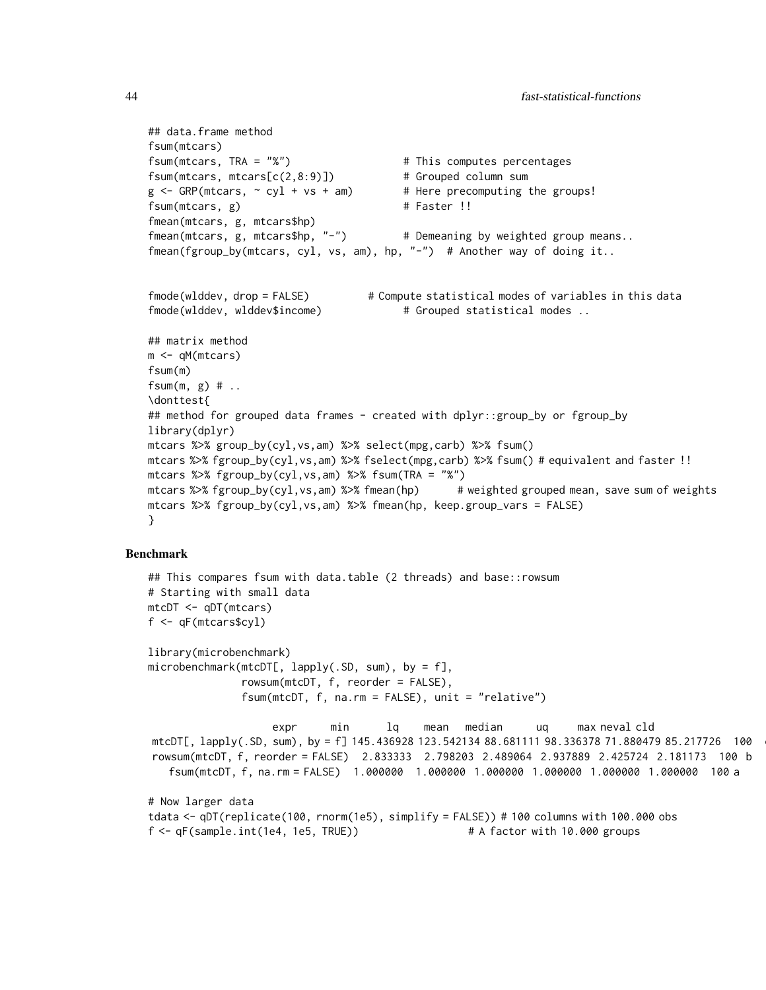```
## data.frame method
fsum(mtcars)
fsum(mtcars, TRA = "%") \qquad \qquad \qquad \qquad \qquad # This computes percentages
fsum(mtcars, mtcars[c(2,8:9)]) # Grouped column sum
g \leq - GRP(mtcars, \sim cyl + vs + am) # Here precomputing the groups!
fsum(mtcars, g) # Faster !!
fmean(mtcars, g, mtcars$hp)
fmean(mtcars, g, mtcars$hp, "-") # Demeaning by weighted group means..
fmean(fgroup_by(mtcars, cyl, vs, am), hp, "-") # Another way of doing it..
fmode(wlddev, drop = FALSE) # Compute statistical modes of variables in this data
fmode(wlddev, wlddev$income) \qquad \qquad \qquad \qquad \text{frouped statistical modes} \ldots## matrix method
m <- qM(mtcars)
fsum(m)
fsum(m, g) # \ldots\donttest{
## method for grouped data frames - created with dplyr::group_by or fgroup_by
library(dplyr)
mtcars %>% group_by(cyl,vs,am) %>% select(mpg,carb) %>% fsum()
mtcars %>% fgroup_by(cyl,vs,am) %>% fselect(mpg,carb) %>% fsum() # equivalent and faster !!
mtcars %>% fgroup_by(cyl,vs,am) %>% fsum(TRA = "%")
mtcars %>% fgroup_by(cyl,vs,am) %>% fmean(hp) # weighted grouped mean, save sum of weights
mtcars %>% fgroup_by(cyl,vs,am) %>% fmean(hp, keep.group_vars = FALSE)
}
```
## Benchmark

```
## This compares fsum with data.table (2 threads) and base::rowsum
# Starting with small data
mtcDT <- qDT(mtcars)
f <- qF(mtcars$cyl)
library(microbenchmark)
microbenchmark(mtcDT[, \, \, \text{lapply}(.SD, \, \text{sum}), \, \text{by = f},rowsum(mtcDT, f, reorder = FALSE),
              fsum(mtcDT, f, na.rm = FALSE), unit = "relative")
                    expr min lq mean median uq max neval cld
mtcDT[, lapply(.SD, sum), by = f] 145.436928 123.542134 88.681111 98.336378 71.880479 85.217726 100
rowsum(mtcDT, f, reorder = FALSE) 2.833333 2.798203 2.489064 2.937889 2.425724 2.181173 100 b
   fsum(mtcDT, f, na.rm = FALSE) 1.000000 1.000000 1.000000 1.000000 1.000000 1.000000 100 a
# Now larger data
tdata <- qDT(replicate(100, rnorm(1e5), simplify = FALSE)) # 100 columns with 100.000 obs
f <- qF(sample.int(1e4, 1e5, TRUE)) # A factor with 10.000 groups
```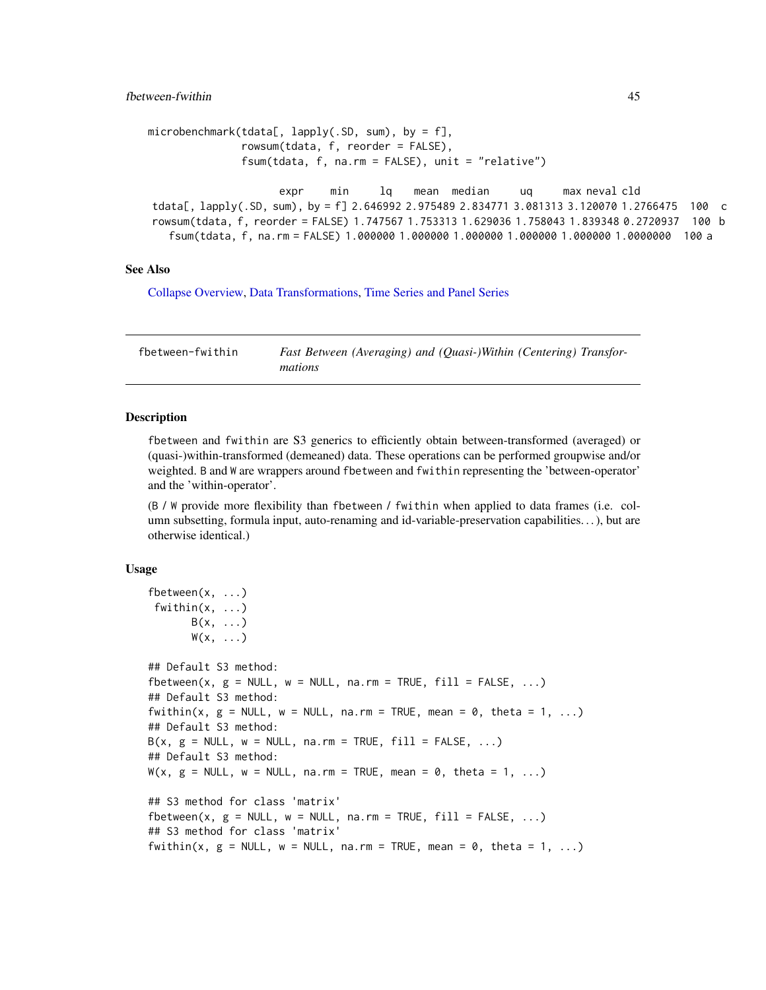## fbetween-fwithin 45

```
microbenchmark(tdata[, lapply(.SD, sum), by = f],
               rowsum(tdata, f, reorder = FALSE),
               fsum(tdata, f, na.rm = FALSE), unit = "relative")
```

```
expr min lq mean median uq max neval cld
tdata[, lapply(.SD, sum), by = f] 2.646992 2.975489 2.834771 3.081313 3.120070 1.2766475 100 c
rowsum(tdata, f, reorder = FALSE) 1.747567 1.753313 1.629036 1.758043 1.839348 0.2720937 100 b
  fsum(tdata, f, na.rm = FALSE) 1.000000 1.000000 1.000000 1.000000 1.000000 1.0000000 100 a
```
## See Also

[Collapse Overview,](#page-23-0) [Data Transformations,](#page-30-0) [Time Series and Panel Series](#page-179-0)

fbetween-fwithin *Fast Between (Averaging) and (Quasi-)Within (Centering) Transformations*

## <span id="page-44-0"></span>Description

fbetween and fwithin are S3 generics to efficiently obtain between-transformed (averaged) or (quasi-)within-transformed (demeaned) data. These operations can be performed groupwise and/or weighted. B and W are wrappers around fbetween and fwithin representing the 'between-operator' and the 'within-operator'.

(B / W provide more flexibility than fbetween / fwithin when applied to data frames (i.e. column subsetting, formula input, auto-renaming and id-variable-preservation capabilities. . . ), but are otherwise identical.)

#### Usage

```
fbetween(x, ...)
 fwithin(x, ...)
      B(x, \ldots)W(x, \ldots)## Default S3 method:
fbetween(x, g = NULL, w = NULL, na.rm = TRUE, fill = FALSE, ...)
## Default S3 method:
fwithin(x, g = NULL, w = NULL, na.rm = TRUE, mean = 0, theta = 1, ...)
## Default S3 method:
B(x, g = NULL, w = NULL, na.rm = TRUE, fill = FALSE, ...)## Default S3 method:
W(x, g = NULL, w = NULL, na.rm = TRUE, mean = 0, theta = 1, ...)## S3 method for class 'matrix'
fbetween(x, g = NULL, w = NULL, na.rm = TRUE, fill = FALSE, ...)
## S3 method for class 'matrix'
fwithin(x, g = NULL, w = NULL, na.rm = TRUE, mean = 0, theta = 1, ...)
```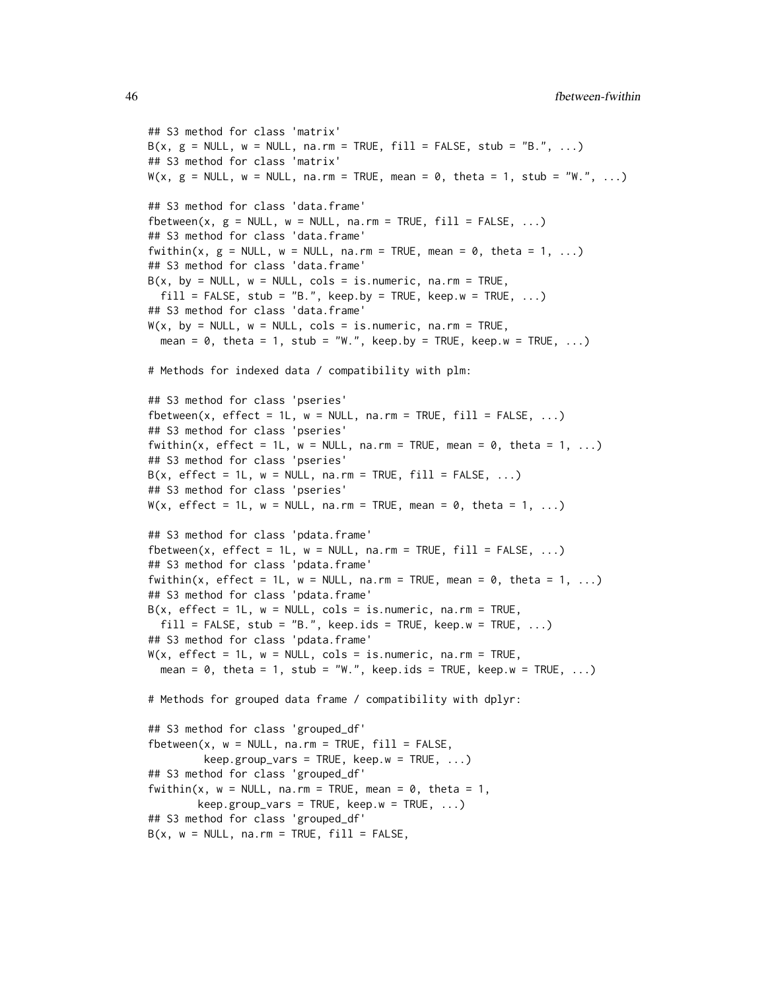```
## S3 method for class 'matrix'
B(x, g = NULL, w = NULL, na.rm = TRUE, fill = FALSE, stub = "B.", ...)
## S3 method for class 'matrix'
W(x, g = NULL, w = NULL, na.rm = TRUE, mean = 0, theta = 1, stub = "W." , ...)## S3 method for class 'data.frame'
fbetween(x, g = NULL, w = NULL, na.rm = TRUE, fill = FALSE, ...)
## S3 method for class 'data.frame'
fwithin(x, g = NULL, w = NULL, na.rm = TRUE, mean = 0, theta = 1, ...)
## S3 method for class 'data.frame'
B(x, by = NULL, w = NULL, cols = is.numeric, na.rm = TRUE,fill = FALSE, stub = "B.", keep.by = TRUE, keep.w = TRUE, ...)
## S3 method for class 'data.frame'
W(x, by = NULL, w = NULL, cols = is.numeric, na.rm = TRUE,mean = 0, theta = 1, stub = "W.", keep.by = TRUE, keep.w = TRUE, \ldots)
# Methods for indexed data / compatibility with plm:
## S3 method for class 'pseries'
fbetween(x, effect = 1L, w = NULL, na.rm = TRUE, fill = FALSE, ...)
## S3 method for class 'pseries'
fwithin(x, effect = 1L, w = NULL, na.rm = TRUE, mean = 0, theta = 1, ...)
## S3 method for class 'pseries'
B(x, \text{ effect} = 1L, w = \text{NULL}, \text{na} \cdot \text{rm} = \text{TRUE}, \text{fill} = \text{FALSE}, \dots)## S3 method for class 'pseries'
W(x, \text{ effect} = 1L, w = NULL, \text{na.rm} = TRUE, \text{mean} = 0, \text{theta} = 1, ...)## S3 method for class 'pdata.frame'
fbetween(x, effect = 1L, w = NULL, na.rm = TRUE, fill = FALSE, \ldots)
## S3 method for class 'pdata.frame'
fwithin(x, effect = 1L, w = \text{NULL}, na.rm = TRUE, mean = 0, theta = 1, ...)
## S3 method for class 'pdata.frame'
B(x, \text{ effect} = 1L, w = NULL, \text{cols} = \text{is.numeric}, \text{na.m} = \text{TRUE},fill = FALSE, stub = "B.", keep.ids = TRUE, keep.w = TRUE, ...)
## S3 method for class 'pdata.frame'
W(x, \text{ effect} = 1L, w = NULL, \text{cols} = \text{is.numeric}, \text{na.m} = \text{TRUE},mean = \theta, theta = 1, stub = "W.", keep.ids = TRUE, keep.w = TRUE, ...)
# Methods for grouped data frame / compatibility with dplyr:
## S3 method for class 'grouped_df'
fbetween(x, w = NULL, na.rm = TRUE, fill = FALSE,
         keep.group\_vars = TRUE, keep.w = TRUE, ...)## S3 method for class 'grouped_df'
fwithin(x, w = NULL, na.rm = TRUE, mean = 0, theta = 1,
        keep.group\_vars = TRUE, keep.w = TRUE, ...)## S3 method for class 'grouped_df'
B(x, w = NULL, na.rm = TRUE, fill = FALSE,
```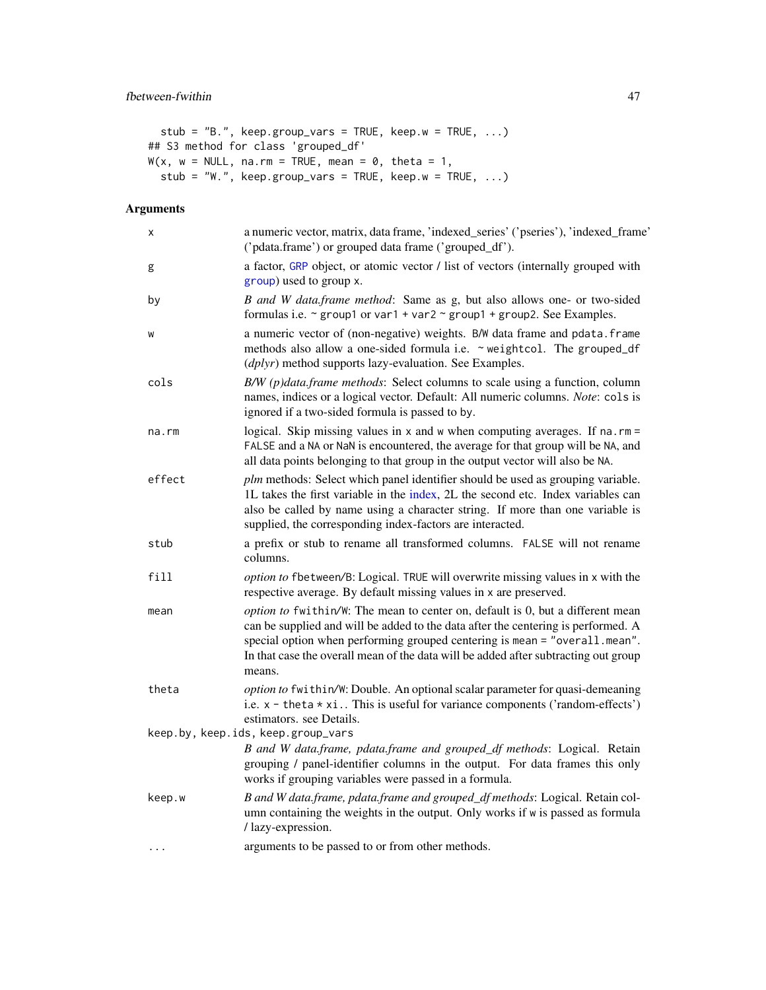```
stub = "B.", keep.group_vars = TRUE, keep.w = TRUE, ...)
## S3 method for class 'grouped_df'
W(x, w = NULL, na.rm = TRUE, mean = 0, theta = 1,stub = "W.", keep.group_vars = TRUE, keep.w = TRUE, \ldots)
```

| X      | a numeric vector, matrix, data frame, 'indexed_series' ('pseries'), 'indexed_frame'<br>('pdata.frame') or grouped data frame ('grouped_df').                                                                                                                                                                                                       |
|--------|----------------------------------------------------------------------------------------------------------------------------------------------------------------------------------------------------------------------------------------------------------------------------------------------------------------------------------------------------|
| g      | a factor, GRP object, or atomic vector / list of vectors (internally grouped with<br>group) used to group x.                                                                                                                                                                                                                                       |
| by     | B and W data.frame method: Same as g, but also allows one- or two-sided<br>formulas i.e. $\sim$ group1 or var1 + var2 $\sim$ group1 + group2. See Examples.                                                                                                                                                                                        |
| W      | a numeric vector of (non-negative) weights. B/W data frame and pdata. frame<br>methods also allow a one-sided formula i.e. ~ weightcol. The grouped_df<br>(dplyr) method supports lazy-evaluation. See Examples.                                                                                                                                   |
| cols   | B/W (p)data.frame methods: Select columns to scale using a function, column<br>names, indices or a logical vector. Default: All numeric columns. Note: cols is<br>ignored if a two-sided formula is passed to by.                                                                                                                                  |
| na.rm  | logical. Skip missing values in $x$ and $w$ when computing averages. If na.rm =<br>FALSE and a NA or NaN is encountered, the average for that group will be NA, and<br>all data points belonging to that group in the output vector will also be NA.                                                                                               |
| effect | plm methods: Select which panel identifier should be used as grouping variable.<br>1L takes the first variable in the index, 2L the second etc. Index variables can<br>also be called by name using a character string. If more than one variable is<br>supplied, the corresponding index-factors are interacted.                                  |
| stub   | a prefix or stub to rename all transformed columns. FALSE will not rename<br>columns.                                                                                                                                                                                                                                                              |
| fill   | option to fbetween/B: Logical. TRUE will overwrite missing values in x with the<br>respective average. By default missing values in x are preserved.                                                                                                                                                                                               |
| mean   | option to fwithin/W: The mean to center on, default is 0, but a different mean<br>can be supplied and will be added to the data after the centering is performed. A<br>special option when performing grouped centering is mean = "overall.mean".<br>In that case the overall mean of the data will be added after subtracting out group<br>means. |
| theta  | option to fwithin/W: Double. An optional scalar parameter for quasi-demeaning<br>i.e. $x -$ theta $* x$ i This is useful for variance components ('random-effects')<br>estimators. see Details.                                                                                                                                                    |
|        | keep.by, keep.ids, keep.group_vars                                                                                                                                                                                                                                                                                                                 |
|        | B and W data.frame, pdata.frame and grouped_df methods: Logical. Retain<br>grouping / panel-identifier columns in the output. For data frames this only<br>works if grouping variables were passed in a formula.                                                                                                                                   |
| keep.w | B and W data.frame, pdata.frame and grouped_df methods: Logical. Retain col-<br>umn containing the weights in the output. Only works if w is passed as formula<br>/ lazy-expression.                                                                                                                                                               |
|        | arguments to be passed to or from other methods.                                                                                                                                                                                                                                                                                                   |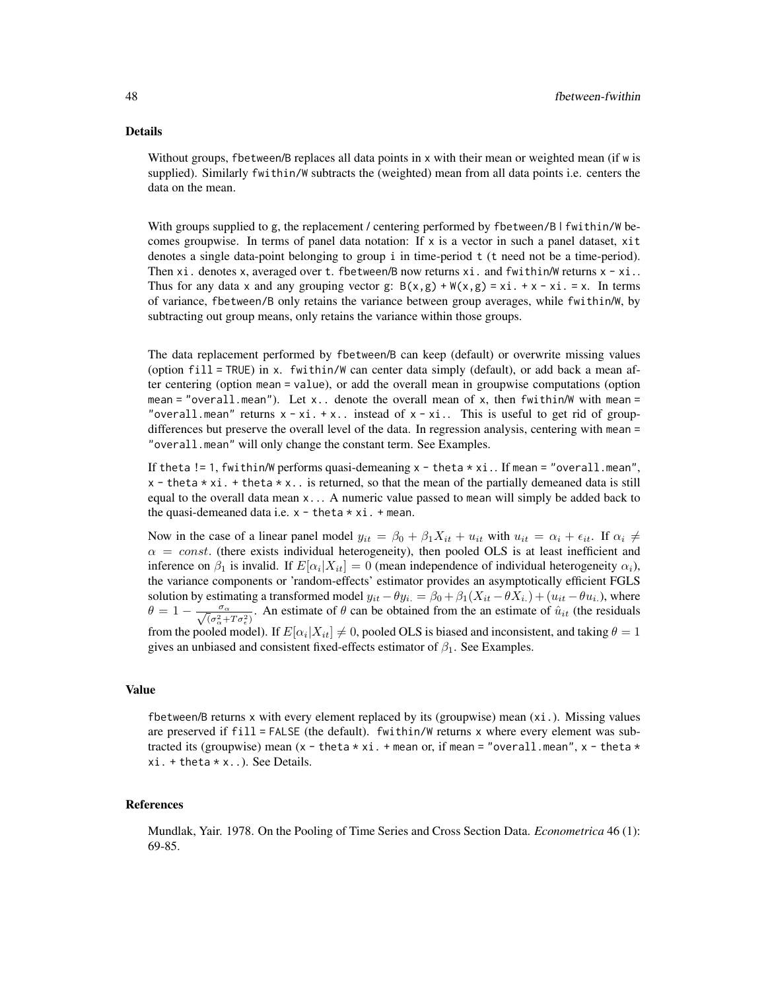#### Details

Without groups, fbetween/B replaces all data points in x with their mean or weighted mean (if w is supplied). Similarly fwithin/W subtracts the (weighted) mean from all data points i.e. centers the data on the mean.

With groups supplied to g, the replacement / centering performed by fbetween/B | fwithin/W becomes groupwise. In terms of panel data notation: If  $x$  is a vector in such a panel dataset,  $x$ it denotes a single data-point belonging to group i in time-period t (t need not be a time-period). Then xi. denotes x, averaged over t. fbetween/B now returns xi. and fwithin/W returns  $x - x$ i.. Thus for any data x and any grouping vector g:  $B(x,g) + W(x,g) = xi + x - xi = x$ . In terms of variance, fbetween/B only retains the variance between group averages, while fwithin/W, by subtracting out group means, only retains the variance within those groups.

The data replacement performed by fbetween/B can keep (default) or overwrite missing values (option fill = TRUE) in x. fwithin/W can center data simply (default), or add back a mean after centering (option mean = value), or add the overall mean in groupwise computations (option mean = "overall.mean"). Let  $x$ .. denote the overall mean of  $x$ , then fwithin/W with mean = "overall.mean" returns  $x - x$ i. + x.. instead of  $x - x$ i.. This is useful to get rid of groupdifferences but preserve the overall level of the data. In regression analysis, centering with mean = "overall.mean" will only change the constant term. See Examples.

If theta != 1, fwithin/W performs quasi-demeaning  $x -$  theta  $\star$  xi.. If mean = "overall.mean",  $x -$  theta  $\star$  xi. + theta  $\star$  x. is returned, so that the mean of the partially demeaned data is still equal to the overall data mean x... A numeric value passed to mean will simply be added back to the quasi-demeaned data i.e.  $x -$  theta  $* x$  i.  $+$  mean.

Now in the case of a linear panel model  $y_{it} = \beta_0 + \beta_1 X_{it} + u_{it}$  with  $u_{it} = \alpha_i + \epsilon_{it}$ . If  $\alpha_i \neq$  $\alpha = const.$  (there exists individual heterogeneity), then pooled OLS is at least inefficient and inference on  $\beta_1$  is invalid. If  $E[\alpha_i|X_{it}] = 0$  (mean independence of individual heterogeneity  $\alpha_i$ ), the variance components or 'random-effects' estimator provides an asymptotically efficient FGLS solution by estimating a transformed model  $y_{it} - \theta y_{i} = \beta_0 + \beta_1 (X_{it} - \theta X_{i.}) + (u_{it} - \theta u_{i.})$ , where  $\theta = 1 - \frac{\sigma_{\alpha}}{\sqrt{(\sigma_{\alpha}^2 + T \sigma_{\epsilon}^2)}}$ . An estimate of  $\theta$  can be obtained from the an estimate of  $\hat{u}_{it}$  (the residuals from the pooled model). If  $E[\alpha_i|X_{it}] \neq 0$ , pooled OLS is biased and inconsistent, and taking  $\theta = 1$ gives an unbiased and consistent fixed-effects estimator of  $\beta_1$ . See Examples.

#### Value

fbetween/B returns x with every element replaced by its (groupwise) mean (xi.). Missing values are preserved if fill = FALSE (the default). fwithin/W returns x where every element was subtracted its (groupwise) mean  $(x - \text{theta} \times x)$ . + mean or, if mean = "overall.mean", x - theta  $\star$ xi. + theta \* x..). See Details.

### References

Mundlak, Yair. 1978. On the Pooling of Time Series and Cross Section Data. *Econometrica* 46 (1): 69-85.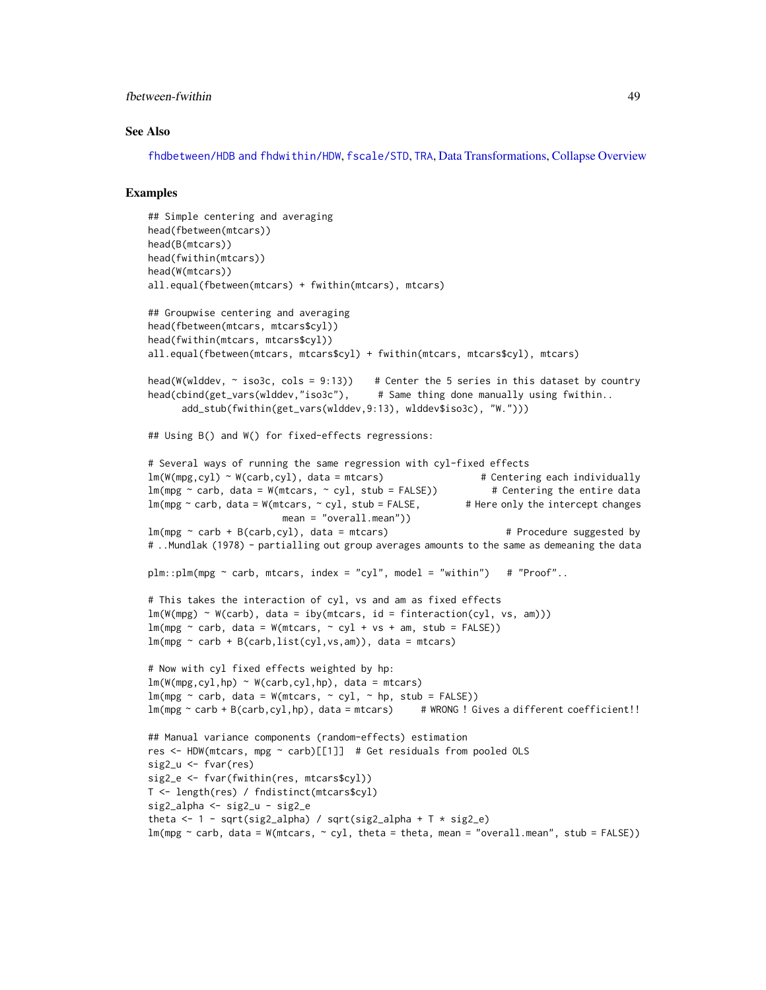# fbetween-fwithin 49

#### See Also

[fhdbetween/HDB and fhdwithin/HDW](#page-64-0), [fscale/STD](#page-95-0), [TRA](#page-182-0), [Data Transformations,](#page-30-0) [Collapse Overview](#page-23-0)

```
## Simple centering and averaging
head(fbetween(mtcars))
head(B(mtcars))
head(fwithin(mtcars))
head(W(mtcars))
all.equal(fbetween(mtcars) + fwithin(mtcars), mtcars)
## Groupwise centering and averaging
head(fbetween(mtcars, mtcars$cyl))
head(fwithin(mtcars, mtcars$cyl))
all.equal(fbetween(mtcars, mtcars$cyl) + fwithin(mtcars, mtcars$cyl), mtcars)
head(W(wlddev, \sim iso3c, cols = 9:13)) # Center the 5 series in this dataset by country
head(cbind(get_vars(wlddev,"iso3c"), # Same thing done manually using fwithin..
      add_stub(fwithin(get_vars(wlddev,9:13), wlddev$iso3c), "W.")))
## Using B() and W() for fixed-effects regressions:
# Several ways of running the same regression with cyl-fixed effects
lm(W(mpg,cyl) ~ W(carb,cyl), data = mtcars) # Centering each individually
lm(mpg \sim \text{carb}, \text{data} = W(mtcars, \sim cyl, \text{ stub} = FALSE)) # Centering the entire data
lm(mpg \sim \text{carb}, \text{data} = W(mtcars, \sim cyl, stub = FALSE, # Here only the intercept changesmean = "overall.mean"))
lm(mpg \sim \text{carb} + B(\text{carb}, \text{cyl}), data = mtcars) # Procedure suggested by
# ..Mundlak (1978) - partialling out group averages amounts to the same as demeaning the data
plm::plm(mpg \sim carb, mtcars, index = "cyl", model = "within") # "Proof"..
# This takes the interaction of cyl, vs and am as fixed effects
lm(W(mpg) \sim W(carb), data = iby(mtcars, id = function(cyl, vs, am)))lm(mpg \sim \text{carb}, \text{data} = W(mtcars, \sim cyl + vs + am, stub = FALSE))lm(mpg \sim \text{carb} + B(\text{carb}, list(cyl, vs, am)), data = mtcars)# Now with cyl fixed effects weighted by hp:
lm(W(mpg,cyl,hp) \sim W(carb,cyl,hp), data = mtcars)
lm(mpg \sim \text{carb}, \text{data} = W(mtcars, \sim cyl, \sim hp, \text{ stub} = FALSE))lm(mpg \sim \text{carb} + B(\text{carb},\text{cyl},hp), data = mtcars) # WRONG ! Gives a different coefficient!!
## Manual variance components (random-effects) estimation
res \le HDW(mtcars, mpg \sim carb)[[1]] # Get residuals from pooled OLS
sig2_u <- fvar(res)
sig2_e <- fvar(fwithin(res, mtcars$cyl))
T <- length(res) / fndistinct(mtcars$cyl)
sig2_alpha <- sig2_u - sig2_e
theta \leftarrow 1 - sqrt(sig2_alpha) / sqrt(sig2_alpha + T \star sig2_e)
lm(mpg \sim \text{carb}, \text{data} = W(mtcars, \sim cy), \text{theta} = \text{theta}, \text{mean} = "overall.mean", \text{ stub} = FALSE))
```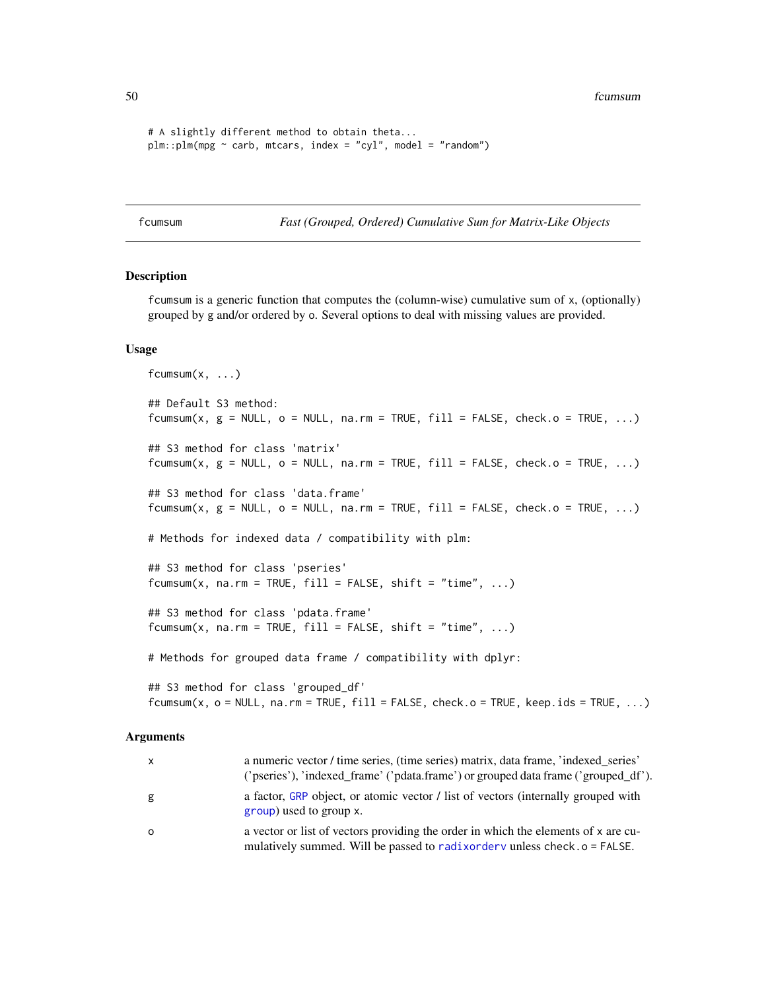50 fcumsum

```
# A slightly different method to obtain theta...
plm::plm(mpg \sim \text{carb}, \text{intcars}, \text{index} = "cyl", \text{model} = "random")
```
<span id="page-49-0"></span>fcumsum *Fast (Grouped, Ordered) Cumulative Sum for Matrix-Like Objects*

## **Description**

fcumsum is a generic function that computes the (column-wise) cumulative sum of x, (optionally) grouped by g and/or ordered by o. Several options to deal with missing values are provided.

## Usage

```
fcumsum(x, \ldots)## Default S3 method:
fcumsum(x, g = NULL, o = NULL, na.rm = TRUE, fill = FALSE, check.o = TRUE, ...)## S3 method for class 'matrix'
fcumsum(x, g = NULL, o = NULL, na.rm = TRUE, fill = FALSE, check.o = TRUE, ...)## S3 method for class 'data.frame'
fcumsum(x, g = NULL, o = NULL, na.rm = TRUE, fill = FALSE, check.o = TRUE, ...)# Methods for indexed data / compatibility with plm:
## S3 method for class 'pseries'
fcumsum(x, na.rm = TRUE, fill = FALSE, shift = "time", ...)## S3 method for class 'pdata.frame'
fcumsum(x, na.rm = TRUE, fill = FALSE, shift = "time", ...)# Methods for grouped data frame / compatibility with dplyr:
## S3 method for class 'grouped_df'
fcumsum(x, o = NULL, na.rm = TRUE, fill = FALSE, check.o = TRUE, keep.ids = TRUE, ...)
```

| <b>X</b> | a numeric vector / time series, (time series) matrix, data frame, 'indexed series'<br>('pseries'), 'indexed_frame' ('pdata.frame') or grouped data frame ('grouped_df'). |
|----------|--------------------------------------------------------------------------------------------------------------------------------------------------------------------------|
| g        | a factor, GRP object, or atomic vector / list of vectors (internally grouped with<br>group) used to group x.                                                             |
| $\circ$  | a vector or list of vectors providing the order in which the elements of x are cu-<br>mulatively summed. Will be passed to radix order v unless check . o = FALSE.       |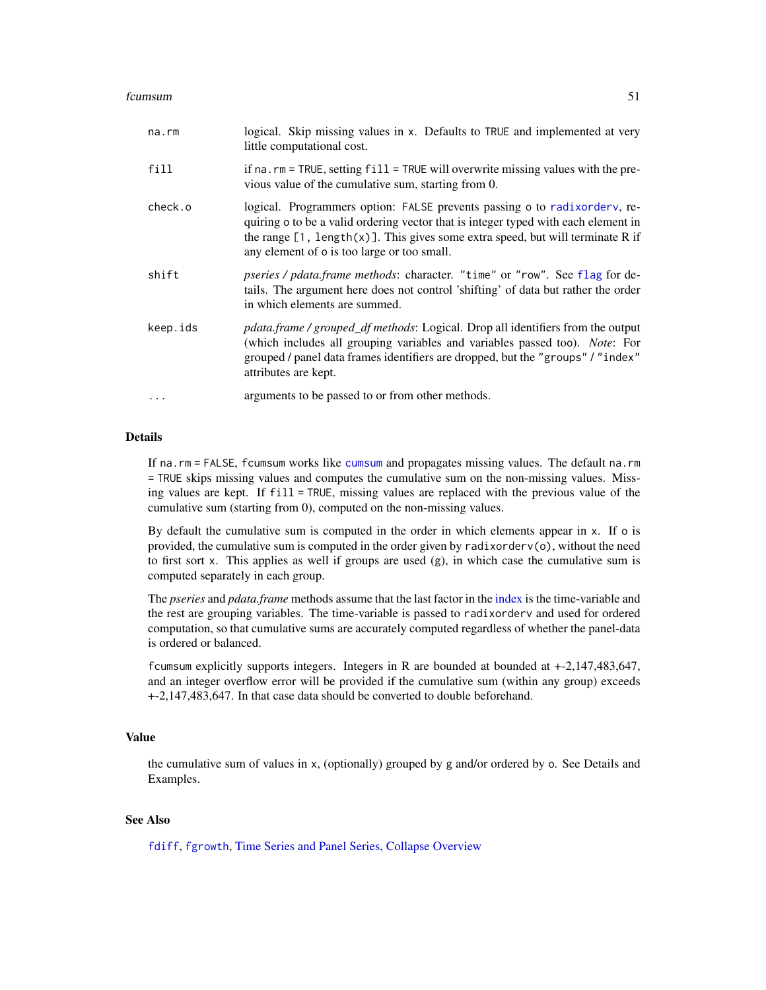#### fcumsum 51

| na.rm    | logical. Skip missing values in x. Defaults to TRUE and implemented at very<br>little computational cost.                                                                                                                                                                                                     |
|----------|---------------------------------------------------------------------------------------------------------------------------------------------------------------------------------------------------------------------------------------------------------------------------------------------------------------|
| fill     | if na. $rm = TRUE$ , setting $fill = TRUE$ will overwrite missing values with the pre-<br>vious value of the cumulative sum, starting from 0.                                                                                                                                                                 |
| check.o  | logical. Programmers option: FALSE prevents passing o to radix order v, re-<br>quiring o to be a valid ordering vector that is integer typed with each element in<br>the range $[1, \text{ length}(x)]$ . This gives some extra speed, but will terminate R if<br>any element of o is too large or too small. |
| shift    | pseries / pdata.frame methods: character. "time" or "row". See flag for de-<br>tails. The argument here does not control 'shifting' of data but rather the order<br>in which elements are summed.                                                                                                             |
| keep.ids | pdata.frame / grouped_df methods: Logical. Drop all identifiers from the output<br>(which includes all grouping variables and variables passed too). Note: For<br>grouped / panel data frames identifiers are dropped, but the "groups" / "index"<br>attributes are kept.                                     |
| $\ddots$ | arguments to be passed to or from other methods.                                                                                                                                                                                                                                                              |

# **Details**

If na.rm = FALSE, fcumsum works like [cumsum](#page-0-0) and propagates missing values. The default na.rm = TRUE skips missing values and computes the cumulative sum on the non-missing values. Missing values are kept. If fill = TRUE, missing values are replaced with the previous value of the cumulative sum (starting from 0), computed on the non-missing values.

By default the cumulative sum is computed in the order in which elements appear in x. If o is provided, the cumulative sum is computed in the order given by radixorderv(o), without the need to first sort x. This applies as well if groups are used  $(g)$ , in which case the cumulative sum is computed separately in each group.

The *pseries* and *pdata.frame* methods assume that the last factor in the [index](#page-132-1) is the time-variable and the rest are grouping variables. The time-variable is passed to radixorderv and used for ordered computation, so that cumulative sums are accurately computed regardless of whether the panel-data is ordered or balanced.

fcumsum explicitly supports integers. Integers in R are bounded at bounded at +-2,147,483,647, and an integer overflow error will be provided if the cumulative sum (within any group) exceeds +-2,147,483,647. In that case data should be converted to double beforehand.

# Value

the cumulative sum of values in x, (optionally) grouped by g and/or ordered by o. See Details and Examples.

# See Also

[fdiff](#page-51-0), [fgrowth](#page-61-0), [Time Series and Panel Series,](#page-179-0) [Collapse Overview](#page-23-0)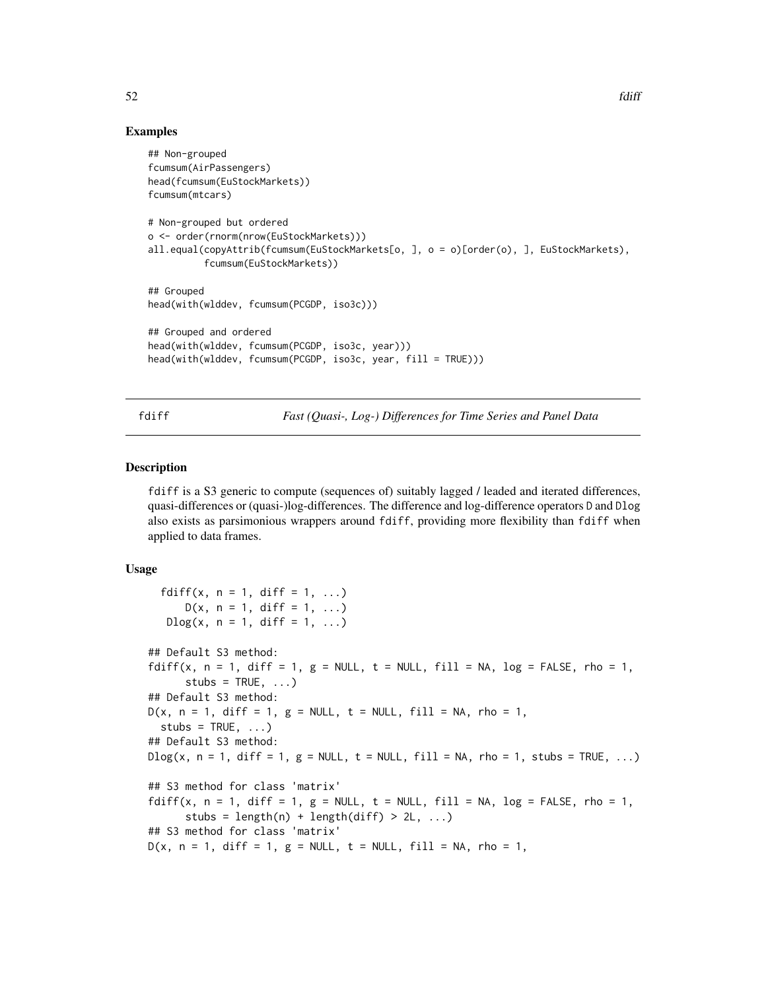# Examples

```
## Non-grouped
fcumsum(AirPassengers)
head(fcumsum(EuStockMarkets))
fcumsum(mtcars)
# Non-grouped but ordered
o <- order(rnorm(nrow(EuStockMarkets)))
all.equal(copyAttrib(fcumsum(EuStockMarkets[o, ], o = o)[order(o), ], EuStockMarkets),
          fcumsum(EuStockMarkets))
## Grouped
head(with(wlddev, fcumsum(PCGDP, iso3c)))
## Grouped and ordered
head(with(wlddev, fcumsum(PCGDP, iso3c, year)))
head(with(wlddev, fcumsum(PCGDP, iso3c, year, fill = TRUE)))
```
<span id="page-51-0"></span>fdiff *Fast (Quasi-, Log-) Differences for Time Series and Panel Data*

#### Description

fdiff is a S3 generic to compute (sequences of) suitably lagged / leaded and iterated differences, quasi-differences or (quasi-)log-differences. The difference and log-difference operators D and Dlog also exists as parsimonious wrappers around fdiff, providing more flexibility than fdiff when applied to data frames.

#### Usage

```
fdiff(x, n = 1, diff = 1, ...)
      D(x, n = 1, diff = 1, ...)Dlog(x, n = 1, diff = 1, ...)## Default S3 method:
fdiff(x, n = 1, diff = 1, g = NULL, t = NULL, fill = NA, log = FALSE, rho = 1,
      stubs = TRUE, ...)
## Default S3 method:
D(x, n = 1, diff = 1, g = NULL, t = NULL, fill = NA, rho = 1,stubs = TRUE, ...)
## Default S3 method:
D\log(x, n = 1, \text{diff} = 1, g = \text{NULL}, t = \text{NULL}, \text{fill} = \text{NA}, \text{rho} = 1, \text{ stubs} = \text{TRUE}, ...## S3 method for class 'matrix'
fdiff(x, n = 1, diff = 1, g = NULL, t = NULL, fill = NA, log = FALSE, rho = 1,
      stubs = length(n) + length(diff) > 2L, ...)
## S3 method for class 'matrix'
D(x, n = 1, diff = 1, g = NULL, t = NULL, fill = NA, rho = 1,
```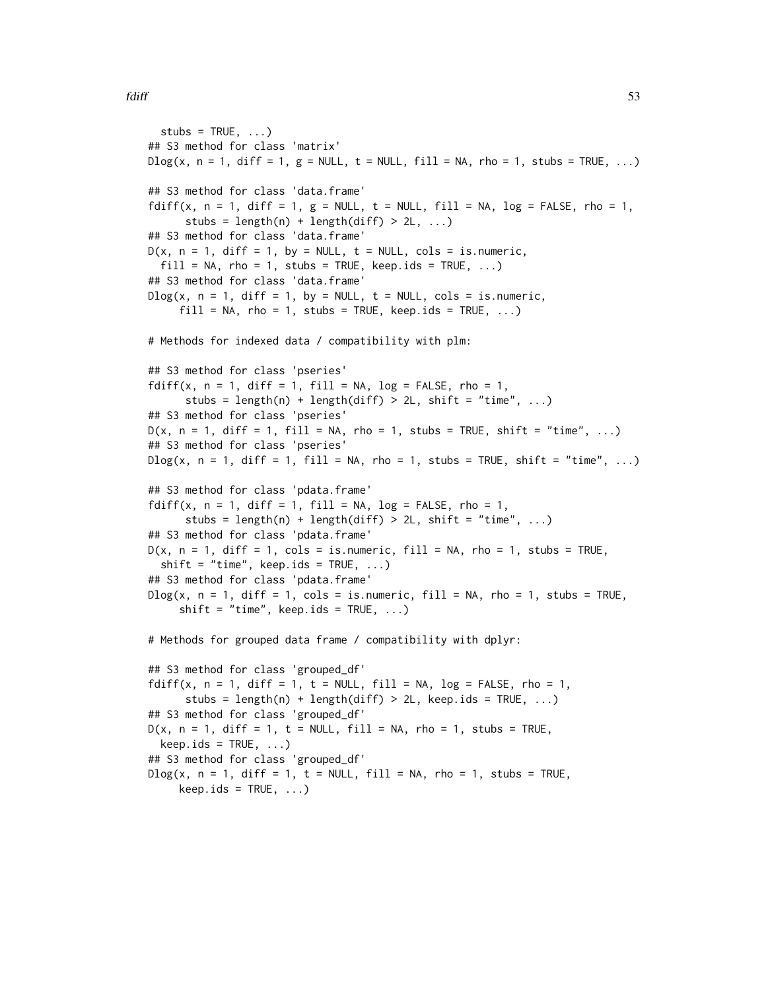```
stubs = TRUE, ...)
## S3 method for class 'matrix'
D\log(x, n = 1, \text{diff} = 1, g = \text{NULL}, t = \text{NULL}, \text{fill} = \text{NA}, \text{rho} = 1, \text{ stubs} = \text{TRUE}, \dots)## S3 method for class 'data.frame'
fdiff(x, n = 1, diff = 1, g = NULL, t = NULL, fill = NA, log = FALSE, rho = 1,
      stubs = length(n) + length(diff) > 2L, ...)
## S3 method for class 'data.frame'
D(x, n = 1, diff = 1, by = NULL, t = NULL, cols = is.numeric,fill = NA, rho = 1, stubs = TRUE, keep.ids = TRUE, ...)
## S3 method for class 'data.frame'
Dlog(x, n = 1, diff = 1, by = NULL, t = NULL, cols = is.numeric,fill = NA, rho = 1, ਂtubs = TRUE, keep.ids = TRUE, ...)# Methods for indexed data / compatibility with plm:
## S3 method for class 'pseries'
fdiff(x, n = 1, diff = 1, fill = NA, log = FALSE, rho = 1,
      stubs = length(n) + length(diff) > 2L, shift = "time", ...)
## S3 method for class 'pseries'
D(x, n = 1, diff = 1, fill = NA, rho = 1, stubs = TRUE, shift = "time", ...)## S3 method for class 'pseries'
D\log(x, n = 1, \text{diff} = 1, \text{fill} = \text{NA}, \text{rho} = 1, \text{ stubs} = \text{TRUE}, \text{shift} = \text{"time", ...}## S3 method for class 'pdata.frame'
fdiff(x, n = 1, diff = 1, fill = NA, log = FALSE, rho = 1,
      stubs = length(n) + length(diff) > 2L, shift = "time", ...)
## S3 method for class 'pdata.frame'
D(x, n = 1, diff = 1, cols = is.numeric, fill = NA, rho = 1, stubs = TRUE,shift = "time", keep.ids = TRUE, ...)
## S3 method for class 'pdata.frame'
Dlog(x, n = 1, diff = 1, cols = is.numeric, fill = NA, rho = 1, stubs = TRUE,shift = "time", keep.ids = TRUE, ...)
# Methods for grouped data frame / compatibility with dplyr:
## S3 method for class 'grouped_df'
fdiff(x, n = 1, diff = 1, t = NULL, fill = NA, log = FALSE, rho = 1,
      stubs = length(n) + length(diff) > 2L, keep.ids = TRUE, \dots)
## S3 method for class 'grouped_df'
D(x, n = 1, diff = 1, t = NULL, fill = NA, rho = 1, stubs = TRUE,keep.ids = TRUE, ...)## S3 method for class 'grouped_df'
Dlog(x, n = 1, diff = 1, t = NULL, fill = NA, rho = 1, stubs = TRUE,keep.ids = TRUE, ...)
```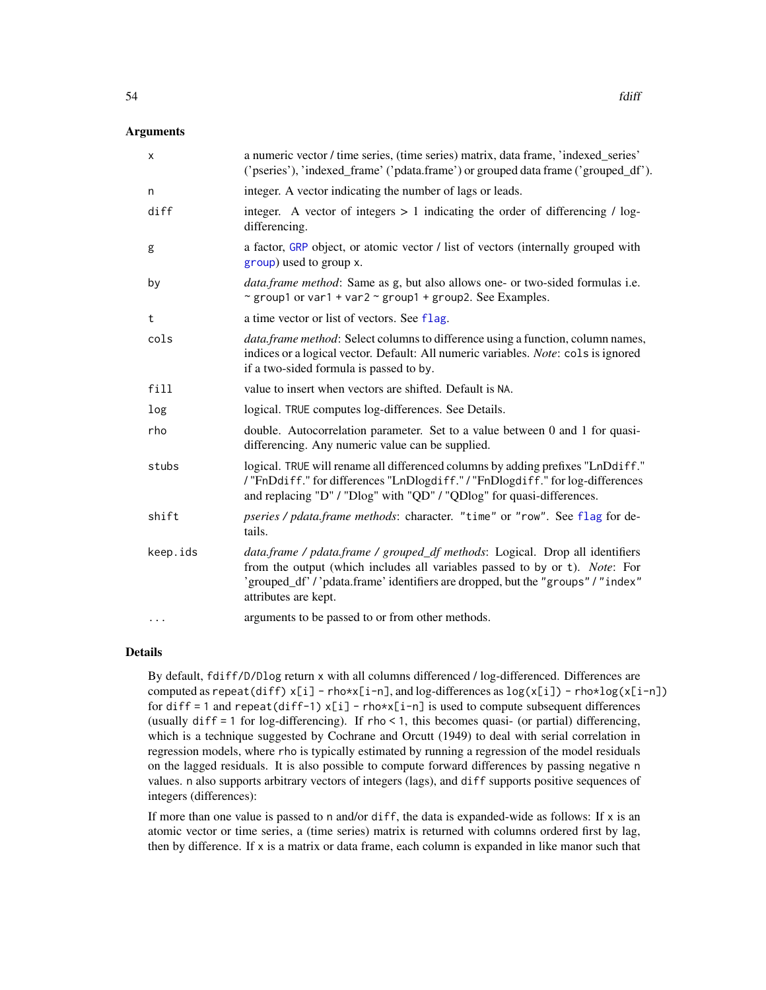# **Arguments**

| х        | a numeric vector / time series, (time series) matrix, data frame, 'indexed_series'<br>('pseries'), 'indexed_frame' ('pdata.frame') or grouped data frame ('grouped_df').                                                                                           |
|----------|--------------------------------------------------------------------------------------------------------------------------------------------------------------------------------------------------------------------------------------------------------------------|
| n        | integer. A vector indicating the number of lags or leads.                                                                                                                                                                                                          |
| diff     | integer. A vector of integers $> 1$ indicating the order of differencing / log-<br>differencing.                                                                                                                                                                   |
| g        | a factor, GRP object, or atomic vector / list of vectors (internally grouped with<br>group) used to group x.                                                                                                                                                       |
| by       | <i>data.frame method:</i> Same as g, but also allows one- or two-sided formulas i.e.<br>~ group1 or var1 + var2 ~ group1 + group2. See Examples.                                                                                                                   |
| t        | a time vector or list of vectors. See flag.                                                                                                                                                                                                                        |
| cols     | <i>data.frame method</i> : Select columns to difference using a function, column names,<br>indices or a logical vector. Default: All numeric variables. Note: cols is ignored<br>if a two-sided formula is passed to by.                                           |
| fill     | value to insert when vectors are shifted. Default is NA.                                                                                                                                                                                                           |
| log      | logical. TRUE computes log-differences. See Details.                                                                                                                                                                                                               |
| rho      | double. Autocorrelation parameter. Set to a value between 0 and 1 for quasi-<br>differencing. Any numeric value can be supplied.                                                                                                                                   |
| stubs    | logical. TRUE will rename all differenced columns by adding prefixes "LnDdiff."<br>/"FnDdiff." for differences "LnDlogdiff." / "FnDlogdiff." for log-differences<br>and replacing "D" / "Dlog" with "QD" / "QDlog" for quasi-differences.                          |
| shift    | pseries / pdata.frame methods: character. "time" or "row". See flag for de-<br>tails.                                                                                                                                                                              |
| keep.ids | data.frame / pdata.frame / grouped_df methods: Logical. Drop all identifiers<br>from the output (which includes all variables passed to by or t). Note: For<br>'grouped_df'/'pdata.frame'identifiers are dropped, but the "groups"/"index"<br>attributes are kept. |
| $\cdots$ | arguments to be passed to or from other methods.                                                                                                                                                                                                                   |

# Details

By default, fdiff/D/Dlog return x with all columns differenced / log-differenced. Differences are computed as repeat(diff)  $x[i]$  - rho\*x[i-n], and log-differences as  $log(x[i])$  - rho\*log(x[i-n]) for diff = 1 and repeat(diff-1)  $x[i]$  - rho\* $x[i-n]$  is used to compute subsequent differences (usually diff = 1 for log-differencing). If rho < 1, this becomes quasi- (or partial) differencing, which is a technique suggested by Cochrane and Orcutt (1949) to deal with serial correlation in regression models, where rho is typically estimated by running a regression of the model residuals on the lagged residuals. It is also possible to compute forward differences by passing negative n values. n also supports arbitrary vectors of integers (lags), and diff supports positive sequences of integers (differences):

If more than one value is passed to n and/or diff, the data is expanded-wide as follows: If  $x$  is an atomic vector or time series, a (time series) matrix is returned with columns ordered first by lag, then by difference. If x is a matrix or data frame, each column is expanded in like manor such that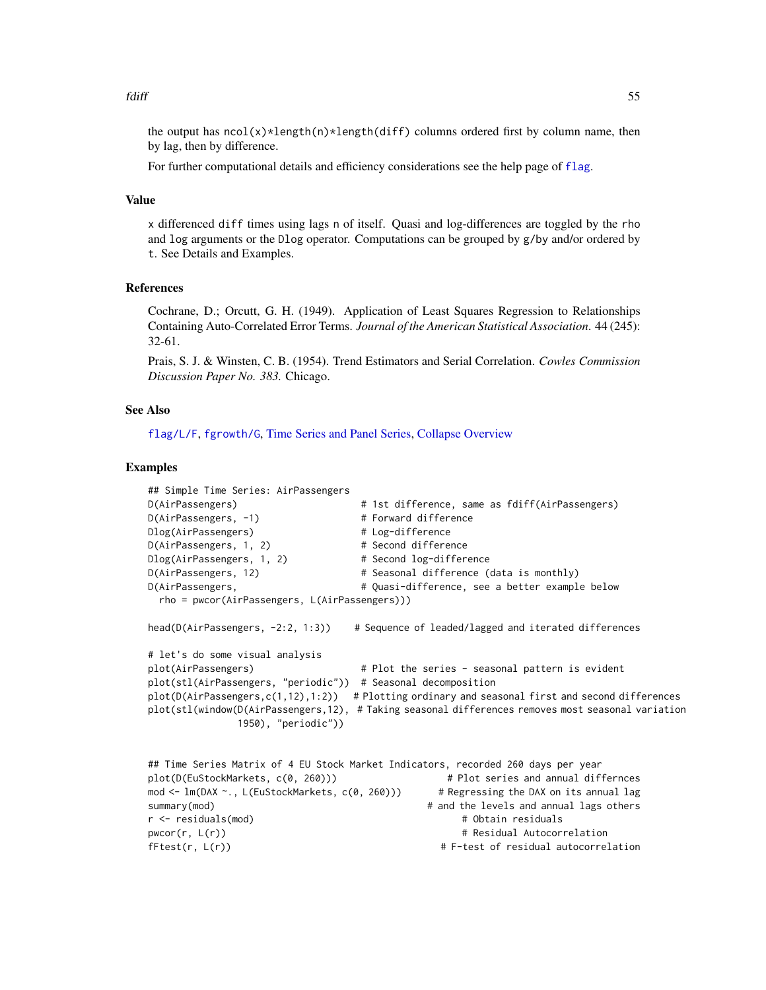#### fdiff 55

the output has  $ncol(x)*length(n)*length(diff)$  columns ordered first by column name, then by lag, then by difference.

For further computational details and efficiency considerations see the help page of [flag](#page-68-0).

## Value

x differenced diff times using lags n of itself. Quasi and log-differences are toggled by the rho and log arguments or the Dlog operator. Computations can be grouped by g/by and/or ordered by t. See Details and Examples.

### References

Cochrane, D.; Orcutt, G. H. (1949). Application of Least Squares Regression to Relationships Containing Auto-Correlated Error Terms. *Journal of the American Statistical Association*. 44 (245): 32-61.

Prais, S. J. & Winsten, C. B. (1954). Trend Estimators and Serial Correlation. *Cowles Commission Discussion Paper No. 383.* Chicago.

# See Also

[flag/L/F](#page-68-0), [fgrowth/G](#page-61-0), [Time Series and Panel Series,](#page-179-0) [Collapse Overview](#page-23-0)

```
## Simple Time Series: AirPassengers
D(AirPassengers) # 1st difference, same as fdiff(AirPassengers)
D(AirPassengers, -1) # Forward difference
Dlog(AirPassengers) # Log-difference
D(AirPassengers, 1, 2) # Second difference
Dlog(AirPassengers, 1, 2) # Second log-difference
D(AirPassengers, 12) \qquad \qquad \qquad # Seasonal difference (data is monthly)
D(AirPassengers, \qquad \qquad \qquad \qquad \qquad \qquad \qquad \qquad \text{Quasi-difference, see a better example below}rho = pwcor(AirPassengers, L(AirPassengers)))
head(D(AirPassengers, -2:2, 1:3) # Sequence of leaded/lagged and iterated differences
# let's do some visual analysis
plot(AirPassengers) # Plot the series - seasonal pattern is evident
plot(stl(AirPassengers, "periodic")) # Seasonal decomposition
plot(D(AirPassengers, c(1, 12), 1:2)) # Plotting ordinary and seasonal first and second differences
plot(stl(window(D(AirPassengers,12), # Taking seasonal differences removes most seasonal variation
              1950), "periodic"))
## Time Series Matrix of 4 EU Stock Market Indicators, recorded 260 days per year
plot(D(EuStockMarkets, c(0, 260))) # Plot series and annual differnces
mod <- lm(DAX ~., L(EuStockMarkets, c(0, 260))) # Regressing the DAX on its annual lag
summary(mod) A and the levels and annual lags others
r <- residuals(mod) # Obtain residuals
pwcor(r, L(r)) \qquad \qquad \qquad # Residual Autocorrelation
fFtest(r, L(r)) # F-test of residual autocorrelation
```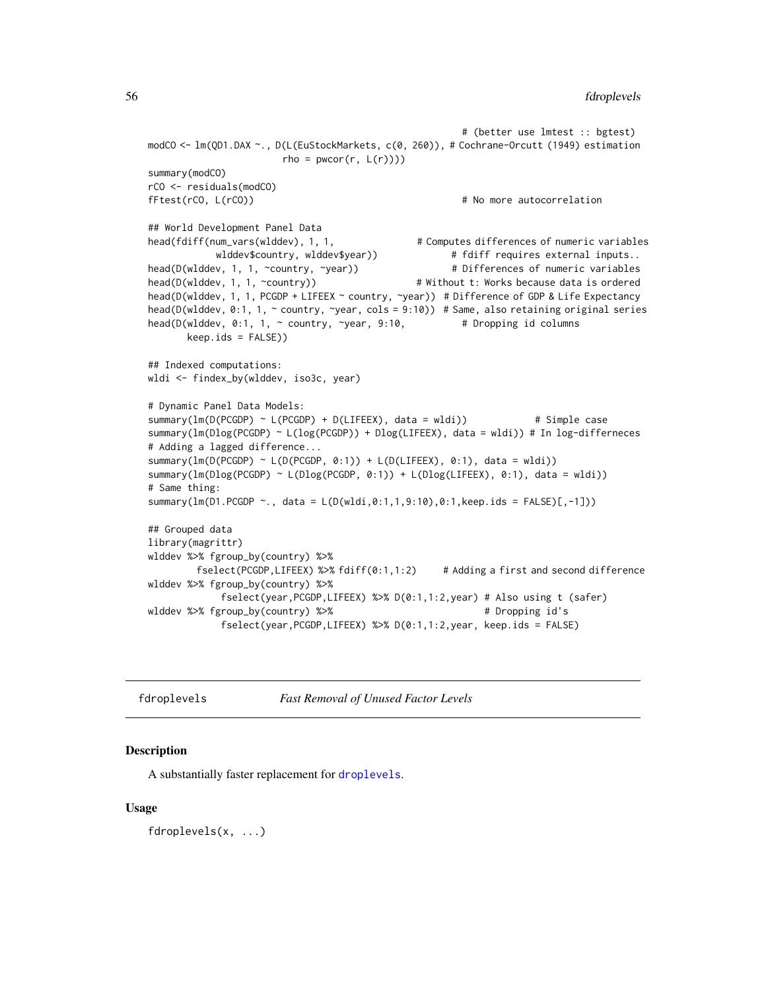```
# (better use lmtest :: bgtest)
modCO <- lm(QD1.DAX ~., D(L(EuStockMarkets, c(0, 260)), # Cochrane-Orcutt (1949) estimation
                      rho = pwcor(r, L(r))))summary(modCO)
rCO <- residuals(modCO)
fFtest(rCO, L(rCO)) # No more autocorrelation
## World Development Panel Data
head(fdiff(num_vars(wlddev), 1, 1, # Computes differences of numeric variables
           wlddev$country, wlddev$year)) \qquad \qquad \qquad \qquad \qquad \text{+} fdiff requires external inputs..
head(D(wlddev, 1, 1, ~country, ~year)) # Differences of numeric variables
head(D(wlddev, 1, 1, ~country)) # Without t: Works because data is ordered
head(D(wlddev, 1, 1, PCGDP + LIFEEX ~ country, ~year)) # Difference of GDP & Life Expectancy
head(D(wlddev, 0:1, 1, ~ country, ~year, cols = 9:10)) # Same, also retaining original series
head(D(wlddev, 0:1, 1, ~ country, ~year, 9:10, # Dropping id columns
      keep.ids = FALSE))
## Indexed computations:
wldi <- findex_by(wlddev, iso3c, year)
# Dynamic Panel Data Models:
summary(lm(D(PCGDP) \sim L(PCGDP) + D(LIFEEX), data = wldi)) # Simple case
summary(lm(Dlog(PCGDP) ~ L(log(PCGDP)) + Dlog(LIFEEX), data = wldi)) # In log-differneces
# Adding a lagged difference...
summary(lm(D(PCGDP) \sim L(D(PCGDP, 0:1)) + L(D(LIFLEX), 0:1), data = wldi))summary(lm(Dlog(PCGDP) ~ L(Dlog(PCGDP, 0:1)) + L(Dlog(LIFEEX), 0:1), data = wldi))
# Same thing:
summary(lm(D1.PCGDP ~., data = L(D(wldi,0:1,1,9:10),0:1,keep.ids = FALSE)[,-1]))
## Grouped data
library(magrittr)
wlddev %>% fgroup_by(country) %>%
        fselect(PCGDP,LIFEEX) %>% fdiff(0:1,1:2) # Adding a first and second difference
wlddev %>% fgroup_by(country) %>%
            fselect(year,PCGDP,LIFEEX) %>% D(0:1,1:2,year) # Also using t (safer)
wlddev %>% fgroup_by(country) %>% # Dropping id's
            fselect(year,PCGDP,LIFEEX) %>% D(0:1,1:2,year, keep.ids = FALSE)
```
<span id="page-55-0"></span>

fdroplevels *Fast Removal of Unused Factor Levels*

## **Description**

A substantially faster replacement for [droplevels](#page-0-0).

#### Usage

fdroplevels(x, ...)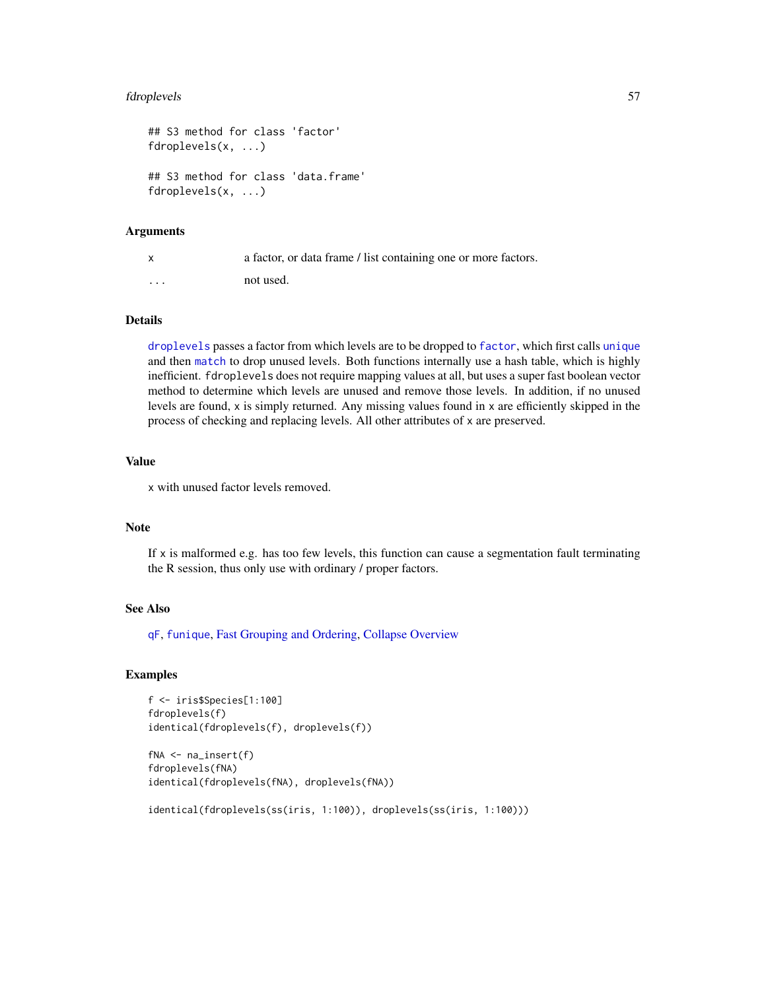# fdroplevels 57

```
## S3 method for class 'factor'
fdroplevels(x, ...)
## S3 method for class 'data.frame'
fdroplevels(x, ...)
```
#### Arguments

| $\mathsf{x}$ | a factor, or data frame / list containing one or more factors. |
|--------------|----------------------------------------------------------------|
| $\cdots$     | not used.                                                      |

## Details

[droplevels](#page-0-0) passes a factor from which levels are to be dropped to [factor](#page-0-0), which first calls [unique](#page-0-0) and then [match](#page-0-0) to drop unused levels. Both functions internally use a hash table, which is highly inefficient. fdroplevels does not require mapping values at all, but uses a super fast boolean vector method to determine which levels are unused and remove those levels. In addition, if no unused levels are found, x is simply returned. Any missing values found in x are efficiently skipped in the process of checking and replacing levels. All other attributes of x are preserved.

# Value

x with unused factor levels removed.

### Note

If  $x$  is malformed e.g. has too few levels, this function can cause a segmentation fault terminating the R session, thus only use with ordinary / proper factors.

## See Also

[qF](#page-151-0), [funique](#page-115-0), [Fast Grouping and Ordering,](#page-39-0) [Collapse Overview](#page-23-0)

```
f <- iris$Species[1:100]
fdroplevels(f)
identical(fdroplevels(f), droplevels(f))
```

```
fNA <- na_insert(f)
fdroplevels(fNA)
identical(fdroplevels(fNA), droplevels(fNA))
```

```
identical(fdroplevels(ss(iris, 1:100)), droplevels(ss(iris, 1:100)))
```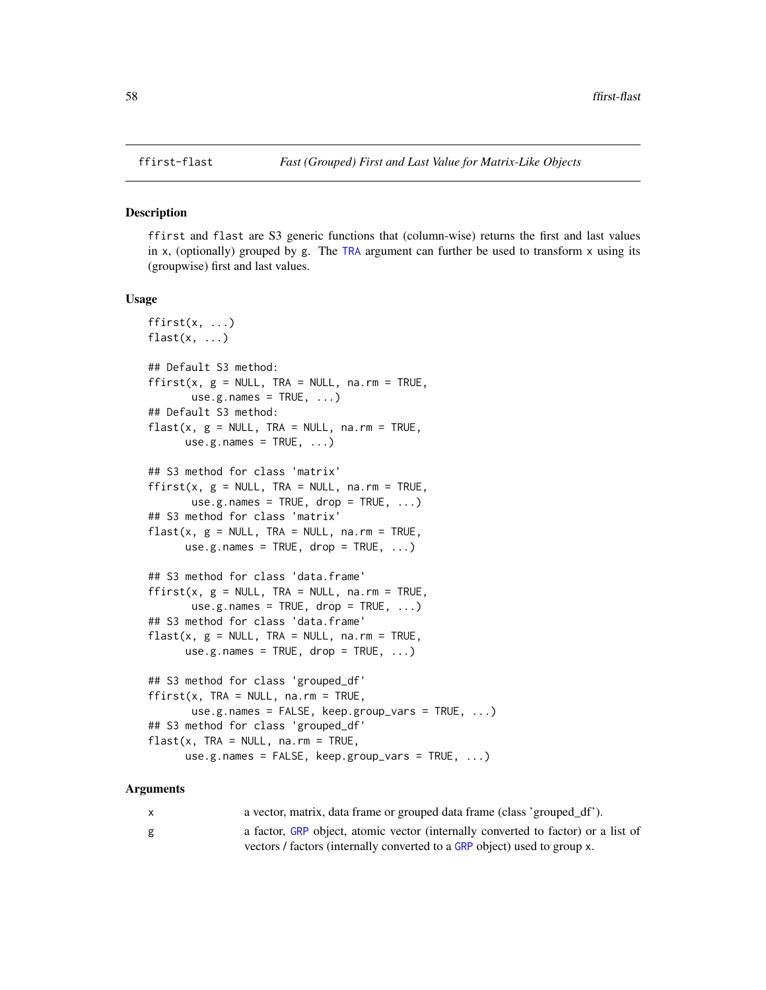# <span id="page-57-0"></span>Description

ffirst and flast are S3 generic functions that (column-wise) returns the first and last values in x, (optionally) grouped by g. The [TRA](#page-182-0) argument can further be used to transform  $x$  using its (groupwise) first and last values.

#### Usage

```
ffirst(x, ...)
flast(x, \ldots)## Default S3 method:
ffirst(x, g = NULL, TRA = NULL, na.rm = TRUE,use.g. names = TRUE, ...)## Default S3 method:
flast(x, g = NULL, TRA = NULL, na.rm = TRUE,use.g.names = TRUE, ...)
## S3 method for class 'matrix'
ffirst(x, g = NULL, TRA = NULL, na.rm = TRUE,use.g.names = TRUE, drop = TRUE, ...)
## S3 method for class 'matrix'
flast(x, g = NULL, TRA = NULL, na.rm = TRUE,use.g.names = TRUE, drop = TRUE, ...)
## S3 method for class 'data.frame'
ffirst(x, g = NULL, TRA = NULL, na.rm = TRUE,use.g.names = TRUE, drop = TRUE, ...## S3 method for class 'data.frame'
flast(x, g = NULL, TRA = NULL, na.rm = TRUE,use.g.names = TRUE, drop = TRUE, ...)
## S3 method for class 'grouped_df'
ffirst(x, TRA = NULL, na.m = TRUE,use.g.names = FALSE, keep.group_vars = TRUE, ...)
## S3 method for class 'grouped_df'
flast(x, TRA = NULL, na.rm = TRUE,use.g.names = FALSE, keep.group_vars = TRUE, ...)
```

| X | a vector, matrix, data frame or grouped data frame (class 'grouped_df').          |
|---|-----------------------------------------------------------------------------------|
| g | a factor, GRP object, atomic vector (internally converted to factor) or a list of |
|   | vectors / factors (internally converted to a GRP object) used to group x.         |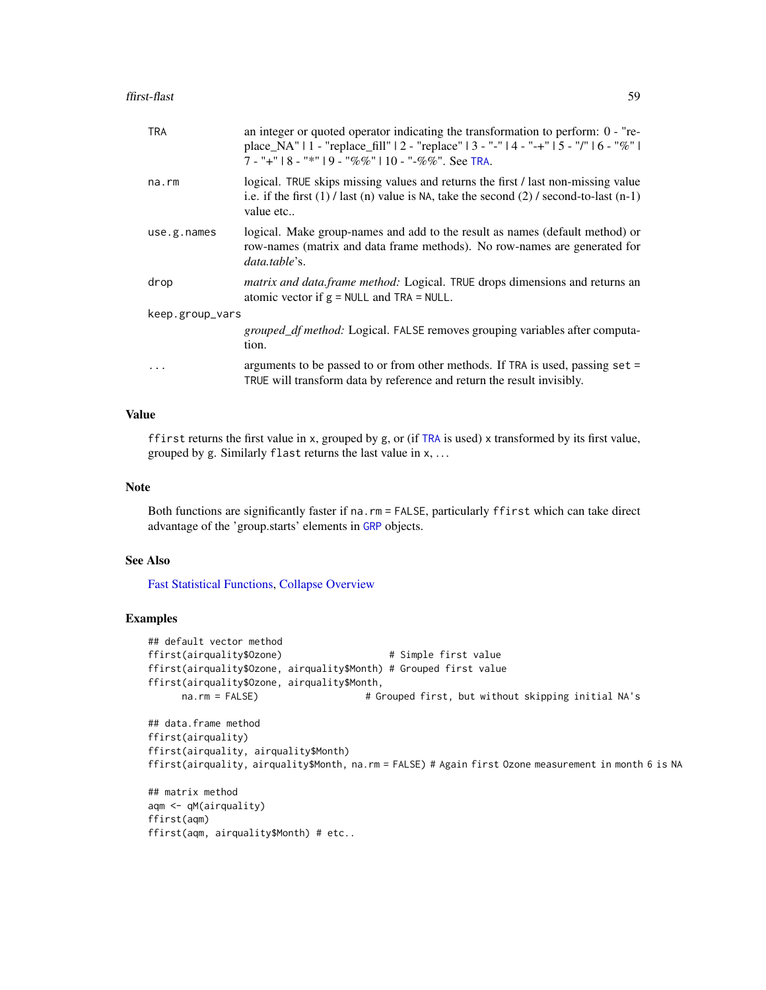| place_NA"   1 - "replace_fill"   2 - "replace"   3 - "-"   4 - "-+"   5 - "/"   6 - "%"  <br>$7 -$ "+"   8 - "*"   9 - "%%"   10 - "-%%". See TRA.                                                          |  |
|-------------------------------------------------------------------------------------------------------------------------------------------------------------------------------------------------------------|--|
| logical. TRUE skips missing values and returns the first / last non-missing value<br>na.rm<br>i.e. if the first $(1)$ / last $(n)$ value is NA, take the second $(2)$ / second-to-last $(n-1)$<br>value etc |  |
| logical. Make group-names and add to the result as names (default method) or<br>use.g.name<br>row-names (matrix and data frame methods). No row-names are generated for<br>data.table's.                    |  |
| matrix and data.frame method: Logical. TRUE drops dimensions and returns an<br>drop<br>atomic vector if $g = NULL$ and TRA = NULL.                                                                          |  |
| keep.group_vars                                                                                                                                                                                             |  |
| grouped_df method: Logical. FALSE removes grouping variables after computa-<br>tion.                                                                                                                        |  |
| arguments to be passed to or from other methods. If TRA is used, passing $set =$<br>.<br>TRUE will transform data by reference and return the result invisibly.                                             |  |

# Value

ffirst returns the first value in x, grouped by g, or (if [TRA](#page-182-0) is used) x transformed by its first value, grouped by g. Similarly flast returns the last value in x, . . .

# Note

Both functions are significantly faster if na.rm = FALSE, particularly ffirst which can take direct advantage of the 'group.starts' elements in [GRP](#page-127-1) objects.

# See Also

[Fast Statistical Functions,](#page-41-0) [Collapse Overview](#page-23-0)

```
## default vector method
ffirst(airquality$Ozone) # Simple first value
ffirst(airquality$Ozone, airquality$Month) # Grouped first value
ffirst(airquality$Ozone, airquality$Month,
     na.rm = FALSE) \qquad # Grouped first, but without skipping initial NA's
## data.frame method
ffirst(airquality)
ffirst(airquality, airquality$Month)
ffirst(airquality, airquality$Month, na.rm = FALSE) # Again first Ozone measurement in month 6 is NA
## matrix method
aqm <- qM(airquality)
ffirst(aqm)
ffirst(aqm, airquality$Month) # etc..
```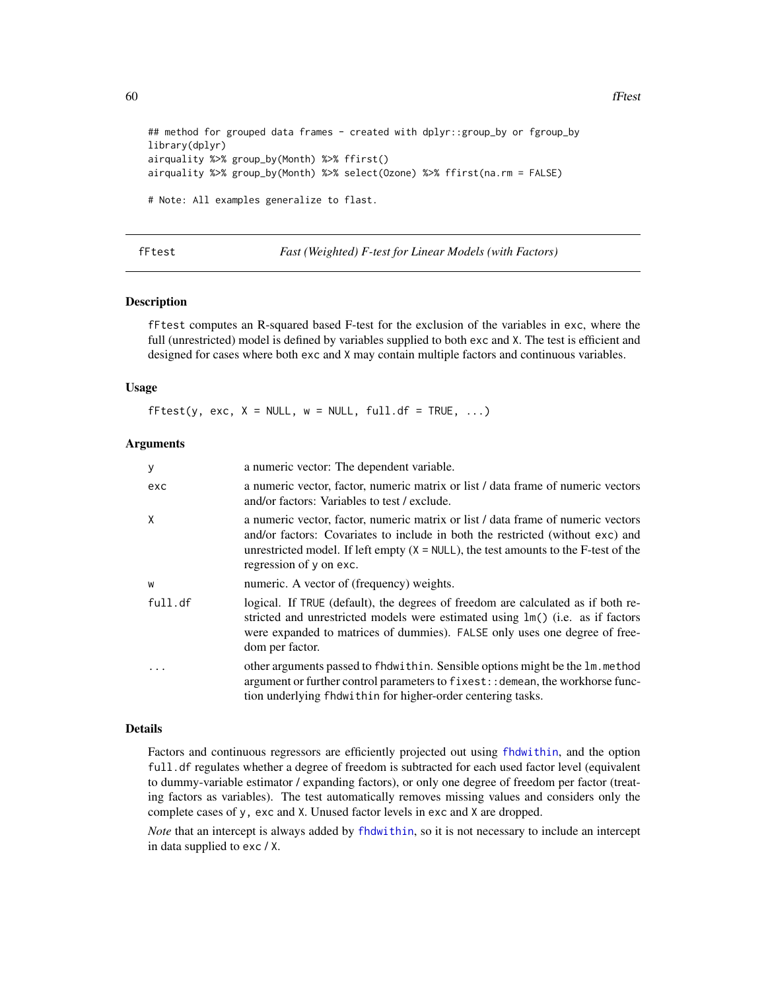60 fFtest

```
## method for grouped data frames - created with dplyr::group_by or fgroup_by
library(dplyr)
airquality %>% group_by(Month) %>% ffirst()
airquality %>% group_by(Month) %>% select(Ozone) %>% ffirst(na.rm = FALSE)
# Note: All examples generalize to flast.
```
## <span id="page-59-0"></span>fFtest *Fast (Weighted) F-test for Linear Models (with Factors)*

## Description

fFtest computes an R-squared based F-test for the exclusion of the variables in exc, where the full (unrestricted) model is defined by variables supplied to both exc and X. The test is efficient and designed for cases where both exc and X may contain multiple factors and continuous variables.

#### Usage

 $fFtest(y, exc, X = NULL, w = NULL, full. df = TRUE, ...)$ 

#### Arguments

| У       | a numeric vector: The dependent variable.                                                                                                                                                                                                                                               |
|---------|-----------------------------------------------------------------------------------------------------------------------------------------------------------------------------------------------------------------------------------------------------------------------------------------|
| exc     | a numeric vector, factor, numeric matrix or list / data frame of numeric vectors<br>and/or factors: Variables to test / exclude.                                                                                                                                                        |
| X       | a numeric vector, factor, numeric matrix or list / data frame of numeric vectors<br>and/or factors: Covariates to include in both the restricted (without exc) and<br>unrestricted model. If left empty $(X = NULL)$ , the test amounts to the F-test of the<br>regression of y on exc. |
| W       | numeric. A vector of (frequency) weights.                                                                                                                                                                                                                                               |
| full.df | logical. If TRUE (default), the degrees of freedom are calculated as if both re-<br>stricted and unrestricted models were estimated using lm() (i.e. as if factors<br>were expanded to matrices of dummies). FALSE only uses one degree of free-<br>dom per factor.                     |
|         | other arguments passed to fhdwithin. Sensible options might be the 1m. method<br>argument or further control parameters to fixest:: demean, the workhorse func-<br>tion underlying fhdwithin for higher-order centering tasks.                                                          |

### Details

Factors and continuous regressors are efficiently projected out using [fhdwithin](#page-64-0), and the option full. df regulates whether a degree of freedom is subtracted for each used factor level (equivalent to dummy-variable estimator / expanding factors), or only one degree of freedom per factor (treating factors as variables). The test automatically removes missing values and considers only the complete cases of y, exc and X. Unused factor levels in exc and X are dropped.

*Note* that an intercept is always added by [fhdwithin](#page-64-0), so it is not necessary to include an intercept in data supplied to exc / X.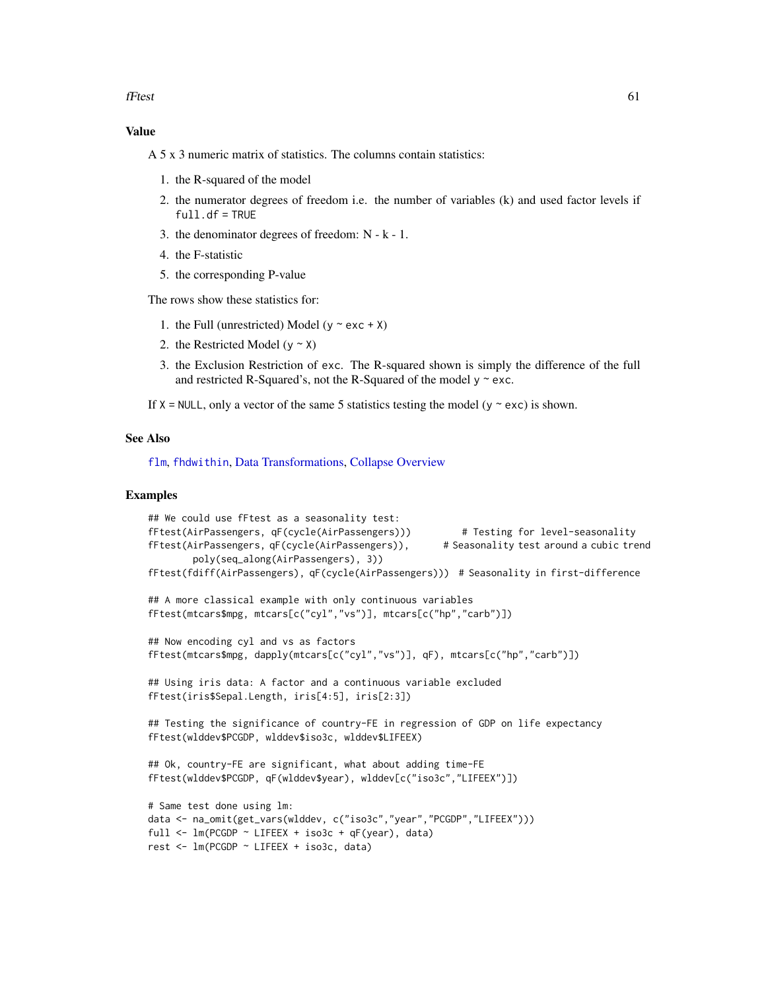fFtest 61

# Value

A 5 x 3 numeric matrix of statistics. The columns contain statistics:

- 1. the R-squared of the model
- 2. the numerator degrees of freedom i.e. the number of variables (k) and used factor levels if  $full.df = TRUE$
- 3. the denominator degrees of freedom: N k 1.
- 4. the F-statistic
- 5. the corresponding P-value

The rows show these statistics for:

- 1. the Full (unrestricted) Model ( $y \sim$  exc + X)
- 2. the Restricted Model ( $y \sim X$ )
- 3. the Exclusion Restriction of exc. The R-squared shown is simply the difference of the full and restricted R-Squared's, not the R-Squared of the model  $y \sim$  exc.
- If  $X = NULL$ , only a vector of the same 5 statistics testing the model (y  $\sim$  exc) is shown.

# See Also

[flm](#page-72-0), [fhdwithin](#page-64-0), [Data Transformations,](#page-30-0) [Collapse Overview](#page-23-0)

```
## We could use fFtest as a seasonality test:
fFtest(AirPassengers, qF(cycle(AirPassengers))) # Testing for level-seasonality
fFtest(AirPassengers, qF(cycle(AirPassengers)), # Seasonality test around a cubic trend
        poly(seq_along(AirPassengers), 3))
fFtest(fdiff(AirPassengers), qF(cycle(AirPassengers))) # Seasonality in first-difference
## A more classical example with only continuous variables
fFtest(mtcars$mpg, mtcars[c("cyl","vs")], mtcars[c("hp","carb")])
## Now encoding cyl and vs as factors
fFtest(mtcars$mpg, dapply(mtcars[c("cyl","vs")], qF), mtcars[c("hp","carb")])
## Using iris data: A factor and a continuous variable excluded
fFtest(iris$Sepal.Length, iris[4:5], iris[2:3])
## Testing the significance of country-FE in regression of GDP on life expectancy
fFtest(wlddev$PCGDP, wlddev$iso3c, wlddev$LIFEEX)
## Ok, country-FE are significant, what about adding time-FE
fFtest(wlddev$PCGDP, qF(wlddev$year), wlddev[c("iso3c","LIFEEX")])
# Same test done using lm:
data <- na_omit(get_vars(wlddev, c("iso3c","year","PCGDP","LIFEEX")))
full <- lm(PCGDP ~ LIFEEX + iso3c + qF(year), data)
rest <- lm(PCGDP ~ LIFEEX + iso3c, data)
```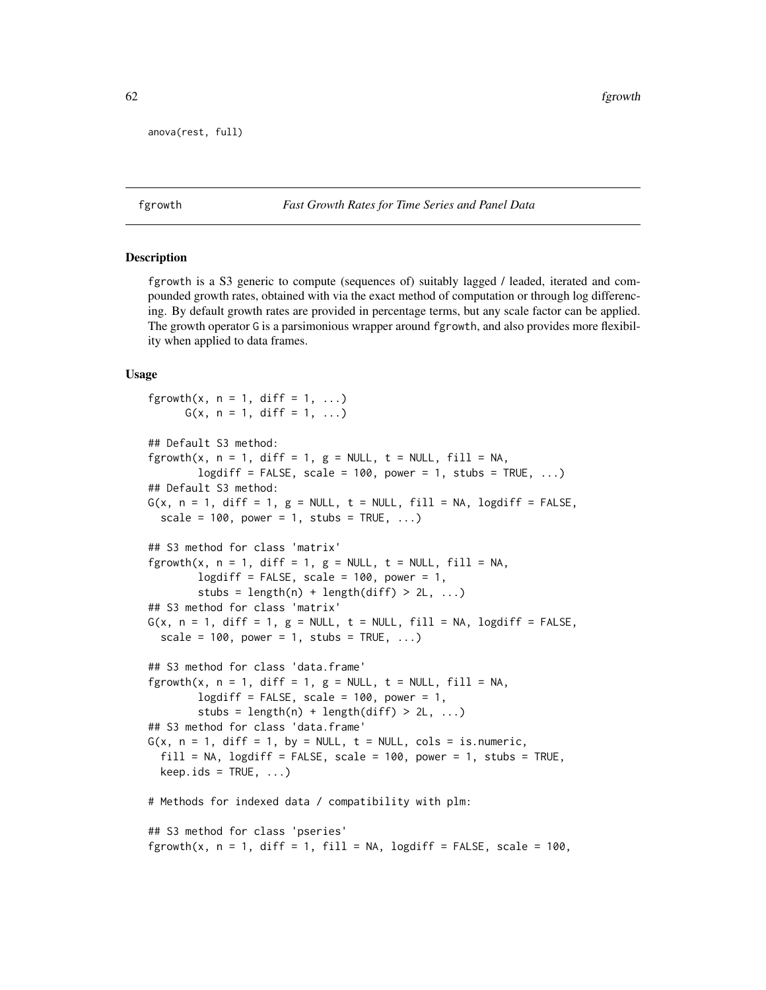```
anova(rest, full)
```
<span id="page-61-0"></span>fgrowth *Fast Growth Rates for Time Series and Panel Data*

## **Description**

fgrowth is a S3 generic to compute (sequences of) suitably lagged / leaded, iterated and compounded growth rates, obtained with via the exact method of computation or through log differencing. By default growth rates are provided in percentage terms, but any scale factor can be applied. The growth operator G is a parsimonious wrapper around fgrowth, and also provides more flexibility when applied to data frames.

#### Usage

```
fgrowth(x, n = 1, diff = 1, ...)
     G(x, n = 1, diff = 1, ...)## Default S3 method:
fgrowth(x, n = 1, diff = 1, g = NULL, t = NULL, fill = NA,
       logdiff = FALSE, scale = 100, power = 1, stubs = TRUE, ...)## Default S3 method:
G(x, n = 1, diff = 1, g = NULL, t = NULL, fill = NA, logarithf = FALSE,scale = 100, power = 1, stubs = TRUE, ...)
## S3 method for class 'matrix'
fgrowth(x, n = 1, diff = 1, g = NULL, t = NULL, fill = NA,
       logdiff = FALSE, scale = 100, power = 1,
        stubs = length(n) + length(diff) > 2L, ...)
## S3 method for class 'matrix'
G(x, n = 1, diff = 1, g = NULL, t = NULL, fill = NA, logdiff = FALSE,scale = 100, power = 1, stubs = TRUE, ...)
## S3 method for class 'data.frame'
fgrowth(x, n = 1, diff = 1, g = NULL, t = NULL, fill = NA,
       logdiff = FALSE, scale = 100, power = 1,
        stubs = length(n) + length(diff) > 2L, ...)
## S3 method for class 'data.frame'
G(x, n = 1, diff = 1, by = NULL, t = NULL, cols = is.numeric,fill = NA, logdiff = FALSE, scale = 100, power = 1, stubs = TRUE,
 keep.ids = TRUE, ...)# Methods for indexed data / compatibility with plm:
## S3 method for class 'pseries'
fgrowth(x, n = 1, diff = 1, fill = NA, logdiff = FALSE, scale = 100,
```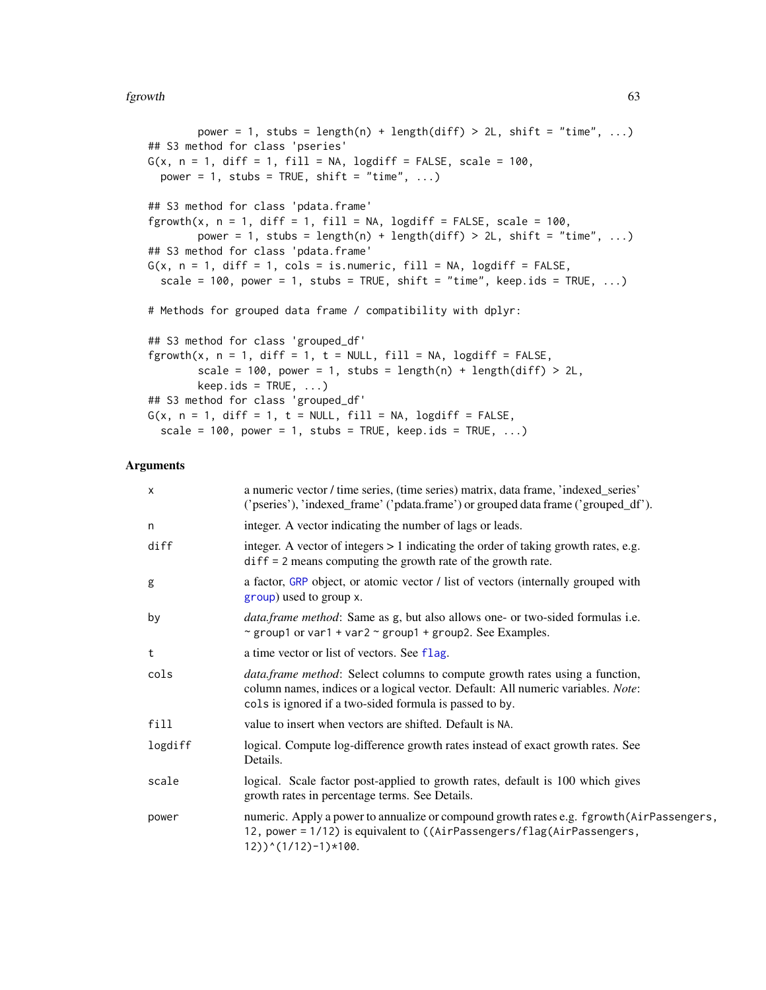#### fgrowth 63

```
power = 1, stubs = length(n) + length(diff) > 2L, shift = "time", ...)
## S3 method for class 'pseries'
G(x, n = 1, diff = 1, fill = NA, logdiff = FALSE, scale = 100,power = 1, stubs = TRUE, shift = "time", \dots)
## S3 method for class 'pdata.frame'
fgrowth(x, n = 1, diff = 1, fill = NA, logdiff = FALSE, scale = 100,
        power = 1, stubs = length(n) + length(diff) > 2L, shift = "time", ...)
## S3 method for class 'pdata.frame'
G(x, n = 1, diff = 1, cols = is.numeric, fill = NA, logdiff = FALSE,scale = 100, power = 1, stubs = TRUE, shift = "time", keep.ids = TRUE, ...)
# Methods for grouped data frame / compatibility with dplyr:
## S3 method for class 'grouped_df'
fgrowth(x, n = 1, diff = 1, t = NULL, fill = NA, logdiff = FALSE,
        scale = 100, power = 1, stubs = length(n) + length(diff) > 2L,
        keep.ids = TRUE, ...)## S3 method for class 'grouped_df'
G(x, n = 1, diff = 1, t = NULL, fill = NA, logdiff = FALSE,scale = 100, power = 1, stubs = TRUE, keep.ids = TRUE, ...)
```

| $\boldsymbol{\mathsf{x}}$ | a numeric vector / time series, (time series) matrix, data frame, 'indexed_series'<br>('pseries'), 'indexed_frame' ('pdata.frame') or grouped data frame ('grouped_df').                                                          |
|---------------------------|-----------------------------------------------------------------------------------------------------------------------------------------------------------------------------------------------------------------------------------|
| n                         | integer. A vector indicating the number of lags or leads.                                                                                                                                                                         |
| diff                      | integer. A vector of integers $> 1$ indicating the order of taking growth rates, e.g.<br>$diff = 2$ means computing the growth rate of the growth rate.                                                                           |
| g                         | a factor, GRP object, or atomic vector / list of vectors (internally grouped with<br>group) used to group x.                                                                                                                      |
| by                        | <i>data.frame method:</i> Same as g, but also allows one- or two-sided formulas i.e.<br>~ group1 or var1 + var2 ~ group1 + group2. See Examples.                                                                                  |
| t                         | a time vector or list of vectors. See flag.                                                                                                                                                                                       |
| cols                      | <i>data.frame method:</i> Select columns to compute growth rates using a function,<br>column names, indices or a logical vector. Default: All numeric variables. Note:<br>cols is ignored if a two-sided formula is passed to by. |
| fill                      | value to insert when vectors are shifted. Default is NA.                                                                                                                                                                          |
| logdiff                   | logical. Compute log-difference growth rates instead of exact growth rates. See<br>Details.                                                                                                                                       |
| scale                     | logical. Scale factor post-applied to growth rates, default is 100 which gives<br>growth rates in percentage terms. See Details.                                                                                                  |
| power                     | numeric. Apply a power to annualize or compound growth rates e.g. fgrowth (AirPassengers,<br>12, power = 1/12) is equivalent to ((AirPassengers/flag(AirPassengers,<br>$12)$ ) ^(1/12) -1) *100.                                  |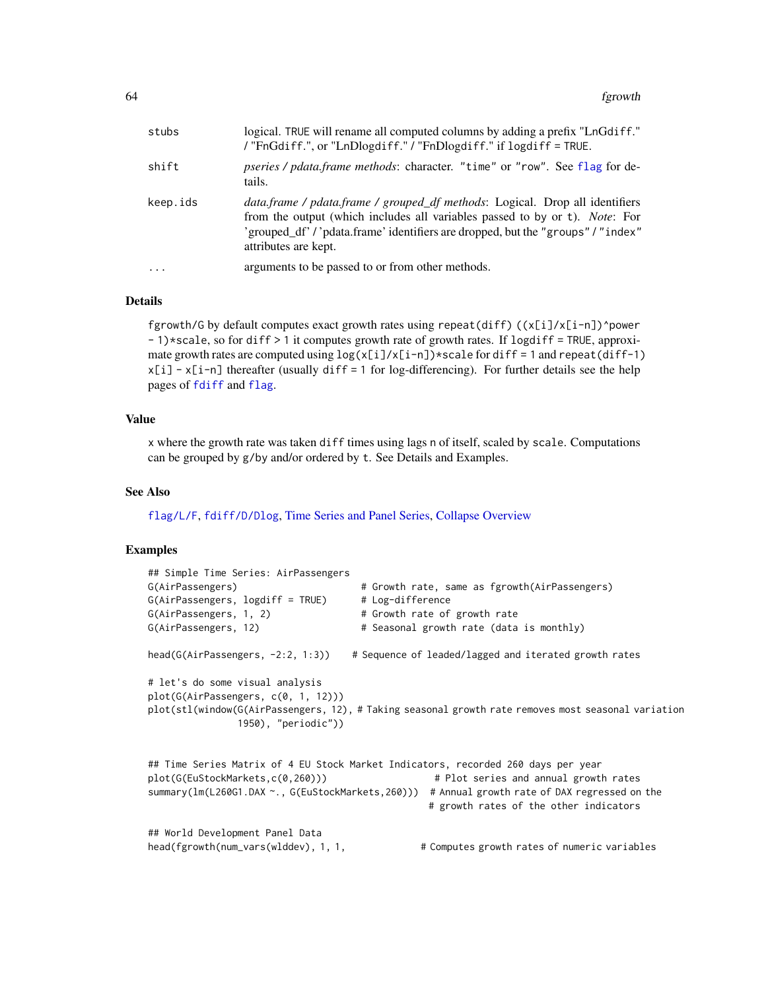| stubs     | logical. TRUE will rename all computed columns by adding a prefix "LnGdiff."<br>/ "FnGdiff.", or "LnDlogdiff." / "FnDlogdiff." if logdiff = TRUE.                                                                                                                       |
|-----------|-------------------------------------------------------------------------------------------------------------------------------------------------------------------------------------------------------------------------------------------------------------------------|
| shift     | pseries / pdata.frame methods: character. "time" or "row". See flag for de-<br>tails.                                                                                                                                                                                   |
| keep.ids  | data.frame / pdata.frame / grouped_df methods: Logical. Drop all identifiers<br>from the output (which includes all variables passed to by or t). Note: For<br>'grouped_df' / 'pdata.frame' identifiers are dropped, but the "groups" / "index"<br>attributes are kept. |
| $\ddotsc$ | arguments to be passed to or from other methods.                                                                                                                                                                                                                        |

## Details

fgrowth/G by default computes exact growth rates using repeat(diff)  $((x[i]/x[i-n])$ ^power - 1)\*scale, so for diff > 1 it computes growth rate of growth rates. If logdiff = TRUE, approximate growth rates are computed using  $log(x[i]/x[i-n])$ \*scale for diff = 1 and repeat(diff-1) x[i] - x[i-n] thereafter (usually diff = 1 for log-differencing). For further details see the help pages of [fdiff](#page-51-0) and [flag](#page-68-0).

### Value

x where the growth rate was taken diff times using lags n of itself, scaled by scale. Computations can be grouped by g/by and/or ordered by t. See Details and Examples.

## See Also

[flag/L/F](#page-68-0), [fdiff/D/Dlog](#page-51-0), [Time Series and Panel Series,](#page-179-0) [Collapse Overview](#page-23-0)

```
## Simple Time Series: AirPassengers
G(AirPassengers) # Growth rate, same as fgrowth(AirPassengers)
G(AirPassengers, <math>logdiff = TRUE</math>)  # Log-differenceG(AirPassengers, 1, 2) # Growth rate of growth rate
G(AirPassengers, 12) + Seasonal growth rate (data is monthly)
head(G(AirPassengers, -2:2, 1:3)) # Sequence of leaded/lagged and iterated growth rates
# let's do some visual analysis
plot(G(AirPassengers, c(0, 1, 12)))
plot(stl(window(G(AirPassengers, 12), # Taking seasonal growth rate removes most seasonal variation
              1950), "periodic"))
## Time Series Matrix of 4 EU Stock Market Indicators, recorded 260 days per year
plot(G(EuStockMarkets,c(0,260))) # Plot series and annual growth rates
summary(lm(L260G1.DAX ~., G(EuStockMarkets,260))) # Annual growth rate of DAX regressed on the
                                              # growth rates of the other indicators
## World Development Panel Data
head(fgrowth(num_vars(wlddev), 1, 1, # Computes growth rates of numeric variables
```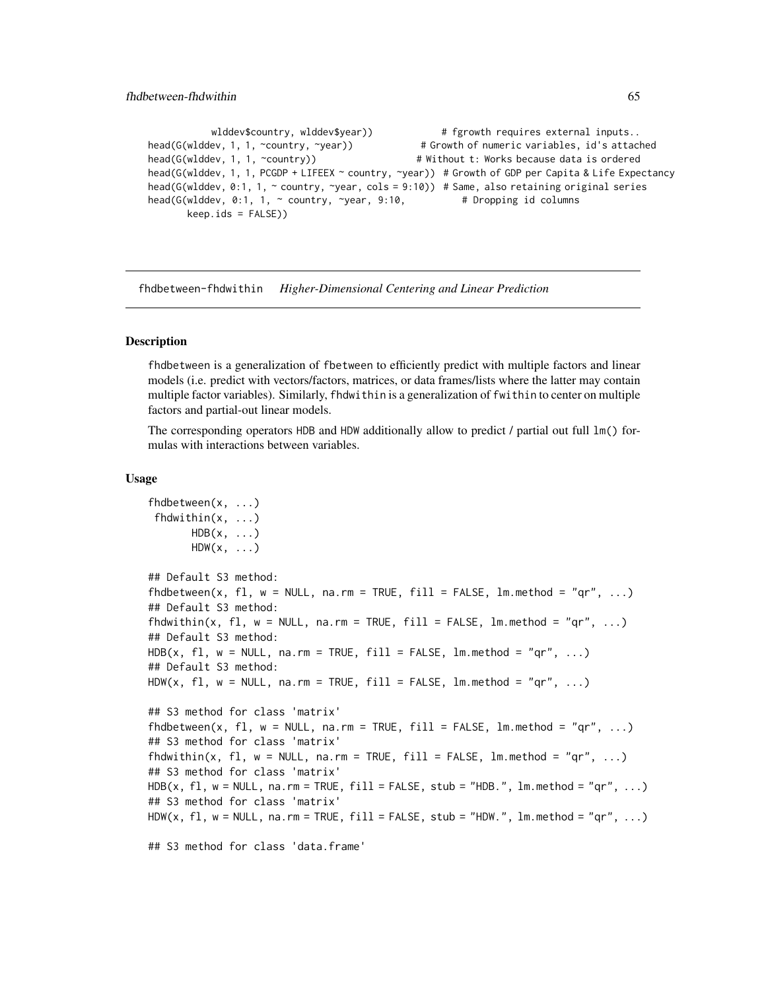```
wlddev$country, wlddev$year)) # fgrowth requires external inputs..
head(G(wlddev, 1, 1, ~country, ~year)) # Growth of numeric variables, id's attached
head(G(wlddev, 1, 1, ~country)) # Without t: Works because data is ordered
head(G(wlddev, 1, 1, PCGDP + LIFEEX ~ country, ~year)) # Growth of GDP per Capita & Life Expectancy
head(G(wlddev, 0:1, 1, ~ country, ~year, cols = 9:10)) # Same, also retaining original series
head(G(wlddev, 0:1, 1, \sim country, \simyear, 9:10, # Dropping id columns
      keep.ids = FALSE))
```
fhdbetween-fhdwithin *Higher-Dimensional Centering and Linear Prediction*

### <span id="page-64-0"></span>Description

fhdbetween is a generalization of fbetween to efficiently predict with multiple factors and linear models (i.e. predict with vectors/factors, matrices, or data frames/lists where the latter may contain multiple factor variables). Similarly, fhdwithin is a generalization of fwithin to center on multiple factors and partial-out linear models.

The corresponding operators HDB and HDW additionally allow to predict / partial out full lm() formulas with interactions between variables.

## Usage

```
fhdbetween(x, ...)
fhdwithin(x, ...)
      HDB(x, \ldots)HDW(x, \ldots)## Default S3 method:
fhdbetween(x, fl, w = NULL, na.rm = TRUE, fill = FALSE, lm.method = "qr", ...)
## Default S3 method:
fhdwithin(x, fl, w = NULL, na.rm = TRUE, fill = FALSE, lm.method = "qr", ...)
## Default S3 method:
HDB(x, f1, w = NULL, na.rm = TRUE, fill = FALSE, lm.method = "qr", ...)## Default S3 method:
HDW(x, fl, w = NULL, na.rm = TRUE, fill = FALSE, lm.method = "qr", ...)
## S3 method for class 'matrix'
fhdbetween(x, fl, w = NULL, na.rm = TRUE, fill = FALSE, lm.method = "qr", ...)
## S3 method for class 'matrix'
fhdwithin(x, fl, w = NULL, na.rm = TRUE, fill = FALSE, lm.method = "qr", ...)
## S3 method for class 'matrix'
HDB(x, f1, w = NULL, na.rm = TRUE, fill = FALSE, stub = "HDB.", lm.method = "qr", ...## S3 method for class 'matrix'
HDW(x, fl, w = NULL, na.rm = TRUE, fill = FALSE, stub = "HDW.", lm.method = "qr", ...)
## S3 method for class 'data.frame'
```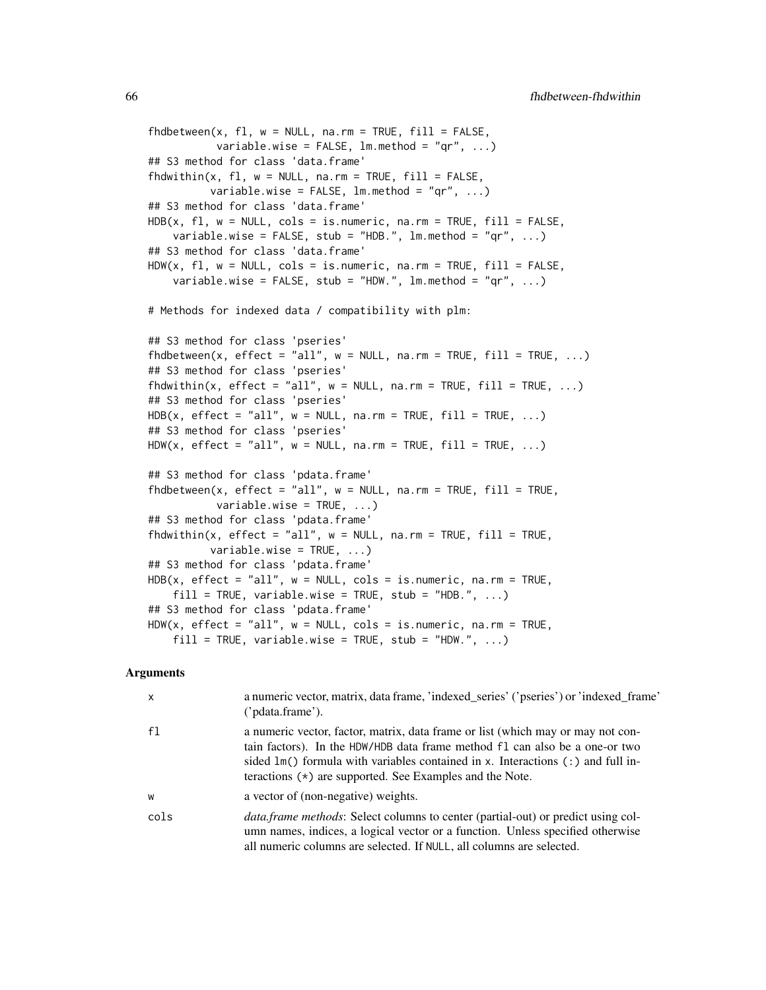```
fhdbetween(x, f1, w = NULL, na.rm = TRUE, fill = FALSE,variable.wise = FALSE, lm.method = "qr", ...## S3 method for class 'data.frame'
fhdwithin(x, fl, w = NULL, na.rm = TRUE, fill = FALSE,
          variable.wise = FALSE, lm.method = "qr", ...)## S3 method for class 'data.frame'
HDB(x, f1, w = NULL, \ncols = is.numeric, na.rm = TRUE, fill = FALSE,variable.wise = FALSE, stub = "HDB.", lm.method = "qr", ...)
## S3 method for class 'data.frame'
HDW(x, f1, w = NULL, \ncols = is.numeric, na.rm = TRUE, fill = FALSE,variable.wise = FALSE, stub = "HDW.", lm.method = "qr", ...)
# Methods for indexed data / compatibility with plm:
## S3 method for class 'pseries'
fhdbetween(x, effect = "all", w = NULL, na.rm = TRUE, fill = TRUE, ...)
## S3 method for class 'pseries'
fhdwithin(x, effect = "all", w = NULL, nam = TRUE, fill = TRUE, ...)
## S3 method for class 'pseries'
HDB(x, effect = "all", w = NULL, na.rm = TRUE, fill = TRUE, ...)## S3 method for class 'pseries'
HDW(x, effect = "all", w = NULL, na.rm = TRUE, fill = TRUE, ...)## S3 method for class 'pdata.frame'
fhdbetween(x, effect = "all", w = NULL, na.rm = TRUE, fill = TRUE,
           variable.wise = TRUE, ...)
## S3 method for class 'pdata.frame'
fhdwithin(x, effect = "all", w = NULL, na.rm = TRUE, fill = TRUE,
          variable.wise = TRUE, ...)## S3 method for class 'pdata.frame'
HDB(x, effect = "all", w = NULL, cols = is.numeric, na.rm = TRUE,
    fill = TRUE, variable.wise = TRUE, stub = "HDB." , ...)## S3 method for class 'pdata.frame'
HDW(x, effect = "all", w = NULL, cols = is.numeric, na.rm = TRUE,
    fill = TRUE, variable.wise = TRUE, stub = "HDW." , ...)
```

| $\times$       | a numeric vector, matrix, data frame, 'indexed_series' ('pseries') or 'indexed_frame'<br>('pdata.frame').                                                                                                                                                                                                           |
|----------------|---------------------------------------------------------------------------------------------------------------------------------------------------------------------------------------------------------------------------------------------------------------------------------------------------------------------|
| f <sub>1</sub> | a numeric vector, factor, matrix, data frame or list (which may or may not con-<br>tain factors). In the HDW/HDB data frame method fl can also be a one-or two<br>sided $lm()$ formula with variables contained in x. Interactions $(:)$ and full in-<br>teractions $(*)$ are supported. See Examples and the Note. |
| W              | a vector of (non-negative) weights.                                                                                                                                                                                                                                                                                 |
| cols           | <i>data.frame methods:</i> Select columns to center (partial-out) or predict using col-<br>umn names, indices, a logical vector or a function. Unless specified otherwise<br>all numeric columns are selected. If NULL, all columns are selected.                                                                   |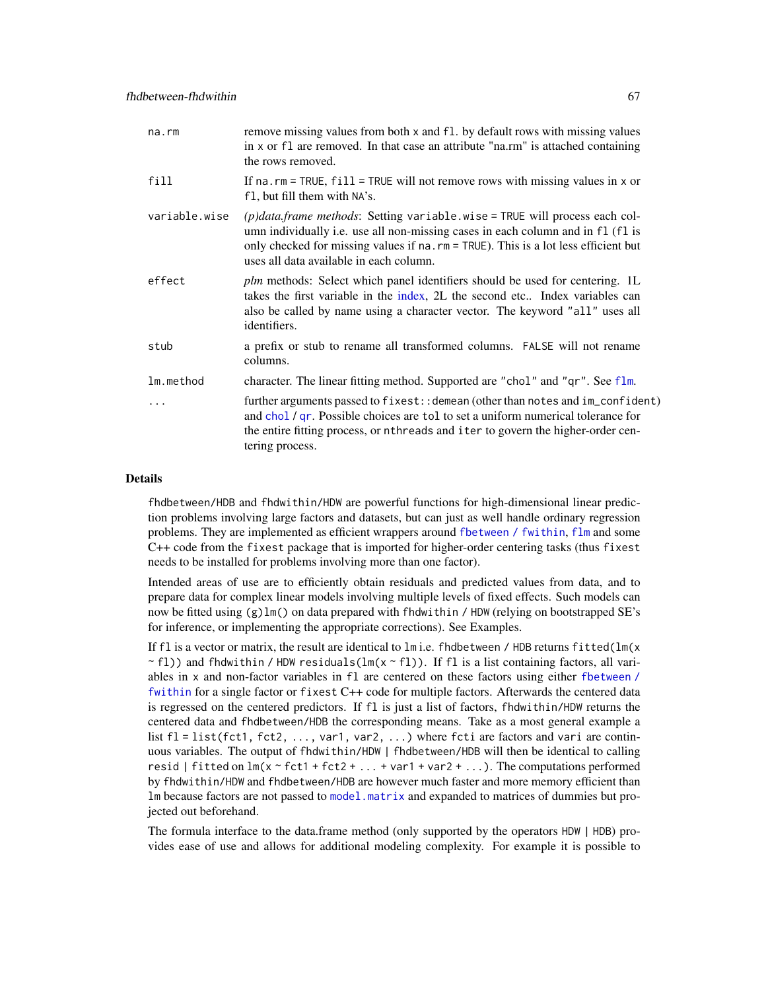| na.rm         | remove missing values from both x and f1. by default rows with missing values<br>in x or f1 are removed. In that case an attribute "na.rm" is attached containing<br>the rows removed.                                                                                                             |
|---------------|----------------------------------------------------------------------------------------------------------------------------------------------------------------------------------------------------------------------------------------------------------------------------------------------------|
| fill          | If $na$ . $rm = TRUE$ , $fill = TRUE$ will not remove rows with missing values in x or<br>f1, but fill them with NA's.                                                                                                                                                                             |
| variable.wise | $(p)$ data.frame methods: Setting variable.wise = TRUE will process each col-<br>umn individually i.e. use all non-missing cases in each column and in f1 (f1 is<br>only checked for missing values if na. rm = TRUE). This is a lot less efficient but<br>uses all data available in each column. |
| effect        | plm methods: Select which panel identifiers should be used for centering. 1L<br>takes the first variable in the index, 2L the second etc Index variables can<br>also be called by name using a character vector. The keyword "all" uses all<br>identifiers.                                        |
| stub          | a prefix or stub to rename all transformed columns. FALSE will not rename<br>columns.                                                                                                                                                                                                              |
| lm.method     | character. The linear fitting method. Supported are "chol" and "qr". See flm.                                                                                                                                                                                                                      |
| .             | further arguments passed to fixest: : demean (other than notes and im_confident)<br>and chol / qr. Possible choices are tol to set a uniform numerical tolerance for<br>the entire fitting process, or nthreads and iter to govern the higher-order cen-<br>tering process.                        |

#### Details

fhdbetween/HDB and fhdwithin/HDW are powerful functions for high-dimensional linear prediction problems involving large factors and datasets, but can just as well handle ordinary regression problems. They are implemented as efficient wrappers around [fbetween / fwithin](#page-44-0), [flm](#page-72-0) and some C++ code from the fixest package that is imported for higher-order centering tasks (thus fixest needs to be installed for problems involving more than one factor).

Intended areas of use are to efficiently obtain residuals and predicted values from data, and to prepare data for complex linear models involving multiple levels of fixed effects. Such models can now be fitted using (g)lm() on data prepared with fhdwithin / HDW (relying on bootstrapped SE's for inference, or implementing the appropriate corrections). See Examples.

If fl is a vector or matrix, the result are identical to  $lm$  i.e. fhdbetween / HDB returns fitted( $lm(x)$  $\sim$  fl)) and fhdwithin / HDW residuals(lm(x  $\sim$  fl)). If fl is a list containing factors, all variables in x and non-factor variables in fl are centered on these factors using either [fbetween /](#page-44-0) [fwithin](#page-44-0) for a single factor or fixest C++ code for multiple factors. Afterwards the centered data is regressed on the centered predictors. If fl is just a list of factors, fhdwithin/HDW returns the centered data and fhdbetween/HDB the corresponding means. Take as a most general example a list  $f1 = list(fct1, fct2, ..., var1, var2, ...)$  where fcti are factors and vari are continuous variables. The output of fhdwithin/HDW | fhdbetween/HDB will then be identical to calling resid | fitted on  $lm(x \sim fct1 + fct2 + ... + var1 + var2 + ...)$  The computations performed by fhdwithin/HDW and fhdbetween/HDB are however much faster and more memory efficient than lm because factors are not passed to [model.matrix](#page-0-0) and expanded to matrices of dummies but projected out beforehand.

The formula interface to the data.frame method (only supported by the operators HDW | HDB) provides ease of use and allows for additional modeling complexity. For example it is possible to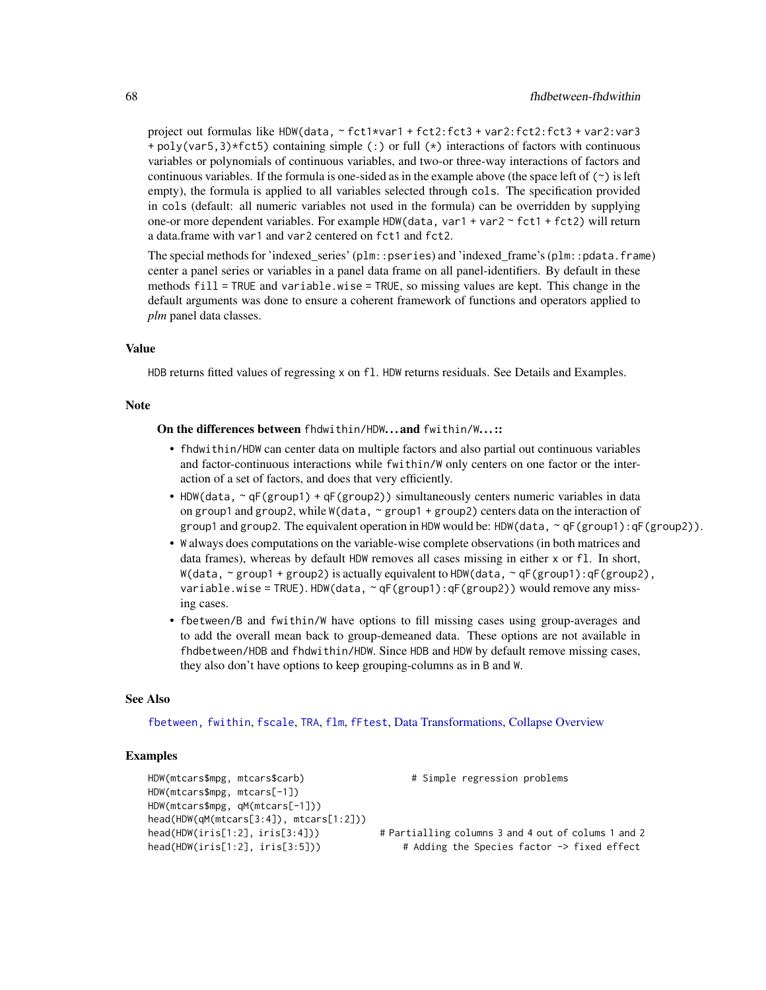project out formulas like HDW(data, ~ fct1\*var1 + fct2:fct3 + var2:fct2:fct3 + var2:var3 + poly(var5,3)\*fct5) containing simple (:) or full (\*) interactions of factors with continuous variables or polynomials of continuous variables, and two-or three-way interactions of factors and continuous variables. If the formula is one-sided as in the example above (the space left of  $(\sim)$  is left empty), the formula is applied to all variables selected through cols. The specification provided in cols (default: all numeric variables not used in the formula) can be overridden by supplying one-or more dependent variables. For example HDW(data, var1 + var2  $\sim$  fct1 + fct2) will return a data.frame with var1 and var2 centered on fct1 and fct2.

The special methods for 'indexed\_series' (plm::pseries) and 'indexed\_frame's (plm::pdata.frame) center a panel series or variables in a panel data frame on all panel-identifiers. By default in these methods fill = TRUE and variable.wise = TRUE, so missing values are kept. This change in the default arguments was done to ensure a coherent framework of functions and operators applied to *plm* panel data classes.

#### Value

HDB returns fitted values of regressing x on fl. HDW returns residuals. See Details and Examples.

#### Note

On the differences between fhdwithin/HDW. . . and fwithin/W. . . ::

- fhdwithin/HDW can center data on multiple factors and also partial out continuous variables and factor-continuous interactions while fwithin/W only centers on one factor or the interaction of a set of factors, and does that very efficiently.
- HDW(data,  $\sim qF(group1) + qF(group2)$ ) simultaneously centers numeric variables in data on group1 and group2, while W(data,  $\sim$  group1 + group2) centers data on the interaction of group1 and group2. The equivalent operation in HDW would be: HDW(data,  $\sim qF(group1)$ :  $qF(group2)$ ).
- W always does computations on the variable-wise complete observations (in both matrices and data frames), whereas by default HDW removes all cases missing in either x or fl. In short, W(data,  $\sim$  group1 + group2) is actually equivalent to HDW(data,  $\sim$  qF(group1):qF(group2), variable.wise = TRUE). HDW(data,  $\sim$  qF(group1): qF(group2)) would remove any missing cases.
- fbetween/B and fwithin/W have options to fill missing cases using group-averages and to add the overall mean back to group-demeaned data. These options are not available in fhdbetween/HDB and fhdwithin/HDW. Since HDB and HDW by default remove missing cases, they also don't have options to keep grouping-columns as in B and W.

## See Also

[fbetween, fwithin](#page-44-0), [fscale](#page-95-0), [TRA](#page-182-0), [flm](#page-72-0), [fFtest](#page-59-0), [Data Transformations,](#page-30-0) [Collapse Overview](#page-23-0)

```
HDW(mtcars$mpg, mtcars$carb) # Simple regression problems
HDW(mtcars$mpg, mtcars[-1])
HDW(mtcars$mpg, qM(mtcars[-1]))
head(HDW(qM(mtcars[3:4]), mtcars[1:2]))
head(HDW(iris[1:2], iris[3:4])) # Partialling columns 3 and 4 out of colums 1 and 2
head(HDW(iris[1:2], iris[3:5])) # Adding the Species factor -> fixed effect
```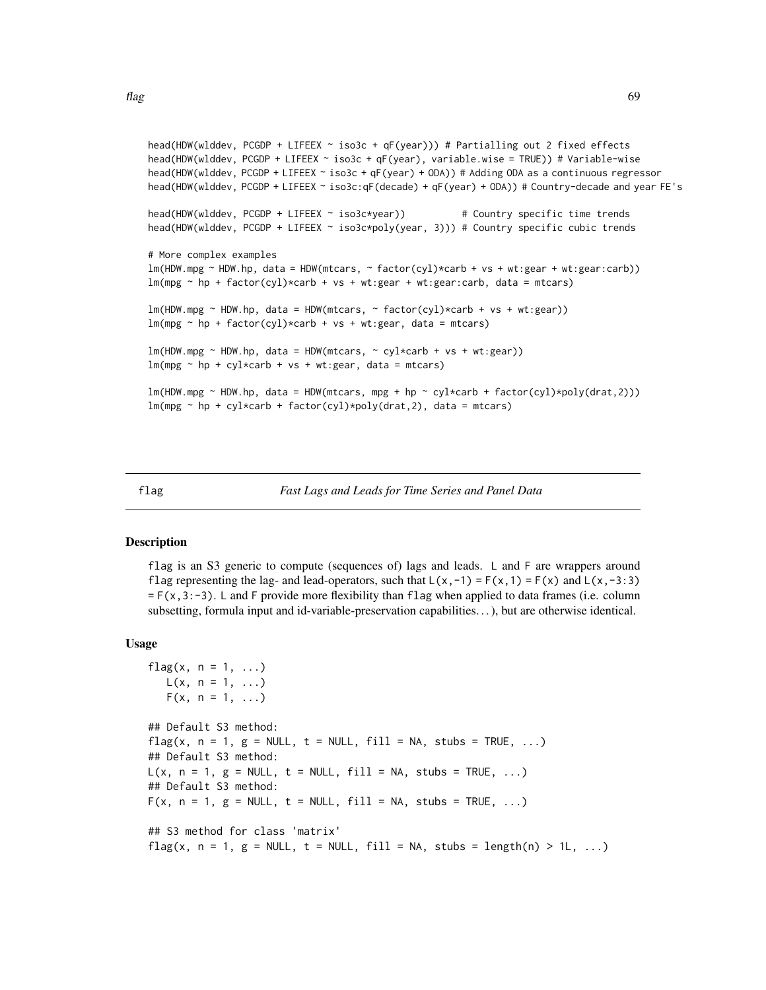```
head(HDW(wlddev, PCGDP + LIFEEX ~ iso3c + qF(year))) # Partialling out 2 fixed effects
head(HDW(wlddev, PCGDP + LIFEEX ~ iso3c + qF(year), variable.wise = TRUE)) # Variable-wise
head(HDW(wlddev, PCGDP + LIFEEX ~ iso3c + qF(year) + ODA)) # Adding ODA as a continuous regressor
head(HDW(wlddev, PCGDP + LIFEEX ~ iso3c:qF(decade) + qF(year) + ODA)) # Country-decade and year FE's
head(HDW(wlddev, PCGDP + LIFEEX ~ iso3c*year)) # Country specific time trends
head(HDW(wlddev, PCGDP + LIFEEX ~ iso3c*poly(year, 3))) # Country specific cubic trends
# More complex examples
lm(HDW, mpg ~ HDW, hp, data = HDW(mtcars, ~ factor(cyl) * carb + vs + wt: gear + wt: gear:carb))lm(mpg \sim hp + factor(cyl) \times carb + vs + wt: gear + wt: gear: carb, data = mtcars)lm(HDW, mpg ~ HDW, hp, data = HDW(mtcars, ~ factor(cyl) * carb + vs + wt: gear))lm(mpg \sim hp + factor(cyl) * carb + vs + wt: gear, data = mtcars)lm(HDW, mpg ~ HDW, hp, data = HDW(mtcars, ~ cyl*carb + vs + wt: gear))lm(mpg \sim hp + cy1*carb + vs + wt: gear, data = mtcars)lm(HDW.mpg \sim HDW.hp, data = HDW(mtcars, mpg + hp \sim cyl * carb + factor(cyl) * poly(drat,2)))lm(mpg \sim hp + cyl * carb + factor(cyl) * poly(drat, 2), data = mtcars)
```
<span id="page-68-0"></span>

| flag | Fast Lags and Leads for Time Series and Panel Data |  |
|------|----------------------------------------------------|--|
|      |                                                    |  |

### Description

flag is an S3 generic to compute (sequences of) lags and leads. L and F are wrappers around flag representing the lag- and lead-operators, such that  $L(x, -1) = F(x, 1) = F(x)$  and  $L(x, -3:3)$  $= F(x, 3:-3)$ . L and F provide more flexibility than flag when applied to data frames (i.e. column subsetting, formula input and id-variable-preservation capabilities. . . ), but are otherwise identical.

## Usage

```
flag(x, n = 1, \ldots)
  L(x, n = 1, ...)F(x, n = 1, ...)## Default S3 method:
flag(x, n = 1, g = NULL, t = NULL, fill = NA, stubs = TRUE, ...)## Default S3 method:
L(x, n = 1, g = NULL, t = NULL, fill = NA, stubs = TRUE, ...)## Default S3 method:
F(x, n = 1, g = NULL, t = NULL, fill = NA, stubs = TRUE, ...)## S3 method for class 'matrix'
flag(x, n = 1, g = NULL, t = NULL, fill = NA, stubs = length(n) > 1L, ...)
```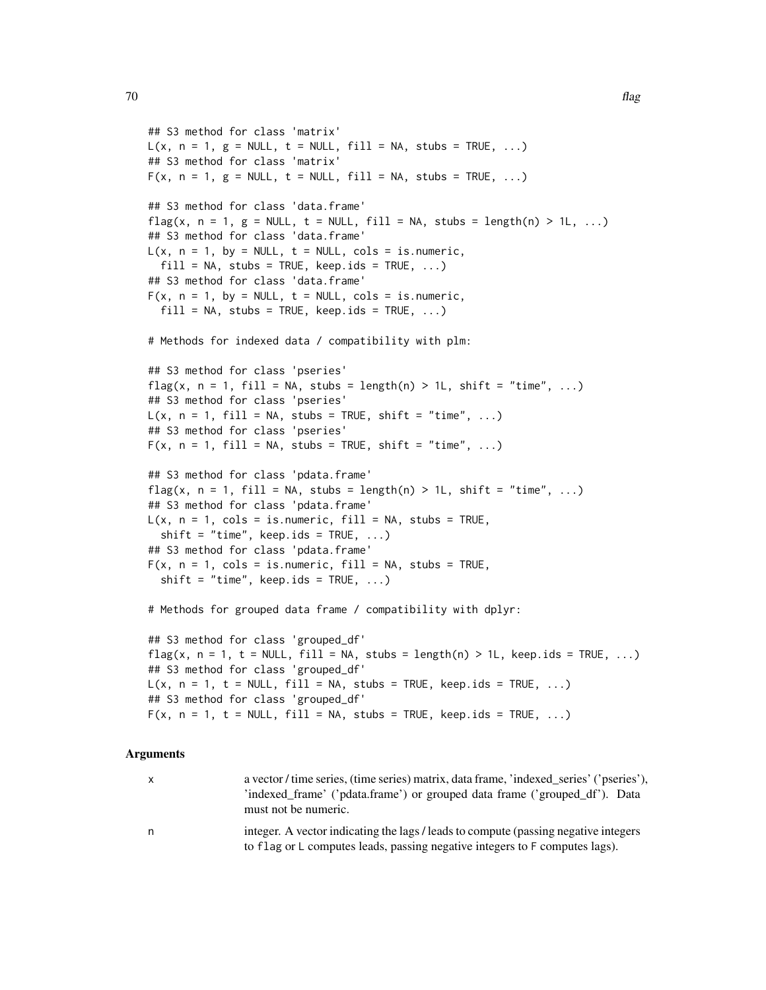```
## S3 method for class 'matrix'
L(x, n = 1, g = NULL, t = NULL, fill = NA, stubs = TRUE, ...)## S3 method for class 'matrix'
F(x, n = 1, g = NULL, t = NULL, fill = NA, stubs = TRUE, ...)## S3 method for class 'data.frame'
flag(x, n = 1, g = NULL, t = NULL, fill = NA, stubs = length(n) > 1L, ...)## S3 method for class 'data.frame'
L(x, n = 1, by = NULL, t = NULL, cols = is.numeric,fill = NA, stubs = TRUE, keep.ids = TRUE, ...)
## S3 method for class 'data.frame'
F(x, n = 1, by = NULL, t = NULL, cols = is.numeric,fill = NA, stubs = TRUE, keep.ids = TRUE, ...)
# Methods for indexed data / compatibility with plm:
## S3 method for class 'pseries'
flag(x, n = 1, fill = NA, stubs = length(n) > 1L, shift = "time", ...)
## S3 method for class 'pseries'
L(x, n = 1, fill = NA, stubs = TRUE, shift = "time", ...)## S3 method for class 'pseries'
F(x, n = 1, fill = NA, stubs = TRUE, shift = "time", ...)## S3 method for class 'pdata.frame'
flag(x, n = 1, fill = NA, stubs = length(n) > 1L, shift = "time", ...)
## S3 method for class 'pdata.frame'
L(x, n = 1, \text{cols} = \text{is.numeric}, \text{fill} = \text{NA}, \text{ stubs} = \text{TRUE},shift = "time", keep.ids = TRUE, ...)
## S3 method for class 'pdata.frame'
F(x, n = 1, \text{cols} = \text{is.numeric}, \text{fill} = \text{NA}, \text{ stubs} = \text{TRUE},shift = "time", keep.ids = TRUE, \ldots)
# Methods for grouped data frame / compatibility with dplyr:
## S3 method for class 'grouped_df'
flag(x, n = 1, t = NULL, fill = NA, stubs = length(n) > 1L, keep.ids = TRUE, ...)
## S3 method for class 'grouped_df'
L(x, n = 1, t = NULL, fill = NA, stubs = TRUE, keep.ids = TRUE, ...)## S3 method for class 'grouped_df'
F(x, n = 1, t = NULL, fill = NA, stubs = TRUE, keep.ids = TRUE, ...)
```

| $\mathsf{X}$ | a vector / time series, (time series) matrix, data frame, 'indexed series' ('pseries'),<br>'indexed_frame' ('pdata.frame') or grouped data frame ('grouped_df'). Data<br>must not be numeric. |
|--------------|-----------------------------------------------------------------------------------------------------------------------------------------------------------------------------------------------|
| n.           | integer. A vector indicating the lags / leads to compute (passing negative integers)<br>to flag or L computes leads, passing negative integers to F computes lags).                           |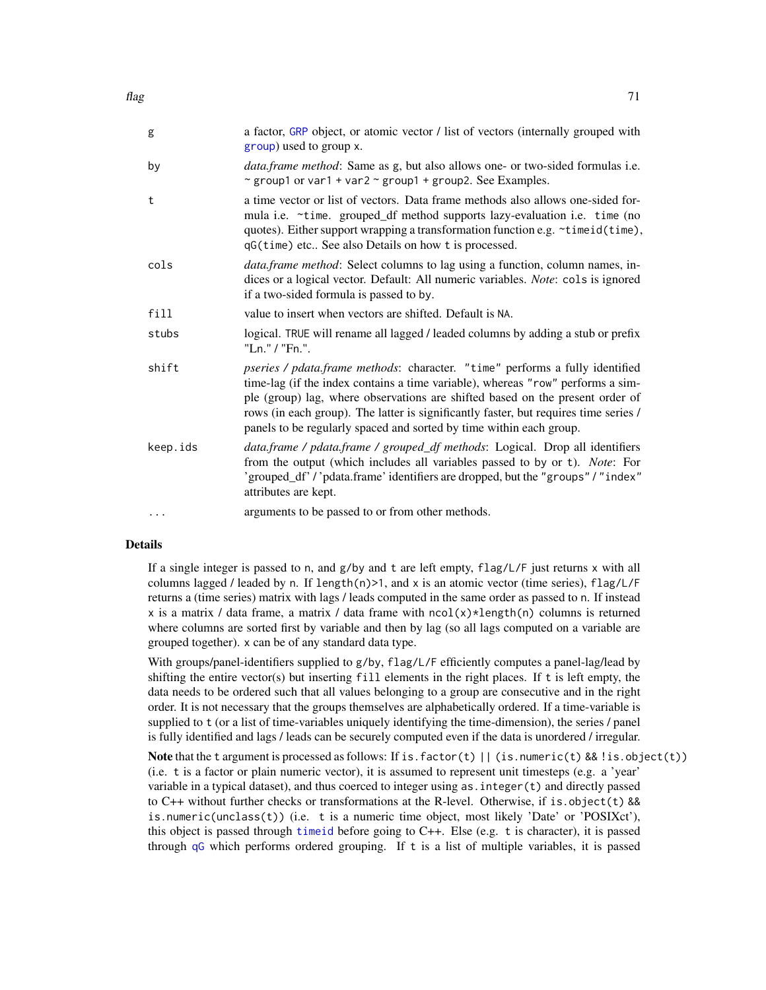| flag | 71 |
|------|----|
|      |    |

| g        | a factor, GRP object, or atomic vector / list of vectors (internally grouped with<br>group) used to group x.                                                                                                                                                                                                                                                                                                           |
|----------|------------------------------------------------------------------------------------------------------------------------------------------------------------------------------------------------------------------------------------------------------------------------------------------------------------------------------------------------------------------------------------------------------------------------|
| by       | <i>data.frame method</i> : Same as g, but also allows one- or two-sided formulas i.e.<br>~ group1 or var1 + var2 ~ group1 + group2. See Examples.                                                                                                                                                                                                                                                                      |
| t        | a time vector or list of vectors. Data frame methods also allows one-sided for-<br>mula i.e. ~time. grouped_df method supports lazy-evaluation i.e. time (no<br>quotes). Either support wrapping a transformation function e.g. ~timeid(time),<br>qG(time) etc See also Details on how t is processed.                                                                                                                 |
| cols     | <i>data.frame method:</i> Select columns to lag using a function, column names, in-<br>dices or a logical vector. Default: All numeric variables. Note: cols is ignored<br>if a two-sided formula is passed to by.                                                                                                                                                                                                     |
| fill     | value to insert when vectors are shifted. Default is NA.                                                                                                                                                                                                                                                                                                                                                               |
| stubs    | logical. TRUE will rename all lagged / leaded columns by adding a stub or prefix<br>"Ln." / "Fn.".                                                                                                                                                                                                                                                                                                                     |
| shift    | <i>pseries / pdata.frame methods: character.</i> "time" performs a fully identified<br>time-lag (if the index contains a time variable), whereas "row" performs a sim-<br>ple (group) lag, where observations are shifted based on the present order of<br>rows (in each group). The latter is significantly faster, but requires time series /<br>panels to be regularly spaced and sorted by time within each group. |
| keep.ids | data.frame / pdata.frame / grouped_df methods: Logical. Drop all identifiers<br>from the output (which includes all variables passed to by or t). Note: For<br>'grouped_df' /'pdata.frame' identifiers are dropped, but the "groups" / "index"<br>attributes are kept.                                                                                                                                                 |
| $\cdots$ | arguments to be passed to or from other methods.                                                                                                                                                                                                                                                                                                                                                                       |

# Details

If a single integer is passed to n, and  $g/by$  and t are left empty,  $flag/L/F$  just returns x with all columns lagged / leaded by n. If length $(n)$ >1, and x is an atomic vector (time series), flag/L/F returns a (time series) matrix with lags / leads computed in the same order as passed to n. If instead x is a matrix / data frame, a matrix / data frame with  $ncol(x)*length(n)$  columns is returned where columns are sorted first by variable and then by lag (so all lags computed on a variable are grouped together). x can be of any standard data type.

With groups/panel-identifiers supplied to g/by, flag/L/F efficiently computes a panel-lag/lead by shifting the entire vector(s) but inserting fill elements in the right places. If t is left empty, the data needs to be ordered such that all values belonging to a group are consecutive and in the right order. It is not necessary that the groups themselves are alphabetically ordered. If a time-variable is supplied to t (or a list of time-variables uniquely identifying the time-dimension), the series / panel is fully identified and lags / leads can be securely computed even if the data is unordered / irregular.

Note that the t argument is processed as follows: If is. factor(t)  $||$  (is. numeric(t) && ! is. object(t)) (i.e. t is a factor or plain numeric vector), it is assumed to represent unit timesteps (e.g. a 'year' variable in a typical dataset), and thus coerced to integer using as.integer(t) and directly passed to  $C_{++}$  without further checks or transformations at the R-level. Otherwise, if is. object(t) && is.numeric(unclass(t)) (i.e. t is a numeric time object, most likely 'Date' or 'POSIXct'), this object is passed through [timeid](#page-180-0) before going to C++. Else (e.g. t is character), it is passed through [qG](#page-151-0) which performs ordered grouping. If t is a list of multiple variables, it is passed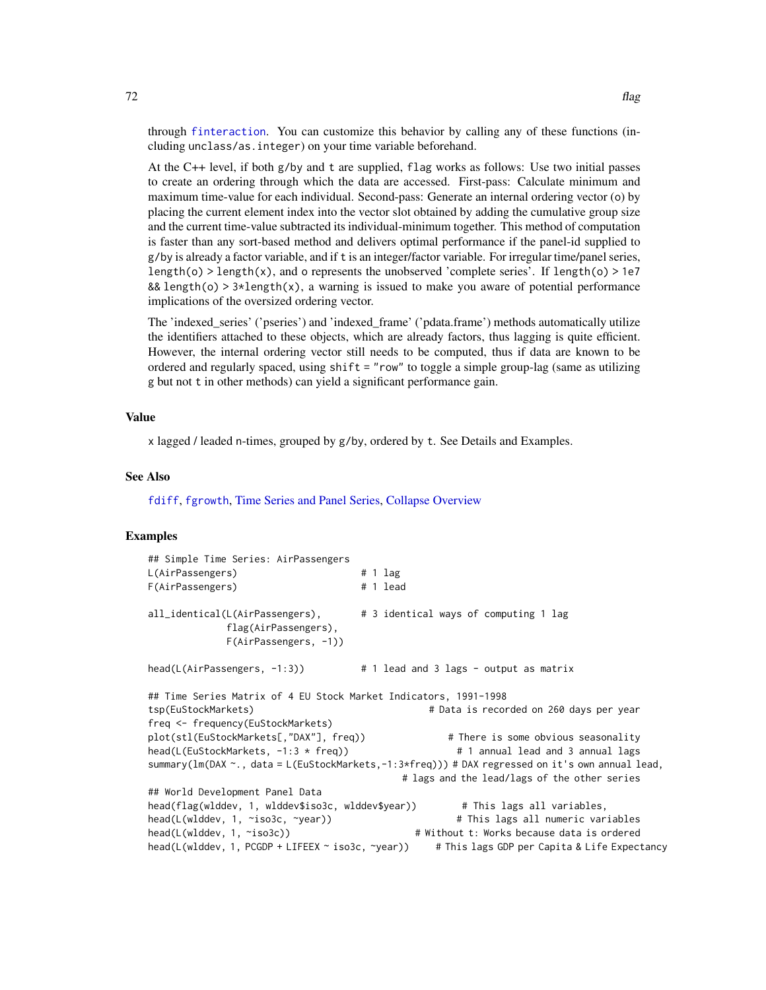through [finteraction](#page-151-0). You can customize this behavior by calling any of these functions (including unclass/as.integer) on your time variable beforehand.

At the C++ level, if both g/by and t are supplied, flag works as follows: Use two initial passes to create an ordering through which the data are accessed. First-pass: Calculate minimum and maximum time-value for each individual. Second-pass: Generate an internal ordering vector (o) by placing the current element index into the vector slot obtained by adding the cumulative group size and the current time-value subtracted its individual-minimum together. This method of computation is faster than any sort-based method and delivers optimal performance if the panel-id supplied to g/by is already a factor variable, and if t is an integer/factor variable. For irregular time/panel series, length(o) > length(x), and o represents the unobserved 'complete series'. If length(o) > 1e7 && length(o) >  $3*length(x)$ , a warning is issued to make you aware of potential performance implications of the oversized ordering vector.

The 'indexed\_series' ('pseries') and 'indexed\_frame' ('pdata.frame') methods automatically utilize the identifiers attached to these objects, which are already factors, thus lagging is quite efficient. However, the internal ordering vector still needs to be computed, thus if data are known to be ordered and regularly spaced, using shift = "row" to toggle a simple group-lag (same as utilizing g but not t in other methods) can yield a significant performance gain.

# Value

x lagged / leaded n-times, grouped by g/by, ordered by t. See Details and Examples.

#### See Also

[fdiff](#page-51-0), [fgrowth](#page-61-0), [Time Series and Panel Series,](#page-179-0) [Collapse Overview](#page-23-0)

```
## Simple Time Series: AirPassengers
L(AirPassengers) # 1 lag
F(AirPassengers) # 1 lead
all_identical(L(AirPassengers), # 3 identical ways of computing 1 lag
            flag(AirPassengers),
            F(AirPassengers, -1))
head(L(AirPassengers, -1:3)) # 1 lead and 3 lags - output as matrix
## Time Series Matrix of 4 EU Stock Market Indicators, 1991-1998
tsp(EuStockMarkets) # Data is recorded on 260 days per year
freq <- frequency(EuStockMarkets)
plot(stl(EuStockMarkets[,"DAX"], freq)) # There is some obvious seasonality
head(L(EuStockMarkets, -1:3 * freq)) # 1 annual lead and 3 annual lags
summary(lm(DAX ~., data = L(EuStockMarkets,-1:3*freq))) # DAX regressed on it's own annual lead,
                                       # lags and the lead/lags of the other series
## World Development Panel Data
head(flag(wlddev, 1, wlddev$iso3c, wlddev$year)) # This lags all variables,
head(L(wlddev, 1, ~iso3c, ~year)) # This lags all numeric variables
head(L(wlddev, 1, ~iso3c)) # Without t: Works because data is ordered
head(L(wlddev, 1, PCGDP + LIFEEX ~ iso3c, ~year)) # This lags GDP per Capita & Life Expectancy
```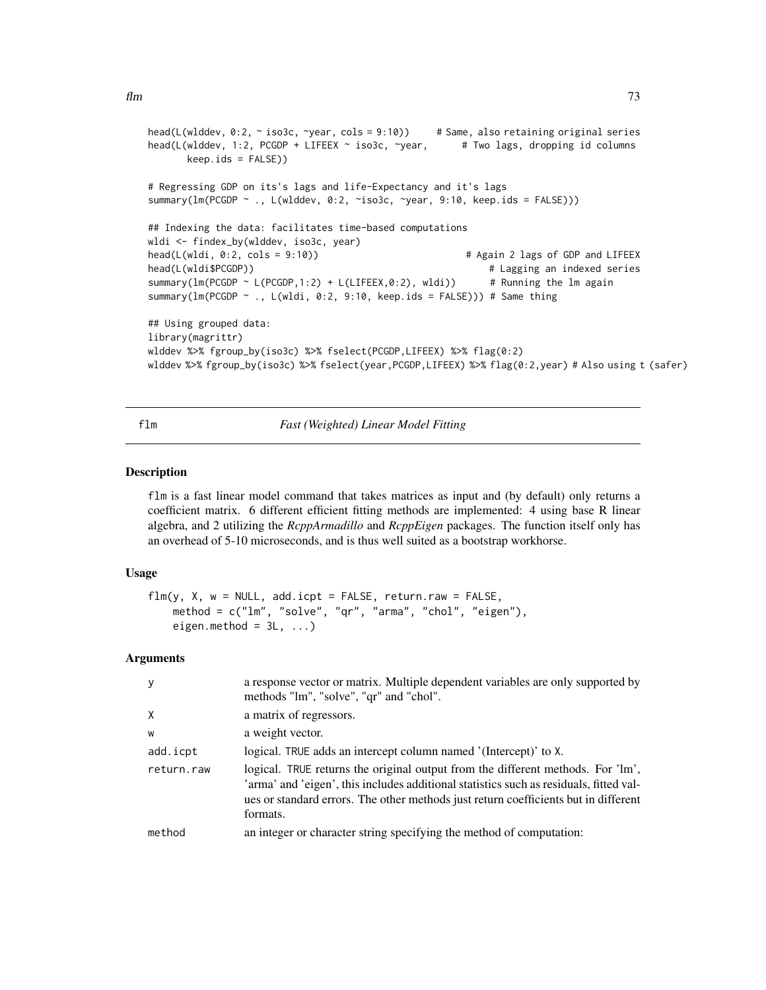```
head(L(wlddev, 0:2, ~ iso3c, ~year, cols = 9:10)) # Same, also retaining original series
head(L(wlddev, 1:2, PCGDP + LIFEEX ~ iso3c, ~year, # Two lags, dropping id columns
      keep.ids = FALSE))
# Regressing GDP on its's lags and life-Expectancy and it's lags
summary(lm(PCGDP ~ ., L(wlddev, 0:2, ~iso3c, ~year, 9:10, keep.ids = FALSE)))
## Indexing the data: facilitates time-based computations
wldi <- findex_by(wlddev, iso3c, year)
head(L(wldi, 0:2, cols = 9:10)) \qquad \qquad \qquad # Again 2 lags of GDP and LIFEEX
head(L(wldi$PCGDP)) # Lagging an indexed series
summary(lm(PCGDP \sim L(PCGDP, 1:2) + L(LIFFEX, 0:2), wldi)) # Running the lm again
summary(lm(PCGDP ~ ., L(wldi, 0:2, 9:10, keep.ids = FALSE))) # Same thing
## Using grouped data:
library(magrittr)
wlddev %>% fgroup_by(iso3c) %>% fselect(PCGDP,LIFEEX) %>% flag(0:2)
wlddev %>% fgroup_by(iso3c) %>% fselect(year,PCGDP,LIFEEX) %>% flag(0:2,year) # Also using t (safer)
```
flm *Fast (Weighted) Linear Model Fitting*

## **Description**

flm is a fast linear model command that takes matrices as input and (by default) only returns a coefficient matrix. 6 different efficient fitting methods are implemented: 4 using base R linear algebra, and 2 utilizing the *RcppArmadillo* and *RcppEigen* packages. The function itself only has an overhead of 5-10 microseconds, and is thus well suited as a bootstrap workhorse.

## Usage

```
flm(y, X, w = NULL, add.icpt = FALSE, return raw = FALSE,method = c("lm", "solve", "qr", "arma", "chol", "eigen"),
   eigen.method = 3L, ...
```
# Arguments

|            | a response vector or matrix. Multiple dependent variables are only supported by<br>methods "lm", "solve", "qr" and "chol".                                                                                                                                                   |
|------------|------------------------------------------------------------------------------------------------------------------------------------------------------------------------------------------------------------------------------------------------------------------------------|
| X          | a matrix of regressors.                                                                                                                                                                                                                                                      |
| W          | a weight vector.                                                                                                                                                                                                                                                             |
| add.icpt   | logical. TRUE adds an intercept column named '(Intercept)' to X.                                                                                                                                                                                                             |
| return.raw | logical. TRUE returns the original output from the different methods. For 'lm',<br>'arma' and 'eigen', this includes additional statistics such as residuals, fitted val-<br>ues or standard errors. The other methods just return coefficients but in different<br>formats. |
| method     | an integer or character string specifying the method of computation:                                                                                                                                                                                                         |
|            |                                                                                                                                                                                                                                                                              |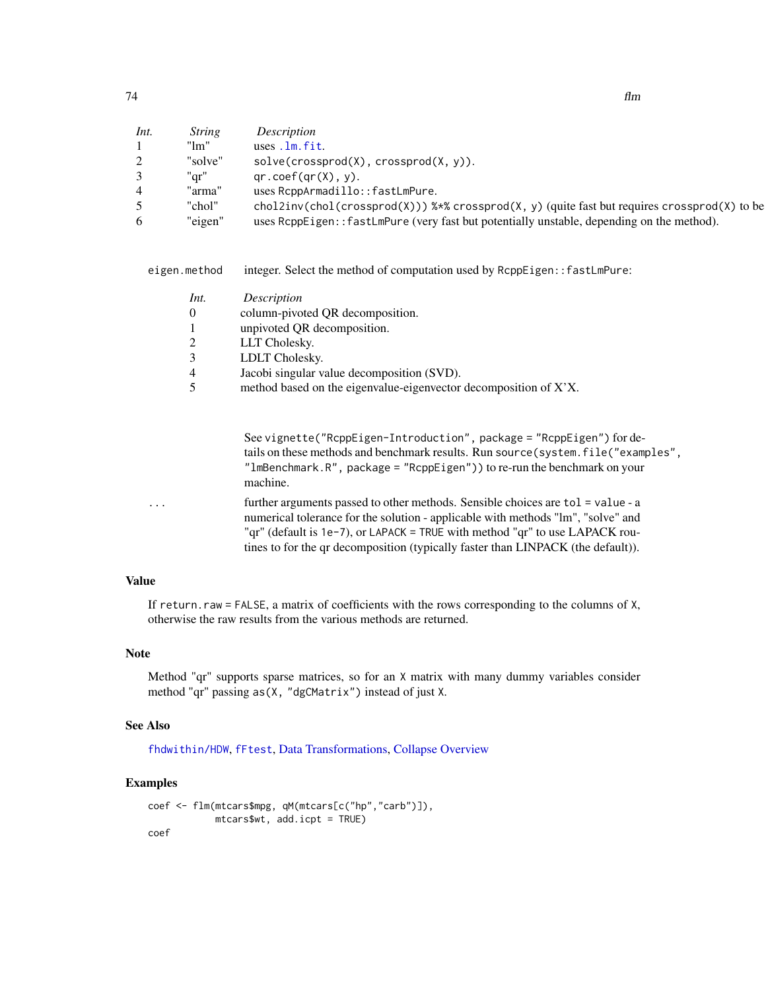| - - | Ħт |
|-----|----|
| 74  |    |
|     |    |

| Int.           | <i>String</i> | Description                                                                                            |
|----------------|---------------|--------------------------------------------------------------------------------------------------------|
|                | "1m"          | $uses$ . $lm$ . $fit$ .                                                                                |
| 2              | "solve"       | solve(crossprod(X), crossprod(X, y)).                                                                  |
| 3              | "ar"          | $qr.coef(qr(X), y)$ .                                                                                  |
| $\overline{4}$ | "arma"        | uses RcppArmadillo::fastLmPure.                                                                        |
| $\mathcal{D}$  | "chol"        | chol2inv(chol(crossprod(X))) $\frac{1}{2}$ crossprod(X, y) (quite fast but requires crossprod(X) to be |
| 6              | "eigen"       | uses RcppEigen:: fastLmPure (very fast but potentially unstable, depending on the method).             |

eigen.method integer. Select the method of computation used by RcppEigen::fastLmPure:

| Int.           | <i>Description</i>                                               |
|----------------|------------------------------------------------------------------|
| $\Omega$       | column-pivoted QR decomposition.                                 |
| $\mathbf{1}$   | unpivoted QR decomposition.                                      |
| 2              | LLT Cholesky.                                                    |
| 3              | LDLT Cholesky.                                                   |
| $\overline{4}$ | Jacobi singular value decomposition (SVD).                       |
| 5              | method based on the eigenvalue-eigenvector decomposition of X'X. |

See vignette("RcppEigen-Introduction", package = "RcppEigen") for details on these methods and benchmark results. Run source(system.file("examples", "lmBenchmark.R", package = "RcppEigen")) to re-run the benchmark on your machine.

... further arguments passed to other methods. Sensible choices are tol = value - a numerical tolerance for the solution - applicable with methods "lm", "solve" and "qr" (default is 1e-7), or LAPACK = TRUE with method "qr" to use LAPACK routines to for the qr decomposition (typically faster than LINPACK (the default)).

# Value

If return.raw = FALSE, a matrix of coefficients with the rows corresponding to the columns of X, otherwise the raw results from the various methods are returned.

# Note

Method "qr" supports sparse matrices, so for an X matrix with many dummy variables consider method "qr" passing as(X, "dgCMatrix") instead of just X.

## See Also

[fhdwithin/HDW](#page-64-0), [fFtest](#page-59-0), [Data Transformations,](#page-30-0) [Collapse Overview](#page-23-0)

```
coef <- flm(mtcars$mpg, qM(mtcars[c("hp","carb")]),
            mtcars$wt, add.icpt = TRUE)
coef
```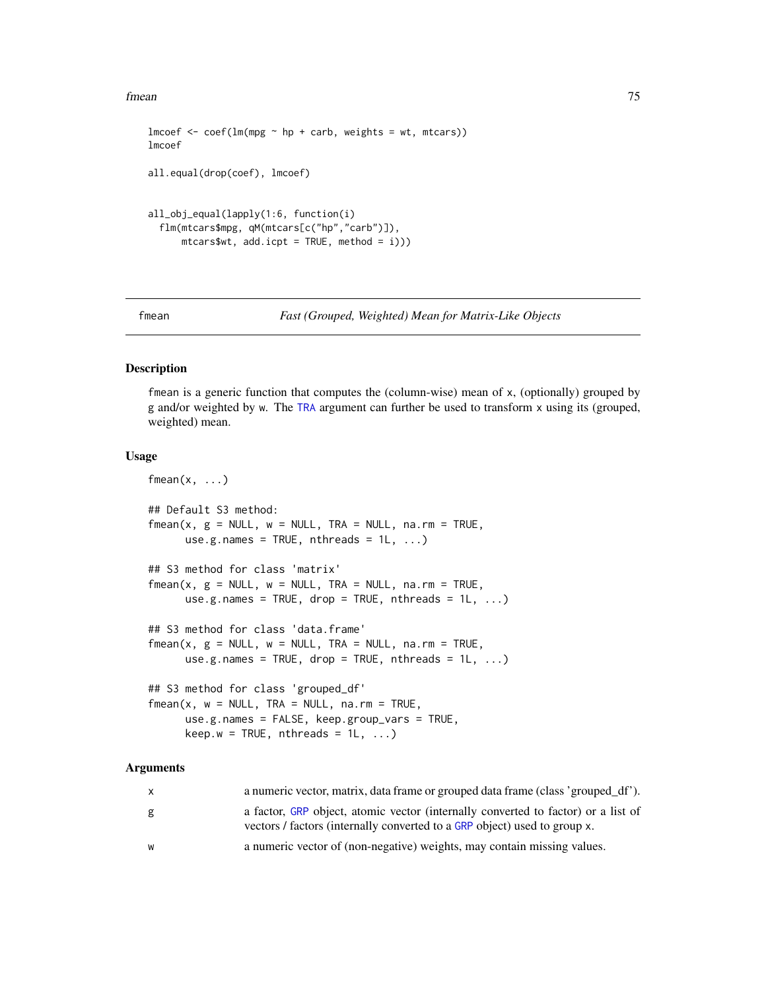fmean 75

```
lmcoef \leq coeff(lm(mpg \sim hp + carb, weights = wt, mtcars))lmcoef
all.equal(drop(coef), lmcoef)
all_obj_equal(lapply(1:6, function(i)
  flm(mtcars$mpg, qM(mtcars[c("hp","carb")]),
      mtcars wd×icpt = TRUE, method = i)))
```
<span id="page-74-0"></span>

```
fmean Fast (Grouped, Weighted) Mean for Matrix-Like Objects
```
## Description

fmean is a generic function that computes the (column-wise) mean of x, (optionally) grouped by g and/or weighted by w. The [TRA](#page-182-0) argument can further be used to transform x using its (grouped, weighted) mean.

# Usage

```
fmean(x, \ldots)## Default S3 method:
fmean(x, g = NULL, w = NULL, TRA = NULL, na.rm = TRUE,use.g.names = TRUE, nthreads = 1L, ...)
## S3 method for class 'matrix'
fmean(x, g = NULL, w = NULL, TRA = NULL, na.rm = TRUE,use.g.names = TRUE, drop = TRUE, nthreads = 1L, ...)
## S3 method for class 'data.frame'
fmean(x, g = NULL, w = NULL, TRA = NULL, na.rm = TRUE,use.g.names = TRUE, drop = TRUE, nthreads = 1L, ...)
## S3 method for class 'grouped_df'
fmean(x, w = NULL, TRA = NULL, na.rm = TRUE,use.g.names = FALSE, keep.group_vars = TRUE,
     keep.w = TRUE, nthreads = 1L, ...)
```
## Arguments

| $\mathsf{X}$ | a numeric vector, matrix, data frame or grouped data frame (class 'grouped_df').                                                                               |
|--------------|----------------------------------------------------------------------------------------------------------------------------------------------------------------|
| g            | a factor, GRP object, atomic vector (internally converted to factor) or a list of<br>vectors / factors (internally converted to a GRP object) used to group x. |
| W            | a numeric vector of (non-negative) weights, may contain missing values.                                                                                        |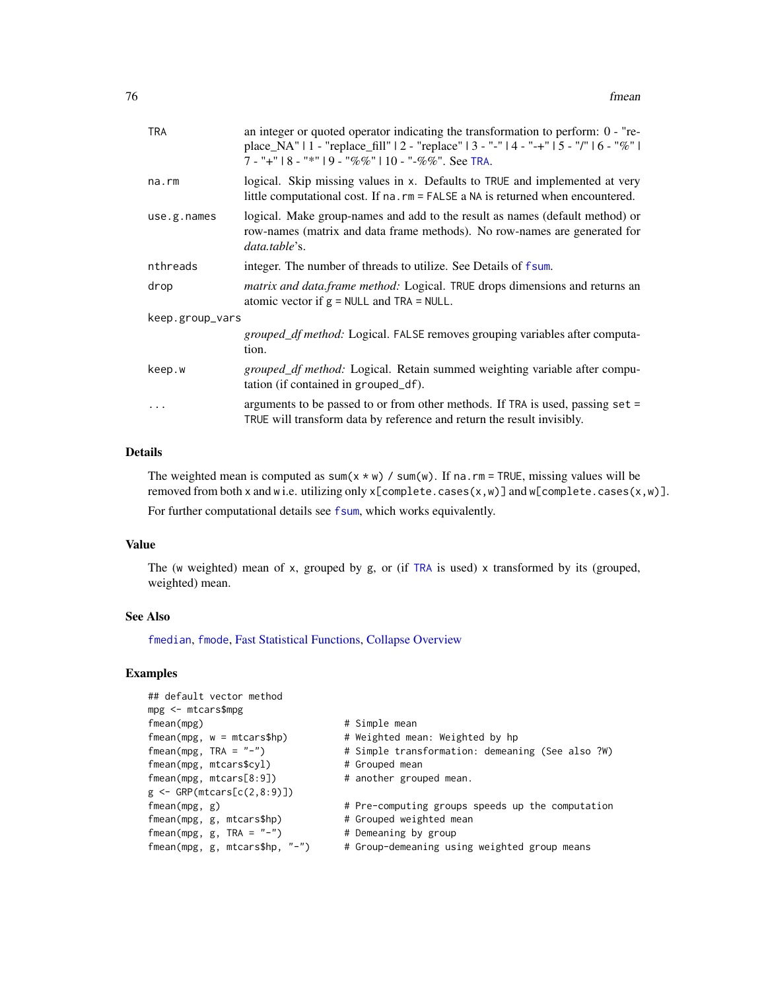| <b>TRA</b>      | an integer or quoted operator indicating the transformation to perform: $0 -$ "re-<br>place_NA"   1 - "replace_fill"   2 - "replace"   3 - "-"   4 - "-+"   5 - "/"   6 - "%"  <br>7 - "+" $18 -$ "*" $19 -$ "%%" $110 -$ "-%%". See TRA. |  |
|-----------------|-------------------------------------------------------------------------------------------------------------------------------------------------------------------------------------------------------------------------------------------|--|
| $na$ . $rm$     | logical. Skip missing values in x. Defaults to TRUE and implemented at very<br>little computational cost. If na. rm = FALSE a NA is returned when encountered.                                                                            |  |
| use.g.name      | logical. Make group-names and add to the result as names (default method) or<br>row-names (matrix and data frame methods). No row-names are generated for<br>data.table's.                                                                |  |
| nthreads        | integer. The number of threads to utilize. See Details of fsum.                                                                                                                                                                           |  |
| drop            | <i>matrix and data.frame method:</i> Logical. TRUE drops dimensions and returns an<br>atomic vector if $g = NULL$ and TRA = NULL.                                                                                                         |  |
| keep.group_vars |                                                                                                                                                                                                                                           |  |
|                 | <i>grouped_df method:</i> Logical. FALSE removes grouping variables after computa-<br>tion.                                                                                                                                               |  |
| keep.w          | grouped_df method: Logical. Retain summed weighting variable after compu-<br>tation (if contained in grouped_df).                                                                                                                         |  |
| $\cdots$        | arguments to be passed to or from other methods. If TRA is used, passing set =<br>TRUE will transform data by reference and return the result invisibly.                                                                                  |  |
|                 |                                                                                                                                                                                                                                           |  |

# Details

The weighted mean is computed as sum( $x * w$ ) / sum(w). If na.rm = TRUE, missing values will be removed from both x and w i.e. utilizing only x[complete.cases(x,w)] and w[complete.cases(x,w)]. For further computational details see [fsum](#page-105-0), which works equivalently.

# Value

The (w weighted) mean of x, grouped by g, or (if [TRA](#page-182-0) is used) x transformed by its (grouped, weighted) mean.

# See Also

[fmedian](#page-76-0), [fmode](#page-81-0), [Fast Statistical Functions,](#page-41-0) [Collapse Overview](#page-23-0)

| ## default vector method<br>$mpg < -$ mtcars\$mpg |                                                  |
|---------------------------------------------------|--------------------------------------------------|
| fmean(mpg)                                        | # Simple mean                                    |
| $fmean(mpg, w = mtcars$hp)$                       | # Weighted mean: Weighted by hp                  |
| fmean(mpg, TRA = $"$ -")                          | # Simple transformation: demeaning (See also ?W) |
| fmean(mpg, mtcars\$cyl)                           | # Grouped mean                                   |
| fmean(mpg, mtcars[8:9])                           | # another grouped mean.                          |
| $g \leftarrow$ GRP(mtcars[c(2,8:9)])              |                                                  |
| $f$ mean $(mpg, g)$                               | # Pre-computing groups speeds up the computation |
| fmean(mpg, g, mtcars\$hp)                         | # Grouped weighted mean                          |
| fmean(mpg, g, TRA = $"$ -")                       | # Demeaning by group                             |
| fmean(mpg, g, mtcars\$hp, $"$ -")                 | # Group-demeaning using weighted group means     |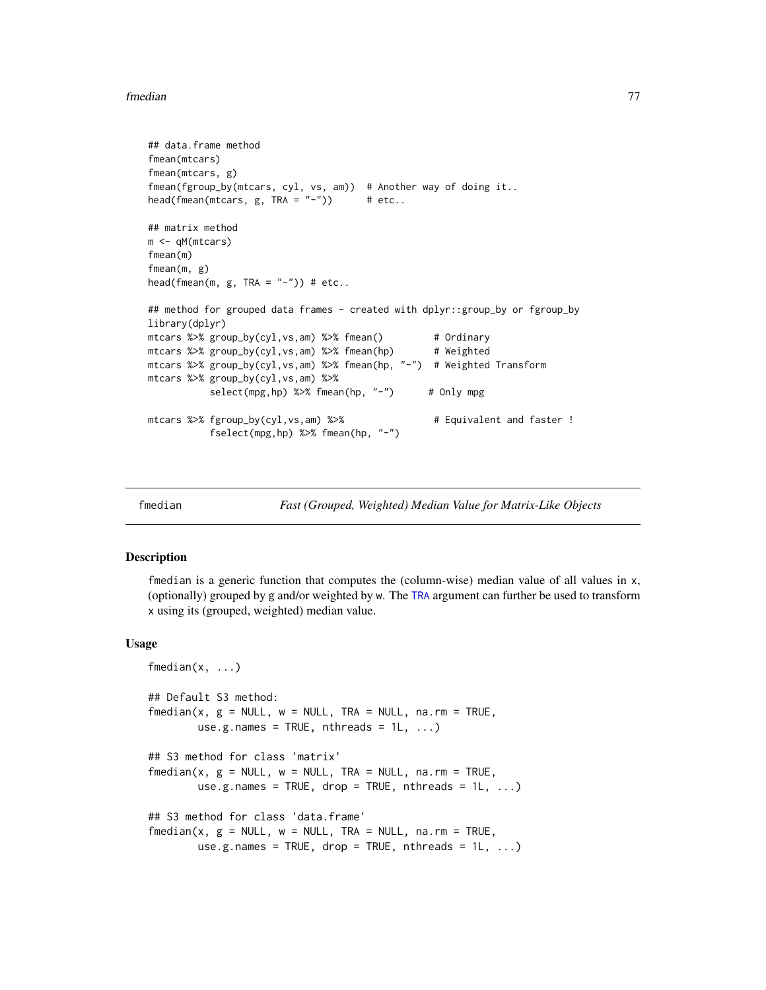## fmedian 77

```
## data.frame method
fmean(mtcars)
fmean(mtcars, g)
fmean(fgroup_by(mtcars, cyl, vs, am)) # Another way of doing it..
head(fmean(mtcars, g, TRA = "-")) # etc..
## matrix method
m <- qM(mtcars)
fmean(m)
fmean(m, g)
head(fmean(m, g, TRA = "-")) # etc..
## method for grouped data frames - created with dplyr::group_by or fgroup_by
library(dplyr)
mtcars %>% group_by(cyl,vs,am) %>% fmean() # Ordinary
mtcars %>% group_by(cyl,vs,am) %>% fmean(hp) # Weighted
mtcars %>% group_by(cyl,vs,am) %>% fmean(hp, "-") # Weighted Transform
mtcars %>% group_by(cyl,vs,am) %>%
          select(mpg,hp) %>% fmean(hp, "-") # Only mpg
mtcars %>% fgroup_by(cyl,vs,am) %>% # Equivalent and faster !
          fselect(mpg,hp) %>% fmean(hp, "-")
```
<span id="page-76-0"></span>

fmedian *Fast (Grouped, Weighted) Median Value for Matrix-Like Objects*

# Description

fmedian is a generic function that computes the (column-wise) median value of all values in x, (optionally) grouped by g and/or weighted by w. The [TRA](#page-182-0) argument can further be used to transform x using its (grouped, weighted) median value.

```
fmedian(x, \ldots)## Default S3 method:
fmedian(x, g = NULL, w = NULL, TRA = NULL, na.rm = TRUE,
        use.g.names = TRUE, nthreads = 1L, ...)
## S3 method for class 'matrix'
fmedian(x, g = NULL, w = NULL, TRA = NULL, na.rm = TRUE,
        use.g.names = TRUE, drop = TRUE, nthreads = 1L, ...)
## S3 method for class 'data.frame'
fmedian(x, g = NULL, w = NULL, TRA = NULL, na.rm = TRUE,
        use.g.names = TRUE, drop = TRUE, nthreads = 1L, ...)
```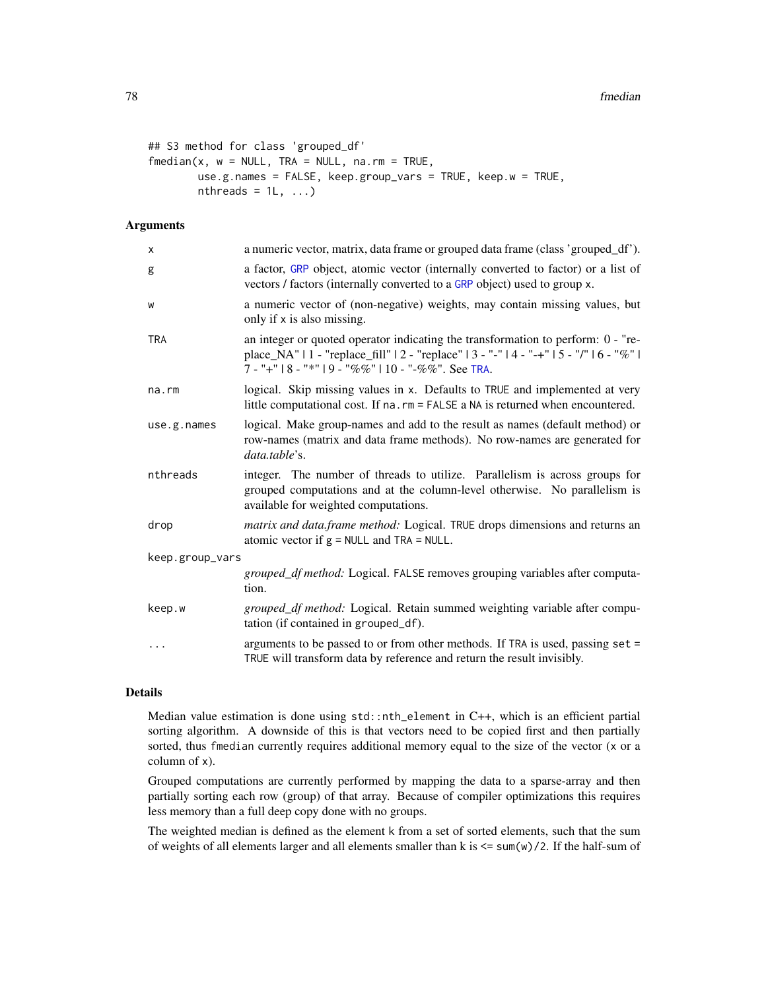```
## S3 method for class 'grouped_df'
fmedian(x, w = NULL, TRA = NULL, na.rm = TRUE,
       use.g.names = FALSE, keep.group_vars = TRUE, keep.w = TRUE,
       nthreads = 1L, ...)
```
# Arguments

| X               | a numeric vector, matrix, data frame or grouped data frame (class 'grouped_df').                                                                                                                                                     |
|-----------------|--------------------------------------------------------------------------------------------------------------------------------------------------------------------------------------------------------------------------------------|
| g               | a factor, GRP object, atomic vector (internally converted to factor) or a list of<br>vectors / factors (internally converted to a GRP object) used to group x.                                                                       |
| W               | a numeric vector of (non-negative) weights, may contain missing values, but<br>only if x is also missing.                                                                                                                            |
| <b>TRA</b>      | an integer or quoted operator indicating the transformation to perform: 0 - "re-<br>place_NA"   1 - "replace_fill"   2 - "replace"   3 - "-"   4 - "-+"   5 - "/"   6 - "%"  <br>7 - "+"   8 - "*"   9 - "%%"   10 - "-%%". See TRA. |
| $na$ . $rm$     | logical. Skip missing values in x. Defaults to TRUE and implemented at very<br>little computational cost. If na. rm = FALSE a NA is returned when encountered.                                                                       |
| use.g.names     | logical. Make group-names and add to the result as names (default method) or<br>row-names (matrix and data frame methods). No row-names are generated for<br>data.table's.                                                           |
| nthreads        | integer. The number of threads to utilize. Parallelism is across groups for<br>grouped computations and at the column-level otherwise. No parallelism is<br>available for weighted computations.                                     |
| drop            | <i>matrix and data.frame method:</i> Logical. TRUE drops dimensions and returns an<br>atomic vector if $g = NULL$ and $TRA = NULL$ .                                                                                                 |
| keep.group_vars |                                                                                                                                                                                                                                      |
|                 | grouped_df method: Logical. FALSE removes grouping variables after computa-<br>tion.                                                                                                                                                 |
| keep.w          | <i>grouped_df method:</i> Logical. Retain summed weighting variable after compu-<br>tation (if contained in grouped_df).                                                                                                             |
| $\cdots$        | arguments to be passed to or from other methods. If TRA is used, passing set =<br>TRUE will transform data by reference and return the result invisibly.                                                                             |

## Details

Median value estimation is done using std::nth\_element in C++, which is an efficient partial sorting algorithm. A downside of this is that vectors need to be copied first and then partially sorted, thus fmedian currently requires additional memory equal to the size of the vector (x or a column of x).

Grouped computations are currently performed by mapping the data to a sparse-array and then partially sorting each row (group) of that array. Because of compiler optimizations this requires less memory than a full deep copy done with no groups.

The weighted median is defined as the element k from a set of sorted elements, such that the sum of weights of all elements larger and all elements smaller than k is  $\leq$  sum(w)/2. If the half-sum of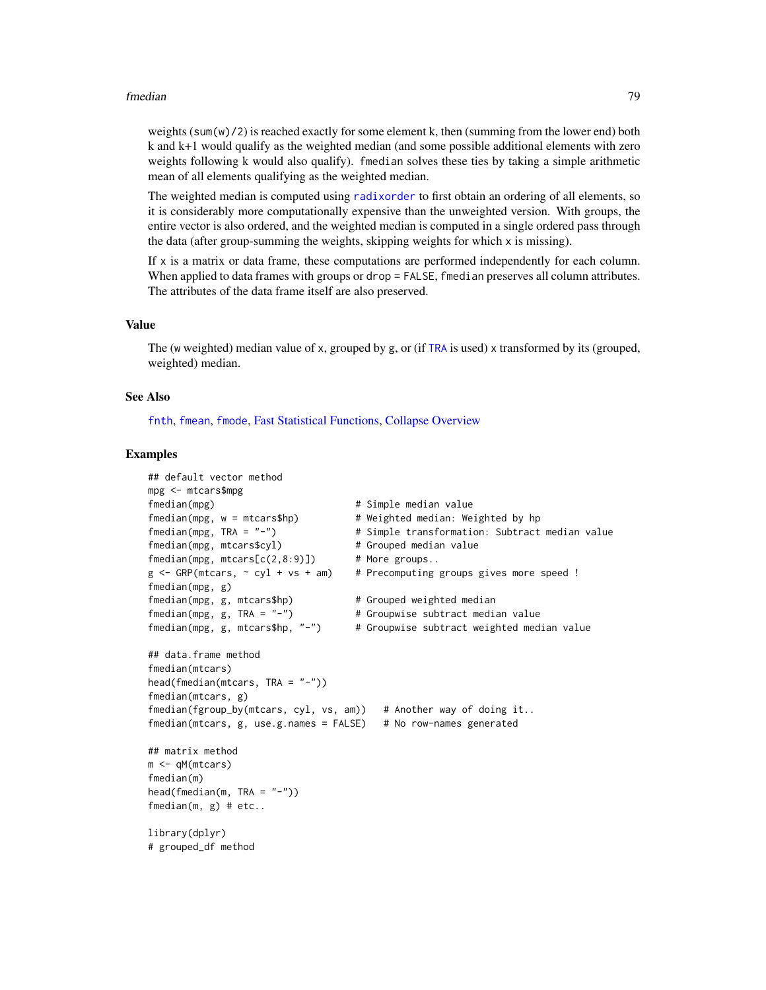## fmedian 79

weights  $(sum(w)/2)$  is reached exactly for some element k, then (summing from the lower end) both k and k+1 would qualify as the weighted median (and some possible additional elements with zero weights following k would also qualify). fmedian solves these ties by taking a simple arithmetic mean of all elements qualifying as the weighted median.

The weighted median is computed using [radixorder](#page-164-0) to first obtain an ordering of all elements, so it is considerably more computationally expensive than the unweighted version. With groups, the entire vector is also ordered, and the weighted median is computed in a single ordered pass through the data (after group-summing the weights, skipping weights for which x is missing).

If x is a matrix or data frame, these computations are performed independently for each column. When applied to data frames with groups or drop = FALSE, fmedian preserves all column attributes. The attributes of the data frame itself are also preserved.

# Value

The (w weighted) median value of x, grouped by g, or (if [TRA](#page-182-0) is used) x transformed by its (grouped, weighted) median.

# See Also

[fnth](#page-88-0), [fmean](#page-74-0), [fmode](#page-81-0), [Fast Statistical Functions,](#page-41-0) [Collapse Overview](#page-23-0)

```
## default vector method
mpg <- mtcars$mpg
fmedian(mpg) # Simple median value
fmedian(mpg, w = mtcars$hp) # Weighted median: Weighted by hp
fmedian(mpg, TRA = "-") # Simple transformation: Subtract median value
fmedian(mpg, mtcars$cyl) # Grouped median value
fmedian(mpg, mtcars[c(2,8:9)]) # More groups..
g \leq - GRP(mtcars, \sim cyl + vs + am) # Precomputing groups gives more speed !
fmedian(mpg, g)
fmedian(mpg, g, mtcars$hp) # Grouped weighted median
fmedian(mpg, g, TRA = "-") * Groupwise subtract median value
fmedian(mpg, g, mtcars$hp, "-") # Groupwise subtract weighted median value
## data.frame method
fmedian(mtcars)
head(fmedian(mtcars, TRA = "-"))
fmedian(mtcars, g)
fmedian(fgroup_by(mtcars, cyl, vs, am)) # Another way of doing it..
fmedian(mtcars, g, use.g.names = FALSE) # No row-names generated
## matrix method
m <- qM(mtcars)
fmedian(m)
head(fmedian(m, TRA = "-''))fmedian(m, g) # etc..
library(dplyr)
# grouped_df method
```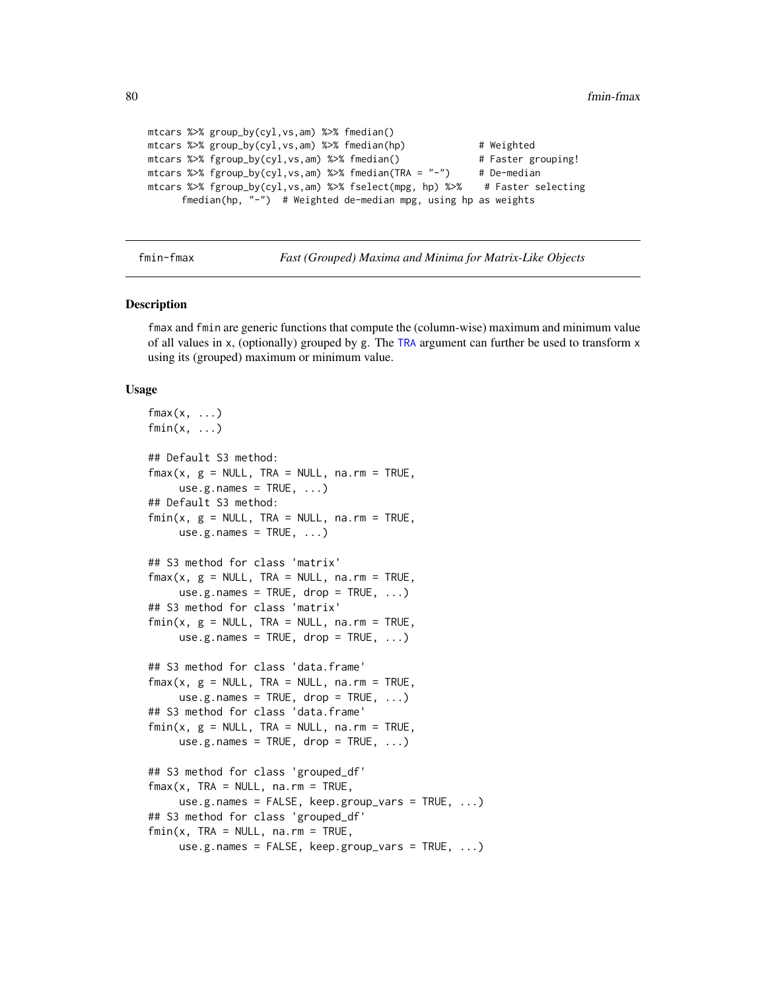```
mtcars %>% group_by(cyl,vs,am) %>% fmedian()
mtcars %>% group_by(cyl,vs,am) %>% fmedian(hp) # Weighted
mtcars %>% fgroup_by(cyl,vs,am) %>% fmedian() # Faster grouping!
mtcars %>% fgroup_by(cyl,vs,am) %>% fmedian(TRA = "-") # De-median
mtcars %>% fgroup_by(cyl,vs,am) %>% fselect(mpg, hp) %>% # Faster selecting
     fmedian(hp, "-") # Weighted de-median mpg, using hp as weights
```
fmin-fmax *Fast (Grouped) Maxima and Minima for Matrix-Like Objects*

#### **Description**

fmax and fmin are generic functions that compute the (column-wise) maximum and minimum value of all values in x, (optionally) grouped by g. The [TRA](#page-182-0) argument can further be used to transform x using its (grouped) maximum or minimum value.

```
fmax(x, \ldots)fmin(x, \ldots)## Default S3 method:
fmax(x, g = NULL, TRA = NULL, na.rm = TRUE,use.g. names = TRUE, \ldots)
## Default S3 method:
fmin(x, g = NULL, TRA = NULL, na.rm = TRUE,use.g.names = TRUE, ...)## S3 method for class 'matrix'
fmax(x, g = NULL, TRA = NULL, na.rm = TRUE,use.g.names = TRUE, drop = TRUE, ...)
## S3 method for class 'matrix'
fmin(x, g = NULL, TRA = NULL, na.rm = TRUE,use.g.names = TRUE, drop = TRUE, ...)
## S3 method for class 'data.frame'
fmax(x, g = NULL, TRA = NULL, na.rm = TRUE,use.g.names = TRUE, drop = TRUE, ...)
## S3 method for class 'data.frame'
fmin(x, g = NULL, TRA = NULL, na.rm = TRUE,use.g.names = TRUE, drop = TRUE, ...)
## S3 method for class 'grouped_df'
fmax(x, TRA = NULL, na.rm = TRUE,use.g.names = FALSE, keep.group_vars = TRUE, \ldots)
## S3 method for class 'grouped_df'
fmin(x, TRA = NULL, na.rm = TRUE,use.g.names = FALSE, keep.group_vars = TRUE, ...)
```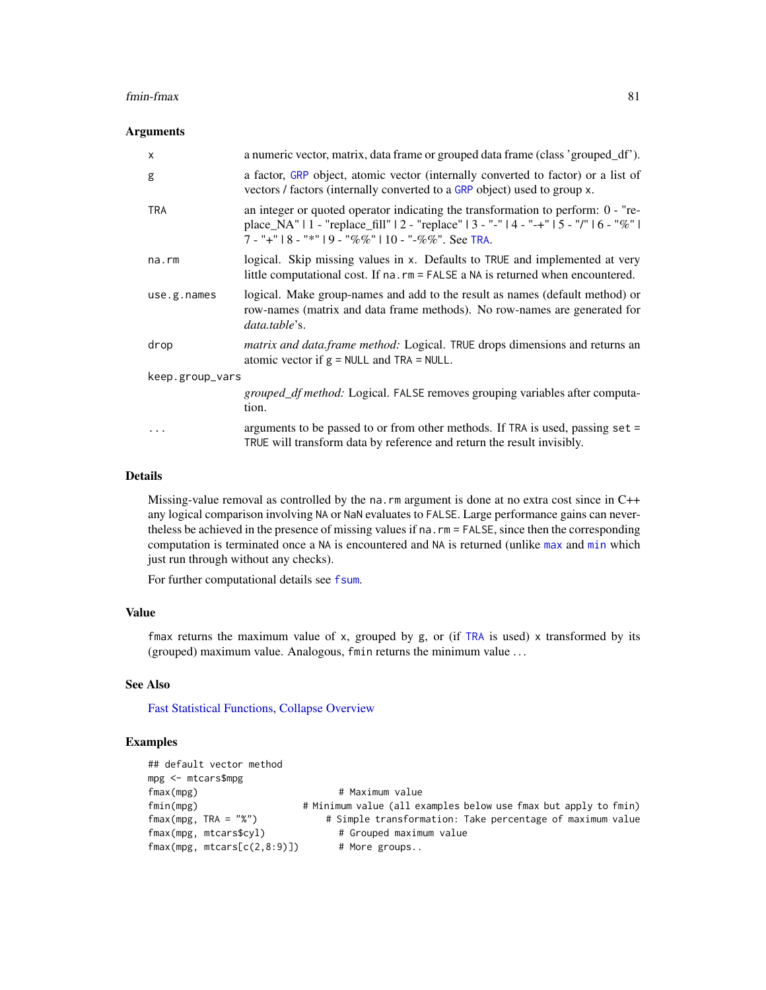## fmin-fmax 81

## **Arguments**

| X               | a numeric vector, matrix, data frame or grouped data frame (class 'grouped_df').                                                                                                                                                         |  |
|-----------------|------------------------------------------------------------------------------------------------------------------------------------------------------------------------------------------------------------------------------------------|--|
| g               | a factor, GRP object, atomic vector (internally converted to factor) or a list of<br>vectors / factors (internally converted to a GRP object) used to group x.                                                                           |  |
| <b>TRA</b>      | an integer or quoted operator indicating the transformation to perform: $0 -$ "re-<br>place_NA"   1 - "replace_fill"   2 - "replace"   3 - "-"   4 - "-+"   5 - "/"   6 - "%"  <br>$7 -$ "+"   8 - "*"   9 - "%%"   10 - "-%%". See TRA. |  |
| $na$ . $rm$     | logical. Skip missing values in x. Defaults to TRUE and implemented at very<br>little computational cost. If na. rm = FALSE a NA is returned when encountered.                                                                           |  |
| use.g.name      | logical. Make group-names and add to the result as names (default method) or<br>row-names (matrix and data frame methods). No row-names are generated for<br>data.table's.                                                               |  |
| drop            | <i>matrix and data.frame method:</i> Logical. TRUE drops dimensions and returns an<br>atomic vector if $g = NULL$ and TRA = NULL.                                                                                                        |  |
| keep.group_vars |                                                                                                                                                                                                                                          |  |
|                 | <i>grouped_df method:</i> Logical. FALSE removes grouping variables after computa-<br>tion.                                                                                                                                              |  |
|                 | arguments to be passed to or from other methods. If TRA is used, passing set $=$<br>TRUE will transform data by reference and return the result invisibly.                                                                               |  |

# Details

Missing-value removal as controlled by the na. rm argument is done at no extra cost since in C++ any logical comparison involving NA or NaN evaluates to FALSE. Large performance gains can nevertheless be achieved in the presence of missing values if na.rm = FALSE, since then the corresponding computation is terminated once a NA is encountered and NA is returned (unlike [max](#page-0-0) and [min](#page-0-0) which just run through without any checks).

For further computational details see [fsum](#page-105-0).

# Value

fmax returns the maximum value of x, grouped by g, or (if [TRA](#page-182-0) is used) x transformed by its (grouped) maximum value. Analogous, fmin returns the minimum value . . .

# See Also

[Fast Statistical Functions,](#page-41-0) [Collapse Overview](#page-23-0)

```
## default vector method
mpg <- mtcars$mpg
fmax(mpg) # Maximum value
fmin(mpg) # Minimum value (all examples below use fmax but apply to fmin)<br>fmax(mpg, TRA = "%") # Simple transformation: Take percentage of maximum value
                                  # Simple transformation: Take percentage of maximum value
fmax(mpg, mtcars$cyl) # Grouped maximum value
fmax(mpg, mtcars[c(2,8:9)]) # More groups..
```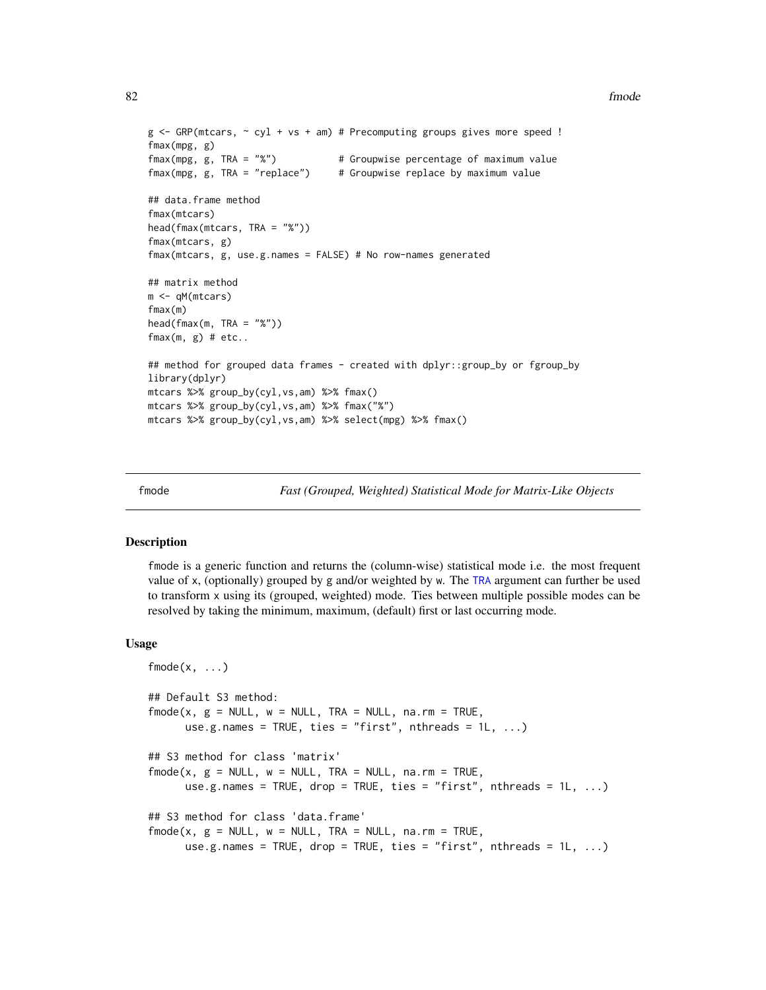## 82 fmode

```
g \leftarrow GRP(mtcars, \sim cyl + vs + am) # Precomputing groups gives more speed !
fmax(mpg, g)
fmax(mpg, g, TRA = "%") \qquad # Groupwise percentage of maximum value fmax(mpg, g, TRA = "replace") \qquad # Groupwise replace by maximum value
                                      # Groupwise replace by maximum value
## data.frame method
fmax(mtcars)
head(fmax(mtcars, TRA = "%"))
fmax(mtcars, g)
fmax(mtcars, g, use.g.names = FALSE) # No row-names generated
## matrix method
m <- qM(mtcars)
fmax(m)
head(fmax(m, TRA = "X"))fmax(m, g) # etc..
## method for grouped data frames - created with dplyr::group_by or fgroup_by
library(dplyr)
mtcars %>% group_by(cyl,vs,am) %>% fmax()
mtcars %>% group_by(cyl,vs,am) %>% fmax("%")
mtcars %>% group_by(cyl,vs,am) %>% select(mpg) %>% fmax()
```
<span id="page-81-0"></span>

fmode *Fast (Grouped, Weighted) Statistical Mode for Matrix-Like Objects*

# Description

fmode is a generic function and returns the (column-wise) statistical mode i.e. the most frequent value of x, (optionally) grouped by g and/or weighted by w. The [TRA](#page-182-0) argument can further be used to transform x using its (grouped, weighted) mode. Ties between multiple possible modes can be resolved by taking the minimum, maximum, (default) first or last occurring mode.

```
fmode(x, \ldots)## Default S3 method:
fmode(x, g = NULL, w = NULL, TRA = NULL, na.rm = TRUE,
      use.g.names = TRUE, ties = "first", nthreads = 1L, ...)
## S3 method for class 'matrix'
fmode(x, g = NULL, w = NULL, TRA = NULL, na.rm = TRUE,
      use.g.names = TRUE, drop = TRUE, ties = "first", nthreads = 1L, ...)
## S3 method for class 'data.frame'
fmode(x, g = NULL, w = NULL, TRA = NULL, na.rm = TRUE,
      use.g.names = TRUE, drop = TRUE, ties = "first", nthreads = 1L, ...)
```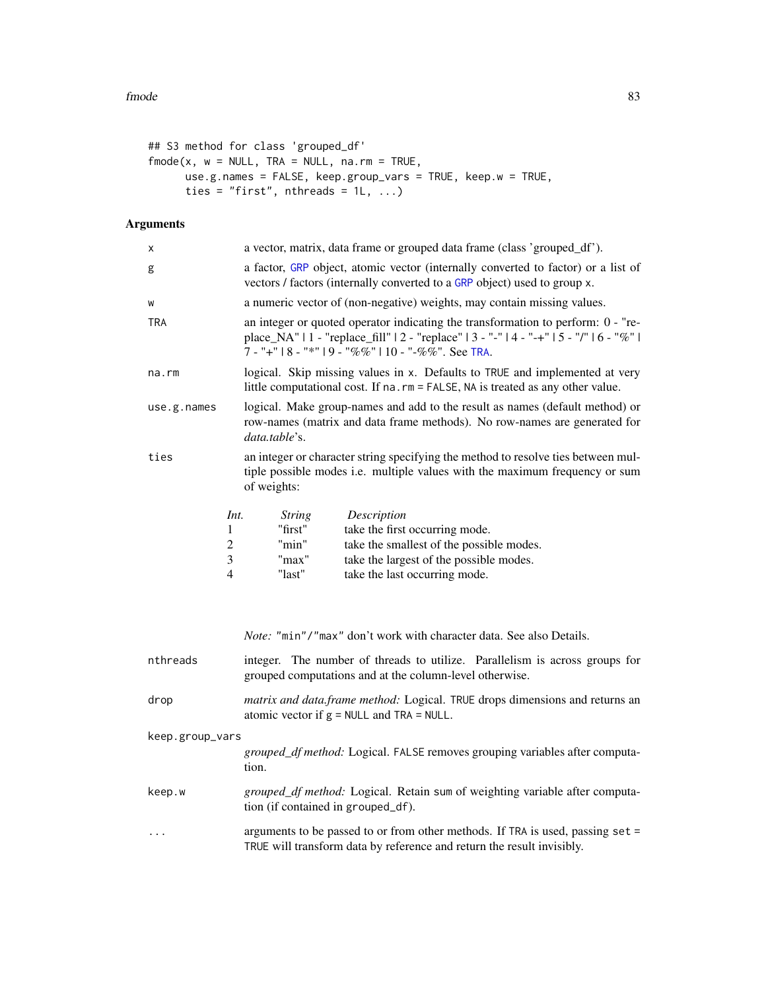```
## S3 method for class 'grouped_df'
fmode(x, w = NULL, TRA = NULL, na.rm = TRUE,
     use.g.names = FALSE, keep.group_vars = TRUE, keep.w = TRUE,
     ties = "first", nthreads = 11, ...)
```
# Arguments

| X               |                          | a vector, matrix, data frame or grouped data frame (class 'grouped_df').                                                                                                                                                             |
|-----------------|--------------------------|--------------------------------------------------------------------------------------------------------------------------------------------------------------------------------------------------------------------------------------|
| g               |                          | a factor, GRP object, atomic vector (internally converted to factor) or a list of<br>vectors / factors (internally converted to a GRP object) used to group x.                                                                       |
| W               |                          | a numeric vector of (non-negative) weights, may contain missing values.                                                                                                                                                              |
| TRA             |                          | an integer or quoted operator indicating the transformation to perform: 0 - "re-<br>place_NA"   1 - "replace_fill"   2 - "replace"   3 - "-"   4 - "-+"   5 - "/"   6 - "%"  <br>7 - "+"   8 - "*"   9 - "%%"   10 - "-%%". See TRA. |
| na.rm           |                          | logical. Skip missing values in x. Defaults to TRUE and implemented at very<br>little computational cost. If na. rm = FALSE, NA is treated as any other value.                                                                       |
| use.g.names     |                          | logical. Make group-names and add to the result as names (default method) or<br>row-names (matrix and data frame methods). No row-names are generated for<br>data.table's.                                                           |
| ties            |                          | an integer or character string specifying the method to resolve ties between mul-<br>tiple possible modes i.e. multiple values with the maximum frequency or sum<br>of weights:                                                      |
|                 | Int.<br>1<br>2<br>3<br>4 | Description<br><i>String</i><br>"first"<br>take the first occurring mode.<br>take the smallest of the possible modes.<br>"min"<br>take the largest of the possible modes.<br>"max"<br>"last"<br>take the last occurring mode.        |
|                 |                          | Note: "min"/"max" don't work with character data. See also Details.                                                                                                                                                                  |
| nthreads        |                          | integer. The number of threads to utilize. Parallelism is across groups for<br>grouped computations and at the column-level otherwise.                                                                                               |
| drop            |                          | matrix and data.frame method: Logical. TRUE drops dimensions and returns an<br>atomic vector if $g = NULL$ and $TRA = NULL$ .                                                                                                        |
| keep.group_vars |                          | grouped_df method: Logical. FALSE removes grouping variables after computa-<br>tion.                                                                                                                                                 |
| keep.w          |                          | grouped_df method: Logical. Retain sum of weighting variable after computa-<br>tion (if contained in grouped_df).                                                                                                                    |
| $\cdots$        |                          | arguments to be passed to or from other methods. If TRA is used, passing set =<br>TRUE will transform data by reference and return the result invisibly.                                                                             |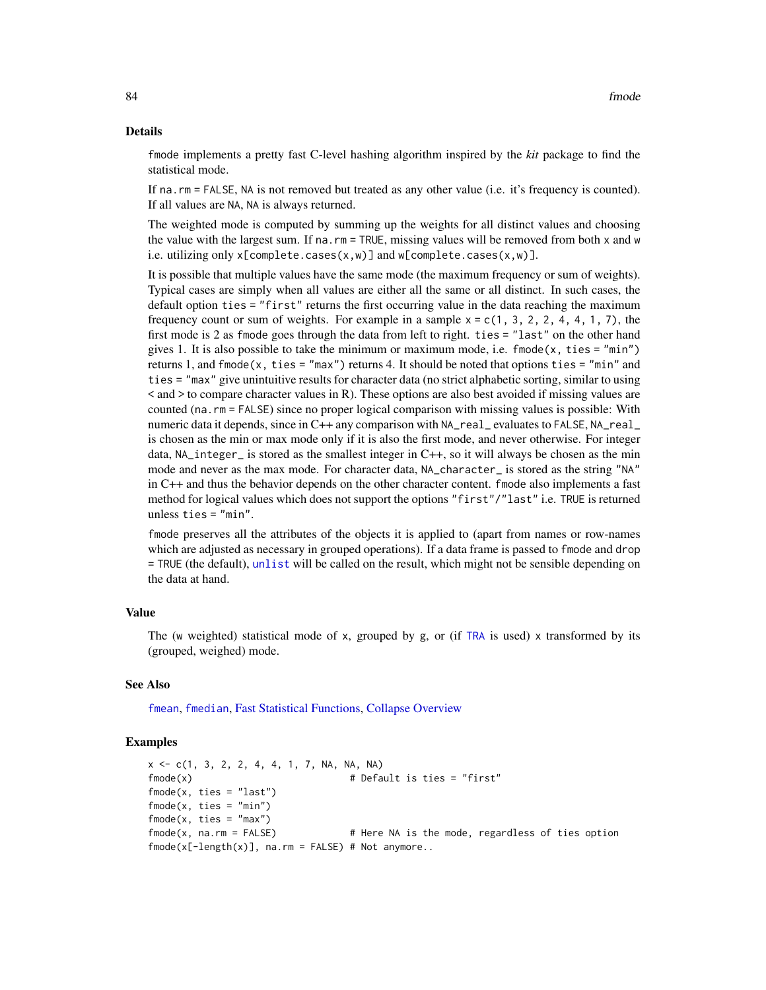## Details

fmode implements a pretty fast C-level hashing algorithm inspired by the *kit* package to find the statistical mode.

If na.rm = FALSE, NA is not removed but treated as any other value (i.e. it's frequency is counted). If all values are NA, NA is always returned.

The weighted mode is computed by summing up the weights for all distinct values and choosing the value with the largest sum. If na.rm = TRUE, missing values will be removed from both x and w i.e. utilizing only x[complete.cases(x,w)] and w[complete.cases(x,w)].

It is possible that multiple values have the same mode (the maximum frequency or sum of weights). Typical cases are simply when all values are either all the same or all distinct. In such cases, the default option ties = "first" returns the first occurring value in the data reaching the maximum frequency count or sum of weights. For example in a sample  $x = c(1, 3, 2, 2, 4, 4, 1, 7)$ , the first mode is 2 as fmode goes through the data from left to right. ties = "last" on the other hand gives 1. It is also possible to take the minimum or maximum mode, i.e.  $\text{fmode}(x, \text{ties} = \text{"min"})$ returns 1, and  $f$ mode(x, ties = "max") returns 4. It should be noted that options ties = "min" and ties = "max" give unintuitive results for character data (no strict alphabetic sorting, similar to using  $\leq$  and  $\geq$  to compare character values in R). These options are also best avoided if missing values are counted (na.rm = FALSE) since no proper logical comparison with missing values is possible: With numeric data it depends, since in C++ any comparison with NA\_real\_ evaluates to FALSE, NA\_real\_ is chosen as the min or max mode only if it is also the first mode, and never otherwise. For integer data, NA\_integer\_ is stored as the smallest integer in C++, so it will always be chosen as the min mode and never as the max mode. For character data, NA\_character\_ is stored as the string "NA" in C++ and thus the behavior depends on the other character content. fmode also implements a fast method for logical values which does not support the options "first"/"last" i.e. TRUE is returned unless ties = "min".

fmode preserves all the attributes of the objects it is applied to (apart from names or row-names which are adjusted as necessary in grouped operations). If a data frame is passed to fmode and drop = TRUE (the default), [unlist](#page-0-0) will be called on the result, which might not be sensible depending on the data at hand.

# Value

The (w weighted) statistical mode of x, grouped by g, or (if [TRA](#page-182-0) is used) x transformed by its (grouped, weighed) mode.

#### See Also

[fmean](#page-74-0), [fmedian](#page-76-0), [Fast Statistical Functions,](#page-41-0) [Collapse Overview](#page-23-0)

```
x \leq -c(1, 3, 2, 2, 4, 4, 1, 7, NA, NA)fmode(x) \qquad # Default is ties = "first"
fmode(x, ties = "last")
fmode(x, ties = "min")
fmode(x, ties = "max")
fmode(x, na.rm = FALSE) # Here NA is the mode, regardless of ties option
fmode(x[-length(x)], na.rm = FALSE) # Not anymore..
```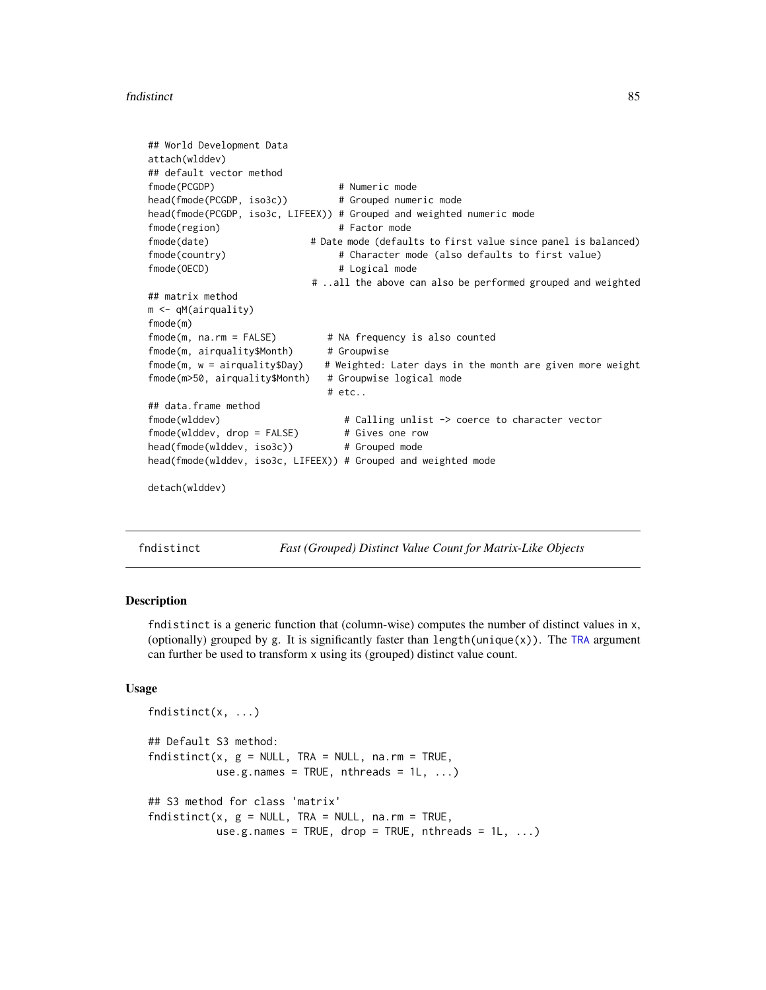## fndistinct 85

```
## World Development Data
attach(wlddev)
## default vector method
fmode(PCGDP) # Numeric mode
head(fmode(PCGDP, iso3c)) # Grouped numeric mode
head(fmode(PCGDP, iso3c, LIFEEX)) # Grouped and weighted numeric mode
fmode(region) # Factor mode
fmode(date) # Date mode (defaults to first value since panel is balanced)
fmode(country) \qquad # Character mode (also defaults to first value)
fmode(OECD) # Logical mode# ..all the above can also be performed grouped and weighted
## matrix method
m <- qM(airquality)
fmode(m)
fmode(m, na.rm = FALSE) \qquad # NA frequency is also counted
fmode(m, airquality$Month) # Groupwise
fmode(m, w = airquality$Day) # Weighted: Later days in the month are given more weight
fmode(m>50, airquality$Month) # Groupwise logical mode
                            # etc..
## data.frame method
fmode(wlddev) # Calling unlist -> coerce to character vector
fmode(wlddev, drop = FALSE) # Gives one row
head(fmode(wlddev, iso3c)) # Grouped mode
head(fmode(wlddev, iso3c, LIFEEX)) # Grouped and weighted mode
detach(wlddev)
```
<span id="page-84-0"></span>fndistinct *Fast (Grouped) Distinct Value Count for Matrix-Like Objects*

# Description

fndistinct is a generic function that (column-wise) computes the number of distinct values in x, (optionally) grouped by g. It is significantly faster than length(unique(x)). The [TRA](#page-182-0) argument can further be used to transform x using its (grouped) distinct value count.

```
fndistinct(x, ...)
## Default S3 method:
fndistinct(x, g = NULL, TRA = NULL, na.rm = TRUE,use.g.names = TRUE, nthreads = 1L, ...## S3 method for class 'matrix'
fndistinct(x, g = NULL, TRA = NULL, na.rm = TRUE,use.g.names = TRUE, drop = TRUE, nthreads = 1L, ...)
```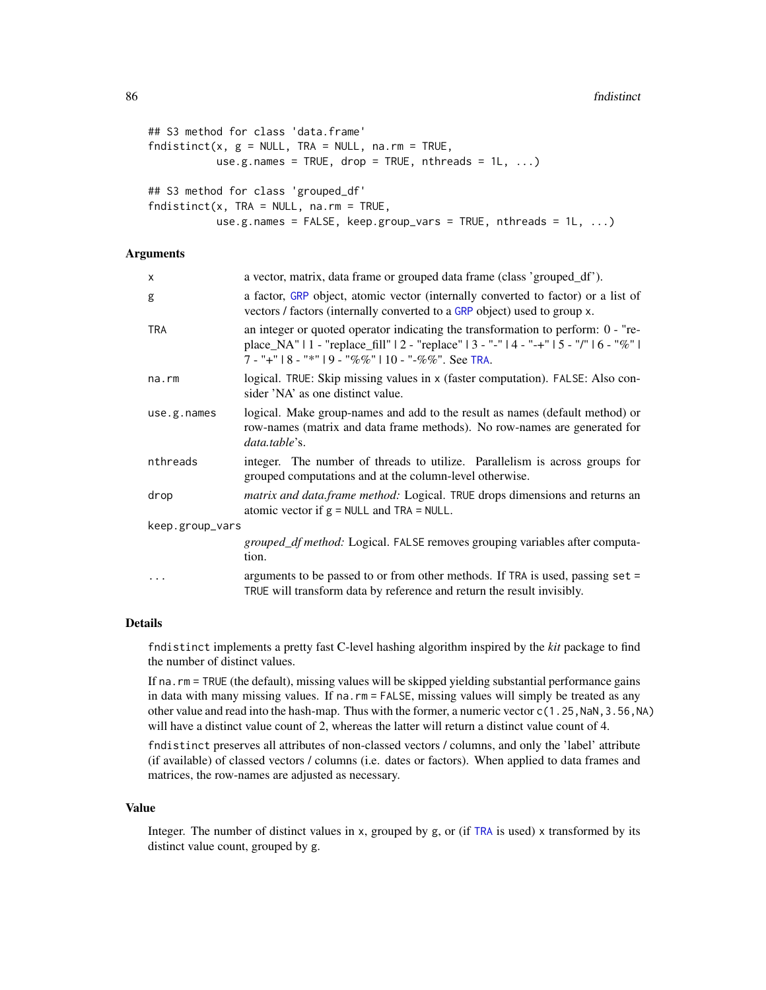```
## S3 method for class 'data.frame'
fndistinct(x, g = NULL, TRA = NULL, na.rm = TRUE,
          use.g.names = TRUE, drop = TRUE, nthreads = 1L, ...)
## S3 method for class 'grouped_df'
fndistinct(x, TRA = NULL, na.rm = TRUE,use.g.names = FALSE, keep.group_vars = TRUE, nthreads = 1L, ...)
```
# Arguments

| X               | a vector, matrix, data frame or grouped data frame (class 'grouped_df').                                                                                                                                                                 |  |
|-----------------|------------------------------------------------------------------------------------------------------------------------------------------------------------------------------------------------------------------------------------------|--|
| g               | a factor, GRP object, atomic vector (internally converted to factor) or a list of<br>vectors / factors (internally converted to a GRP object) used to group x.                                                                           |  |
| <b>TRA</b>      | an integer or quoted operator indicating the transformation to perform: $0 -$ "re-<br>place_NA"   1 - "replace_fill"   2 - "replace"   3 - "-"   4 - "-+"   5 - "/"   6 - "%"  <br>$7 -$ "+"   8 - "*"   9 - "%%"   10 - "-%%". See TRA. |  |
| na.rm           | logical. TRUE: Skip missing values in x (faster computation). FALSE: Also con-<br>sider 'NA' as one distinct value.                                                                                                                      |  |
| use.g. names    | logical. Make group-names and add to the result as names (default method) or<br>row-names (matrix and data frame methods). No row-names are generated for<br>data.table's.                                                               |  |
| nthreads        | integer. The number of threads to utilize. Parallelism is across groups for<br>grouped computations and at the column-level otherwise.                                                                                                   |  |
| drop            | <i>matrix and data.frame method:</i> Logical. TRUE drops dimensions and returns an<br>atomic vector if $g = NULL$ and TRA = NULL.                                                                                                        |  |
| keep.group_vars |                                                                                                                                                                                                                                          |  |
|                 | grouped_df method: Logical. FALSE removes grouping variables after computa-<br>tion.                                                                                                                                                     |  |
|                 | arguments to be passed to or from other methods. If TRA is used, passing set =<br>TRUE will transform data by reference and return the result invisibly.                                                                                 |  |

## Details

fndistinct implements a pretty fast C-level hashing algorithm inspired by the *kit* package to find the number of distinct values.

If na.rm = TRUE (the default), missing values will be skipped yielding substantial performance gains in data with many missing values. If na.rm = FALSE, missing values will simply be treated as any other value and read into the hash-map. Thus with the former, a numeric vector  $c(1.25, NaN, 3.56, NA)$ will have a distinct value count of 2, whereas the latter will return a distinct value count of 4.

fndistinct preserves all attributes of non-classed vectors / columns, and only the 'label' attribute (if available) of classed vectors / columns (i.e. dates or factors). When applied to data frames and matrices, the row-names are adjusted as necessary.

#### Value

Integer. The number of distinct values in x, grouped by g, or (if [TRA](#page-182-0) is used) x transformed by its distinct value count, grouped by g.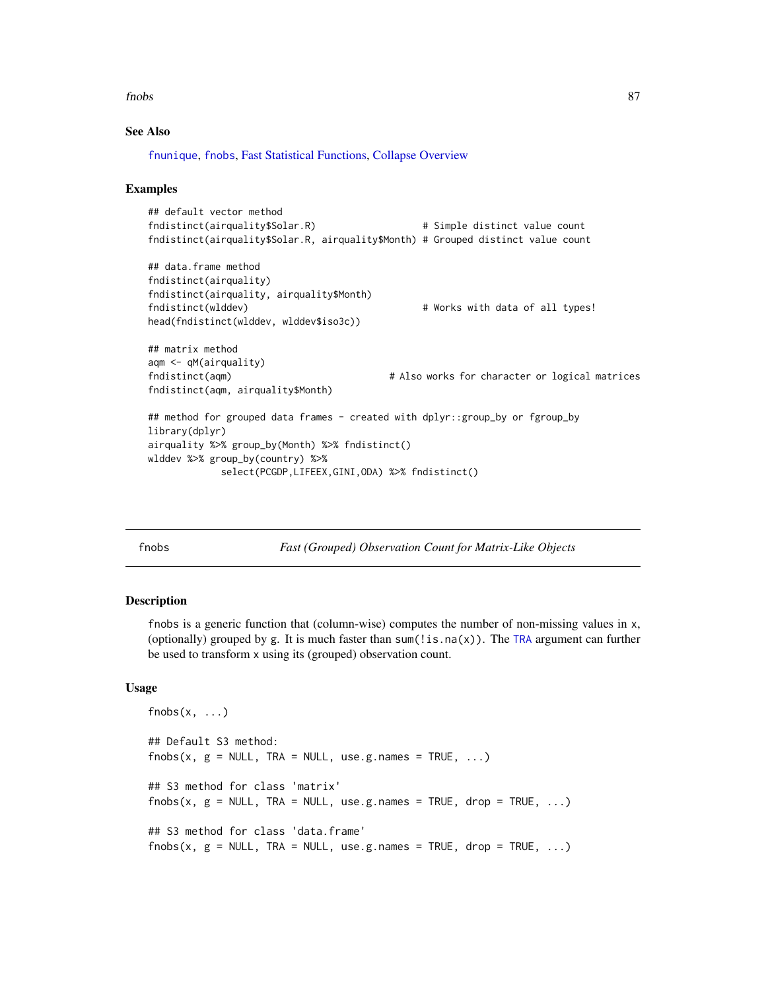fnobs 87

# See Also

[fnunique](#page-115-0), [fnobs](#page-86-0), [Fast Statistical Functions,](#page-41-0) [Collapse Overview](#page-23-0)

# Examples

```
## default vector method
fndistinct(airquality$Solar.R) # Simple distinct value count
fndistinct(airquality$Solar.R, airquality$Month) # Grouped distinct value count
## data.frame method
fndistinct(airquality)
fndistinct(airquality, airquality$Month)
fndistinct(wlddev) \qquad # Works with data of all types!
head(fndistinct(wlddev, wlddev$iso3c))
## matrix method
aqm <- qM(airquality)
fndistinct(aqm) # Also works for character or logical matrices
fndistinct(aqm, airquality$Month)
## method for grouped data frames - created with dplyr::group_by or fgroup_by
library(dplyr)
airquality %>% group_by(Month) %>% fndistinct()
wlddev %>% group_by(country) %>%
           select(PCGDP,LIFEEX,GINI,ODA) %>% fndistinct()
```
<span id="page-86-0"></span>

fnobs *Fast (Grouped) Observation Count for Matrix-Like Objects*

## **Description**

fnobs is a generic function that (column-wise) computes the number of non-missing values in x, (optionally) grouped by g. It is much faster than sum(!is.na(x)). The [TRA](#page-182-0) argument can further be used to transform x using its (grouped) observation count.

```
fnobs(x, \ldots)## Default S3 method:
fnobs(x, g = NULL, TRA = NULL, use.g. names = TRUE, ...)## S3 method for class 'matrix'
fnobs(x, g = NULL, TRA = NULL, use.g.names = TRUE, drop = TRUE, ...)
## S3 method for class 'data.frame'
fnobs(x, g = NULL, TRA = NULL, use.g. names = TRUE, drop = TRUE, ...)
```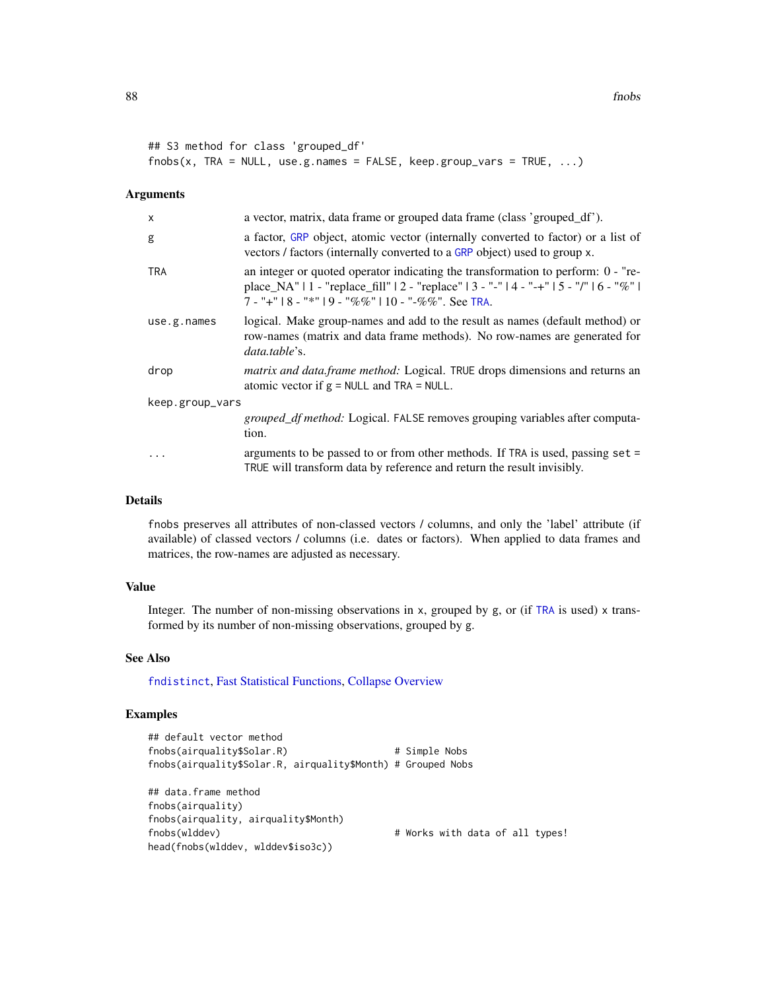```
## S3 method for class 'grouped_df'
fnobs(x, TRA = NULL, use.g. names = FALSE, keep.groupvars = TRUE, ...)
```
## Arguments

| $\mathsf{x}$    | a vector, matrix, data frame or grouped data frame (class 'grouped_df').                                                                                                                                                                 |  |
|-----------------|------------------------------------------------------------------------------------------------------------------------------------------------------------------------------------------------------------------------------------------|--|
| g               | a factor, GRP object, atomic vector (internally converted to factor) or a list of<br>vectors / factors (internally converted to a GRP object) used to group x.                                                                           |  |
| <b>TRA</b>      | an integer or quoted operator indicating the transformation to perform: $0 - "re-$<br>place_NA"   1 - "replace_fill"   2 - "replace"   3 - "-"   4 - "-+"   5 - "/"   6 - "%"  <br>$7 -$ "+"   8 - "*"   9 - "%%"   10 - "-%%". See TRA. |  |
| use.g.name      | logical. Make group-names and add to the result as names (default method) or<br>row-names (matrix and data frame methods). No row-names are generated for<br>data.table's.                                                               |  |
| drop            | matrix and data.frame method: Logical. TRUE drops dimensions and returns an<br>atomic vector if $g = NULL$ and TRA = NULL.                                                                                                               |  |
| keep.group_vars |                                                                                                                                                                                                                                          |  |
|                 | <i>grouped_df method:</i> Logical. FALSE removes grouping variables after computa-<br>tion.                                                                                                                                              |  |
| $\ddots$        | arguments to be passed to or from other methods. If TRA is used, passing $set =$<br>TRUE will transform data by reference and return the result invisibly.                                                                               |  |

# Details

fnobs preserves all attributes of non-classed vectors / columns, and only the 'label' attribute (if available) of classed vectors / columns (i.e. dates or factors). When applied to data frames and matrices, the row-names are adjusted as necessary.

# Value

Integer. The number of non-missing observations in  $x$ , grouped by  $g$ , or (if [TRA](#page-182-0) is used)  $x$  transformed by its number of non-missing observations, grouped by g.

# See Also

[fndistinct](#page-84-0), [Fast Statistical Functions,](#page-41-0) [Collapse Overview](#page-23-0)

```
## default vector method
fnobs(airquality$Solar.R) # Simple Nobs
fnobs(airquality$Solar.R, airquality$Month) # Grouped Nobs
## data.frame method
fnobs(airquality)
fnobs(airquality, airquality$Month)
fnobs(wlddev) \qquad # Works with data of all types!
head(fnobs(wlddev, wlddev$iso3c))
```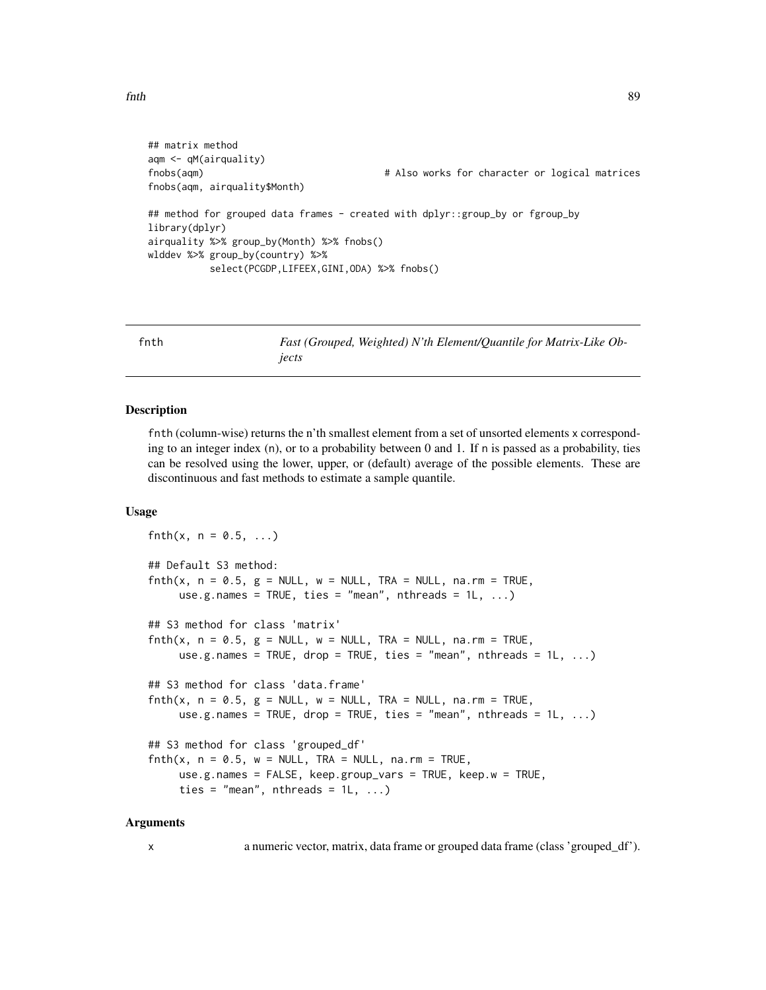```
fnth 89
```

```
## matrix method
aqm <- qM(airquality)
fnobs(aqm) # Also works for character or logical matrices
fnobs(aqm, airquality$Month)
## method for grouped data frames - created with dplyr::group_by or fgroup_by
library(dplyr)
airquality %>% group_by(Month) %>% fnobs()
wlddev %>% group_by(country) %>%
          select(PCGDP,LIFEEX,GINI,ODA) %>% fnobs()
```
<span id="page-88-0"></span>fnth *Fast (Grouped, Weighted) N'th Element/Quantile for Matrix-Like Objects*

## Description

fnth (column-wise) returns the n'th smallest element from a set of unsorted elements x corresponding to an integer index (n), or to a probability between 0 and 1. If n is passed as a probability, ties can be resolved using the lower, upper, or (default) average of the possible elements. These are discontinuous and fast methods to estimate a sample quantile.

# Usage

```
fnth(x, n = 0.5, ...)
## Default S3 method:
fnth(x, n = 0.5, g = NULL, w = NULL, TRA = NULL, na.rm = TRUE,use.g.names = TRUE, ties = "mean", nthreads = 1L, ...)
## S3 method for class 'matrix'
fnth(x, n = 0.5, g = NULL, w = NULL, TRA = NULL, na.rm = TRUE,use.g.names = TRUE, drop = TRUE, ties = "mean", nthreads = 1L, ...)
## S3 method for class 'data.frame'
fnth(x, n = 0.5, g = NULL, w = NULL, TRA = NULL, na.rm = TRUE,use.g.names = TRUE, drop = TRUE, ties = "mean", nthreads = 1L, ...)
## S3 method for class 'grouped_df'
fnth(x, n = 0.5, w = NULL, TRA = NULL, na.rm = TRUE,use.g.names = FALSE, keep.group_vars = TRUE, keep.w = TRUE,
     ties = "mean", nthreads = 1L, ...)
```
# Arguments

x a numeric vector, matrix, data frame or grouped data frame (class 'grouped\_df').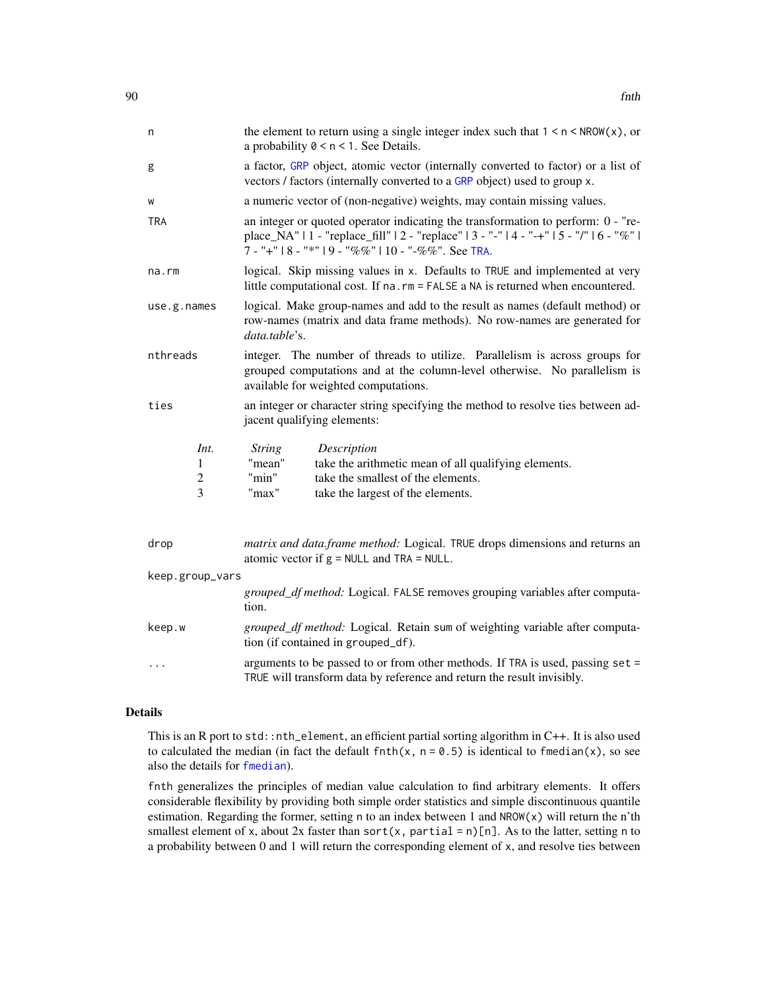| n               |                                                                                                                               | the element to return using a single integer index such that $1 \le n \le NROW(x)$ , or<br>a probability $0 \le n \le 1$ . See Details.                                    |                                                                                                                                                                                                                                      |
|-----------------|-------------------------------------------------------------------------------------------------------------------------------|----------------------------------------------------------------------------------------------------------------------------------------------------------------------------|--------------------------------------------------------------------------------------------------------------------------------------------------------------------------------------------------------------------------------------|
| g               |                                                                                                                               |                                                                                                                                                                            | a factor, GRP object, atomic vector (internally converted to factor) or a list of<br>vectors / factors (internally converted to a GRP object) used to group x.                                                                       |
| W               |                                                                                                                               |                                                                                                                                                                            | a numeric vector of (non-negative) weights, may contain missing values.                                                                                                                                                              |
| <b>TRA</b>      |                                                                                                                               |                                                                                                                                                                            | an integer or quoted operator indicating the transformation to perform: 0 - "re-<br>place_NA"   1 - "replace_fill"   2 - "replace"   3 - "-"   4 - "-+"   5 - "/"   6 - "%"  <br>7 - "+"   8 - "*"   9 - "%%"   10 - "-%%". See TRA. |
| na.rm           |                                                                                                                               |                                                                                                                                                                            | logical. Skip missing values in x. Defaults to TRUE and implemented at very<br>little computational cost. If na. rm = FALSE a NA is returned when encountered.                                                                       |
| use.g.names     |                                                                                                                               | logical. Make group-names and add to the result as names (default method) or<br>row-names (matrix and data frame methods). No row-names are generated for<br>data.table's. |                                                                                                                                                                                                                                      |
| nthreads        |                                                                                                                               |                                                                                                                                                                            | integer. The number of threads to utilize. Parallelism is across groups for<br>grouped computations and at the column-level otherwise. No parallelism is<br>available for weighted computations.                                     |
| ties            |                                                                                                                               |                                                                                                                                                                            | an integer or character string specifying the method to resolve ties between ad-<br>jacent qualifying elements:                                                                                                                      |
|                 | Int.                                                                                                                          | <b>String</b>                                                                                                                                                              | Description                                                                                                                                                                                                                          |
|                 | 1                                                                                                                             | "mean"                                                                                                                                                                     | take the arithmetic mean of all qualifying elements.                                                                                                                                                                                 |
|                 | $\overline{c}$                                                                                                                | "min"                                                                                                                                                                      | take the smallest of the elements.                                                                                                                                                                                                   |
|                 | 3                                                                                                                             | "max"                                                                                                                                                                      | take the largest of the elements.                                                                                                                                                                                                    |
| drop            | matrix and data.frame method: Logical. TRUE drops dimensions and returns an<br>atomic vector if $g = NULL$ and $TRA = NULL$ . |                                                                                                                                                                            |                                                                                                                                                                                                                                      |
| keep.group_vars |                                                                                                                               |                                                                                                                                                                            |                                                                                                                                                                                                                                      |
|                 |                                                                                                                               | tion.                                                                                                                                                                      | grouped_df method: Logical. FALSE removes grouping variables after computa-                                                                                                                                                          |

| keep.w | <i>grouped_df method:</i> Logical. Retain sum of weighting variable after computa- |  |
|--------|------------------------------------------------------------------------------------|--|
|        | tion (if contained in grouped_df).                                                 |  |

... arguments to be passed to or from other methods. If TRA is used, passing set = TRUE will transform data by reference and return the result invisibly.

# Details

This is an R port to std::nth\_element, an efficient partial sorting algorithm in C++. It is also used to calculated the median (in fact the default finth(x,  $n = 0.5$ ) is identical to finedian(x), so see also the details for [fmedian](#page-76-0)).

fnth generalizes the principles of median value calculation to find arbitrary elements. It offers considerable flexibility by providing both simple order statistics and simple discontinuous quantile estimation. Regarding the former, setting n to an index between 1 and NROW(x) will return the n'th smallest element of x, about 2x faster than sort(x, partial =  $n$ )[n]. As to the latter, setting n to a probability between 0 and 1 will return the corresponding element of x, and resolve ties between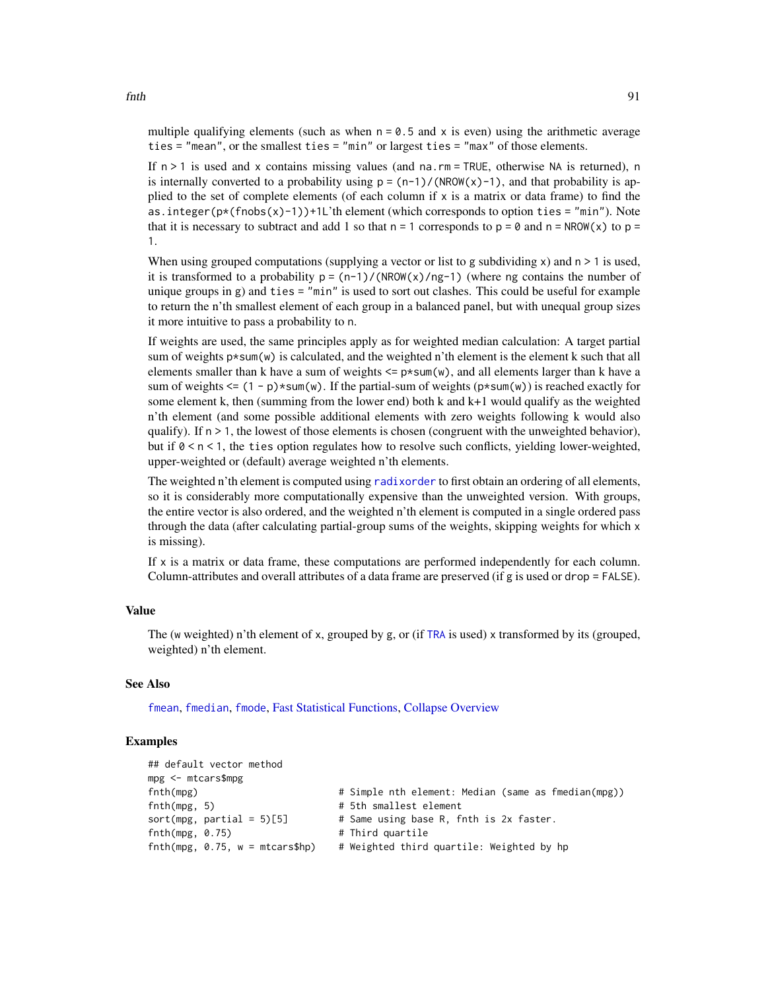multiple qualifying elements (such as when  $n = 0.5$  and x is even) using the arithmetic average ties = "mean", or the smallest ties = "min" or largest ties = "max" of those elements.

If  $n > 1$  is used and x contains missing values (and na.rm = TRUE, otherwise NA is returned), n is internally converted to a probability using  $p = (n-1)/(NROW(x)-1)$ , and that probability is applied to the set of complete elements (of each column if  $x$  is a matrix or data frame) to find the as.integer( $p*(fnobs(x)-1)$ )+1L'th element (which corresponds to option ties = "min"). Note that it is necessary to subtract and add 1 so that  $n = 1$  corresponds to  $p = 0$  and  $n = NROW(x)$  to  $p =$ 1.

When using grouped computations (supplying a vector or list to g subdividing  $x$ ) and  $n > 1$  is used, it is transformed to a probability  $p = (n-1)/(NROW(x)/ng-1)$  (where ng contains the number of unique groups in g) and ties  $=$  "min" is used to sort out clashes. This could be useful for example to return the n'th smallest element of each group in a balanced panel, but with unequal group sizes it more intuitive to pass a probability to n.

If weights are used, the same principles apply as for weighted median calculation: A target partial sum of weights  $p \star$ sum(w) is calculated, and the weighted n'th element is the element k such that all elements smaller than k have a sum of weights  $\leq p \times sum(w)$ , and all elements larger than k have a sum of weights  $\leq (1 - p) \times \text{sum}(w)$ . If the partial-sum of weights ( $p \times \text{sum}(w)$ ) is reached exactly for some element k, then (summing from the lower end) both k and  $k+1$  would qualify as the weighted n'th element (and some possible additional elements with zero weights following k would also qualify). If  $n > 1$ , the lowest of those elements is chosen (congruent with the unweighted behavior), but if  $0 \le n \le 1$ , the ties option regulates how to resolve such conflicts, yielding lower-weighted, upper-weighted or (default) average weighted n'th elements.

The weighted n'th element is computed using [radixorder](#page-164-0) to first obtain an ordering of all elements, so it is considerably more computationally expensive than the unweighted version. With groups, the entire vector is also ordered, and the weighted n'th element is computed in a single ordered pass through the data (after calculating partial-group sums of the weights, skipping weights for which x is missing).

If x is a matrix or data frame, these computations are performed independently for each column. Column-attributes and overall attributes of a data frame are preserved (if g is used or drop = FALSE).

# Value

The (w weighted) n'th element of x, grouped by g, or (if [TRA](#page-182-0) is used) x transformed by its (grouped, weighted) n'th element.

# See Also

[fmean](#page-74-0), [fmedian](#page-76-0), [fmode](#page-81-0), [Fast Statistical Functions,](#page-41-0) [Collapse Overview](#page-23-0)

| ## default vector method         |                                                     |
|----------------------------------|-----------------------------------------------------|
| mpg <- mtcars\$mpg               |                                                     |
| fnth(mpg)                        | # Simple nth element: Median (same as fmedian(mpg)) |
| fnth(mpg, 5)                     | # 5th smallest element                              |
| $sort(mpg, partial = 5)[5]$      | # Same using base R, fnth is 2x faster.             |
| fnth(mpg, 0.75)                  | # Third quartile                                    |
| $fnth(mpg, 0.75, w = mtcars$hp)$ | # Weighted third quartile: Weighted by hp           |
|                                  |                                                     |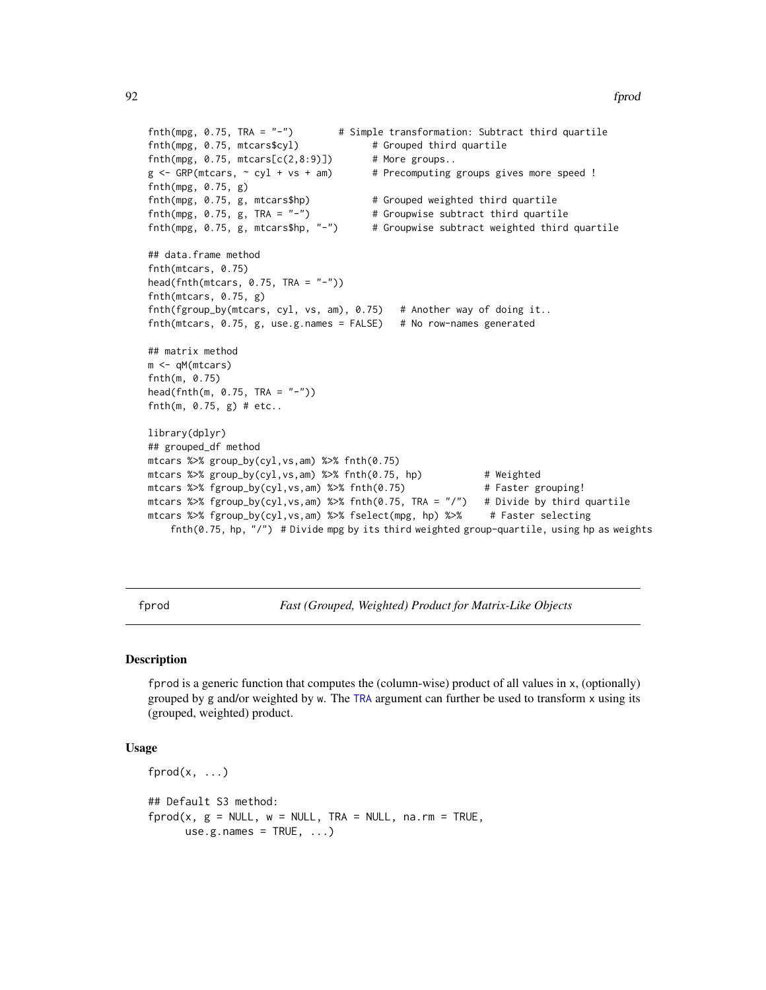```
fnth(mpg, 0.75, TRA = "-") # Simple transformation: Subtract third quartile
fnth(mpg, 0.75, mtcars$cyl) # Grouped third quartile
fnth(mpg, 0.75, mtcars[c(2,8:9)]) # More groups..
g \leftarrow GRP(mtcars, \sim cyl + vs + am) # Precomputing groups gives more speed !
fnth(mpg, 0.75, g)
fnth(mpg, 0.75, g, mtcars$hp) # Grouped weighted third quartile
fnth(mpg, 0.75, g, TRA = "-") * Groupwise subtract third quartile
fnth(mpg, 0.75, g, mtcars$hp, "-") # Groupwise subtract weighted third quartile
## data.frame method
fnth(mtcars, 0.75)
head(fnth(mtcars, 0.75, TRA = "-"))
fnth(mtcars, 0.75, g)
fnth(fgroup_by(mtcars, cyl, vs, am), 0.75) # Another way of doing it..
fnth(mtcars, 0.75, g, use.g. names = FALSE) # No row-names generated
## matrix method
m <- qM(mtcars)
fnth(m, 0.75)
head(fnth(m, 0.75, TRA = "-"))
fnth(m, 0.75, g) # etc..
library(dplyr)
## grouped_df method
mtcars %>% group_by(cyl,vs,am) %>% fnth(0.75)
mtcars %>% group_by(cyl,vs,am) %>% fnth(0.75, hp) # Weighted
mtcars %>% fgroup_by(cyl,vs,am) %>% fnth(0.75) # Faster grouping!
mtcars %>% fgroup_by(cyl,vs,am) %>% fnth(0.75, TRA = "/") # Divide by third quartile
mtcars %>% fgroup_by(cyl,vs,am) %>% fselect(mpg, hp) %>% # Faster selecting
    fnth(0.75, hp, "/") # Divide mpg by its third weighted group-quartile, using hp as weights
```
<span id="page-91-0"></span>fprod *Fast (Grouped, Weighted) Product for Matrix-Like Objects*

## Description

fprod is a generic function that computes the (column-wise) product of all values in x, (optionally) grouped by g and/or weighted by w. The [TRA](#page-182-0) argument can further be used to transform x using its (grouped, weighted) product.

```
fprod(x, \ldots)## Default S3 method:
fprod(x, g = NULL, w = NULL, TRA = NULL, na.rm = TRUE,use.g.names = TRUE, ...)
```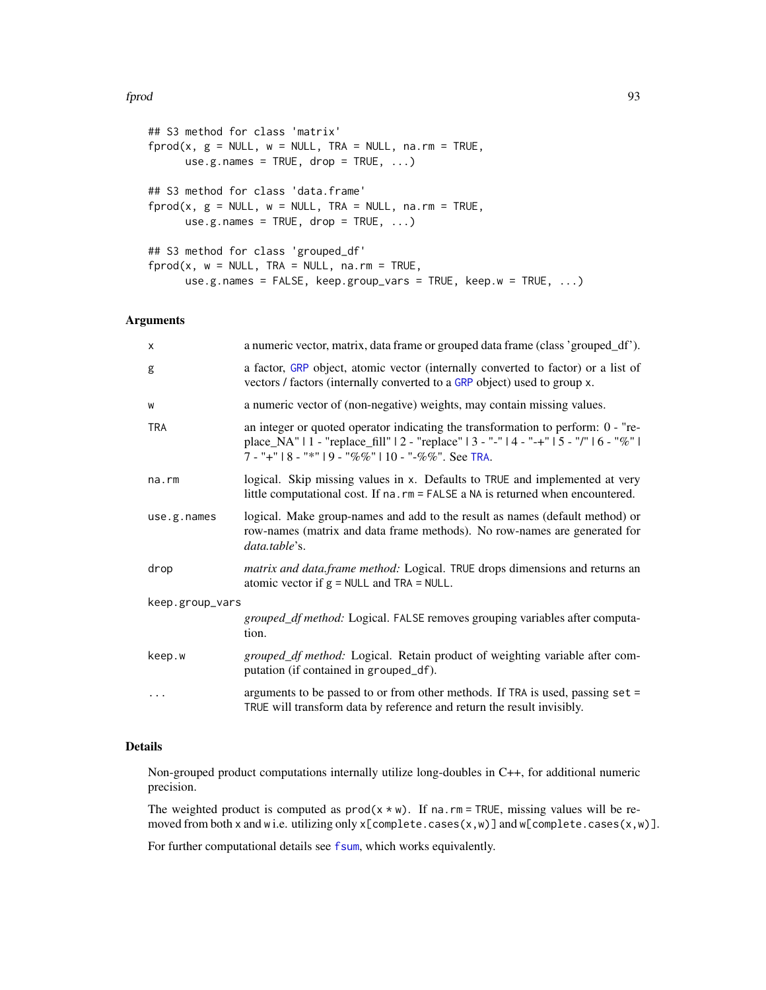## fprod the set of the set of the set of the set of the set of the set of the set of the set of the set of the set of the set of the set of the set of the set of the set of the set of the set of the set of the set of the set

```
## S3 method for class 'matrix'
fprod(x, g = NULL, w = NULL, TRA = NULL, na.rm = TRUE,use.g.names = TRUE, drop = TRUE, ...## S3 method for class 'data.frame'
fprod(x, g = NULL, w = NULL, TRA = NULL, na.rm = TRUE,use.g.names = TRUE, drop = TRUE, ...## S3 method for class 'grouped_df'
fprod(x, w = NULL, TRA = NULL, na.rm = TRUE,use.g.names = FALSE, keep.group_vars = TRUE, keep.w = TRUE, ...)
```
# Arguments

| X               | a numeric vector, matrix, data frame or grouped data frame (class 'grouped_df').                                                                                                                                                       |  |
|-----------------|----------------------------------------------------------------------------------------------------------------------------------------------------------------------------------------------------------------------------------------|--|
| g               | a factor, GRP object, atomic vector (internally converted to factor) or a list of<br>vectors / factors (internally converted to a GRP object) used to group x.                                                                         |  |
| W               | a numeric vector of (non-negative) weights, may contain missing values.                                                                                                                                                                |  |
| <b>TRA</b>      | an integer or quoted operator indicating the transformation to perform: 0 - "re-<br>place_NA"   1 - "replace_fill"   2 - "replace"   3 - "-"   4 - "-+"   5 - "/"   6 - "%"  <br>$7 -$ "+"   8 - "*"   9 - "%%"   10 - "-%%". See TRA. |  |
| $na$ . $rm$     | logical. Skip missing values in x. Defaults to TRUE and implemented at very<br>little computational cost. If na. rm = FALSE a NA is returned when encountered.                                                                         |  |
| use.g.names     | logical. Make group-names and add to the result as names (default method) or<br>row-names (matrix and data frame methods). No row-names are generated for<br>data.table's.                                                             |  |
| drop            | matrix and data.frame method: Logical. TRUE drops dimensions and returns an<br>atomic vector if $g = NULL$ and $TRA = NULL$ .                                                                                                          |  |
| keep.group_vars |                                                                                                                                                                                                                                        |  |
|                 | grouped_df method: Logical. FALSE removes grouping variables after computa-<br>tion.                                                                                                                                                   |  |
| keep.w          | grouped_df method: Logical. Retain product of weighting variable after com-<br>putation (if contained in grouped_df).                                                                                                                  |  |
| .               | arguments to be passed to or from other methods. If TRA is used, passing set =<br>TRUE will transform data by reference and return the result invisibly.                                                                               |  |

# Details

Non-grouped product computations internally utilize long-doubles in C++, for additional numeric precision.

The weighted product is computed as  $prod(x * w)$ . If na.rm = TRUE, missing values will be removed from both x and w i.e. utilizing only x[complete.cases(x,w)] and w[complete.cases(x,w)].

For further computational details see [fsum](#page-105-0), which works equivalently.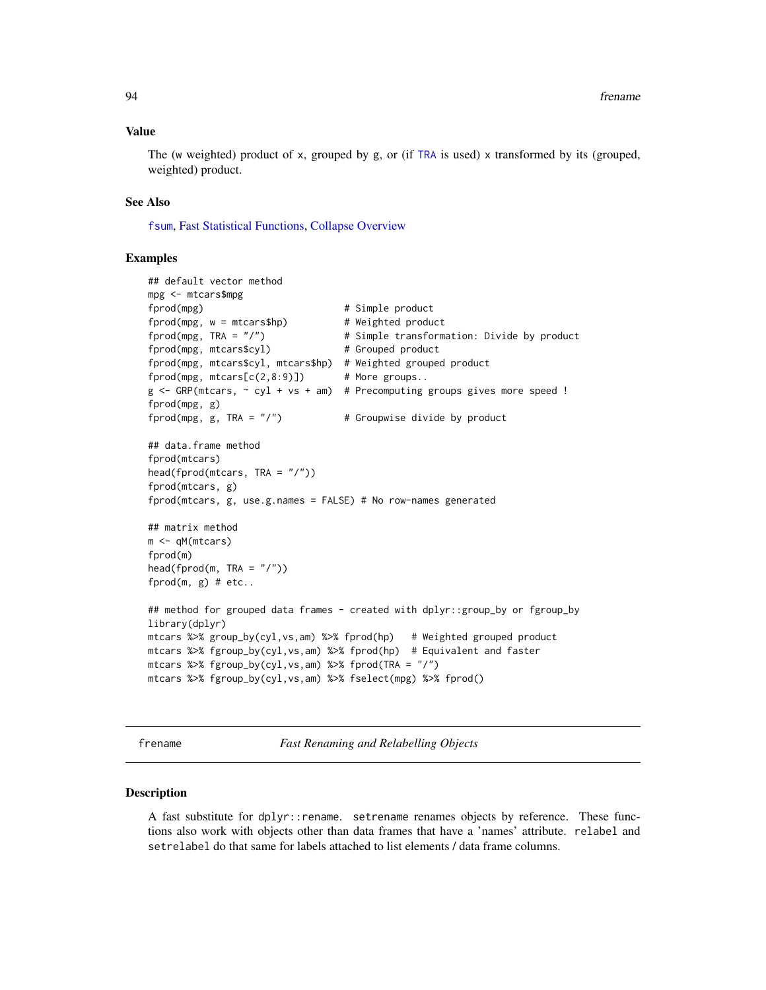## Value

The (w weighted) product of x, grouped by g, or (if [TRA](#page-182-0) is used) x transformed by its (grouped, weighted) product.

# See Also

[fsum](#page-105-0), [Fast Statistical Functions,](#page-41-0) [Collapse Overview](#page-23-0)

# Examples

```
## default vector method
mpg <- mtcars$mpg
fprod(mpg) \qquad # Simple product
fprod(mpg, w = mtcars$hp) # Weighted product
fprod(mpg, TRA = "I") # Simple transformation: Divide by product
fprod(mpg, mtcars$cyl) # Grouped product
fprod(mpg, mtcars$cyl, mtcars$hp) # Weighted grouped product
fprod(mpg, mtcars[c(2,8:9)]) # More groups..
g <- GRP(mtcars, ~ cyl + vs + am) # Precomputing groups gives more speed !
fprod(mpg, g)
fprod(mpg, g, TRA = ''/") * Groupwise divide by product
## data.frame method
fprod(mtcars)
head(fprod(mtcars, TRA = "/"))
fprod(mtcars, g)
fprod(mtcars, g, use.g.names = FALSE) # No row-names generated
## matrix method
m <- qM(mtcars)
fprod(m)
head(fprod(m, TRA = "/")fprod(m, g) # etc..
## method for grouped data frames - created with dplyr::group_by or fgroup_by
library(dplyr)
mtcars %>% group_by(cyl,vs,am) %>% fprod(hp) # Weighted grouped product
mtcars %>% fgroup_by(cyl,vs,am) %>% fprod(hp) # Equivalent and faster
mtcars %>% fgroup_by(cyl,vs,am) %>% fprod(TRA = "/")
mtcars %>% fgroup_by(cyl,vs,am) %>% fselect(mpg) %>% fprod()
```
frename *Fast Renaming and Relabelling Objects*

#### **Description**

A fast substitute for dplyr::rename. setrename renames objects by reference. These functions also work with objects other than data frames that have a 'names' attribute. relabel and setrelabel do that same for labels attached to list elements / data frame columns.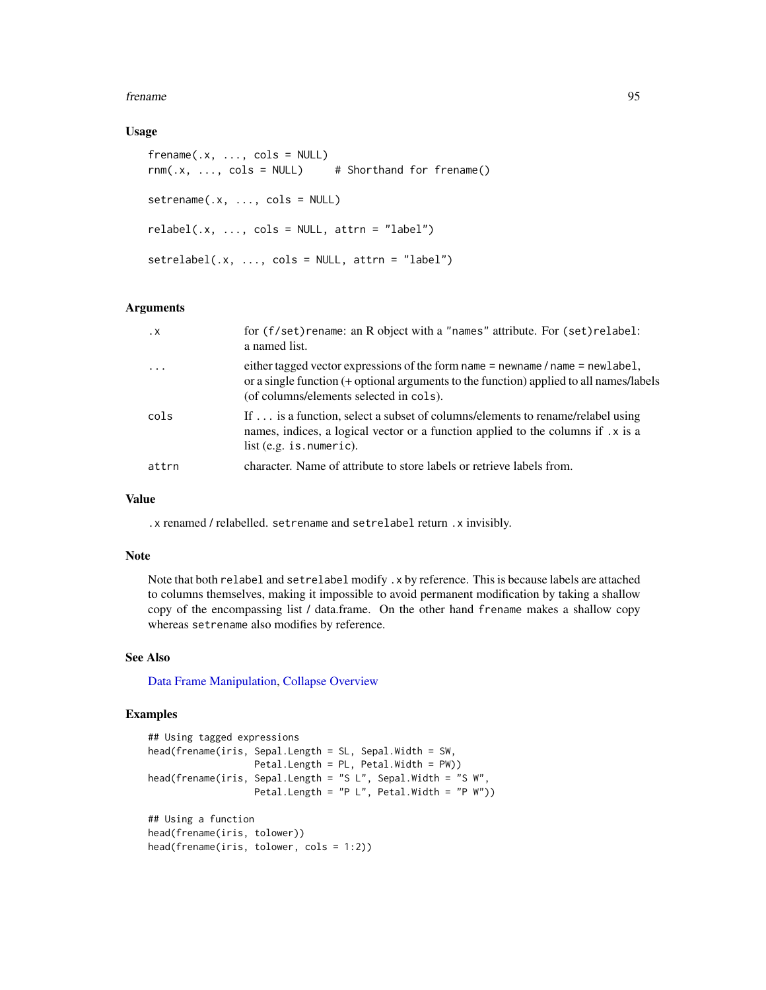## frename 95

# Usage

```
frename(x, \ldots, \text{cols} = \text{NULL})rnm(.x, ..., \text{cols} = NULL) # Shorthand for frename()
setrename(.x, ..., cols = NULL)
relabel(x, ..., cols = NULL, attr = "label")setrelabel(x, ..., cols = NULL, attr = "label")
```
# Arguments

| $\cdot$ X               | for (f/set) rename: an R object with a "names" attribute. For (set) relabel:<br>a named list.                                                                                                                        |
|-------------------------|----------------------------------------------------------------------------------------------------------------------------------------------------------------------------------------------------------------------|
| $\cdot$ $\cdot$ $\cdot$ | either tagged vector expressions of the form name = newname / name = newlabel,<br>or a single function (+ optional arguments to the function) applied to all names/labels<br>(of columns/elements selected in cols). |
| cols                    | If  is a function, select a subset of columns/elements to rename/relabel using<br>names, indices, a logical vector or a function applied to the columns if . x is a<br>list $(e.g. is . numberic)$ .                 |
| attrn                   | character. Name of attribute to store labels or retrieve labels from.                                                                                                                                                |

# Value

.x renamed / relabelled. setrename and setrelabel return .x invisibly.

# Note

Note that both relabel and setrelabel modify .x by reference. This is because labels are attached to columns themselves, making it impossible to avoid permanent modification by taking a shallow copy of the encompassing list / data.frame. On the other hand frename makes a shallow copy whereas setrename also modifies by reference.

# See Also

[Data Frame Manipulation,](#page-38-0) [Collapse Overview](#page-23-0)

```
## Using tagged expressions
head(frename(iris, Sepal.Length = SL, Sepal.Width = SW,
                  Petal.Length = PL, Petal.Width = PW))
head(frename(iris, Sepal.Length = "S L", Sepal.Width = "S W",
                  Petal.Length = "P L", Petal.Width = "P W"))
## Using a function
head(frename(iris, tolower))
head(frename(iris, tolower, cols = 1:2))
```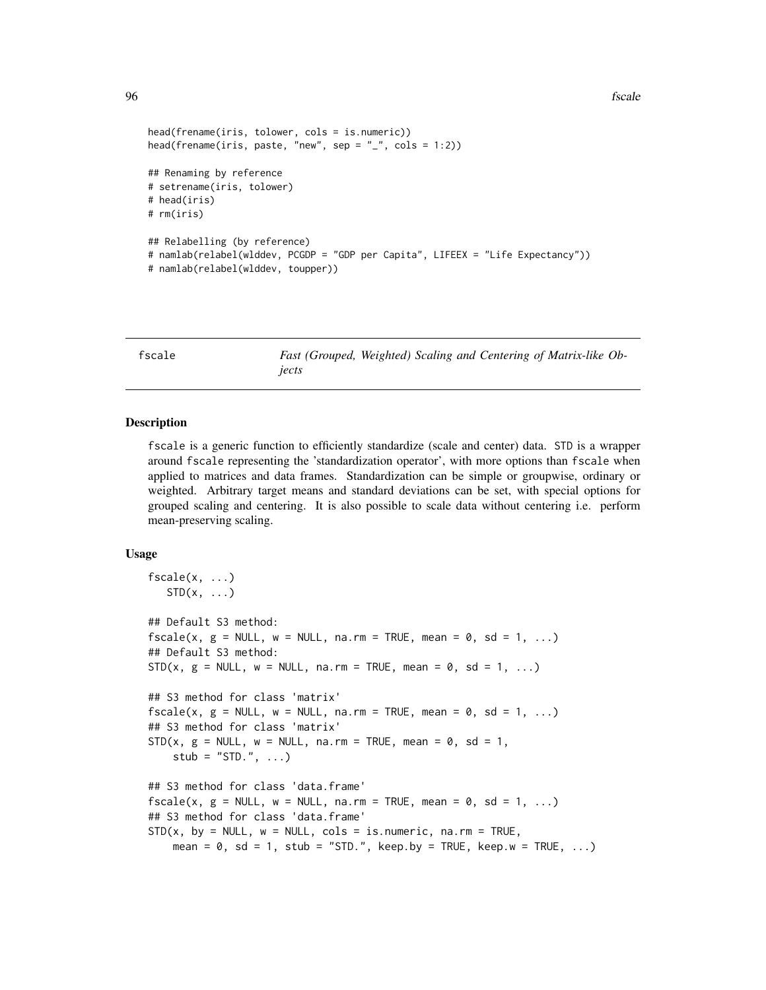```
head(frename(iris, tolower, cols = is.numeric))
head(frename(iris, paste, "new", sep = "_", cols = 1:2))
## Renaming by reference
# setrename(iris, tolower)
# head(iris)
# rm(iris)
## Relabelling (by reference)
# namlab(relabel(wlddev, PCGDP = "GDP per Capita", LIFEEX = "Life Expectancy"))
# namlab(relabel(wlddev, toupper))
```
fscale *Fast (Grouped, Weighted) Scaling and Centering of Matrix-like Objects*

# **Description**

fscale is a generic function to efficiently standardize (scale and center) data. STD is a wrapper around fscale representing the 'standardization operator', with more options than fscale when applied to matrices and data frames. Standardization can be simple or groupwise, ordinary or weighted. Arbitrary target means and standard deviations can be set, with special options for grouped scaling and centering. It is also possible to scale data without centering i.e. perform mean-preserving scaling.

```
fscale(x, \ldots)STD(x, \ldots)## Default S3 method:
fscale(x, g = NULL, w = NULL, na.rm = TRUE, mean = 0, sd = 1, ...)## Default S3 method:
STD(x, g = NULL, w = NULL, na.rm = TRUE, mean = 0, sd = 1, ...)## S3 method for class 'matrix'
fscale(x, g = NULL, w = NULL, na.rm = TRUE, mean = 0, sd = 1, ...)## S3 method for class 'matrix'
STD(x, g = NULL, w = NULL, na.rm = TRUE, mean = 0, sd = 1,stub = "STD.", \dots)
## S3 method for class 'data.frame'
fscale(x, g = NULL, w = NULL, na.rm = TRUE, mean = 0, sd = 1, ...)## S3 method for class 'data.frame'
STD(x, by = NULL, w = NULL, cols = is.numeric, na.rm = TRUE,mean = 0, sd = 1, stub = "STD.", keep.by = TRUE, keep.w = TRUE, ...)
```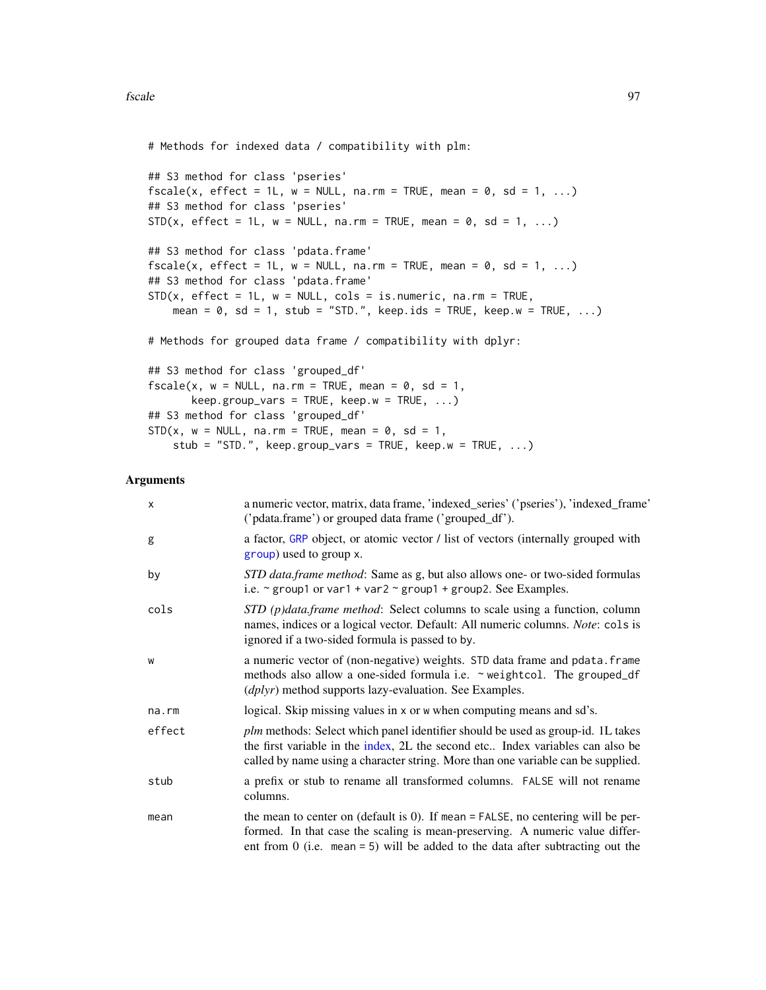# Methods for indexed data / compatibility with plm:

```
## S3 method for class 'pseries'
fscale(x, effect = 1L, w = NULL, na.rm = TRUE, mean = 0, sd = 1, ...)## S3 method for class 'pseries'
STD(x, effect = 1L, w = NULL, na.rm = TRUE, mean = 0, sd = 1, ...)## S3 method for class 'pdata.frame'
fscale(x, effect = 1L, w = NULL, na.rm = TRUE, mean = 0, sd = 1, ...)## S3 method for class 'pdata.frame'
STD(x, effect = 1L, w = NULL, cols = is.numeric, na.rm = TRUE,mean = 0, sd = 1, stub = "STD.", keep.ids = TRUE, keep.w = TRUE, ...)
# Methods for grouped data frame / compatibility with dplyr:
## S3 method for class 'grouped_df'
fscale(x, w = NULL, na.rm = TRUE, mean = 0, sd = 1,keep.group\_vars = TRUE, keep.w = TRUE, ...)## S3 method for class 'grouped_df'
STD(x, w = NULL, na.rm = TRUE, mean = 0, sd = 1,stub = "STD.", keep.group_vars = TRUE, keep.w = TRUE, \ldots)
```
# Arguments

| X      | a numeric vector, matrix, data frame, 'indexed_series' ('pseries'), 'indexed_frame'<br>('pdata.frame') or grouped data frame ('grouped_df').                                                                                                                 |
|--------|--------------------------------------------------------------------------------------------------------------------------------------------------------------------------------------------------------------------------------------------------------------|
| g      | a factor, GRP object, or atomic vector / list of vectors (internally grouped with<br>group) used to group x.                                                                                                                                                 |
| by     | STD data.frame method: Same as g, but also allows one- or two-sided formulas<br>i.e. $\sim$ group1 or var1 + var2 $\sim$ group1 + group2. See Examples.                                                                                                      |
| cols   | STD (p)data.frame method: Select columns to scale using a function, column<br>names, indices or a logical vector. Default: All numeric columns. Note: cols is<br>ignored if a two-sided formula is passed to by.                                             |
| W      | a numeric vector of (non-negative) weights. STD data frame and pdata. frame<br>methods also allow a one-sided formula i.e. ~ weightcol. The grouped_df<br>( <i>dplyr</i> ) method supports lazy-evaluation. See Examples.                                    |
| na.rm  | logical. Skip missing values in x or w when computing means and sd's.                                                                                                                                                                                        |
| effect | <i>plm</i> methods: Select which panel identifier should be used as group-id. 1L takes<br>the first variable in the index, 2L the second etc Index variables can also be<br>called by name using a character string. More than one variable can be supplied. |
| stub   | a prefix or stub to rename all transformed columns. FALSE will not rename<br>columns.                                                                                                                                                                        |
| mean   | the mean to center on (default is $0$ ). If mean = FALSE, no centering will be per-<br>formed. In that case the scaling is mean-preserving. A numeric value differ-<br>ent from $0$ (i.e. mean = 5) will be added to the data after subtracting out the      |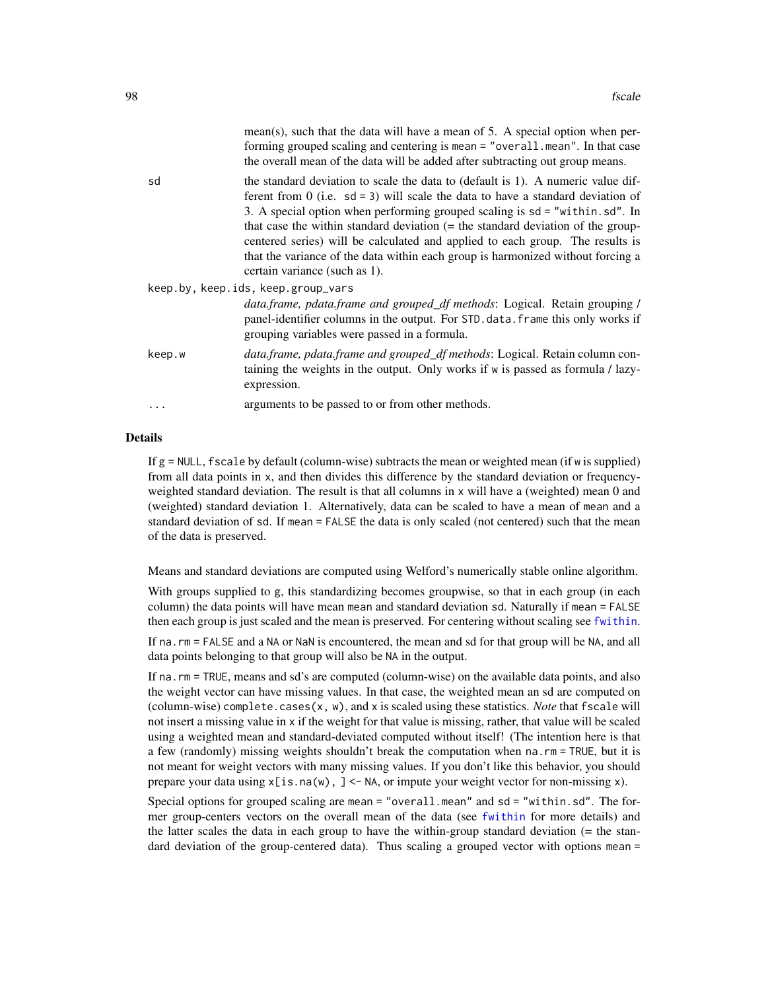| mean(s), such that the data will have a mean of 5. A special option when per- |
|-------------------------------------------------------------------------------|
| forming grouped scaling and centering is mean = "overall.mean". In that case  |
| the overall mean of the data will be added after subtracting out group means. |

sd the standard deviation to scale the data to (default is 1). A numeric value different from 0 (i.e.  $sd = 3$ ) will scale the data to have a standard deviation of 3. A special option when performing grouped scaling is sd = "within.sd". In that case the within standard deviation (= the standard deviation of the groupcentered series) will be calculated and applied to each group. The results is that the variance of the data within each group is harmonized without forcing a certain variance (such as 1).

|        | keep.by, keep.ids, keep.group_vars                                                                                                                                                                                 |
|--------|--------------------------------------------------------------------------------------------------------------------------------------------------------------------------------------------------------------------|
|        | <i>data.frame, pdata.frame and grouped_df methods: Logical. Retain grouping /</i><br>panel-identifier columns in the output. For STD data frame this only works if<br>grouping variables were passed in a formula. |
| keep.w | data.frame, pdata.frame and grouped_df methods: Logical. Retain column con-<br>taining the weights in the output. Only works if w is passed as formula / lazy-<br>expression.                                      |
| .      | arguments to be passed to or from other methods.                                                                                                                                                                   |

## Details

If  $g = \text{NULL}$ , fscale by default (column-wise) subtracts the mean or weighted mean (if w is supplied) from all data points in x, and then divides this difference by the standard deviation or frequencyweighted standard deviation. The result is that all columns in x will have a (weighted) mean 0 and (weighted) standard deviation 1. Alternatively, data can be scaled to have a mean of mean and a standard deviation of sd. If mean = FALSE the data is only scaled (not centered) such that the mean of the data is preserved.

Means and standard deviations are computed using Welford's numerically stable online algorithm.

With groups supplied to g, this standardizing becomes groupwise, so that in each group (in each column) the data points will have mean mean and standard deviation sd. Naturally if mean = FALSE then each group is just scaled and the mean is preserved. For centering without scaling see [fwithin](#page-44-0).

If na.rm = FALSE and a NA or NaN is encountered, the mean and sd for that group will be NA, and all data points belonging to that group will also be NA in the output.

If na.rm = TRUE, means and sd's are computed (column-wise) on the available data points, and also the weight vector can have missing values. In that case, the weighted mean an sd are computed on (column-wise) complete.cases(x, w), and x is scaled using these statistics. *Note* that fscale will not insert a missing value in x if the weight for that value is missing, rather, that value will be scaled using a weighted mean and standard-deviated computed without itself! (The intention here is that a few (randomly) missing weights shouldn't break the computation when na.rm = TRUE, but it is not meant for weight vectors with many missing values. If you don't like this behavior, you should prepare your data using  $x[i s]$ . na(w),  $] < N$ A, or impute your weight vector for non-missing x).

Special options for grouped scaling are mean = "overall.mean" and sd = "within.sd". The former group-centers vectors on the overall mean of the data (see [fwithin](#page-44-0) for more details) and the latter scales the data in each group to have the within-group standard deviation (= the standard deviation of the group-centered data). Thus scaling a grouped vector with options mean =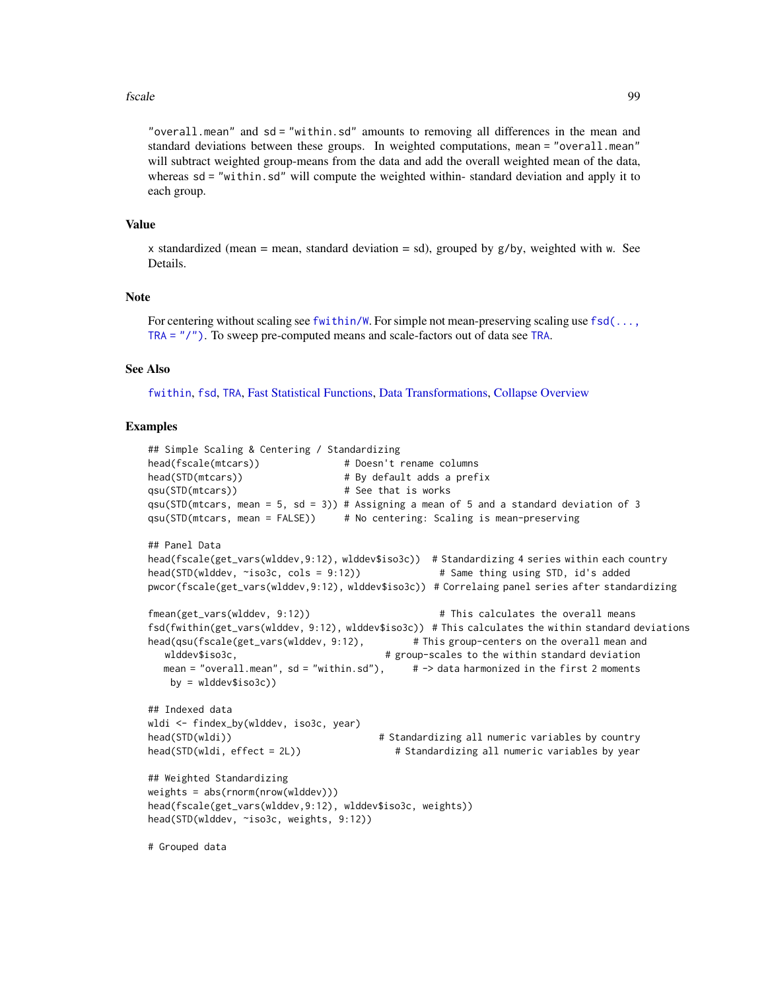## fscale 99

"overall.mean" and sd = "within.sd" amounts to removing all differences in the mean and standard deviations between these groups. In weighted computations, mean = "overall.mean" will subtract weighted group-means from the data and add the overall weighted mean of the data, whereas sd = "within.sd" will compute the weighted within-standard deviation and apply it to each group.

# Value

x standardized (mean = mean, standard deviation = sd), grouped by  $g/by$ , weighted with w. See Details.

# **Note**

For centering without scaling see [fwithin/W](#page-44-0). For simple not mean-preserving scaling use [fsd\(...,](#page-117-0) [TRA = "/"\)](#page-117-0). To sweep pre-computed means and scale-factors out of data see [TRA](#page-182-0).

## See Also

[fwithin](#page-44-0), [fsd](#page-117-0), [TRA](#page-182-0), [Fast Statistical Functions,](#page-41-0) [Data Transformations,](#page-30-0) [Collapse Overview](#page-23-0)

```
## Simple Scaling & Centering / Standardizing
head(fscale(mtcars)) \qquad \qquad # Desn't rename columnshead(STD(mtcars)) # By default adds a prefixqsu(STD(mtcars)) # See that is works
qsu(STD(mtcars, mean = 5, sd = 3)) # Assigning a mean of 5 and a standard deviation of 3
qsu(STD(mtcars, mean = FALSE)) # No centering: Scaling is mean-preserving
## Panel Data
head(fscale(get_vars(wlddev,9:12), wlddev$iso3c)) # Standardizing 4 series within each country
head(STD(wlddev, ~iso3c, cols = 9:12)) # Same thing using STD, id's added
pwcor(fscale(get_vars(wlddev,9:12), wlddev$iso3c)) # Correlaing panel series after standardizing
fmean(get_vars(wlddev, 9:12)) \qquad \qquad \qquad # This calculates the overall means
fsd(fwithin(get_vars(wlddev, 9:12), wlddev$iso3c)) # This calculates the within standard deviations
head(qsu(fscale(get_vars(wlddev, 9:12), # This group-centers on the overall mean and
  wlddev$iso3c, # group-scales to the within standard deviation
  mean = "overall.mean", sd = "within.sd"), \# \rightarrow data harmonized in the first 2 moments
   by = wlddev$iso3c)## Indexed data
wldi <- findex_by(wlddev, iso3c, year)
head(STD(wldi)) # Standardizing all numeric variables by country
head(STD(wldi, effect = 2L)) \qquad \qquad \qquad # Standardizing all numeric variables by year
## Weighted Standardizing
weights = abs(rnorm(nrow(wlddev)))
head(fscale(get_vars(wlddev,9:12), wlddev$iso3c, weights))
head(STD(wlddev, ~iso3c, weights, 9:12))
# Grouped data
```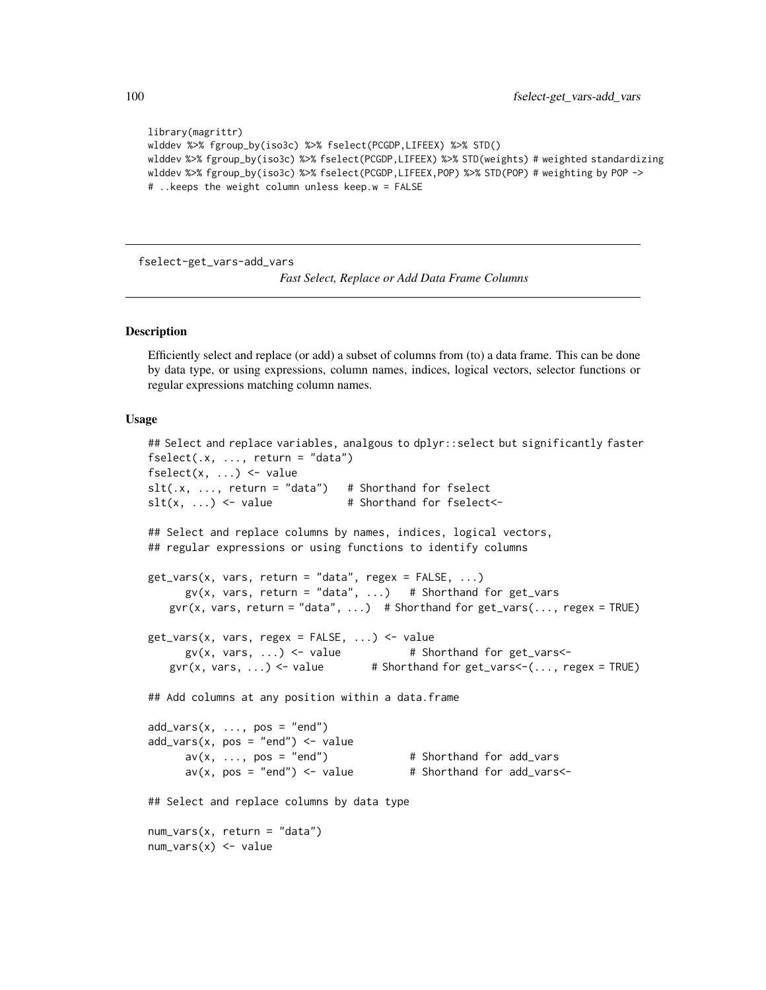```
library(magrittr)
wlddev %>% fgroup_by(iso3c) %>% fselect(PCGDP,LIFEEX) %>% STD()
wlddev %>% fgroup_by(iso3c) %>% fselect(PCGDP,LIFEEX) %>% STD(weights) # weighted standardizing
wlddev %>% fgroup_by(iso3c) %>% fselect(PCGDP,LIFEEX,POP) %>% STD(POP) # weighting by POP ->
# ..keeps the weight column unless keep.w = FALSE
```
fselect-get\_vars-add\_vars

*Fast Select, Replace or Add Data Frame Columns*

# <span id="page-99-0"></span>**Description**

Efficiently select and replace (or add) a subset of columns from (to) a data frame. This can be done by data type, or using expressions, column names, indices, logical vectors, selector functions or regular expressions matching column names.

```
## Select and replace variables, analgous to dplyr::select but significantly faster
fselect(x, ..., return = "data")fselect(x, ...) \leftarrow valueslt(x, ..., return = "data") # Shorthand for fselect
slt(x, ...) \leftarrow value # Shorthand for fselect<-
## Select and replace columns by names, indices, logical vectors,
## regular expressions or using functions to identify columns
get\_vars(x, vars, return = "data", regex = FALSE, ...)gv(x, vars, return = "data", ... ) # Shorthand for get_vars
   gvr(x, vars, return = "data", ...) # Shorthand for get_vars(..., regex = TRUE)get_vars(x, vars, regex = FALSE, ...) <- value
     gv(x, vars, ...) \leftarrow value # Shorthand for get\_vars \leftarrowgvr(x, vars, ...) <- value # Shorthand for get\_vars <- (..., regex = TRUE)
## Add columns at any position within a data.frame
add\_vars(x, ..., pos = "end")add\_vars(x, pos = "end") \leftarrow valueav(x, ..., pos = "end") # Shorthand for add_vars
     av(x, pos = "end") \leq value # Shorthand for add_vars <-
## Select and replace columns by data type
num_vars(x, return = "data")
num_vars(x) <- value
```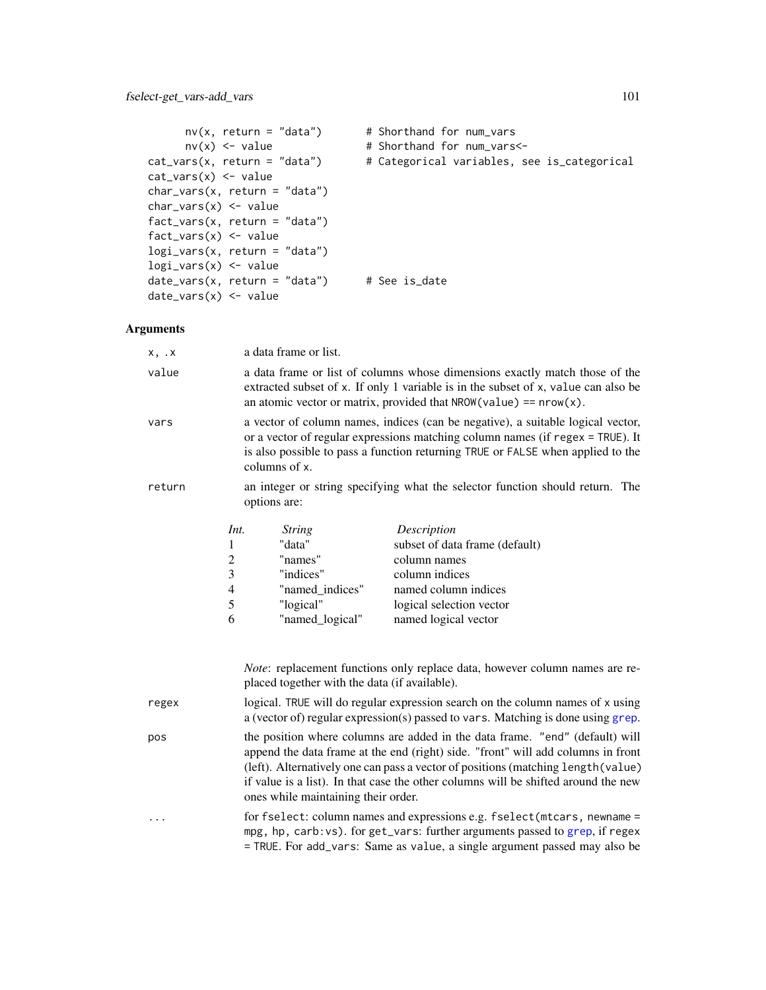```
nv(x, return = "data") # Shorthand for num_vars
      nv(x) \leq value # Shorthand for num_vars\leqcat_vars(x, return = "data") # Categorical variables, see is_categorical
cat_vars(x) <- value
char_vars(x, return = "data")
char_vars(x) <- value
fact_vars(x, return = "data")
fact\_vars(x) \leftarrow valuelogi_vars(x, return = "data")
logi_vars(x) <- value
date_vars(x, return = "data") # See is_date
date_vars(x) <- value
```
# Arguments

| x, x   |                                                 | a data frame or list.                                                                                                                                                                                                                                                                                                                                                              |                                                                                                                                                                                                                                            |  |
|--------|-------------------------------------------------|------------------------------------------------------------------------------------------------------------------------------------------------------------------------------------------------------------------------------------------------------------------------------------------------------------------------------------------------------------------------------------|--------------------------------------------------------------------------------------------------------------------------------------------------------------------------------------------------------------------------------------------|--|
| value  |                                                 | a data frame or list of columns whose dimensions exactly match those of the<br>extracted subset of x. If only 1 variable is in the subset of x, value can also be<br>an atomic vector or matrix, provided that $NROW(value) == nrow(x)$ .                                                                                                                                          |                                                                                                                                                                                                                                            |  |
| vars   |                                                 | a vector of column names, indices (can be negative), a suitable logical vector,<br>or a vector of regular expressions matching column names (if regex = TRUE). It<br>is also possible to pass a function returning TRUE or FALSE when applied to the<br>columns of x.                                                                                                              |                                                                                                                                                                                                                                            |  |
| return |                                                 | options are:                                                                                                                                                                                                                                                                                                                                                                       | an integer or string specifying what the selector function should return. The                                                                                                                                                              |  |
|        | Int.<br>1<br>$\overline{2}$<br>3<br>4<br>5<br>6 | <i>String</i><br>"data"<br>"names"<br>"indices"<br>"named_indices"<br>"logical"<br>"named_logical"                                                                                                                                                                                                                                                                                 | Description<br>subset of data frame (default)<br>column names<br>column indices<br>named column indices<br>logical selection vector<br>named logical vector<br>Note: replacement functions only replace data, however column names are re- |  |
| regex  |                                                 | placed together with the data (if available).<br>logical. TRUE will do regular expression search on the column names of x using<br>a (vector of) regular expression(s) passed to vars. Matching is done using grep.                                                                                                                                                                |                                                                                                                                                                                                                                            |  |
| pos    |                                                 | the position where columns are added in the data frame. "end" (default) will<br>append the data frame at the end (right) side. "front" will add columns in front<br>(left). Alternatively one can pass a vector of positions (matching length (value)<br>if value is a list). In that case the other columns will be shifted around the new<br>ones while maintaining their order. |                                                                                                                                                                                                                                            |  |
|        |                                                 | for fselect: column names and expressions e.g. fselect (mtcars, newname =<br>mpg, hp, carb: vs). for get_vars: further arguments passed to grep, if regex<br>= TRUE. For add_vars: Same as value, a single argument passed may also be                                                                                                                                             |                                                                                                                                                                                                                                            |  |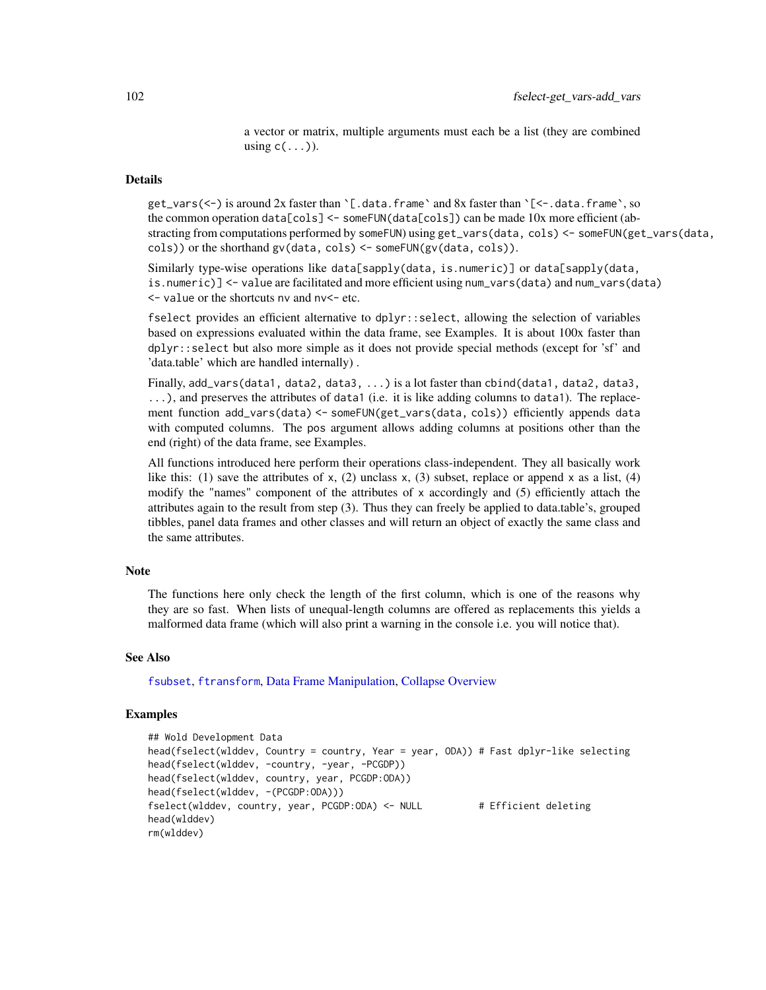a vector or matrix, multiple arguments must each be a list (they are combined using  $c(\ldots)$ ).

# Details

get\_vars(<-) is around 2x faster than `[.data.frame` and 8x faster than `[<-.data.frame`, so the common operation data[cols] <- someFUN(data[cols]) can be made 10x more efficient (abstracting from computations performed by someFUN) using get\_vars(data, cols) <- someFUN(get\_vars(data, cols)) or the shorthand gv(data, cols) <- someFUN(gv(data, cols)).

Similarly type-wise operations like data[sapply(data, is.numeric)] or data[sapply(data, is.numeric)] <- value are facilitated and more efficient using num\_vars(data) and num\_vars(data)  $\le$  - value or the shortcuts nv and nv $\le$  - etc.

fselect provides an efficient alternative to dplyr::select, allowing the selection of variables based on expressions evaluated within the data frame, see Examples. It is about 100x faster than dplyr::select but also more simple as it does not provide special methods (except for 'sf' and 'data.table' which are handled internally) .

Finally, add\_vars(data1, data2, data3, ...) is a lot faster than cbind(data1, data2, data3, ...), and preserves the attributes of data1 (i.e. it is like adding columns to data1). The replacement function add\_vars(data) <- someFUN(get\_vars(data, cols)) efficiently appends data with computed columns. The pos argument allows adding columns at positions other than the end (right) of the data frame, see Examples.

All functions introduced here perform their operations class-independent. They all basically work like this: (1) save the attributes of x, (2) unclass x, (3) subset, replace or append x as a list, (4) modify the "names" component of the attributes of x accordingly and (5) efficiently attach the attributes again to the result from step (3). Thus they can freely be applied to data.table's, grouped tibbles, panel data frames and other classes and will return an object of exactly the same class and the same attributes.

## Note

The functions here only check the length of the first column, which is one of the reasons why they are so fast. When lists of unequal-length columns are offered as replacements this yields a malformed data frame (which will also print a warning in the console i.e. you will notice that).

## See Also

[fsubset](#page-102-0), [ftransform](#page-110-0), [Data Frame Manipulation,](#page-38-0) [Collapse Overview](#page-23-0)

```
## Wold Development Data
head(fselect(wlddev, Country = country, Year = year, ODA)) # Fast dplyr-like selecting
head(fselect(wlddev, -country, -year, -PCGDP))
head(fselect(wlddev, country, year, PCGDP:ODA))
head(fselect(wlddev, -(PCGDP:ODA)))
fselect(wlddev, country, year, PCGDP:ODA) <- NULL # Efficient deleting
head(wlddev)
rm(wlddev)
```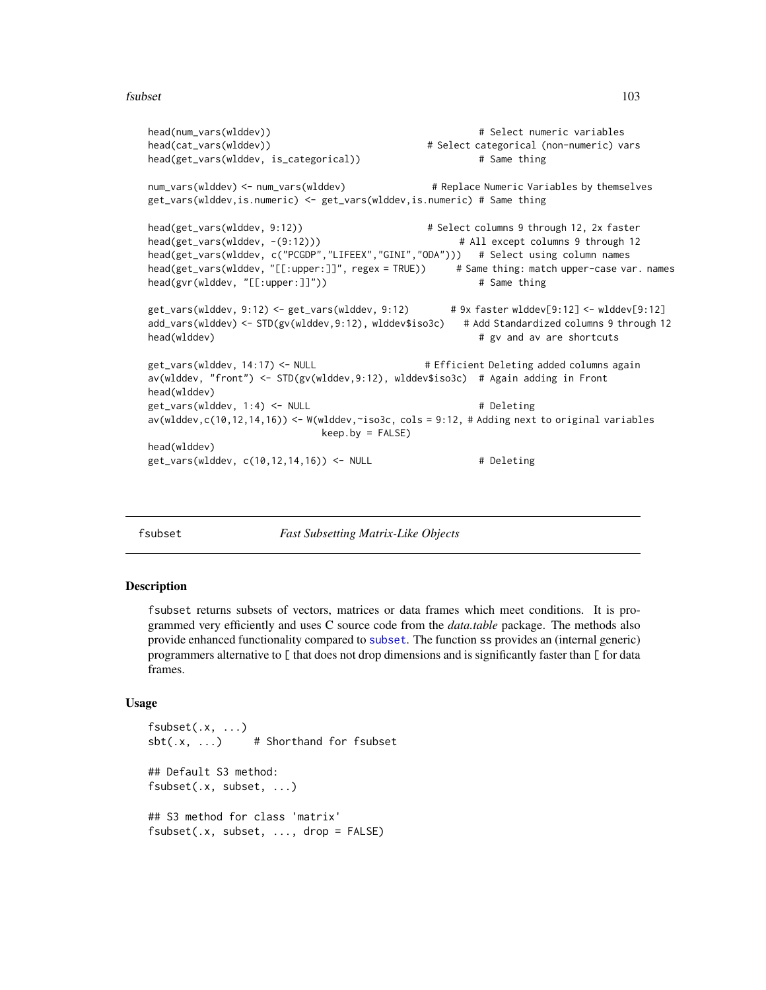## fsubset 103

```
head(num_vars(wlddev)) # Select numeric variables
head(cat_vars(wlddev)) # Select categorical (non-numeric) vars
head(get_vars(wlddev, is_categorical)) # Same thing
num_vars(wlddev) <- num_vars(wlddev) # Replace Numeric Variables by themselves
get_vars(wlddev,is.numeric) <- get_vars(wlddev,is.numeric) # Same thing
head(get_vars(wlddev, 9:12)) # Select columns 9 through 12, 2x faster
head(get_vars(wlddev, -(9:12))) # All except columns 9 through 12
head(get_vars(wlddev, c("PCGDP","LIFEEX","GINI","ODA"))) # Select using column names
head(get_vars(wlddev, "[[:upper:]]", regex = TRUE)) # Same thing: match upper-case var. names
head(gvr(wlddev, "[[:upper:]]")) # Same thing
get_vars(wlddev, 9:12) <- get_vars(wlddev, 9:12) # 9x faster wlddev[9:12] <- wlddev[9:12]
add_vars(wlddev) <- STD(gv(wlddev,9:12), wlddev$iso3c) # Add Standardized columns 9 through 12
head(wlddev) \qquad # gv and av are shortcuts
get_vars(wlddev, 14:17) <- NULL # Efficient Deleting added columns again
av(wlddev, "front") <- STD(gv(wlddev,9:12), wlddev$iso3c) # Again adding in Front
head(wlddev)
get_vars(wlddev, 1:4) <- NULL # Deleting
av(wlddev,c(10,12,14,16)) <- W(wlddev,~iso3c, cols = 9:12, # Adding next to original variables
                         keep.by = FALSE)
head(wlddev)
get_vars(wlddev, c(10,12,14,16)) <- NULL # Deleting
```
<span id="page-102-0"></span>fsubset *Fast Subsetting Matrix-Like Objects*

## **Description**

fsubset returns subsets of vectors, matrices or data frames which meet conditions. It is programmed very efficiently and uses C source code from the *data.table* package. The methods also provide enhanced functionality compared to [subset](#page-0-0). The function ss provides an (internal generic) programmers alternative to [ that does not drop dimensions and is significantly faster than [ for data frames.

```
fsubset(.x, ...)
sbt(.x, ...) # Shorthand for fsubset
## Default S3 method:
fsubset(.x, subset, ...)
## S3 method for class 'matrix'
fsubset(.x, subset, ..., drop = FALSE)
```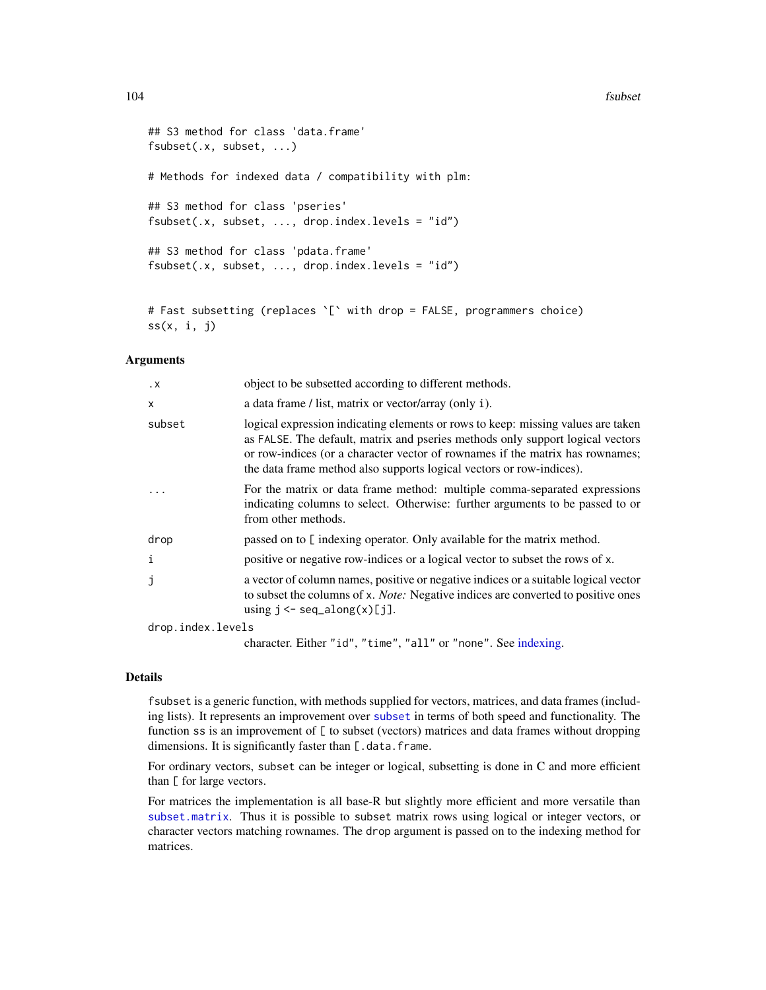## 104 fsubset

```
## S3 method for class 'data.frame'
fsubset(.x, subset, ...)
# Methods for indexed data / compatibility with plm:
## S3 method for class 'pseries'
fsubset(.x, subset, ..., drop.index.levels = "id")## S3 method for class 'pdata.frame'
fsubset(.x, subset, ..., drop.index.levels = "id")
```

```
# Fast subsetting (replaces `[` with drop = FALSE, programmers choice)
ss(x, i, j)
```
# Arguments

| $\cdot$ X         | object to be subsetted according to different methods.                                                                                                                                                                                                                                                                      |
|-------------------|-----------------------------------------------------------------------------------------------------------------------------------------------------------------------------------------------------------------------------------------------------------------------------------------------------------------------------|
| X                 | a data frame / list, matrix or vector/array (only i).                                                                                                                                                                                                                                                                       |
| subset            | logical expression indicating elements or rows to keep: missing values are taken<br>as FALSE. The default, matrix and pseries methods only support logical vectors<br>or row-indices (or a character vector of rownames if the matrix has rownames;<br>the data frame method also supports logical vectors or row-indices). |
|                   | For the matrix or data frame method: multiple comma-separated expressions<br>indicating columns to select. Otherwise: further arguments to be passed to or<br>from other methods.                                                                                                                                           |
| drop              | passed on to [indexing operator. Only available for the matrix method.                                                                                                                                                                                                                                                      |
| i                 | positive or negative row-indices or a logical vector to subset the rows of x.                                                                                                                                                                                                                                               |
| j                 | a vector of column names, positive or negative indices or a suitable logical vector<br>to subset the columns of x. <i>Note:</i> Negative indices are converted to positive ones<br>using $j \leq -\text{seq\_along}(x)[j].$                                                                                                 |
| drop.index.levels |                                                                                                                                                                                                                                                                                                                             |

character. Either "id", "time", "all" or "none". See [indexing.](#page-132-0)

#### Details

fsubset is a generic function, with methods supplied for vectors, matrices, and data frames (including lists). It represents an improvement over [subset](#page-0-0) in terms of both speed and functionality. The function ss is an improvement of [ to subset (vectors) matrices and data frames without dropping dimensions. It is significantly faster than [.data.frame.

For ordinary vectors, subset can be integer or logical, subsetting is done in C and more efficient than [ for large vectors.

For matrices the implementation is all base-R but slightly more efficient and more versatile than [subset.matrix](#page-0-0). Thus it is possible to subset matrix rows using logical or integer vectors, or character vectors matching rownames. The drop argument is passed on to the indexing method for matrices.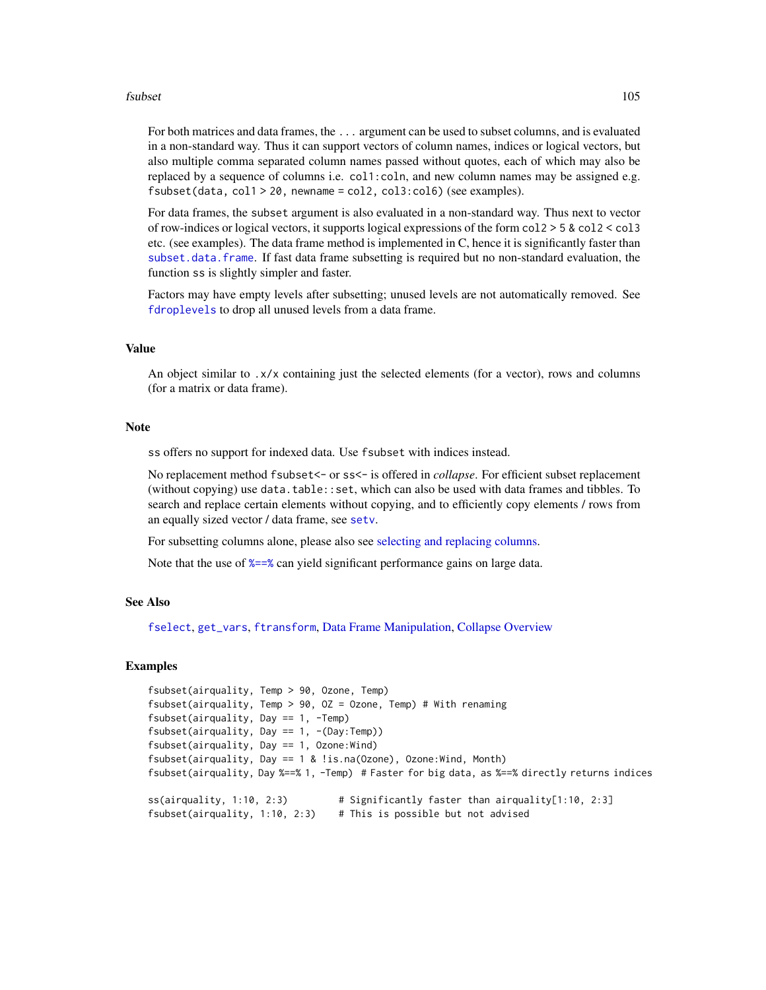## fsubset 105

For both matrices and data frames, the ... argument can be used to subset columns, and is evaluated in a non-standard way. Thus it can support vectors of column names, indices or logical vectors, but also multiple comma separated column names passed without quotes, each of which may also be replaced by a sequence of columns i.e. col1:coln, and new column names may be assigned e.g.  $fsubset(data, col1 > 20, newname = col2, col3: col6)$  (see examples).

For data frames, the subset argument is also evaluated in a non-standard way. Thus next to vector of row-indices or logical vectors, it supports logical expressions of the form col2 > 5 & col2 < col3 etc. (see examples). The data frame method is implemented in C, hence it is significantly faster than [subset.data.frame](#page-0-0). If fast data frame subsetting is required but no non-standard evaluation, the function ss is slightly simpler and faster.

Factors may have empty levels after subsetting; unused levels are not automatically removed. See [fdroplevels](#page-55-0) to drop all unused levels from a data frame.

# Value

An object similar to .x/x containing just the selected elements (for a vector), rows and columns (for a matrix or data frame).

#### **Note**

ss offers no support for indexed data. Use fsubset with indices instead.

No replacement method fsubset<- or ss<- is offered in *collapse*. For efficient subset replacement (without copying) use data.table::set, which can also be used with data frames and tibbles. To search and replace certain elements without copying, and to efficiently copy elements / rows from an equally sized vector / data frame, see [setv](#page-34-0).

For subsetting columns alone, please also see [selecting and replacing columns.](#page-99-0)

Note that the use of  $\frac{2}{5}$  can yield significant performance gains on large data.

#### See Also

[fselect](#page-99-0), [get\\_vars](#page-99-0), [ftransform](#page-110-0), [Data Frame Manipulation,](#page-38-0) [Collapse Overview](#page-23-0)

```
fsubset(airquality, Temp > 90, Ozone, Temp)
fsubset(airquality, Temp > 90, OZ = Ozone, Temp) # With renaming
fsubset(airquality, Day == 1, -Temp)
fsubset(airquality, Day == 1, -(Day:Temp))
fsubset(airquality, Day == 1, Ozone:Wind)
fsubset(airquality, Day == 1 & !is.na(Ozone), Ozone:Wind, Month)
fsubset(airquality, Day %==% 1, -Temp) # Faster for big data, as %==% directly returns indices
ss(airquality, 1:10, 2:3) # Significantly faster than airquality[1:10, 2:3]
fsubset(airquality, 1:10, 2:3) # This is possible but not advised
```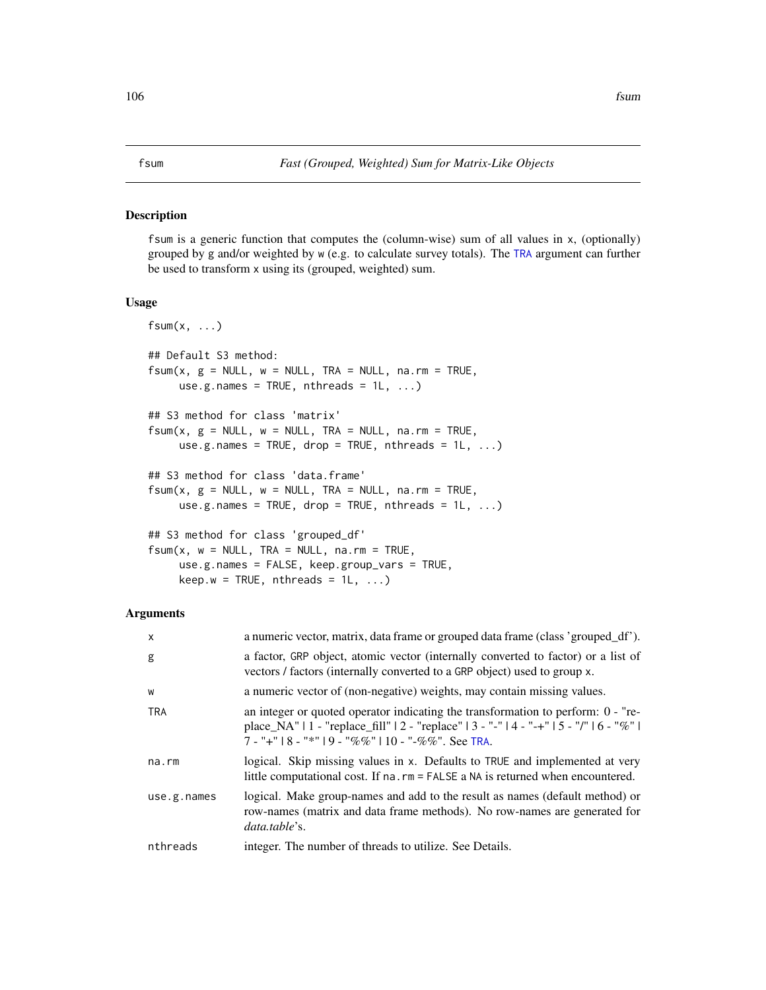## <span id="page-105-0"></span>Description

fsum is a generic function that computes the (column-wise) sum of all values in x, (optionally) grouped by g and/or weighted by w (e.g. to calculate survey totals). The [TRA](#page-182-0) argument can further be used to transform x using its (grouped, weighted) sum.

# Usage

```
fsum(x, \ldots)## Default S3 method:
fsum(x, g = NULL, w = NULL, TRA = NULL, na.rm = TRUE,use.g.names = TRUE, nthreads = 1L, ...)
## S3 method for class 'matrix'
fsum(x, g = NULL, w = NULL, TRA = NULL, na.rm = TRUE,use.g.names = TRUE, drop = TRUE, nthreads = 1L, ...)
## S3 method for class 'data.frame'
fsum(x, g = NULL, w = NULL, TRA = NULL, na.rm = TRUE,use.g.names = TRUE, drop = TRUE, nthreads = 1L, ...)
## S3 method for class 'grouped_df'
fsum(x, w = NULL, TRA = NULL, na.rm = TRUE,use.g.names = FALSE, keep.group_vars = TRUE,
```
 $keep.w = TRUE, nthreads = 1L, ...)$ 

#### Arguments

| $\mathsf{x}$ | a numeric vector, matrix, data frame or grouped data frame (class 'grouped_df').                                                                                                                                                         |
|--------------|------------------------------------------------------------------------------------------------------------------------------------------------------------------------------------------------------------------------------------------|
| g            | a factor, GRP object, atomic vector (internally converted to factor) or a list of<br>vectors / factors (internally converted to a GRP object) used to group x.                                                                           |
| W            | a numeric vector of (non-negative) weights, may contain missing values.                                                                                                                                                                  |
| <b>TRA</b>   | an integer or quoted operator indicating the transformation to perform: $0 - "re-$<br>place_NA"   1 - "replace_fill"   2 - "replace"   3 - "-"   4 - "-+"   5 - "/"   6 - "%"  <br>$7 -$ "+"   8 - "*"   9 - "%%"   10 - "-%%". See TRA. |
| na.rm        | logical. Skip missing values in x. Defaults to TRUE and implemented at very<br>little computational cost. If na. rm = FALSE a NA is returned when encountered.                                                                           |
| use.g.names  | logical. Make group-names and add to the result as names (default method) or<br>row-names (matrix and data frame methods). No row-names are generated for<br>data.table's.                                                               |
| nthreads     | integer. The number of threads to utilize. See Details.                                                                                                                                                                                  |
|              |                                                                                                                                                                                                                                          |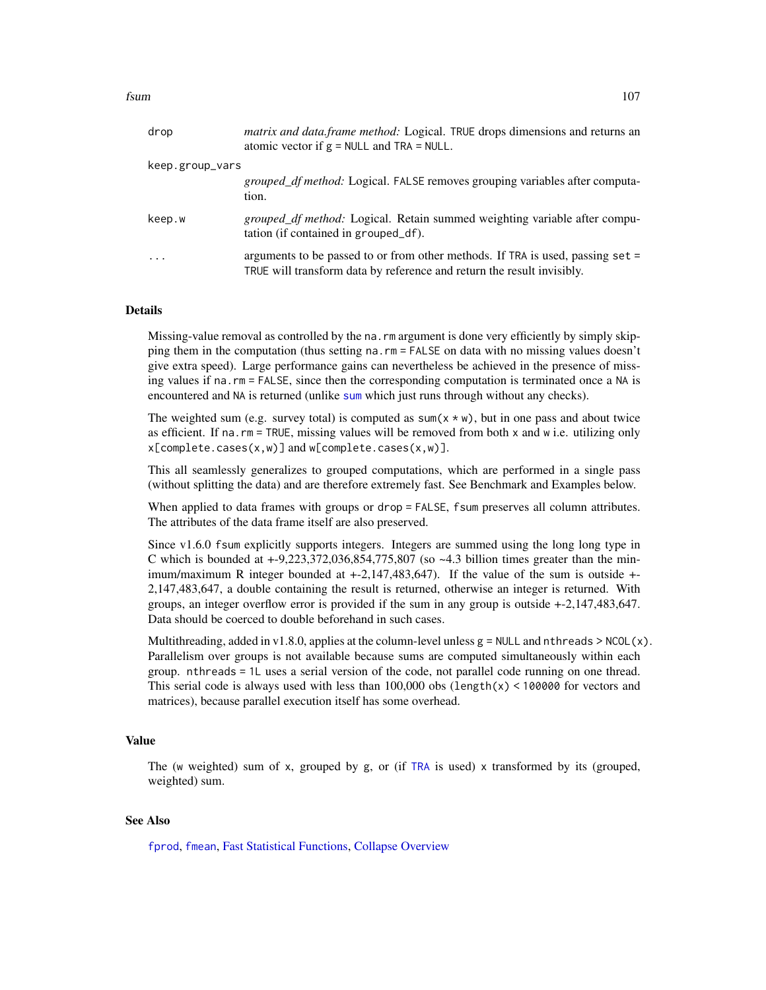| drop            | matrix and data.frame method: Logical. TRUE drops dimensions and returns an<br>atomic vector if $g = NULL$ and TRA = NULL.                                 |
|-----------------|------------------------------------------------------------------------------------------------------------------------------------------------------------|
| keep.group_vars |                                                                                                                                                            |
|                 | <i>grouped_df method:</i> Logical. FALSE removes grouping variables after computa-<br>tion.                                                                |
| keep.w          | grouped_df method: Logical. Retain summed weighting variable after compu-<br>tation (if contained in grouped_df).                                          |
| $\cdot$         | arguments to be passed to or from other methods. If TRA is used, passing $set =$<br>TRUE will transform data by reference and return the result invisibly. |

## Details

Missing-value removal as controlled by the na. rm argument is done very efficiently by simply skipping them in the computation (thus setting na.rm = FALSE on data with no missing values doesn't give extra speed). Large performance gains can nevertheless be achieved in the presence of missing values if na.rm = FALSE, since then the corresponding computation is terminated once a NA is encountered and NA is returned (unlike [sum](#page-0-0) which just runs through without any checks).

The weighted sum (e.g. survey total) is computed as  $sum(x * w)$ , but in one pass and about twice as efficient. If na.rm = TRUE, missing values will be removed from both x and w i.e. utilizing only  $x[complete.cases(x,w)]$  and  $w[complete.cases(x,w)].$ 

This all seamlessly generalizes to grouped computations, which are performed in a single pass (without splitting the data) and are therefore extremely fast. See Benchmark and Examples below.

When applied to data frames with groups or drop = FALSE, fsum preserves all column attributes. The attributes of the data frame itself are also preserved.

Since v1.6.0 fsum explicitly supports integers. Integers are summed using the long long type in C which is bounded at  $+9,223,372,036,854,775,807$  (so  $-4.3$  billion times greater than the minimum/maximum R integer bounded at +-2,147,483,647). If the value of the sum is outside +- 2,147,483,647, a double containing the result is returned, otherwise an integer is returned. With groups, an integer overflow error is provided if the sum in any group is outside +-2,147,483,647. Data should be coerced to double beforehand in such cases.

Multithreading, added in v1.8.0, applies at the column-level unless  $g = \text{NULL}$  and nthreads  $> \text{NCOL}(x)$ . Parallelism over groups is not available because sums are computed simultaneously within each group. nthreads = 1L uses a serial version of the code, not parallel code running on one thread. This serial code is always used with less than  $100,000$  obs (length(x) < 100000 for vectors and matrices), because parallel execution itself has some overhead.

## Value

The (w weighted) sum of x, grouped by g, or (if [TRA](#page-182-0) is used) x transformed by its (grouped, weighted) sum.

# See Also

[fprod](#page-91-0), [fmean](#page-74-0), [Fast Statistical Functions,](#page-41-0) [Collapse Overview](#page-23-0)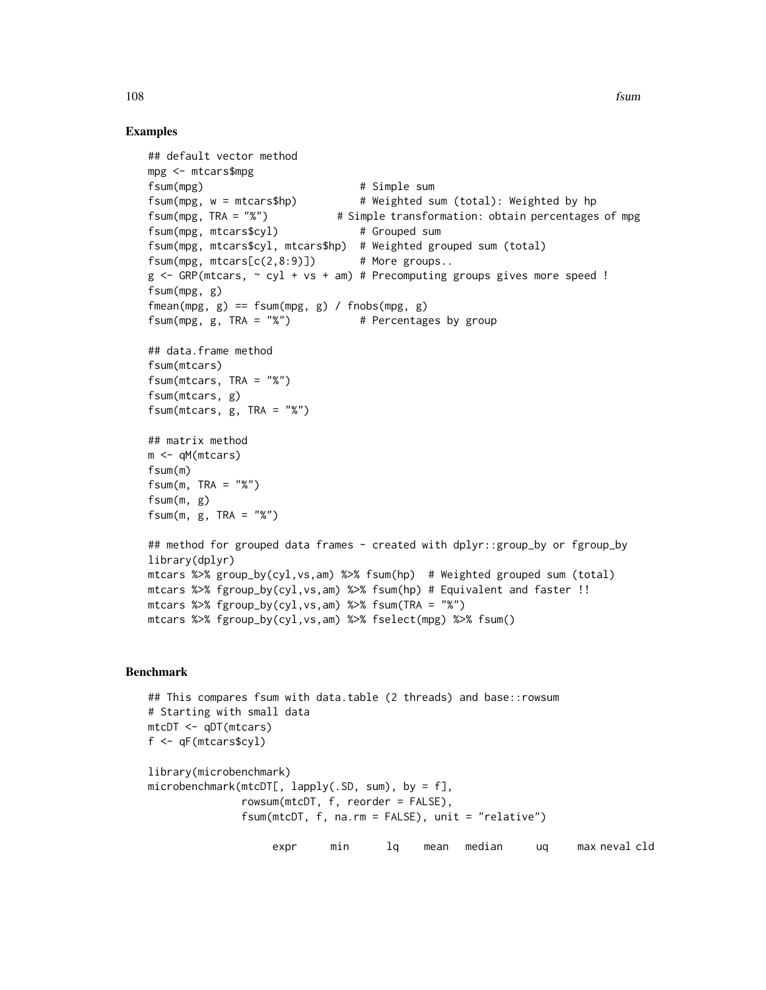# Examples

```
## default vector method
mpg <- mtcars$mpg
fsum(mpg) # Simple sum
fsum(mpg, w = mtcars$hp) # Weighted sum (total): Weighted by hp
fsum(mpg, TRA = "%") # Simple transformation: obtain percentages of mpg
fsum(mpg, mtcars$cyl) # Grouped sum
fsum(mpg, mtcars$cyl, mtcars$hp) # Weighted grouped sum (total)
fsum(mpg, mtcars[c(2,8:9)]) # More groups..
g \leftarrow GRP(mtcars, \sim cyl + vs + am) # Precomputing groups gives more speed !
fsum(mpg, g)
fmean(mpg, g) == fsum(mpg, g) / fnobs(mpg, g)fsum(mpg, g, TRA = "%") * Percentages by group
## data.frame method
fsum(mtcars)
fsum(mtcars, TRA = "%")
fsum(mtcars, g)
fsum(mtcars, g, TRA = "%")
## matrix method
m <- qM(mtcars)
fsum(m)
fsum(m, TRA = "%")
fsum(m, g)
fsum(m, g, TRA = "%")## method for grouped data frames - created with dplyr::group_by or fgroup_by
library(dplyr)
mtcars %>% group_by(cyl,vs,am) %>% fsum(hp) # Weighted grouped sum (total)
mtcars %>% fgroup_by(cyl,vs,am) %>% fsum(hp) # Equivalent and faster !!
mtcars %>% fgroup_by(cyl,vs,am) %>% fsum(TRA = "%")
mtcars %>% fgroup_by(cyl,vs,am) %>% fselect(mpg) %>% fsum()
```
# Benchmark

```
## This compares fsum with data.table (2 threads) and base::rowsum
# Starting with small data
mtcDT <- qDT(mtcars)
f <- qF(mtcars$cyl)
library(microbenchmark)
microbenchmark(mtcDT[, lapply(.SD, sum), by = f],
               rowsum(mtcDT, f, reorder = FALSE),
               fsum(mtcDT, f, na.rm = FALSE), unit = "relative")
```
expr min lq mean median uq max neval cld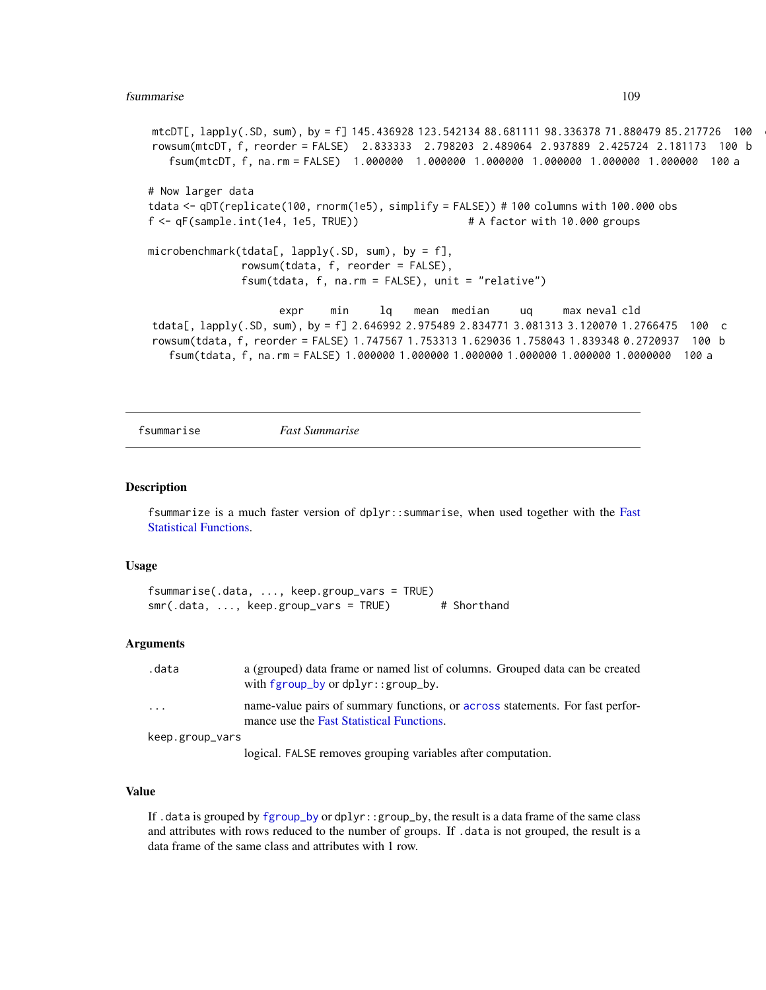```
mtcDT[, lapply(.SD, sum), by = f] 145.436928 123.542134 88.681111 98.336378 71.880479 85.217726 100
rowsum(mtcDT, f, reorder = FALSE) 2.833333 2.798203 2.489064 2.937889 2.425724 2.181173 100 b
   fsum(mtcDT, f, na.rm = FALSE) 1.000000 1.000000 1.000000 1.000000 1.000000 1.000000 100 a
# Now larger data
tdata <- qDT(replicate(100, rnorm(1e5), simplify = FALSE)) # 100 columns with 100.000 obs
f <- qF(sample.int(1e4, 1e5, TRUE)) # A factor with 10.000 groups
microbenchmark(tdata[, lapply(.SD, sum), by = f],
              rowsum(tdata, f, reorder = FALSE),
              fsum(tdata, f, na.rm = FALSE), unit = "relative")
                    expr min lq mean median uq max neval cld
tdata[, lapply(.SD, sum), by = f] 2.646992 2.975489 2.834771 3.081313 3.120070 1.2766475 100 c
rowsum(tdata, f, reorder = FALSE) 1.747567 1.753313 1.629036 1.758043 1.839348 0.2720937 100 b
   fsum(tdata, f, na.rm = FALSE) 1.000000 1.000000 1.000000 1.000000 1.000000 1.0000000 100 a
```
fsummarise *Fast Summarise*

#### Description

fsummarize is a much faster version of dplyr::summarise, when used together with the [Fast](#page-41-0) [Statistical Functions.](#page-41-0)

#### Usage

```
fsummarise(.data, ..., keep.group_vars = TRUE)
smr(.data, ..., keep.group_vars = TRUE) # Shorthand
```
# Arguments

| .data           | a (grouped) data frame or named list of columns. Grouped data can be created<br>with $f$ group_by or $d$ plyr::group_by.   |
|-----------------|----------------------------------------------------------------------------------------------------------------------------|
| .               | name-value pairs of summary functions, or across statements. For fast perfor-<br>mance use the Fast Statistical Functions. |
| keep.group_vars |                                                                                                                            |
|                 | logical. FALSE removes grouping variables after computation.                                                               |

# Value

If . data is grouped by  $fgroup_by$  or  $dplyr$ :  $group_by$ , the result is a data frame of the same class and attributes with rows reduced to the number of groups. If .data is not grouped, the result is a data frame of the same class and attributes with 1 row.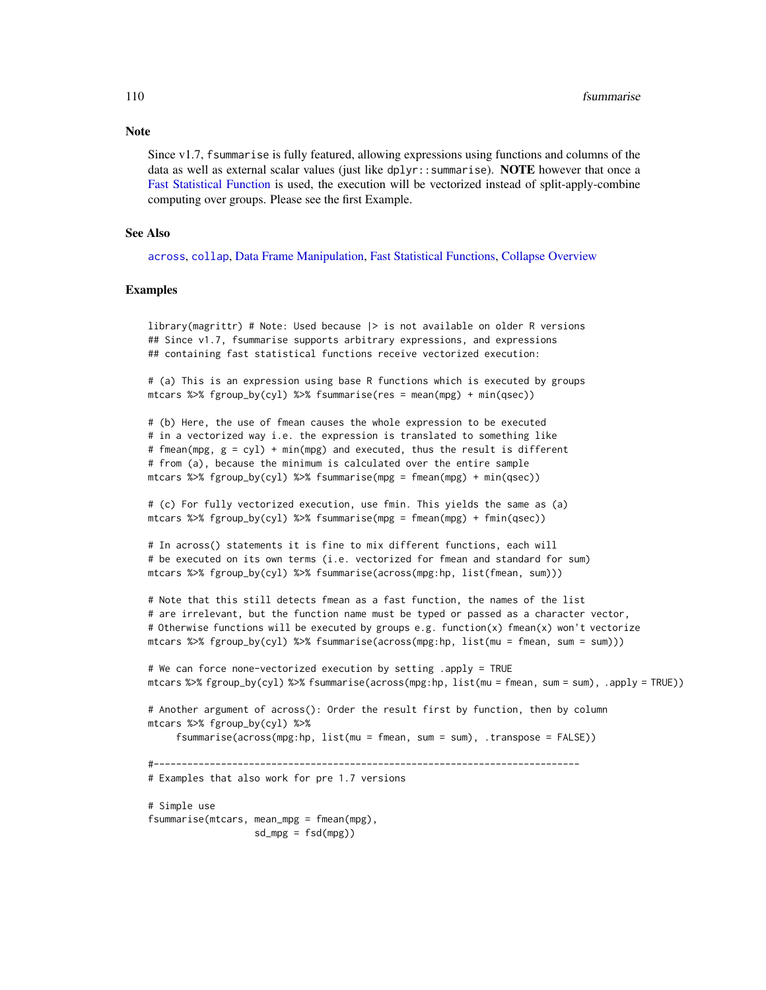Since v1.7, fsummarise is fully featured, allowing expressions using functions and columns of the data as well as external scalar values (just like  $dplyr::summarise$ ). **NOTE** however that once a [Fast Statistical Function](#page-41-0) is used, the execution will be vectorized instead of split-apply-combine computing over groups. Please see the first Example.

#### See Also

[across](#page-11-0), [collap](#page-18-0), [Data Frame Manipulation,](#page-38-0) [Fast Statistical Functions,](#page-41-0) [Collapse Overview](#page-23-0)

## Examples

library(magrittr) # Note: Used because |> is not available on older R versions ## Since v1.7, fsummarise supports arbitrary expressions, and expressions ## containing fast statistical functions receive vectorized execution:

# (a) This is an expression using base R functions which is executed by groups mtcars %>% fgroup\_by(cyl) %>% fsummarise(res = mean(mpg) + min(qsec))

# (b) Here, the use of fmean causes the whole expression to be executed # in a vectorized way i.e. the expression is translated to something like # fmean(mpg, g = cyl) + min(mpg) and executed, thus the result is different # from (a), because the minimum is calculated over the entire sample mtcars %>% fgroup\_by(cyl) %>% fsummarise(mpg = fmean(mpg) + min(qsec))

# (c) For fully vectorized execution, use fmin. This yields the same as (a) mtcars % $\gg$  fgroup\_by(cyl) % $\gg$  fsummarise(mpg = fmean(mpg) + fmin(qsec))

# In across() statements it is fine to mix different functions, each will # be executed on its own terms (i.e. vectorized for fmean and standard for sum) mtcars %>% fgroup\_by(cyl) %>% fsummarise(across(mpg:hp, list(fmean, sum)))

# Note that this still detects fmean as a fast function, the names of the list # are irrelevant, but the function name must be typed or passed as a character vector, # Otherwise functions will be executed by groups e.g. function(x) fmean(x) won't vectorize mtcars %>% fgroup\_by(cyl) %>% fsummarise(across(mpg:hp, list(mu = fmean, sum = sum)))

```
# We can force none-vectorized execution by setting .apply = TRUE
mtcars %>% fgroup_by(cyl) %>% fsummarise(across(mpg:hp, list(mu = fmean, sum = sum), .apply = TRUE))
```

```
# Another argument of across(): Order the result first by function, then by column
mtcars %>% fgroup_by(cyl) %>%
```

```
fsummarise(across(mpg:hp, list(mu = fmean, sum = sum), .transpose = FALSE))
```
#----------------------------------------------------------------------------

```
# Examples that also work for pre 1.7 versions
```

```
# Simple use
fsummarise(mtcars, mean_mpg = fmean(mpg),
                  sd_mpg = fsd(mpg)
```
# **Note**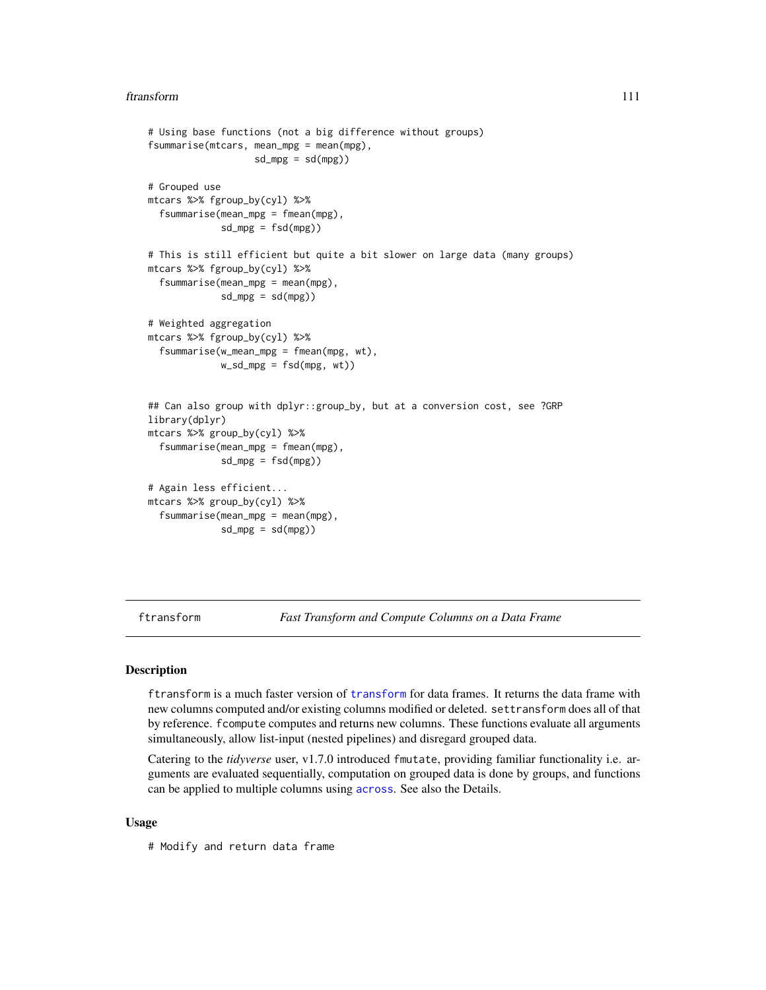#### ftransform 111

```
# Using base functions (not a big difference without groups)
fsummarise(mtcars, mean_mpg = mean(mpg),
                  sd_mpg = sd(mpg)# Grouped use
mtcars %>% fgroup_by(cyl) %>%
 fsummarise(mean_mpg = fmean(mpg),
            sd_mpg = fsd(mpg)# This is still efficient but quite a bit slower on large data (many groups)
mtcars %>% fgroup_by(cyl) %>%
 fsummarise(mean_mpg = mean(mpg),
            sd_mpg = sd(mpg)# Weighted aggregation
mtcars %>% fgroup_by(cyl) %>%
 fsummarise(w_mean_mpg = fmean(mpg, wt),
            w_sd_mpg = fsd(mpg, wt))
## Can also group with dplyr::group_by, but at a conversion cost, see ?GRP
library(dplyr)
mtcars %>% group_by(cyl) %>%
 fsummarise(mean_mpg = fmean(mpg),
            sd_mpg = fsd(mpg)# Again less efficient...
mtcars %>% group_by(cyl) %>%
 fsummarise(mean_mpg = mean(mpg),
            sd_mpg = sd(mpg)
```
ftransform *Fast Transform and Compute Columns on a Data Frame*

# <span id="page-110-0"></span>Description

ftransform is a much faster version of [transform](#page-0-0) for data frames. It returns the data frame with new columns computed and/or existing columns modified or deleted. settransform does all of that by reference. fcompute computes and returns new columns. These functions evaluate all arguments simultaneously, allow list-input (nested pipelines) and disregard grouped data.

Catering to the *tidyverse* user, v1.7.0 introduced fmutate, providing familiar functionality i.e. arguments are evaluated sequentially, computation on grouped data is done by groups, and functions can be applied to multiple columns using [across](#page-11-0). See also the Details.

## Usage

# Modify and return data frame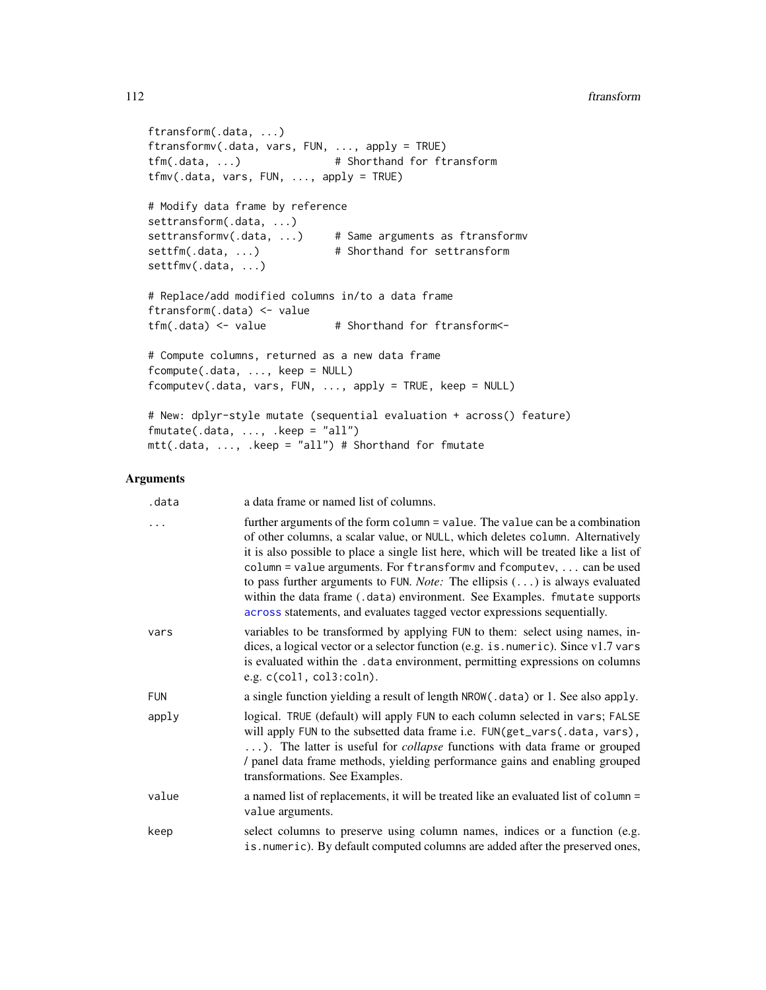```
ftransform(.data, ...)
ftransformv(.data, vars, FUN, ..., apply = TRUE)
tfm(.data, ...) # Shorthand for ftransform
tfmv(.data, vars, FUN, ..., apply = TRUE)
# Modify data frame by reference
settransform(.data, ...)
settransformv(.data, ...) # Same arguments as ftransformv
settfm(.data, ...) # Shorthand for settransform
settfmv(.data, ...)
# Replace/add modified columns in/to a data frame
ftransform(.data) <- value
tfm(.data) \leq value # Shorthand for ftransform\leq# Compute columns, returned as a new data frame
fcompute(.data, ..., keep = NULL)
fcomputev(.data, vars, FUN, ..., apply = TRUE, keep = NULL)
# New: dplyr-style mutate (sequential evaluation + across() feature)
fmutate(.data, ..., .keep = "all")
mtt(.data, ..., .keep = "all") # Shorthand for fmutate
```
# Arguments

| .data | a data frame or named list of columns.                                                                                                                                                                                                                                                                                                                                                                                                                                                                                                                                                          |
|-------|-------------------------------------------------------------------------------------------------------------------------------------------------------------------------------------------------------------------------------------------------------------------------------------------------------------------------------------------------------------------------------------------------------------------------------------------------------------------------------------------------------------------------------------------------------------------------------------------------|
| .     | further arguments of the form column = value. The value can be a combination<br>of other columns, a scalar value, or NULL, which deletes column. Alternatively<br>it is also possible to place a single list here, which will be treated like a list of<br>column = value arguments. For ftransformv and fcomputev, $\ldots$ can be used<br>to pass further arguments to FUN. <i>Note:</i> The ellipsis $(\ldots)$ is always evaluated<br>within the data frame (.data) environment. See Examples. fmutate supports<br>across statements, and evaluates tagged vector expressions sequentially. |
| vars  | variables to be transformed by applying FUN to them: select using names, in-<br>dices, a logical vector or a selector function (e.g. is numeric). Since v1.7 vars<br>is evaluated within the .data environment, permitting expressions on columns<br>e.g. $c(col1, col3: coln)$ .                                                                                                                                                                                                                                                                                                               |
| FUN   | a single function yielding a result of length NROW(.data) or 1. See also apply.                                                                                                                                                                                                                                                                                                                                                                                                                                                                                                                 |
| apply | logical. TRUE (default) will apply FUN to each column selected in vars; FALSE<br>will apply FUN to the subsetted data frame i.e. FUN(get_vars(.data, vars),<br>). The latter is useful for <i>collapse</i> functions with data frame or grouped<br>/ panel data frame methods, yielding performance gains and enabling grouped<br>transformations. See Examples.                                                                                                                                                                                                                                |
| value | a named list of replacements, it will be treated like an evaluated list of column =<br>value arguments.                                                                                                                                                                                                                                                                                                                                                                                                                                                                                         |
| keep  | select columns to preserve using column names, indices or a function (e.g.<br>is.numeric). By default computed columns are added after the preserved ones,                                                                                                                                                                                                                                                                                                                                                                                                                                      |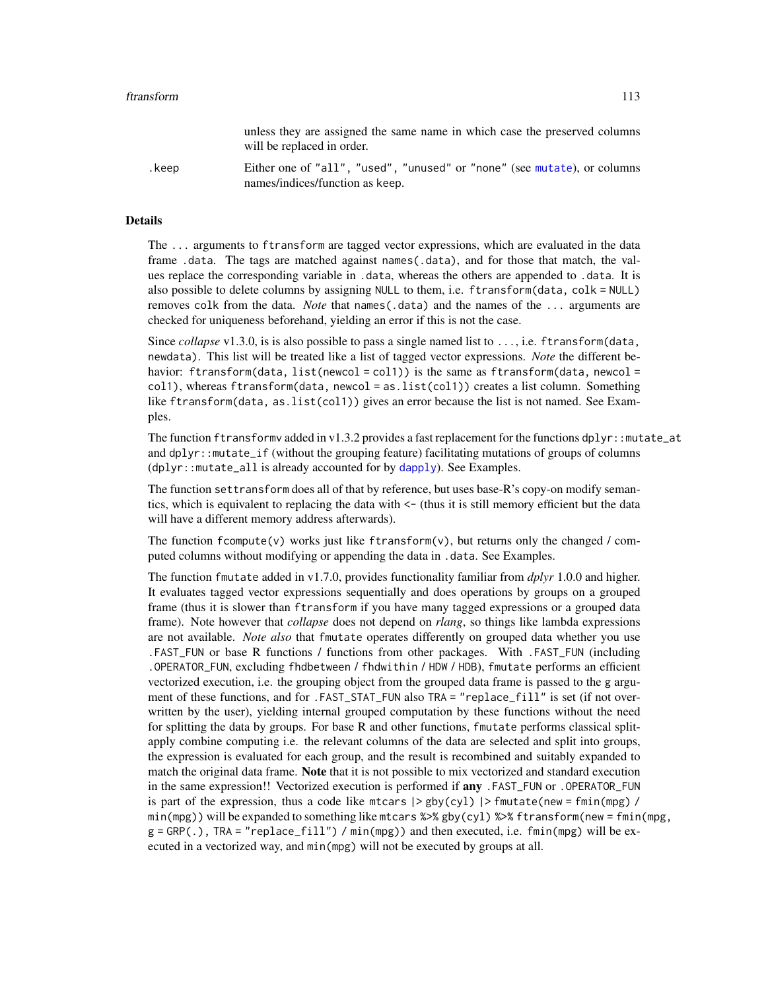|       | unless they are assigned the same name in which case the preserved columns<br>will be replaced in order.    |
|-------|-------------------------------------------------------------------------------------------------------------|
| .keep | Either one of "all", "used", "unused" or "none" (see mutate), or columns<br>names/indices/function as keep. |

# Details

The ... arguments to ftransform are tagged vector expressions, which are evaluated in the data frame .data. The tags are matched against names(.data), and for those that match, the values replace the corresponding variable in .data, whereas the others are appended to .data. It is also possible to delete columns by assigning NULL to them, i.e. ftransform(data, colk = NULL) removes colk from the data. *Note* that names(.data) and the names of the ... arguments are checked for uniqueness beforehand, yielding an error if this is not the case.

Since *collapse* v1.3.0, is is also possible to pass a single named list to ..., i.e. ftransform(data, newdata). This list will be treated like a list of tagged vector expressions. *Note* the different behavior: ftransform(data, list(newcol = col1)) is the same as ftransform(data, newcol = col1), whereas ftransform(data, newcol = as.list(col1)) creates a list column. Something like ftransform(data, as.list(col1)) gives an error because the list is not named. See Examples.

The function ftransformv added in v1.3.2 provides a fast replacement for the functions  $d$ plyr::mutate\_at and dplyr::mutate\_if (without the grouping feature) facilitating mutations of groups of columns  $(dplyr::mutate_a11$  is already accounted for by  $dapply$ ). See Examples.

The function settransform does all of that by reference, but uses base-R's copy-on modify semantics, which is equivalent to replacing the data with <- (thus it is still memory efficient but the data will have a different memory address afterwards).

The function fcompute(v) works just like ftransform(v), but returns only the changed / computed columns without modifying or appending the data in .data. See Examples.

The function fmutate added in v1.7.0, provides functionality familiar from *dplyr* 1.0.0 and higher. It evaluates tagged vector expressions sequentially and does operations by groups on a grouped frame (thus it is slower than ftransform if you have many tagged expressions or a grouped data frame). Note however that *collapse* does not depend on *rlang*, so things like lambda expressions are not available. *Note also* that fmutate operates differently on grouped data whether you use .FAST\_FUN or base R functions / functions from other packages. With .FAST\_FUN (including .OPERATOR\_FUN, excluding fhdbetween / fhdwithin / HDW / HDB), fmutate performs an efficient vectorized execution, i.e. the grouping object from the grouped data frame is passed to the g argument of these functions, and for .FAST\_STAT\_FUN also TRA = "replace\_fill" is set (if not overwritten by the user), yielding internal grouped computation by these functions without the need for splitting the data by groups. For base R and other functions, fmutate performs classical splitapply combine computing i.e. the relevant columns of the data are selected and split into groups, the expression is evaluated for each group, and the result is recombined and suitably expanded to match the original data frame. Note that it is not possible to mix vectorized and standard execution in the same expression!! Vectorized execution is performed if any .FAST\_FUN or .OPERATOR\_FUN is part of the expression, thus a code like mtcars  $|>\text{gby}(\text{cyl})|>\text{fmutate}(\text{new}=\text{fmin}(\text{mpg})/$ min(mpg)) will be expanded to something like mtcars %>% gby(cyl) %>% ftransform(new = fmin(mpg,  $g = GRP(.)$ , TRA = "replace\_fill") / min(mpg)) and then executed, i.e. fmin(mpg) will be executed in a vectorized way, and min(mpg) will not be executed by groups at all.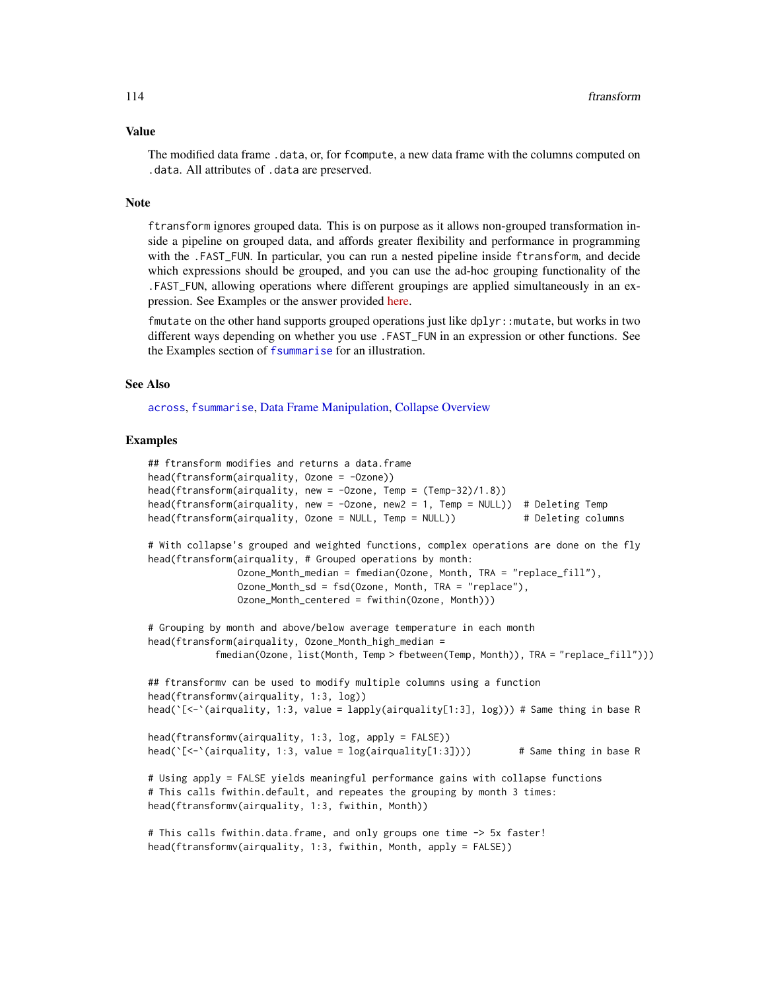#### Value

The modified data frame .data, or, for fcompute, a new data frame with the columns computed on .data. All attributes of .data are preserved.

## Note

ftransform ignores grouped data. This is on purpose as it allows non-grouped transformation inside a pipeline on grouped data, and affords greater flexibility and performance in programming with the .FAST\_FUN. In particular, you can run a nested pipeline inside ftransform, and decide which expressions should be grouped, and you can use the ad-hoc grouping functionality of the .FAST\_FUN, allowing operations where different groupings are applied simultaneously in an expression. See Examples or the answer provided [here.](https://stackoverflow.com/questions/67349744/using-ftransform-along-with-fgroup-by-from-collapse-r-package)

fmutate on the other hand supports grouped operations just like dplyr::mutate, but works in two different ways depending on whether you use .FAST\_FUN in an expression or other functions. See the Examples section of [fsummarise](#page-108-0) for an illustration.

# See Also

[across](#page-11-0), [fsummarise](#page-108-0), [Data Frame Manipulation,](#page-38-0) [Collapse Overview](#page-23-0)

```
## ftransform modifies and returns a data.frame
head(ftransform(airquality, Ozone = -Ozone))
head(ftransform(airquality, new = -Ozone, Temp = (Temp-32)/1.8))
head(ftransform(airquality, new = -Ozone, new2 = 1, Temp = NULL)) # Deleting Temp
head(ftransform(airquality, Ozone = NULL, Temp = NULL)) # Deleting columns
# With collapse's grouped and weighted functions, complex operations are done on the fly
head(ftransform(airquality, # Grouped operations by month:
                Ozone_Month_median = fmedian(Ozone, Month, TRA = "replace_fill"),
                Ozone_Month_sd = fsd(Ozone, Month, TRA = "replace"),
                Ozone_Month_centered = fwithin(Ozone, Month)))
# Grouping by month and above/below average temperature in each month
head(ftransform(airquality, Ozone_Month_high_median =
            fmedian(Ozone, list(Month, Temp > fbetween(Temp, Month)), TRA = "replace_fill")))
## ftransformv can be used to modify multiple columns using a function
head(ftransformv(airquality, 1:3, log))
head(`[<-`(airquality, 1:3, value = lapply(airquality[1:3], log))) # Same thing in base R
head(ftransformv(airquality, 1:3, log, apply = FALSE))
head([\zeta-\text{equivarity}, 1:3, \text{ value} = \log(\text{airquality}[1:3])) # Same thing in base R
# Using apply = FALSE yields meaningful performance gains with collapse functions
# This calls fwithin.default, and repeates the grouping by month 3 times:
head(ftransformv(airquality, 1:3, fwithin, Month))
# This calls fwithin.data.frame, and only groups one time -> 5x faster!
head(ftransformv(airquality, 1:3, fwithin, Month, apply = FALSE))
```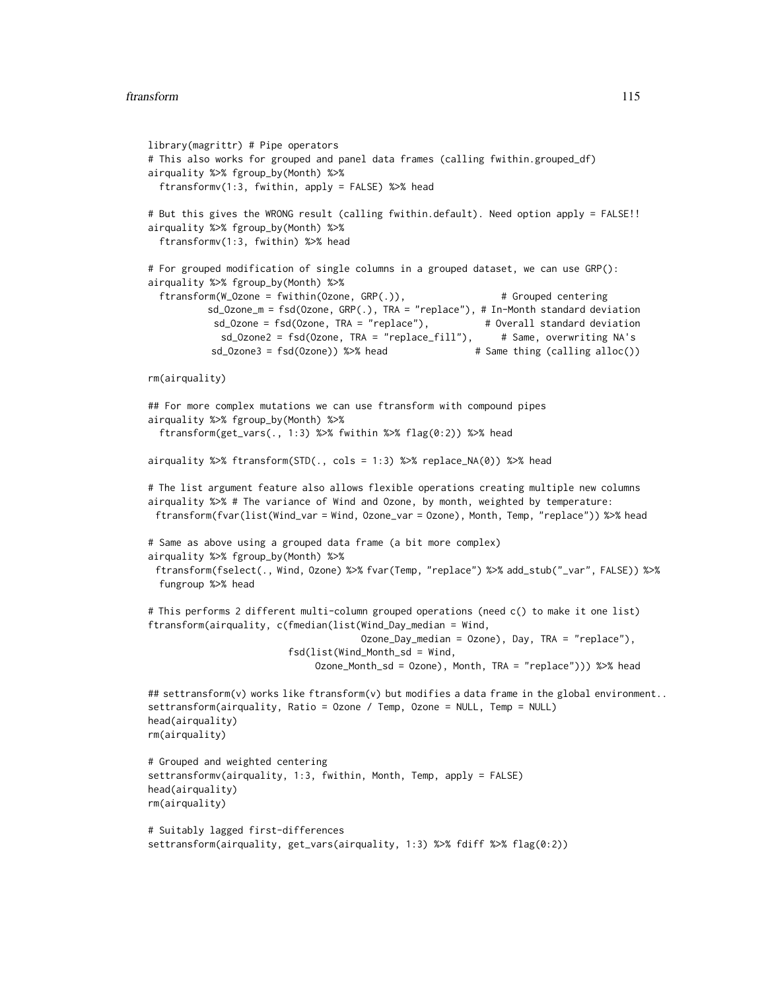```
library(magrittr) # Pipe operators
# This also works for grouped and panel data frames (calling fwithin.grouped_df)
airquality %>% fgroup_by(Month) %>%
 ftransformv(1:3, fwithin, apply = FALSE) %>% head
# But this gives the WRONG result (calling fwithin.default). Need option apply = FALSE!!
airquality %>% fgroup_by(Month) %>%
 ftransformv(1:3, fwithin) %>% head
# For grouped modification of single columns in a grouped dataset, we can use GRP():
airquality %>% fgroup_by(Month) %>%
  ftransform(W_Ozone = fwithin(Ozone, GRP(.)), # Grouped centering
          sd_Ozone_m = fsd(Ozone, GRP(.), TRA = "replace"), # In-Month standard deviation
           sd_Ozone = fsd(Ozone, TRA = "replace"), # Overall standard deviation
            sd_Ozone2 = fsd(Ozone, TRA = "replace_fill"), # Same, overwriting NA's
           sd_Ozone3 = fsd(Ozone)) %>% head # Same thing (calling alloc())
rm(airquality)
## For more complex mutations we can use ftransform with compound pipes
airquality %>% fgroup_by(Month) %>%
 ftransform(get_vars(., 1:3) %>% fwithin %>% flag(0:2)) %>% head
airquality %>% ftransform(STD(., cols = 1:3) %>% replace_NA(0)) %>% head
# The list argument feature also allows flexible operations creating multiple new columns
airquality %>% # The variance of Wind and Ozone, by month, weighted by temperature:
 ftransform(fvar(list(Wind_var = Wind, Ozone_var = Ozone), Month, Temp, "replace")) %>% head
# Same as above using a grouped data frame (a bit more complex)
airquality %>% fgroup_by(Month) %>%
 ftransform(fselect(., Wind, Ozone) %>% fvar(Temp, "replace") %>% add_stub("_var", FALSE)) %>%
 fungroup %>% head
# This performs 2 different multi-column grouped operations (need c() to make it one list)
ftransform(airquality, c(fmedian(list(Wind_Day_median = Wind,
                                     Ozone_Day_median = Ozone), Day, TRA = "replace"),
                         fsd(list(Wind_Month_sd = Wind,
                             Ozone_Month_sd = Ozone), Month, TRA = "replace"))) %>% head
## settransform(v) works like ftransform(v) but modifies a data frame in the global environment..
settransform(airquality, Ratio = Ozone / Temp, Ozone = NULL, Temp = NULL)
head(airquality)
rm(airquality)
# Grouped and weighted centering
settransformv(airquality, 1:3, fwithin, Month, Temp, apply = FALSE)
head(airquality)
rm(airquality)
# Suitably lagged first-differences
settransform(airquality, get_vars(airquality, 1:3) %>% fdiff %>% flag(0:2))
```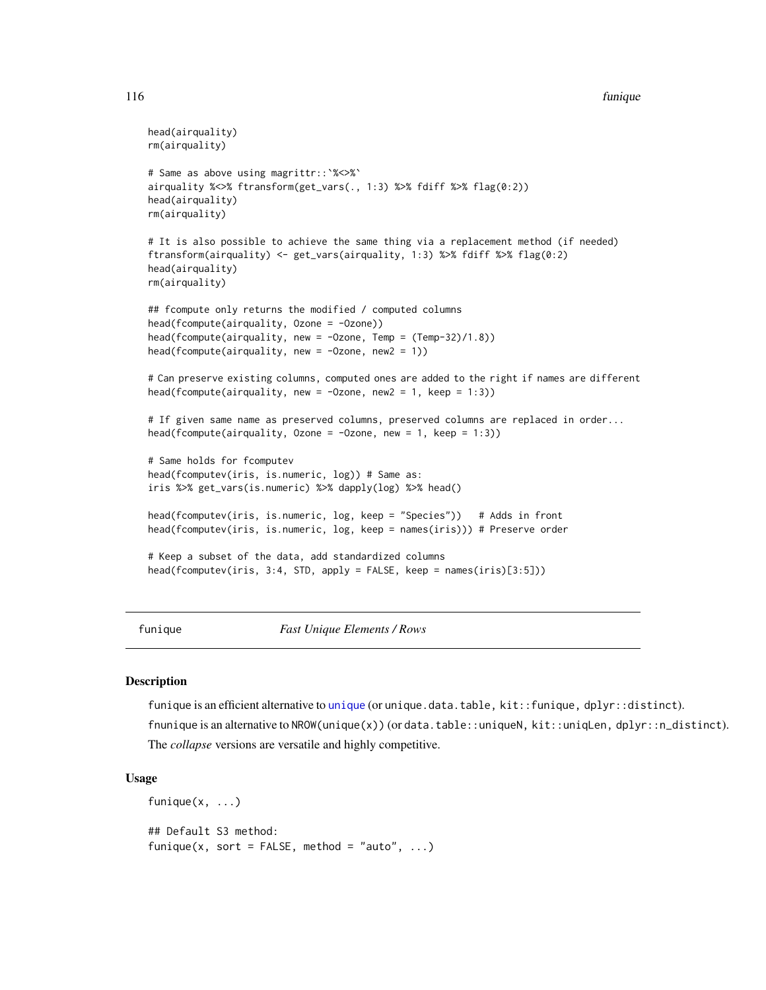#### 116 funique et al. et al. et al. et al. et al. et al. et al. et al. et al. et al. et al. et al. et al. et al. e

```
head(airquality)
rm(airquality)
# Same as above using magrittr::`%<>%`
airquality %<>% ftransform(get_vars(., 1:3) %>% fdiff %>% flag(0:2))
head(airquality)
rm(airquality)
# It is also possible to achieve the same thing via a replacement method (if needed)
ftransform(airquality) <- get_vars(airquality, 1:3) %>% fdiff %>% flag(0:2)
head(airquality)
rm(airquality)
## fcompute only returns the modified / computed columns
head(fcompute(airquality, Ozone = -Ozone))
head(fcompute(airquality, new = -Ozone, Temp = (Temp-32)/1.8))
head(fcompute(airquality, new = -Ozone, new2 = 1))
# Can preserve existing columns, computed ones are added to the right if names are different
head(fcompute(airquality, new = -0zone, new2 = 1, keep = 1:3))
# If given same name as preserved columns, preserved columns are replaced in order...
head(fcompute(airquality, Ozone = -0zone, new = 1, keep = 1:3))
# Same holds for fcomputev
head(fcomputev(iris, is.numeric, log)) # Same as:
iris %>% get_vars(is.numeric) %>% dapply(log) %>% head()
head(fcomputev(iris, is.numeric, log, keep = "Species")) # Adds in front
head(fcomputev(iris, is.numeric, log, keep = names(iris))) # Preserve order
# Keep a subset of the data, add standardized columns
head(fcomputev(iris, 3:4, STD, apply = FALSE, keep = names(iris)[3:5]))
```
<span id="page-115-0"></span>funique *Fast Unique Elements / Rows*

#### Description

f[unique](#page-0-0) is an efficient alternative to unique (or unique.data.table, kit::funique, dplyr::distinct). fnunique is an alternative to NROW(unique(x)) (or data.table::uniqueN, kit::uniqLen, dplyr::n\_distinct). The *collapse* versions are versatile and highly competitive.

#### Usage

funique $(x, \ldots)$ ## Default S3 method: funique(x, sort = FALSE, method = "auto",  $\ldots$ )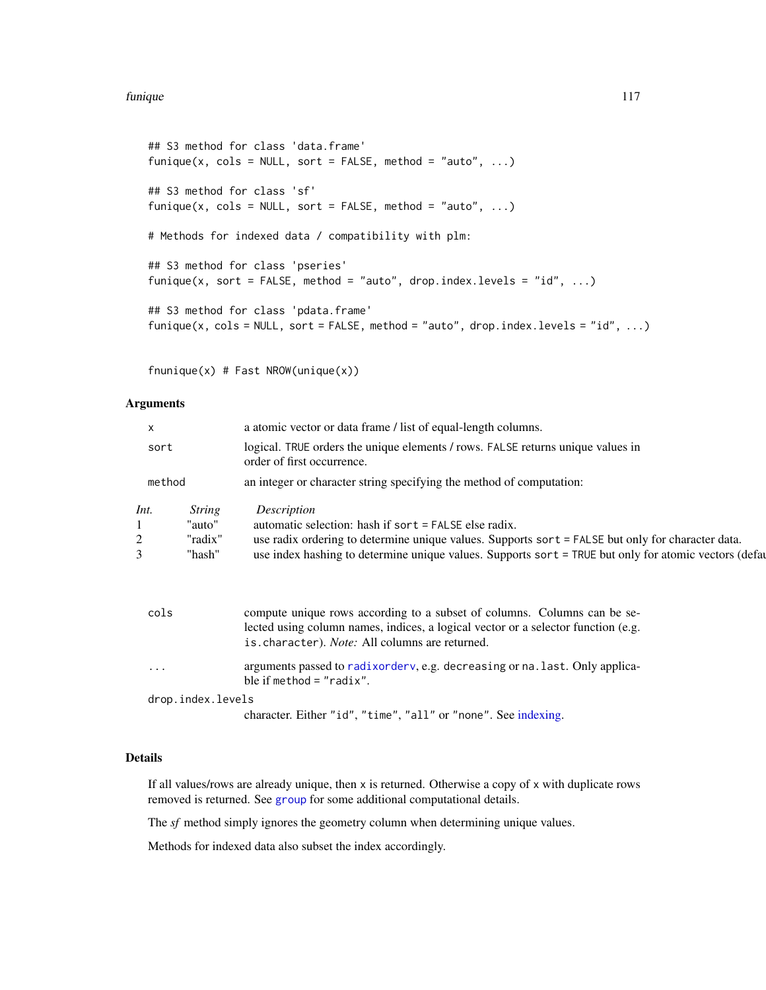#### funique 117

```
## S3 method for class 'data.frame'
funique(x, cols = NULL, sort = FALSE, method = "auto", ...)
## S3 method for class 'sf'
funique(x, cols = NULL, sort = FALSE, method = "auto", \dots)
# Methods for indexed data / compatibility with plm:
## S3 method for class 'pseries'
funique(x, sort = FALSE, method = "auto", drop.index.levels = "id", ...)
## S3 method for class 'pdata.frame'
funique(x, cols = NULL, sort = FALSE, method = "auto", drop.index.levels = "id", ...)
```
fnunique(x) # Fast NROW(unique(x))

# Arguments

| X              |                                              | a atomic vector or data frame / list of equal-length columns.                                                                                                                                                                                                                      |
|----------------|----------------------------------------------|------------------------------------------------------------------------------------------------------------------------------------------------------------------------------------------------------------------------------------------------------------------------------------|
| sort           |                                              | logical. TRUE orders the unique elements / rows. FALSE returns unique values in<br>order of first occurrence.                                                                                                                                                                      |
| method         |                                              | an integer or character string specifying the method of computation:                                                                                                                                                                                                               |
| Int.<br>2<br>3 | <i>String</i><br>"auto"<br>"radix"<br>"hash" | Description<br>automatic selection: hash if sort = FALSE else radix.<br>use radix ordering to determine unique values. Supports sort = FALSE but only for character data.<br>use index hashing to determine unique values. Supports sort = TRUE but only for atomic vectors (defay |
| cols           |                                              | compute unique rows according to a subset of columns. Columns can be se-<br>lected using column names, indices, a logical vector or a selector function (e.g.<br>is.character). Note: All columns are returned.                                                                    |
| $\cdots$       |                                              | arguments passed to radixorderv, e.g. decreasing or na. last. Only applica-<br>ble if method $=$ "radix".                                                                                                                                                                          |
|                | drop.index.levels                            |                                                                                                                                                                                                                                                                                    |
|                |                                              | character. Either "id", "time", "all" or "none". See indexing.                                                                                                                                                                                                                     |

# Details

If all values/rows are already unique, then x is returned. Otherwise a copy of x with duplicate rows removed is returned. See [group](#page-124-0) for some additional computational details.

The *sf* method simply ignores the geometry column when determining unique values.

Methods for indexed data also subset the index accordingly.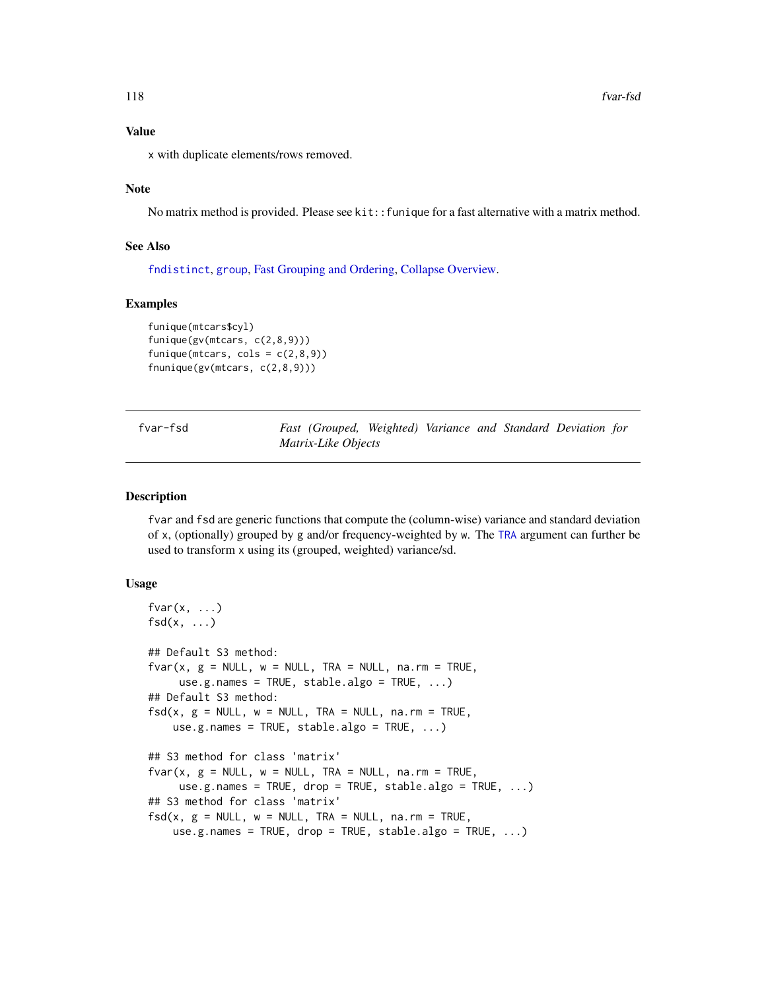#### Value

x with duplicate elements/rows removed.

# Note

No matrix method is provided. Please see kit::funique for a fast alternative with a matrix method.

# See Also

[fndistinct](#page-84-0), [group](#page-124-0), [Fast Grouping and Ordering,](#page-39-0) [Collapse Overview.](#page-23-0)

## Examples

```
funique(mtcars$cyl)
funique(gv(mtcars, c(2,8,9)))
funique(mtcars, cols = c(2,8,9))
fnunique(gv(mtcars, c(2,8,9)))
```

| fvar-fsd | Fast (Grouped, Weighted) Variance and Standard Deviation for |  |  |  |
|----------|--------------------------------------------------------------|--|--|--|
|          | Matrix-Like Objects                                          |  |  |  |

#### Description

fvar and fsd are generic functions that compute the (column-wise) variance and standard deviation of x, (optionally) grouped by g and/or frequency-weighted by w. The [TRA](#page-182-0) argument can further be used to transform x using its (grouped, weighted) variance/sd.

# Usage

```
fvar(x, \ldots)fsd(x, \ldots)## Default S3 method:
fvar(x, g = NULL, w = NULL, TRA = NULL, na.rm = TRUE,use.g.names = TRUE, stable.algo = TRUE, ...)
## Default S3 method:
fsd(x, g = NULL, w = NULL, TRA = NULL, na.rm = TRUE,use.g.names = TRUE, stable.algo = TRUE, ...)
## S3 method for class 'matrix'
fvar(x, g = NULL, w = NULL, TRA = NULL, na.rm = TRUE,use.g.names = TRUE, drop = TRUE, stable.algo = TRUE, \ldots)
## S3 method for class 'matrix'
fsd(x, g = NULL, w = NULL, TRA = NULL, na.rm = TRUE,use.g.names = TRUE, drop = TRUE, stable.algo = TRUE, ...)
```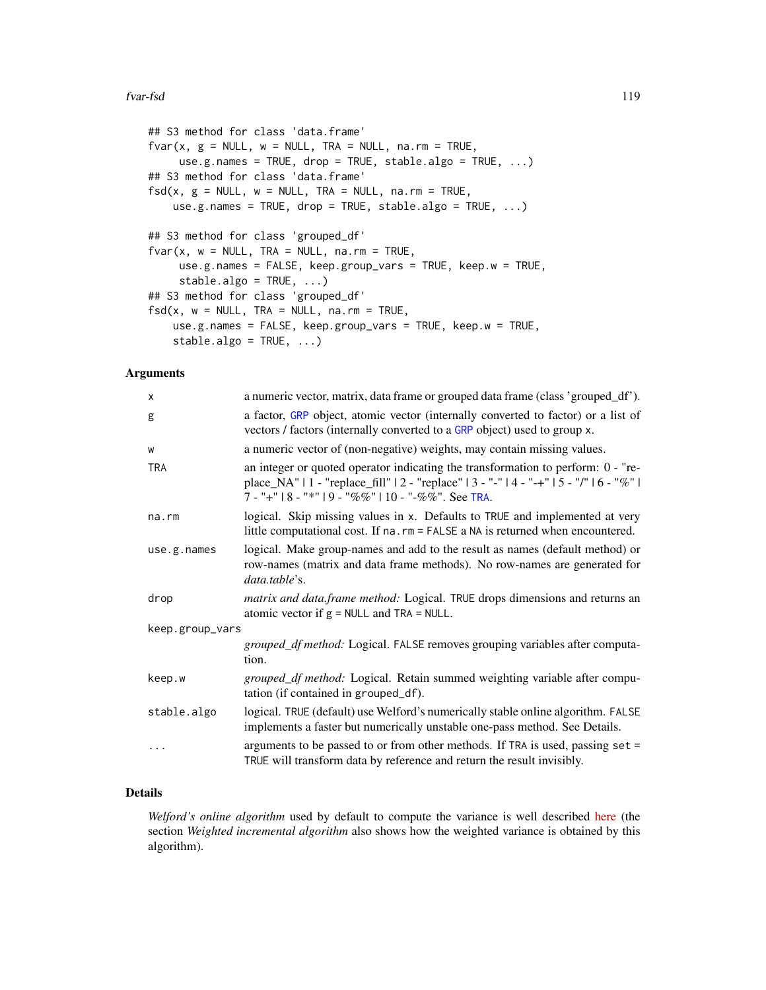#### fvar-fsd 119

```
## S3 method for class 'data.frame'
fvar(x, g = NULL, w = NULL, TRA = NULL, na.rm = TRUE,use.g.names = TRUE, drop = TRUE, stable.algo = TRUE, \ldots)
## S3 method for class 'data.frame'
fsd(x, g = NULL, w = NULL, TRA = NULL, na.rm = TRUE,use.g.names = TRUE, drop = TRUE, stable.algo = TRUE, ...)
## S3 method for class 'grouped_df'
fvar(x, w = NULL, TRA = NULL, na.rm = TRUE,use.g.names = FALSE, keep.group_vars = TRUE, keep.w = TRUE,
     stable.algo = TRUE, ...)
## S3 method for class 'grouped_df'
fsd(x, w = NULL, TRA = NULL, na.rm = TRUE,use.g.names = FALSE, keep.group_vars = TRUE, keep.w = TRUE,
   stable.algo = TRUE, ...)
```
# Arguments

| X               | a numeric vector, matrix, data frame or grouped data frame (class 'grouped_df').                                                                                                                                                       |
|-----------------|----------------------------------------------------------------------------------------------------------------------------------------------------------------------------------------------------------------------------------------|
| g               | a factor, GRP object, atomic vector (internally converted to factor) or a list of<br>vectors / factors (internally converted to a GRP object) used to group x.                                                                         |
| W               | a numeric vector of (non-negative) weights, may contain missing values.                                                                                                                                                                |
| <b>TRA</b>      | an integer or quoted operator indicating the transformation to perform: 0 - "re-<br>place_NA"   1 - "replace_fill"   2 - "replace"   3 - "-"   4 - "-+"   5 - "/"   6 - "%"  <br>$7 -$ "+"   8 - "*"   9 - "%%"   10 - "-%%". See TRA. |
| na.rm           | logical. Skip missing values in x. Defaults to TRUE and implemented at very<br>little computational cost. If na. rm = FALSE a NA is returned when encountered.                                                                         |
| use.g.names     | logical. Make group-names and add to the result as names (default method) or<br>row-names (matrix and data frame methods). No row-names are generated for<br>data.table's.                                                             |
| drop            | matrix and data.frame method: Logical. TRUE drops dimensions and returns an<br>atomic vector if $g = NULL$ and TRA = NULL.                                                                                                             |
| keep.group_vars |                                                                                                                                                                                                                                        |
|                 | grouped_df method: Logical. FALSE removes grouping variables after computa-<br>tion.                                                                                                                                                   |
| keep.w          | grouped_df method: Logical. Retain summed weighting variable after compu-<br>tation (if contained in grouped_df).                                                                                                                      |
| stable.algo     | logical. TRUE (default) use Welford's numerically stable online algorithm. FALSE<br>implements a faster but numerically unstable one-pass method. See Details.                                                                         |
| .               | arguments to be passed to or from other methods. If TRA is used, passing set =<br>TRUE will transform data by reference and return the result invisibly.                                                                               |

# Details

*Welford's online algorithm* used by default to compute the variance is well described [here](https://en.wikipedia.org/wiki/Algorithms_for_calculating_variance) (the section *Weighted incremental algorithm* also shows how the weighted variance is obtained by this algorithm).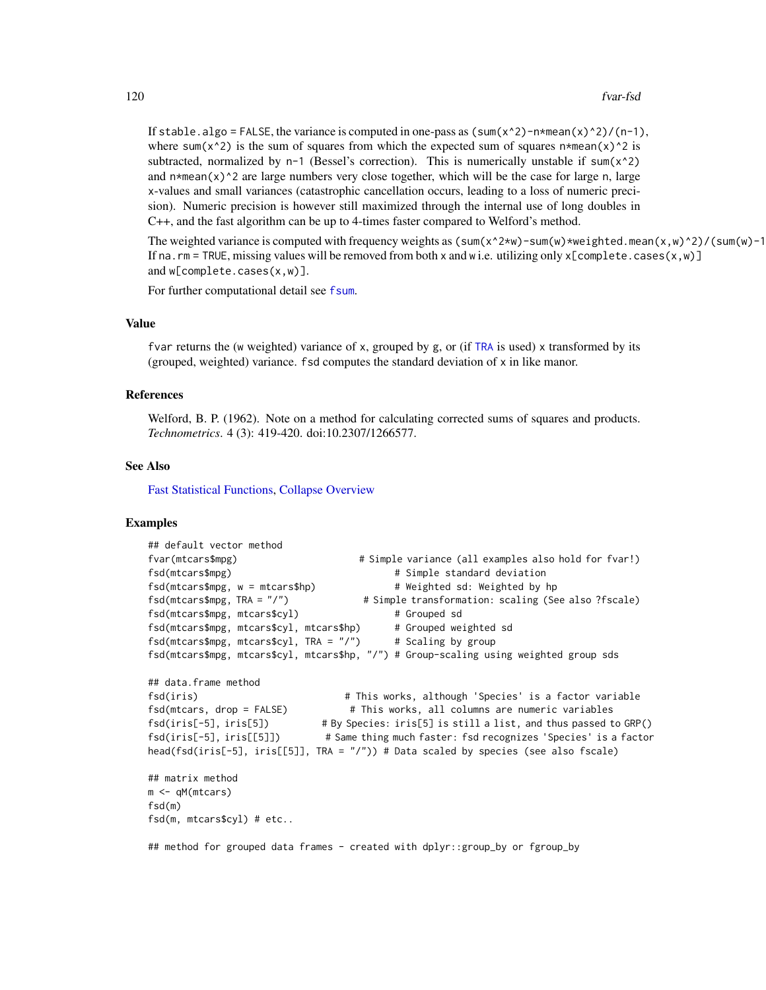If stable.algo = FALSE, the variance is computed in one-pass as  $(\text{sum}(x^2)-n+\text{mean}(x)^2)/(n-1)$ , where sum( $x^2$ ) is the sum of squares from which the expected sum of squares n\*mean(x)^2 is subtracted, normalized by  $n-1$  (Bessel's correction). This is numerically unstable if sum( $x^2$ ) and  $n*mean(x)^2$  are large numbers very close together, which will be the case for large n, large x-values and small variances (catastrophic cancellation occurs, leading to a loss of numeric precision). Numeric precision is however still maximized through the internal use of long doubles in C++, and the fast algorithm can be up to 4-times faster compared to Welford's method.

The weighted variance is computed with frequency weights as  $(sum(x^2*w)-sum(w)*weighted.macan(x,w)^2)/(sum(w)-1)$ If na.rm = TRUE, missing values will be removed from both x and w i.e. utilizing only  $x$ [complete.cases(x,w)] and w[complete.cases(x,w)].

For further computational detail see [fsum](#page-105-0).

#### Value

fvar returns the (w weighted) variance of x, grouped by g, or (if [TRA](#page-182-0) is used) x transformed by its (grouped, weighted) variance. fsd computes the standard deviation of x in like manor.

#### References

Welford, B. P. (1962). Note on a method for calculating corrected sums of squares and products. *Technometrics*. 4 (3): 419-420. doi:10.2307/1266577.

# See Also

[Fast Statistical Functions,](#page-41-0) [Collapse Overview](#page-23-0)

# Examples

```
## default vector method
fvar(mtcars$mpg) # Simple variance (all examples also hold for fvar!)
fsd(mtcars$mpg) \qquad \qquad \qquad \qquad \text{fsdl} simple standard deviation
fsd(mtcars$mpg, w = mtcars$hp) # Weighted sd: Weighted by hp
fsd(mtcars$mpg, TRA = "/") # Simple transformation: scaling (See also ?fscale)
fsd(mtcars$mpg, mtcars$cyl) # Grouped sd
fsd(mtcars$mpg, mtcars$cyl, mtcars$hp) # Grouped weighted sd<br>fsd(mtcars$mpg, mtcars$cyl, TRA = "/") # Scaling by group
fsd(mtcars$mpg, mtcars$cyl, TRA = "/")fsd(mtcars$mpg, mtcars$cyl, mtcars$hp, "/") # Group-scaling using weighted group sds
## data.frame method
fsd(iris) # This works, although 'Species' is a factor variable
fsd(mtcars, drop = FALSE) # This works, all columns are numeric variables
fsd(iris[-5], iris[5]) # By Species: iris[5] is still a list, and thus passed to GRP()
fsd(iris[-5], iris[[5]]) # Same thing much faster: fsd recognizes 'Species' is a factor
head(fsd(iris[-5], iris[[5]], TRA = "/")) # Data scaled by species (see also fscale)
## matrix method
m <- qM(mtcars)
fsd(m)
fsd(m, mtcars$cyl) # etc..
```
## method for grouped data frames - created with dplyr::group\_by or fgroup\_by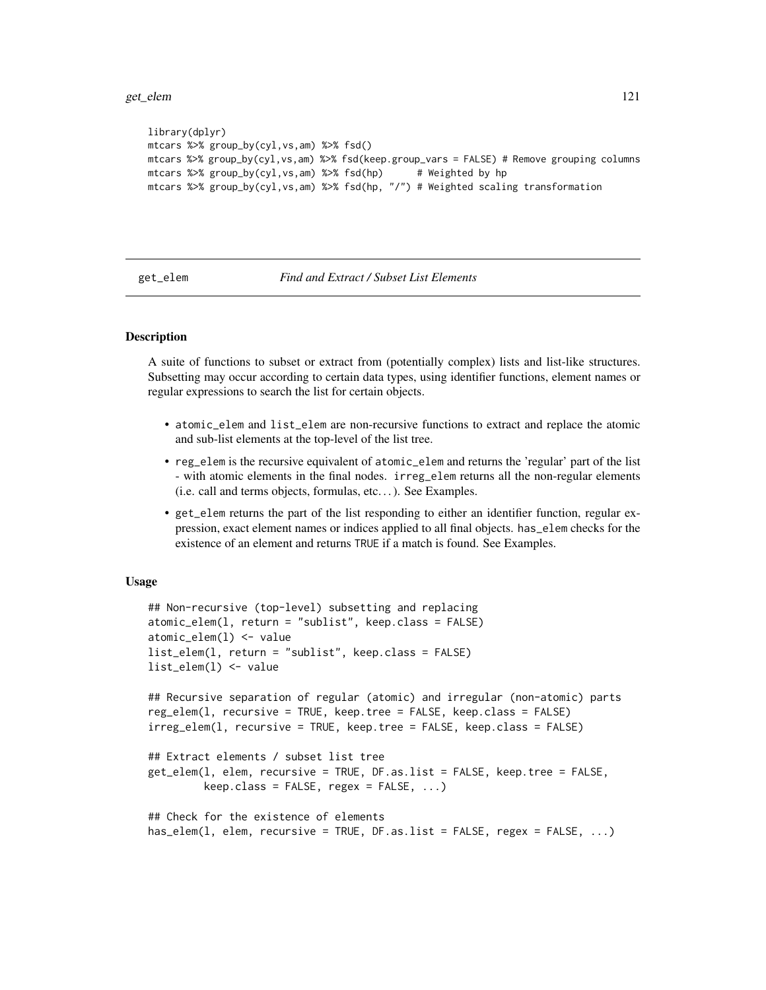get\_elem 121

```
library(dplyr)
mtcars %>% group_by(cyl,vs,am) %>% fsd()
mtcars %>% group_by(cyl,vs,am) %>% fsd(keep.group_vars = FALSE) # Remove grouping columns
mtcars %>% group_by(cyl,vs,am) %>% fsd(hp) # Weighted by hp
mtcars %>% group_by(cyl,vs,am) %>% fsd(hp, "/") # Weighted scaling transformation
```
<span id="page-120-1"></span>get\_elem *Find and Extract / Subset List Elements*

# <span id="page-120-0"></span>Description

A suite of functions to subset or extract from (potentially complex) lists and list-like structures. Subsetting may occur according to certain data types, using identifier functions, element names or regular expressions to search the list for certain objects.

- atomic\_elem and list\_elem are non-recursive functions to extract and replace the atomic and sub-list elements at the top-level of the list tree.
- reg\_elem is the recursive equivalent of atomic\_elem and returns the 'regular' part of the list - with atomic elements in the final nodes. irreg\_elem returns all the non-regular elements (i.e. call and terms objects, formulas, etc. . . ). See Examples.
- get\_elem returns the part of the list responding to either an identifier function, regular expression, exact element names or indices applied to all final objects. has\_elem checks for the existence of an element and returns TRUE if a match is found. See Examples.

#### Usage

```
## Non-recursive (top-level) subsetting and replacing
atomic_elem(l, return = "sublist", keep.class = FALSE)
atomic_elem(l) <- value
list_elem(l, return = "sublist", keep.class = FALSE)
list_elem(l) <- value
## Recursive separation of regular (atomic) and irregular (non-atomic) parts
reg_elem(l, recursive = TRUE, keep.tree = FALSE, keep.class = FALSE)
irreg_elem(l, recursive = TRUE, keep.tree = FALSE, keep.class = FALSE)
## Extract elements / subset list tree
get_elem(l, elem, recursive = TRUE, DF.as.list = FALSE, keep.tree = FALSE,
        keep.class = FALSE, regex = FALSE, ...)## Check for the existence of elements
has_elem(l, elem, recursive = TRUE, DF.as.list = FALSE, regex = FALSE, ...)
```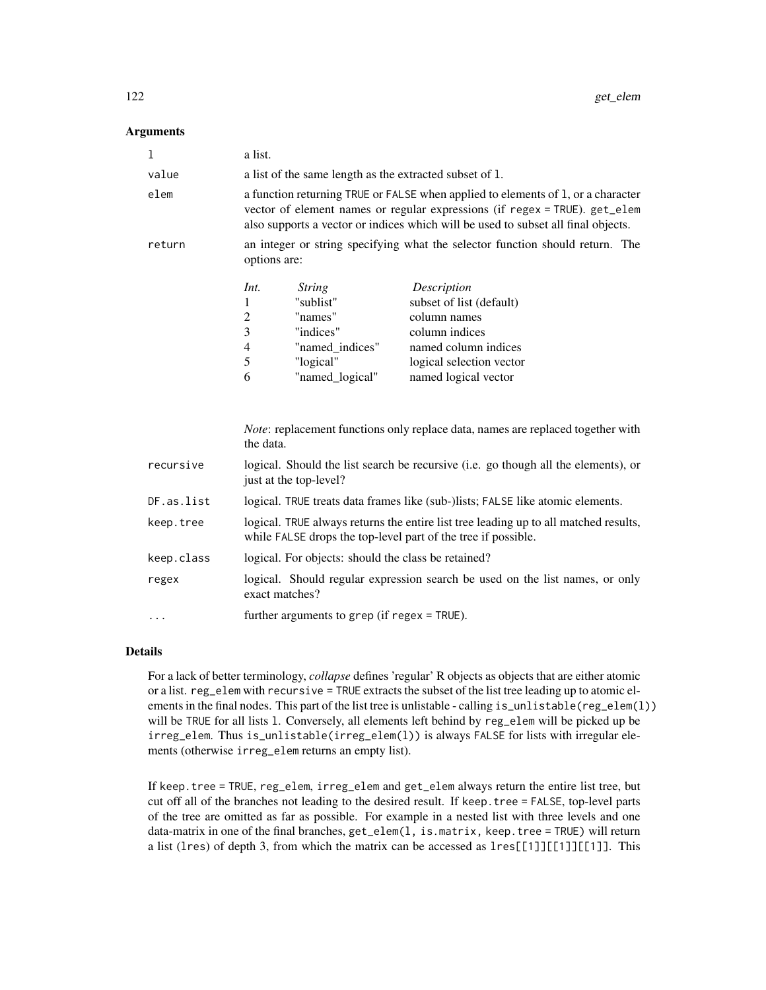## **Arguments**

| 1          | a list.                                                                                                                                                                                                                                             |  |                                                                                                                                                       |
|------------|-----------------------------------------------------------------------------------------------------------------------------------------------------------------------------------------------------------------------------------------------------|--|-------------------------------------------------------------------------------------------------------------------------------------------------------|
| value      | a list of the same length as the extracted subset of 1.                                                                                                                                                                                             |  |                                                                                                                                                       |
| elem       | a function returning TRUE or FALSE when applied to elements of 1, or a character<br>vector of element names or regular expressions (if regex = TRUE). get_elem<br>also supports a vector or indices which will be used to subset all final objects. |  |                                                                                                                                                       |
| return     | an integer or string specifying what the selector function should return. The<br>options are:                                                                                                                                                       |  |                                                                                                                                                       |
|            | Int.<br><i>String</i><br>"sublist"<br>1<br>$\overline{c}$<br>"names"<br>3<br>"indices"<br>4<br>"named_indices"<br>5<br>"logical"<br>6<br>"named_logical"                                                                                            |  | Description<br>subset of list (default)<br>column names<br>column indices<br>named column indices<br>logical selection vector<br>named logical vector |
|            | the data.                                                                                                                                                                                                                                           |  | Note: replacement functions only replace data, names are replaced together with                                                                       |
| recursive  | logical. Should the list search be recursive (i.e. go though all the elements), or<br>just at the top-level?                                                                                                                                        |  |                                                                                                                                                       |
| DF.as.list | logical. TRUE treats data frames like (sub-)lists; FALSE like atomic elements.                                                                                                                                                                      |  |                                                                                                                                                       |
| keep.tree  | logical. TRUE always returns the entire list tree leading up to all matched results,<br>while FALSE drops the top-level part of the tree if possible.                                                                                               |  |                                                                                                                                                       |
| keep.class | logical. For objects: should the class be retained?                                                                                                                                                                                                 |  |                                                                                                                                                       |
| regex      | logical. Should regular expression search be used on the list names, or only<br>exact matches?                                                                                                                                                      |  |                                                                                                                                                       |
| $\cdots$   | further arguments to grep (if regex = TRUE).                                                                                                                                                                                                        |  |                                                                                                                                                       |

## Details

For a lack of better terminology, *collapse* defines 'regular' R objects as objects that are either atomic or a list. reg\_elem with recursive = TRUE extracts the subset of the list tree leading up to atomic elements in the final nodes. This part of the list tree is unlistable - calling  $is\_unlistable(reg\_elem(1))$ will be TRUE for all lists l. Conversely, all elements left behind by reg\_elem will be picked up be irreg\_elem. Thus is\_unlistable(irreg\_elem(l)) is always FALSE for lists with irregular elements (otherwise irreg\_elem returns an empty list).

If keep.tree = TRUE, reg\_elem, irreg\_elem and get\_elem always return the entire list tree, but cut off all of the branches not leading to the desired result. If keep.tree = FALSE, top-level parts of the tree are omitted as far as possible. For example in a nested list with three levels and one data-matrix in one of the final branches, get\_elem(l, is.matrix, keep.tree = TRUE) will return a list (lres) of depth 3, from which the matrix can be accessed as lres[[1]][[1]][[1]]. This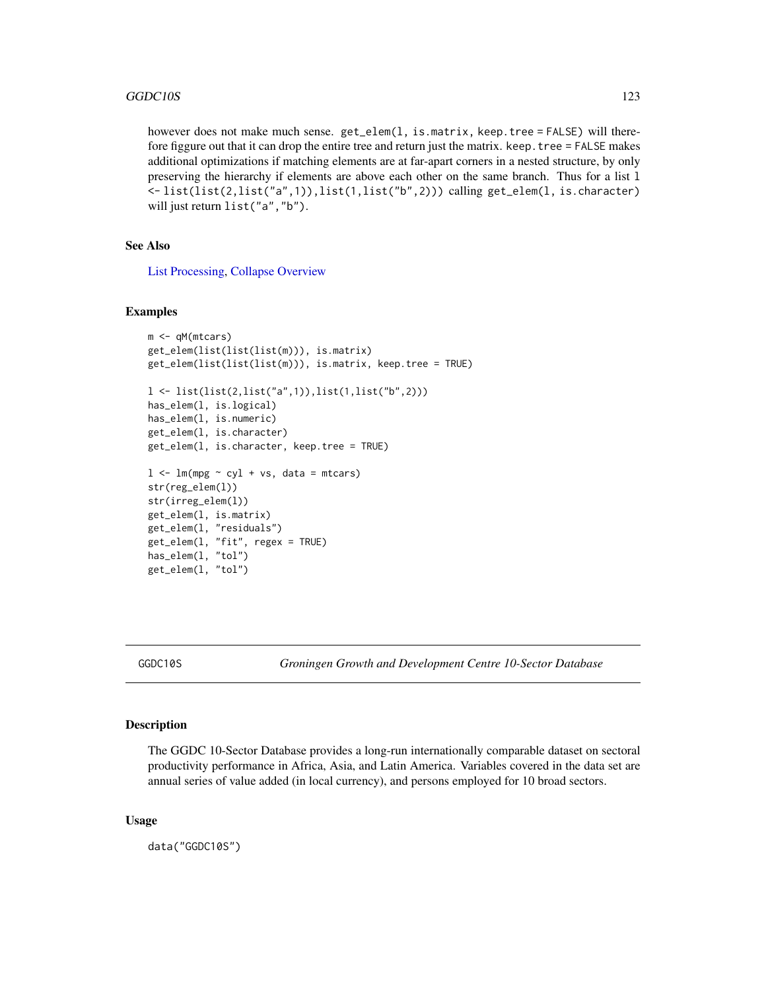however does not make much sense. get\_elem(1, is.matrix, keep.tree = FALSE) will therefore figgure out that it can drop the entire tree and return just the matrix. keep.tree = FALSE makes additional optimizations if matching elements are at far-apart corners in a nested structure, by only preserving the hierarchy if elements are above each other on the same branch. Thus for a list l <- list(list(2,list("a",1)),list(1,list("b",2))) calling get\_elem(l, is.character) will just return list("a","b").

# See Also

[List Processing,](#page-142-0) [Collapse Overview](#page-23-0)

## Examples

```
m <- qM(mtcars)
get_elem(list(list(list(m))), is.matrix)
get_elem(list(list(list(m))), is.matrix, keep.tree = TRUE)
l <- list(list(2,list("a",1)),list(1,list("b",2)))
has_elem(l, is.logical)
has_elem(l, is.numeric)
get_elem(l, is.character)
get_elem(l, is.character, keep.tree = TRUE)
l < -\ln(mpg \sim cyl + vs, data = mtcars)str(reg_elem(l))
str(irreg_elem(l))
get_elem(l, is.matrix)
get_elem(l, "residuals")
get_elem(l, "fit", regex = TRUE)
has_elem(l, "tol")
get_elem(l, "tol")
```
GGDC10S *Groningen Growth and Development Centre 10-Sector Database*

# Description

The GGDC 10-Sector Database provides a long-run internationally comparable dataset on sectoral productivity performance in Africa, Asia, and Latin America. Variables covered in the data set are annual series of value added (in local currency), and persons employed for 10 broad sectors.

#### Usage

data("GGDC10S")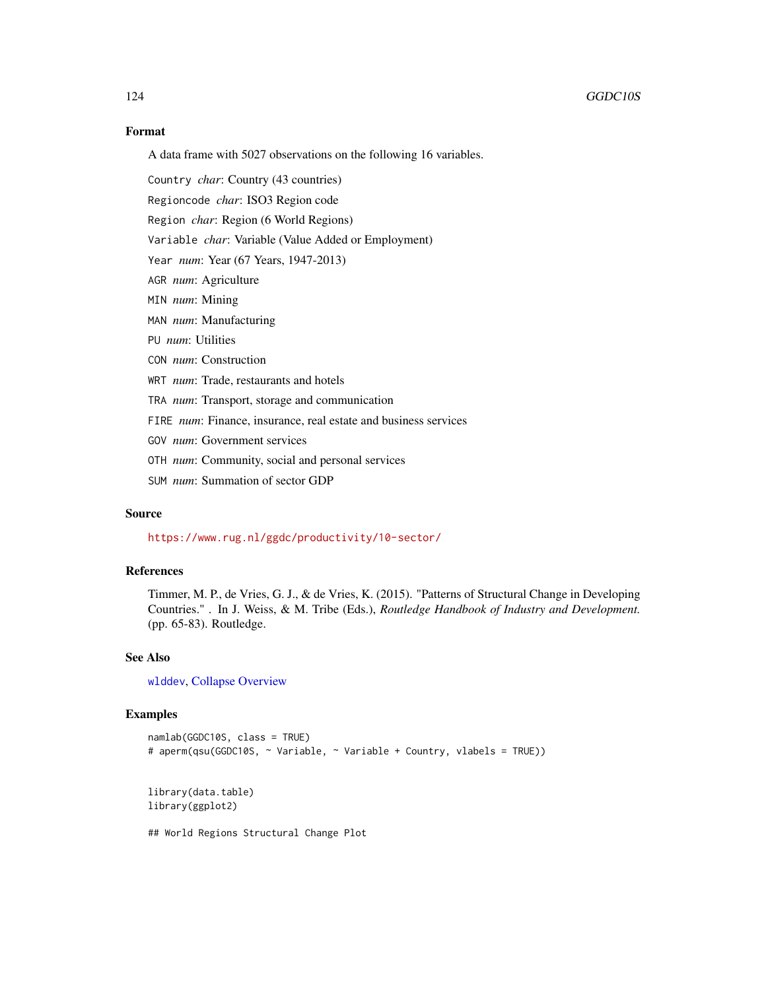# Format

A data frame with 5027 observations on the following 16 variables.

Country *char*: Country (43 countries)

Regioncode *char*: ISO3 Region code

Region *char*: Region (6 World Regions)

Variable *char*: Variable (Value Added or Employment)

Year *num*: Year (67 Years, 1947-2013)

AGR *num*: Agriculture

MIN *num*: Mining

MAN *num*: Manufacturing

PU *num*: Utilities

CON *num*: Construction

WRT *num*: Trade, restaurants and hotels

TRA *num*: Transport, storage and communication

FIRE *num*: Finance, insurance, real estate and business services

GOV *num*: Government services

OTH *num*: Community, social and personal services

SUM *num*: Summation of sector GDP

## Source

<https://www.rug.nl/ggdc/productivity/10-sector/>

#### References

Timmer, M. P., de Vries, G. J., & de Vries, K. (2015). "Patterns of Structural Change in Developing Countries." . In J. Weiss, & M. Tribe (Eds.), *Routledge Handbook of Industry and Development.* (pp. 65-83). Routledge.

# See Also

[wlddev](#page-190-0), [Collapse Overview](#page-23-0)

#### Examples

namlab(GGDC10S, class = TRUE) # aperm(qsu(GGDC10S, ~ Variable, ~ Variable + Country, vlabels = TRUE))

library(data.table) library(ggplot2)

## World Regions Structural Change Plot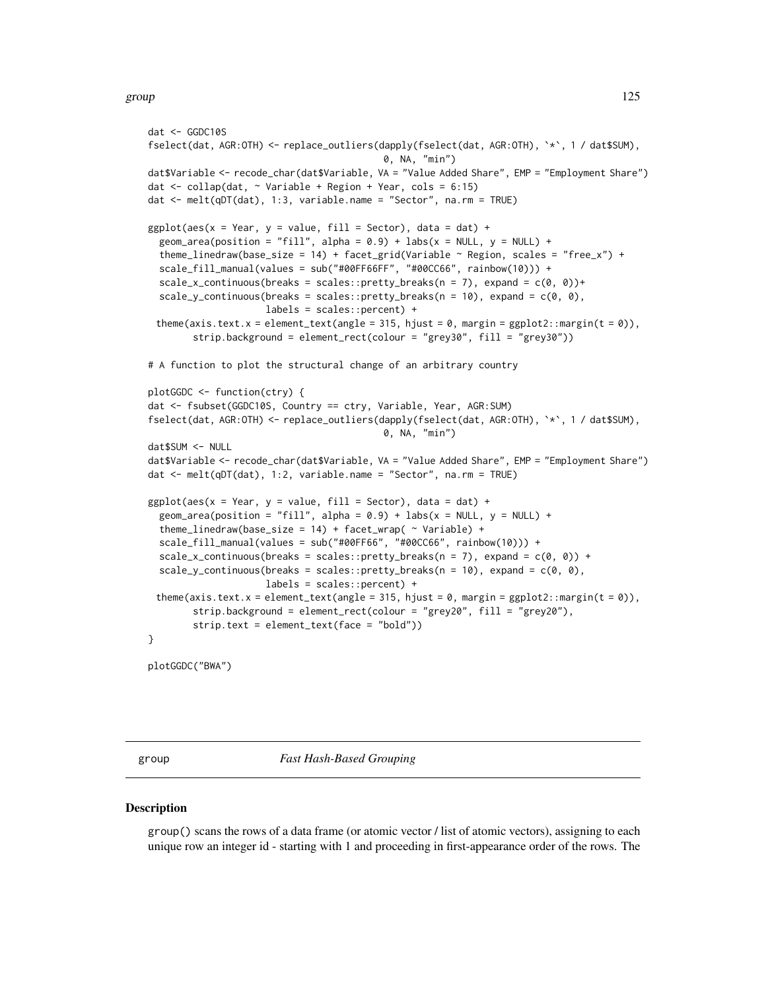#### group and the state of the state of the state of the state of the state of the state of the state of the state of the state of the state of the state of the state of the state of the state of the state of the state of the

```
dat <- GGDC10S
fselect(dat, AGR:OTH) <- replace_outliers(dapply(fselect(dat, AGR:OTH), `*`, 1 / dat$SUM),
                                           0, NA, "min")
dat$Variable <- recode_char(dat$Variable, VA = "Value Added Share", EMP = "Employment Share")
dat \le collap(dat, \sim Variable + Region + Year, cols = 6:15)
dat <- melt(qDT(dat), 1:3, variable.name = "Sector", na.rm = TRUE)
ggplot(aes(x = Year, y = value, fill = Sector), data = dat) +geom_area(position = "fill", alpha = 0.9) + labs(x = NULL, y = NULL) +
 theme_linedraw(base_size = 14) + facet_grid(Variable \sim Region, scales = "free_x") +
 scale_fill_manual(values = sub("#00FF66FF", "#00CC66", rainbow(10))) +
 scale_x_continuous(breaks = scales::pretty_breaks(n = 7), expand = c(\emptyset, \emptyset))+
  scale_y_continuous(breaks = scales::pretty_breaks(n = 10), expand = c(0, 0),
                     labels = scales::percent) +
 theme(axis.text.x = element_text(angle = 315, hjust = 0, margin = ggplot2::margin(t = 0)),
        strip.background = element_rect(colour = "grey30", fill = "grey30"))
# A function to plot the structural change of an arbitrary country
plotGGDC <- function(ctry) {
dat <- fsubset(GGDC10S, Country == ctry, Variable, Year, AGR:SUM)
fselect(dat, AGR:OTH) <- replace_outliers(dapply(fselect(dat, AGR:OTH), `*`, 1 / dat$SUM),
                                           0, NA, "min")
dat$SUM <- NULL
dat$Variable <- recode_char(dat$Variable, VA = "Value Added Share", EMP = "Employment Share")
dat <- melt(qDT(dat), 1:2, variable.name = "Sector", na.rm = TRUE)
ggplot(aes(x = Year, y = value, fill = Sector), data = dat) +geom_area(position = "fill", alpha = 0.9) + labs(x = NULL, y = NULL) +
 theme_linedraw(base_size = 14) + facet_wrap( \sim Variable) +
 scale_fill_manual(values = sub("#00FF66", "#00CC66", rainbow(10))) +
 scale_x_{continuous(breaks = scales::pretry_breaks(n = 7), expand = c(0, 0)) +scale_y_continuous(breaks = scales::pretty_breaks(n = 10), expand = c(\emptyset, \emptyset),
                     labels = scales::percent) +
 theme(axis.text.x = element_text(angle = 315, hjust = \theta, margin = ggplot2::margin(t = \theta)),
        strip.background = element_rect(colour = "grey20", fill = "grey20"),
        strip.text = element_text(face = "bold"))
}
plotGGDC("BWA")
```
<span id="page-124-0"></span>

group *Fast Hash-Based Grouping*

#### **Description**

group() scans the rows of a data frame (or atomic vector / list of atomic vectors), assigning to each unique row an integer id - starting with 1 and proceeding in first-appearance order of the rows. The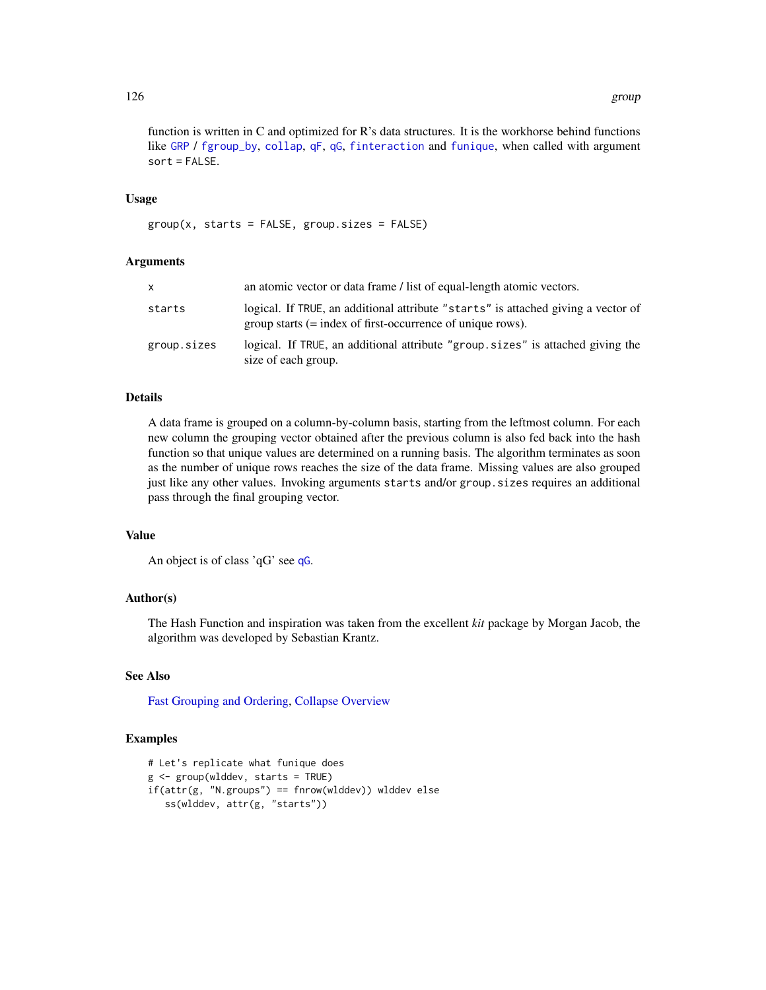function is written in C and optimized for R's data structures. It is the workhorse behind functions like [GRP](#page-127-1) / [fgroup\\_by](#page-127-0), [collap](#page-18-0), [qF](#page-151-0), [qG](#page-151-0), [finteraction](#page-151-0) and [funique](#page-115-0), when called with argument  $sort = FALSE.$ 

# Usage

 $group(x, starts = FALSE, group.sizes = FALSE)$ 

## Arguments

| X.          | an atomic vector or data frame / list of equal-length atomic vectors.                                                                                    |
|-------------|----------------------------------------------------------------------------------------------------------------------------------------------------------|
| starts      | logical. If TRUE, an additional attribute "starts" is attached giving a vector of<br>$\alpha$ group starts (= index of first-occurrence of unique rows). |
| group.sizes | logical. If TRUE, an additional attribute "group sizes" is attached giving the<br>size of each group.                                                    |

# Details

A data frame is grouped on a column-by-column basis, starting from the leftmost column. For each new column the grouping vector obtained after the previous column is also fed back into the hash function so that unique values are determined on a running basis. The algorithm terminates as soon as the number of unique rows reaches the size of the data frame. Missing values are also grouped just like any other values. Invoking arguments starts and/or group.sizes requires an additional pass through the final grouping vector.

# Value

An object is of class 'qG' see [qG](#page-151-0).

# Author(s)

The Hash Function and inspiration was taken from the excellent *kit* package by Morgan Jacob, the algorithm was developed by Sebastian Krantz.

# See Also

[Fast Grouping and Ordering,](#page-39-0) [Collapse Overview](#page-23-0)

```
# Let's replicate what funique does
g <- group(wlddev, starts = TRUE)
if(attr(g, "N.groups") == \n  throw(wlddev)) wlddev else
  ss(wlddev, attr(g, "starts"))
```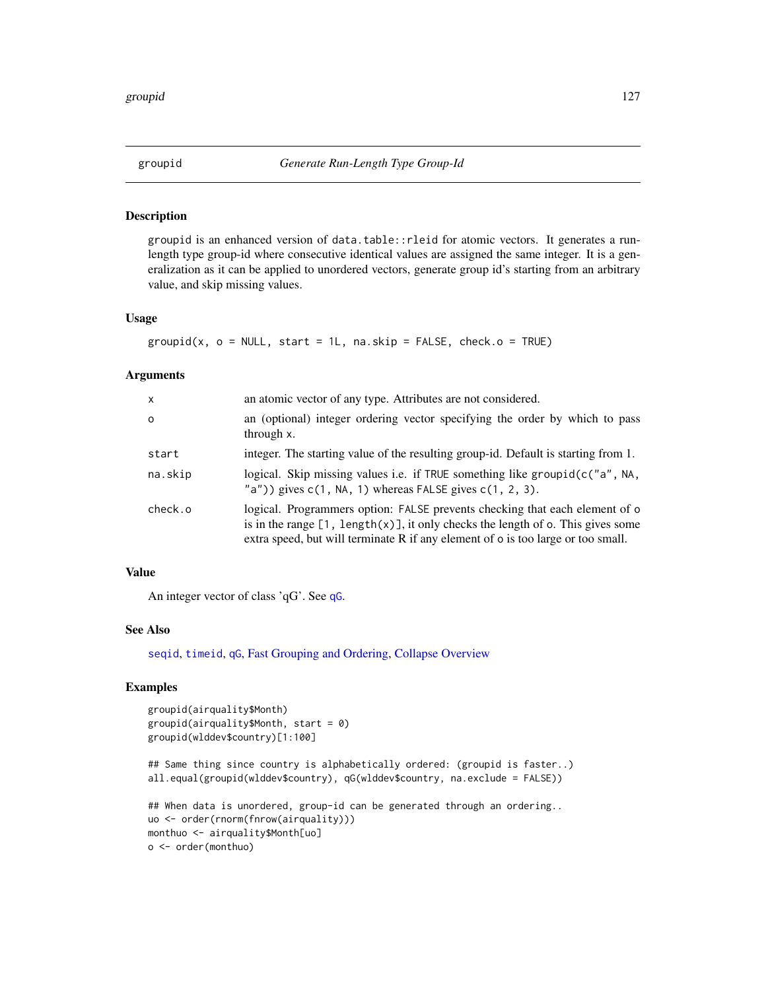## Description

groupid is an enhanced version of data.table::rleid for atomic vectors. It generates a runlength type group-id where consecutive identical values are assigned the same integer. It is a generalization as it can be applied to unordered vectors, generate group id's starting from an arbitrary value, and skip missing values.

## Usage

```
groupid(x, o = NULL, start = 1L, na skip = FALSE, check.o = TRUE)
```
#### Arguments

| X        | an atomic vector of any type. Attributes are not considered.                                                                                                                                                                                                 |
|----------|--------------------------------------------------------------------------------------------------------------------------------------------------------------------------------------------------------------------------------------------------------------|
| $\Omega$ | an (optional) integer ordering vector specifying the order by which to pass<br>through x.                                                                                                                                                                    |
| start    | integer. The starting value of the resulting group-id. Default is starting from 1.                                                                                                                                                                           |
| na.skip  | logical. Skip missing values i.e. if TRUE something like groupid(c("a", NA,<br>$"a")$ ) gives $c(1, NA, 1)$ whereas FALSE gives $c(1, 2, 3)$ .                                                                                                               |
| check.o  | logical. Programmers option: FALSE prevents checking that each element of o<br>is in the range $[1, \text{length}(x)]$ , it only checks the length of o. This gives some<br>extra speed, but will terminate R if any element of o is too large or too small. |

# Value

An integer vector of class 'qG'. See [qG](#page-151-0).

# See Also

[seqid](#page-173-0), [timeid](#page-180-0), [qG](#page-151-0), [Fast Grouping and Ordering,](#page-39-0) [Collapse Overview](#page-23-0)

```
groupid(airquality$Month)
groupid(airquality$Month, start = 0)
groupid(wlddev$country)[1:100]
```

```
## Same thing since country is alphabetically ordered: (groupid is faster..)
all.equal(groupid(wlddev$country), qG(wlddev$country, na.exclude = FALSE))
```

```
## When data is unordered, group-id can be generated through an ordering..
uo <- order(rnorm(fnrow(airquality)))
monthuo <- airquality$Month[uo]
o <- order(monthuo)
```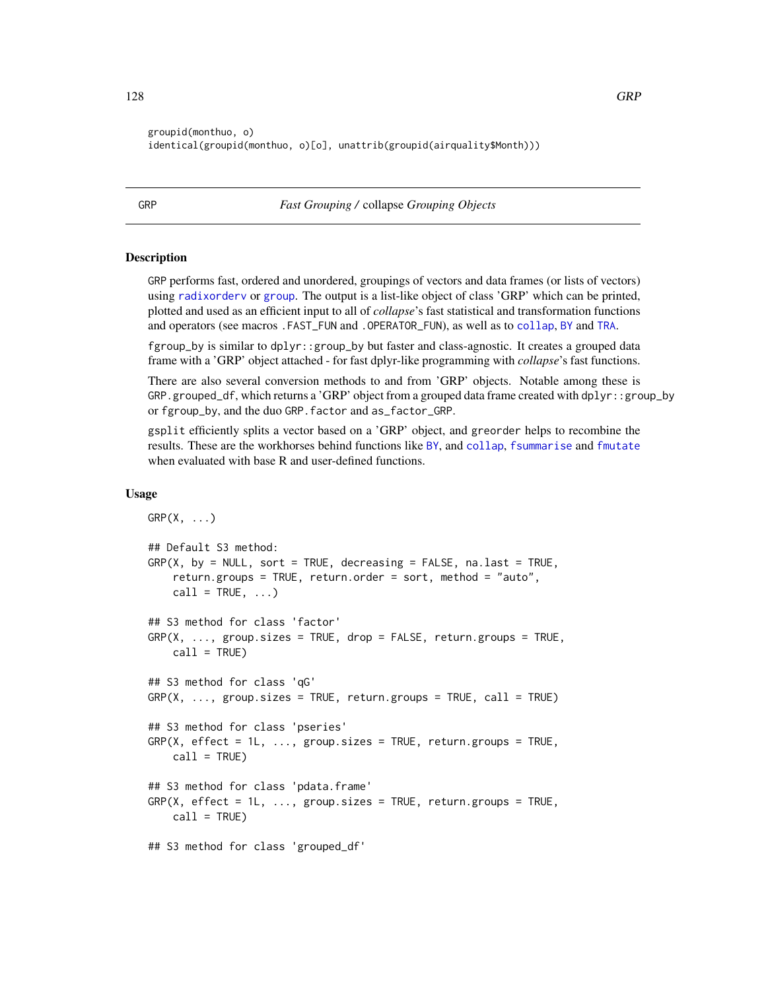groupid(monthuo, o) identical(groupid(monthuo, o)[o], unattrib(groupid(airquality\$Month)))

<span id="page-127-1"></span>GRP *Fast Grouping /* collapse *Grouping Objects*

# <span id="page-127-0"></span>**Description**

GRP performs fast, ordered and unordered, groupings of vectors and data frames (or lists of vectors) using [radixorderv](#page-164-0) or [group](#page-124-0). The output is a list-like object of class 'GRP' which can be printed, plotted and used as an efficient input to all of *collapse*'s fast statistical and transformation functions and operators (see macros .FAST\_FUN and .OPERATOR\_FUN), as well as to [collap](#page-18-0), [BY](#page-15-0) and [TRA](#page-182-0).

fgroup\_by is similar to dplyr::group\_by but faster and class-agnostic. It creates a grouped data frame with a 'GRP' object attached - for fast dplyr-like programming with *collapse*'s fast functions.

There are also several conversion methods to and from 'GRP' objects. Notable among these is GRP.grouped\_df, which returns a 'GRP' object from a grouped data frame created with dplyr::group\_by or fgroup\_by, and the duo GRP.factor and as\_factor\_GRP.

gsplit efficiently splits a vector based on a 'GRP' object, and greorder helps to recombine the results. These are the workhorses behind functions like [BY](#page-15-0), and [collap](#page-18-0), [fsummarise](#page-108-0) and [fmutate](#page-110-0) when evaluated with base R and user-defined functions.

## Usage

```
GRP(X, \ldots)## Default S3 method:
GRP(X, by = NULL, sort = TRUE, decreasing = FALSE, na last = TRUE,return.groups = TRUE, return.order = sort, method = "auto",
    call = TRUE, ...)## S3 method for class 'factor'
GRP(X, ..., group.sizes = TRUE, drop = FALSE, return.groups = TRUE,
    call = TRUE)## S3 method for class 'qG'
GRP(X, ..., growsize s = TRUE, return.groups = TRUE, call = TRUE)## S3 method for class 'pseries'
GRP(X, effect = 1L, ..., group.sizes = TRUE, return.groups = TRUE,
    call = TRUE)## S3 method for class 'pdata.frame'
GRP(X, \text{ effect} = 1L, \ldots, \text{group} \text{ sizes} = \text{TRUE}, \text{return} \text{ groups} = \text{TRUE},call = TRUE)## S3 method for class 'grouped_df'
```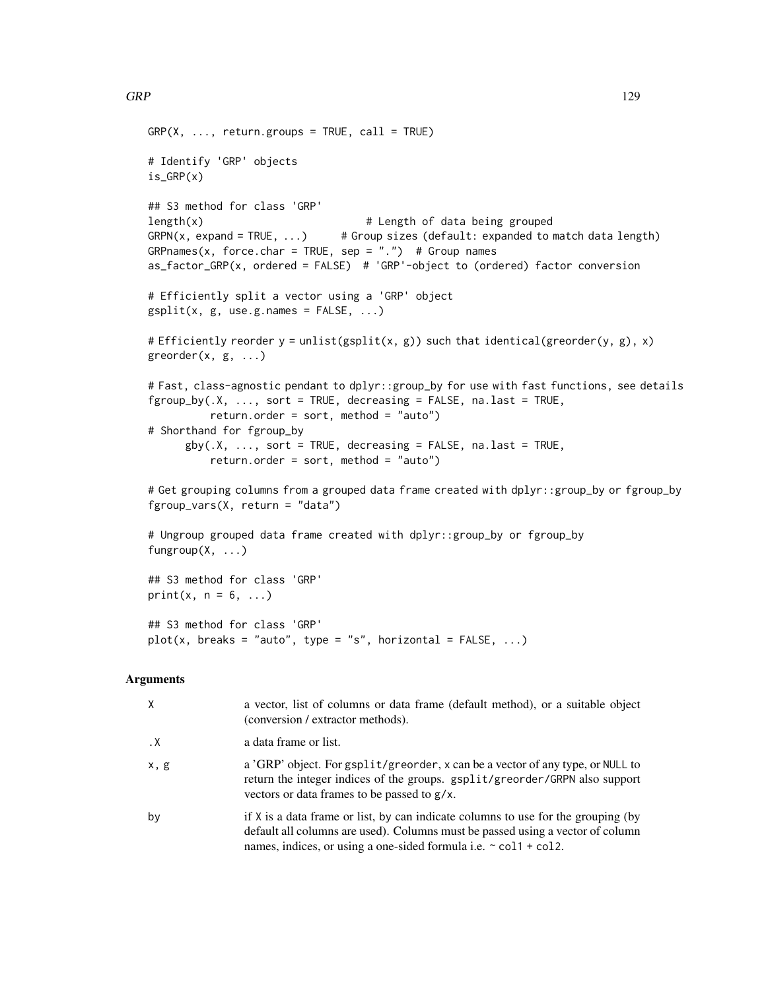```
GRP(X, ..., return.groups = TRUE, call = TRUE)# Identify 'GRP' objects
is_GRP(x)
## S3 method for class 'GRP'
length(x) \qquad # Length of data being grouped
GRPN(x, expand = TRUE, ...) # Group sizes (default: expanded to match data length)GRPnames(x, force.char = TRUE, sep = ".") # Group names
as_factor_GRP(x, ordered = FALSE) # 'GRP'-object to (ordered) factor conversion
# Efficiently split a vector using a 'GRP' object
gsplit(x, g, use.g. names = FALSE, ...)# Efficiently reorder y = \text{unlist}(\text{gsplit}(x, g)) such that identical(greorder(y, g), x)
greorder(x, g, \ldots)# Fast, class-agnostic pendant to dplyr::group_by for use with fast functions, see details
fgroup_by(.X, ..., sort = TRUE, decreasing = FALSE, na last = TRUE,return.order = sort, method = "auto")# Shorthand for fgroup_by
      gby(.X, \ldots, sort = TRUE, decreasing = FALSE, na last = TRUE,return.order = sort, method = "auto")
# Get grouping columns from a grouped data frame created with dplyr::group_by or fgroup_by
fgroup_vars(X, return = "data")
```

```
# Ungroup grouped data frame created with dplyr::group_by or fgroup_by
fungroup(X, ...)
```

```
## S3 method for class 'GRP'
print(x, n = 6, ...)
## S3 method for class 'GRP'
plot(x, breaks = "auto", type = "s", horizontal = FALSE, ...)
```
#### Arguments

| X         | a vector, list of columns or data frame (default method), or a suitable object<br>(conversion / extractor methods).                                                                                                                          |
|-----------|----------------------------------------------------------------------------------------------------------------------------------------------------------------------------------------------------------------------------------------------|
| $\cdot$ X | a data frame or list.                                                                                                                                                                                                                        |
| x, g      | a 'GRP' object. For gsplit/greorder, x can be a vector of any type, or NULL to<br>return the integer indices of the groups. gsplit/greorder/GRPN also support<br>vectors or data frames to be passed to g/x.                                 |
| by        | if X is a data frame or list, by can indicate columns to use for the grouping (by<br>default all columns are used). Columns must be passed using a vector of column<br>names, indices, or using a one-sided formula i.e. $\sim$ col1 + col2. |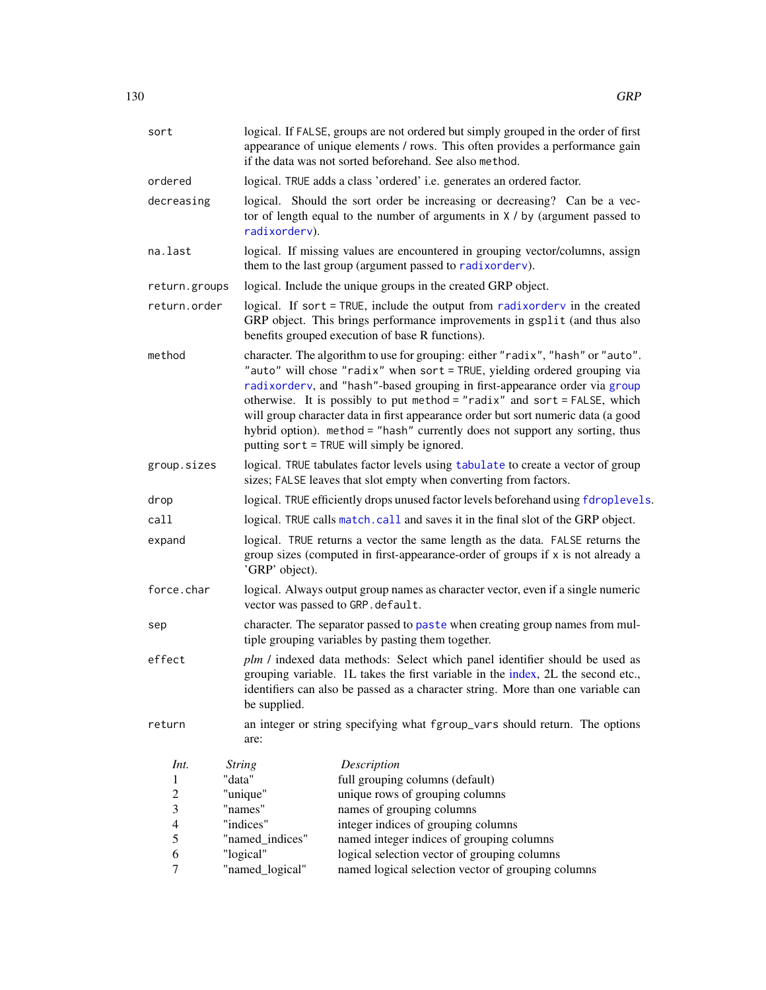| sort             |                 | logical. If FALSE, groups are not ordered but simply grouped in the order of first<br>appearance of unique elements / rows. This often provides a performance gain<br>if the data was not sorted beforehand. See also method.                                                                                                                                                                                                                                                                                                               |  |  |
|------------------|-----------------|---------------------------------------------------------------------------------------------------------------------------------------------------------------------------------------------------------------------------------------------------------------------------------------------------------------------------------------------------------------------------------------------------------------------------------------------------------------------------------------------------------------------------------------------|--|--|
| ordered          |                 | logical. TRUE adds a class 'ordered' i.e. generates an ordered factor.                                                                                                                                                                                                                                                                                                                                                                                                                                                                      |  |  |
| decreasing       | radixorderv).   | logical. Should the sort order be increasing or decreasing? Can be a vec-<br>tor of length equal to the number of arguments in $X / by$ (argument passed to                                                                                                                                                                                                                                                                                                                                                                                 |  |  |
| na.last          |                 | logical. If missing values are encountered in grouping vector/columns, assign<br>them to the last group (argument passed to radixorderv).                                                                                                                                                                                                                                                                                                                                                                                                   |  |  |
| return.groups    |                 | logical. Include the unique groups in the created GRP object.                                                                                                                                                                                                                                                                                                                                                                                                                                                                               |  |  |
| return.order     |                 | logical. If sort = TRUE, include the output from radixordery in the created<br>GRP object. This brings performance improvements in gsplit (and thus also<br>benefits grouped execution of base R functions).                                                                                                                                                                                                                                                                                                                                |  |  |
| method           |                 | character. The algorithm to use for grouping: either "radix", "hash" or "auto".<br>"auto" will chose "radix" when sort = TRUE, yielding ordered grouping via<br>radixorderv, and "hash"-based grouping in first-appearance order via group<br>otherwise. It is possibly to put method = "radix" and sort = FALSE, which<br>will group character data in first appearance order but sort numeric data (a good<br>hybrid option). method = "hash" currently does not support any sorting, thus<br>putting sort = TRUE will simply be ignored. |  |  |
| group.sizes      |                 | logical. TRUE tabulates factor levels using tabulate to create a vector of group<br>sizes; FALSE leaves that slot empty when converting from factors.                                                                                                                                                                                                                                                                                                                                                                                       |  |  |
| drop             |                 | logical. TRUE efficiently drops unused factor levels beforehand using fdroplevels.                                                                                                                                                                                                                                                                                                                                                                                                                                                          |  |  |
| call             |                 | logical. TRUE calls match. call and saves it in the final slot of the GRP object.                                                                                                                                                                                                                                                                                                                                                                                                                                                           |  |  |
| expand           | 'GRP' object).  | logical. TRUE returns a vector the same length as the data. FALSE returns the<br>group sizes (computed in first-appearance-order of groups if x is not already a                                                                                                                                                                                                                                                                                                                                                                            |  |  |
| force.char       |                 | logical. Always output group names as character vector, even if a single numeric<br>vector was passed to GRP.default.                                                                                                                                                                                                                                                                                                                                                                                                                       |  |  |
| sep              |                 | character. The separator passed to paste when creating group names from mul-<br>tiple grouping variables by pasting them together.                                                                                                                                                                                                                                                                                                                                                                                                          |  |  |
| effect           | be supplied.    | plm / indexed data methods: Select which panel identifier should be used as<br>grouping variable. 1L takes the first variable in the index, 2L the second etc.,<br>identifiers can also be passed as a character string. More than one variable can                                                                                                                                                                                                                                                                                         |  |  |
| return           | are:            | an integer or string specifying what fgroup_vars should return. The options                                                                                                                                                                                                                                                                                                                                                                                                                                                                 |  |  |
| Int.             | <b>String</b>   | Description                                                                                                                                                                                                                                                                                                                                                                                                                                                                                                                                 |  |  |
| 1                | "data"          | full grouping columns (default)                                                                                                                                                                                                                                                                                                                                                                                                                                                                                                             |  |  |
| $\overline{c}$   | "unique"        | unique rows of grouping columns                                                                                                                                                                                                                                                                                                                                                                                                                                                                                                             |  |  |
| 3                | "names"         | names of grouping columns                                                                                                                                                                                                                                                                                                                                                                                                                                                                                                                   |  |  |
| $\overline{4}$   | "indices"       | integer indices of grouping columns                                                                                                                                                                                                                                                                                                                                                                                                                                                                                                         |  |  |
| 5                | "named_indices" | named integer indices of grouping columns                                                                                                                                                                                                                                                                                                                                                                                                                                                                                                   |  |  |
| 6                | "logical"       | logical selection vector of grouping columns                                                                                                                                                                                                                                                                                                                                                                                                                                                                                                |  |  |
| $\boldsymbol{7}$ | "named_logical" | named logical selection vector of grouping columns                                                                                                                                                                                                                                                                                                                                                                                                                                                                                          |  |  |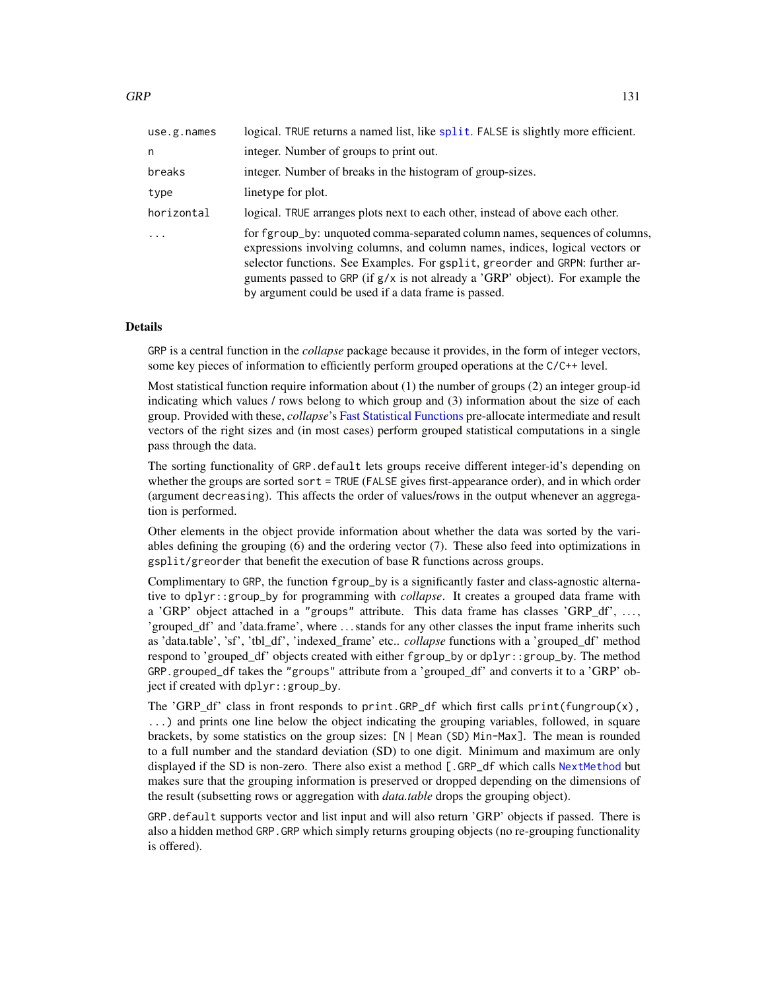| use.g. names | logical. TRUE returns a named list, like split. FALSE is slightly more efficient.                                                                                                                                                                                                                                                                                                      |
|--------------|----------------------------------------------------------------------------------------------------------------------------------------------------------------------------------------------------------------------------------------------------------------------------------------------------------------------------------------------------------------------------------------|
| n            | integer. Number of groups to print out.                                                                                                                                                                                                                                                                                                                                                |
| breaks       | integer. Number of breaks in the histogram of group-sizes.                                                                                                                                                                                                                                                                                                                             |
| type         | linetype for plot.                                                                                                                                                                                                                                                                                                                                                                     |
| horizontal   | logical. TRUE arranges plots next to each other, instead of above each other.                                                                                                                                                                                                                                                                                                          |
|              | for fgroup_by: unquoted comma-separated column names, sequences of columns,<br>expressions involving columns, and column names, indices, logical vectors or<br>selector functions. See Examples. For gsplit, greorder and GRPN: further ar-<br>guments passed to GRP (if $g/x$ is not already a 'GRP' object). For example the<br>by argument could be used if a data frame is passed. |

#### Details

GRP is a central function in the *collapse* package because it provides, in the form of integer vectors, some key pieces of information to efficiently perform grouped operations at the C/C++ level.

Most statistical function require information about (1) the number of groups (2) an integer group-id indicating which values / rows belong to which group and (3) information about the size of each group. Provided with these, *collapse*'s [Fast Statistical Functions](#page-41-0) pre-allocate intermediate and result vectors of the right sizes and (in most cases) perform grouped statistical computations in a single pass through the data.

The sorting functionality of GRP.default lets groups receive different integer-id's depending on whether the groups are sorted sort = TRUE (FALSE gives first-appearance order), and in which order (argument decreasing). This affects the order of values/rows in the output whenever an aggregation is performed.

Other elements in the object provide information about whether the data was sorted by the variables defining the grouping (6) and the ordering vector (7). These also feed into optimizations in gsplit/greorder that benefit the execution of base R functions across groups.

Complimentary to GRP, the function fgroup\_by is a significantly faster and class-agnostic alternative to dplyr::group\_by for programming with *collapse*. It creates a grouped data frame with a 'GRP' object attached in a "groups" attribute. This data frame has classes 'GRP\_df', ..., 'grouped\_df' and 'data.frame', where . . . stands for any other classes the input frame inherits such as 'data.table', 'sf', 'tbl\_df', 'indexed\_frame' etc.. *collapse* functions with a 'grouped\_df' method respond to 'grouped\_df' objects created with either fgroup\_by or dplyr::group\_by. The method GRP.grouped\_df takes the "groups" attribute from a 'grouped\_df' and converts it to a 'GRP' object if created with dplyr::group\_by.

The 'GRP\_df' class in front responds to print.GRP\_df which first calls print(fungroup(x), ...) and prints one line below the object indicating the grouping variables, followed, in square brackets, by some statistics on the group sizes: [N | Mean (SD) Min-Max]. The mean is rounded to a full number and the standard deviation (SD) to one digit. Minimum and maximum are only displayed if the SD is non-zero. There also exist a method [.GRP\_df which calls [NextMethod](#page-0-0) but makes sure that the grouping information is preserved or dropped depending on the dimensions of the result (subsetting rows or aggregation with *data.table* drops the grouping object).

GRP.default supports vector and list input and will also return 'GRP' objects if passed. There is also a hidden method GRP.GRP which simply returns grouping objects (no re-grouping functionality is offered).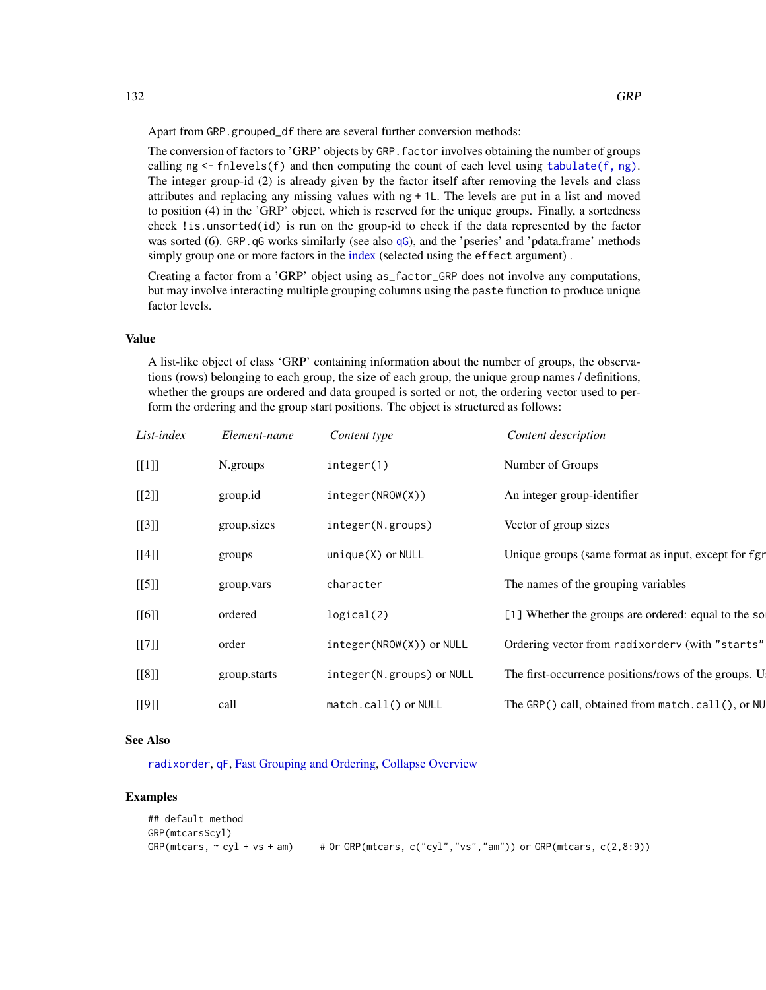Apart from GRP.grouped\_df there are several further conversion methods:

The conversion of factors to 'GRP' objects by GRP.factor involves obtaining the number of groups calling  $ng < -f$ nlevels(f) and then computing the count of each level using [tabulate\(f, ng\)](#page-0-0). The integer group-id (2) is already given by the factor itself after removing the levels and class attributes and replacing any missing values with ng + 1L. The levels are put in a list and moved to position (4) in the 'GRP' object, which is reserved for the unique groups. Finally, a sortedness check !is.unsorted(id) is run on the group-id to check if the data represented by the factor was sorted (6). GRP. [qG](#page-151-0) works similarly (see also qG), and the 'pseries' and 'pdata.frame' methods simply group one or more factors in the [index](#page-132-0) (selected using the effect argument).

Creating a factor from a 'GRP' object using as\_factor\_GRP does not involve any computations, but may involve interacting multiple grouping columns using the paste function to produce unique factor levels.

#### Value

A list-like object of class 'GRP' containing information about the number of groups, the observations (rows) belonging to each group, the size of each group, the unique group names / definitions, whether the groups are ordered and data grouped is sorted or not, the ordering vector used to perform the ordering and the group start positions. The object is structured as follows:

| List-index | Element-name | Content type              | Content description                                  |
|------------|--------------|---------------------------|------------------------------------------------------|
| [[1]]      | N.groups     | integer(1)                | Number of Groups                                     |
| [[2]]      | group.id     | integer(NROW(X))          | An integer group-identifier                          |
| $[[3]]$    | group.sizes  | integer(N.groups)         | Vector of group sizes                                |
| [[4]]      | groups       | unique(X) or NULL         | Unique groups (same format as input, except for fgr  |
| $[[5]]$    | group.vars   | character                 | The names of the grouping variables                  |
| [[6]]      | ordered      | logical(2)                | [1] Whether the groups are ordered: equal to the so  |
| [[7]]      | order        | integer(NROW(X)) or NULL  | Ordering vector from radixorderv (with "starts"      |
| [[8]]      | group.starts | integer(N.groups) or NULL | The first-occurrence positions/rows of the groups. U |
| [[9]]      | call         | match.call() or NULL      | The GRP() call, obtained from match.call(), or NU    |

# See Also

[radixorder](#page-164-1), [qF](#page-151-0), [Fast Grouping and Ordering,](#page-39-0) [Collapse Overview](#page-23-0)

```
## default method
GRP(mtcars$cyl)
GRP(mtcars, \sim cyl + vs + am) # Or GRP(mtcars, c("cyl","vs","am")) or GRP(mtcars, c(2,8:9))
```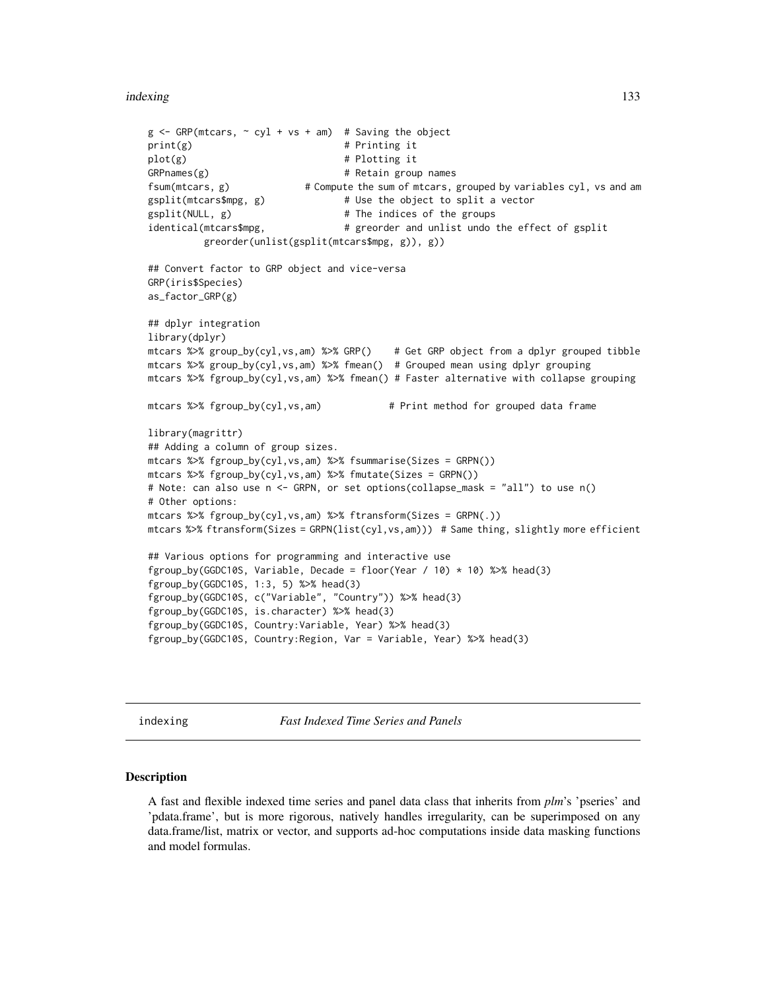#### indexing the state of the state of the state of the state of the state of the state of the state of the state of the state of the state of the state of the state of the state of the state of the state of the state of the s

```
g \leq - GRP(mtcars, \sim cyl + vs + am) # Saving the object
print(g) # Printing it
plot(g) \qquad # Plotting it<br>GRPnames(g) \qquad # Retain group
                                  # Retain group names
fsum(mtcars, g) \# Compute the sum of mtcars, grouped by variables cyl, vs and am
gsplit(mtcars$mpg, g) # Use the object to split a vector
gsplit(NULL, g) \qquad # The indices of the groups
identical(mtcars$mpg, \qquad \qquad \qquad \# greorder and unlist undo the effect of gsplit
          greorder(unlist(gsplit(mtcars$mpg, g)), g))
## Convert factor to GRP object and vice-versa
GRP(iris$Species)
as_factor_GRP(g)
## dplyr integration
library(dplyr)
mtcars %>% group_by(cyl,vs,am) %>% GRP() # Get GRP object from a dplyr grouped tibble
mtcars %>% group_by(cyl,vs,am) %>% fmean() # Grouped mean using dplyr grouping
mtcars %>% fgroup_by(cyl,vs,am) %>% fmean() # Faster alternative with collapse grouping
mtcars %>% fgroup_by(cyl,vs,am) # Print method for grouped data frame
library(magrittr)
## Adding a column of group sizes.
mtcars %>% fgroup_by(cyl,vs,am) %>% fsummarise(Sizes = GRPN())
mtcars %>% fgroup_by(cyl,vs,am) %>% fmutate(Sizes = GRPN())
# Note: can also use n <- GRPN, or set options(collapse_mask = "all") to use n()
# Other options:
mtcars %>% fgroup_by(cyl,vs,am) %>% ftransform(Sizes = GRPN(.))
mtcars %>% ftransform(Sizes = GRPN(list(cyl,vs,am))) # Same thing, slightly more efficient
## Various options for programming and interactive use
fgroup_by(GGDC10S, Variable, Decade = floor(Year / 10) * 10) %>% head(3)
fgroup_by(GGDC10S, 1:3, 5) %>% head(3)
fgroup_by(GGDC10S, c("Variable", "Country")) %>% head(3)
fgroup_by(GGDC10S, is.character) %>% head(3)
fgroup_by(GGDC10S, Country:Variable, Year) %>% head(3)
fgroup_by(GGDC10S, Country:Region, Var = Variable, Year) %>% head(3)
```
<span id="page-132-0"></span>indexing *Fast Indexed Time Series and Panels*

#### <span id="page-132-1"></span>Description

A fast and flexible indexed time series and panel data class that inherits from *plm*'s 'pseries' and 'pdata.frame', but is more rigorous, natively handles irregularity, can be superimposed on any data.frame/list, matrix or vector, and supports ad-hoc computations inside data masking functions and model formulas.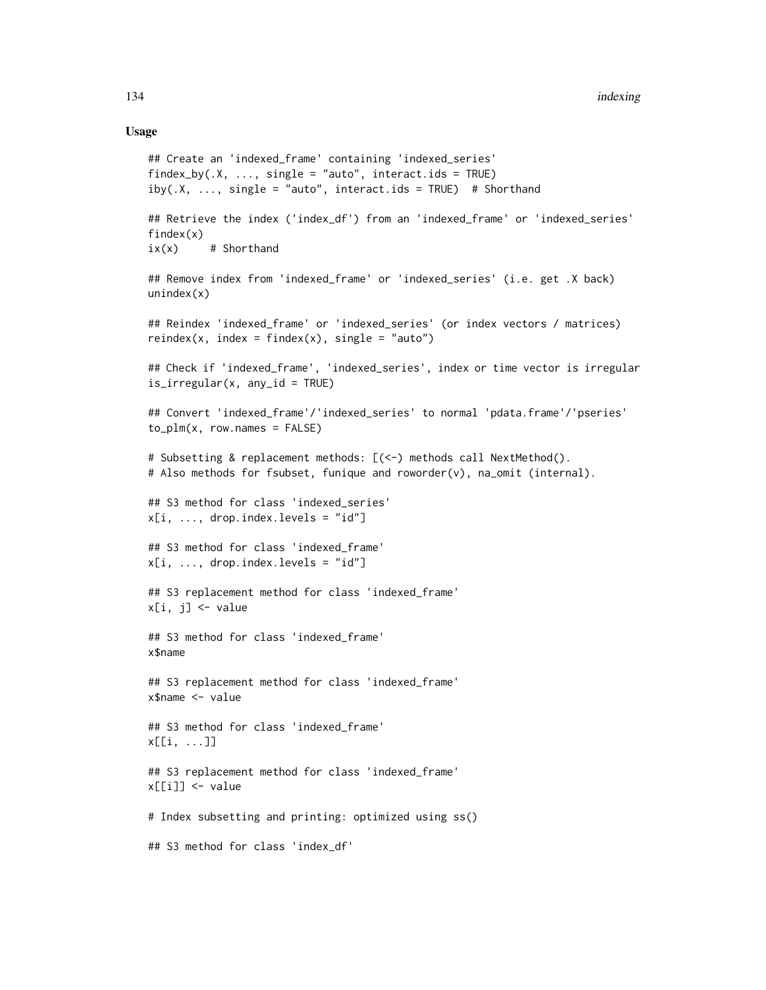# Usage

```
## Create an 'indexed_frame' containing 'indexed_series'
findex_by(X, \ldots, single = "auto", interact.ids = TRUE)
iby(.X, ..., single = "auto", interest.ids = TRUE) # Shorthand## Retrieve the index ('index_df') from an 'indexed_frame' or 'indexed_series'
findex(x)
ix(x) # Shorthand
## Remove index from 'indexed_frame' or 'indexed_series' (i.e. get .X back)
unindex(x)## Reindex 'indexed_frame' or 'indexed_series' (or index vectors / matrices)
reindex(x, index = findex(x), single = "auto")## Check if 'indexed_frame', 'indexed_series', index or time vector is irregular
is_irregular(x, any_id = TRUE)
## Convert 'indexed_frame'/'indexed_series' to normal 'pdata.frame'/'pseries'
to\_plm(x, row.name = FALSE)# Subsetting & replacement methods: [(<-) methods call NextMethod().
# Also methods for fsubset, funique and roworder(v), na_omit (internal).
## S3 method for class 'indexed_series'
x[i, ..., drop.index.length = "id"]## S3 method for class 'indexed_frame'
x[i, ..., drop.index.length = "id"]## S3 replacement method for class 'indexed_frame'
x[i, j] <- value
## S3 method for class 'indexed_frame'
x$name
## S3 replacement method for class 'indexed_frame'
x$name <- value
## S3 method for class 'indexed_frame'
x[[i, ...]]
## S3 replacement method for class 'indexed_frame'
x[[i]] <- value
# Index subsetting and printing: optimized using ss()
## S3 method for class 'index_df'
```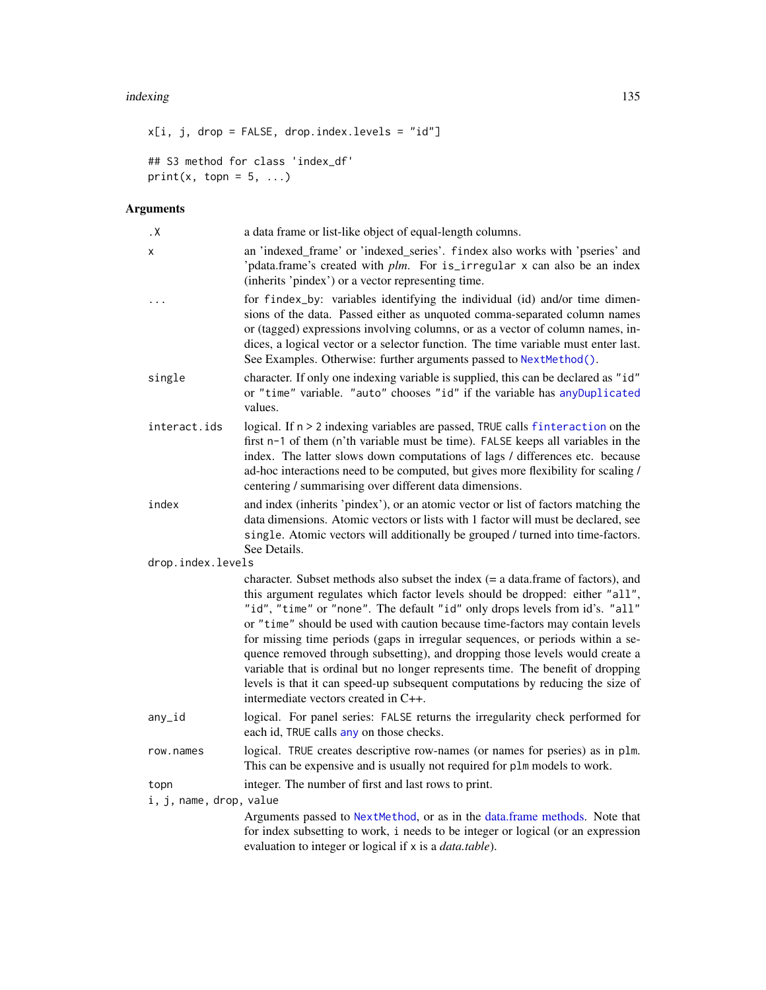#### indexing the state of the state of the state of the state of the state of the state of the state of the state of the state of the state of the state of the state of the state of the state of the state of the state of the s

```
x[i, j, drop = FALSE, drop.index.levels = "id"]
## S3 method for class 'index_df'
print(x, topn = 5, ...)
```
# Arguments

| . X                     | a data frame or list-like object of equal-length columns.                                                                                                                                                                                                                                                                                                                                                                                                                                                                                                                                                                                                                                                          |
|-------------------------|--------------------------------------------------------------------------------------------------------------------------------------------------------------------------------------------------------------------------------------------------------------------------------------------------------------------------------------------------------------------------------------------------------------------------------------------------------------------------------------------------------------------------------------------------------------------------------------------------------------------------------------------------------------------------------------------------------------------|
| X                       | an 'indexed_frame' or 'indexed_series'. findex also works with 'pseries' and<br>'pdata.frame's created with plm. For is_irregular x can also be an index<br>(inherits 'pindex') or a vector representing time.                                                                                                                                                                                                                                                                                                                                                                                                                                                                                                     |
| $\cdots$                | for findex_by: variables identifying the individual (id) and/or time dimen-<br>sions of the data. Passed either as unquoted comma-separated column names<br>or (tagged) expressions involving columns, or as a vector of column names, in-<br>dices, a logical vector or a selector function. The time variable must enter last.<br>See Examples. Otherwise: further arguments passed to NextMethod().                                                                                                                                                                                                                                                                                                             |
| single                  | character. If only one indexing variable is supplied, this can be declared as "id"<br>or "time" variable. "auto" chooses "id" if the variable has anyDuplicated<br>values.                                                                                                                                                                                                                                                                                                                                                                                                                                                                                                                                         |
| interact.ids            | logical. If n > 2 indexing variables are passed, TRUE calls finteraction on the<br>first n-1 of them (n'th variable must be time). FALSE keeps all variables in the<br>index. The latter slows down computations of lags / differences etc. because<br>ad-hoc interactions need to be computed, but gives more flexibility for scaling /<br>centering / summarising over different data dimensions.                                                                                                                                                                                                                                                                                                                |
| index                   | and index (inherits 'pindex'), or an atomic vector or list of factors matching the<br>data dimensions. Atomic vectors or lists with 1 factor will must be declared, see<br>single. Atomic vectors will additionally be grouped / turned into time-factors.<br>See Details.                                                                                                                                                                                                                                                                                                                                                                                                                                         |
| drop.index.levels       |                                                                                                                                                                                                                                                                                                                                                                                                                                                                                                                                                                                                                                                                                                                    |
|                         | character. Subset methods also subset the index $(= a data frame of factors)$ , and<br>this argument regulates which factor levels should be dropped: either "all",<br>"id", "time" or "none". The default "id" only drops levels from id's. "all"<br>or "time" should be used with caution because time-factors may contain levels<br>for missing time periods (gaps in irregular sequences, or periods within a se-<br>quence removed through subsetting), and dropping those levels would create a<br>variable that is ordinal but no longer represents time. The benefit of dropping<br>levels is that it can speed-up subsequent computations by reducing the size of<br>intermediate vectors created in C++. |
| any_id                  | logical. For panel series: FALSE returns the irregularity check performed for<br>each id, TRUE calls any on those checks.                                                                                                                                                                                                                                                                                                                                                                                                                                                                                                                                                                                          |
| row.names               | logical. TRUE creates descriptive row-names (or names for pseries) as in plm.<br>This can be expensive and is usually not required for plm models to work.                                                                                                                                                                                                                                                                                                                                                                                                                                                                                                                                                         |
| topn                    | integer. The number of first and last rows to print.                                                                                                                                                                                                                                                                                                                                                                                                                                                                                                                                                                                                                                                               |
| i, j, name, drop, value |                                                                                                                                                                                                                                                                                                                                                                                                                                                                                                                                                                                                                                                                                                                    |
|                         | Arguments passed to NextMethod, or as in the data.frame methods. Note that<br>for index subsetting to work, i needs to be integer or logical (or an expression<br>evaluation to integer or logical if x is a <i>data.table</i> ).                                                                                                                                                                                                                                                                                                                                                                                                                                                                                  |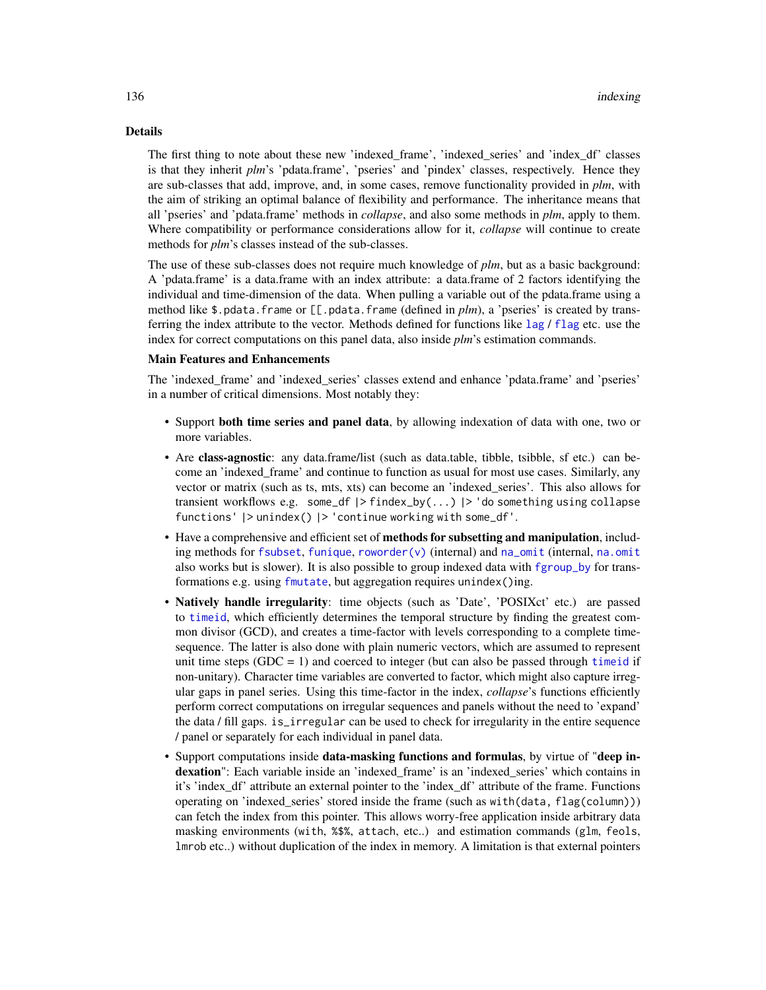# Details

The first thing to note about these new 'indexed\_frame', 'indexed\_series' and 'index\_df' classes is that they inherit *plm*'s 'pdata.frame', 'pseries' and 'pindex' classes, respectively. Hence they are sub-classes that add, improve, and, in some cases, remove functionality provided in *plm*, with the aim of striking an optimal balance of flexibility and performance. The inheritance means that all 'pseries' and 'pdata.frame' methods in *collapse*, and also some methods in *plm*, apply to them. Where compatibility or performance considerations allow for it, *collapse* will continue to create methods for *plm*'s classes instead of the sub-classes.

The use of these sub-classes does not require much knowledge of *plm*, but as a basic background: A 'pdata.frame' is a data.frame with an index attribute: a data.frame of 2 factors identifying the individual and time-dimension of the data. When pulling a variable out of the pdata.frame using a method like \$.pdata.frame or [[.pdata.frame (defined in *plm*), a 'pseries' is created by transferring the index attribute to the vector. Methods defined for functions like [lag](#page-0-0) / [flag](#page-68-0) etc. use the index for correct computations on this panel data, also inside *plm*'s estimation commands.

## Main Features and Enhancements

The 'indexed\_frame' and 'indexed\_series' classes extend and enhance 'pdata.frame' and 'pseries' in a number of critical dimensions. Most notably they:

- Support both time series and panel data, by allowing indexation of data with one, two or more variables.
- Are **class-agnostic**: any data.frame/list (such as data.table, tibble, tsibble, sf etc.) can become an 'indexed frame' and continue to function as usual for most use cases. Similarly, any vector or matrix (such as ts, mts, xts) can become an 'indexed\_series'. This also allows for transient workflows e.g. some\_df |> findex\_by(...) |> 'do something using collapse functions' |> unindex() |> 'continue working with some\_df'.
- Have a comprehensive and efficient set of methods for subsetting and manipulation, including methods for [fsubset](#page-102-0), [funique](#page-115-0), [roworder\(v\)](#page-169-0) (internal) and  $na$ -omit (internal,  $na$ . omit also works but is slower). It is also possible to group indexed data with [fgroup\\_by](#page-127-0) for transformations e.g. using [fmutate](#page-110-0), but aggregation requires unindex()ing.
- **Natively handle irregularity**: time objects (such as 'Date', 'POSIXct' etc.) are passed to [timeid](#page-180-0), which efficiently determines the temporal structure by finding the greatest common divisor (GCD), and creates a time-factor with levels corresponding to a complete timesequence. The latter is also done with plain numeric vectors, which are assumed to represent unit time steps  $(GDC = 1)$  and coerced to integer (but can also be passed through time id if non-unitary). Character time variables are converted to factor, which might also capture irregular gaps in panel series. Using this time-factor in the index, *collapse*'s functions efficiently perform correct computations on irregular sequences and panels without the need to 'expand' the data / fill gaps. is\_irregular can be used to check for irregularity in the entire sequence / panel or separately for each individual in panel data.
- Support computations inside data-masking functions and formulas, by virtue of "deep indexation": Each variable inside an 'indexed frame' is an 'indexed series' which contains in it's 'index\_df' attribute an external pointer to the 'index\_df' attribute of the frame. Functions operating on 'indexed series' stored inside the frame (such as with(data, flag(column))) can fetch the index from this pointer. This allows worry-free application inside arbitrary data masking environments (with, %\$%, attach, etc..) and estimation commands (glm, feols, lmrob etc..) without duplication of the index in memory. A limitation is that external pointers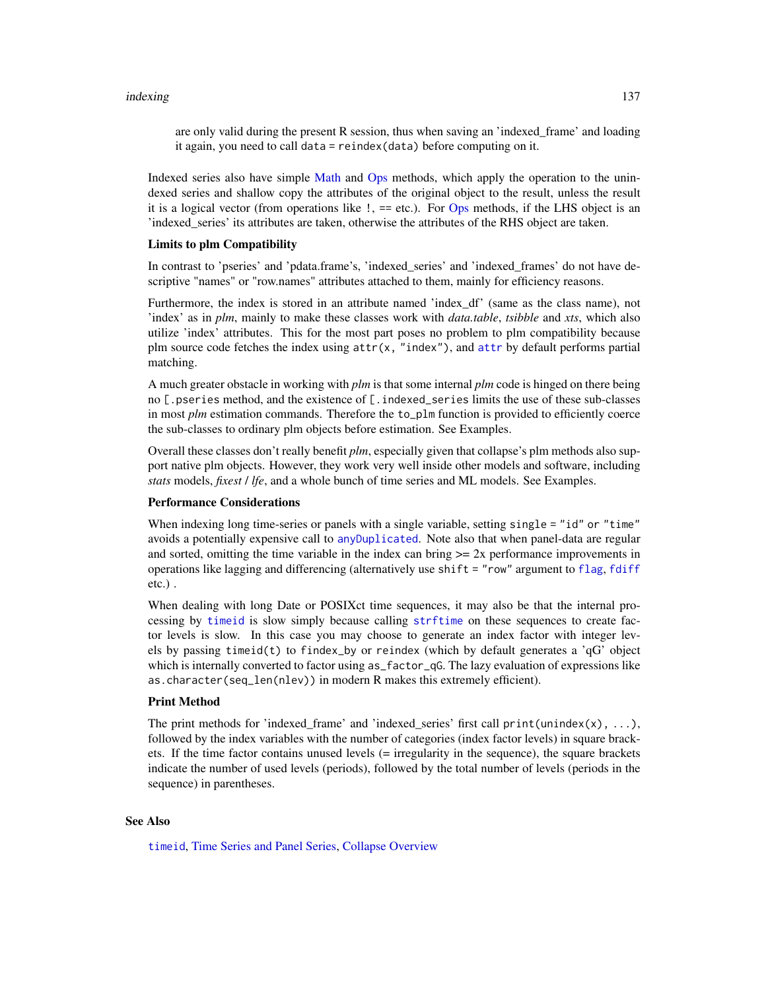are only valid during the present R session, thus when saving an 'indexed\_frame' and loading it again, you need to call data = reindex(data) before computing on it.

Indexed series also have simple [Math](#page-0-0) and [Ops](#page-0-0) methods, which apply the operation to the unindexed series and shallow copy the attributes of the original object to the result, unless the result it is a logical vector (from operations like !, == etc.). For [Ops](#page-0-0) methods, if the LHS object is an 'indexed\_series' its attributes are taken, otherwise the attributes of the RHS object are taken.

#### Limits to plm Compatibility

In contrast to 'pseries' and 'pdata.frame's, 'indexed\_series' and 'indexed\_frames' do not have descriptive "names" or "row.names" attributes attached to them, mainly for efficiency reasons.

Furthermore, the index is stored in an attribute named 'index\_df' (same as the class name), not 'index' as in *plm*, mainly to make these classes work with *data.table*, *tsibble* and *xts*, which also utilize 'index' attributes. This for the most part poses no problem to plm compatibility because plm source code fetches the index using  $attr(x, "index"),$  $attr(x, "index"),$  and  $attr$  by default performs partial matching.

A much greater obstacle in working with *plm* is that some internal *plm* code is hinged on there being no [.pseries method, and the existence of [.indexed\_series limits the use of these sub-classes in most *plm* estimation commands. Therefore the to\_plm function is provided to efficiently coerce the sub-classes to ordinary plm objects before estimation. See Examples.

Overall these classes don't really benefit *plm*, especially given that collapse's plm methods also support native plm objects. However, they work very well inside other models and software, including *stats* models, *fixest* / *lfe*, and a whole bunch of time series and ML models. See Examples.

# Performance Considerations

When indexing long time-series or panels with a single variable, setting single = "id" or "time" avoids a potentially expensive call to [anyDuplicated](#page-0-0). Note also that when panel-data are regular and sorted, omitting the time variable in the index can bring  $\geq 2x$  performance improvements in operations like lagging and differencing (alternatively use shift = "row" argument to [flag](#page-68-0), [fdiff](#page-51-0) etc.) .

When dealing with long Date or POSIXct time sequences, it may also be that the internal processing by [timeid](#page-180-0) is slow simply because calling [strftime](#page-0-0) on these sequences to create factor levels is slow. In this case you may choose to generate an index factor with integer levels by passing timeid(t) to findex\_by or reindex (which by default generates a 'qG' object which is internally converted to factor using  $as\_factor_qG$ . The lazy evaluation of expressions like as.character(seq\_len(nlev)) in modern R makes this extremely efficient).

## Print Method

The print methods for 'indexed\_frame' and 'indexed\_series' first call print(unindex(x), ...), followed by the index variables with the number of categories (index factor levels) in square brackets. If the time factor contains unused levels (= irregularity in the sequence), the square brackets indicate the number of used levels (periods), followed by the total number of levels (periods in the sequence) in parentheses.

# See Also

[timeid](#page-180-0), [Time Series and Panel Series,](#page-179-0) [Collapse Overview](#page-23-0)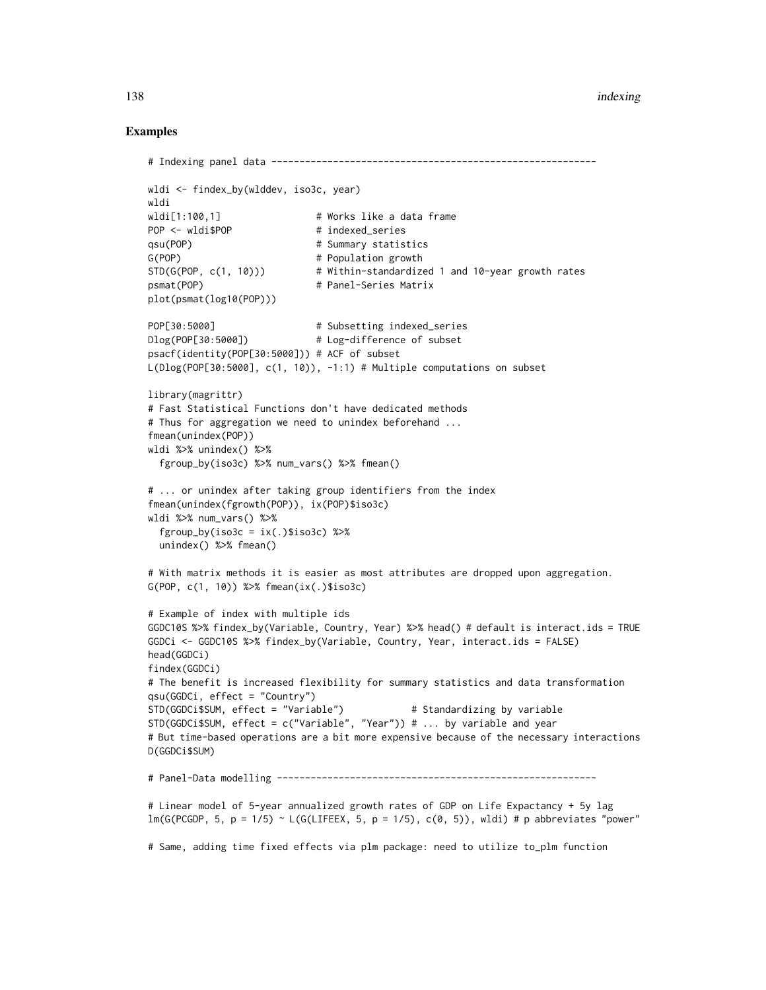#### 138 indexing the contract of the contract of the contract of the contract of the contract of the contract of the contract of the contract of the contract of the contract of the contract of the contract of the contract of t

```
# Indexing panel data ----------------------------------------------------------
wldi <- findex_by(wlddev, iso3c, year)
wldi
wldi[1:100,1] \qquad # Works like a data frame
POP <- wldi$POP # indexed_series
qsu(POP) # Summary statistics
G(POP) # Population growth
STD(G(POP, c(1, 10))) # Within-standardized 1 and 10-year growth rates
psmat(POP) # Panel-Series Matrix
plot(psmat(log10(POP)))
POP[30:5000] \qquad \qquad \qquad # Subsetting indexed_series
Dlog(POP[30:5000]) # Log-difference of subset
psacf(identity(POP[30:5000])) # ACF of subset
L(Dlog(POP[30:5000], c(1, 10)), -1:1) # Multiple computations on subset
library(magrittr)
# Fast Statistical Functions don't have dedicated methods
# Thus for aggregation we need to unindex beforehand ...
fmean(unindex(POP))
wldi %>% unindex() %>%
 fgroup_by(iso3c) %>% num_vars() %>% fmean()
# ... or unindex after taking group identifiers from the index
fmean(unindex(fgrowth(POP)), ix(POP)$iso3c)
wldi %>% num_vars() %>%
 fgroup_by(iso3c = ix(.)$iso3c) %>%
 unindex() %>% fmean()
# With matrix methods it is easier as most attributes are dropped upon aggregation.
G(POP, c(1, 10)) %>% fmean(ix(.)$iso3c)
# Example of index with multiple ids
GGDC10S %>% findex_by(Variable, Country, Year) %>% head() # default is interact.ids = TRUE
GGDCi <- GGDC10S %>% findex_by(Variable, Country, Year, interact.ids = FALSE)
head(GGDCi)
findex(GGDCi)
# The benefit is increased flexibility for summary statistics and data transformation
qsu(GGDCi, effect = "Country")
STD(GGDCi$SUM, effect = "Variable") # Standardizing by variable
STD(GGDCi$SUM, effect = c("Variable", "Year")) # ... by variable and year
# But time-based operations are a bit more expensive because of the necessary interactions
D(GGDCi$SUM)
# Panel-Data modelling ---------------------------------------------------------
# Linear model of 5-year annualized growth rates of GDP on Life Expactancy + 5y lag
lm(G(FCGDP, 5, p = 1/5) \sim L(G(LIFEEX, 5, p = 1/5), c(0, 5)), wldi) # p abbreviates "power"
# Same, adding time fixed effects via plm package: need to utilize to_plm function
```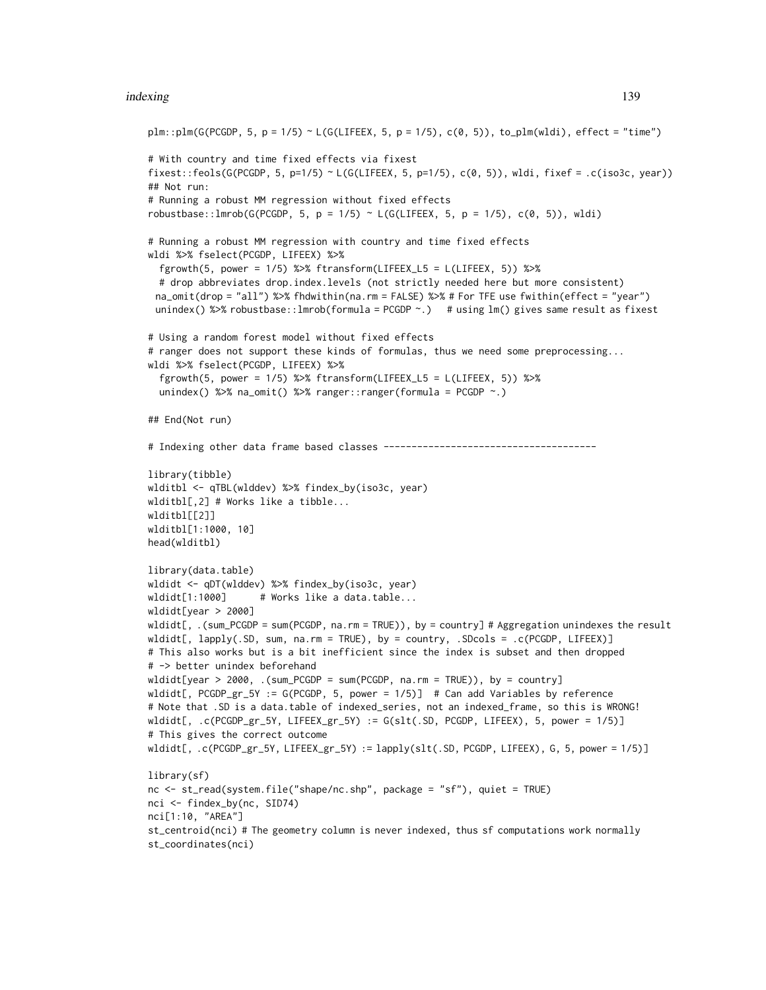#### indexing the contract of the contract of the contract of the contract of the contract of the contract of the contract of the contract of the contract of the contract of the contract of the contract of the contract of the c

```
plm::plm(G(PCGDP, 5, p = 1/5) ~ L(G(LIFEEX, 5, p = 1/5), c(\emptyset, 5)), to_plm(wldi), effect = "time")
# With country and time fixed effects via fixest
fixest::feols(G(PCGDP, 5, p=1/5) ~ L(G(LIFLEX, 5, p=1/5), c(0, 5)), wldi, fixef = .c(iso3c, year))
## Not run:
# Running a robust MM regression without fixed effects
robustbase::lmrob(G(PCGDP, 5, p = 1/5) ~ L(G(LIFEEX, 5, p = 1/5), c(0, 5)), wldi)
# Running a robust MM regression with country and time fixed effects
wldi %>% fselect(PCGDP, LIFEEX) %>%
  fgrowth(5, power = 1/5) %>% ftransform(LIFEEX_L5 = L(LIFEEX, 5)) %>%
  # drop abbreviates drop.index.levels (not strictly needed here but more consistent)
 na_omit(drop = "all") %>% fhdwithin(na.rm = FALSE) %>% # For TFE use fwithin(effect = "year")
 unindex() %>% robustbase::lmrob(formula = PCGDP \sim.) # using lm() gives same result as fixest
# Using a random forest model without fixed effects
# ranger does not support these kinds of formulas, thus we need some preprocessing...
wldi %>% fselect(PCGDP, LIFEEX) %>%
  fgrowth(5, power = 1/5) %>% ftransform(LIFEEX_L5 = L(LIFEEX, 5)) %>%
  unindex() %>% na_omit() %>% ranger::ranger(formula = PCGDP ~.)
## End(Not run)
# Indexing other data frame based classes --------------------------------------
library(tibble)
wlditbl <- qTBL(wlddev) %>% findex_by(iso3c, year)
wlditbl[,2] # Works like a tibble...
wlditbl[[2]]
wlditbl[1:1000, 10]
head(wlditbl)
library(data.table)
wldidt <- qDT(wlddev) %>% findex_by(iso3c, year)
wldidt[1:1000] # Works like a data.table...
wldidt[year > 2000]
wldidt[, .(sum_PCGDP = sum(PCGDP, na.rm = TRUE)), by = country] # Aggregation unindexes the result
wldidt[, lapply(.SD, sum, na.rm = TRUE), by = country, .SDcols = .c(PCGDP, LIFEEX)]
# This also works but is a bit inefficient since the index is subset and then dropped
# -> better unindex beforehand
wldidt[year > 2000, .(sum_PCGDP = sum(PCGDP, na.rm = TRUE)), by = country]wldidt[, PCGDP_gr_5Y := G(PCGDP, 5, power = 1/5)] # Can add Variables by reference
# Note that .SD is a data.table of indexed_series, not an indexed_frame, so this is WRONG!
wldidt[, .c(PCGDP_gr_5Y, LIFEEX_gr_5Y) := G(slt(.SD, PCGDP, LIFEEX), 5, power = 1/5)]
# This gives the correct outcome
wldidt[, .c(PCGDP_gr_5Y, LIFEEX_gr_5Y) := lapply(slt(.SD, PCGDP, LIFEEX), G, 5, power = 1/5)]
library(sf)
nc <- st_read(system.file("shape/nc.shp", package = "sf"), quiet = TRUE)
nci <- findex_by(nc, SID74)
nci[1:10, "AREA"]
st_centroid(nci) # The geometry column is never indexed, thus sf computations work normally
st_coordinates(nci)
```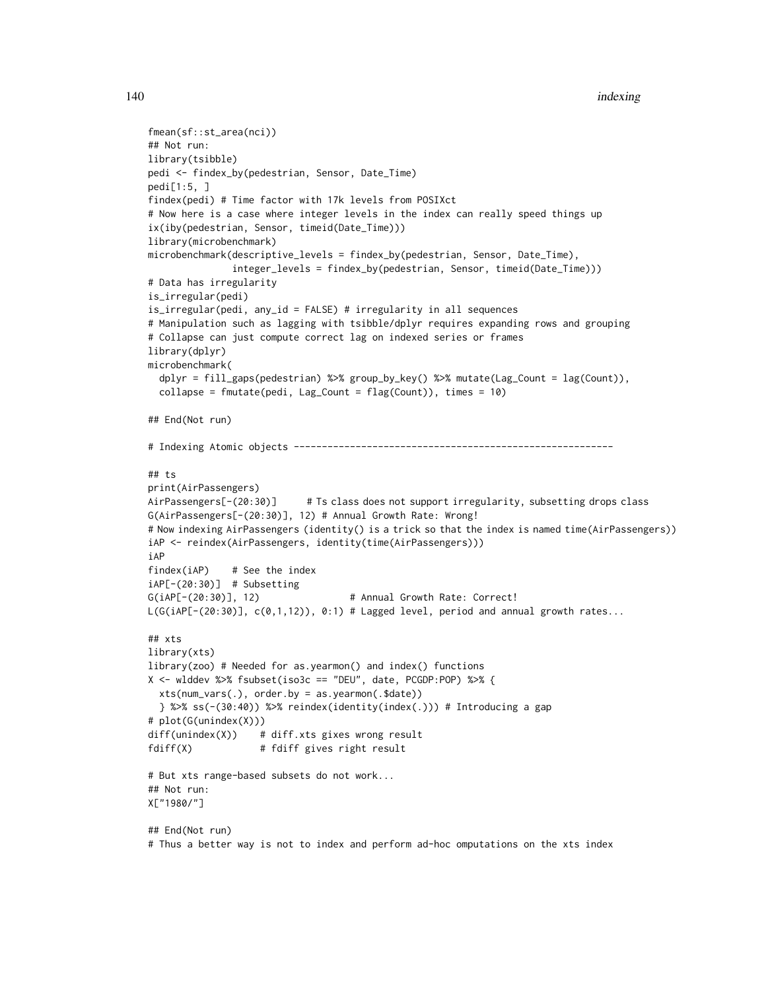```
140 indexing the state of the state of the state of the state of the state of the state of the state of the state of the state of the state of the state of the state of the state of the state of the state of the state of t
```

```
fmean(sf::st_area(nci))
## Not run:
library(tsibble)
pedi <- findex_by(pedestrian, Sensor, Date_Time)
pedi[1:5, ]
findex(pedi) # Time factor with 17k levels from POSIXct
# Now here is a case where integer levels in the index can really speed things up
ix(iby(pedestrian, Sensor, timeid(Date_Time)))
library(microbenchmark)
microbenchmark(descriptive_levels = findex_by(pedestrian, Sensor, Date_Time),
               integer_levels = findex_by(pedestrian, Sensor, timeid(Date_Time)))
# Data has irregularity
is_irregular(pedi)
is_irregular(pedi, any_id = FALSE) # irregularity in all sequences
# Manipulation such as lagging with tsibble/dplyr requires expanding rows and grouping
# Collapse can just compute correct lag on indexed series or frames
library(dplyr)
microbenchmark(
  dplyr = fill_gaps(pedestrian) %>% group_by_key() %>% mutate(Lag_Count = lag(Count)),
  collapse = fmutate(pedi, Lag_Count = flag(Count)), times = 10)
## End(Not run)
# Indexing Atomic objects ---------------------------------------------------------
## ts
print(AirPassengers)
AirPassengers[-(20:30)] # Ts class does not support irregularity, subsetting drops class
G(AirPassengers[-(20:30)], 12) # Annual Growth Rate: Wrong!
# Now indexing AirPassengers (identity() is a trick so that the index is named time(AirPassengers))
iAP <- reindex(AirPassengers, identity(time(AirPassengers)))
iAP
findex(iAP) # See the index
iAP[-(20:30)] # Subsetting
G(iAP[-(20:30)], 12) # Annual Growth Rate: Correct!
L(G(iAP[-(20:30)], c(0,1,12)), 0:1) # Lagged level, period and annual growth rates...
## xts
library(xts)
library(zoo) # Needed for as.yearmon() and index() functions
X <- wlddev %>% fsubset(iso3c == "DEU", date, PCGDP:POP) %>% {
  xts(num_vars(.), order.by = as.yearmon(.$date))
  } %>% ss(-(30:40)) %>% reindex(identity(index(.))) # Introducing a gap
# plot(G(unindex(X)))
diff(unindex(X)) # diff.xts gixes wrong result
fdiff(X) # fdiff gives right result
# But xts range-based subsets do not work...
## Not run:
X["1980/"]
## End(Not run)
```
# Thus a better way is not to index and perform ad-hoc omputations on the xts index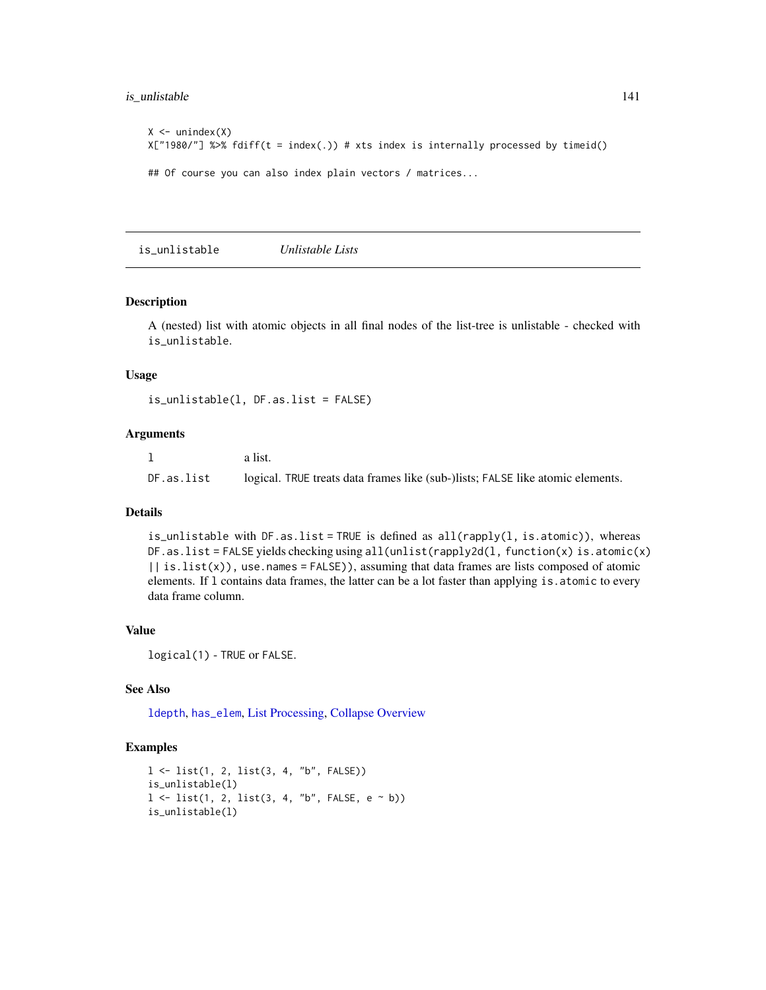# is\_unlistable 141

```
X \leftarrow unindex(X)
X["1980/"] %>% fdiff(t = index(.)) # xts index is internally processed by timeid()
## Of course you can also index plain vectors / matrices...
```
<span id="page-140-0"></span>is\_unlistable *Unlistable Lists*

# Description

A (nested) list with atomic objects in all final nodes of the list-tree is unlistable - checked with is\_unlistable.

#### Usage

is\_unlistable(l, DF.as.list = FALSE)

# Arguments

|            | a list.                                                                        |
|------------|--------------------------------------------------------------------------------|
| DF.as.list | logical. TRUE treats data frames like (sub-)lists; FALSE like atomic elements. |

# Details

is\_unlistable with DF.as.list = TRUE is defined as  $all(rapply(1, is.atomic))$ , whereas DF.as.list = FALSE yields checking using all(unlist(rapply2d(l, function(x) is.atomic(x)  $|$  is.list(x)), use.names = FALSE)), assuming that data frames are lists composed of atomic elements. If l contains data frames, the latter can be a lot faster than applying is.atomic to every data frame column.

#### Value

logical(1) - TRUE or FALSE.

# See Also

[ldepth](#page-141-0), [has\\_elem](#page-120-0), [List Processing,](#page-142-0) [Collapse Overview](#page-23-0)

```
l <- list(1, 2, list(3, 4, "b", FALSE))
is_unlistable(l)
l \leq list(1, 2, list(3, 4, "b", FALSE, e \sim b))
is_unlistable(l)
```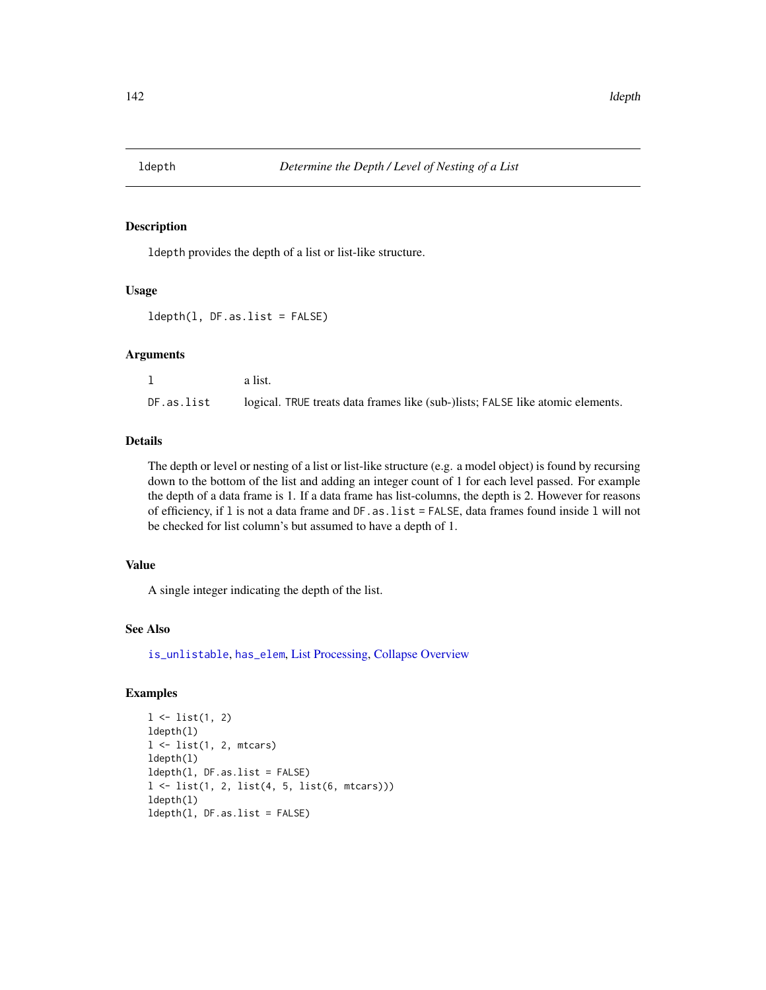<span id="page-141-0"></span>

# Description

ldepth provides the depth of a list or list-like structure.

## Usage

ldepth(l, DF.as.list = FALSE)

#### Arguments

|            | a list.                                                                        |
|------------|--------------------------------------------------------------------------------|
| DF.as.list | logical. TRUE treats data frames like (sub-)lists; FALSE like atomic elements. |

## Details

The depth or level or nesting of a list or list-like structure (e.g. a model object) is found by recursing down to the bottom of the list and adding an integer count of 1 for each level passed. For example the depth of a data frame is 1. If a data frame has list-columns, the depth is 2. However for reasons of efficiency, if l is not a data frame and DF.as.list = FALSE, data frames found inside l will not be checked for list column's but assumed to have a depth of 1.

# Value

A single integer indicating the depth of the list.

# See Also

[is\\_unlistable](#page-140-0), [has\\_elem](#page-120-0), [List Processing,](#page-142-0) [Collapse Overview](#page-23-0)

```
1 \leftarrow list(1, 2)ldepth(l)
l \leftarrow list(1, 2, mtcars)
ldepth(l)
ldepth(l, DF.as.list = FALSE)
l <- list(1, 2, list(4, 5, list(6, mtcars)))
ldepth(l)
ldepth(l, DF.as.list = FALSE)
```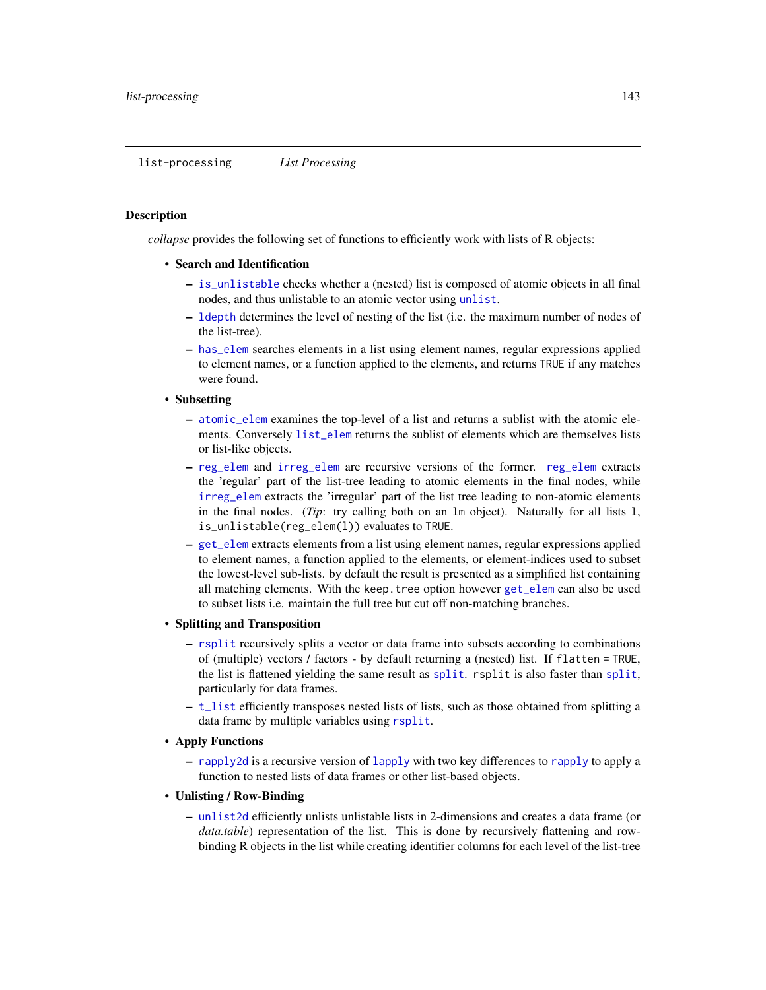## <span id="page-142-0"></span>**Description**

*collapse* provides the following set of functions to efficiently work with lists of R objects:

- Search and Identification
	- [is\\_unlistable](#page-140-0) checks whether a (nested) list is composed of atomic objects in all final nodes, and thus unlistable to an atomic vector using [unlist](#page-0-0).
	- [ldepth](#page-141-0) determines the level of nesting of the list (i.e. the maximum number of nodes of the list-tree).
	- [has\\_elem](#page-120-0) searches elements in a list using element names, regular expressions applied to element names, or a function applied to the elements, and returns TRUE if any matches were found.
- Subsetting
	- [atomic\\_elem](#page-120-0) examines the top-level of a list and returns a sublist with the atomic elements. Conversely [list\\_elem](#page-120-0) returns the sublist of elements which are themselves lists or list-like objects.
	- [reg\\_elem](#page-120-0) and [irreg\\_elem](#page-120-0) are recursive versions of the former. [reg\\_elem](#page-120-0) extracts the 'regular' part of the list-tree leading to atomic elements in the final nodes, while [irreg\\_elem](#page-120-0) extracts the 'irregular' part of the list tree leading to non-atomic elements in the final nodes. (*Tip*: try calling both on an lm object). Naturally for all lists l, is\_unlistable(reg\_elem(l)) evaluates to TRUE.
	- [get\\_elem](#page-120-1) extracts elements from a list using element names, regular expressions applied to element names, a function applied to the elements, or element-indices used to subset the lowest-level sub-lists. by default the result is presented as a simplified list containing all matching elements. With the keep.tree option however [get\\_elem](#page-120-1) can also be used to subset lists i.e. maintain the full tree but cut off non-matching branches.
- Splitting and Transposition
	- [rsplit](#page-171-0) recursively splits a vector or data frame into subsets according to combinations of (multiple) vectors / factors - by default returning a (nested) list. If flatten = TRUE, the list is flattened yielding the same result as [split](#page-0-0). rsplit is also faster than [split](#page-0-0), particularly for data frames.
	- [t\\_list](#page-184-0) efficiently transposes nested lists of lists, such as those obtained from splitting a data frame by multiple variables using [rsplit](#page-171-0).
- Apply Functions
	- [rapply2d](#page-166-0) is a recursive version of [lapply](#page-0-0) with two key differences to [rapply](#page-0-0) to apply a function to nested lists of data frames or other list-based objects.
- Unlisting / Row-Binding
	- [unlist2d](#page-185-0) efficiently unlists unlistable lists in 2-dimensions and creates a data frame (or *data.table*) representation of the list. This is done by recursively flattening and rowbinding R objects in the list while creating identifier columns for each level of the list-tree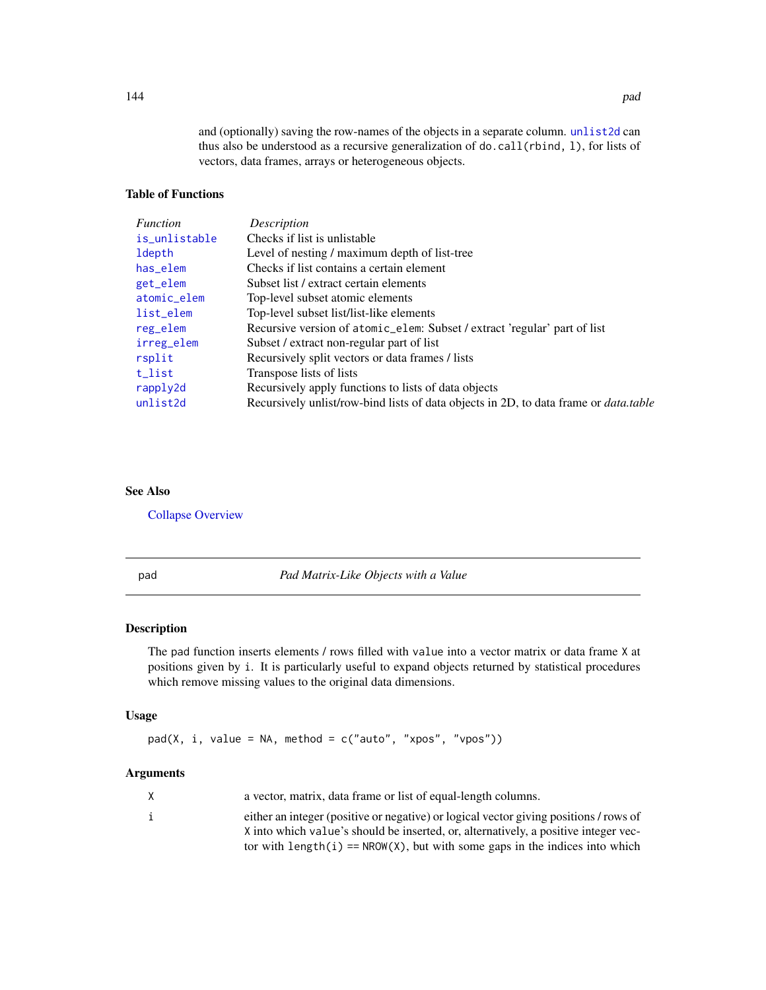and (optionally) saving the row-names of the objects in a separate column. [unlist2d](#page-185-0) can thus also be understood as a recursive generalization of do.call(rbind, l), for lists of vectors, data frames, arrays or heterogeneous objects.

# Table of Functions

| Function      | Description                                                                                 |
|---------------|---------------------------------------------------------------------------------------------|
| is_unlistable | Checks if list is unlistable                                                                |
| ldepth        | Level of nesting / maximum depth of list-tree                                               |
| has_elem      | Checks if list contains a certain element                                                   |
| get_elem      | Subset list / extract certain elements                                                      |
| atomic_elem   | Top-level subset atomic elements                                                            |
| list_elem     | Top-level subset list/list-like elements                                                    |
| reg_elem      | Recursive version of atomic_elem: Subset / extract 'regular' part of list                   |
| irreg_elem    | Subset / extract non-regular part of list                                                   |
| rsplit        | Recursively split vectors or data frames / lists                                            |
| t_list        | Transpose lists of lists                                                                    |
| rapply2d      | Recursively apply functions to lists of data objects                                        |
| unlist2d      | Recursively unlist/row-bind lists of data objects in 2D, to data frame or <i>data.table</i> |

# See Also

[Collapse Overview](#page-23-0)

pad *Pad Matrix-Like Objects with a Value*

# Description

The pad function inserts elements / rows filled with value into a vector matrix or data frame X at positions given by i. It is particularly useful to expand objects returned by statistical procedures which remove missing values to the original data dimensions.

# Usage

 $pad(X, i, value = NA, method = c("auto", "xpos", "vpos"))$ 

# Arguments

| X | a vector, matrix, data frame or list of equal-length columns.                         |
|---|---------------------------------------------------------------------------------------|
|   | either an integer (positive or negative) or logical vector giving positions / rows of |
|   | X into which value's should be inserted, or, alternatively, a positive integer vec-   |
|   | tor with length(i) == $NROW(X)$ , but with some gaps in the indices into which        |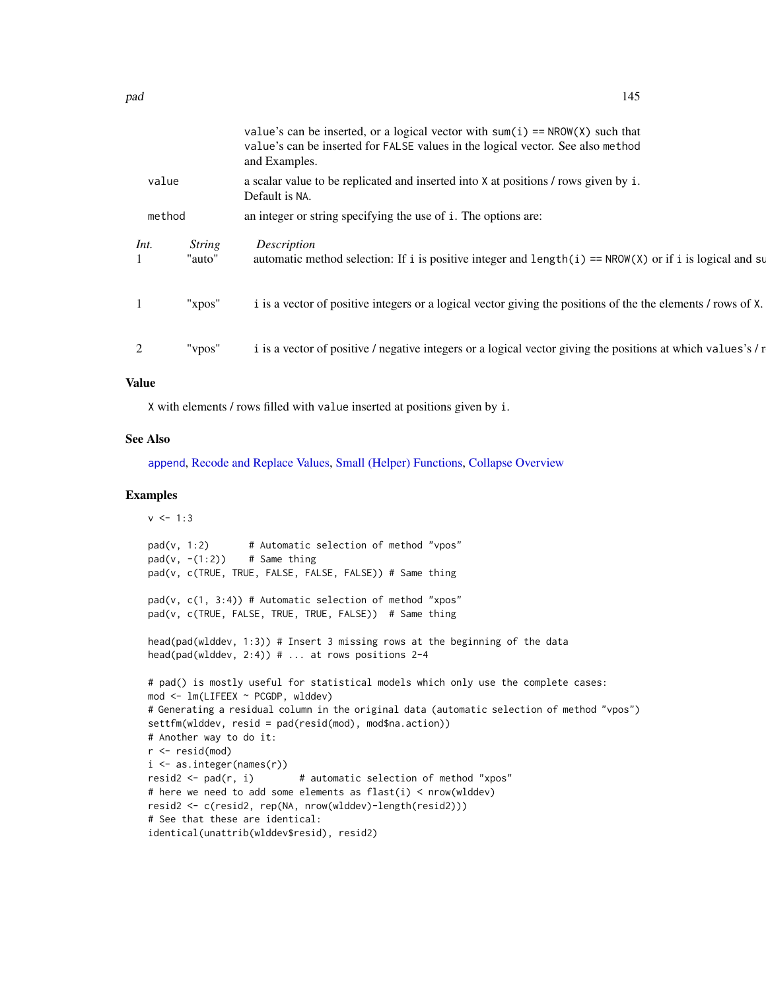|        |                         | value's can be inserted, or a logical vector with sum(i) == $NROW(X)$ such that<br>value's can be inserted for FALSE values in the logical vector. See also method<br>and Examples. |
|--------|-------------------------|-------------------------------------------------------------------------------------------------------------------------------------------------------------------------------------|
| value  |                         | a scalar value to be replicated and inserted into X at positions / rows given by i.<br>Default is NA.                                                                               |
| method |                         | an integer or string specifying the use of i. The options are:                                                                                                                      |
| Int.   | <b>String</b><br>"auto" | Description<br>automatic method selection: If i is positive integer and length(i) == $NROW(X)$ or if i is logical and su                                                            |
| -1     | "xpos"                  | i is a vector of positive integers or a logical vector giving the positions of the the elements / rows of X.                                                                        |
| 2      | "vpos"                  | i is a vector of positive / negative integers or a logical vector giving the positions at which values's / r                                                                        |

### Value

X with elements / rows filled with value inserted at positions given by i.

## See Also

[append](#page-0-0), [Recode and Replace Values,](#page-167-0) [Small \(Helper\) Functions,](#page-175-0) [Collapse Overview](#page-23-0)

### Examples

```
v < -1:3pad(v, 1:2) # Automatic selection of method "vpos"
pad(v, -(1:2)) # Same thing
pad(v, c(TRUE, TRUE, FALSE, FALSE, FALSE)) # Same thing
pad(v, c(1, 3:4)) # Automatic selection of method "xpos"
pad(v, c(TRUE, FALSE, TRUE, TRUE, FALSE)) # Same thing
head(pad(wlddev, 1:3)) # Insert 3 missing rows at the beginning of the data
head(pad(wlddev, 2:4)) # ... at rows positions 2-4
# pad() is mostly useful for statistical models which only use the complete cases:
mod <- lm(LIFEEX ~ PCGDP, wlddev)
# Generating a residual column in the original data (automatic selection of method "vpos")
settfm(wlddev, resid = pad(resid(mod), mod$na.action))
# Another way to do it:
r < - resid(mod)
i \leq -as.integer(names(r))
resid2 <- pad(r, i) # automatic selection of method "xpos"
# here we need to add some elements as flast(i) < nrow(wlddev)
resid2 <- c(resid2, rep(NA, nrow(wlddev)-length(resid2)))
# See that these are identical:
identical(unattrib(wlddev$resid), resid2)
```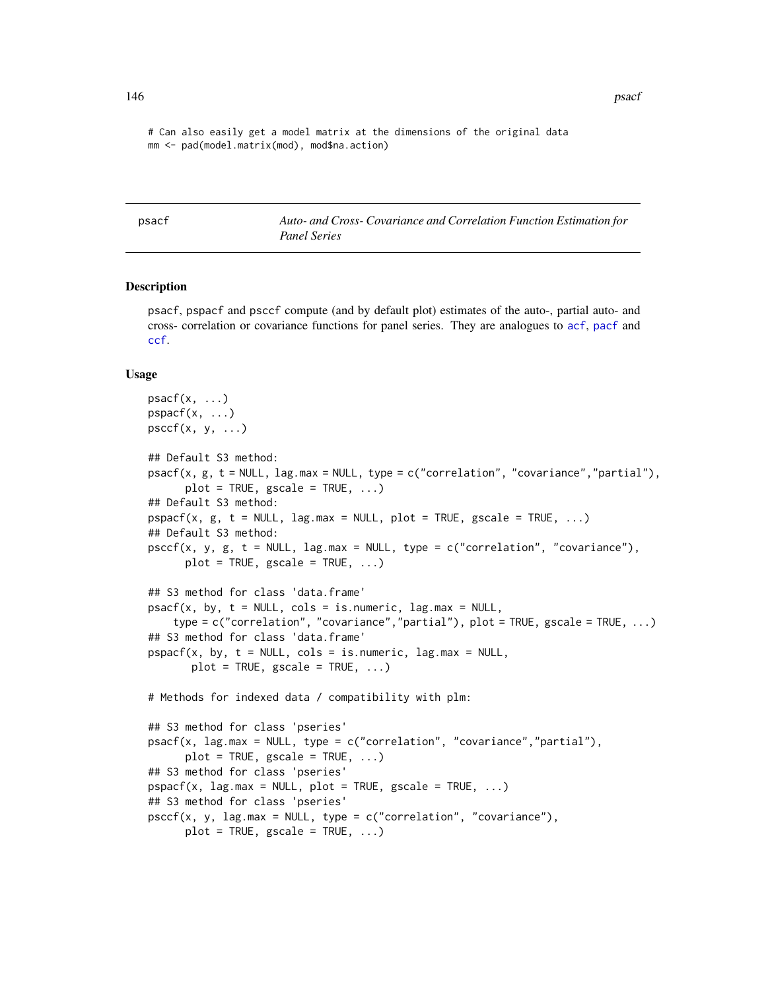146 psacf psacf psacf psacf psacf psacf psacf psacf psacf psacf psacf psacf psacf psacf psacf psacf psacf psacf psacf psacf psacf psacf psacf psacf psacf psacf psacf psacf psacf psacf psacf psacf psacf psacf psacf psacf ps

# Can also easily get a model matrix at the dimensions of the original data mm <- pad(model.matrix(mod), mod\$na.action)

<span id="page-145-0"></span>psacf *Auto- and Cross- Covariance and Correlation Function Estimation for Panel Series*

### <span id="page-145-1"></span>**Description**

psacf, pspacf and psccf compute (and by default plot) estimates of the auto-, partial auto- and cross- correlation or covariance functions for panel series. They are analogues to [acf](#page-0-0), [pacf](#page-0-0) and [ccf](#page-0-0).

#### Usage

```
psacf(x, \ldots)pspacf(x, \ldots)psccf(x, y, ...)## Default S3 method:
psacf(x, g, t = NULL, lag.max = NULL, type = c("correlation", "covariance","partial"),
      plot = TRUE, gscale = TRUE, ...)## Default S3 method:
pspace(x, g, t = NULL, lag,max = NULL, plot = TRUE, gscale = TRUE, ...)## Default S3 method:
psccf(x, y, g, t = NULL, lag.max = NULL, type = c("correlation", "covariance"),plot = TRUE, gscale = TRUE, ...)## S3 method for class 'data.frame'
psacf(x, by, t = NULL, cols = is.numeric, lag.max = NULL,type = c("correlation", "covariance","partial"), plot = TRUE, gscale = TRUE, ...)
## S3 method for class 'data.frame'
pspace(x, by, t = NULL, cols = is.numeric, lag.max = NULL,plot = TRUE, gscale = TRUE, ...)# Methods for indexed data / compatibility with plm:
## S3 method for class 'pseries'
psacf(x, lag.max = NULL, type = c("correlation", "covariance","partial"),
      plot = TRUE, gscale = TRUE, ...)## S3 method for class 'pseries'
pspace(x, lag.max = NULL, plot = TRUE, gscale = TRUE, ...)## S3 method for class 'pseries'
pscff(x, y, lag.max = NULL, type = c("correlation", "covariance"),plot = TRUE, gscale = TRUE, ...)
```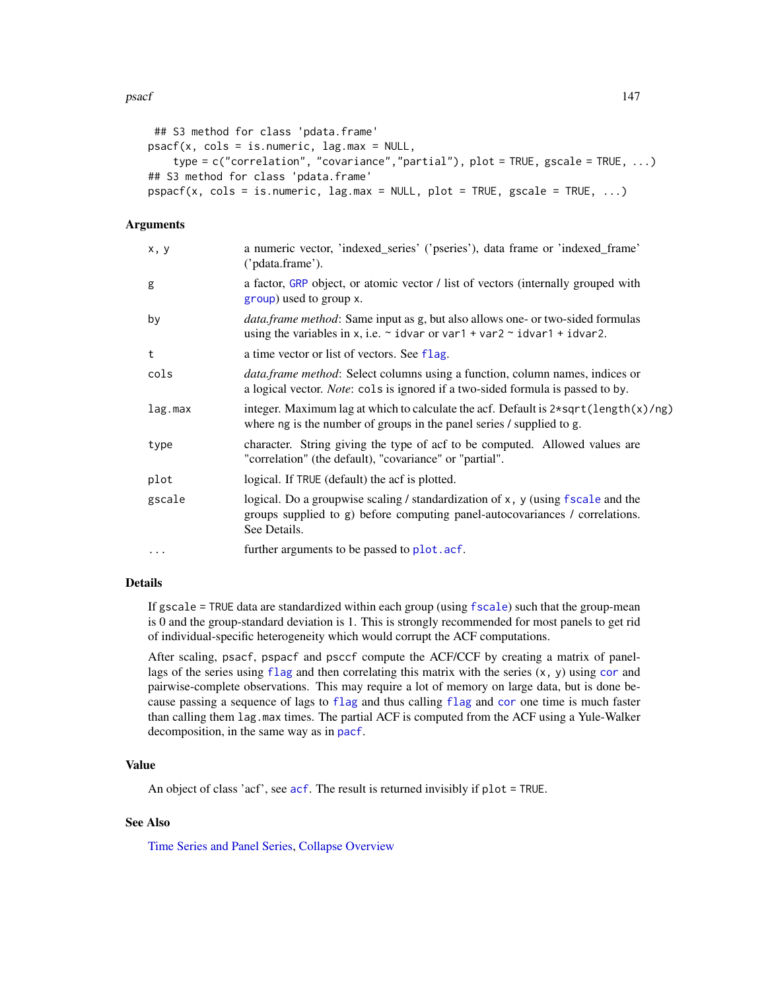### psacf and the state of the state of the state of the state of the state of the state of the state of the state of the state of the state of the state of the state of the state of the state of the state of the state of the

```
## S3 method for class 'pdata.frame'
psacf(x, cols = is.numeric, lag.max = NULL,type = c("correlation", "covariance","partial"), plot = TRUE, gscale = TRUE, ...)
## S3 method for class 'pdata.frame'
pspace(x, \text{cols} = \text{is.numeric}, \text{lag.max} = \text{NULL}, \text{plot} = \text{TRUE}, \text{gscale} = \text{TRUE}, ...
```
## Arguments

| x, y    | a numeric vector, 'indexed_series' ('pseries'), data frame or 'indexed_frame'<br>('pdata.frame').                                                                                    |
|---------|--------------------------------------------------------------------------------------------------------------------------------------------------------------------------------------|
| g       | a factor, GRP object, or atomic vector / list of vectors (internally grouped with<br>group) used to group x.                                                                         |
| by      | <i>data.frame method</i> : Same input as g, but also allows one- or two-sided formulas<br>using the variables in x, i.e. $\sim$ idvar or var1 + var2 $\sim$ idvar1 + idvar2.         |
| t       | a time vector or list of vectors. See flag.                                                                                                                                          |
| cols    | <i>data.frame method:</i> Select columns using a function, column names, indices or<br>a logical vector. Note: cols is ignored if a two-sided formula is passed to by.               |
| lag.max | integer. Maximum lag at which to calculate the acf. Default is $2*sqrt(length(x)/ng)$<br>where ng is the number of groups in the panel series / supplied to g.                       |
| type    | character. String giving the type of acf to be computed. Allowed values are<br>"correlation" (the default), "covariance" or "partial".                                               |
| plot    | logical. If TRUE (default) the acf is plotted.                                                                                                                                       |
| gscale  | logical. Do a groupwise scaling / standardization of $x$ , $y$ (using fscale and the<br>groups supplied to g) before computing panel-autocovariances / correlations.<br>See Details. |
| .       | further arguments to be passed to plot. acf.                                                                                                                                         |

## Details

If gscale = TRUE data are standardized within each group (using [fscale](#page-95-0)) such that the group-mean is 0 and the group-standard deviation is 1. This is strongly recommended for most panels to get rid of individual-specific heterogeneity which would corrupt the ACF computations.

After scaling, psacf, pspacf and psccf compute the ACF/CCF by creating a matrix of panellags of the series using [flag](#page-68-0) and then [cor](#page-0-0)relating this matrix with the series  $(x, y)$  using cor and pairwise-complete observations. This may require a lot of memory on large data, but is done because passing a sequence of lags to [flag](#page-68-0) and thus calling [flag](#page-68-0) and [cor](#page-0-0) one time is much faster than calling them lag.max times. The partial ACF is computed from the ACF using a Yule-Walker decomposition, in the same way as in [pacf](#page-0-0).

### Value

An object of class 'acf', see [acf](#page-0-0). The result is returned invisibly if plot = TRUE.

## See Also

[Time Series and Panel Series,](#page-179-0) [Collapse Overview](#page-23-0)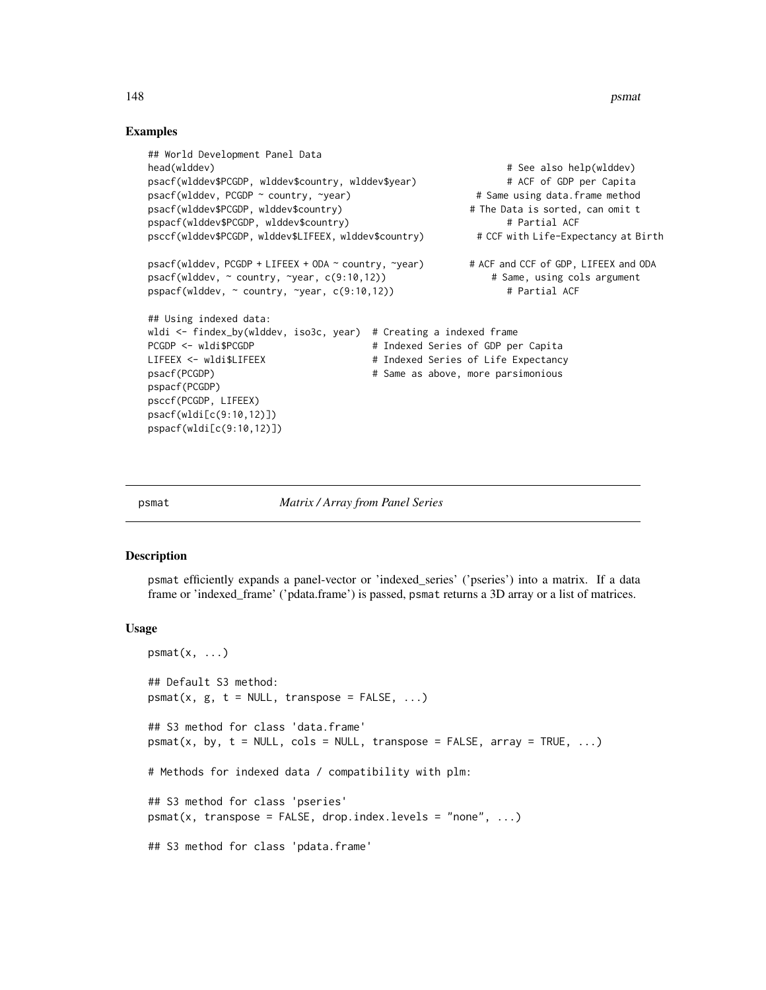148 **psmatron control in the control of the control of the control of the control of the control of the control of the control of the control of the control of the control of the control of the control of the control of th** 

## Examples

```
## World Development Panel Data
head(wlddev) # See also help(wlddev) # See also help(wlddev)
psacf(wlddev$PCGDP, wlddev$country, wlddev$year) # ACF of GDP per Capita
psacf(wlddev, PCGDP ~ country, ~year) # Same using data.frame method
psacf(wlddev$PCGDP, wlddev$country) # The Data is sorted, can omit t
pspacf(wlddev$PCGDP, wlddev$country) # Partial ACF
psccf(wlddev$PCGDP, wlddev$LIFEEX, wlddev$country) # CCF with Life-Expectancy at Birth
psacf(wlddev, PCGDP + LIFEEX + ODA ~ country, ~year) # ACF and CCF of GDP, LIFEEX and ODA
psacf(wlddev, ~ country, ~year, c(9:10,12)) # Same, using cols argument
pspacf(wlddev, ~ country, ~year, c(9:10,12)) # Partial ACF
## Using indexed data:
wldi <- findex_by(wlddev, iso3c, year) # Creating a indexed frame
PCGDP <- wldi$PCGDP \qquad # Indexed Series of GDP per Capita
LIFEEX <- wldi$LIFEEX + + Indexed Series of Life Expectancy
psacf(PCGDP) \qquad # Same as above, more parsimonious
pspacf(PCGDP)
psccf(PCGDP, LIFEEX)
psacf(wldi[c(9:10,12)])
pspacf(wldi[c(9:10,12)])
```
<span id="page-147-0"></span>

psmat *Matrix / Array from Panel Series*

#### Description

psmat efficiently expands a panel-vector or 'indexed\_series' ('pseries') into a matrix. If a data frame or 'indexed\_frame' ('pdata.frame') is passed, psmat returns a 3D array or a list of matrices.

#### Usage

```
psmat(x, \ldots)## Default S3 method:
psmat(x, g, t = NULL, transpose = FALSE, ...)## S3 method for class 'data.frame'
psmat(x, by, t = NULL, cols = NULL, transpose = FALSE, array = TRUE, ...)# Methods for indexed data / compatibility with plm:
## S3 method for class 'pseries'
psmat(x, transpose = FALSE, drop.index.levels = "none", ...)## S3 method for class 'pdata.frame'
```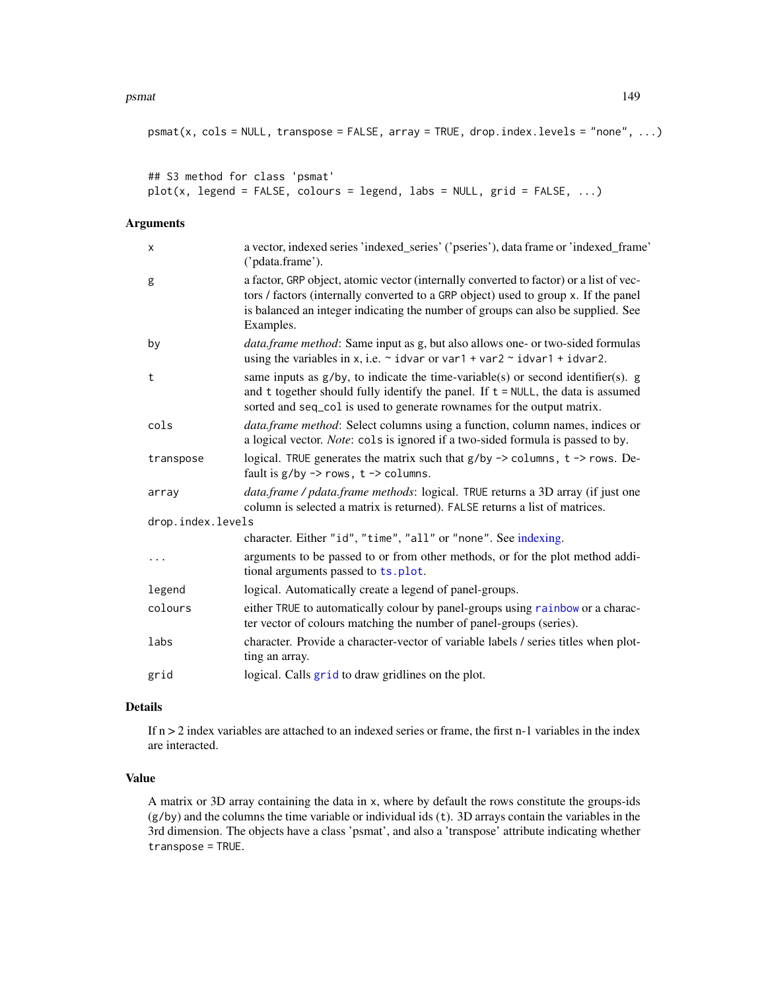### psmat the contract of the contract of the contract of the contract of the contract of the contract of the contract of the contract of the contract of the contract of the contract of the contract of the contract of the cont

```
psmat(x, \text{cols} = \text{NULL}, \text{transpose} = \text{FALSE}, \text{array} = \text{TRUE}, \text{drop.index}.\text{levels} = "none", ...)
```

```
## S3 method for class 'psmat'
plot(x, legend = FALSE, colours = legend, labs = NULL, grid = FALSE, ...)
```
### Arguments

| a vector, indexed series 'indexed_series' ('pseries'), data frame or 'indexed_frame'<br>('pdata.frame').                                                                                                                                                                       |
|--------------------------------------------------------------------------------------------------------------------------------------------------------------------------------------------------------------------------------------------------------------------------------|
| a factor, GRP object, atomic vector (internally converted to factor) or a list of vec-<br>tors / factors (internally converted to a GRP object) used to group x. If the panel<br>is balanced an integer indicating the number of groups can also be supplied. See<br>Examples. |
| <i>data.frame method</i> : Same input as g, but also allows one- or two-sided formulas<br>using the variables in x, i.e. $\sim$ idvar or var1 + var2 $\sim$ idvar1 + idvar2.                                                                                                   |
| same inputs as $g/by$ , to indicate the time-variable(s) or second identifier(s). $g$<br>and t together should fully identify the panel. If $t = NULL$ , the data is assumed<br>sorted and seq_col is used to generate rownames for the output matrix.                         |
| data.frame method: Select columns using a function, column names, indices or<br>a logical vector. Note: cols is ignored if a two-sided formula is passed to by.                                                                                                                |
| logical. TRUE generates the matrix such that $g/by \rightarrow$ columns, $t \rightarrow$ rows. De-<br>fault is $g/by \rightarrow rows$ , $t \rightarrow columns$ .                                                                                                             |
| <i>data.frame / pdata.frame methods: logical. TRUE returns a 3D array (if just one</i><br>column is selected a matrix is returned). FALSE returns a list of matrices.                                                                                                          |
| drop.index.levels                                                                                                                                                                                                                                                              |
| character. Either "id", "time", "all" or "none". See indexing.                                                                                                                                                                                                                 |
| arguments to be passed to or from other methods, or for the plot method addi-<br>tional arguments passed to ts.plot.                                                                                                                                                           |
| logical. Automatically create a legend of panel-groups.                                                                                                                                                                                                                        |
| either TRUE to automatically colour by panel-groups using rainbow or a charac-<br>ter vector of colours matching the number of panel-groups (series).                                                                                                                          |
| character. Provide a character-vector of variable labels / series titles when plot-<br>ting an array.                                                                                                                                                                          |
| logical. Calls grid to draw gridlines on the plot.                                                                                                                                                                                                                             |
|                                                                                                                                                                                                                                                                                |

## Details

If  $n > 2$  index variables are attached to an indexed series or frame, the first n-1 variables in the index are interacted.

## Value

A matrix or 3D array containing the data in x, where by default the rows constitute the groups-ids (g/by) and the columns the time variable or individual ids (t). 3D arrays contain the variables in the 3rd dimension. The objects have a class 'psmat', and also a 'transpose' attribute indicating whether transpose = TRUE.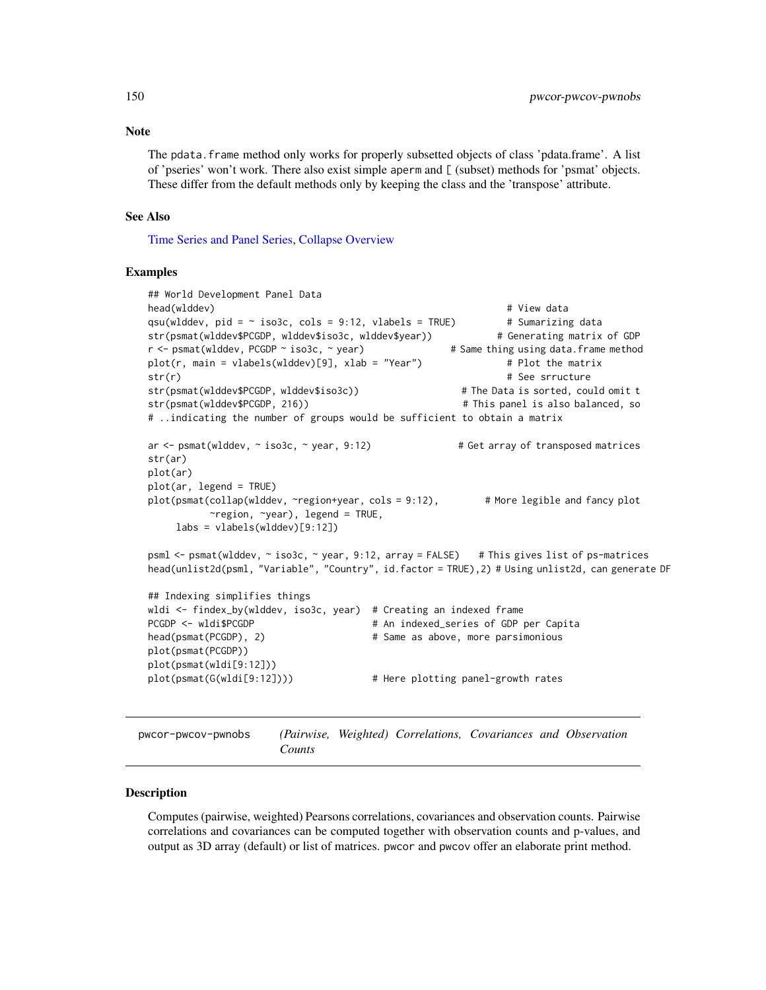Note

The pdata.frame method only works for properly subsetted objects of class 'pdata.frame'. A list of 'pseries' won't work. There also exist simple aperm and [ (subset) methods for 'psmat' objects. These differ from the default methods only by keeping the class and the 'transpose' attribute.

### See Also

[Time Series and Panel Series,](#page-179-0) [Collapse Overview](#page-23-0)

### Examples

```
## World Development Panel Data
head(wlddev) # View data
qsu(wlddev, pid = \sim iso3c, cols = 9:12, vlabels = TRUE) # Sumarizing data
str(psmat(wlddev$PCGDP, wlddev$iso3c, wlddev$year)) # Generating matrix of GDP
r <- psmat(wlddev, PCGDP ~ iso3c, ~ year) # Same thing using data.frame method
plot(r, main = vlabels(wlddev)[9], xlab = "Year") # Plot the matrix
str(r) \qquad # See srructure
str(psmat(wlddev$PCGDP, wlddev$iso3c)) # The Data is sorted, could omit t
str(psmat(wlddev$PCGDP, 216)) # This panel is also balanced, so
# ..indicating the number of groups would be sufficient to obtain a matrix
ar \le - psmat(wlddev, \sim iso3c, \sim year, 9:12) \qquad # Get array of transposed matrices
str(ar)
plot(ar)
plot(ar, legend = TRUE)
plot(psmat(collap(wlddev, ~region+year, cols = 9:12), # More legible and fancy plot
         ~region, ~year), legend = TRUE,
    labs = vlabels(wlddev)[9:12])
psml <- psmat(wlddev, ~ iso3c, ~ year, 9:12, array = FALSE) # This gives list of ps-matrices
head(unlist2d(psml, "Variable", "Country", id.factor = TRUE),2) # Using unlist2d, can generate DF
## Indexing simplifies things
wldi <- findex_by(wlddev, iso3c, year) # Creating an indexed frame
PCGDP <- wldi$PCGDP \# An indexed_series of GDP per Capita
head(psmat(PCGDP), 2) \qquad # Same as above, more parsimonious
plot(psmat(PCGDP))
plot(psmat(wldi[9:12]))
plot(psmat(G(wldi[9:12]))) # Here plotting panel-growth rates
```
pwcor-pwcov-pwnobs *(Pairwise, Weighted) Correlations, Covariances and Observation Counts*

### <span id="page-149-0"></span>**Description**

Computes (pairwise, weighted) Pearsons correlations, covariances and observation counts. Pairwise correlations and covariances can be computed together with observation counts and p-values, and output as 3D array (default) or list of matrices. pwcor and pwcov offer an elaborate print method.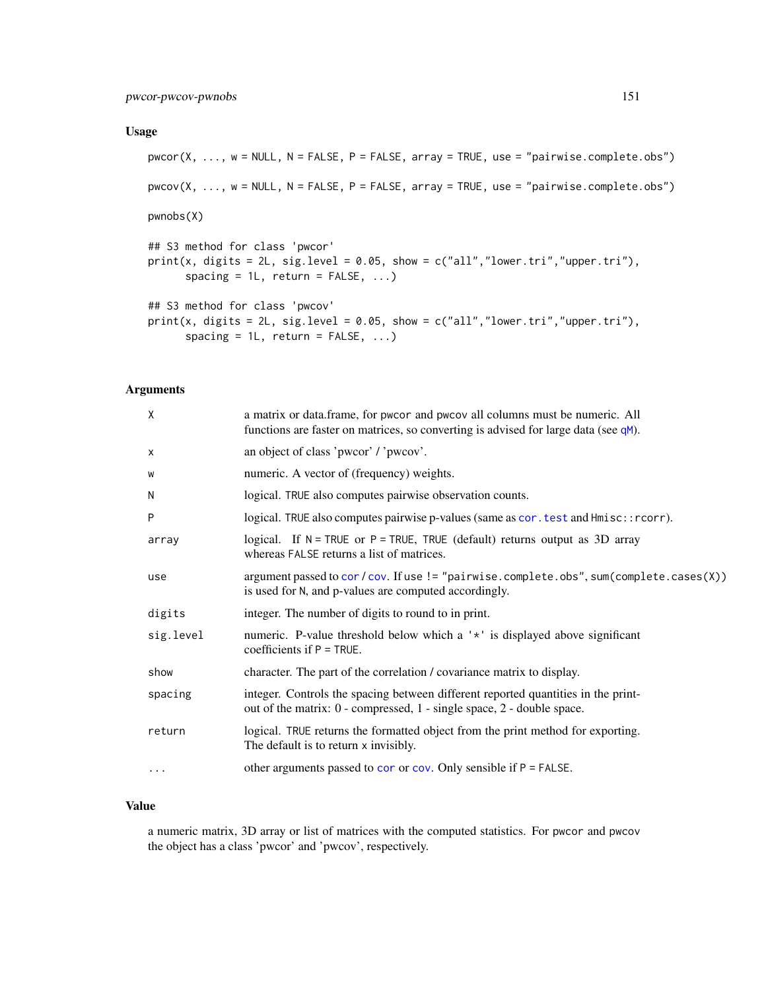## Usage

```
pwcor(X, ..., w = NULL, N = FALSE, P = FALSE, array = TRUE, use = "pairwise.compile.e.obs")pwcov(X, ..., w = NULL, N = FALSE, P = FALSE, array = TRUE, use = "pairwise.complete.obs")
pwnobs(X)
## S3 method for class 'pwcor'
print(x, digits = 2L, sig.level = 0.05, show = c("all", "lower.tri", "upper.tri"),spacing = 1L, return = FALSE, ...)
## S3 method for class 'pwcov'
print(x, digits = 2L, sig.level = 0.05, show = c("all", "lower.tri", "upper.tri"),spacing = 1L, return = FALSE, ...)
```
### Arguments

| X         | a matrix or data.frame, for pwcor and pwcov all columns must be numeric. All<br>functions are faster on matrices, so converting is advised for large data (see $qM$ ). |
|-----------|------------------------------------------------------------------------------------------------------------------------------------------------------------------------|
| x         | an object of class 'pwcor' / 'pwcov'.                                                                                                                                  |
| W         | numeric. A vector of (frequency) weights.                                                                                                                              |
| N         | logical. TRUE also computes pairwise observation counts.                                                                                                               |
| P         | logical. TRUE also computes pairwise p-values (same as cor. test and Hmisc:: rcorr).                                                                                   |
| array     | logical. If $N = TRUE$ or $P = TRUE$ , TRUE (default) returns output as 3D array<br>whereas FALSE returns a list of matrices.                                          |
| use       | argument passed to cor/cov. If use != "pairwise.complete.obs", sum(complete.cases(X))<br>is used for N, and p-values are computed accordingly.                         |
| digits    | integer. The number of digits to round to in print.                                                                                                                    |
| sig.level | numeric. P-value threshold below which a '*' is displayed above significant<br>coefficients if $P = TRUE$ .                                                            |
| show      | character. The part of the correlation / covariance matrix to display.                                                                                                 |
| spacing   | integer. Controls the spacing between different reported quantities in the print-<br>out of the matrix: $0$ - compressed, $1$ - single space, $2$ - double space.      |
| return    | logical. TRUE returns the formatted object from the print method for exporting.<br>The default is to return x invisibly.                                               |
| $\cdots$  | other arguments passed to cor or cov. Only sensible if $P = FALSE$ .                                                                                                   |

## Value

a numeric matrix, 3D array or list of matrices with the computed statistics. For pwcor and pwcov the object has a class 'pwcor' and 'pwcov', respectively.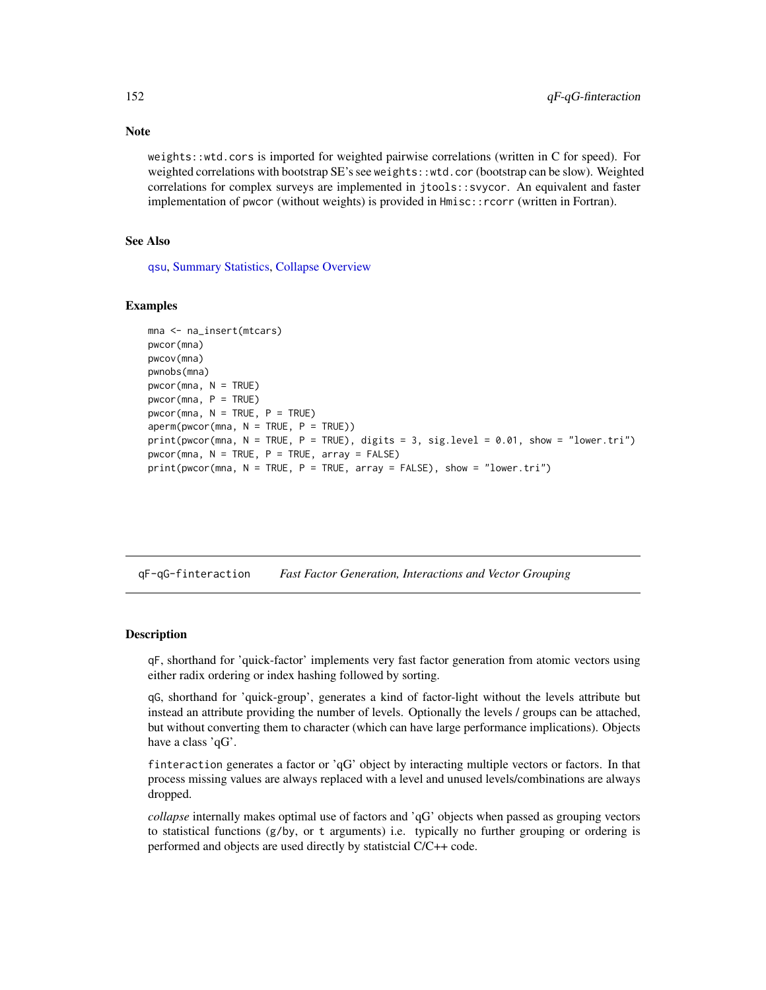weights::wtd.cors is imported for weighted pairwise correlations (written in C for speed). For weighted correlations with bootstrap SE's see weights::wtd.cor (bootstrap can be slow). Weighted correlations for complex surveys are implemented in jtools::svycor. An equivalent and faster implementation of pwcor (without weights) is provided in Hmisc::rcorr (written in Fortran).

### See Also

[qsu](#page-154-0), [Summary Statistics,](#page-178-0) [Collapse Overview](#page-23-0)

#### Examples

```
mna <- na_insert(mtcars)
pwcor(mna)
pwcov(mna)
pwnobs(mna)
pwcor(mna, N = TRUE)
pwcor(mna, P = TRUE)pwcor(mna, N = TRUE, P = TRUE)aperm(pwcor(mna, N = TRUE, P = TRUE))print(pwcor(mna, N = TRUE, P = TRUE), digits = 3, sig.level = 0.01, show = "lower.tri")
pwcor(mna, N = TRUE, P = TRUE, array = FALSE)print(pwcor(mna, N = TRUE, P = TRUE, array = FALSE), show = "lower.tri")
```
qF-qG-finteraction *Fast Factor Generation, Interactions and Vector Grouping*

## <span id="page-151-0"></span>**Description**

qF, shorthand for 'quick-factor' implements very fast factor generation from atomic vectors using either radix ordering or index hashing followed by sorting.

qG, shorthand for 'quick-group', generates a kind of factor-light without the levels attribute but instead an attribute providing the number of levels. Optionally the levels / groups can be attached, but without converting them to character (which can have large performance implications). Objects have a class 'qG'.

finteraction generates a factor or 'qG' object by interacting multiple vectors or factors. In that process missing values are always replaced with a level and unused levels/combinations are always dropped.

*collapse* internally makes optimal use of factors and 'qG' objects when passed as grouping vectors to statistical functions (g/by, or t arguments) i.e. typically no further grouping or ordering is performed and objects are used directly by statistcial C/C++ code.

# Note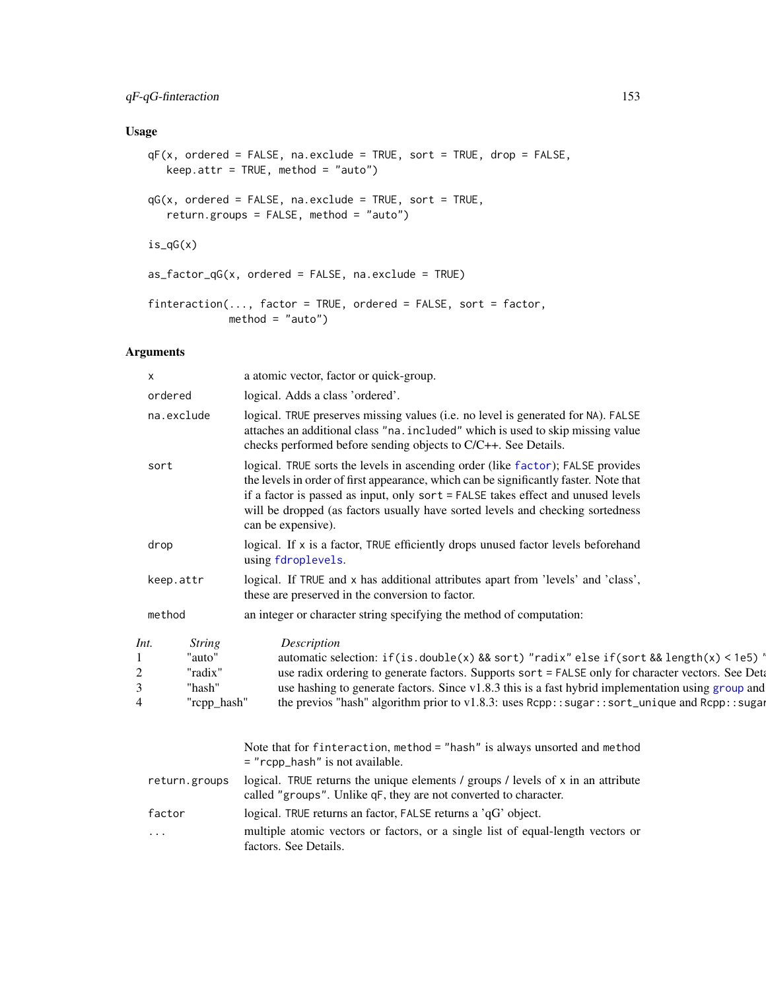## qF-qG-finteraction 153

## Usage

```
qF(x, ordered = FALSE, naు)exclude = TRUE, sort = TRUE, drop = FALSE,
  keep.attr = TRUE, method = "auto")qG(x, ordered = FALSE, na.execute = TRUE, sort = TRUE,return.groups = FALSE, method = "auto")
is_qG(x)
as_factor_qG(x, ordered = FALSE, na.exitude = TRUE)finteraction(..., factor = TRUE, ordered = FALSE, sort = factor,
            method = "auto")
```
# Arguments

|   | X                                                                   | a atomic vector, factor or quick-group.                                                                                                                                                                                                                                                                                                                                                                             |
|---|---------------------------------------------------------------------|---------------------------------------------------------------------------------------------------------------------------------------------------------------------------------------------------------------------------------------------------------------------------------------------------------------------------------------------------------------------------------------------------------------------|
|   | ordered                                                             | logical. Adds a class 'ordered'.                                                                                                                                                                                                                                                                                                                                                                                    |
|   | na.exclude                                                          | logical. TRUE preserves missing values (i.e. no level is generated for NA). FALSE<br>attaches an additional class "na. included" which is used to skip missing value<br>checks performed before sending objects to C/C++. See Details.                                                                                                                                                                              |
|   | sort                                                                | logical. TRUE sorts the levels in ascending order (like factor); FALSE provides<br>the levels in order of first appearance, which can be significantly faster. Note that<br>if a factor is passed as input, only sort = FALSE takes effect and unused levels<br>will be dropped (as factors usually have sorted levels and checking sortedness<br>can be expensive).                                                |
|   | drop                                                                | logical. If x is a factor, TRUE efficiently drops unused factor levels beforehand<br>using fdroplevels.                                                                                                                                                                                                                                                                                                             |
|   | keep.attr                                                           | logical. If TRUE and x has additional attributes apart from 'levels' and 'class',<br>these are preserved in the conversion to factor.                                                                                                                                                                                                                                                                               |
|   | method                                                              | an integer or character string specifying the method of computation:                                                                                                                                                                                                                                                                                                                                                |
| 4 | Int.<br><i>String</i><br>"auto"<br>"radix"<br>"hash"<br>"rcpp_hash" | Description<br>automatic selection: $if(is.double(x) & sort) "radix" else if (sort & length(x) < 1e5)$<br>use radix ordering to generate factors. Supports sort = FALSE only for character vectors. See Deta<br>use hashing to generate factors. Since $v1.8.3$ this is a fast hybrid implementation using group and<br>the previos "hash" algorithm prior to v1.8.3: uses Rcpp::sugar::sort_unique and Rcpp::sugar |
|   |                                                                     | Note that for finteraction, method = "hash" is always unsorted and method<br>= "rcpp_hash" is not available.                                                                                                                                                                                                                                                                                                        |
|   | return.groups                                                       | logical. TRUE returns the unique elements / groups / levels of x in an attribute<br>called "groups". Unlike qF, they are not converted to character.                                                                                                                                                                                                                                                                |
|   | factor                                                              | logical. TRUE returns an factor, FALSE returns a 'qG' object.                                                                                                                                                                                                                                                                                                                                                       |
|   | $\cdots$                                                            | multiple atomic vectors or factors, or a single list of equal-length vectors or<br>factors. See Details.                                                                                                                                                                                                                                                                                                            |
|   |                                                                     |                                                                                                                                                                                                                                                                                                                                                                                                                     |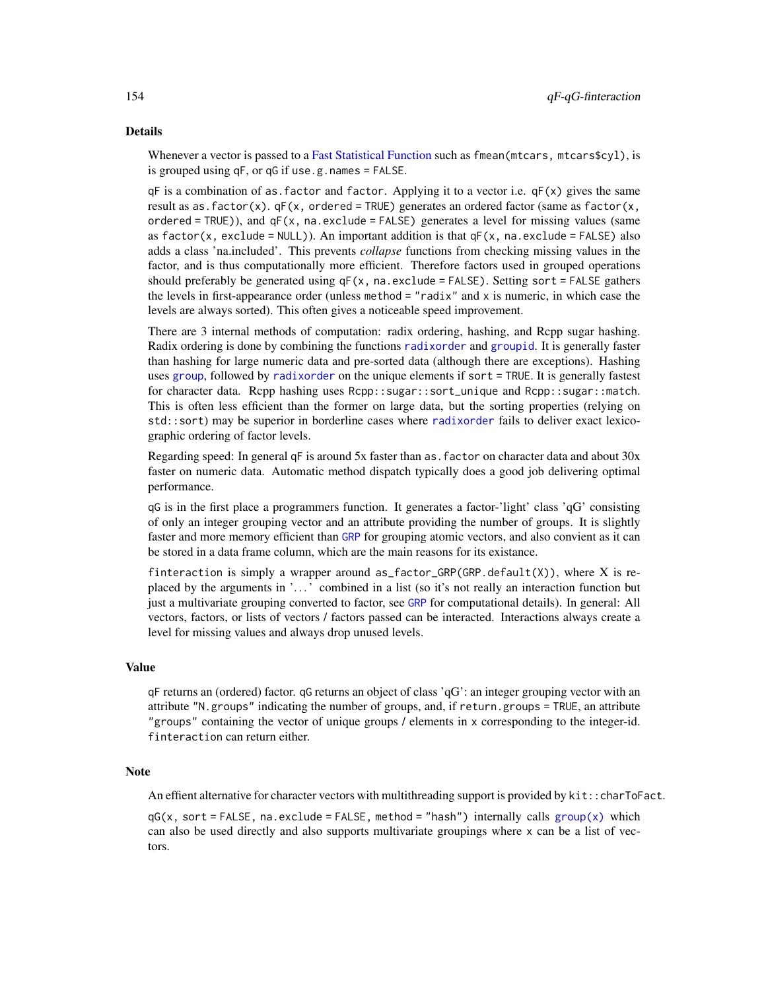## Details

Whenever a vector is passed to a [Fast Statistical Function](#page-41-0) such as fmean(mtcars, mtcars\$cyl), is is grouped using qF, or qG if use.g.names = FALSE.

 $qF$  is a combination of as. factor and factor. Applying it to a vector i.e.  $qF(x)$  gives the same result as as. factor(x).  $qF(x, \text{ ordered} = \text{TRUE})$  generates an ordered factor (same as factor(x, ordered = TRUE)), and  $qF(x, na.exclude = FALSE)$  generates a level for missing values (same as factor(x, exclude = NULL)). An important addition is that  $qF(x, na)$ . exclude = FALSE) also adds a class 'na.included'. This prevents *collapse* functions from checking missing values in the factor, and is thus computationally more efficient. Therefore factors used in grouped operations should preferably be generated using  $qF(x, na.exclude = FALSE)$ . Setting sort = FALSE gathers the levels in first-appearance order (unless method  $=$  "radix" and  $x$  is numeric, in which case the levels are always sorted). This often gives a noticeable speed improvement.

There are 3 internal methods of computation: radix ordering, hashing, and Rcpp sugar hashing. Radix ordering is done by combining the functions [radixorder](#page-164-0) and [groupid](#page-126-0). It is generally faster than hashing for large numeric data and pre-sorted data (although there are exceptions). Hashing uses [group](#page-124-0), followed by [radixorder](#page-164-0) on the unique elements if sort = TRUE. It is generally fastest for character data. Rcpp hashing uses Rcpp::sugar::sort\_unique and Rcpp::sugar::match. This is often less efficient than the former on large data, but the sorting properties (relying on std::sort) may be superior in borderline cases where [radixorder](#page-164-0) fails to deliver exact lexicographic ordering of factor levels.

Regarding speed: In general  $qF$  is around 5x faster than as factor on character data and about  $30x$ faster on numeric data. Automatic method dispatch typically does a good job delivering optimal performance.

qG is in the first place a programmers function. It generates a factor-'light' class 'qG' consisting of only an integer grouping vector and an attribute providing the number of groups. It is slightly faster and more memory efficient than [GRP](#page-127-0) for grouping atomic vectors, and also convient as it can be stored in a data frame column, which are the main reasons for its existance.

finteraction is simply a wrapper around as factor GRP(GRP.default(X)), where X is replaced by the arguments in '. . . ' combined in a list (so it's not really an interaction function but just a multivariate grouping converted to factor, see [GRP](#page-127-0) for computational details). In general: All vectors, factors, or lists of vectors / factors passed can be interacted. Interactions always create a level for missing values and always drop unused levels.

## Value

qF returns an (ordered) factor. qG returns an object of class 'qG': an integer grouping vector with an attribute "N.groups" indicating the number of groups, and, if return.groups = TRUE, an attribute "groups" containing the vector of unique groups / elements in x corresponding to the integer-id. finteraction can return either.

## **Note**

An effient alternative for character vectors with multithreading support is provided by kit::charToFact.

 $qG(x, sort = FALSE, na.execute = FALSE, method = "hash") internally calls group(x) which$  $qG(x, sort = FALSE, na.execute = FALSE, method = "hash") internally calls group(x) which$  $qG(x, sort = FALSE, na.execute = FALSE, method = "hash") internally calls group(x) which$ can also be used directly and also supports multivariate groupings where x can be a list of vectors.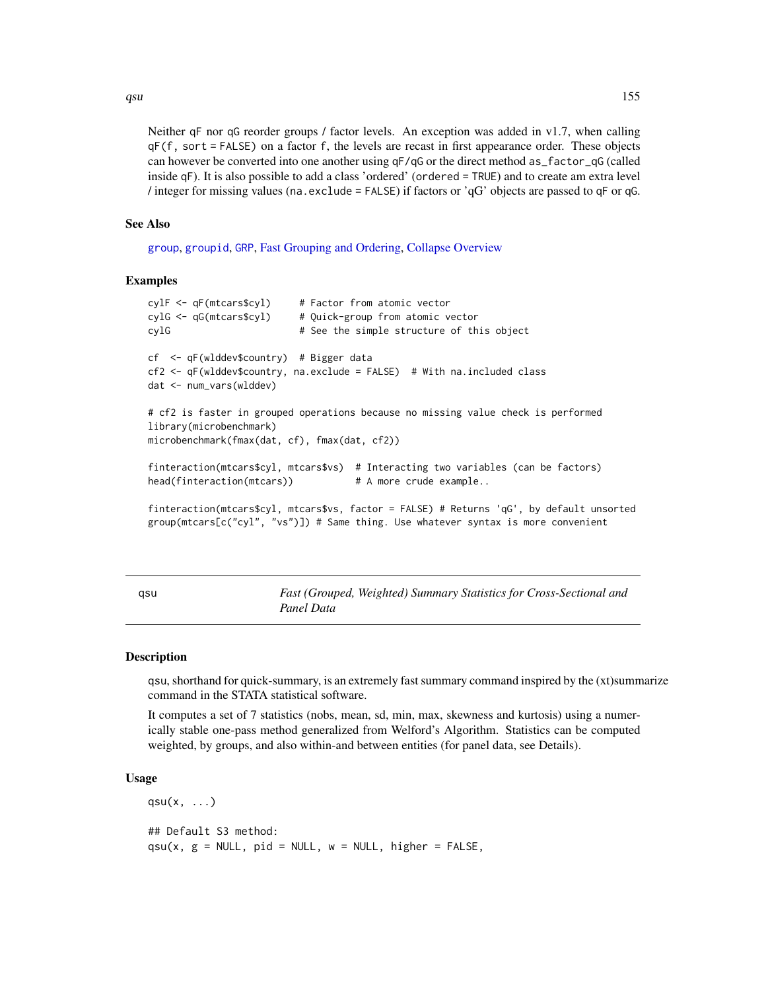Neither qF nor qG reorder groups / factor levels. An exception was added in  $v1.7$ , when calling qF(f, sort = FALSE) on a factor f, the levels are recast in first appearance order. These objects can however be converted into one another using  $qF/qG$  or the direct method as  $factor_qG$  (called inside qF). It is also possible to add a class 'ordered' (ordered = TRUE) and to create am extra level / integer for missing values (na.exclude = FALSE) if factors or 'qG' objects are passed to qF or qG.

#### See Also

[group](#page-124-0), [groupid](#page-126-0), [GRP](#page-127-0), [Fast Grouping and Ordering,](#page-39-0) [Collapse Overview](#page-23-0)

#### Examples

```
cylF <- qF(mtcars$cyl) # Factor from atomic vector
cylG <- qG(mtcars$cyl) # Quick-group from atomic vector
cylG # See the simple structure of this object
cf <- qF(wlddev$country) # Bigger data
cf2 <- qF(wlddev$country, na.exclude = FALSE) # With na.included class
dat <- num_vars(wlddev)
# cf2 is faster in grouped operations because no missing value check is performed
library(microbenchmark)
microbenchmark(fmax(dat, cf), fmax(dat, cf2))
finteraction(mtcars$cyl, mtcars$vs) # Interacting two variables (can be factors)
head(finteraction(mtcars)) # A more crude example..
finteraction(mtcars$cyl, mtcars$vs, factor = FALSE) # Returns 'qG', by default unsorted
group(mtcars[c("cyl", "vs")]) # Same thing. Use whatever syntax is more convenient
```
<span id="page-154-0"></span>qsu *Fast (Grouped, Weighted) Summary Statistics for Cross-Sectional and Panel Data*

#### **Description**

qsu, shorthand for quick-summary, is an extremely fast summary command inspired by the (xt)summarize command in the STATA statistical software.

It computes a set of 7 statistics (nobs, mean, sd, min, max, skewness and kurtosis) using a numerically stable one-pass method generalized from Welford's Algorithm. Statistics can be computed weighted, by groups, and also within-and between entities (for panel data, see Details).

### Usage

 $qsu(x, \ldots)$ ## Default S3 method:  $qsu(x, g = NULL, pid = NULL, w = NULL, higher = FALSE,$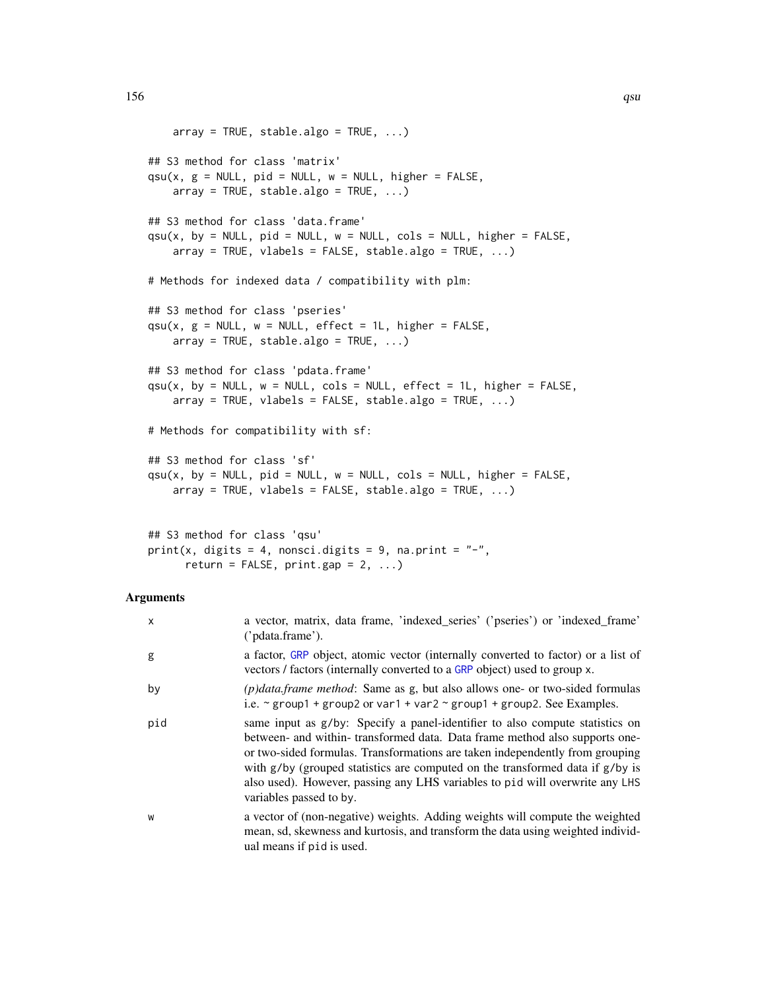```
array = TRUE, stable.algo = TRUE, ...)## S3 method for class 'matrix'
qsu(x, g = NULL, pid = NULL, w = NULL, higher = FALSE,array = TRUE, stable.algo = TRUE, ...)## S3 method for class 'data.frame'
qsu(x, by = NULL, pid = NULL, w = NULL, coils = NULL, higher = FALSE,array = TRUE, vlabels = FALSE, stable.algo = TRUE, ...)# Methods for indexed data / compatibility with plm:
## S3 method for class 'pseries'
qsu(x, g = NULL, w = NULL, effect = 1L, higher = FALSE,array = TRUE, stable.algo = TRUE, ...)## S3 method for class 'pdata.frame'
qsu(x, by = NULL, w = NULL, cols = NULL, effect = 1L, higher = FALSE,array = TRUE, vlabels = FALSE, stable.algo = TRUE, ...)# Methods for compatibility with sf:
## S3 method for class 'sf'
qsu(x, by = NULL, pid = NULL, w = NULL, coils = NULL, higher = FALSE,array = TRUE, vlabels = FALSE, stable.algo = TRUE, ...)## S3 method for class 'qsu'
```
print(x, digits = 4, nonsci.digits = 9, na.print =  $"$ -",

return = FALSE,  $print_{gap} = 2, ...$ 

#### Arguments

| x   | a vector, matrix, data frame, 'indexed_series' ('pseries') or 'indexed_frame'<br>('pdata.frame').                                                                                                                                                                                                                                                                                                                                           |
|-----|---------------------------------------------------------------------------------------------------------------------------------------------------------------------------------------------------------------------------------------------------------------------------------------------------------------------------------------------------------------------------------------------------------------------------------------------|
| g   | a factor, GRP object, atomic vector (internally converted to factor) or a list of<br>vectors / factors (internally converted to a GRP object) used to group x.                                                                                                                                                                                                                                                                              |
| by  | $(p)$ <i>data. frame method</i> : Same as g, but also allows one- or two-sided formulas<br>i.e. $\sim$ group1 + group2 or var1 + var2 $\sim$ group1 + group2. See Examples.                                                                                                                                                                                                                                                                 |
| pid | same input as g/by: Specify a panel-identifier to also compute statistics on<br>between- and within- transformed data. Data frame method also supports one-<br>or two-sided formulas. Transformations are taken independently from grouping<br>with $g/by$ (grouped statistics are computed on the transformed data if $g/by$ is<br>also used). However, passing any LHS variables to pid will overwrite any LHS<br>variables passed to by. |
| W   | a vector of (non-negative) weights. Adding weights will compute the weighted<br>mean, sd, skewness and kurtosis, and transform the data using weighted individ-<br>ual means if pid is used.                                                                                                                                                                                                                                                |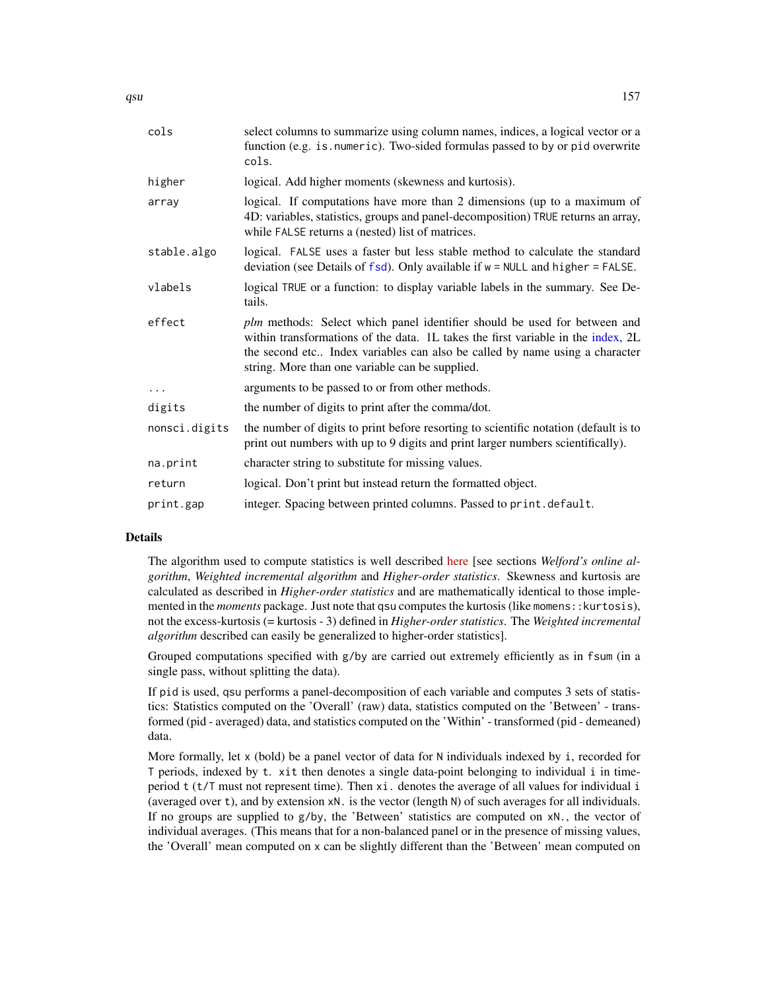| cols          | select columns to summarize using column names, indices, a logical vector or a<br>function (e.g. is. numeric). Two-sided formulas passed to by or pid overwrite<br>cols.                                                                                                                        |
|---------------|-------------------------------------------------------------------------------------------------------------------------------------------------------------------------------------------------------------------------------------------------------------------------------------------------|
| higher        | logical. Add higher moments (skewness and kurtosis).                                                                                                                                                                                                                                            |
| array         | logical. If computations have more than 2 dimensions (up to a maximum of<br>4D: variables, statistics, groups and panel-decomposition) TRUE returns an array,<br>while FALSE returns a (nested) list of matrices.                                                                               |
| stable.algo   | logical. FALSE uses a faster but less stable method to calculate the standard<br>deviation (see Details of $fsd$ ). Only available if $w = NULL$ and higher = FALSE.                                                                                                                            |
| vlabels       | logical TRUE or a function: to display variable labels in the summary. See De-<br>tails.                                                                                                                                                                                                        |
| effect        | plm methods: Select which panel identifier should be used for between and<br>within transformations of the data. 1L takes the first variable in the index, 2L<br>the second etc Index variables can also be called by name using a character<br>string. More than one variable can be supplied. |
| $\cdots$      | arguments to be passed to or from other methods.                                                                                                                                                                                                                                                |
| digits        | the number of digits to print after the comma/dot.                                                                                                                                                                                                                                              |
| nonsci.digits | the number of digits to print before resorting to scientific notation (default is to<br>print out numbers with up to 9 digits and print larger numbers scientifically).                                                                                                                         |
| na.print      | character string to substitute for missing values.                                                                                                                                                                                                                                              |
| return        | logical. Don't print but instead return the formatted object.                                                                                                                                                                                                                                   |
| print.gap     | integer. Spacing between printed columns. Passed to print.default.                                                                                                                                                                                                                              |
|               |                                                                                                                                                                                                                                                                                                 |

### Details

The algorithm used to compute statistics is well described [here](https://en.wikipedia.org/wiki/Algorithms_for_calculating_variance) [see sections *Welford's online algorithm*, *Weighted incremental algorithm* and *Higher-order statistics*. Skewness and kurtosis are calculated as described in *Higher-order statistics* and are mathematically identical to those implemented in the *moments* package. Just note that qsu computes the kurtosis (like momens:: kurtosis), not the excess-kurtosis (= kurtosis - 3) defined in *Higher-order statistics*. The *Weighted incremental algorithm* described can easily be generalized to higher-order statistics].

Grouped computations specified with  $g/by$  are carried out extremely efficiently as in fsum (in a single pass, without splitting the data).

If pid is used, qsu performs a panel-decomposition of each variable and computes 3 sets of statistics: Statistics computed on the 'Overall' (raw) data, statistics computed on the 'Between' - transformed (pid - averaged) data, and statistics computed on the 'Within' - transformed (pid - demeaned) data.

More formally, let  $x$  (bold) be a panel vector of data for N individuals indexed by i, recorded for T periods, indexed by t. xit then denotes a single data-point belonging to individual i in timeperiod t (t/T must not represent time). Then xi. denotes the average of all values for individual i (averaged over t), and by extension xN. is the vector (length N) of such averages for all individuals. If no groups are supplied to  $g/by$ , the 'Between' statistics are computed on  $xN$ ., the vector of individual averages. (This means that for a non-balanced panel or in the presence of missing values, the 'Overall' mean computed on x can be slightly different than the 'Between' mean computed on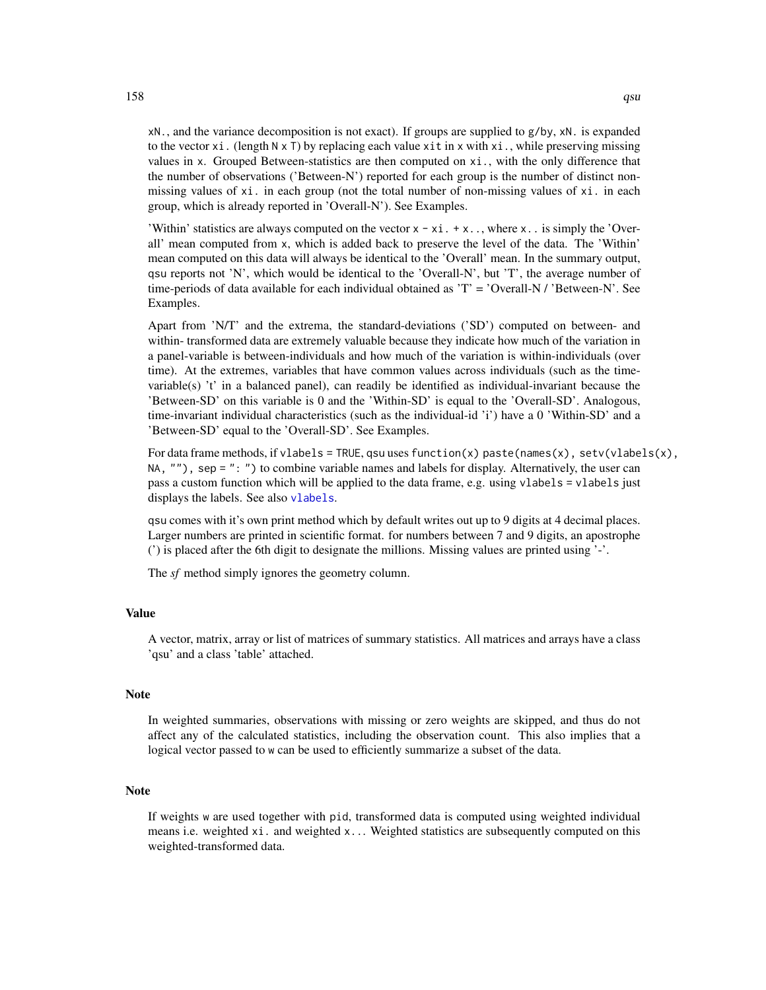xN., and the variance decomposition is not exact). If groups are supplied to g/by, xN. is expanded to the vector xi. (length  $N \times T$ ) by replacing each value xit in x with xi., while preserving missing values in x. Grouped Between-statistics are then computed on xi., with the only difference that the number of observations ('Between-N') reported for each group is the number of distinct nonmissing values of xi. in each group (not the total number of non-missing values of xi. in each group, which is already reported in 'Overall-N'). See Examples.

'Within' statistics are always computed on the vector  $x - xi + x$ .., where x.. is simply the 'Overall' mean computed from x, which is added back to preserve the level of the data. The 'Within' mean computed on this data will always be identical to the 'Overall' mean. In the summary output, qsu reports not 'N', which would be identical to the 'Overall-N', but 'T', the average number of time-periods of data available for each individual obtained as 'T' = 'Overall-N / 'Between-N'. See Examples.

Apart from 'N/T' and the extrema, the standard-deviations ('SD') computed on between- and within- transformed data are extremely valuable because they indicate how much of the variation in a panel-variable is between-individuals and how much of the variation is within-individuals (over time). At the extremes, variables that have common values across individuals (such as the timevariable(s)  $\dot{t}$  in a balanced panel), can readily be identified as individual-invariant because the 'Between-SD' on this variable is 0 and the 'Within-SD' is equal to the 'Overall-SD'. Analogous, time-invariant individual characteristics (such as the individual-id 'i') have a 0 'Within-SD' and a 'Between-SD' equal to the 'Overall-SD'. See Examples.

For data frame methods, if vlabels = TRUE, qsu uses function(x) paste(names(x), setv(vlabels(x), NA, ""), sep = ": ") to combine variable names and labels for display. Alternatively, the user can pass a custom function which will be applied to the data frame, e.g. using vlabels = vlabels just displays the labels. See also [vlabels](#page-175-1).

qsu comes with it's own print method which by default writes out up to 9 digits at 4 decimal places. Larger numbers are printed in scientific format. for numbers between 7 and 9 digits, an apostrophe (') is placed after the 6th digit to designate the millions. Missing values are printed using '-'.

The *sf* method simply ignores the geometry column.

### Value

A vector, matrix, array or list of matrices of summary statistics. All matrices and arrays have a class 'qsu' and a class 'table' attached.

## Note

In weighted summaries, observations with missing or zero weights are skipped, and thus do not affect any of the calculated statistics, including the observation count. This also implies that a logical vector passed to w can be used to efficiently summarize a subset of the data.

### Note

If weights w are used together with pid, transformed data is computed using weighted individual means i.e. weighted xi. and weighted x... Weighted statistics are subsequently computed on this weighted-transformed data.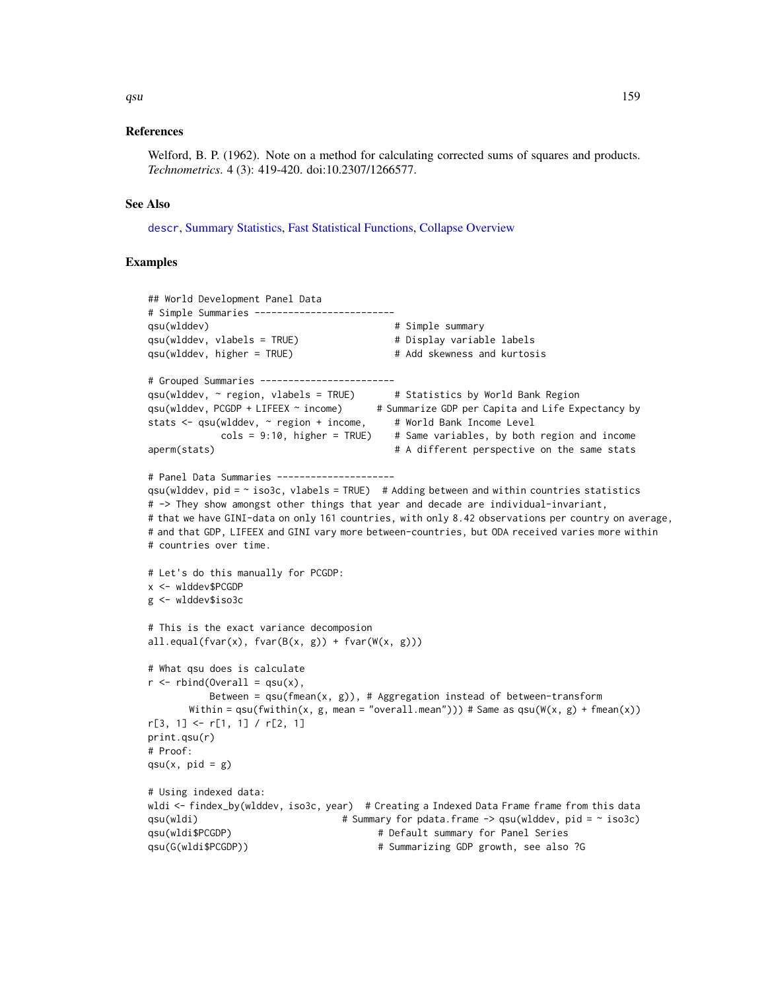#### References

Welford, B. P. (1962). Note on a method for calculating corrected sums of squares and products. *Technometrics*. 4 (3): 419-420. doi:10.2307/1266577.

### See Also

[descr](#page-32-0), [Summary Statistics,](#page-178-0) [Fast Statistical Functions,](#page-41-0) [Collapse Overview](#page-23-0)

### Examples

```
## World Development Panel Data
# Simple Summaries -------------------------
qsu(wlddev) # Simple summary
qsu(wlddev, vlabels = TRUE) # Display variable labels
qsu(wlddev, higher = TRUE) # Add skewness and kurtosis
# Grouped Summaries ------------------------
qsu(wlddev, ~ region, vlabels = TRUE) # Statistics by World Bank Region
qsu(wlddev, PCGDP + LIFEEX ~ income) # Summarize GDP per Capita and Life Expectancy by
stats <- qsu(wlddev, ~ region + income, # World Bank Income Level
           \text{cols} = 9:10, higher = TRUE) # Same variables, by both region and income
aperm(stats) # A different perspective on the same stats
# Panel Data Summaries ---------------------
qsu(wlddev, pid = \sim iso3c, vlabels = TRUE) # Adding between and within countries statistics
# -> They show amongst other things that year and decade are individual-invariant,
# that we have GINI-data on only 161 countries, with only 8.42 observations per country on average,
# and that GDP, LIFEEX and GINI vary more between-countries, but ODA received varies more within
# countries over time.
# Let's do this manually for PCGDP:
x <- wlddev$PCGDP
g <- wlddev$iso3c
# This is the exact variance decomposion
all.equals(fvar(x), far(B(x, g)) + fvar(W(x, g)))# What qsu does is calculate
r \le rbind(Overall = qsu(x),
          Between = qsu(fmean(x, g)), # Aggregation instead of between-transform
      Within = qsu(fwithin(x, g, mean = "overall.mean"))) # Same as qsu(W(x, g) + fmean(x))r[3, 1] <- r[1, 1] / r[2, 1]
print.qsu(r)
# Proof:
qsu(x, pid = g)# Using indexed data:
wldi <- findex_by(wlddev, iso3c, year) # Creating a Indexed Data Frame frame from this data
qsu(wldi) \qquad # Summary for pdata.frame -> qsu(wlddev, pid = ~ iso3c)
qsu(wldi$PCGDP) # Default summary for Panel Series
qsu(G(wldi$PCGDP)) \qquad # Summarizing GDP growth, see also ?G
```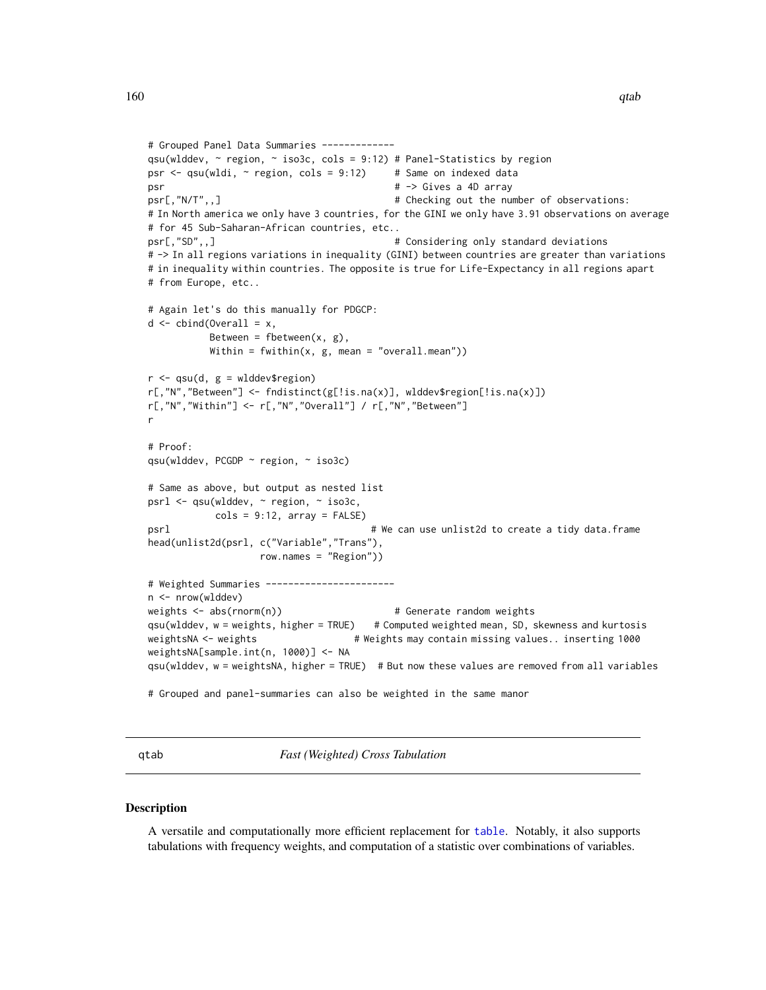```
# Grouped Panel Data Summaries -------------
qsu(wlddev, ~ region, ~ iso3c, cols = 9:12) # Panel-Statistics by region
psr \leq qsu(wldi, \sim region, cols = 9:12) # Same on indexed data
psr \# \rightarrow Gives a 4D array
psr[,"N/T",,] # Checking out the number of observations:
# In North america we only have 3 countries, for the GINI we only have 3.91 observations on average
# for 45 Sub-Saharan-African countries, etc..
psr[,"SD",,] # Considering only standard deviations
# -> In all regions variations in inequality (GINI) between countries are greater than variations
# in inequality within countries. The opposite is true for Life-Expectancy in all regions apart
# from Europe, etc..
# Again let's do this manually for PDGCP:
d \le - \text{cbind}(\text{Overall} = x,Between = fbetween(x, g),
          Within = fwithin(x, g, mean = "overall mean"))r <- qsu(d, g = wlddev$region)
r[,"N","Between"] <- fndistinct(g[!is.na(x)], wlddev$region[!is.na(x)])
r[,"N","Within"] <- r[,"N","Overall"] / r[,"N","Between"]
r
# Proof:
qsu(wlddev, PCGDP ~ region, ~ iso3c)
# Same as above, but output as nested list
psrl <- qsu(wlddev, ~ region, ~ iso3c,
           \text{cols} = 9:12, \text{array} = \text{FALSE}psrl # We can use unlist2d to create a tidy data.frame
head(unlist2d(psrl, c("Variable","Trans"),
                  row.names = "Region"))
# Weighted Summaries -----------------------
n <- nrow(wlddev)
weights <- abs(rnorm(n)) # Generate random weights
qsu(wlddev, w = weights, higher = TRUE) # Computed weighted mean, SD, skewness and kurtosis
weightsNA <- weights # Weights may contain missing values.. inserting 1000
weightsNA[sample.int(n, 1000)] <- NA
qsu(wlddev, w = weightsNA, higher = TRUE) # But now these values are removed from all variables
# Grouped and panel-summaries can also be weighted in the same manor
```
<span id="page-159-0"></span>qtab *Fast (Weighted) Cross Tabulation*

#### **Description**

A versatile and computationally more efficient replacement for [table](#page-0-0). Notably, it also supports tabulations with frequency weights, and computation of a statistic over combinations of variables.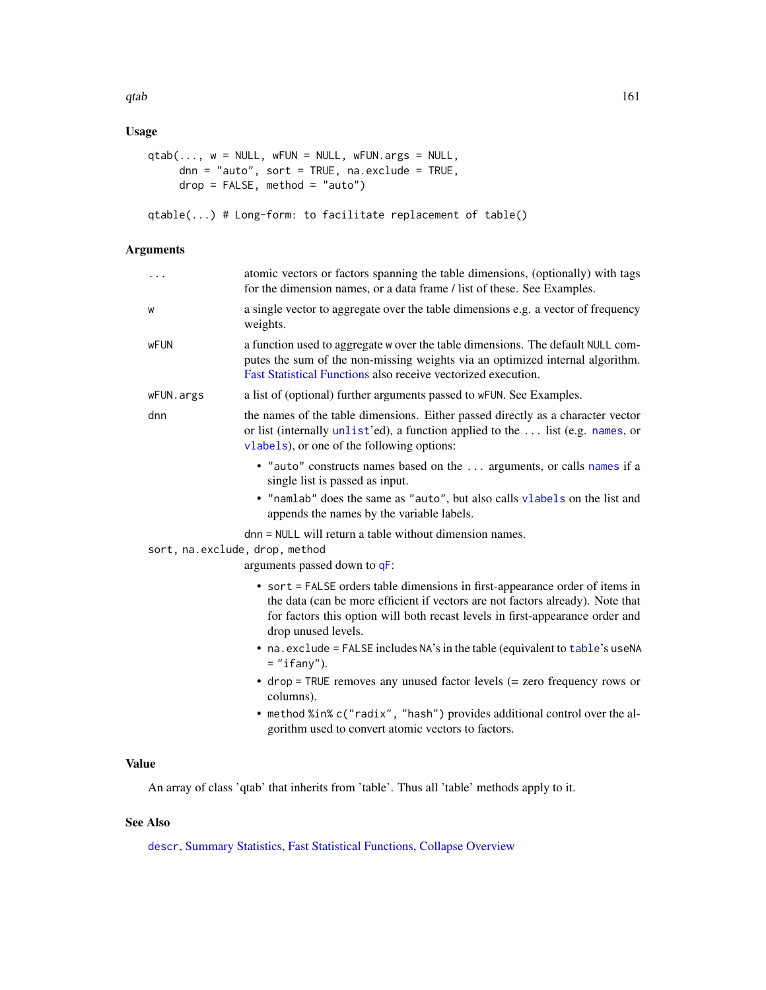## Usage

```
qtab(..., w = NULL, wFUN = NULL, wFUN.args = NULL,dnn = "auto", sort = TRUE, na.exclude = TRUE,
    drop = FALSE, method = "auto")
```

```
qtable(...) # Long-form: to facilitate replacement of table()
```
## Arguments

| .                              | atomic vectors or factors spanning the table dimensions, (optionally) with tags<br>for the dimension names, or a data frame / list of these. See Examples.                                                                                                             |
|--------------------------------|------------------------------------------------------------------------------------------------------------------------------------------------------------------------------------------------------------------------------------------------------------------------|
| W                              | a single vector to aggregate over the table dimensions e.g. a vector of frequency<br>weights.                                                                                                                                                                          |
| <b>wFUN</b>                    | a function used to aggregate w over the table dimensions. The default NULL com-<br>putes the sum of the non-missing weights via an optimized internal algorithm.<br>Fast Statistical Functions also receive vectorized execution.                                      |
| wFUN.args                      | a list of (optional) further arguments passed to wFUN. See Examples.                                                                                                                                                                                                   |
| dnn                            | the names of the table dimensions. Either passed directly as a character vector<br>or list (internally unlist'ed), a function applied to the  list (e.g. names, or<br>vlabels), or one of the following options:                                                       |
|                                | • "auto" constructs names based on the  arguments, or calls names if a<br>single list is passed as input.                                                                                                                                                              |
|                                | . "namlab" does the same as "auto", but also calls vlabels on the list and<br>appends the names by the variable labels.                                                                                                                                                |
| sort, na.exclude, drop, method | dnn = NULL will return a table without dimension names.                                                                                                                                                                                                                |
|                                | arguments passed down to qF:                                                                                                                                                                                                                                           |
|                                | • sort = FALSE orders table dimensions in first-appearance order of items in<br>the data (can be more efficient if vectors are not factors already). Note that<br>for factors this option will both recast levels in first-appearance order and<br>drop unused levels. |
|                                | • na. exclude = FALSE includes NA's in the table (equivalent to table's useNA<br>$=$ "ifany").                                                                                                                                                                         |
|                                | $\bullet$ drop = TRUE removes any unused factor levels (= zero frequency rows or<br>columns).                                                                                                                                                                          |
|                                |                                                                                                                                                                                                                                                                        |

• method %in% c("radix", "hash") provides additional control over the algorithm used to convert atomic vectors to factors.

# Value

An array of class 'qtab' that inherits from 'table'. Thus all 'table' methods apply to it.

# See Also

[descr](#page-32-0), [Summary Statistics,](#page-178-0) [Fast Statistical Functions,](#page-41-0) [Collapse Overview](#page-23-0)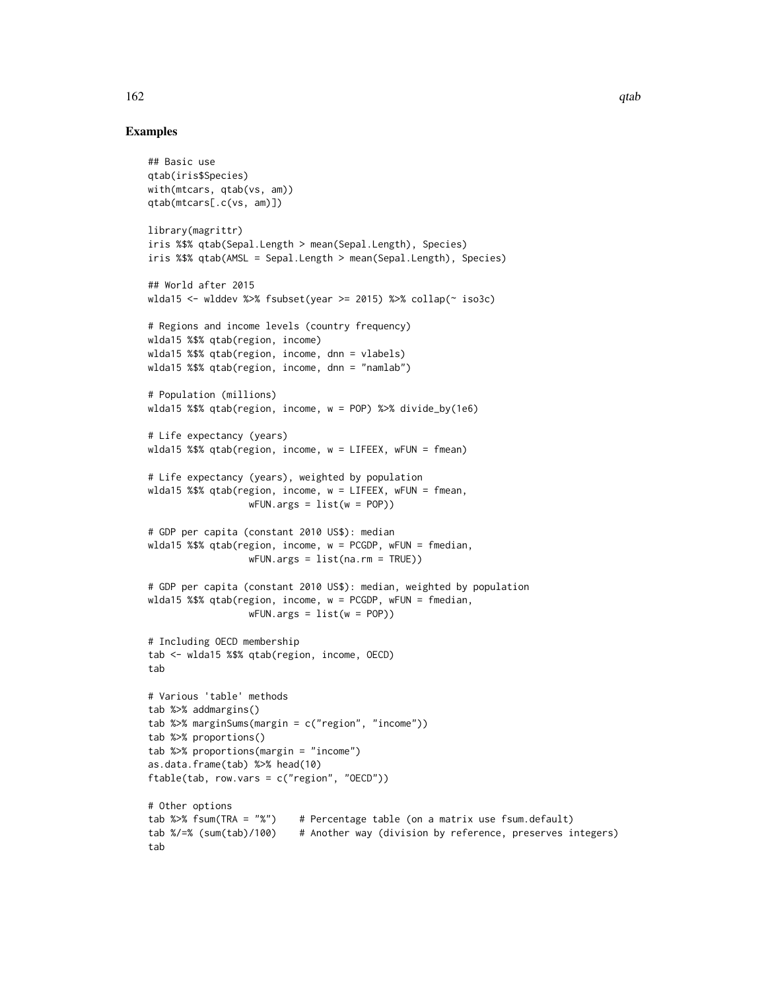## Examples

```
## Basic use
qtab(iris$Species)
with(mtcars, qtab(vs, am))
qtab(mtcars[.c(vs, am)])
library(magrittr)
iris %$% qtab(Sepal.Length > mean(Sepal.Length), Species)
iris %$% qtab(AMSL = Sepal.Length > mean(Sepal.Length), Species)
## World after 2015
wlda15 <- wlddev %>% fsubset(year >= 2015) %>% collap(~ iso3c)
# Regions and income levels (country frequency)
wlda15 %$% qtab(region, income)
wlda15 %$% qtab(region, income, dnn = vlabels)
wlda15 %$% qtab(region, income, dnn = "namlab")
# Population (millions)
wlda15 %$% qtab(region, income, w = POP) %>% divide_by(1e6)
# Life expectancy (years)
wlda15 %$% qtab(region, income, w = LIFEEX, wFUN = fmean)
# Life expectancy (years), weighted by population
wlda15 %$% qtab(region, income, w = LIFEEX, wFUN = fmean,
                  wFUN.args = list(w = POP)# GDP per capita (constant 2010 US$): median
wlda15 %$% qtab(region, income, w = PCGDP, wFUN = fmedian,
                  wFUN.args = list(na.rm = TRUE))
# GDP per capita (constant 2010 US$): median, weighted by population
wlda15 %$% qtab(region, income, w = PCGDP, wFUN = fmedian,
                  wFUN.argv = list(w = POP))# Including OECD membership
tab <- wlda15 %$% qtab(region, income, OECD)
tab
# Various 'table' methods
tab %>% addmargins()
tab %>% marginSums(margin = c("region", "income"))
tab %>% proportions()
tab %>% proportions(margin = "income")
as.data.frame(tab) %>% head(10)
ftable(tab, row.vars = c("region", "OECD"))
# Other options
tab %>% fsum(TRA = "%") # Percentage table (on a matrix use fsum.default)
tab %/=% (sum(tab)/100) # Another way (division by reference, preserves integers)
tab
```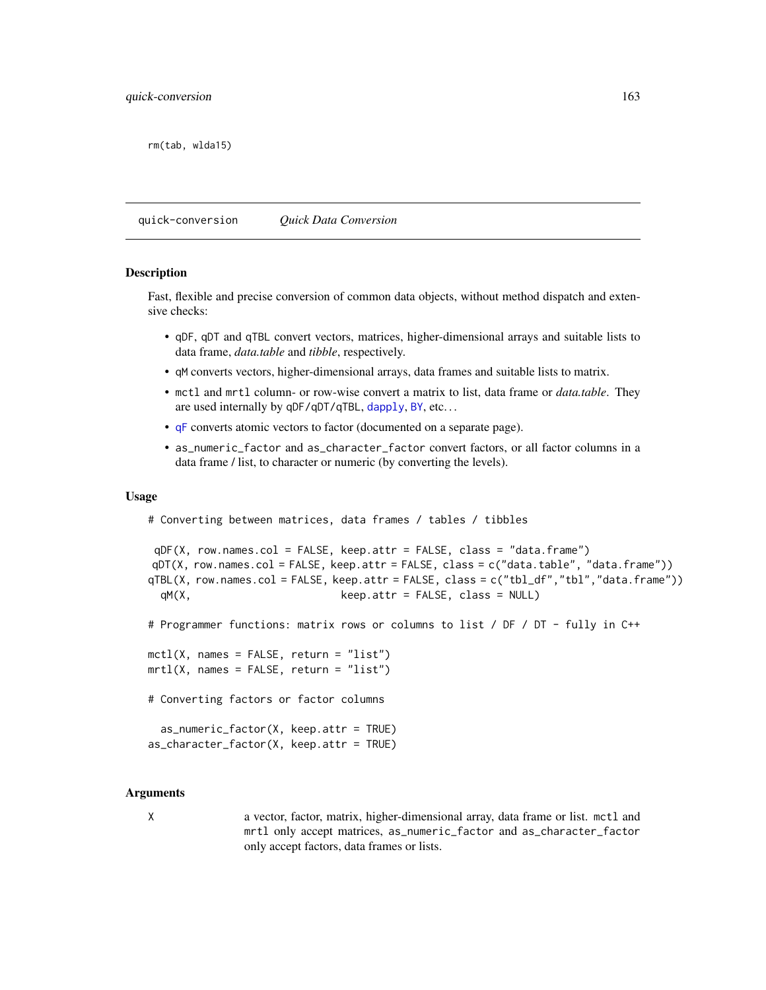rm(tab, wlda15)

quick-conversion *Quick Data Conversion*

#### <span id="page-162-0"></span>Description

Fast, flexible and precise conversion of common data objects, without method dispatch and extensive checks:

- qDF, qDT and qTBL convert vectors, matrices, higher-dimensional arrays and suitable lists to data frame, *data.table* and *tibble*, respectively.
- qM converts vectors, higher-dimensional arrays, data frames and suitable lists to matrix.
- mctl and mrtl column- or row-wise convert a matrix to list, data frame or *data.table*. They are used internally by qDF/qDT/qTBL, [dapply](#page-28-0), [BY](#page-15-0), etc...
- [qF](#page-151-0) converts atomic vectors to factor (documented on a separate page).
- as\_numeric\_factor and as\_character\_factor convert factors, or all factor columns in a data frame / list, to character or numeric (by converting the levels).

#### Usage

```
# Converting between matrices, data frames / tables / tibbles
```

```
qDF(X, row.names.col = FALSE, keep.attr = FALSE, class = "data.frame")
qDT(X, row.names.col = FALSE, keep.attr = FALSE, class = c("data.table", "data.frame"))
qTBL(X, row.names.col = FALSE, keep.attr = FALSE, class = c("tbl_df","tbl","data.frame"))
 qM(X, keep.attr = FALSE, class = NULL)
```
# Programmer functions: matrix rows or columns to list / DF / DT - fully in C++

 $mctl(X, names = FALSE, return = "list")$  $mrtl(X, names = FALSE, return = "list")$ 

# Converting factors or factor columns

```
as_numeric_factor(X, keep.attr = TRUE)
as_character_factor(X, keep.attr = TRUE)
```
### Arguments

X a vector, factor, matrix, higher-dimensional array, data frame or list. mctl and mrtl only accept matrices, as\_numeric\_factor and as\_character\_factor only accept factors, data frames or lists.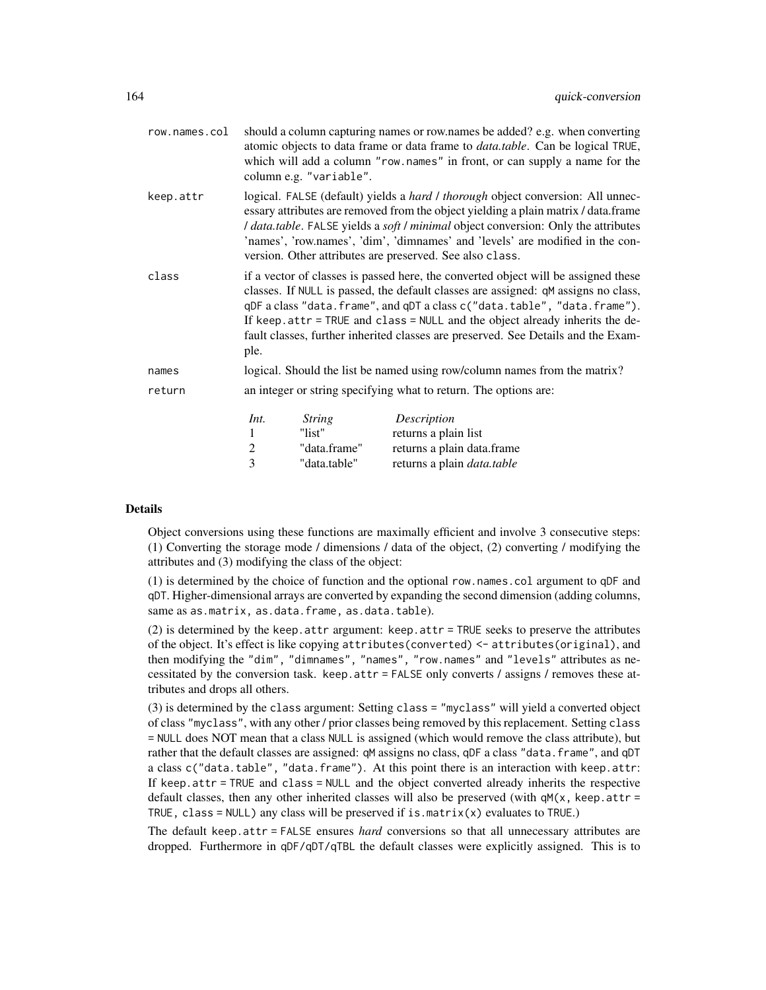| row.names.col |                                                                                                                                                                                                                                                                                                                                                                                                                                   | column e.g. "variable".                                 | should a column capturing names or row names be added? e.g. when converting<br>atomic objects to data frame or data frame to <i>data.table</i> . Can be logical TRUE,<br>which will add a column "row.names" in front, or can supply a name for the |
|---------------|-----------------------------------------------------------------------------------------------------------------------------------------------------------------------------------------------------------------------------------------------------------------------------------------------------------------------------------------------------------------------------------------------------------------------------------|---------------------------------------------------------|-----------------------------------------------------------------------------------------------------------------------------------------------------------------------------------------------------------------------------------------------------|
| keep.attr     | logical. FALSE (default) yields a hard / thorough object conversion: All unnec-<br>essary attributes are removed from the object yielding a plain matrix / data.frame<br>I data.table. FALSE yields a soft I minimal object conversion: Only the attributes<br>'names', 'row.names', 'dim', 'dimnames' and 'levels' are modified in the con-<br>version. Other attributes are preserved. See also class.                          |                                                         |                                                                                                                                                                                                                                                     |
| class         | if a vector of classes is passed here, the converted object will be assigned these<br>classes. If NULL is passed, the default classes are assigned: qM assigns no class,<br>qDF a class "data.frame", and qDT a class c("data.table", "data.frame").<br>If keep.attr = TRUE and class = NULL and the object already inherits the de-<br>fault classes, further inherited classes are preserved. See Details and the Exam-<br>ple. |                                                         |                                                                                                                                                                                                                                                     |
| names         |                                                                                                                                                                                                                                                                                                                                                                                                                                   |                                                         | logical. Should the list be named using row/column names from the matrix?                                                                                                                                                                           |
| return        |                                                                                                                                                                                                                                                                                                                                                                                                                                   |                                                         | an integer or string specifying what to return. The options are:                                                                                                                                                                                    |
|               | Int.<br>1<br>$\overline{c}$<br>3                                                                                                                                                                                                                                                                                                                                                                                                  | <i>String</i><br>"list"<br>"data.frame"<br>"data.table" | Description<br>returns a plain list<br>returns a plain data.frame<br>returns a plain <i>data.table</i>                                                                                                                                              |

## Details

Object conversions using these functions are maximally efficient and involve 3 consecutive steps: (1) Converting the storage mode / dimensions / data of the object, (2) converting / modifying the attributes and (3) modifying the class of the object:

(1) is determined by the choice of function and the optional row.names.col argument to qDF and qDT. Higher-dimensional arrays are converted by expanding the second dimension (adding columns, same as as.matrix, as.data.frame, as.data.table).

 $(2)$  is determined by the keep.attr argument: keep.attr = TRUE seeks to preserve the attributes of the object. It's effect is like copying attributes(converted) <- attributes(original), and then modifying the "dim", "dimnames", "names", "row.names" and "levels" attributes as necessitated by the conversion task. keep.attr = FALSE only converts / assigns / removes these attributes and drops all others.

(3) is determined by the class argument: Setting class = "myclass" will yield a converted object of class "myclass", with any other / prior classes being removed by this replacement. Setting class = NULL does NOT mean that a class NULL is assigned (which would remove the class attribute), but rather that the default classes are assigned: qM assigns no class, qDF a class "data.frame", and qDT a class c("data.table", "data.frame"). At this point there is an interaction with keep.attr: If keep.attr = TRUE and class = NULL and the object converted already inherits the respective default classes, then any other inherited classes will also be preserved (with  $\varphi(x)$ , keep.attr = TRUE, class =  $NULL$ ) any class will be preserved if is.matrix(x) evaluates to TRUE.)

The default keep.attr = FALSE ensures *hard* conversions so that all unnecessary attributes are dropped. Furthermore in qDF/qDT/qTBL the default classes were explicitly assigned. This is to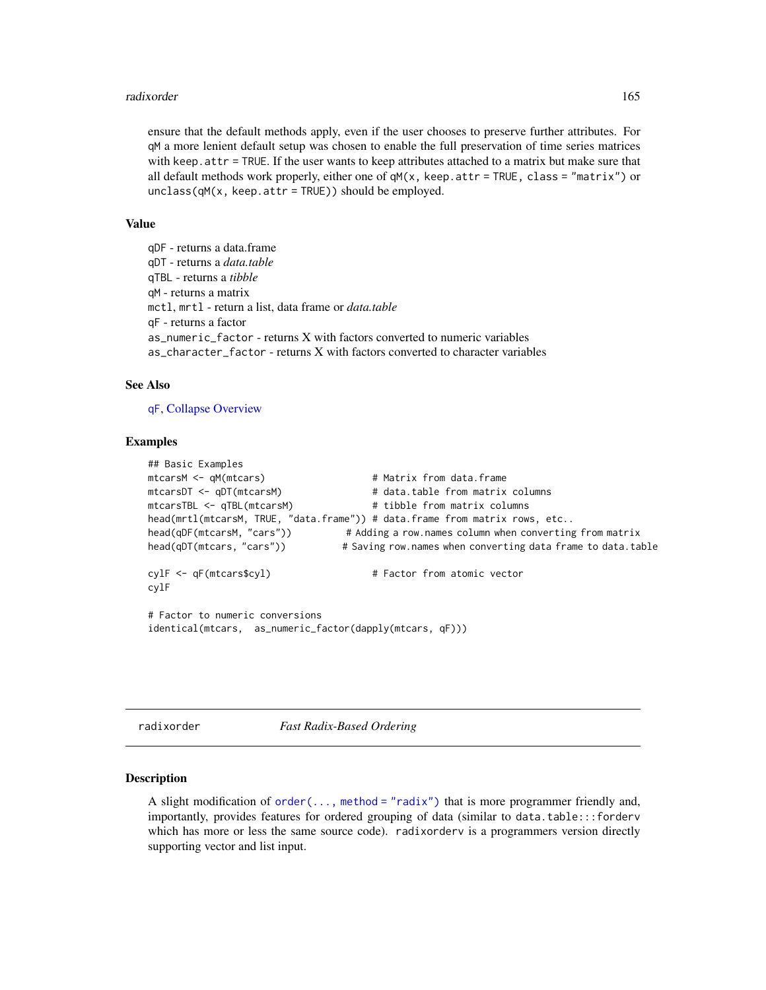### radixorder 165

ensure that the default methods apply, even if the user chooses to preserve further attributes. For qM a more lenient default setup was chosen to enable the full preservation of time series matrices with keep.attr = TRUE. If the user wants to keep attributes attached to a matrix but make sure that all default methods work properly, either one of  $qM(x)$ , keep.attr = TRUE, class = "matrix") or unclass(qM(x, keep.attr = TRUE)) should be employed.

### Value

qDF - returns a data.frame qDT - returns a *data.table* qTBL - returns a *tibble* qM - returns a matrix mctl, mrtl - return a list, data frame or *data.table* qF - returns a factor as\_numeric\_factor - returns X with factors converted to numeric variables as\_character\_factor - returns X with factors converted to character variables

### See Also

[qF](#page-151-0), [Collapse Overview](#page-23-0)

## Examples

```
## Basic Examples
mtcarsM <- qM(mtcars) # Matrix from data.frame
mtcarsDT <- qDT(mtcarsM) # data.table from matrix columns
mtcarsTBL <- qTBL(mtcarsM) # tibble from matrix columns
head(mrtl(mtcarsM, TRUE, "data.frame")) # data.frame from matrix rows, etc..
head(qDF(mtcarsM, "cars")) # Adding a row.names column when converting from matrix
head(qDT(mtcars, "cars")) # Saving row.names when converting data frame to data.table
cylF <- qF(mtcars$cyl) # Factor from atomic vector
cylF
# Factor to numeric conversions
identical(mtcars, as_numeric_factor(dapply(mtcars, qF)))
```
<span id="page-164-0"></span>radixorder *Fast Radix-Based Ordering*

### <span id="page-164-1"></span>Description

A slight modification of  $order(\ldots, method = "radix")$  that is more programmer friendly and, importantly, provides features for ordered grouping of data (similar to data.table:::forderv which has more or less the same source code). radixorderv is a programmers version directly supporting vector and list input.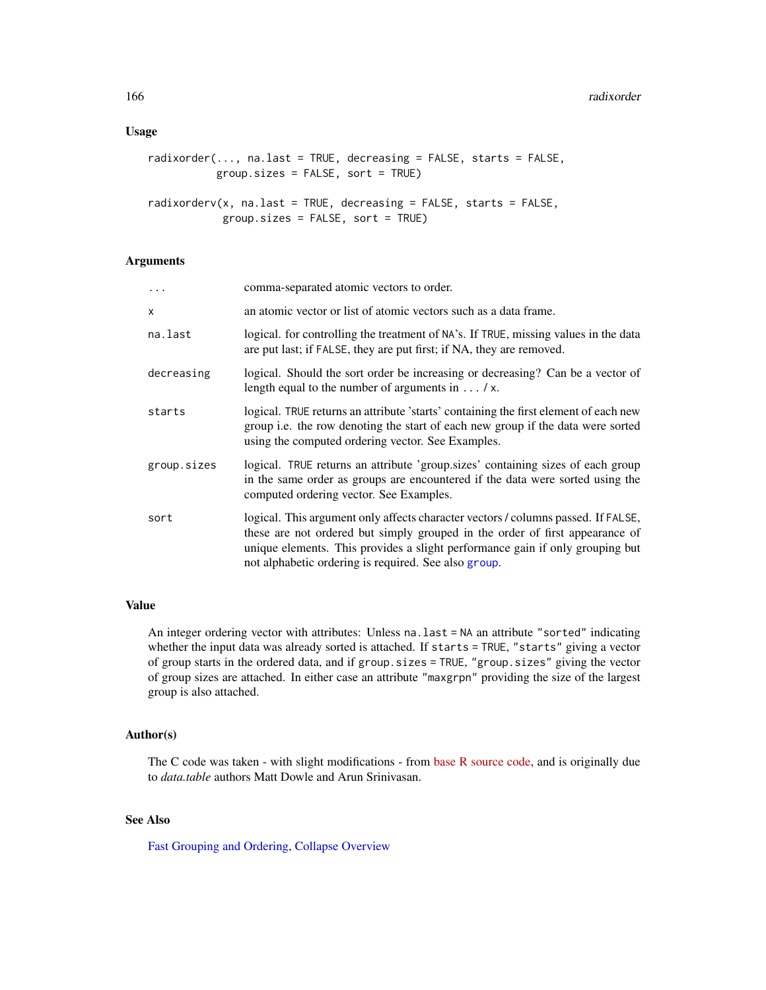### Usage

```
radixorder(..., na.last = TRUE, decreasing = FALSE, starts = FALSE,
          group.sizes = FALSE, sort = TRUE)
```

```
radixorderv(x, na.last = TRUE, decreasing = FALSE, starts = FALSE,
            group.sizes = FALSE, sort = TRUE)
```
## Arguments

| $\ddotsc$   | comma-separated atomic vectors to order.                                                                                                                                                                                                                                                                   |
|-------------|------------------------------------------------------------------------------------------------------------------------------------------------------------------------------------------------------------------------------------------------------------------------------------------------------------|
| X           | an atomic vector or list of atomic vectors such as a data frame.                                                                                                                                                                                                                                           |
| na.last     | logical. for controlling the treatment of NA's. If TRUE, missing values in the data<br>are put last; if FALSE, they are put first; if NA, they are removed.                                                                                                                                                |
| decreasing  | logical. Should the sort order be increasing or decreasing? Can be a vector of<br>length equal to the number of arguments in $\dots / x$ .                                                                                                                                                                 |
| starts      | logical. TRUE returns an attribute 'starts' containing the first element of each new<br>group i.e. the row denoting the start of each new group if the data were sorted<br>using the computed ordering vector. See Examples.                                                                               |
| group.sizes | logical. TRUE returns an attribute 'group.sizes' containing sizes of each group<br>in the same order as groups are encountered if the data were sorted using the<br>computed ordering vector. See Examples.                                                                                                |
| sort        | logical. This argument only affects character vectors / columns passed. If FALSE,<br>these are not ordered but simply grouped in the order of first appearance of<br>unique elements. This provides a slight performance gain if only grouping but<br>not alphabetic ordering is required. See also group. |

## Value

An integer ordering vector with attributes: Unless na.last = NA an attribute "sorted" indicating whether the input data was already sorted is attached. If starts = TRUE, "starts" giving a vector of group starts in the ordered data, and if group.sizes = TRUE, "group.sizes" giving the vector of group sizes are attached. In either case an attribute "maxgrpn" providing the size of the largest group is also attached.

## Author(s)

The C code was taken - with slight modifications - from [base R source code,](https://github.com/wch/r-source/blob/79298c499218846d14500255efd622b5021c10ec/src/main/radixsort.c) and is originally due to *data.table* authors Matt Dowle and Arun Srinivasan.

## See Also

[Fast Grouping and Ordering,](#page-39-0) [Collapse Overview](#page-23-0)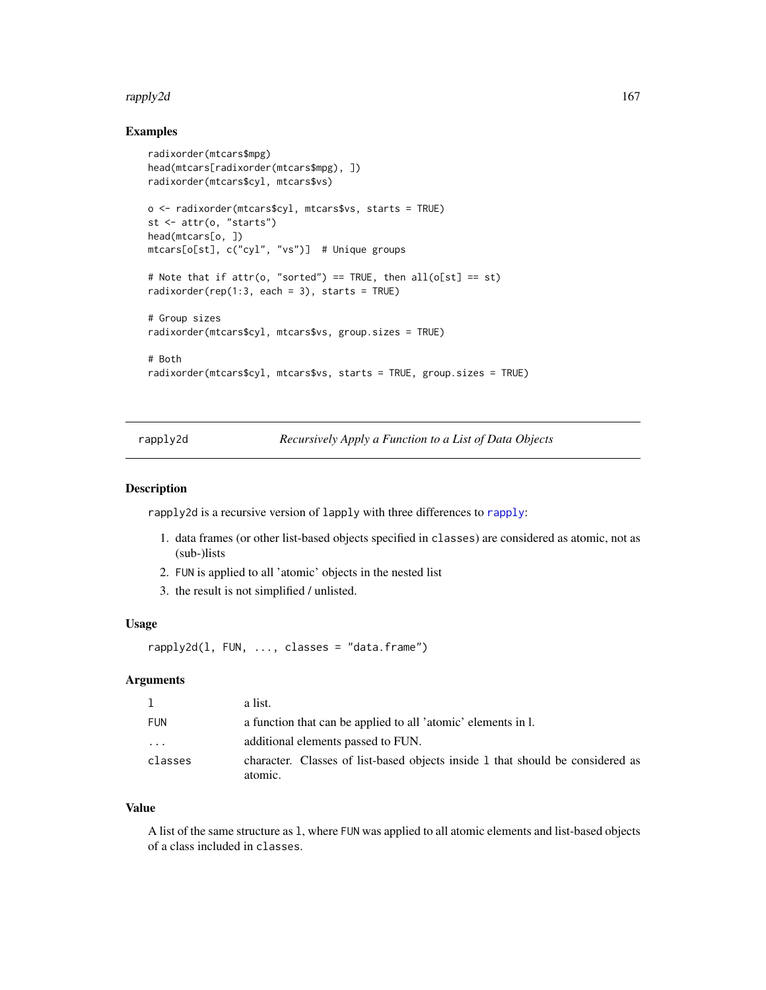### rapply2d and the contract of the contract of the contract of the contract of the contract of the contract of the contract of the contract of the contract of the contract of the contract of the contract of the contract of t

### Examples

```
radixorder(mtcars$mpg)
head(mtcars[radixorder(mtcars$mpg), ])
radixorder(mtcars$cyl, mtcars$vs)
o <- radixorder(mtcars$cyl, mtcars$vs, starts = TRUE)
st <- attr(o, "starts")
head(mtcars[o, ])
mtcars[o[st], c("cyl", "vs")] # Unique groups
# Note that if attr(o, "sorted") == TRUE, then all(o[st] == st)radixorder(rep(1:3, each = 3), starts = TRUE)
# Group sizes
radixorder(mtcars$cyl, mtcars$vs, group.sizes = TRUE)
# Both
radixorder(mtcars$cyl, mtcars$vs, starts = TRUE, group.sizes = TRUE)
```
<span id="page-166-0"></span>rapply2d *Recursively Apply a Function to a List of Data Objects*

### Description

rapply2d is a recursive version of lapply with three differences to [rapply](#page-0-0):

- 1. data frames (or other list-based objects specified in classes) are considered as atomic, not as (sub-)lists
- 2. FUN is applied to all 'atomic' objects in the nested list
- 3. the result is not simplified / unlisted.

## Usage

```
rapply2d(l, FUN, ..., classes = "data.frame")
```
## Arguments

| 1          | a list.                                                                                   |
|------------|-------------------------------------------------------------------------------------------|
| <b>FUN</b> | a function that can be applied to all 'atomic' elements in l.                             |
| .          | additional elements passed to FUN.                                                        |
| classes    | character. Classes of list-based objects inside 1 that should be considered as<br>atomic. |

#### Value

A list of the same structure as l, where FUN was applied to all atomic elements and list-based objects of a class included in classes.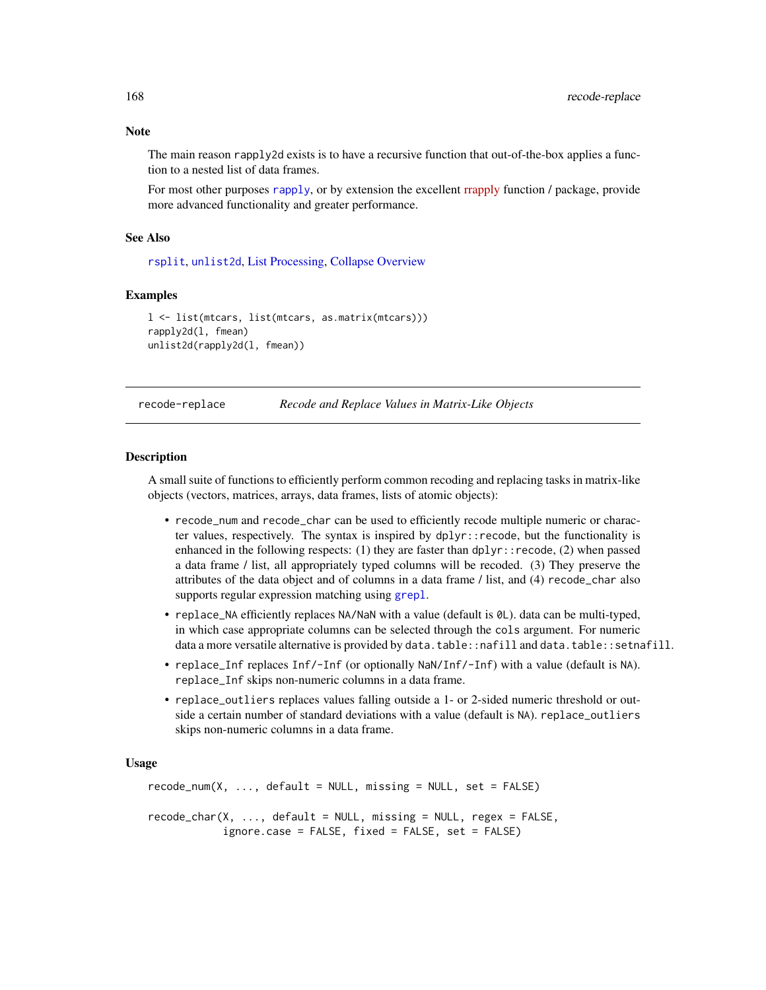## Note

The main reason rapply2d exists is to have a recursive function that out-of-the-box applies a function to a nested list of data frames.

For most other purposes [rapply](#page-0-0), or by extension the excellent [rrapply](https://cran.r-project.org/package=rrapply) function / package, provide more advanced functionality and greater performance.

#### See Also

[rsplit](#page-171-0), [unlist2d](#page-185-0), [List Processing,](#page-142-0) [Collapse Overview](#page-23-0)

### Examples

```
l <- list(mtcars, list(mtcars, as.matrix(mtcars)))
rapply2d(l, fmean)
unlist2d(rapply2d(l, fmean))
```
<span id="page-167-0"></span>recode-replace *Recode and Replace Values in Matrix-Like Objects*

### Description

A small suite of functions to efficiently perform common recoding and replacing tasks in matrix-like objects (vectors, matrices, arrays, data frames, lists of atomic objects):

- recode\_num and recode\_char can be used to efficiently recode multiple numeric or character values, respectively. The syntax is inspired by  $dp\ln y$ : recode, but the functionality is enhanced in the following respects: (1) they are faster than  $d$ plyr::recode, (2) when passed a data frame / list, all appropriately typed columns will be recoded. (3) They preserve the attributes of the data object and of columns in a data frame / list, and (4) recode\_char also supports regular expression matching using [grepl](#page-0-0).
- replace\_NA efficiently replaces NA/NaN with a value (default is  $\emptyset L$ ). data can be multi-typed, in which case appropriate columns can be selected through the cols argument. For numeric data a more versatile alternative is provided by data.table::nafill and data.table::setnafill.
- replace\_Inf replaces Inf/-Inf (or optionally NaN/Inf/-Inf) with a value (default is NA). replace\_Inf skips non-numeric columns in a data frame.
- replace\_outliers replaces values falling outside a 1- or 2-sided numeric threshold or outside a certain number of standard deviations with a value (default is NA). replace\_outliers skips non-numeric columns in a data frame.

### Usage

```
recode_number(X, ..., default = NULL, missing = NULL, set = FALSE)recode_{char}(X, ..., default = NULL, missing = NULL, regex = FALSE,
            ignore.case = FALSE, fixed = FALSE, set = FALSE)
```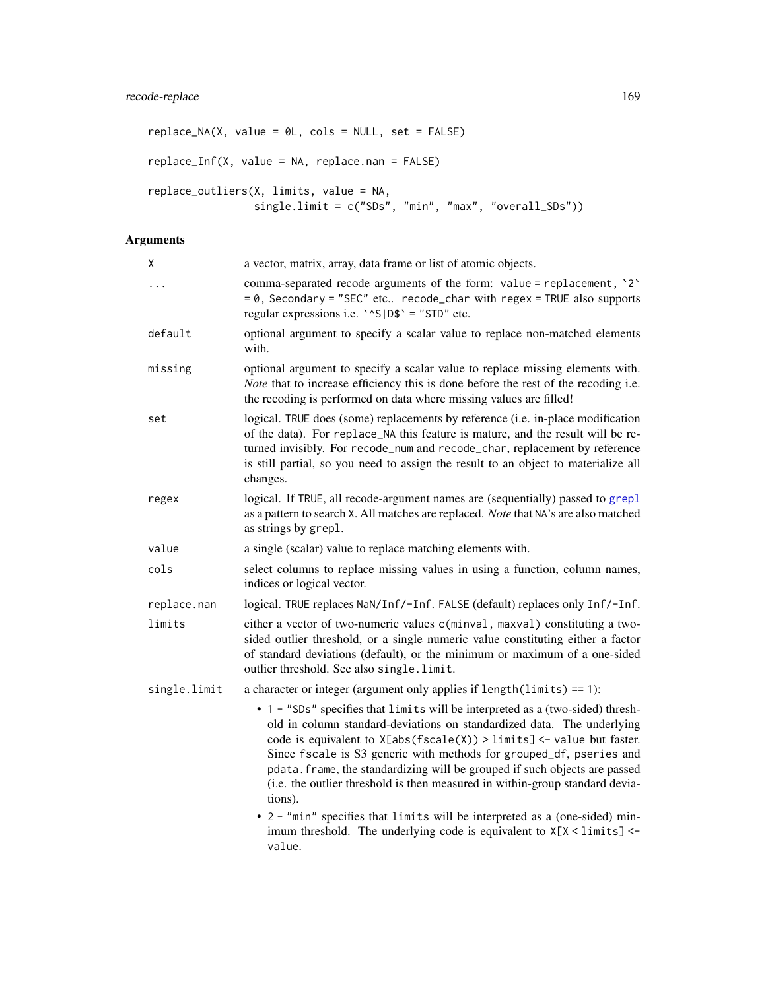```
replace_M(X, value = 0L, cols = NULL, set = FALSE)replace_Inf(X, value = NA, replace.nan = FALSE)
replace_outliers(X, limits, value = NA,
                single.limit = c("SDs", "min", "max", "overall_SDs"))
```
## Arguments

| X            | a vector, matrix, array, data frame or list of atomic objects.                                                                                                                                                                                                                                                                                                                                                                                                                                                                                                                                                                               |
|--------------|----------------------------------------------------------------------------------------------------------------------------------------------------------------------------------------------------------------------------------------------------------------------------------------------------------------------------------------------------------------------------------------------------------------------------------------------------------------------------------------------------------------------------------------------------------------------------------------------------------------------------------------------|
| .            | comma-separated recode arguments of the form: value = replacement, '2'<br>$= 0$ , Secondary = "SEC" etc recode_char with regex = TRUE also supports<br>regular expressions i.e. $\text{S}$   D\$ $\text{S}$ = "STD" etc.                                                                                                                                                                                                                                                                                                                                                                                                                     |
| default      | optional argument to specify a scalar value to replace non-matched elements<br>with.                                                                                                                                                                                                                                                                                                                                                                                                                                                                                                                                                         |
| missing      | optional argument to specify a scalar value to replace missing elements with.<br>Note that to increase efficiency this is done before the rest of the recoding i.e.<br>the recoding is performed on data where missing values are filled!                                                                                                                                                                                                                                                                                                                                                                                                    |
| set          | logical. TRUE does (some) replacements by reference (i.e. in-place modification<br>of the data). For replace_NA this feature is mature, and the result will be re-<br>turned invisibly. For recode_num and recode_char, replacement by reference<br>is still partial, so you need to assign the result to an object to materialize all<br>changes.                                                                                                                                                                                                                                                                                           |
| regex        | logical. If TRUE, all recode-argument names are (sequentially) passed to grepl<br>as a pattern to search X. All matches are replaced. Note that NA's are also matched<br>as strings by grepl.                                                                                                                                                                                                                                                                                                                                                                                                                                                |
| value        | a single (scalar) value to replace matching elements with.                                                                                                                                                                                                                                                                                                                                                                                                                                                                                                                                                                                   |
| cols         | select columns to replace missing values in using a function, column names,<br>indices or logical vector.                                                                                                                                                                                                                                                                                                                                                                                                                                                                                                                                    |
| replace.nan  | logical. TRUE replaces NaN/Inf/-Inf. FALSE (default) replaces only Inf/-Inf.                                                                                                                                                                                                                                                                                                                                                                                                                                                                                                                                                                 |
| limits       | either a vector of two-numeric values c(minval, maxval) constituting a two-<br>sided outlier threshold, or a single numeric value constituting either a factor<br>of standard deviations (default), or the minimum or maximum of a one-sided<br>outlier threshold. See also single.limit.                                                                                                                                                                                                                                                                                                                                                    |
| single.limit | a character or integer (argument only applies if length(limits) == 1):                                                                                                                                                                                                                                                                                                                                                                                                                                                                                                                                                                       |
|              | • 1 - "SDs" specifies that limits will be interpreted as a (two-sided) thresh-<br>old in column standard-deviations on standardized data. The underlying<br>code is equivalent to $X[abs(fscale(X)) > limits] < -$ value but faster.<br>Since fscale is S3 generic with methods for grouped_df, pseries and<br>pdata. frame, the standardizing will be grouped if such objects are passed<br>(i.e. the outlier threshold is then measured in within-group standard devia-<br>tions).<br>• 2 - "min" specifies that limits will be interpreted as a (one-sided) min-<br>imum threshold. The underlying code is equivalent to X[X < limits] <- |
|              | value.                                                                                                                                                                                                                                                                                                                                                                                                                                                                                                                                                                                                                                       |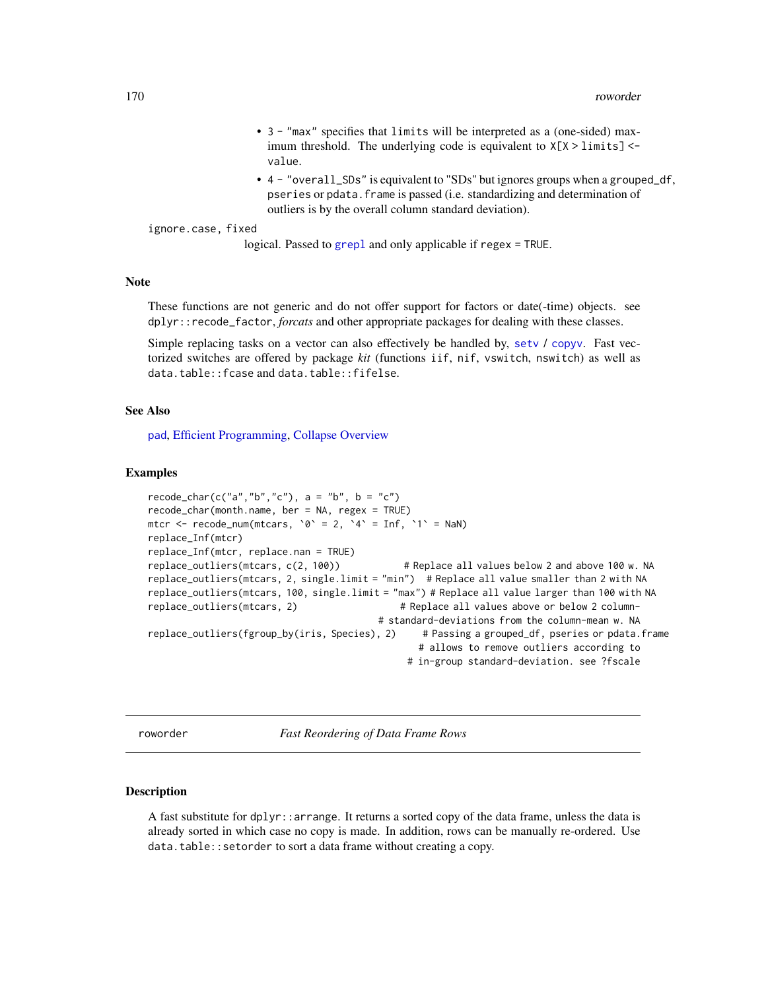- 3 "max" specifies that limits will be interpreted as a (one-sided) maximum threshold. The underlying code is equivalent to  $X[X > 1]$  imits] <value.
- 4 "overall\_SDs" is equivalent to "SDs" but ignores groups when a grouped\_df, pseries or pdata.frame is passed (i.e. standardizing and determination of outliers is by the overall column standard deviation).

ignore.case, fixed

logical. Passed to [grepl](#page-0-0) and only applicable if regex = TRUE.

## Note

These functions are not generic and do not offer support for factors or date(-time) objects. see dplyr::recode\_factor, *forcats* and other appropriate packages for dealing with these classes.

Simple replacing tasks on a vector can also effectively be handled by, [setv](#page-34-0) / [copyv](#page-34-0). Fast vectorized switches are offered by package *kit* (functions iif, nif, vswitch, nswitch) as well as data.table::fcase and data.table::fifelse.

### See Also

[pad](#page-143-0), [Efficient Programming,](#page-34-1) [Collapse Overview](#page-23-0)

## Examples

```
recode_char(c("a","b","c"), a = "b", b = "c")
recode_char(month.name, ber = NA, regex = TRUE)
mtcr \leq recode_num(mtcars, \circ = 2, \circ 4 \leq Inf, \circ 1 \leq NaN)
replace_Inf(mtcr)
replace_Inf(mtcr, replace.nan = TRUE)
replace_outliers(mtcars, c(2, 100)) # Replace all values below 2 and above 100 w. NA
replace_outliers(mtcars, 2, single.limit = "min") # Replace all value smaller than 2 with NA
replace_outliers(mtcars, 100, single.limit = "max") # Replace all value larger than 100 with NA
replace_outliers(mtcars, 2) \qquad # Replace all values above or below 2 column-
                                          # standard-deviations from the column-mean w. NA
replace_outliers(fgroup_by(iris, Species), 2) # Passing a grouped_df, pseries or pdata.frame
                                                 # allows to remove outliers according to
                                               # in-group standard-deviation. see ?fscale
```
roworder *Fast Reordering of Data Frame Rows*

### Description

A fast substitute for dplyr::arrange. It returns a sorted copy of the data frame, unless the data is already sorted in which case no copy is made. In addition, rows can be manually re-ordered. Use data.table::setorder to sort a data frame without creating a copy.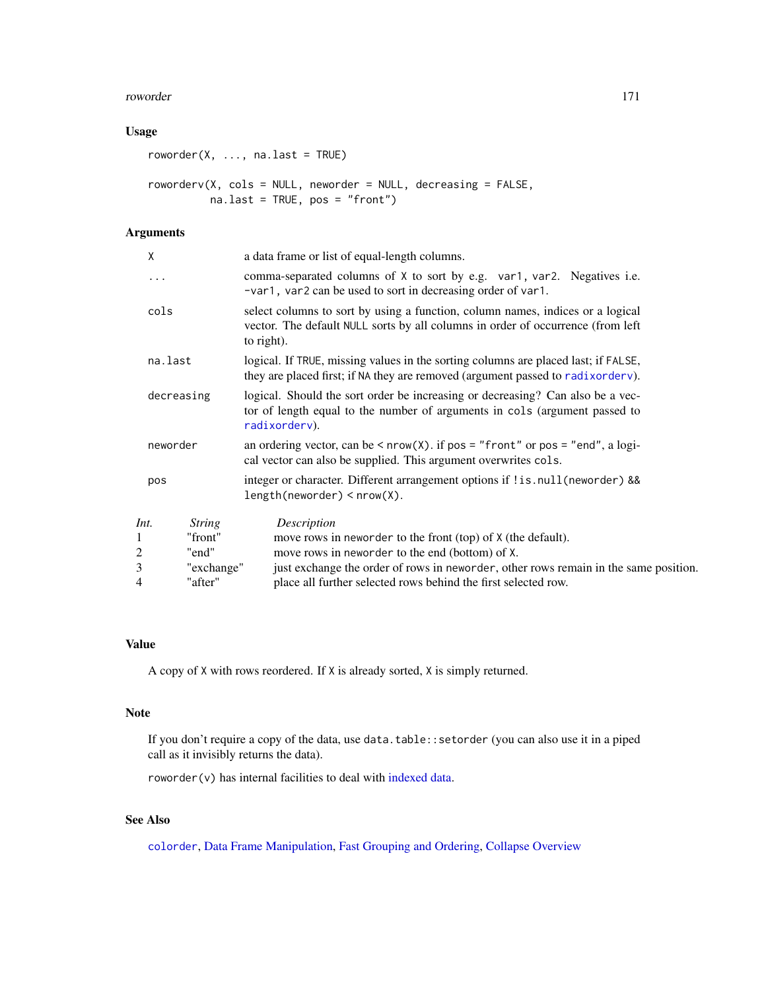### roworder 171

## Usage

```
roworder(X, ..., na-last = TRUE)roworderv(X, cols = NULL, neworder = NULL, decreasing = FALSE,
         na.last = TRUE, pos = "front")
```
## Arguments

| χ              |               | a data frame or list of equal-length columns.                                                                                                                                   |  |  |
|----------------|---------------|---------------------------------------------------------------------------------------------------------------------------------------------------------------------------------|--|--|
| .              |               | comma-separated columns of X to sort by e.g. var1, var2. Negatives i.e.<br>-var1, var2 can be used to sort in decreasing order of var1.                                         |  |  |
| cols           |               | select columns to sort by using a function, column names, indices or a logical<br>vector. The default NULL sorts by all columns in order of occurrence (from left<br>to right). |  |  |
| na.last        |               | logical. If TRUE, missing values in the sorting columns are placed last; if FALSE,<br>they are placed first; if NA they are removed (argument passed to radixorderv).           |  |  |
| decreasing     |               | logical. Should the sort order be increasing or decreasing? Can also be a vec-<br>tor of length equal to the number of arguments in cols (argument passed to<br>radixorderv).   |  |  |
| neworder       |               | an ordering vector, can be $\leq$ nrow(X). if pos = "front" or pos = "end", a logi-<br>cal vector can also be supplied. This argument overwrites cols.                          |  |  |
| pos            |               | integer or character. Different arrangement options if !is.null(neworder) &&<br>$length(neworder) < nrow(X)$ .                                                                  |  |  |
| Int.           | <b>String</b> | Description                                                                                                                                                                     |  |  |
| 1              | "front"       | move rows in neworder to the front (top) of X (the default).                                                                                                                    |  |  |
| $\overline{2}$ | "end"         | move rows in neworder to the end (bottom) of X.                                                                                                                                 |  |  |
| 3              | "exchange"    | just exchange the order of rows in neworder, other rows remain in the same position.                                                                                            |  |  |
| 4              | "after"       | place all further selected rows behind the first selected row.                                                                                                                  |  |  |

### Value

A copy of X with rows reordered. If X is already sorted, X is simply returned.

#### Note

If you don't require a copy of the data, use data.table::setorder (you can also use it in a piped call as it invisibly returns the data).

roworder(v) has internal facilities to deal with [indexed data.](#page-132-0)

# See Also

[colorder](#page-27-0), [Data Frame Manipulation,](#page-38-0) [Fast Grouping and Ordering,](#page-39-0) [Collapse Overview](#page-23-0)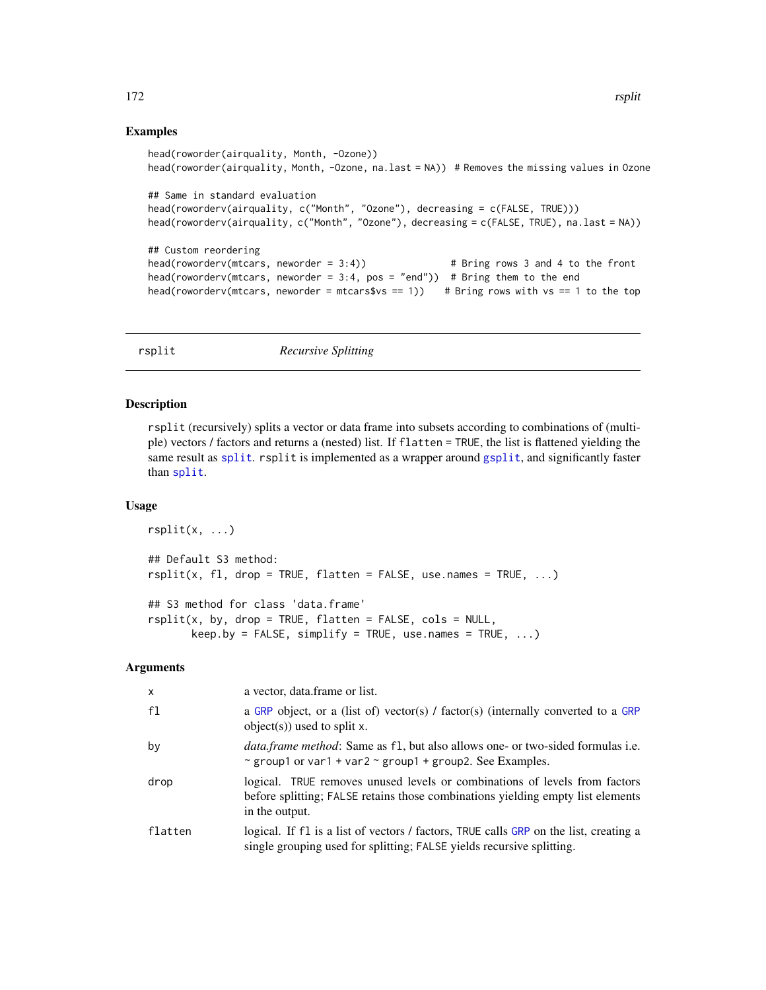### Examples

```
head(roworder(airquality, Month, -Ozone))
head(roworder(airquality, Month, -Ozone, na.last = NA)) # Removes the missing values in Ozone
## Same in standard evaluation
head(roworderv(airquality, c("Month", "Ozone"), decreasing = c(FALSE, TRUE)))
head(roworderv(airquality, c("Month", "Ozone"), decreasing = c(FALSE, TRUE), na.last = NA))
## Custom reordering
head(roworderv(mtcars, neworder = 3:4)) # Bring rows 3 and 4 to the front
head(roworderv(mtcars, neworder = 3:4, pos = "end")) # Bring them to the end
head(roworderv(mtcars, neworder = mtcars$vs == 1)) # Bring rows with vs == 1 to the top
```
rsplit *Recursive Splitting*

### Description

rsplit (recursively) splits a vector or data frame into subsets according to combinations of (multiple) vectors / factors and returns a (nested) list. If flatten = TRUE, the list is flattened yielding the same result as [split](#page-0-0). rsplit is implemented as a wrapper around [gsplit](#page-127-1), and significantly faster than [split](#page-0-0).

### Usage

```
rsplit(x, \ldots)## Default S3 method:
rsplit(x, fl, drop = TRUE, flatten = FALSE, use.name = TRUE, ...)## S3 method for class 'data.frame'
rsplit(x, by, drop = TRUE, flatten = FALSE, cols = NULL,keep.py = FALSE, simplify = TRUE, use.name = TRUE, ...)
```
### Arguments

| $\mathsf{x}$ | a vector, data frame or list.                                                                                                                                                   |
|--------------|---------------------------------------------------------------------------------------------------------------------------------------------------------------------------------|
| f1           | a GRP object, or a (list of) vector(s) / factor(s) (internally converted to a GRP<br>object(s)) used to split $x$ .                                                             |
| by           | <i>data.frame method:</i> Same as f1, but also allows one- or two-sided formulas i.e.<br>~ group1 or var1 + var2 ~ group1 + group2. See Examples.                               |
| drop         | logical. TRUE removes unused levels or combinations of levels from factors<br>before splitting; FALSE retains those combinations yielding empty list elements<br>in the output. |
| flatten      | logical. If f1 is a list of vectors / factors, TRUE calls GRP on the list, creating a<br>single grouping used for splitting; FALSE yields recursive splitting.                  |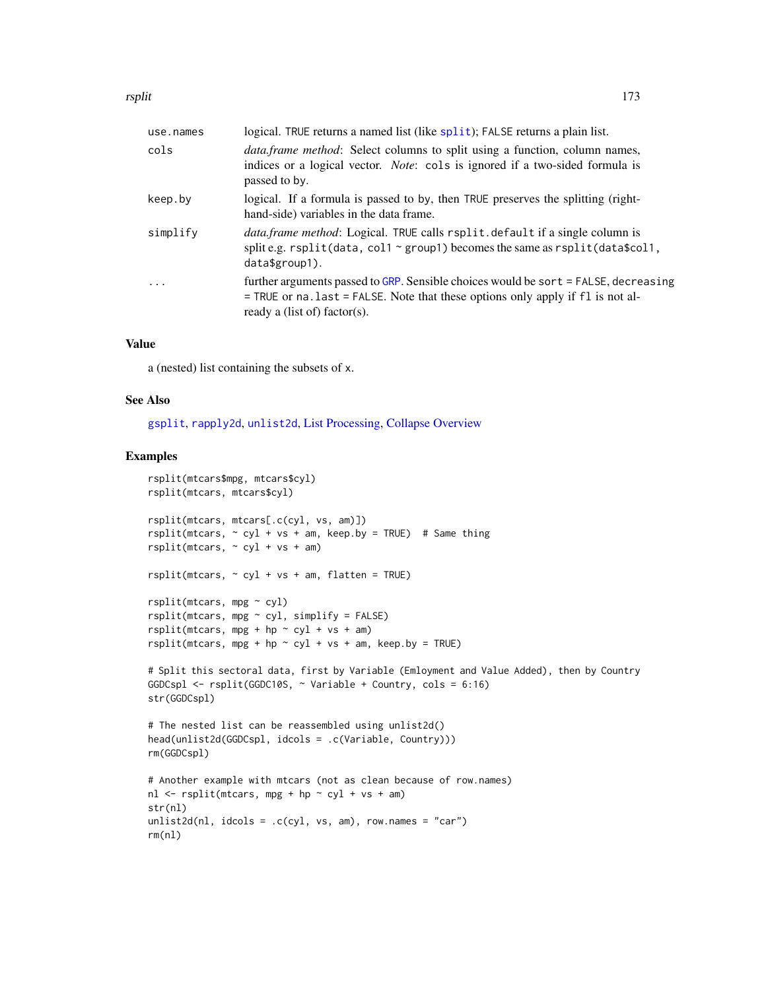rsplit 173

| use.names | logical. TRUE returns a named list (like split); FALSE returns a plain list.                                                                                                                               |
|-----------|------------------------------------------------------------------------------------------------------------------------------------------------------------------------------------------------------------|
| cols      | <i>data.frame method</i> : Select columns to split using a function, column names,<br>indices or a logical vector. Note: cols is ignored if a two-sided formula is<br>passed to by.                        |
| keep.by   | logical. If a formula is passed to by, then TRUE preserves the splitting (right-<br>hand-side) variables in the data frame.                                                                                |
| simplify  | data.frame method: Logical. TRUE calls rsplit.default if a single column is<br>split e.g. $rsplit(data, col1 \sim group1)$ becomes the same as $rsplit(dataScol1$ ,<br>$data$$ group1).                    |
| $\ddots$  | further arguments passed to GRP. Sensible choices would be sort = FALSE, decreasing<br>$=$ TRUE or na. last $=$ FALSE. Note that these options only apply if fl is not al-<br>ready a (list of) factor(s). |
|           |                                                                                                                                                                                                            |

## Value

a (nested) list containing the subsets of x.

## See Also

[gsplit](#page-127-1), [rapply2d](#page-166-0), [unlist2d](#page-185-0), [List Processing,](#page-142-0) [Collapse Overview](#page-23-0)

### Examples

```
rsplit(mtcars$mpg, mtcars$cyl)
rsplit(mtcars, mtcars$cyl)
rsplit(mtcars, mtcars[.c(cyl, vs, am)])
rsplit(mtcars, ~ cyl + vs + am, keep.by = TRUE) # Same thing
rsplit(mtcars, ~ ~ cyl + vs + am)rsplit(mtcars, ~ cyl + vs + am, flatten = TRUE)rsplit(mtcars, mpg ~ cyl)
rsplit(mtcars, mpg ~ cyl, simplify = FALSE)rsplit(mtcars, mpg + hp \sim cyl + vs + am)
rsplit(mtcars, mpg + hp \sim cyl + vs + am, keep.by = TRUE)# Split this sectoral data, first by Variable (Emloyment and Value Added), then by Country
GGDCspl <- rsplit(GGDC10S, ~ Variable + Country, cols = 6:16)
str(GGDCspl)
# The nested list can be reassembled using unlist2d()
head(unlist2d(GGDCspl, idcols = .c(Variable, Country)))
rm(GGDCspl)
# Another example with mtcars (not as clean because of row.names)
nl \leq - rsplit(mtcars, mpg + hp \sim cyl + vs + am)
str(nl)
unlist2d(n1, idcols = .c(cyl, vs, am), row.name = "car")rm(nl)
```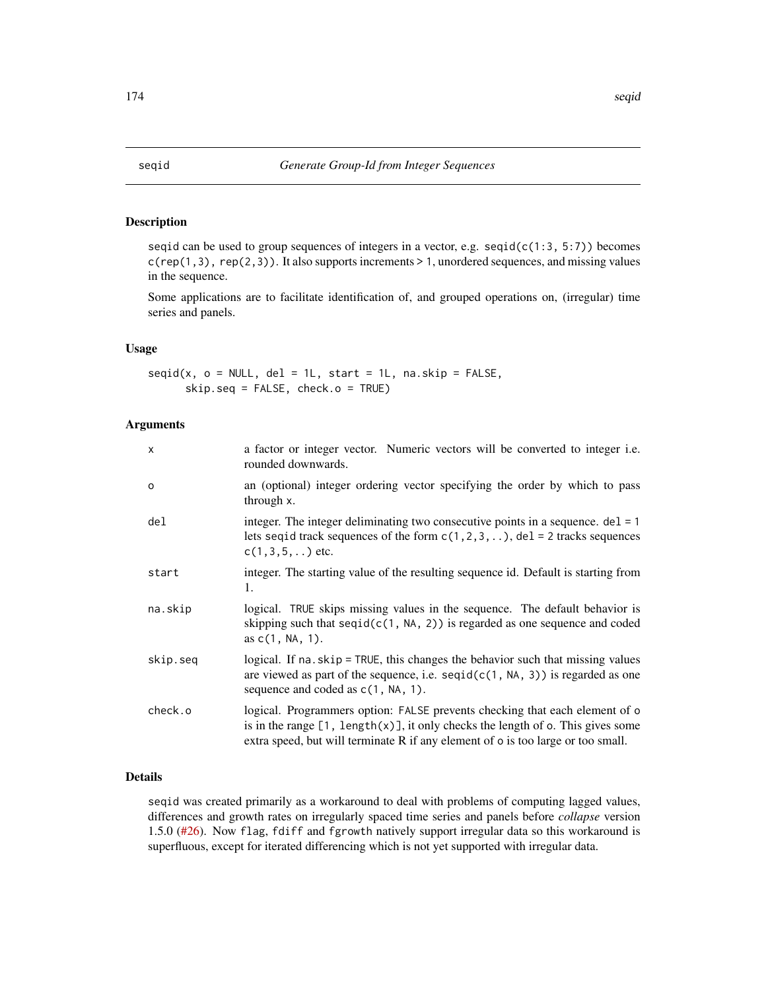## Description

seqid can be used to group sequences of integers in a vector, e.g.  $seqid(c(1:3, 5:7))$  becomes c(rep(1,3), rep(2,3)). It also supports increments > 1, unordered sequences, and missing values in the sequence.

Some applications are to facilitate identification of, and grouped operations on, (irregular) time series and panels.

### Usage

 $seqid(x, o = NULL, del = 1L, start = 1L, na skip = FALSE,$ skip.seq = FALSE, check.o = TRUE)

### Arguments

| $\mathsf{x}$    | a factor or integer vector. Numeric vectors will be converted to integer i.e.<br>rounded downwards.                                                                                                                                                          |
|-----------------|--------------------------------------------------------------------------------------------------------------------------------------------------------------------------------------------------------------------------------------------------------------|
| $\Omega$        | an (optional) integer ordering vector specifying the order by which to pass<br>through x.                                                                                                                                                                    |
| de <sub>l</sub> | integer. The integer deliminating two consecutive points in a sequence. $del = 1$<br>lets seque track sequences of the form $c(1, 2, 3, )$ , del = 2 tracks sequences<br>$c(1,3,5,)$ etc.                                                                    |
| start           | integer. The starting value of the resulting sequence id. Default is starting from<br>1.                                                                                                                                                                     |
| na.skip         | logical. TRUE skips missing values in the sequence. The default behavior is<br>skipping such that $seqid(c(1, NA, 2))$ is regarded as one sequence and coded<br>as $c(1, NA, 1)$ .                                                                           |
| skip.seq        | logical. If na. skip = TRUE, this changes the behavior such that missing values<br>are viewed as part of the sequence, i.e. $seqid(c(1, NA, 3))$ is regarded as one<br>sequence and coded as $c(1, NA, 1)$ .                                                 |
| check.o         | logical. Programmers option: FALSE prevents checking that each element of o<br>is in the range $[1, \text{length}(x)]$ , it only checks the length of o. This gives some<br>extra speed, but will terminate R if any element of o is too large or too small. |

## Details

seqid was created primarily as a workaround to deal with problems of computing lagged values, differences and growth rates on irregularly spaced time series and panels before *collapse* version 1.5.0 [\(#26\)](https://github.com/SebKrantz/collapse/issues/26). Now flag, fdiff and fgrowth natively support irregular data so this workaround is superfluous, except for iterated differencing which is not yet supported with irregular data.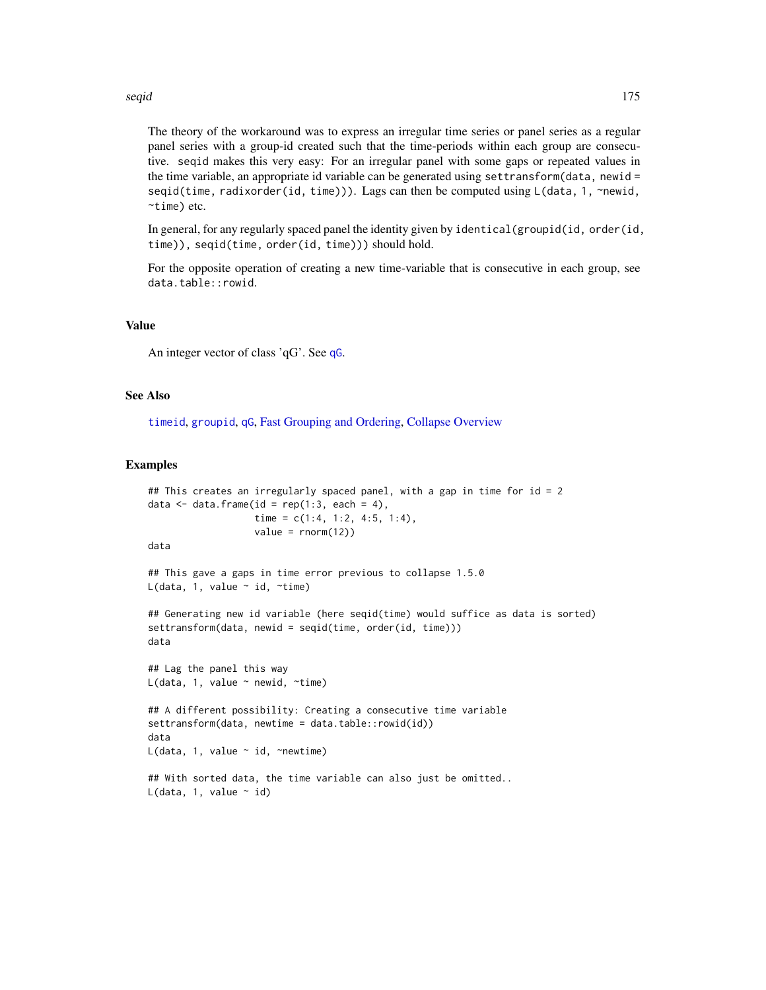### seqid 175

The theory of the workaround was to express an irregular time series or panel series as a regular panel series with a group-id created such that the time-periods within each group are consecutive. seqid makes this very easy: For an irregular panel with some gaps or repeated values in the time variable, an appropriate id variable can be generated using settransform(data, newid = seqid(time, radixorder(id, time))). Lags can then be computed using L(data, 1, ~newid, ~time) etc.

In general, for any regularly spaced panel the identity given by identical(groupid(id, order(id, time)), seqid(time, order(id, time))) should hold.

For the opposite operation of creating a new time-variable that is consecutive in each group, see data.table::rowid.

### Value

An integer vector of class 'qG'. See [qG](#page-151-0).

### See Also

[timeid](#page-180-0), [groupid](#page-126-0), [qG](#page-151-0), [Fast Grouping and Ordering,](#page-39-0) [Collapse Overview](#page-23-0)

#### Examples

```
## This creates an irregularly spaced panel, with a gap in time for id = 2
data \leq data.frame(id = rep(1:3, each = 4),
                   time = c(1:4, 1:2, 4:5, 1:4),
                   value = rnorm(12)data
## This gave a gaps in time error previous to collapse 1.5.0
L(data, 1, value \sim id, \simtime)
## Generating new id variable (here seqid(time) would suffice as data is sorted)
settransform(data, newid = seqid(time, order(id, time)))
data
## Lag the panel this way
L(data, 1, value \sim newid, \simtime)
## A different possibility: Creating a consecutive time variable
settransform(data, newtime = data.table::rowid(id))
data
L(data, 1, value \sim id, \simnewtime)
## With sorted data, the time variable can also just be omitted..
L(data, 1, value ~ id)
```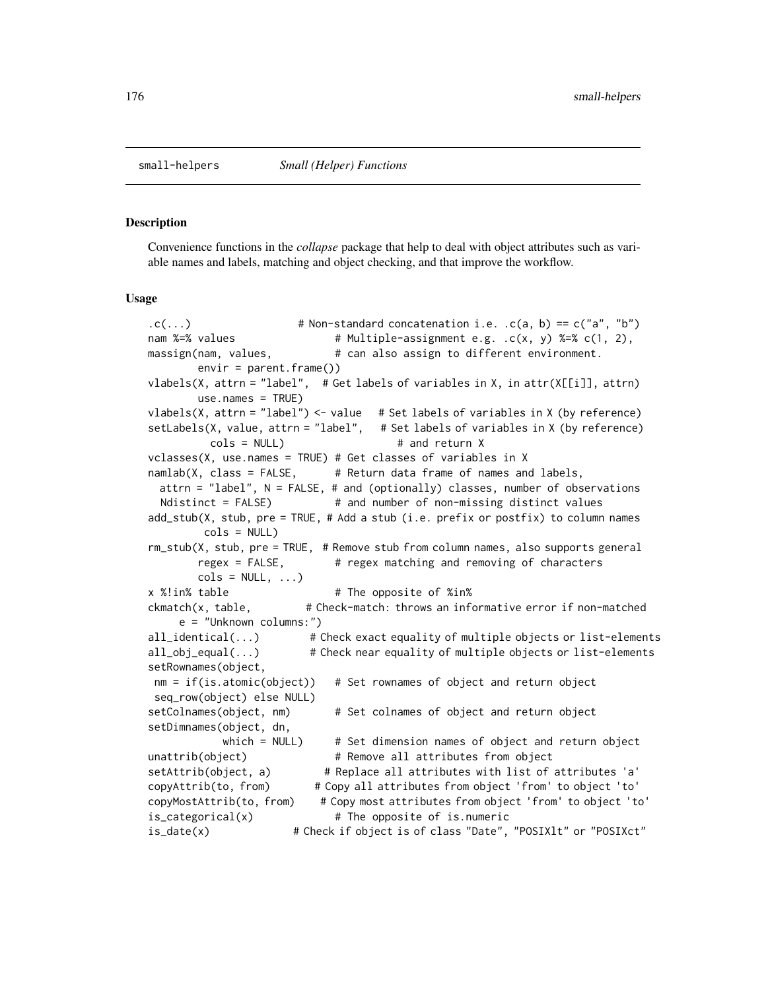#### <span id="page-175-1"></span><span id="page-175-0"></span>Description

Convenience functions in the *collapse* package that help to deal with object attributes such as variable names and labels, matching and object checking, and that improve the workflow.

### Usage

```
(c(...)) # Non-standard concatenation i.e. c(a, b) = c("a", "b")nam %=% values \# Multiple-assignment e.g. .c(x, y) %=% c(1, 2),
massign(nam, values, \# can also assign to different environment.
       envir = parent.frame())
vlabels(X, attrn = "label", # Get labels of variables in X, in attr(X[[i]], attrn)
       use.name = TRUE)vlabels(X, attrn = "label") \le value # Set labels of variables in X (by reference)
setLabels(X, value, attrn = "label", # Set labels of variables in X (by reference)
         cols = NULL # and return X
vclasses(X, use.names = TRUE) # Get classes of variables in X
n = 1 namlab(X, class = FALSE, # Return data frame of names and labels,
 attrn = "label", N = FALSE, # and (optionally) classes, number of observations
 Ndistinct = FALSE) # and number of non-missing distinct values
add_stub(X, stub, pre = TRUE, # Add a stub (i.e. prefix or postfix) to column names
        cols = NULLrm_stub(X, stub, pre = TRUE, # Remove stub from column names, also supports general
       regex = FALSE, # regex matching and removing of characters
       \text{cols} = \text{NULL}, \ldotsx %!in% table * The opposite of %in%
ckmatch(x, table, +  # Check-match: throws an informative error if non-matched
    e = "Unknown columns:")
all_identical(...) # Check exact equality of multiple objects or list-elements
all_obj_equal(...) # Check near equality of multiple objects or list-elements
setRownames(object,
nm = if(is.atomic(object)) # Set rownames of object and return object
seq_row(object) else NULL)
setColnames(object, nm) # Set colnames of object and return object
setDimnames(object, dn,
           which = NULL) # Set dimension names of object and return object
unattrib(object) # Remove all attributes from object
setAttrib(object, a) \qquad # Replace all attributes with list of attributes 'a'
copyAttrib(to, from) # Copy all attributes from object 'from' to object 'to'
copyMostAttrib(to, from) # Copy most attributes from object 'from' to object 'to'
is_categorical(x) # The opposite of is.numeric
is_date(x) # Check if object is of class "Date", "POSIXlt" or "POSIXct"
```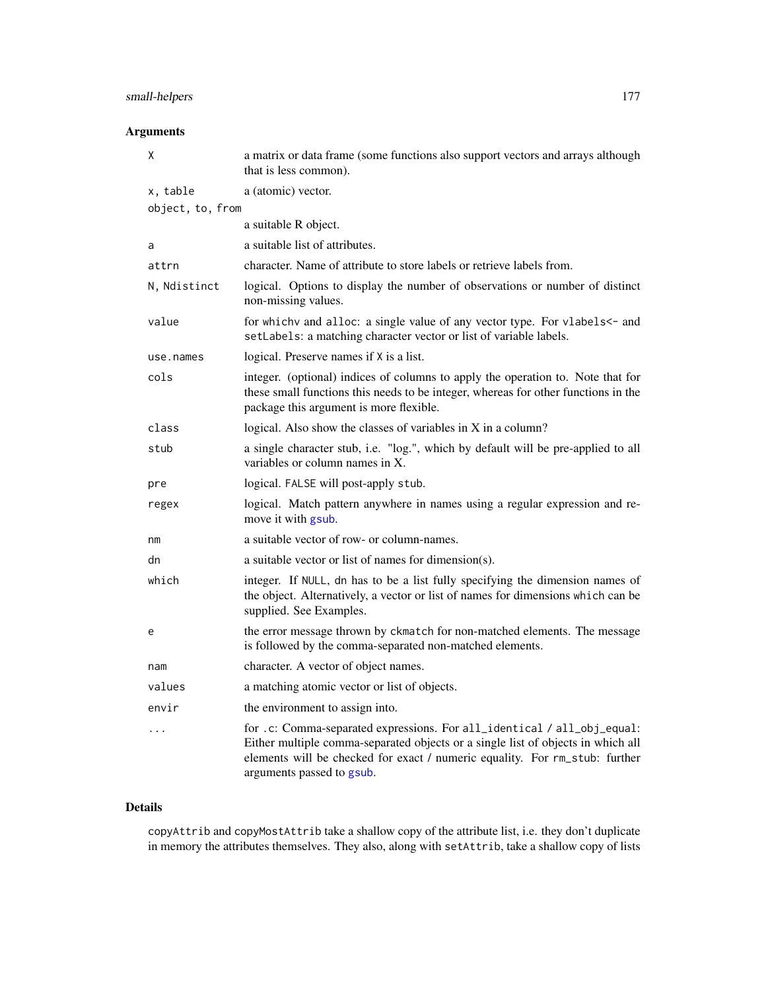# small-helpers 177

# Arguments

| χ                | a matrix or data frame (some functions also support vectors and arrays although<br>that is less common).                                                                                                                                                                |
|------------------|-------------------------------------------------------------------------------------------------------------------------------------------------------------------------------------------------------------------------------------------------------------------------|
| x, table         | a (atomic) vector.                                                                                                                                                                                                                                                      |
| object, to, from |                                                                                                                                                                                                                                                                         |
|                  | a suitable R object.                                                                                                                                                                                                                                                    |
| a                | a suitable list of attributes.                                                                                                                                                                                                                                          |
| attrn            | character. Name of attribute to store labels or retrieve labels from.                                                                                                                                                                                                   |
| N, Ndistinct     | logical. Options to display the number of observations or number of distinct<br>non-missing values.                                                                                                                                                                     |
| value            | for which v and alloc: a single value of any vector type. For vlabels <- and<br>setLabels: a matching character vector or list of variable labels.                                                                                                                      |
| use.names        | logical. Preserve names if X is a list.                                                                                                                                                                                                                                 |
| cols             | integer. (optional) indices of columns to apply the operation to. Note that for<br>these small functions this needs to be integer, whereas for other functions in the<br>package this argument is more flexible.                                                        |
| class            | logical. Also show the classes of variables in X in a column?                                                                                                                                                                                                           |
| stub             | a single character stub, i.e. "log.", which by default will be pre-applied to all<br>variables or column names in X.                                                                                                                                                    |
| pre              | logical. FALSE will post-apply stub.                                                                                                                                                                                                                                    |
| regex            | logical. Match pattern anywhere in names using a regular expression and re-<br>move it with gsub.                                                                                                                                                                       |
| nm               | a suitable vector of row- or column-names.                                                                                                                                                                                                                              |
| dn               | a suitable vector or list of names for dimension(s).                                                                                                                                                                                                                    |
| which            | integer. If NULL, dn has to be a list fully specifying the dimension names of<br>the object. Alternatively, a vector or list of names for dimensions which can be<br>supplied. See Examples.                                                                            |
| e                | the error message thrown by ckmatch for non-matched elements. The message<br>is followed by the comma-separated non-matched elements.                                                                                                                                   |
| nam              | character. A vector of object names.                                                                                                                                                                                                                                    |
| values           | a matching atomic vector or list of objects.                                                                                                                                                                                                                            |
| envir            | the environment to assign into.                                                                                                                                                                                                                                         |
| $\cdots$         | for .c: Comma-separated expressions. For all_identical / all_obj_equal:<br>Either multiple comma-separated objects or a single list of objects in which all<br>elements will be checked for exact / numeric equality. For rm_stub: further<br>arguments passed to gsub. |

## Details

copyAttrib and copyMostAttrib take a shallow copy of the attribute list, i.e. they don't duplicate in memory the attributes themselves. They also, along with setAttrib, take a shallow copy of lists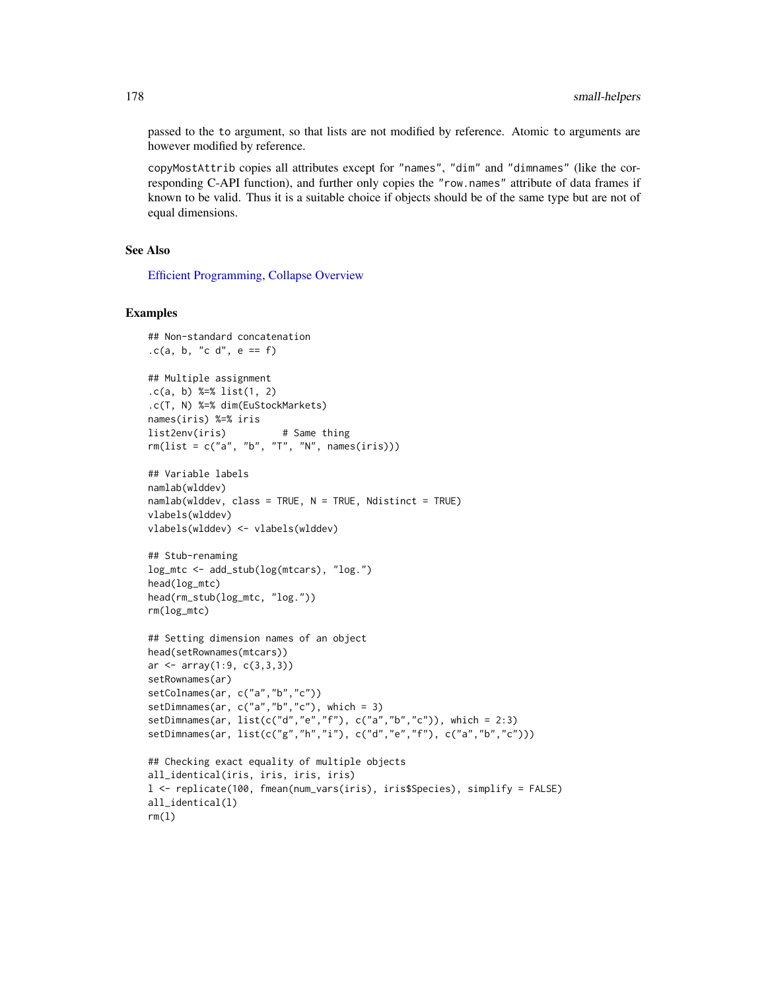passed to the to argument, so that lists are not modified by reference. Atomic to arguments are however modified by reference.

copyMostAttrib copies all attributes except for "names", "dim" and "dimnames" (like the corresponding C-API function), and further only copies the "row.names" attribute of data frames if known to be valid. Thus it is a suitable choice if objects should be of the same type but are not of equal dimensions.

## See Also

[Efficient Programming,](#page-34-1) [Collapse Overview](#page-23-0)

### Examples

```
## Non-standard concatenation
.c(a, b, "c d", e == f)
## Multiple assignment
.c(a, b) %=% list(1, 2)
.c(T, N) %=% dim(EuStockMarkets)
names(iris) %=% iris
list2env(iris) # Same thing
rm(list = c("a", "b", "T", "N", names(iris)))
## Variable labels
namlab(wlddev)
namlab(wlddev, class = TRUE, N = TRUE, Ndistinct = TRUE)
vlabels(wlddev)
vlabels(wlddev) <- vlabels(wlddev)
## Stub-renaming
log_mtc <- add_stub(log(mtcars), "log.")
head(log_mtc)
head(rm_stub(log_mtc, "log."))
rm(log_mtc)
## Setting dimension names of an object
head(setRownames(mtcars))
ar < -array(1:9, c(3,3,3))setRownames(ar)
setColnames(ar, c("a","b","c"))
setDimnames(ar, c("a","b","c"), which = 3)
setDimnames(ar, list(c("d","e","f"), c("a","b","c")), which = 2:3)
setDimnames(ar, list(c("g","h","i"), c("d","e","f"), c("a","b","c")))
## Checking exact equality of multiple objects
all_identical(iris, iris, iris, iris)
l <- replicate(100, fmean(num_vars(iris), iris$Species), simplify = FALSE)
all_identical(l)
rm(1)
```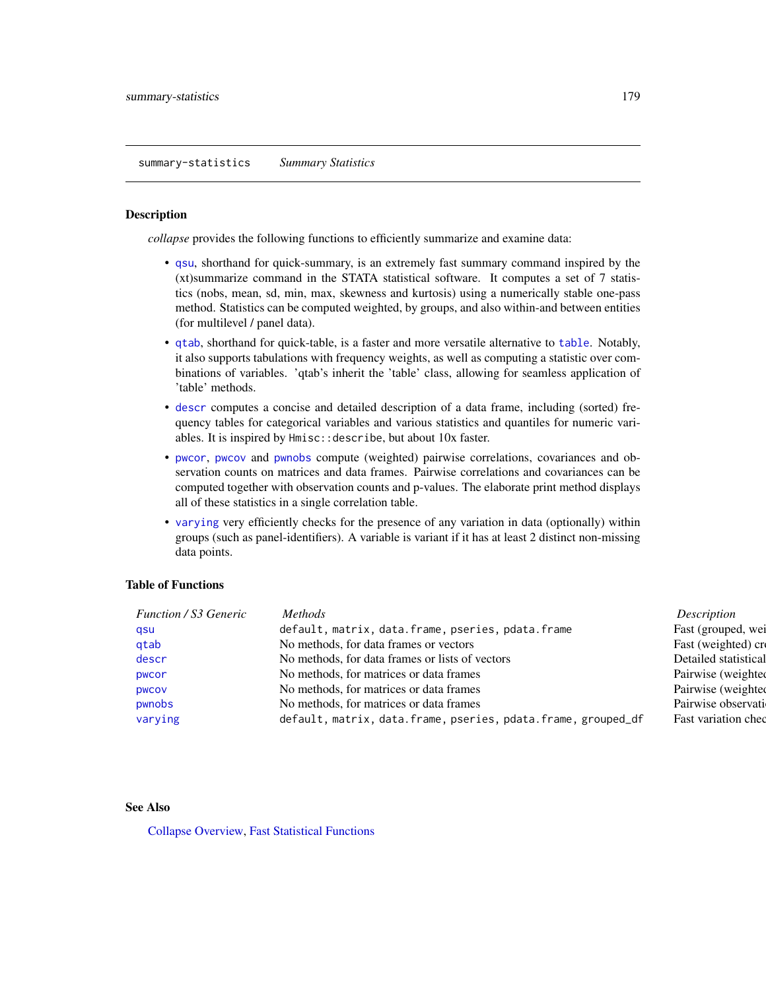<span id="page-178-0"></span>summary-statistics *Summary Statistics*

### Description

*collapse* provides the following functions to efficiently summarize and examine data:

- [qsu](#page-154-0), shorthand for quick-summary, is an extremely fast summary command inspired by the (xt)summarize command in the STATA statistical software. It computes a set of 7 statistics (nobs, mean, sd, min, max, skewness and kurtosis) using a numerically stable one-pass method. Statistics can be computed weighted, by groups, and also within-and between entities (for multilevel / panel data).
- [qtab](#page-159-0), shorthand for quick-table, is a faster and more versatile alternative to [table](#page-0-0). Notably, it also supports tabulations with frequency weights, as well as computing a statistic over combinations of variables. 'qtab's inherit the 'table' class, allowing for seamless application of 'table' methods.
- [descr](#page-32-0) computes a concise and detailed description of a data frame, including (sorted) frequency tables for categorical variables and various statistics and quantiles for numeric variables. It is inspired by Hmisc::describe, but about 10x faster.
- [pwcor](#page-149-0), [pwcov](#page-149-0) and [pwnobs](#page-149-0) compute (weighted) pairwise correlations, covariances and observation counts on matrices and data frames. Pairwise correlations and covariances can be computed together with observation counts and p-values. The elaborate print method displays all of these statistics in a single correlation table.
- [varying](#page-188-0) very efficiently checks for the presence of any variation in data (optionally) within groups (such as panel-identifiers). A variable is variant if it has at least 2 distinct non-missing data points.

## Table of Functions

| <b>Function / S3 Generic</b> | <i>Methods</i>                                                | Description          |
|------------------------------|---------------------------------------------------------------|----------------------|
| qsu                          | default, matrix, data.frame, pseries, pdata.frame             | Fast (grouped, wei   |
| qtab                         | No methods, for data frames or vectors                        | Fast (weighted) cre  |
| descr                        | No methods, for data frames or lists of vectors               | Detailed statistical |
| pwcor                        | No methods, for matrices or data frames                       | Pairwise (weighted   |
| <b>DWCOV</b>                 | No methods, for matrices or data frames                       | Pairwise (weighted   |
| pwnobs                       | No methods, for matrices or data frames                       | Pairwise observati   |
| varying                      | default, matrix, data.frame, pseries, pdata.frame, grouped_df | Fast variation ched  |
|                              |                                                               |                      |

### See Also

[Collapse Overview,](#page-23-0) [Fast Statistical Functions](#page-41-0)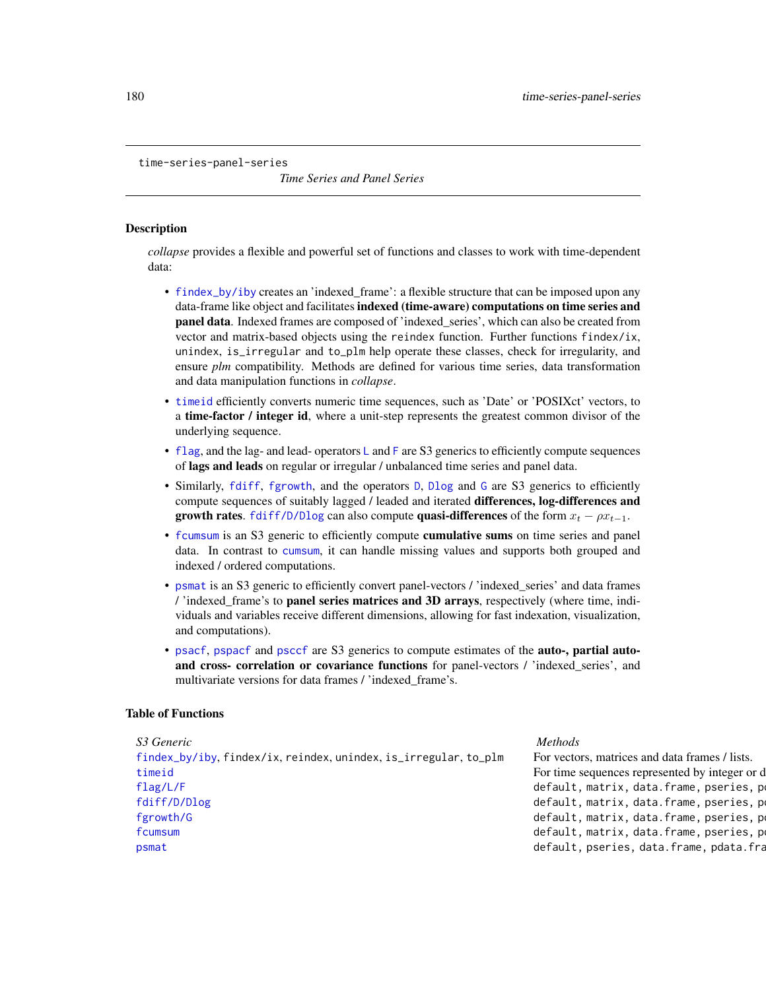<span id="page-179-0"></span>time-series-panel-series

*Time Series and Panel Series*

## **Description**

*collapse* provides a flexible and powerful set of functions and classes to work with time-dependent data:

- [findex\\_by/iby](#page-132-1) creates an 'indexed\_frame': a flexible structure that can be imposed upon any data-frame like object and facilitates indexed (time-aware) computations on time series and panel data. Indexed frames are composed of 'indexed\_series', which can also be created from vector and matrix-based objects using the reindex function. Further functions findex/ix, unindex, is\_irregular and to\_plm help operate these classes, check for irregularity, and ensure *plm* compatibility. Methods are defined for various time series, data transformation and data manipulation functions in *collapse*.
- [timeid](#page-180-0) efficiently converts numeric time sequences, such as 'Date' or 'POSIXct' vectors, to a time-factor / integer id, where a unit-step represents the greatest common divisor of the underlying sequence.
- [flag](#page-68-0), and the lag- and lead- operators [L](#page-68-1) and [F](#page-68-1) are S3 generics to efficiently compute sequences of lags and leads on regular or irregular / unbalanced time series and panel data.
- Similarly, [fdiff](#page-51-0), [fgrowth](#page-61-0), and the operators [D](#page-51-1), [Dlog](#page-51-1) and [G](#page-61-1) are S3 generics to efficiently compute sequences of suitably lagged / leaded and iterated differences, log-differences and growth rates. [fdiff/D/Dlog](#page-51-0) can also compute quasi-differences of the form  $x_t - \rho x_{t-1}$ .
- [fcumsum](#page-49-0) is an S3 generic to efficiently compute cumulative sums on time series and panel data. In contrast to [cumsum](#page-0-0), it can handle missing values and supports both grouped and indexed / ordered computations.
- [psmat](#page-147-0) is an S3 generic to efficiently convert panel-vectors / 'indexed\_series' and data frames / 'indexed\_frame's to panel series matrices and 3D arrays, respectively (where time, individuals and variables receive different dimensions, allowing for fast indexation, visualization, and computations).
- [psacf](#page-145-0), [pspacf](#page-145-1) and [psccf](#page-145-1) are S3 generics to compute estimates of the auto-, partial autoand cross- correlation or covariance functions for panel-vectors / 'indexed\_series', and multivariate versions for data frames / 'indexed\_frame's.

### Table of Functions

| S3 Generic                                                       | <i>Methods</i>                                 |
|------------------------------------------------------------------|------------------------------------------------|
| findex_by/iby, findex/ix, reindex, unindex, is_irregular, to_plm | For vectors, matrices and data frames / lists. |
| timeid                                                           | For time sequences represented by integer or d |
| flag/L/F                                                         | default, matrix, data.frame, pseries, po       |
| fdiff/D/Dlog                                                     | default, matrix, data.frame, pseries, po       |
| fgrowth/G                                                        | default, matrix, data.frame, pseries, po       |
| fcumsum                                                          | default, matrix, data.frame, pseries, po       |
| psmat                                                            | default, pseries, data.frame, pdata.fra        |
|                                                                  |                                                |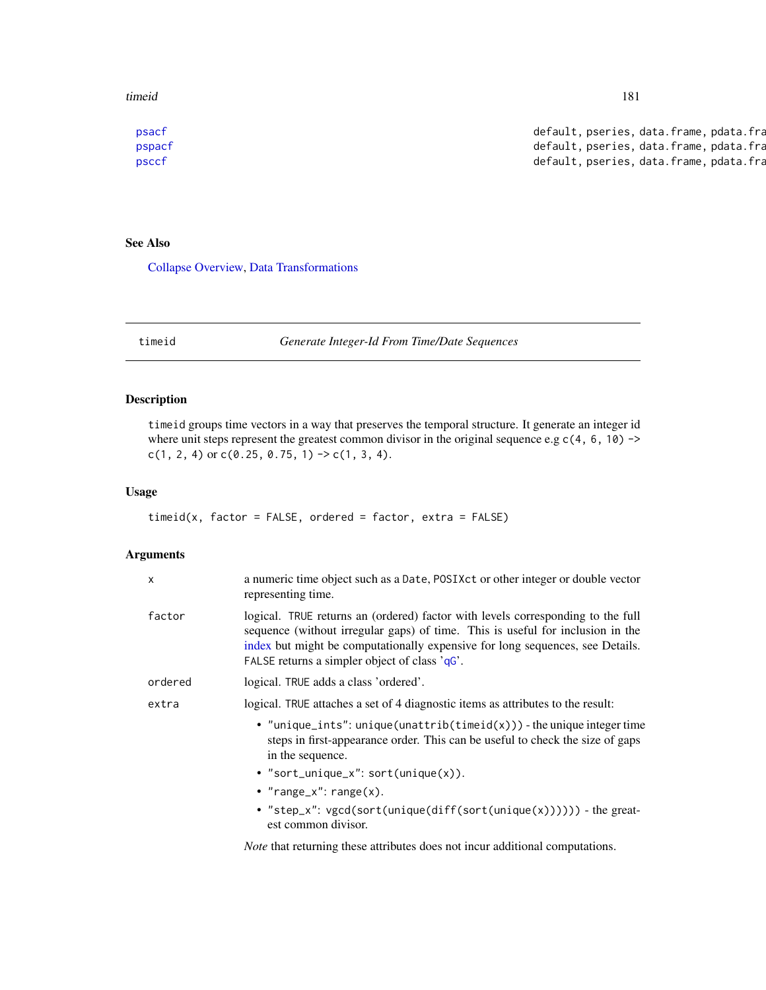<span id="page-180-0"></span>timeid 181

[psacf](#page-145-0) default, pseries, data.frame, pdata.frame Compute Active Acts of panel default, pseries, data.frame, pdata.fra [pspacf](#page-145-1) default, pseries, data.frame, pdata.frame Compute Panel data.frame, pdata.frame Compute Panel data.frame  $P$ [psccf](#page-145-1) default, pseries, data.frame, pdata.frame Compute Compute Compute Compute Compute Compute Compute Compute Compute Compute Compute Compute Compute Compute Compute Compute Compute Compute Compute Compute Compute Comput

# See Also

[Collapse Overview,](#page-23-0) [Data Transformations](#page-30-0)

timeid *Generate Integer-Id From Time/Date Sequences*

# Description

timeid groups time vectors in a way that preserves the temporal structure. It generate an integer id where unit steps represent the greatest common divisor in the original sequence e.g  $c(4, 6, 10)$  ->  $c(1, 2, 4)$  or  $c(0.25, 0.75, 1)$  ->  $c(1, 3, 4)$ .

#### Usage

```
timeid(x, factor = FALSE, ordered = factor, extra = FALSE)
```
# Arguments

| X       | a numeric time object such as a Date, POSIXct or other integer or double vector<br>representing time.                                                                                                                                                                                               |  |
|---------|-----------------------------------------------------------------------------------------------------------------------------------------------------------------------------------------------------------------------------------------------------------------------------------------------------|--|
| factor  | logical. TRUE returns an (ordered) factor with levels corresponding to the full<br>sequence (without irregular gaps) of time. This is useful for inclusion in the<br>index but might be computationally expensive for long sequences, see Details.<br>FALSE returns a simpler object of class 'qG'. |  |
| ordered | logical. TRUE adds a class 'ordered'.                                                                                                                                                                                                                                                               |  |
| extra   | logical. TRUE attaches a set of 4 diagnostic items as attributes to the result:                                                                                                                                                                                                                     |  |
|         | • "unique_ints": unique(unattrib(timeid(x))) - the unique integer time<br>steps in first-appearance order. This can be useful to check the size of gaps<br>in the sequence.                                                                                                                         |  |
|         | • "sort_unique_x": sort(unique(x)).                                                                                                                                                                                                                                                                 |  |
|         | • "range_x": $range(x)$ .                                                                                                                                                                                                                                                                           |  |
|         | • "step_x": vgcd(sort(unique(diff(sort(unique(x)))))) - the great-<br>est common divisor.                                                                                                                                                                                                           |  |

*Note* that returning these attributes does not incur additional computations.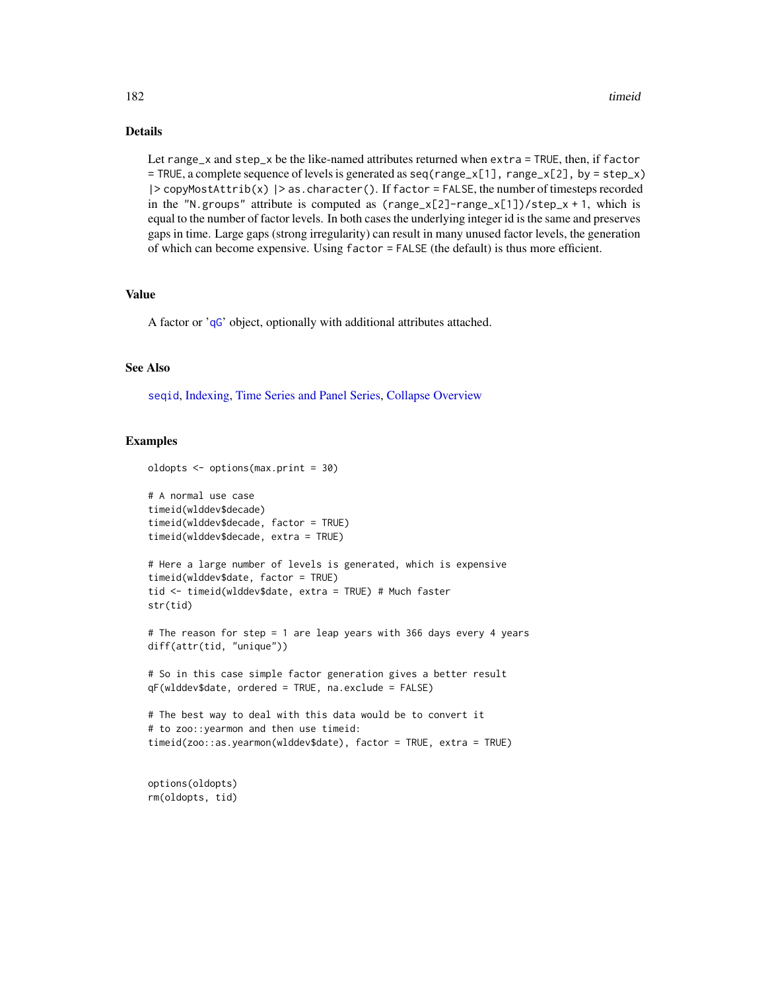# <span id="page-181-0"></span>Details

Let range\_x and  $step_x$  be the like-named attributes returned when  $extra = TRUE$ , then, if  $factor$  $=$  TRUE, a complete sequence of levels is generated as  $seq(range_x[1], range_x[2], by = step_x)$ |> copyMostAttrib(x) |> as.character(). If factor = FALSE, the number of timesteps recorded in the "N.groups" attribute is computed as  $(range_x[2] - range_x[1])/step_x + 1$ , which is equal to the number of factor levels. In both cases the underlying integer id is the same and preserves gaps in time. Large gaps (strong irregularity) can result in many unused factor levels, the generation of which can become expensive. Using factor = FALSE (the default) is thus more efficient.

# Value

A factor or '[qG](#page-151-0)' object, optionally with additional attributes attached.

### See Also

[seqid](#page-173-0), [Indexing,](#page-132-1) [Time Series and Panel Series,](#page-179-0) [Collapse Overview](#page-23-0)

#### Examples

```
oldopts <- options(max.print = 30)
# A normal use case
timeid(wlddev$decade)
timeid(wlddev$decade, factor = TRUE)
timeid(wlddev$decade, extra = TRUE)
# Here a large number of levels is generated, which is expensive
timeid(wlddev$date, factor = TRUE)
tid <- timeid(wlddev$date, extra = TRUE) # Much faster
str(tid)
# The reason for step = 1 are leap years with 366 days every 4 years
diff(attr(tid, "unique"))
# So in this case simple factor generation gives a better result
qF(wlddev$date, ordered = TRUE, na.exclude = FALSE)
# The best way to deal with this data would be to convert it
# to zoo::yearmon and then use timeid:
timeid(zoo::as.yearmon(wlddev$date), factor = TRUE, extra = TRUE)
```
options(oldopts) rm(oldopts, tid)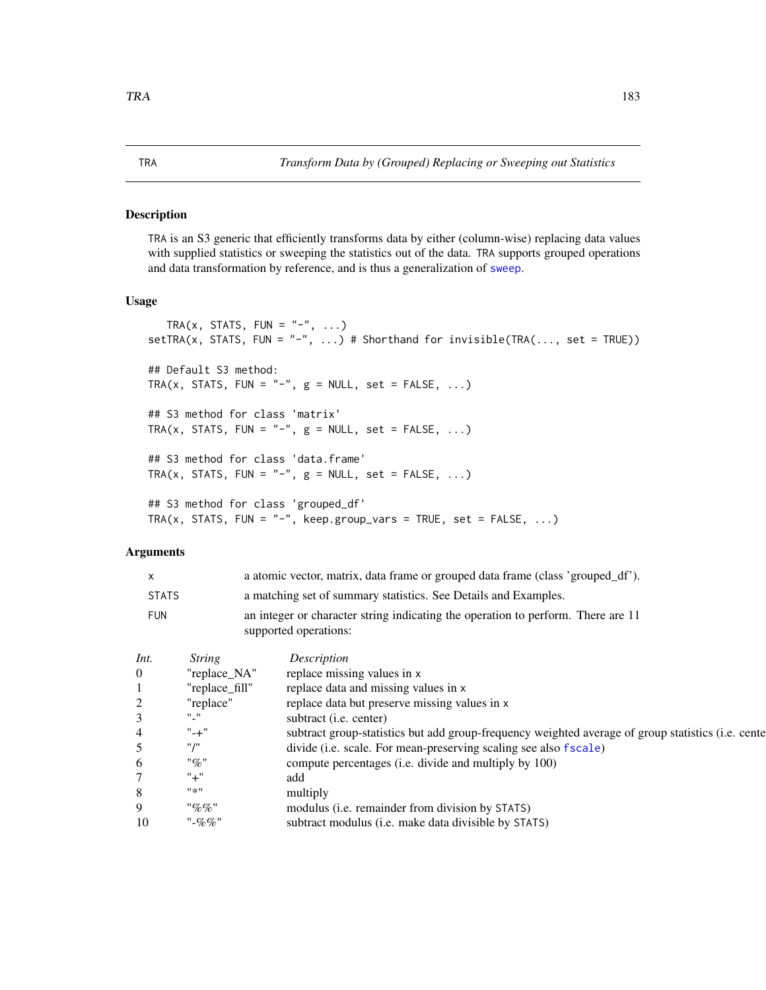#### <span id="page-182-0"></span>Description

TRA is an S3 generic that efficiently transforms data by either (column-wise) replacing data values with supplied statistics or sweeping the statistics out of the data. TRA supports grouped operations and data transformation by reference, and is thus a generalization of [sweep](#page-0-0).

# Usage

```
TRA(x, STATS, FUN = "-", ...)
setTRA(x, STATS, FUN = "-", ...) # Shorthand for invisible(TRA(..., set = TRUE))
## Default S3 method:
TRA(x, STATS, FUN = "-", g = NULL, set = FALSE, ...)
## S3 method for class 'matrix'
TRA(x, STATS, FUN = "-", g = NULL, set = FALSE, ...)
## S3 method for class 'data.frame'
TRA(x, STATS, FUN = "-", g = NULL, set = FALSE, ...)
## S3 method for class 'grouped_df'
TRA(x, STATS, FUN = "-", keep.group_vars = TRUE, set = FALSE, \dots)
```
# Arguments

| $\mathsf{x}$ | a atomic vector, matrix, data frame or grouped data frame (class 'grouped_df').                           |
|--------------|-----------------------------------------------------------------------------------------------------------|
| STATS        | a matching set of summary statistics. See Details and Examples.                                           |
| <b>FUN</b>   | an integer or character string indicating the operation to perform. There are 11<br>supported operations: |

| Int.     | <b>String</b>  | Description                                                                                        |
|----------|----------------|----------------------------------------------------------------------------------------------------|
| $\Omega$ | "replace_NA"   | replace missing values in x                                                                        |
|          | "replace fill" | replace data and missing values in x                                                               |
| 2        | "replace"      | replace data but preserve missing values in x                                                      |
| 3        | $"$ _"         | subtract (i.e. center)                                                                             |
| 4        | $" - +"$       | subtract group-statistics but add group-frequency weighted average of group statistics (i.e. cente |
|          | "/"            | divide (i.e. scale. For mean-preserving scaling see also fscale)                                   |
| 6        | "%"            | compute percentages (i.e. divide and multiply by 100)                                              |
|          | $" +"$         | add                                                                                                |
| 8        | "*"            | multiply                                                                                           |
| 9        | "%%            | modulus ( <i>i.e.</i> remainder from division by STATS)                                            |
| 10       | "-%%"          | subtract modulus (i.e. make data divisible by STATS)                                               |
|          |                |                                                                                                    |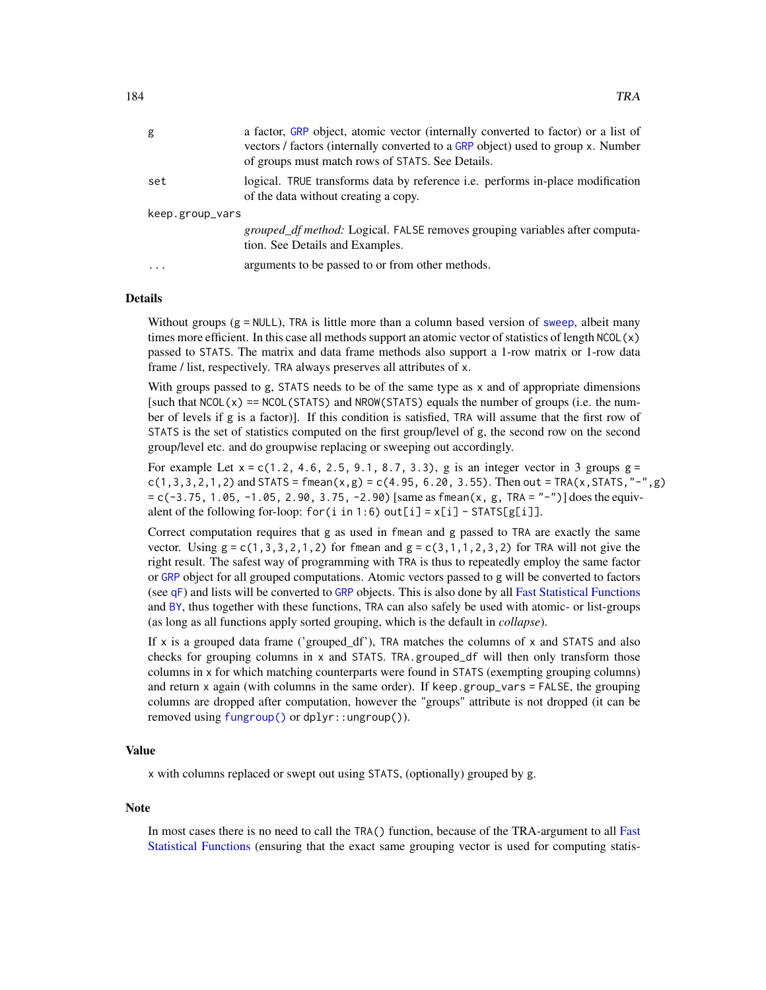<span id="page-183-0"></span>

| g               | a factor, GRP object, atomic vector (internally converted to factor) or a list of<br>vectors / factors (internally converted to a GRP object) used to group x. Number<br>of groups must match rows of STATS. See Details. |  |
|-----------------|---------------------------------------------------------------------------------------------------------------------------------------------------------------------------------------------------------------------------|--|
| set             | logical. TRUE transforms data by reference i.e. performs in-place modification<br>of the data without creating a copy.                                                                                                    |  |
| keep.group_vars |                                                                                                                                                                                                                           |  |
|                 | <i>grouped_df method:</i> Logical. FALSE removes grouping variables after computa-<br>tion. See Details and Examples.                                                                                                     |  |
| .               | arguments to be passed to or from other methods.                                                                                                                                                                          |  |

### Details

Without groups  $(g = \text{NULL})$ , TRA is little more than a column based version of [sweep](#page-0-0), albeit many times more efficient. In this case all methods support an atomic vector of statistics of length NCOL(x) passed to STATS. The matrix and data frame methods also support a 1-row matrix or 1-row data frame / list, respectively. TRA always preserves all attributes of x.

With groups passed to g, STATS needs to be of the same type as x and of appropriate dimensions [such that NCOL(x) == NCOL(STATS) and NROW(STATS) equals the number of groups (i.e. the number of levels if g is a factor)]. If this condition is satisfied, TRA will assume that the first row of STATS is the set of statistics computed on the first group/level of g, the second row on the second group/level etc. and do groupwise replacing or sweeping out accordingly.

For example Let  $x = c(1.2, 4.6, 2.5, 9.1, 8.7, 3.3)$ , g is an integer vector in 3 groups  $g =$  $c(1,3,3,2,1,2)$  and STATS = fmean(x,g) =  $c(4.95, 6.20, 3.55)$ . Then out = TRA(x, STATS, "-",g)  $= c(-3.75, 1.05, -1.05, 2.90, 3.75, -2.90)$  [same as fmean(x, g, TRA = "-")] does the equivalent of the following for-loop: for (i in 1:6) out[i] =  $x[i]$  - STATS[g[i]].

Correct computation requires that g as used in fmean and g passed to TRA are exactly the same vector. Using  $g = c(1,3,3,2,1,2)$  for fmean and  $g = c(3,1,1,2,3,2)$  for TRA will not give the right result. The safest way of programming with TRA is thus to repeatedly employ the same factor or [GRP](#page-127-0) object for all grouped computations. Atomic vectors passed to g will be converted to factors (see [qF](#page-151-0)) and lists will be converted to [GRP](#page-127-0) objects. This is also done by all [Fast Statistical Functions](#page-41-0) and [BY](#page-15-0), thus together with these functions, TRA can also safely be used with atomic- or list-groups (as long as all functions apply sorted grouping, which is the default in *collapse*).

If x is a grouped data frame ('grouped df'), TRA matches the columns of x and STATS and also checks for grouping columns in x and STATS. TRA.grouped\_df will then only transform those columns in x for which matching counterparts were found in STATS (exempting grouping columns) and return  $x$  again (with columns in the same order). If keep.group\_vars = FALSE, the grouping columns are dropped after computation, however the "groups" attribute is not dropped (it can be removed using [fungroup\(\)](#page-127-1) or dplyr::ungroup()).

# Value

x with columns replaced or swept out using STATS, (optionally) grouped by g.

#### Note

In most cases there is no need to call the TRA() function, because of the TRA-argument to all [Fast](#page-41-0) [Statistical Functions](#page-41-0) (ensuring that the exact same grouping vector is used for computing statis-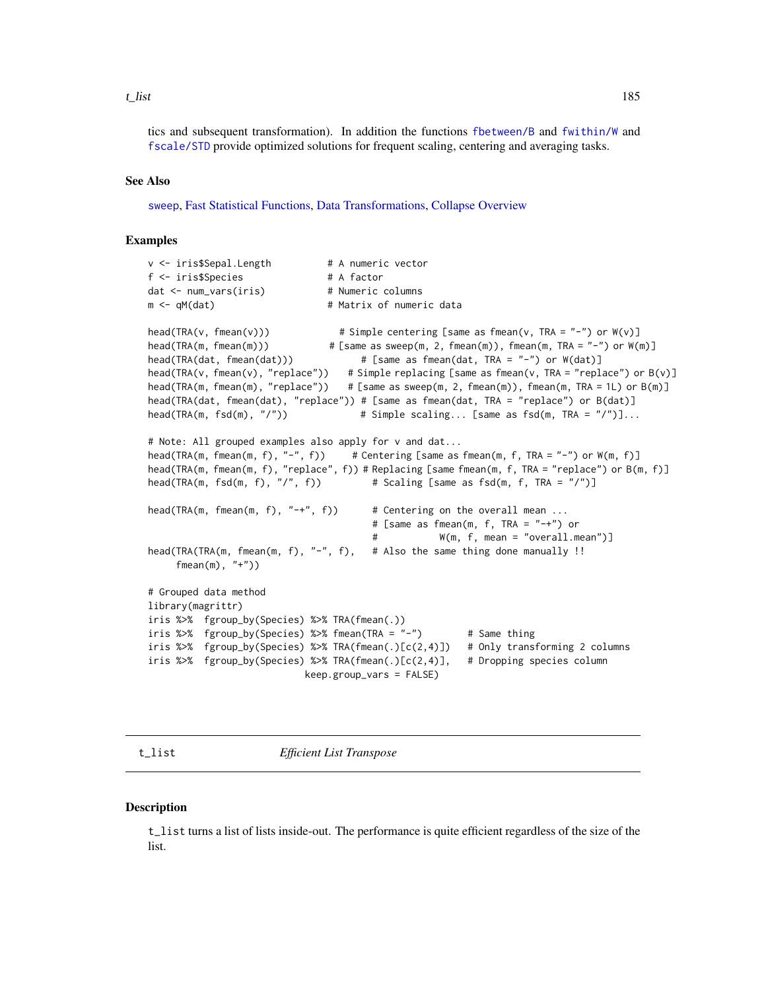#### <span id="page-184-0"></span>t\_list 185

tics and subsequent transformation). In addition the functions [fbetween/B](#page-44-0) and [fwithin/W](#page-44-0) and [fscale/STD](#page-95-0) provide optimized solutions for frequent scaling, centering and averaging tasks.

#### See Also

[sweep](#page-0-0), [Fast Statistical Functions,](#page-41-0) [Data Transformations,](#page-30-0) [Collapse Overview](#page-23-0)

# Examples

```
v <- iris$Sepal.Length # A numeric vector
f <- iris$Species # A factor
dat <- num_vars(iris) # Numeric columns
m <- qM(dat) # Matrix of numeric data
head(TRA(v, fmean(v))) \qquad \qquad \qquad \# Simple centering [same as fmean(v, TRA = "-") or W(v)]
head(TRA(m, fmean(m))) \qquad \qquad # [same as sweep(m, 2, fmean(m)), fmean(m, TRA = "-") or W(m)]
head(TRA(dat, fmean(dat))) # [same as fmean(dat, TRA = "-") or W(dat)]
head(TRA(v, fmean(v), "replace")) # Simple replacing [same as fmean(v, TRA = "replace") or B(v)]
head(TRA(m, fmean(m), "replace")) # [same as sweep(m, 2, fmean(m)), fmean(m, TRA = 1L) or B(m)]
head(TRA(dat, fmean(dat), "replace")) # [same as fmean(dat, TRA = "replace") or B(dat)]
head(TRA(m, fsd(m), "/")) # Simple scaling... [same as fsd(m, TRA = "/")]...
# Note: All grouped examples also apply for v and dat...
head(TRA(m, fmean(m, f), "-", f)) # Centering [same as fmean(m, f, TRA = "-") or W(m, f)]
head(TRA(m, fmean(m, f), "replace", f)) # Replacing [same fmean(m, f, TRA = "replace") or B(m, f)]
head(TRA(m, fsd(m, f), "/", f)) # Scaling [same as fsd(m, f, TRA = "/")]
head(TRA(m, fmean(m, f), "-+", f)) # Centering on the overall mean ...
                                      # [same as fmean(m, f, TRA = "-+") or
                                      # W(m, f, mean = "overall.mean")]
head(TRA(TRA(m, fmean(m, f), "-", f), # Also the same thing done manually !!
    fmean(m), "+")# Grouped data method
library(magrittr)
iris %>% fgroup_by(Species) %>% TRA(fmean(.))
iris %>% fgroup_by(Species) %>% fmean(TRA = "-") # Same thing
iris %>% fgroup_by(Species) %>% TRA(fmean(.)[c(2,4)]) # Only transforming 2 columns
iris %>% fgroup_by(Species) %>% TRA(fmean(.)[c(2,4)], # Dropping species column
                          keep.group_vars = FALSE)
```
t\_list *Efficient List Transpose*

#### **Description**

t\_list turns a list of lists inside-out. The performance is quite efficient regardless of the size of the list.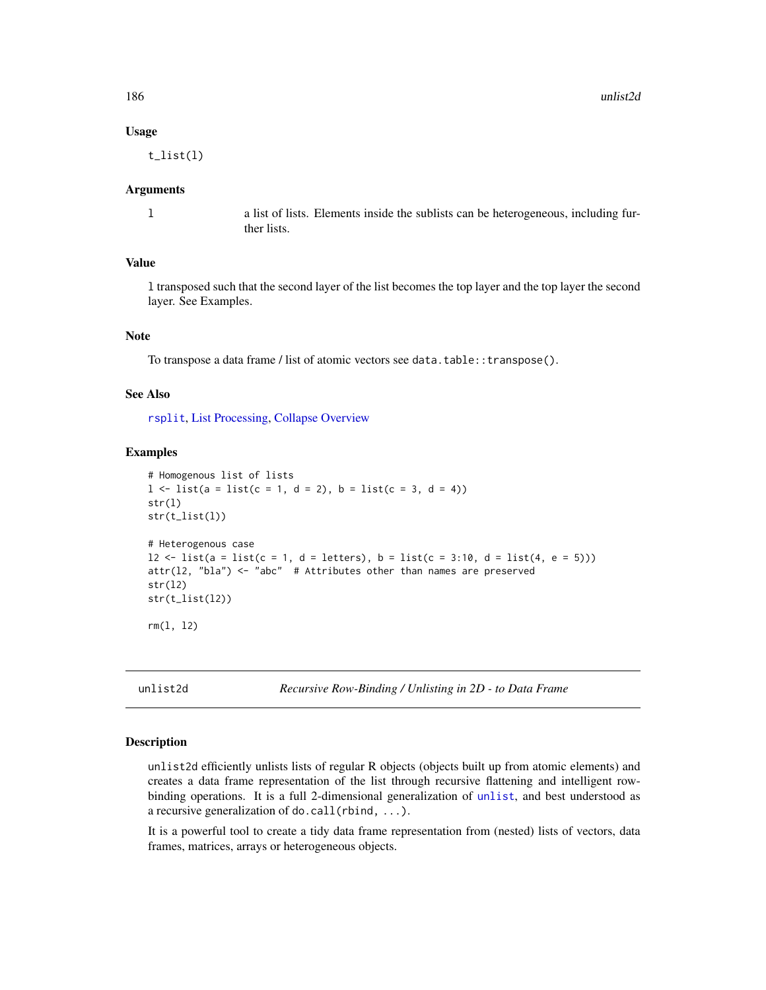#### Usage

t\_list(l)

#### Arguments

l a list of lists. Elements inside the sublists can be heterogeneous, including further lists.

# Value

l transposed such that the second layer of the list becomes the top layer and the top layer the second layer. See Examples.

#### Note

To transpose a data frame / list of atomic vectors see data.table::transpose().

#### See Also

[rsplit](#page-171-0), [List Processing,](#page-142-0) [Collapse Overview](#page-23-0)

# Examples

```
# Homogenous list of lists
1 \le -\text{list}(a = \text{list}(c = 1, d = 2), b = \text{list}(c = 3, d = 4))str(l)
str(t_list(l))
# Heterogenous case
12 <- list(a = list(c = 1, d = letters), b = list(c = 3:10, d = list(4, e = 5)))
attr(l2, "bla") <- "abc" # Attributes other than names are preserved
str(l2)
str(t_list(l2))
rm(l, l2)
```
unlist2d *Recursive Row-Binding / Unlisting in 2D - to Data Frame*

#### Description

unlist2d efficiently unlists lists of regular R objects (objects built up from atomic elements) and creates a data frame representation of the list through recursive flattening and intelligent rowbinding operations. It is a full 2-dimensional generalization of [unlist](#page-0-0), and best understood as a recursive generalization of do.call(rbind, ...).

It is a powerful tool to create a tidy data frame representation from (nested) lists of vectors, data frames, matrices, arrays or heterogeneous objects.

<span id="page-185-0"></span>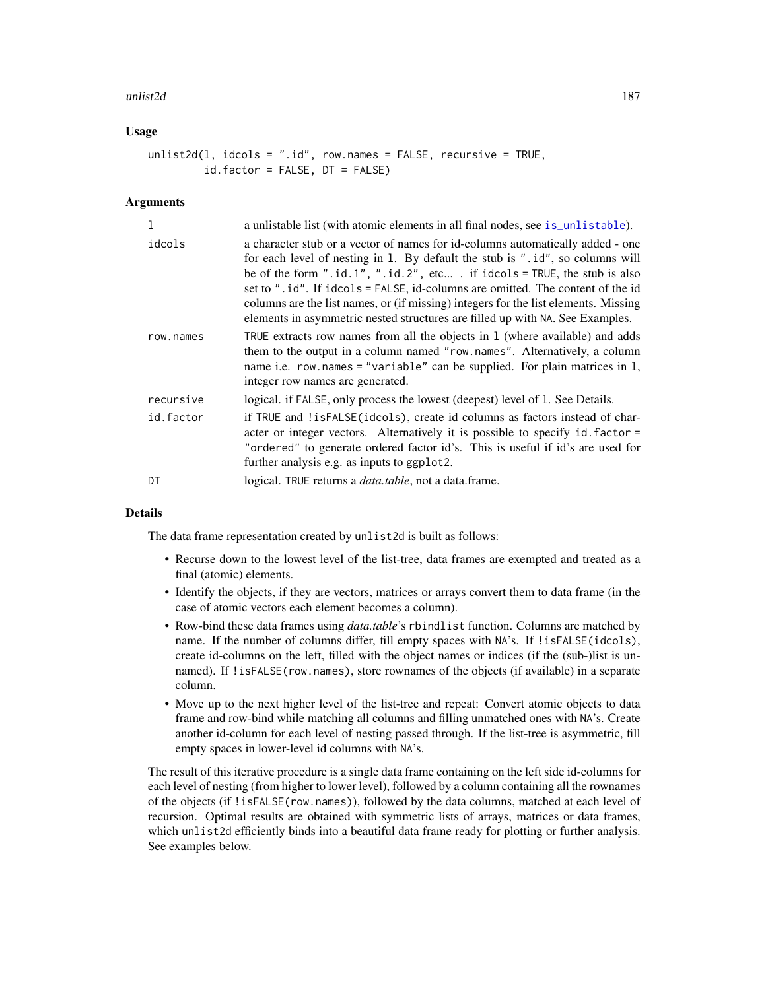#### <span id="page-186-0"></span>unlist2d 187

# Usage

unlist2d(l, idcols = ".id", row.names = FALSE, recursive = TRUE, id.factor = FALSE, DT = FALSE)

### Arguments

| 1         | a unlistable list (with atomic elements in all final nodes, see is_unlistable).                                                                                                                                                                                                                                                                                                                                                                                                                        |
|-----------|--------------------------------------------------------------------------------------------------------------------------------------------------------------------------------------------------------------------------------------------------------------------------------------------------------------------------------------------------------------------------------------------------------------------------------------------------------------------------------------------------------|
| idcols    | a character stub or a vector of names for id-columns automatically added - one<br>for each level of nesting in 1. By default the stub is ".id", so columns will<br>be of the form ".id.1", ".id.2", etc . if idcols = TRUE, the stub is also<br>set to ".id". If idcols = FALSE, id-columns are omitted. The content of the id<br>columns are the list names, or (if missing) integers for the list elements. Missing<br>elements in asymmetric nested structures are filled up with NA. See Examples. |
| row.names | TRUE extracts row names from all the objects in 1 (where available) and adds<br>them to the output in a column named "row.names". Alternatively, a column<br>name i.e. row.names = "variable" can be supplied. For plain matrices in $l$ ,<br>integer row names are generated.                                                                                                                                                                                                                         |
| recursive | logical. if FALSE, only process the lowest (deepest) level of 1. See Details.                                                                                                                                                                                                                                                                                                                                                                                                                          |
| id.factor | if TRUE and !isFALSE(idcols), create id columns as factors instead of char-<br>acter or integer vectors. Alternatively it is possible to specify id. factor =<br>"ordered" to generate ordered factor id's. This is useful if id's are used for<br>further analysis e.g. as inputs to ggplot2.                                                                                                                                                                                                         |
| DT        | logical. TRUE returns a <i>data.table</i> , not a data.frame.                                                                                                                                                                                                                                                                                                                                                                                                                                          |

# **Details**

The data frame representation created by unlist2d is built as follows:

- Recurse down to the lowest level of the list-tree, data frames are exempted and treated as a final (atomic) elements.
- Identify the objects, if they are vectors, matrices or arrays convert them to data frame (in the case of atomic vectors each element becomes a column).
- Row-bind these data frames using *data.table*'s rbindlist function. Columns are matched by name. If the number of columns differ, fill empty spaces with NA's. If !isFALSE(idcols), create id-columns on the left, filled with the object names or indices (if the (sub-)list is unnamed). If !isFALSE(row.names), store rownames of the objects (if available) in a separate column.
- Move up to the next higher level of the list-tree and repeat: Convert atomic objects to data frame and row-bind while matching all columns and filling unmatched ones with NA's. Create another id-column for each level of nesting passed through. If the list-tree is asymmetric, fill empty spaces in lower-level id columns with NA's.

The result of this iterative procedure is a single data frame containing on the left side id-columns for each level of nesting (from higher to lower level), followed by a column containing all the rownames of the objects (if !isFALSE(row.names)), followed by the data columns, matched at each level of recursion. Optimal results are obtained with symmetric lists of arrays, matrices or data frames, which unlist2d efficiently binds into a beautiful data frame ready for plotting or further analysis. See examples below.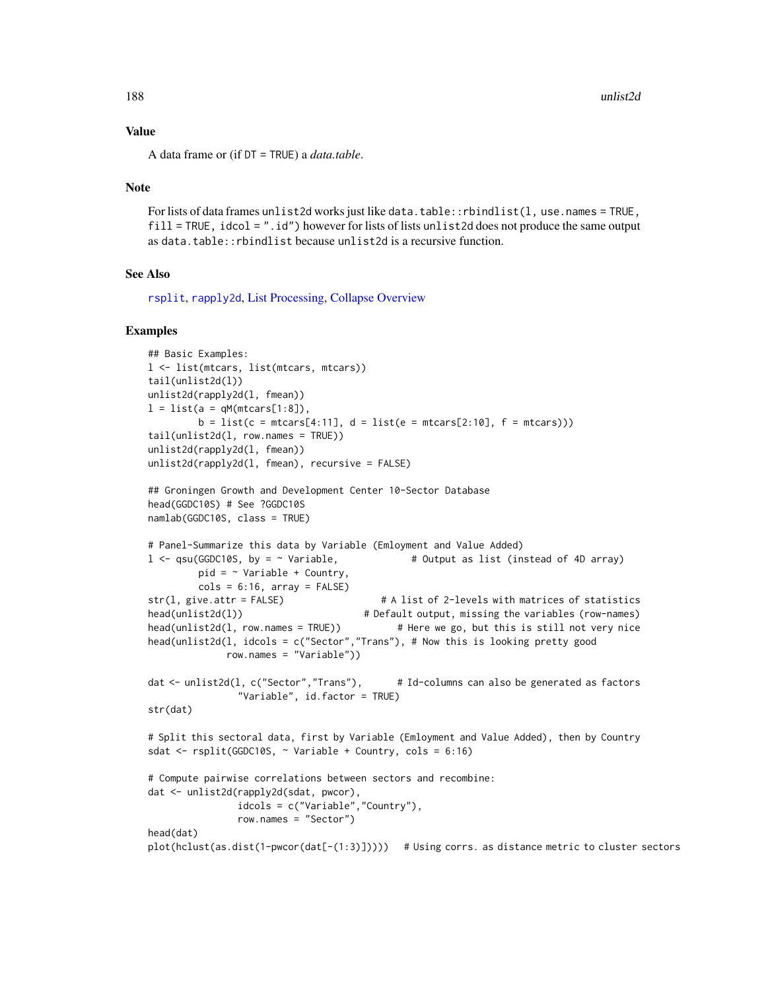# Value

A data frame or (if DT = TRUE) a *data.table*.

#### Note

For lists of data frames unlist2d works just like data.table::rbindlist(l, use.names = TRUE, fill = TRUE, idcol = ".id") however for lists of lists unlist2d does not produce the same output as data.table::rbindlist because unlist2d is a recursive function.

# See Also

[rsplit](#page-171-0), [rapply2d](#page-166-0), [List Processing,](#page-142-0) [Collapse Overview](#page-23-0)

#### Examples

```
## Basic Examples:
l <- list(mtcars, list(mtcars, mtcars))
tail(unlist2d(l))
unlist2d(rapply2d(l, fmean))
l = list(a = qM(mtcars[1:8]),b = list(c = mtcars[4:11], d = list(e = mtcars[2:10], f = mtcars)))tail(unlist2d(1, row.names = TRUE))unlist2d(rapply2d(l, fmean))
unlist2d(rapply2d(l, fmean), recursive = FALSE)
## Groningen Growth and Development Center 10-Sector Database
head(GGDC10S) # See ?GGDC10S
namlab(GGDC10S, class = TRUE)
# Panel-Summarize this data by Variable (Emloyment and Value Added)
l \leq qsu(GGDC10S, by = \sim Variable, # Output as list (instead of 4D array)
        pid = \sim Variable + Country,
        \text{cols} = 6:16, \text{array} = \text{FALSE}str(l, give.attr = FALSE) # A list of 2-levels with matrices of statistics
head(unlist2d(l)) # Default output, missing the variables (row-names)
head(unlist2d(l, row.names = TRUE)) # Here we go, but this is still not very nice
head(unlist2d(l, idcols = c("Sector","Trans"), # Now this is looking pretty good
             row.names = "Variable"))
dat <- unlist2d(l, c("Sector","Trans"), # Id-columns can also be generated as factors
                "Variable", id.factor = TRUE)
str(dat)
# Split this sectoral data, first by Variable (Emloyment and Value Added), then by Country
sdat <- rsplit(GGDC10S, ~ Variable + Country, cols = 6:16)
# Compute pairwise correlations between sectors and recombine:
dat <- unlist2d(rapply2d(sdat, pwcor),
               idcols = c("Variable","Country"),
               row.names = "Sector")
head(dat)
plot(hclust(as.dist(1-pwcor(dat[-(1:3)])))) # Using corrs. as distance metric to cluster sectors
```
<span id="page-187-0"></span>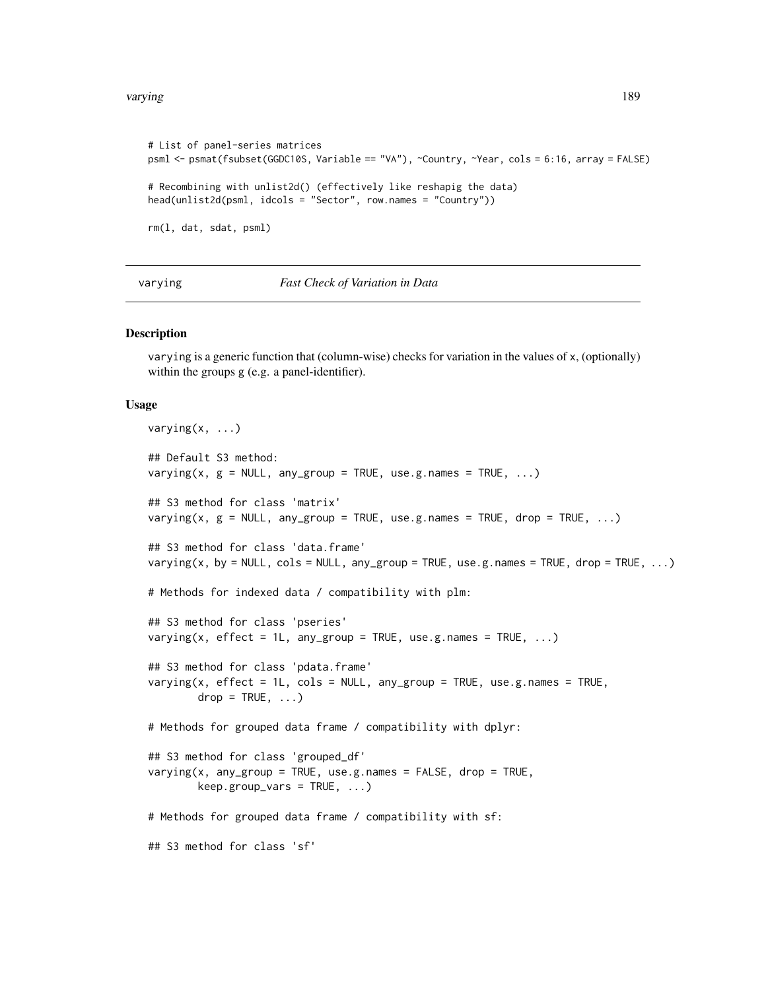```
# List of panel-series matrices
psml <- psmat(fsubset(GGDC10S, Variable == "VA"), ~Country, ~Year, cols = 6:16, array = FALSE)
# Recombining with unlist2d() (effectively like reshapig the data)
head(unlist2d(psml, idcols = "Sector", row.names = "Country"))
rm(l, dat, sdat, psml)
```
varying *Fast Check of Variation in Data*

#### **Description**

varying is a generic function that (column-wise) checks for variation in the values of x, (optionally) within the groups g (e.g. a panel-identifier).

#### Usage

```
varying(x, ...)
## Default S3 method:
varying(x, g = NULL, any-group = TRUE, use.g. names = TRUE, ...)## S3 method for class 'matrix'
varying(x, g = NULL, any_group = TRUE, use.g.names = TRUE, drop = TRUE, ...)
## S3 method for class 'data.frame'
varying(x, by = NULL, \text{cols} = \text{NULL}, \text{any\_group} = \text{TRUE}, \text{use.g.} names = \text{TRUE}, \text{drop} = \text{TRUE}, \ldots)
# Methods for indexed data / compatibility with plm:
## S3 method for class 'pseries'
varying(x, effect = 1L, any_group = TRUE, use.g.names = TRUE, \ldots)
## S3 method for class 'pdata.frame'
varying(x, effect = 1L, cols = NULL, any_group = TRUE, use.g.names = TRUE,
        drop = TRUE, ...# Methods for grouped data frame / compatibility with dplyr:
## S3 method for class 'grouped_df'
varving(x, any\_group = TRUE, use.g. names = FALSE, drop = TRUE,keep.group\_vars = TRUE, ...)# Methods for grouped data frame / compatibility with sf:
## S3 method for class 'sf'
```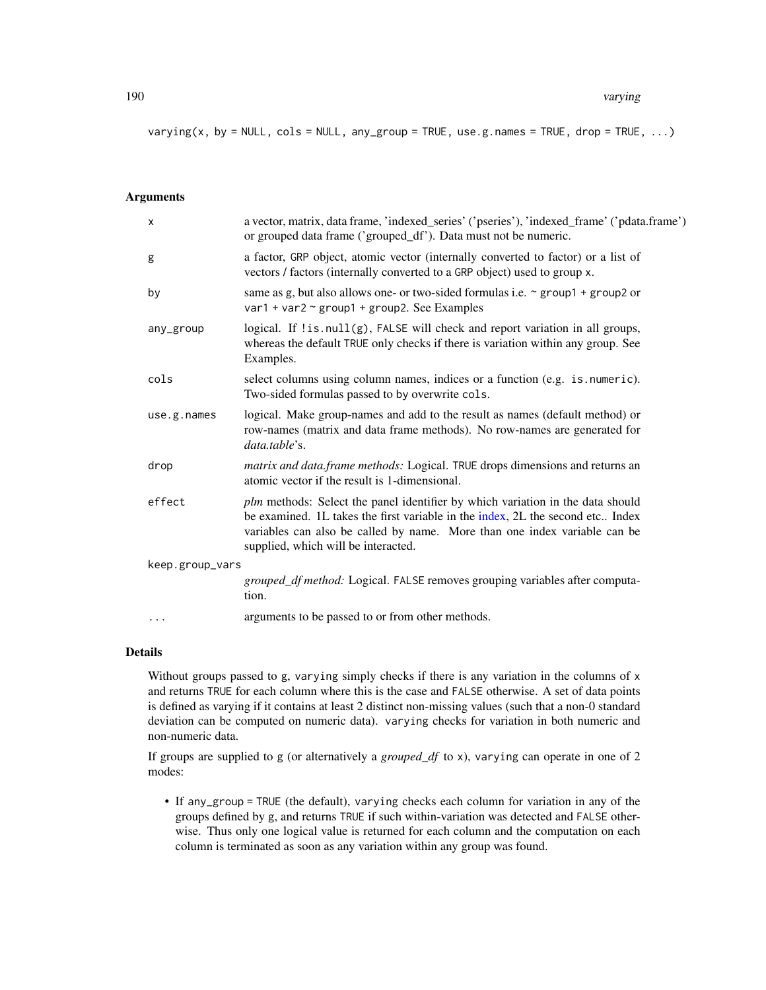<span id="page-189-0"></span> $varying(x, by = NULL, cols = NULL, any-group = TRUE, use.g. names = TRUE, drop = TRUE, ...)$ 

#### **Arguments**

|                 | X           | a vector, matrix, data frame, 'indexed_series' ('pseries'), 'indexed_frame' ('pdata.frame')<br>or grouped data frame ('grouped_df'). Data must not be numeric.                                                                                                                       |
|-----------------|-------------|--------------------------------------------------------------------------------------------------------------------------------------------------------------------------------------------------------------------------------------------------------------------------------------|
|                 | g           | a factor, GRP object, atomic vector (internally converted to factor) or a list of<br>vectors / factors (internally converted to a GRP object) used to group x.                                                                                                                       |
|                 | by          | same as g, but also allows one- or two-sided formulas i.e. $\sim$ group1 + group2 or<br>var1 + var2 $\sim$ group1 + group2. See Examples                                                                                                                                             |
|                 | any_group   | logical. If !is.null(g), FALSE will check and report variation in all groups,<br>whereas the default TRUE only checks if there is variation within any group. See<br>Examples.                                                                                                       |
|                 | cols        | select columns using column names, indices or a function (e.g. is numeric).<br>Two-sided formulas passed to by overwrite cols.                                                                                                                                                       |
|                 | use.g.names | logical. Make group-names and add to the result as names (default method) or<br>row-names (matrix and data frame methods). No row-names are generated for<br>data.table's.                                                                                                           |
|                 | drop        | matrix and data frame methods: Logical. TRUE drops dimensions and returns an<br>atomic vector if the result is 1-dimensional.                                                                                                                                                        |
|                 | effect      | plm methods: Select the panel identifier by which variation in the data should<br>be examined. 1L takes the first variable in the index, 2L the second etc Index<br>variables can also be called by name. More than one index variable can be<br>supplied, which will be interacted. |
| keep.group_vars |             |                                                                                                                                                                                                                                                                                      |
|                 |             | grouped_df method: Logical. FALSE removes grouping variables after computa-<br>tion.                                                                                                                                                                                                 |
|                 | .           | arguments to be passed to or from other methods.                                                                                                                                                                                                                                     |
|                 |             |                                                                                                                                                                                                                                                                                      |

### Details

Without groups passed to g, varying simply checks if there is any variation in the columns of x and returns TRUE for each column where this is the case and FALSE otherwise. A set of data points is defined as varying if it contains at least 2 distinct non-missing values (such that a non-0 standard deviation can be computed on numeric data). varying checks for variation in both numeric and non-numeric data.

If groups are supplied to g (or alternatively a *grouped\_df* to x), varying can operate in one of 2 modes:

• If any\_group = TRUE (the default), varying checks each column for variation in any of the groups defined by g, and returns TRUE if such within-variation was detected and FALSE otherwise. Thus only one logical value is returned for each column and the computation on each column is terminated as soon as any variation within any group was found.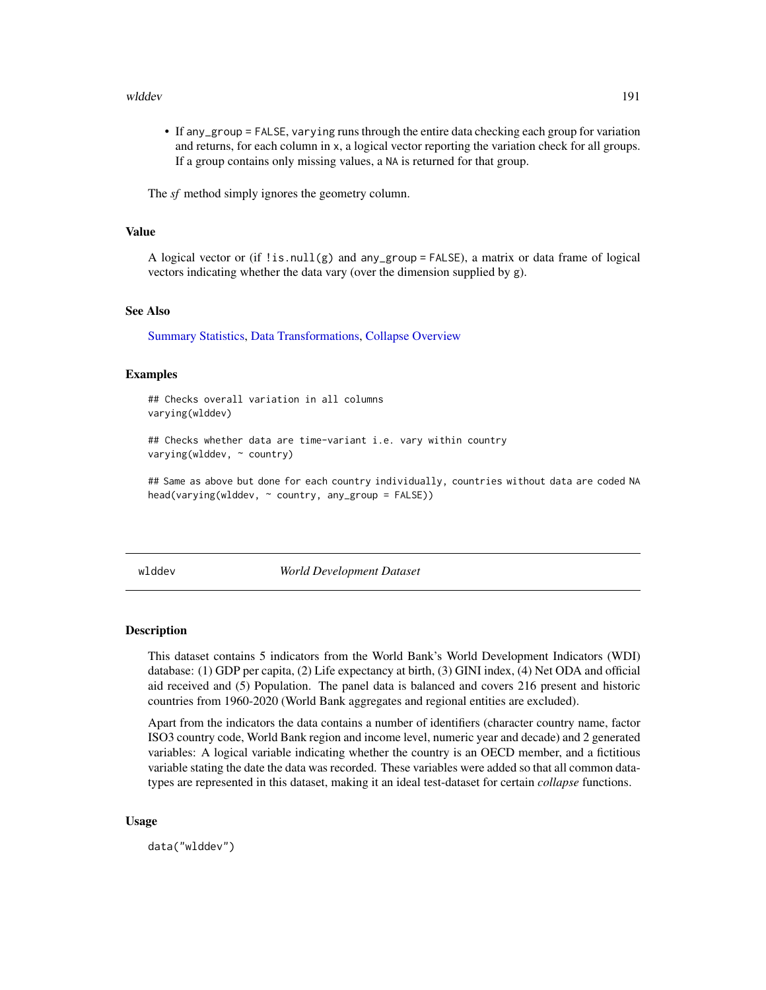#### <span id="page-190-0"></span>wlddev 191

• If any\_group = FALSE, varying runs through the entire data checking each group for variation and returns, for each column in x, a logical vector reporting the variation check for all groups. If a group contains only missing values, a NA is returned for that group.

The *sf* method simply ignores the geometry column.

# Value

A logical vector or (if ! is.  $null(g)$  and any\_group = FALSE), a matrix or data frame of logical vectors indicating whether the data vary (over the dimension supplied by g).

#### See Also

[Summary Statistics,](#page-178-0) [Data Transformations,](#page-30-0) [Collapse Overview](#page-23-0)

#### Examples

## Checks overall variation in all columns varying(wlddev)

## Checks whether data are time-variant i.e. vary within country varying(wlddev, ~ country)

## Same as above but done for each country individually, countries without data are coded NA head(varying(wlddev, ~ country, any\_group = FALSE))

wlddev *World Development Dataset*

#### Description

This dataset contains 5 indicators from the World Bank's World Development Indicators (WDI) database: (1) GDP per capita, (2) Life expectancy at birth, (3) GINI index, (4) Net ODA and official aid received and (5) Population. The panel data is balanced and covers 216 present and historic countries from 1960-2020 (World Bank aggregates and regional entities are excluded).

Apart from the indicators the data contains a number of identifiers (character country name, factor ISO3 country code, World Bank region and income level, numeric year and decade) and 2 generated variables: A logical variable indicating whether the country is an OECD member, and a fictitious variable stating the date the data was recorded. These variables were added so that all common datatypes are represented in this dataset, making it an ideal test-dataset for certain *collapse* functions.

#### Usage

data("wlddev")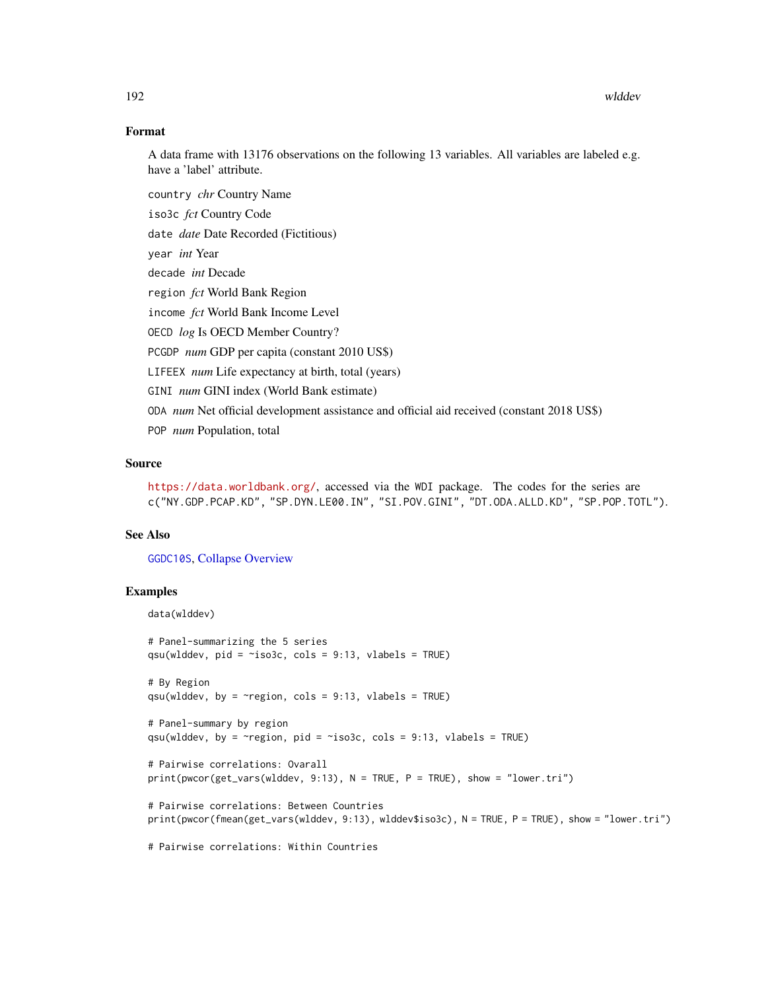# Format

A data frame with 13176 observations on the following 13 variables. All variables are labeled e.g. have a 'label' attribute.

country *chr* Country Name

iso3c *fct* Country Code

date *date* Date Recorded (Fictitious)

year *int* Year

decade *int* Decade

region *fct* World Bank Region

income *fct* World Bank Income Level

OECD *log* Is OECD Member Country?

PCGDP *num* GDP per capita (constant 2010 US\$)

LIFEEX *num* Life expectancy at birth, total (years)

GINI *num* GINI index (World Bank estimate)

ODA *num* Net official development assistance and official aid received (constant 2018 US\$)

POP *num* Population, total

# Source

<https://data.worldbank.org/>, accessed via the WDI package. The codes for the series are c("NY.GDP.PCAP.KD", "SP.DYN.LE00.IN", "SI.POV.GINI", "DT.ODA.ALLD.KD", "SP.POP.TOTL").

# See Also

[GGDC10S](#page-122-0), [Collapse Overview](#page-23-0)

# Examples

```
data(wlddev)
# Panel-summarizing the 5 series
qsu(wlddev, pid = \simiso3c, cols = 9:13, vlabels = TRUE)
# By Region
qsu(wlddev, by = \simregion, cols = 9:13, vlabels = TRUE)
# Panel-summary by region
qsu(wlddev, by = \simregion, pid = \simiso3c, cols = 9:13, vlabels = TRUE)
# Pairwise correlations: Ovarall
print(pwcor(get_vars(wlddev, 9:13), N = TRUE, P = TRUE), show = "lower.tri")
# Pairwise correlations: Between Countries
print(pwcor(fmean(get_vars(wlddev, 9:13), wlddev$iso3c), N = TRUE, P = TRUE), show = "lower.tri")
# Pairwise correlations: Within Countries
```
<span id="page-191-0"></span>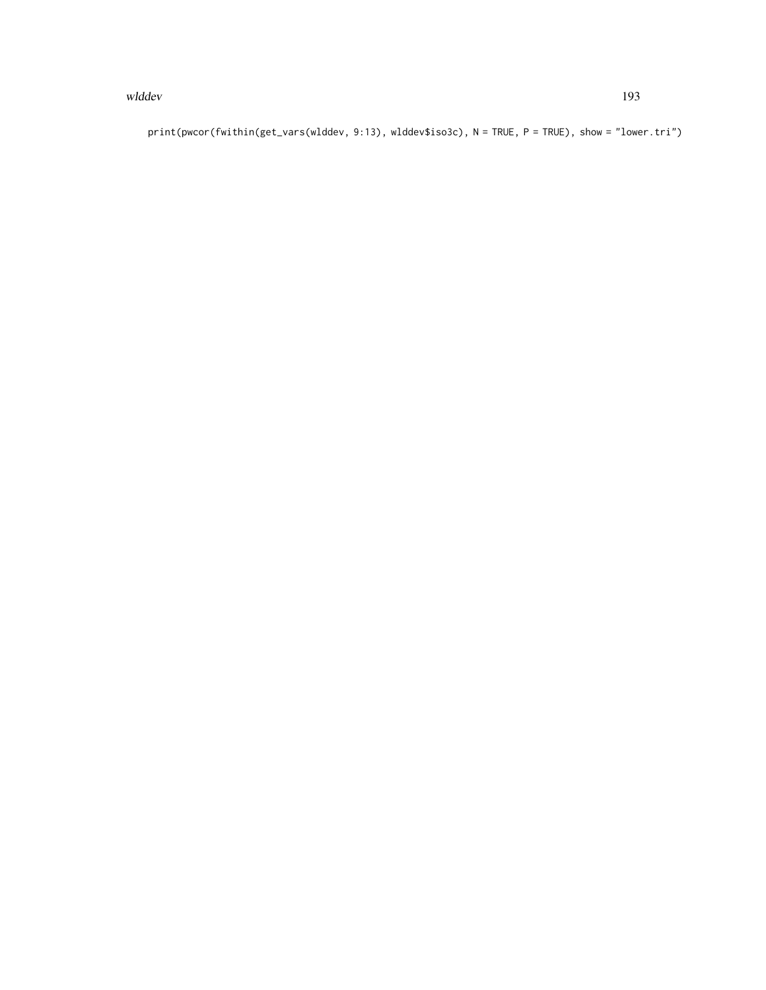#### wlddev and the state of the state of the state of the state of the state of the state of the state of the state of the state of the state of the state of the state of the state of the state of the state of the state of the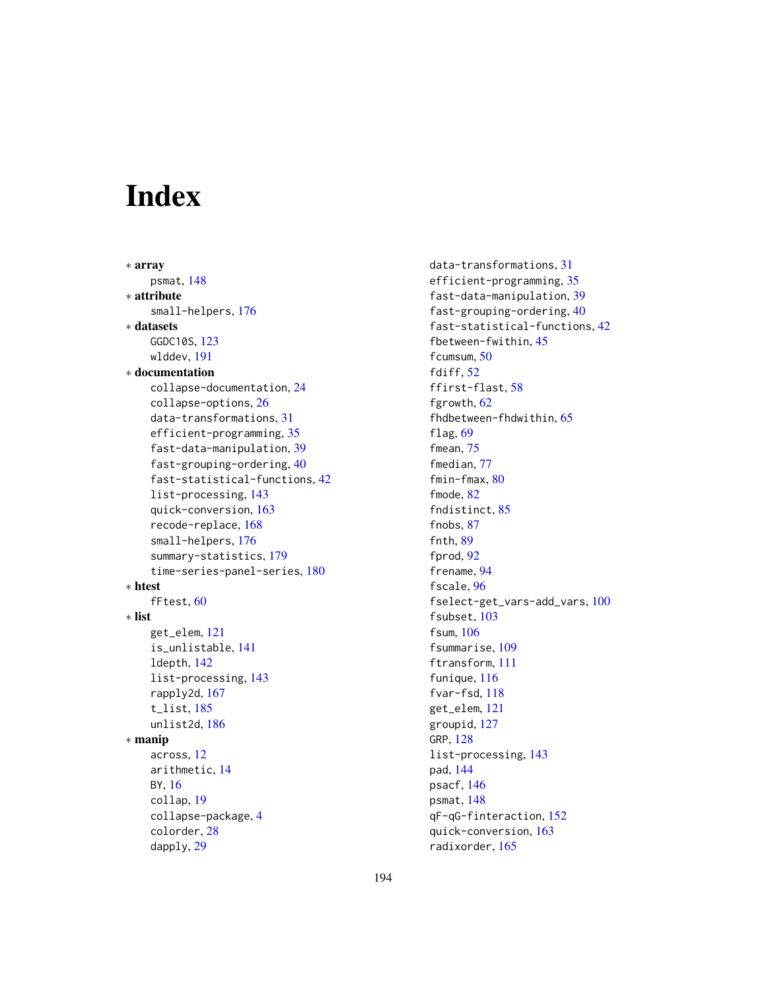# Index

```
∗ array
    psmat, 148
∗ attribute
    small-helpers, 176
∗ datasets
    GGDC10S, 123
    wlddev, 191
∗ documentation
    collapse-documentation, 24
    collapse-options, 26
    data-transformations, 31
    efficient-programming, 35
    fast-data-manipulation, 39
    fast-grouping-ordering, 40
    fast-statistical-functions, 42
    list-processing, 143
    quick-conversion, 163
    recode-replace, 168
    small-helpers, 176
    summary-statistics, 179
    time-series-panel-series, 180
∗ htest
    fFtest, 60
∗ list
    get_elem, 121
    is_unlistable, 141
    ldepth, 142
    list-processing, 143
    rapply2d, 167
    t_list, 185
    unlist2d, 186
∗ manip
    across, 12
    arithmetic, 14
    BY, 16
    collap, 19
    collapse-package, 4
    colorder, 28
    dapply, 29
```
data-transformations, [31](#page-30-1) efficient-programming, [35](#page-34-0) fast-data-manipulation, [39](#page-38-0) fast-grouping-ordering, [40](#page-39-0) fast-statistical-functions, [42](#page-41-1) fbetween-fwithin, [45](#page-44-1) fcumsum, [50](#page-49-0) fdiff, [52](#page-51-0) ffirst-flast, [58](#page-57-0) fgrowth, [62](#page-61-0) fhdbetween-fhdwithin, [65](#page-64-0) flag, [69](#page-68-0) fmean, [75](#page-74-0) fmedian, [77](#page-76-0) fmin-fmax, [80](#page-79-0) fmode, [82](#page-81-0) fndistinct, [85](#page-84-0) fnobs, [87](#page-86-0) fnth, [89](#page-88-0) fprod, [92](#page-91-0) frename, [94](#page-93-0) fscale, [96](#page-95-1) fselect-get\_vars-add\_vars, [100](#page-99-0) fsubset, [103](#page-102-0) fsum, [106](#page-105-0) fsummarise, [109](#page-108-0) ftransform, [111](#page-110-0) funique, [116](#page-115-0) fvar-fsd, [118](#page-117-0) get\_elem, [121](#page-120-0) groupid, [127](#page-126-0) GRP, [128](#page-127-2) list-processing, [143](#page-142-1) pad, [144](#page-143-0) psacf, [146](#page-145-2) psmat, [148](#page-147-0) qF-qG-finteraction, [152](#page-151-1) quick-conversion, [163](#page-162-0) radixorder, [165](#page-164-0)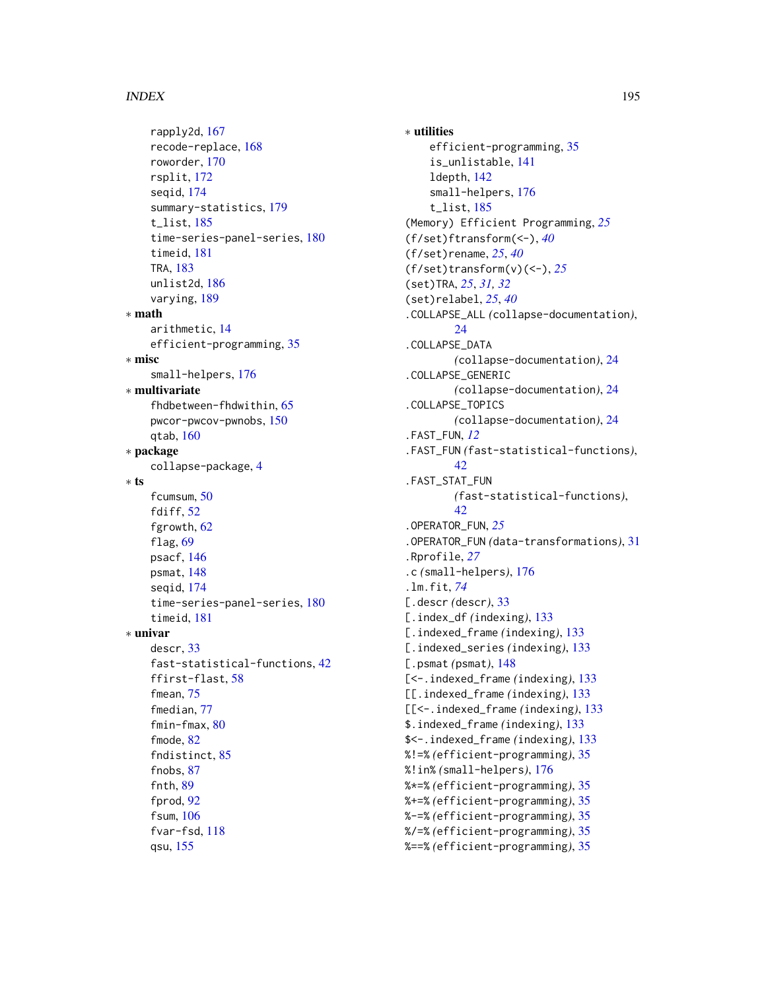rapply2d, [167](#page-166-1) recode-replace, [168](#page-167-0) roworder, [170](#page-169-0) rsplit, [172](#page-171-1) seqid, [174](#page-173-1) summary-statistics, [179](#page-178-1) t\_list, [185](#page-184-0) time-series-panel-series, [180](#page-179-1) timeid, [181](#page-180-0) TRA, [183](#page-182-0) unlist2d, [186](#page-185-0) varying, [189](#page-188-0) ∗ math arithmetic, [14](#page-13-0) efficient-programming, [35](#page-34-0) ∗ misc small-helpers, [176](#page-175-0) ∗ multivariate fhdbetween-fhdwithin, [65](#page-64-0) pwcor-pwcov-pwnobs, [150](#page-149-0) qtab, [160](#page-159-0) ∗ package collapse-package, [4](#page-3-0) ∗ ts fcumsum, [50](#page-49-0) fdiff, [52](#page-51-0) fgrowth, [62](#page-61-0) flag, [69](#page-68-0) psacf, [146](#page-145-2) psmat, [148](#page-147-0) seqid, [174](#page-173-1) time-series-panel-series, [180](#page-179-1) timeid, [181](#page-180-0) ∗ univar descr, [33](#page-32-0) fast-statistical-functions, [42](#page-41-1) ffirst-flast, [58](#page-57-0) fmean, [75](#page-74-0) fmedian, [77](#page-76-0) fmin-fmax, [80](#page-79-0) fmode, [82](#page-81-0) fndistinct, [85](#page-84-0) fnobs, [87](#page-86-0) fnth, [89](#page-88-0) fprod, [92](#page-91-0) fsum, [106](#page-105-0) fvar-fsd, [118](#page-117-0) qsu, [155](#page-154-0)

∗ utilities efficient-programming, [35](#page-34-0) is\_unlistable, [141](#page-140-1) ldepth, [142](#page-141-0) small-helpers, [176](#page-175-0) t\_list, [185](#page-184-0) (Memory) Efficient Programming, *[25](#page-24-0)* (f/set)ftransform(<-), *[40](#page-39-0)* (f/set)rename, *[25](#page-24-0)*, *[40](#page-39-0)* (f/set)transform(v)(<-), *[25](#page-24-0)* (set)TRA, *[25](#page-24-0)*, *[31,](#page-30-1) [32](#page-31-0)* (set)relabel, *[25](#page-24-0)*, *[40](#page-39-0)* .COLLAPSE\_ALL *(*collapse-documentation*)*, [24](#page-23-1) .COLLAPSE\_DATA *(*collapse-documentation*)*, [24](#page-23-1) .COLLAPSE\_GENERIC *(*collapse-documentation*)*, [24](#page-23-1) .COLLAPSE\_TOPICS *(*collapse-documentation*)*, [24](#page-23-1) .FAST\_FUN, *[12](#page-11-0)* .FAST\_FUN *(*fast-statistical-functions*)*, [42](#page-41-1) .FAST\_STAT\_FUN *(*fast-statistical-functions*)*, [42](#page-41-1) .OPERATOR\_FUN, *[25](#page-24-0)* .OPERATOR\_FUN *(*data-transformations*)*, [31](#page-30-1) .Rprofile, *[27](#page-26-0)* .c *(*small-helpers*)*, [176](#page-175-0) .lm.fit, *[74](#page-73-0)* [.descr *(*descr*)*, [33](#page-32-0) [.index\_df *(*indexing*)*, [133](#page-132-2) [.indexed\_frame *(*indexing*)*, [133](#page-132-2) [.indexed\_series *(*indexing*)*, [133](#page-132-2) [.psmat *(*psmat*)*, [148](#page-147-0) [<-.indexed\_frame *(*indexing*)*, [133](#page-132-2) [[.indexed\_frame *(*indexing*)*, [133](#page-132-2) [[<-.indexed\_frame *(*indexing*)*, [133](#page-132-2) \$.indexed\_frame *(*indexing*)*, [133](#page-132-2) \$<-.indexed\_frame *(*indexing*)*, [133](#page-132-2) %!=% *(*efficient-programming*)*, [35](#page-34-0) %!in% *(*small-helpers*)*, [176](#page-175-0) %\*=% *(*efficient-programming*)*, [35](#page-34-0) %+=% *(*efficient-programming*)*, [35](#page-34-0) %-=% *(*efficient-programming*)*, [35](#page-34-0) %/=% *(*efficient-programming*)*, [35](#page-34-0) %==% *(*efficient-programming*)*, [35](#page-34-0)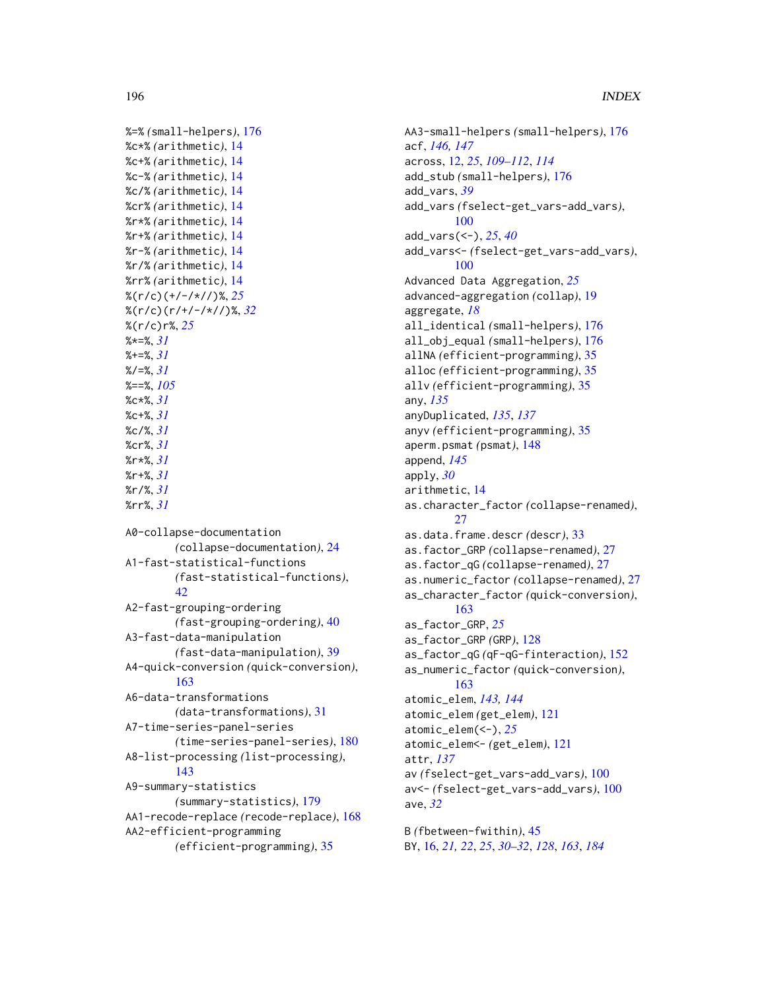```
%=% (small-helpers), 176
%c*% (arithmetic), 14
%c+% (arithmetic), 14
%c-% (arithmetic), 14
%c/% (arithmetic), 14
%cr% (arithmetic), 14
%r*% (arithmetic), 14
%r+% (arithmetic), 14
%r-% (arithmetic), 14
%r/% (arithmetic), 14
%rr% (arithmetic), 14
%(r/c)(+/-/*//)%, 25
%(r/c)(r/+/-/*//)%, 32
%(r/c)r%, 25
%*=%, 31
%+=%, 31
%/=%, 31
%==%, 105
%c*%, 31
%c+%, 31
%c/%, 31
%cr%, 31
%r*%, 31
%r+%, 31
%r/%, 31
%rr%, 31
A0-collapse-documentation
        (collapse-documentation), 24
A1-fast-statistical-functions
        (fast-statistical-functions),
        42
A2-fast-grouping-ordering
        (fast-grouping-ordering), 40
A3-fast-data-manipulation
        (fast-data-manipulation), 39
A4-quick-conversion (quick-conversion),
        163
A6-data-transformations
        (data-transformations), 31
A7-time-series-panel-series
        (time-series-panel-series), 180
A8-list-processing (list-processing),
        143
A9-summary-statistics
        (summary-statistics), 179
AA1-recode-replace (recode-replace), 168
AA2-efficient-programming
```
*(*efficient-programming*)*, [35](#page-34-0)

```
AA3-small-helpers (small-helpers), 176
acf, 146, 147
across, 12, 25, 109–112, 114
add_stub (small-helpers), 176
add_vars, 39
add_vars (fselect-get_vars-add_vars),
        100
add_vars(<-), 25, 40
add_vars<- (fselect-get_vars-add_vars),
        100
Advanced Data Aggregation, 25
advanced-aggregation (collap), 19
aggregate, 18
all_identical (small-helpers), 176
all_obj_equal (small-helpers), 176
allNA (efficient-programming), 35
alloc (efficient-programming), 35
allv (efficient-programming), 35
any, 135
anyDuplicated, 135, 137
anyv (efficient-programming), 35
aperm.psmat (psmat), 148
append, 145
apply, 30
arithmetic, 14
as.character_factor (collapse-renamed),
        27as.data.frame.descr (descr), 33
as.factor_GRP (collapse-renamed), 27
as.factor_qG (collapse-renamed), 27
as.numeric_factor (collapse-renamed), 27
as_character_factor (quick-conversion),
        163
as_factor_GRP, 25
as_factor_GRP (GRP), 128
as_factor_qG (qF-qG-finteraction), 152
as_numeric_factor (quick-conversion),
        163
atomic_elem, 143, 144
atomic_elem (get_elem), 121
atomic_elem(<-), 25
atomic_elem<- (get_elem), 121
attr, 137
av (fselect-get_vars-add_vars), 100
av<- (fselect-get_vars-add_vars), 100
ave, 32
```
B *(*fbetween-fwithin*)*, [45](#page-44-1) BY, [16,](#page-15-1) *[21,](#page-20-0) [22](#page-21-0)*, *[25](#page-24-0)*, *[30](#page-29-0)[–32](#page-31-0)*, *[128](#page-127-2)*, *[163](#page-162-0)*, *[184](#page-183-0)*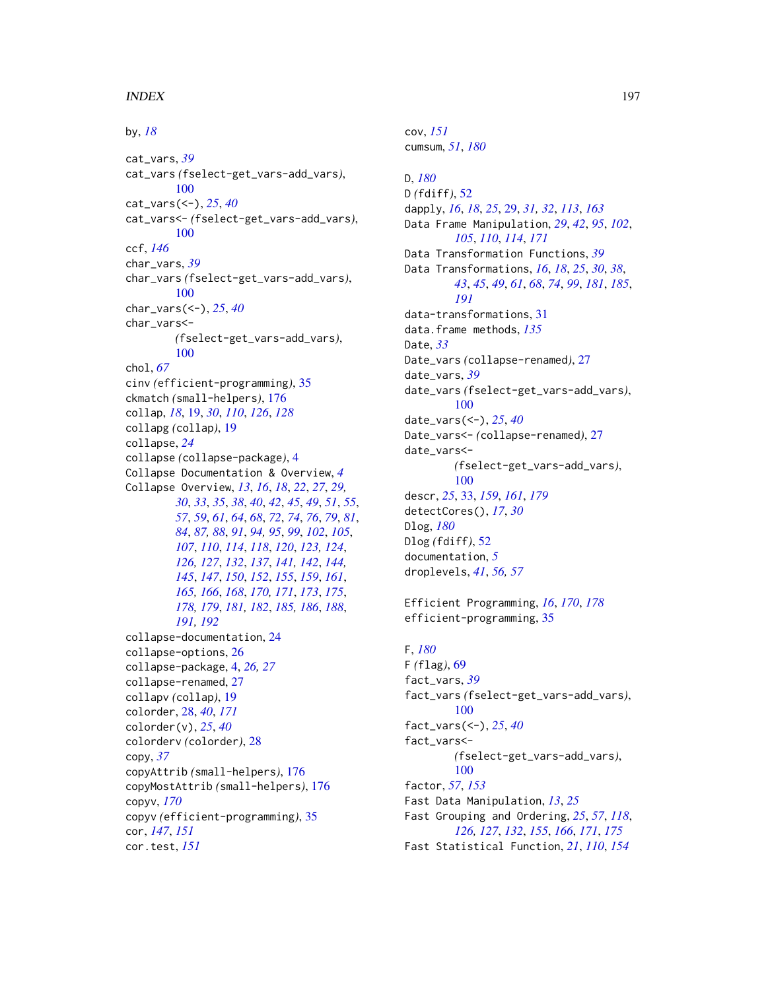by, *[18](#page-17-0)* cat\_vars, *[39](#page-38-0)* cat\_vars *(*fselect-get\_vars-add\_vars*)*, [100](#page-99-0) cat\_vars(<-), *[25](#page-24-0)*, *[40](#page-39-0)* cat\_vars<- *(*fselect-get\_vars-add\_vars*)*, [100](#page-99-0) ccf, *[146](#page-145-2)* char\_vars, *[39](#page-38-0)* char\_vars *(*fselect-get\_vars-add\_vars*)*, [100](#page-99-0) char\_vars(<-), *[25](#page-24-0)*, *[40](#page-39-0)* char\_vars<- *(*fselect-get\_vars-add\_vars*)*, [100](#page-99-0) chol, *[67](#page-66-0)* cinv *(*efficient-programming*)*, [35](#page-34-0) ckmatch *(*small-helpers*)*, [176](#page-175-0) collap, *[18](#page-17-0)*, [19,](#page-18-0) *[30](#page-29-0)*, *[110](#page-109-0)*, *[126](#page-125-0)*, *[128](#page-127-2)* collapg *(*collap*)*, [19](#page-18-0) collapse, *[24](#page-23-1)* collapse *(*collapse-package*)*, [4](#page-3-0) Collapse Documentation & Overview, *[4](#page-3-0)* Collapse Overview, *[13](#page-12-0)*, *[16](#page-15-1)*, *[18](#page-17-0)*, *[22](#page-21-0)*, *[27](#page-26-0)*, *[29,](#page-28-0) [30](#page-29-0)*, *[33](#page-32-0)*, *[35](#page-34-0)*, *[38](#page-37-0)*, *[40](#page-39-0)*, *[42](#page-41-1)*, *[45](#page-44-1)*, *[49](#page-48-0)*, *[51](#page-50-0)*, *[55](#page-54-0)*, *[57](#page-56-0)*, *[59](#page-58-0)*, *[61](#page-60-0)*, *[64](#page-63-0)*, *[68](#page-67-0)*, *[72](#page-71-0)*, *[74](#page-73-0)*, *[76](#page-75-0)*, *[79](#page-78-0)*, *[81](#page-80-0)*, *[84](#page-83-0)*, *[87,](#page-86-0) [88](#page-87-0)*, *[91](#page-90-0)*, *[94,](#page-93-0) [95](#page-94-0)*, *[99](#page-98-0)*, *[102](#page-101-0)*, *[105](#page-104-0)*, *[107](#page-106-0)*, *[110](#page-109-0)*, *[114](#page-113-0)*, *[118](#page-117-0)*, *[120](#page-119-0)*, *[123,](#page-122-1) [124](#page-123-0)*, *[126,](#page-125-0) [127](#page-126-0)*, *[132](#page-131-0)*, *[137](#page-136-0)*, *[141,](#page-140-1) [142](#page-141-0)*, *[144,](#page-143-0) [145](#page-144-0)*, *[147](#page-146-0)*, *[150](#page-149-0)*, *[152](#page-151-1)*, *[155](#page-154-0)*, *[159](#page-158-0)*, *[161](#page-160-0)*, *[165,](#page-164-0) [166](#page-165-0)*, *[168](#page-167-0)*, *[170,](#page-169-0) [171](#page-170-0)*, *[173](#page-172-0)*, *[175](#page-174-0)*, *[178,](#page-177-0) [179](#page-178-1)*, *[181,](#page-180-0) [182](#page-181-0)*, *[185,](#page-184-0) [186](#page-185-0)*, *[188](#page-187-0)*, *[191,](#page-190-0) [192](#page-191-0)* collapse-documentation, [24](#page-23-1) collapse-options, [26](#page-25-0) collapse-package, [4,](#page-3-0) *[26,](#page-25-0) [27](#page-26-0)* collapse-renamed, [27](#page-26-0) collapv *(*collap*)*, [19](#page-18-0) colorder, [28,](#page-27-0) *[40](#page-39-0)*, *[171](#page-170-0)* colorder(v), *[25](#page-24-0)*, *[40](#page-39-0)* colorderv *(*colorder*)*, [28](#page-27-0) copy, *[37](#page-36-0)* copyAttrib *(*small-helpers*)*, [176](#page-175-0) copyMostAttrib *(*small-helpers*)*, [176](#page-175-0) copyv, *[170](#page-169-0)* copyv *(*efficient-programming*)*, [35](#page-34-0) cor, *[147](#page-146-0)*, *[151](#page-150-0)* cor.test, *[151](#page-150-0)*

cumsum, *[51](#page-50-0)*, *[180](#page-179-1)* D, *[180](#page-179-1)* D *(*fdiff*)*, [52](#page-51-0) dapply, *[16](#page-15-1)*, *[18](#page-17-0)*, *[25](#page-24-0)*, [29,](#page-28-0) *[31,](#page-30-1) [32](#page-31-0)*, *[113](#page-112-0)*, *[163](#page-162-0)* Data Frame Manipulation, *[29](#page-28-0)*, *[42](#page-41-1)*, *[95](#page-94-0)*, *[102](#page-101-0)*, *[105](#page-104-0)*, *[110](#page-109-0)*, *[114](#page-113-0)*, *[171](#page-170-0)* Data Transformation Functions, *[39](#page-38-0)* Data Transformations, *[16](#page-15-1)*, *[18](#page-17-0)*, *[25](#page-24-0)*, *[30](#page-29-0)*, *[38](#page-37-0)*, *[43](#page-42-0)*, *[45](#page-44-1)*, *[49](#page-48-0)*, *[61](#page-60-0)*, *[68](#page-67-0)*, *[74](#page-73-0)*, *[99](#page-98-0)*, *[181](#page-180-0)*, *[185](#page-184-0)*, *[191](#page-190-0)* data-transformations, [31](#page-30-1) data.frame methods, *[135](#page-134-0)* Date, *[33](#page-32-0)* Date\_vars *(*collapse-renamed*)*, [27](#page-26-0) date\_vars, *[39](#page-38-0)* date\_vars *(*fselect-get\_vars-add\_vars*)*, [100](#page-99-0) date\_vars(<-), *[25](#page-24-0)*, *[40](#page-39-0)* Date\_vars<- *(*collapse-renamed*)*, [27](#page-26-0) date\_vars<- *(*fselect-get\_vars-add\_vars*)*, [100](#page-99-0) descr, *[25](#page-24-0)*, [33,](#page-32-0) *[159](#page-158-0)*, *[161](#page-160-0)*, *[179](#page-178-1)* detectCores(), *[17](#page-16-0)*, *[30](#page-29-0)* Dlog, *[180](#page-179-1)* Dlog *(*fdiff*)*, [52](#page-51-0) documentation, *[5](#page-4-0)* droplevels, *[41](#page-40-0)*, *[56,](#page-55-0) [57](#page-56-0)*

cov, *[151](#page-150-0)*

Efficient Programming, *[16](#page-15-1)*, *[170](#page-169-0)*, *[178](#page-177-0)* efficient-programming, [35](#page-34-0)

# F, *[180](#page-179-1)* F *(*flag*)*, [69](#page-68-0) fact\_vars, *[39](#page-38-0)* fact\_vars *(*fselect-get\_vars-add\_vars*)*, [100](#page-99-0) fact\_vars(<-), *[25](#page-24-0)*, *[40](#page-39-0)* fact\_vars<- *(*fselect-get\_vars-add\_vars*)*, [100](#page-99-0) factor, *[57](#page-56-0)*, *[153](#page-152-0)* Fast Data Manipulation, *[13](#page-12-0)*, *[25](#page-24-0)* Fast Grouping and Ordering, *[25](#page-24-0)*, *[57](#page-56-0)*, *[118](#page-117-0)*, *[126,](#page-125-0) [127](#page-126-0)*, *[132](#page-131-0)*, *[155](#page-154-0)*, *[166](#page-165-0)*, *[171](#page-170-0)*, *[175](#page-174-0)* Fast Statistical Function, *[21](#page-20-0)*, *[110](#page-109-0)*, *[154](#page-153-0)*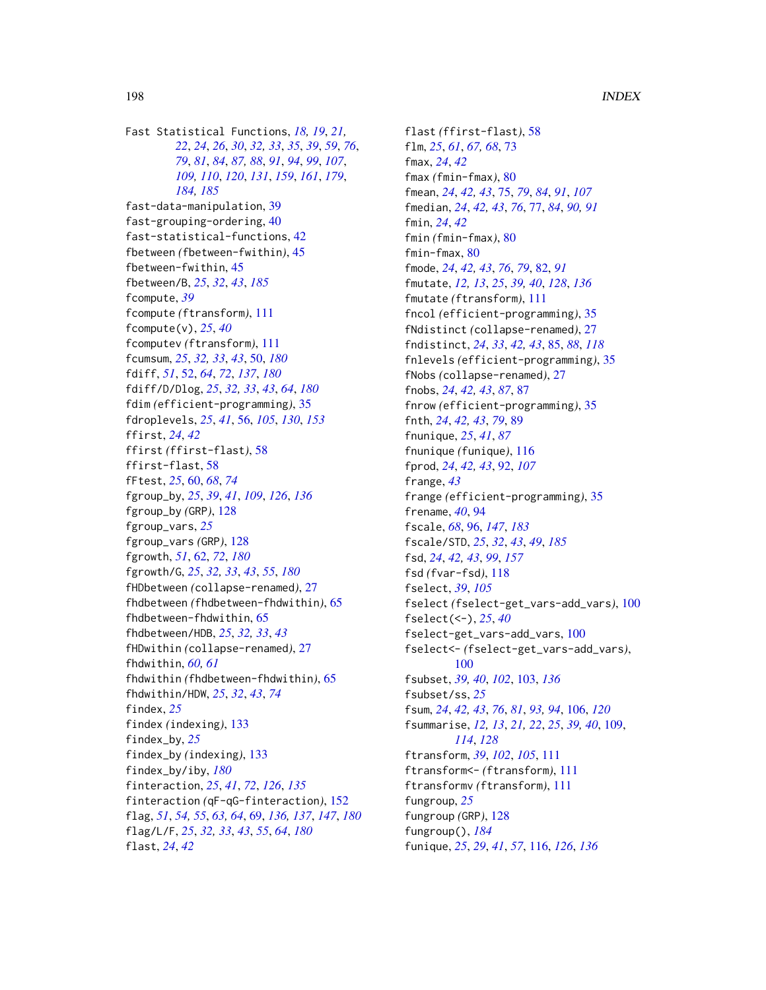Fast Statistical Functions, *[18,](#page-17-0) [19](#page-18-0)*, *[21,](#page-20-0) [22](#page-21-0)*, *[24](#page-23-1)*, *[26](#page-25-0)*, *[30](#page-29-0)*, *[32,](#page-31-0) [33](#page-32-0)*, *[35](#page-34-0)*, *[39](#page-38-0)*, *[59](#page-58-0)*, *[76](#page-75-0)*, *[79](#page-78-0)*, *[81](#page-80-0)*, *[84](#page-83-0)*, *[87,](#page-86-0) [88](#page-87-0)*, *[91](#page-90-0)*, *[94](#page-93-0)*, *[99](#page-98-0)*, *[107](#page-106-0)*, *[184,](#page-183-0) [185](#page-184-0)*

*[109,](#page-108-0) [110](#page-109-0)*, *[120](#page-119-0)*, *[131](#page-130-0)*, *[159](#page-158-0)*, *[161](#page-160-0)*, *[179](#page-178-1)*, fast-data-manipulation, [39](#page-38-0) fast-grouping-ordering, [40](#page-39-0) fast-statistical-functions, [42](#page-41-1) fbetween *(*fbetween-fwithin*)*, [45](#page-44-1) fbetween-fwithin, [45](#page-44-1) fbetween/B, *[25](#page-24-0)*, *[32](#page-31-0)*, *[43](#page-42-0)*, *[185](#page-184-0)* fcompute, *[39](#page-38-0)* fcompute *(*ftransform*)*, [111](#page-110-0) fcompute(v), *[25](#page-24-0)*, *[40](#page-39-0)* fcomputev *(*ftransform*)*, [111](#page-110-0) fcumsum, *[25](#page-24-0)*, *[32,](#page-31-0) [33](#page-32-0)*, *[43](#page-42-0)*, [50,](#page-49-0) *[180](#page-179-1)* fdiff, *[51](#page-50-0)*, [52,](#page-51-0) *[64](#page-63-0)*, *[72](#page-71-0)*, *[137](#page-136-0)*, *[180](#page-179-1)* fdiff/D/Dlog, *[25](#page-24-0)*, *[32,](#page-31-0) [33](#page-32-0)*, *[43](#page-42-0)*, *[64](#page-63-0)*, *[180](#page-179-1)* fdim *(*efficient-programming*)*, [35](#page-34-0) fdroplevels, *[25](#page-24-0)*, *[41](#page-40-0)*, [56,](#page-55-0) *[105](#page-104-0)*, *[130](#page-129-0)*, *[153](#page-152-0)* ffirst, *[24](#page-23-1)*, *[42](#page-41-1)* ffirst *(*ffirst-flast*)*, [58](#page-57-0) ffirst-flast, [58](#page-57-0) fFtest, *[25](#page-24-0)*, [60,](#page-59-0) *[68](#page-67-0)*, *[74](#page-73-0)* fgroup\_by, *[25](#page-24-0)*, *[39](#page-38-0)*, *[41](#page-40-0)*, *[109](#page-108-0)*, *[126](#page-125-0)*, *[136](#page-135-0)* fgroup\_by *(*GRP*)*, [128](#page-127-2) fgroup\_vars, *[25](#page-24-0)* fgroup\_vars *(*GRP*)*, [128](#page-127-2) fgrowth, *[51](#page-50-0)*, [62,](#page-61-0) *[72](#page-71-0)*, *[180](#page-179-1)* fgrowth/G, *[25](#page-24-0)*, *[32,](#page-31-0) [33](#page-32-0)*, *[43](#page-42-0)*, *[55](#page-54-0)*, *[180](#page-179-1)* fHDbetween *(*collapse-renamed*)*, [27](#page-26-0) fhdbetween *(*fhdbetween-fhdwithin*)*, [65](#page-64-0) fhdbetween-fhdwithin, [65](#page-64-0) fhdbetween/HDB, *[25](#page-24-0)*, *[32,](#page-31-0) [33](#page-32-0)*, *[43](#page-42-0)* fHDwithin *(*collapse-renamed*)*, [27](#page-26-0) fhdwithin, *[60,](#page-59-0) [61](#page-60-0)* fhdwithin *(*fhdbetween-fhdwithin*)*, [65](#page-64-0) fhdwithin/HDW, *[25](#page-24-0)*, *[32](#page-31-0)*, *[43](#page-42-0)*, *[74](#page-73-0)* findex, *[25](#page-24-0)* findex *(*indexing*)*, [133](#page-132-2) findex\_by, *[25](#page-24-0)* findex\_by *(*indexing*)*, [133](#page-132-2) findex\_by/iby, *[180](#page-179-1)* finteraction, *[25](#page-24-0)*, *[41](#page-40-0)*, *[72](#page-71-0)*, *[126](#page-125-0)*, *[135](#page-134-0)* finteraction *(*qF-qG-finteraction*)*, [152](#page-151-1) flag, *[51](#page-50-0)*, *[54,](#page-53-0) [55](#page-54-0)*, *[63,](#page-62-0) [64](#page-63-0)*, [69,](#page-68-0) *[136,](#page-135-0) [137](#page-136-0)*, *[147](#page-146-0)*, *[180](#page-179-1)* flag/L/F, *[25](#page-24-0)*, *[32,](#page-31-0) [33](#page-32-0)*, *[43](#page-42-0)*, *[55](#page-54-0)*, *[64](#page-63-0)*, *[180](#page-179-1)* flast, *[24](#page-23-1)*, *[42](#page-41-1)*

flast *(*ffirst-flast*)*, [58](#page-57-0) flm, *[25](#page-24-0)*, *[61](#page-60-0)*, *[67,](#page-66-0) [68](#page-67-0)*, [73](#page-72-0) fmax, *[24](#page-23-1)*, *[42](#page-41-1)* fmax *(*fmin-fmax*)*, [80](#page-79-0) fmean, *[24](#page-23-1)*, *[42,](#page-41-1) [43](#page-42-0)*, [75,](#page-74-0) *[79](#page-78-0)*, *[84](#page-83-0)*, *[91](#page-90-0)*, *[107](#page-106-0)* fmedian, *[24](#page-23-1)*, *[42,](#page-41-1) [43](#page-42-0)*, *[76](#page-75-0)*, [77,](#page-76-0) *[84](#page-83-0)*, *[90,](#page-89-0) [91](#page-90-0)* fmin, *[24](#page-23-1)*, *[42](#page-41-1)* fmin *(*fmin-fmax*)*, [80](#page-79-0) fmin-fmax, [80](#page-79-0) fmode, *[24](#page-23-1)*, *[42,](#page-41-1) [43](#page-42-0)*, *[76](#page-75-0)*, *[79](#page-78-0)*, [82,](#page-81-0) *[91](#page-90-0)* fmutate, *[12,](#page-11-0) [13](#page-12-0)*, *[25](#page-24-0)*, *[39,](#page-38-0) [40](#page-39-0)*, *[128](#page-127-2)*, *[136](#page-135-0)* fmutate *(*ftransform*)*, [111](#page-110-0) fncol *(*efficient-programming*)*, [35](#page-34-0) fNdistinct *(*collapse-renamed*)*, [27](#page-26-0) fndistinct, *[24](#page-23-1)*, *[33](#page-32-0)*, *[42,](#page-41-1) [43](#page-42-0)*, [85,](#page-84-0) *[88](#page-87-0)*, *[118](#page-117-0)* fnlevels *(*efficient-programming*)*, [35](#page-34-0) fNobs *(*collapse-renamed*)*, [27](#page-26-0) fnobs, *[24](#page-23-1)*, *[42,](#page-41-1) [43](#page-42-0)*, *[87](#page-86-0)*, [87](#page-86-0) fnrow *(*efficient-programming*)*, [35](#page-34-0) fnth, *[24](#page-23-1)*, *[42,](#page-41-1) [43](#page-42-0)*, *[79](#page-78-0)*, [89](#page-88-0) fnunique, *[25](#page-24-0)*, *[41](#page-40-0)*, *[87](#page-86-0)* fnunique *(*funique*)*, [116](#page-115-0) fprod, *[24](#page-23-1)*, *[42,](#page-41-1) [43](#page-42-0)*, [92,](#page-91-0) *[107](#page-106-0)* frange, *[43](#page-42-0)* frange *(*efficient-programming*)*, [35](#page-34-0) frename, *[40](#page-39-0)*, [94](#page-93-0) fscale, *[68](#page-67-0)*, [96,](#page-95-1) *[147](#page-146-0)*, *[183](#page-182-0)* fscale/STD, *[25](#page-24-0)*, *[32](#page-31-0)*, *[43](#page-42-0)*, *[49](#page-48-0)*, *[185](#page-184-0)* fsd, *[24](#page-23-1)*, *[42,](#page-41-1) [43](#page-42-0)*, *[99](#page-98-0)*, *[157](#page-156-0)* fsd *(*fvar-fsd*)*, [118](#page-117-0) fselect, *[39](#page-38-0)*, *[105](#page-104-0)* fselect *(*fselect-get\_vars-add\_vars*)*, [100](#page-99-0) fselect(<-), *[25](#page-24-0)*, *[40](#page-39-0)* fselect-get\_vars-add\_vars, [100](#page-99-0) fselect<- *(*fselect-get\_vars-add\_vars*)*, [100](#page-99-0) fsubset, *[39,](#page-38-0) [40](#page-39-0)*, *[102](#page-101-0)*, [103,](#page-102-0) *[136](#page-135-0)* fsubset/ss, *[25](#page-24-0)* fsum, *[24](#page-23-1)*, *[42,](#page-41-1) [43](#page-42-0)*, *[76](#page-75-0)*, *[81](#page-80-0)*, *[93,](#page-92-0) [94](#page-93-0)*, [106,](#page-105-0) *[120](#page-119-0)* fsummarise, *[12,](#page-11-0) [13](#page-12-0)*, *[21,](#page-20-0) [22](#page-21-0)*, *[25](#page-24-0)*, *[39,](#page-38-0) [40](#page-39-0)*, [109,](#page-108-0) *[114](#page-113-0)*, *[128](#page-127-2)* ftransform, *[39](#page-38-0)*, *[102](#page-101-0)*, *[105](#page-104-0)*, [111](#page-110-0) ftransform<- *(*ftransform*)*, [111](#page-110-0) ftransformv *(*ftransform*)*, [111](#page-110-0) fungroup, *[25](#page-24-0)* fungroup *(*GRP*)*, [128](#page-127-2) fungroup(), *[184](#page-183-0)* funique, *[25](#page-24-0)*, *[29](#page-28-0)*, *[41](#page-40-0)*, *[57](#page-56-0)*, [116,](#page-115-0) *[126](#page-125-0)*, *[136](#page-135-0)*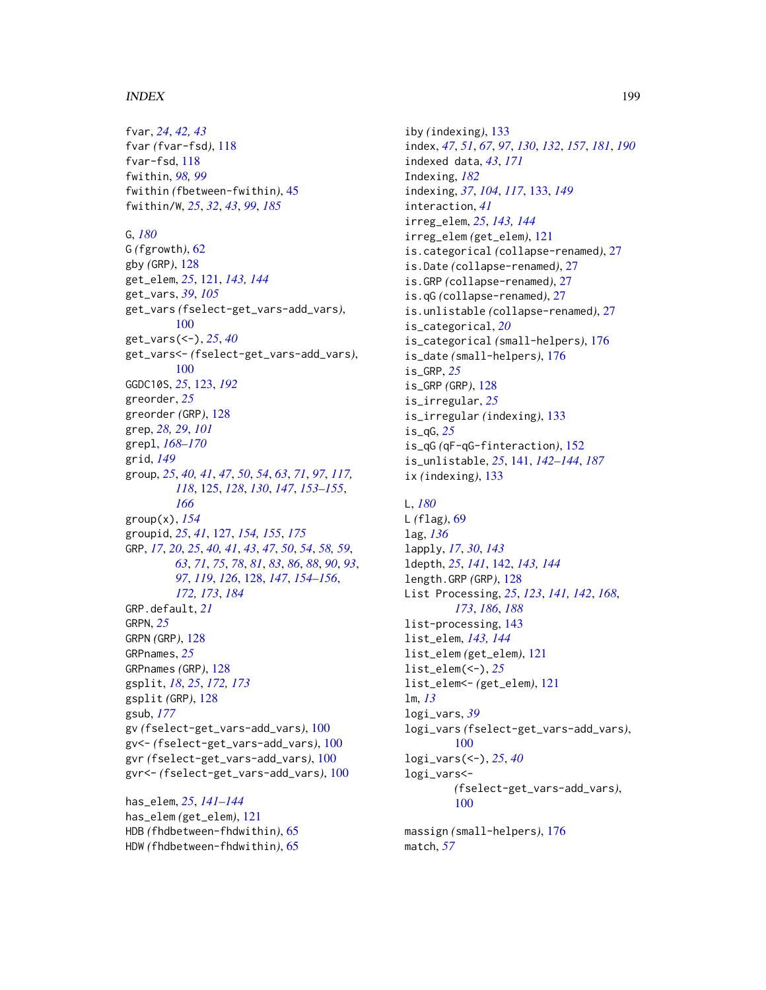fvar, *[24](#page-23-1)*, *[42,](#page-41-1) [43](#page-42-0)* fvar *(*fvar-fsd*)*, [118](#page-117-0) fvar-fsd, [118](#page-117-0) fwithin, *[98,](#page-97-0) [99](#page-98-0)* fwithin *(*fbetween-fwithin*)*, [45](#page-44-1) fwithin/W, *[25](#page-24-0)*, *[32](#page-31-0)*, *[43](#page-42-0)*, *[99](#page-98-0)*, *[185](#page-184-0)*

G, *[180](#page-179-1)*

G *(*fgrowth*)*, [62](#page-61-0) gby *(*GRP*)*, [128](#page-127-2) get\_elem, *[25](#page-24-0)*, [121,](#page-120-0) *[143,](#page-142-1) [144](#page-143-0)* get\_vars, *[39](#page-38-0)*, *[105](#page-104-0)* get\_vars *(*fselect-get\_vars-add\_vars*)*, [100](#page-99-0) get\_vars(<-), *[25](#page-24-0)*, *[40](#page-39-0)* get\_vars<- *(*fselect-get\_vars-add\_vars*)*, [100](#page-99-0) GGDC10S, *[25](#page-24-0)*, [123,](#page-122-1) *[192](#page-191-0)* greorder, *[25](#page-24-0)* greorder *(*GRP*)*, [128](#page-127-2) grep, *[28,](#page-27-0) [29](#page-28-0)*, *[101](#page-100-0)* grepl, *[168](#page-167-0)[–170](#page-169-0)* grid, *[149](#page-148-0)* group, *[25](#page-24-0)*, *[40,](#page-39-0) [41](#page-40-0)*, *[47](#page-46-0)*, *[50](#page-49-0)*, *[54](#page-53-0)*, *[63](#page-62-0)*, *[71](#page-70-0)*, *[97](#page-96-0)*, *[117,](#page-116-0) [118](#page-117-0)*, [125,](#page-124-0) *[128](#page-127-2)*, *[130](#page-129-0)*, *[147](#page-146-0)*, *[153–](#page-152-0)[155](#page-154-0)*, *[166](#page-165-0)* group(x), *[154](#page-153-0)* groupid, *[25](#page-24-0)*, *[41](#page-40-0)*, [127,](#page-126-0) *[154,](#page-153-0) [155](#page-154-0)*, *[175](#page-174-0)* GRP, *[17](#page-16-0)*, *[20](#page-19-0)*, *[25](#page-24-0)*, *[40,](#page-39-0) [41](#page-40-0)*, *[43](#page-42-0)*, *[47](#page-46-0)*, *[50](#page-49-0)*, *[54](#page-53-0)*, *[58,](#page-57-0) [59](#page-58-0)*, *[63](#page-62-0)*, *[71](#page-70-0)*, *[75](#page-74-0)*, *[78](#page-77-0)*, *[81](#page-80-0)*, *[83](#page-82-0)*, *[86](#page-85-0)*, *[88](#page-87-0)*, *[90](#page-89-0)*, *[93](#page-92-0)*, *[97](#page-96-0)*, *[119](#page-118-0)*, *[126](#page-125-0)*, [128,](#page-127-2) *[147](#page-146-0)*, *[154–](#page-153-0)[156](#page-155-0)*, *[172,](#page-171-1) [173](#page-172-0)*, *[184](#page-183-0)* GRP.default, *[21](#page-20-0)* GRPN, *[25](#page-24-0)* GRPN *(*GRP*)*, [128](#page-127-2) GRPnames, *[25](#page-24-0)* GRPnames *(*GRP*)*, [128](#page-127-2) gsplit, *[18](#page-17-0)*, *[25](#page-24-0)*, *[172,](#page-171-1) [173](#page-172-0)* gsplit *(*GRP*)*, [128](#page-127-2) gsub, *[177](#page-176-0)* gv *(*fselect-get\_vars-add\_vars*)*, [100](#page-99-0) gv<- *(*fselect-get\_vars-add\_vars*)*, [100](#page-99-0) gvr *(*fselect-get\_vars-add\_vars*)*, [100](#page-99-0) gvr<- *(*fselect-get\_vars-add\_vars*)*, [100](#page-99-0)

has\_elem, *[25](#page-24-0)*, *[141](#page-140-1)[–144](#page-143-0)* has\_elem *(*get\_elem*)*, [121](#page-120-0) HDB *(*fhdbetween-fhdwithin*)*, [65](#page-64-0) HDW *(*fhdbetween-fhdwithin*)*, [65](#page-64-0)

iby *(*indexing*)*, [133](#page-132-2) index, *[47](#page-46-0)*, *[51](#page-50-0)*, *[67](#page-66-0)*, *[97](#page-96-0)*, *[130](#page-129-0)*, *[132](#page-131-0)*, *[157](#page-156-0)*, *[181](#page-180-0)*, *[190](#page-189-0)* indexed data, *[43](#page-42-0)*, *[171](#page-170-0)* Indexing, *[182](#page-181-0)* indexing, *[37](#page-36-0)*, *[104](#page-103-0)*, *[117](#page-116-0)*, [133,](#page-132-2) *[149](#page-148-0)* interaction, *[41](#page-40-0)* irreg\_elem, *[25](#page-24-0)*, *[143,](#page-142-1) [144](#page-143-0)* irreg\_elem *(*get\_elem*)*, [121](#page-120-0) is.categorical *(*collapse-renamed*)*, [27](#page-26-0) is.Date *(*collapse-renamed*)*, [27](#page-26-0) is.GRP *(*collapse-renamed*)*, [27](#page-26-0) is.qG *(*collapse-renamed*)*, [27](#page-26-0) is.unlistable *(*collapse-renamed*)*, [27](#page-26-0) is\_categorical, *[20](#page-19-0)* is\_categorical *(*small-helpers*)*, [176](#page-175-0) is\_date *(*small-helpers*)*, [176](#page-175-0) is\_GRP, *[25](#page-24-0)* is\_GRP *(*GRP*)*, [128](#page-127-2) is\_irregular, *[25](#page-24-0)* is\_irregular *(*indexing*)*, [133](#page-132-2) is\_qG, *[25](#page-24-0)* is\_qG *(*qF-qG-finteraction*)*, [152](#page-151-1) is\_unlistable, *[25](#page-24-0)*, [141,](#page-140-1) *[142](#page-141-0)[–144](#page-143-0)*, *[187](#page-186-0)* ix *(*indexing*)*, [133](#page-132-2)

#### L, *[180](#page-179-1)*

L *(*flag*)*, [69](#page-68-0) lag, *[136](#page-135-0)* lapply, *[17](#page-16-0)*, *[30](#page-29-0)*, *[143](#page-142-1)* ldepth, *[25](#page-24-0)*, *[141](#page-140-1)*, [142,](#page-141-0) *[143,](#page-142-1) [144](#page-143-0)* length.GRP *(*GRP*)*, [128](#page-127-2) List Processing, *[25](#page-24-0)*, *[123](#page-122-1)*, *[141,](#page-140-1) [142](#page-141-0)*, *[168](#page-167-0)*, *[173](#page-172-0)*, *[186](#page-185-0)*, *[188](#page-187-0)* list-processing, [143](#page-142-1) list\_elem, *[143,](#page-142-1) [144](#page-143-0)* list\_elem *(*get\_elem*)*, [121](#page-120-0) list\_elem(<-), *[25](#page-24-0)* list\_elem<- *(*get\_elem*)*, [121](#page-120-0) lm, *[13](#page-12-0)* logi\_vars, *[39](#page-38-0)* logi\_vars *(*fselect-get\_vars-add\_vars*)*, [100](#page-99-0) logi\_vars(<-), *[25](#page-24-0)*, *[40](#page-39-0)* logi\_vars<- *(*fselect-get\_vars-add\_vars*)*, [100](#page-99-0)

massign *(*small-helpers*)*, [176](#page-175-0) match, *[57](#page-56-0)*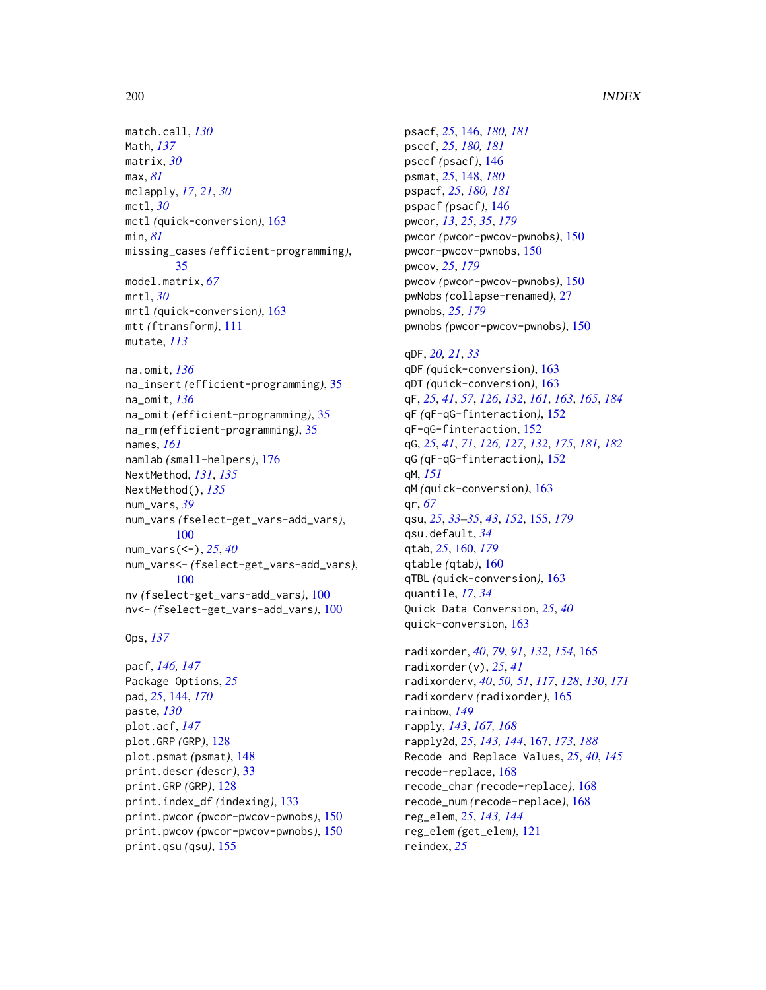match.call, *[130](#page-129-0)* Math, *[137](#page-136-0)* matrix, *[30](#page-29-0)* max, *[81](#page-80-0)* mclapply, *[17](#page-16-0)*, *[21](#page-20-0)*, *[30](#page-29-0)* mctl, *[30](#page-29-0)* mctl *(*quick-conversion*)*, [163](#page-162-0) min, *[81](#page-80-0)* missing\_cases *(*efficient-programming*)*, [35](#page-34-0) model.matrix, *[67](#page-66-0)* mrtl, *[30](#page-29-0)* mrtl *(*quick-conversion*)*, [163](#page-162-0) mtt *(*ftransform*)*, [111](#page-110-0) mutate, *[113](#page-112-0)* na.omit, *[136](#page-135-0)* na\_insert *(*efficient-programming*)*, [35](#page-34-0) na\_omit, *[136](#page-135-0)* na\_omit *(*efficient-programming*)*, [35](#page-34-0) na\_rm *(*efficient-programming*)*, [35](#page-34-0) names, *[161](#page-160-0)* namlab *(*small-helpers*)*, [176](#page-175-0) NextMethod, *[131](#page-130-0)*, *[135](#page-134-0)* NextMethod(), *[135](#page-134-0)* num\_vars, *[39](#page-38-0)* num\_vars *(*fselect-get\_vars-add\_vars*)*, [100](#page-99-0) num\_vars(<-), *[25](#page-24-0)*, *[40](#page-39-0)* num\_vars<- *(*fselect-get\_vars-add\_vars*)*, [100](#page-99-0) nv *(*fselect-get\_vars-add\_vars*)*, [100](#page-99-0) nv<- *(*fselect-get\_vars-add\_vars*)*, [100](#page-99-0)

```
Ops, 137
```

```
pacf, 146, 147
Package Options, 25
pad, 25, 144, 170
paste, 130
plot.acf, 147
plot.GRP (GRP), 128
plot.psmat (psmat), 148
print.descr (descr), 33
print.GRP (GRP), 128
print.index_df (indexing), 133
print.pwcor (pwcor-pwcov-pwnobs), 150
print.pwcov (pwcor-pwcov-pwnobs), 150
print.qsu (qsu), 155
```
psacf, *[25](#page-24-0)*, [146,](#page-145-2) *[180,](#page-179-1) [181](#page-180-0)* psccf, *[25](#page-24-0)*, *[180,](#page-179-1) [181](#page-180-0)* psccf *(*psacf*)*, [146](#page-145-2) psmat, *[25](#page-24-0)*, [148,](#page-147-0) *[180](#page-179-1)* pspacf, *[25](#page-24-0)*, *[180,](#page-179-1) [181](#page-180-0)* pspacf *(*psacf*)*, [146](#page-145-2) pwcor, *[13](#page-12-0)*, *[25](#page-24-0)*, *[35](#page-34-0)*, *[179](#page-178-1)* pwcor *(*pwcor-pwcov-pwnobs*)*, [150](#page-149-0) pwcor-pwcov-pwnobs, [150](#page-149-0) pwcov, *[25](#page-24-0)*, *[179](#page-178-1)* pwcov *(*pwcor-pwcov-pwnobs*)*, [150](#page-149-0) pwNobs *(*collapse-renamed*)*, [27](#page-26-0) pwnobs, *[25](#page-24-0)*, *[179](#page-178-1)* pwnobs *(*pwcor-pwcov-pwnobs*)*, [150](#page-149-0)

qDF, *[20,](#page-19-0) [21](#page-20-0)*, *[33](#page-32-0)* qDF *(*quick-conversion*)*, [163](#page-162-0) qDT *(*quick-conversion*)*, [163](#page-162-0) qF, *[25](#page-24-0)*, *[41](#page-40-0)*, *[57](#page-56-0)*, *[126](#page-125-0)*, *[132](#page-131-0)*, *[161](#page-160-0)*, *[163](#page-162-0)*, *[165](#page-164-0)*, *[184](#page-183-0)* qF *(*qF-qG-finteraction*)*, [152](#page-151-1) qF-qG-finteraction, [152](#page-151-1) qG, *[25](#page-24-0)*, *[41](#page-40-0)*, *[71](#page-70-0)*, *[126,](#page-125-0) [127](#page-126-0)*, *[132](#page-131-0)*, *[175](#page-174-0)*, *[181,](#page-180-0) [182](#page-181-0)* qG *(*qF-qG-finteraction*)*, [152](#page-151-1) qM, *[151](#page-150-0)* qM *(*quick-conversion*)*, [163](#page-162-0) qr, *[67](#page-66-0)* qsu, *[25](#page-24-0)*, *[33](#page-32-0)[–35](#page-34-0)*, *[43](#page-42-0)*, *[152](#page-151-1)*, [155,](#page-154-0) *[179](#page-178-1)* qsu.default, *[34](#page-33-0)* qtab, *[25](#page-24-0)*, [160,](#page-159-0) *[179](#page-178-1)* qtable *(*qtab*)*, [160](#page-159-0) qTBL *(*quick-conversion*)*, [163](#page-162-0) quantile, *[17](#page-16-0)*, *[34](#page-33-0)* Quick Data Conversion, *[25](#page-24-0)*, *[40](#page-39-0)* quick-conversion, [163](#page-162-0)

radixorder, *[40](#page-39-0)*, *[79](#page-78-0)*, *[91](#page-90-0)*, *[132](#page-131-0)*, *[154](#page-153-0)*, [165](#page-164-0) radixorder(v), *[25](#page-24-0)*, *[41](#page-40-0)* radixorderv, *[40](#page-39-0)*, *[50,](#page-49-0) [51](#page-50-0)*, *[117](#page-116-0)*, *[128](#page-127-2)*, *[130](#page-129-0)*, *[171](#page-170-0)* radixorderv *(*radixorder*)*, [165](#page-164-0) rainbow, *[149](#page-148-0)* rapply, *[143](#page-142-1)*, *[167,](#page-166-1) [168](#page-167-0)* rapply2d, *[25](#page-24-0)*, *[143,](#page-142-1) [144](#page-143-0)*, [167,](#page-166-1) *[173](#page-172-0)*, *[188](#page-187-0)* Recode and Replace Values, *[25](#page-24-0)*, *[40](#page-39-0)*, *[145](#page-144-0)* recode-replace, [168](#page-167-0) recode\_char *(*recode-replace*)*, [168](#page-167-0) recode\_num *(*recode-replace*)*, [168](#page-167-0) reg\_elem, *[25](#page-24-0)*, *[143,](#page-142-1) [144](#page-143-0)* reg\_elem *(*get\_elem*)*, [121](#page-120-0) reindex, *[25](#page-24-0)*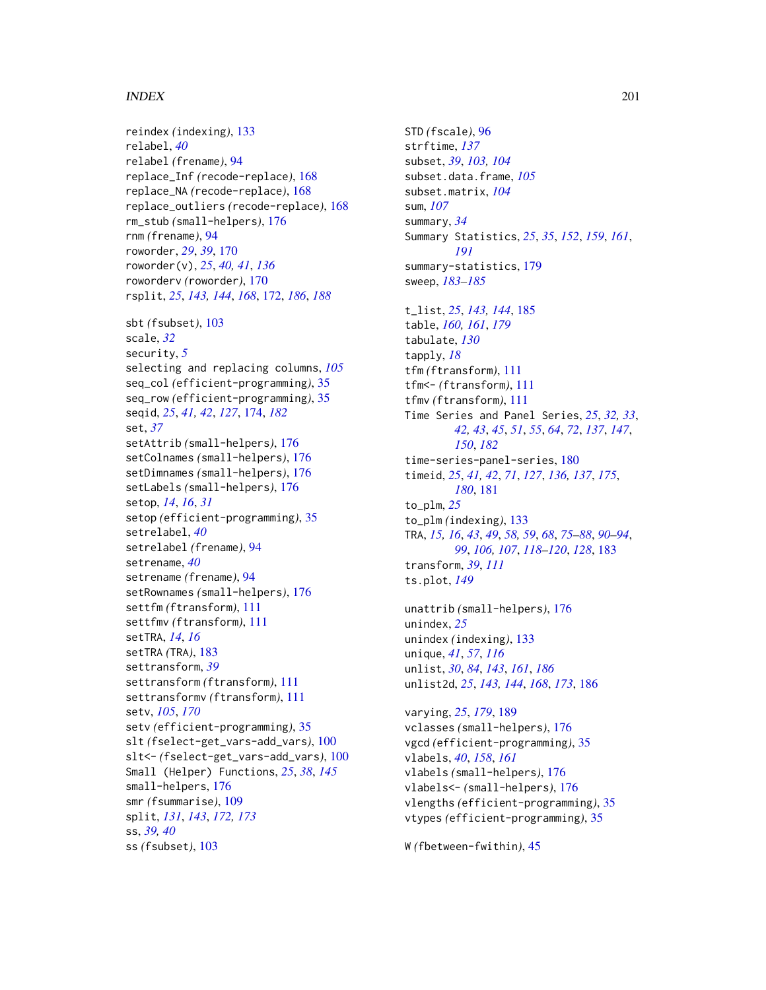reindex *(*indexing*)*, [133](#page-132-2) relabel, *[40](#page-39-0)* relabel *(*frename*)*, [94](#page-93-0) replace\_Inf *(*recode-replace*)*, [168](#page-167-0) replace\_NA *(*recode-replace*)*, [168](#page-167-0) replace\_outliers *(*recode-replace*)*, [168](#page-167-0) rm\_stub *(*small-helpers*)*, [176](#page-175-0) rnm *(*frename*)*, [94](#page-93-0) roworder, *[29](#page-28-0)*, *[39](#page-38-0)*, [170](#page-169-0) roworder(v), *[25](#page-24-0)*, *[40,](#page-39-0) [41](#page-40-0)*, *[136](#page-135-0)* roworderv *(*roworder*)*, [170](#page-169-0) rsplit, *[25](#page-24-0)*, *[143,](#page-142-1) [144](#page-143-0)*, *[168](#page-167-0)*, [172,](#page-171-1) *[186](#page-185-0)*, *[188](#page-187-0)* sbt *(*fsubset*)*, [103](#page-102-0) scale, *[32](#page-31-0)* security, *[5](#page-4-0)* selecting and replacing columns, *[105](#page-104-0)* seq\_col *(*efficient-programming*)*, [35](#page-34-0) seq\_row *(*efficient-programming*)*, [35](#page-34-0) seqid, *[25](#page-24-0)*, *[41,](#page-40-0) [42](#page-41-1)*, *[127](#page-126-0)*, [174,](#page-173-1) *[182](#page-181-0)* set, *[37](#page-36-0)* setAttrib *(*small-helpers*)*, [176](#page-175-0) setColnames *(*small-helpers*)*, [176](#page-175-0) setDimnames *(*small-helpers*)*, [176](#page-175-0) setLabels *(*small-helpers*)*, [176](#page-175-0) setop, *[14](#page-13-0)*, *[16](#page-15-1)*, *[31](#page-30-1)* setop *(*efficient-programming*)*, [35](#page-34-0) setrelabel, *[40](#page-39-0)* setrelabel *(*frename*)*, [94](#page-93-0) setrename, *[40](#page-39-0)* setrename *(*frename*)*, [94](#page-93-0) setRownames *(*small-helpers*)*, [176](#page-175-0) settfm *(*ftransform*)*, [111](#page-110-0) settfmv *(*ftransform*)*, [111](#page-110-0) setTRA, *[14](#page-13-0)*, *[16](#page-15-1)* setTRA *(*TRA*)*, [183](#page-182-0) settransform, *[39](#page-38-0)* settransform *(*ftransform*)*, [111](#page-110-0) settransformv *(*ftransform*)*, [111](#page-110-0) setv, *[105](#page-104-0)*, *[170](#page-169-0)* setv *(*efficient-programming*)*, [35](#page-34-0) slt *(*fselect-get\_vars-add\_vars*)*, [100](#page-99-0) slt<- *(*fselect-get\_vars-add\_vars*)*, [100](#page-99-0) Small (Helper) Functions, *[25](#page-24-0)*, *[38](#page-37-0)*, *[145](#page-144-0)* small-helpers, [176](#page-175-0) smr *(*fsummarise*)*, [109](#page-108-0) split, *[131](#page-130-0)*, *[143](#page-142-1)*, *[172,](#page-171-1) [173](#page-172-0)* ss, *[39,](#page-38-0) [40](#page-39-0)* ss *(*fsubset*)*, [103](#page-102-0)

STD *(*fscale*)*, [96](#page-95-1) strftime, *[137](#page-136-0)* subset, *[39](#page-38-0)*, *[103,](#page-102-0) [104](#page-103-0)* subset.data.frame, *[105](#page-104-0)* subset.matrix, *[104](#page-103-0)* sum, *[107](#page-106-0)* summary, *[34](#page-33-0)* Summary Statistics, *[25](#page-24-0)*, *[35](#page-34-0)*, *[152](#page-151-1)*, *[159](#page-158-0)*, *[161](#page-160-0)*, *[191](#page-190-0)* summary-statistics, [179](#page-178-1) sweep, *[183](#page-182-0)[–185](#page-184-0)* t\_list, *[25](#page-24-0)*, *[143,](#page-142-1) [144](#page-143-0)*, [185](#page-184-0) table, *[160,](#page-159-0) [161](#page-160-0)*, *[179](#page-178-1)* tabulate, *[130](#page-129-0)* tapply, *[18](#page-17-0)* tfm *(*ftransform*)*, [111](#page-110-0) tfm<- *(*ftransform*)*, [111](#page-110-0) tfmv *(*ftransform*)*, [111](#page-110-0) Time Series and Panel Series, *[25](#page-24-0)*, *[32,](#page-31-0) [33](#page-32-0)*, *[42,](#page-41-1) [43](#page-42-0)*, *[45](#page-44-1)*, *[51](#page-50-0)*, *[55](#page-54-0)*, *[64](#page-63-0)*, *[72](#page-71-0)*, *[137](#page-136-0)*, *[147](#page-146-0)*, *[150](#page-149-0)*, *[182](#page-181-0)* time-series-panel-series, [180](#page-179-1) timeid, *[25](#page-24-0)*, *[41,](#page-40-0) [42](#page-41-1)*, *[71](#page-70-0)*, *[127](#page-126-0)*, *[136,](#page-135-0) [137](#page-136-0)*, *[175](#page-174-0)*, *[180](#page-179-1)*, [181](#page-180-0) to\_plm, *[25](#page-24-0)* to\_plm *(*indexing*)*, [133](#page-132-2) TRA, *[15,](#page-14-0) [16](#page-15-1)*, *[43](#page-42-0)*, *[49](#page-48-0)*, *[58,](#page-57-0) [59](#page-58-0)*, *[68](#page-67-0)*, *[75](#page-74-0)[–88](#page-87-0)*, *[90](#page-89-0)[–94](#page-93-0)*, *[99](#page-98-0)*, *[106,](#page-105-0) [107](#page-106-0)*, *[118](#page-117-0)[–120](#page-119-0)*, *[128](#page-127-2)*, [183](#page-182-0) transform, *[39](#page-38-0)*, *[111](#page-110-0)* ts.plot, *[149](#page-148-0)*

unattrib *(*small-helpers*)*, [176](#page-175-0) unindex, *[25](#page-24-0)* unindex *(*indexing*)*, [133](#page-132-2) unique, *[41](#page-40-0)*, *[57](#page-56-0)*, *[116](#page-115-0)* unlist, *[30](#page-29-0)*, *[84](#page-83-0)*, *[143](#page-142-1)*, *[161](#page-160-0)*, *[186](#page-185-0)* unlist2d, *[25](#page-24-0)*, *[143,](#page-142-1) [144](#page-143-0)*, *[168](#page-167-0)*, *[173](#page-172-0)*, [186](#page-185-0)

varying, *[25](#page-24-0)*, *[179](#page-178-1)*, [189](#page-188-0) vclasses *(*small-helpers*)*, [176](#page-175-0) vgcd *(*efficient-programming*)*, [35](#page-34-0) vlabels, *[40](#page-39-0)*, *[158](#page-157-0)*, *[161](#page-160-0)* vlabels *(*small-helpers*)*, [176](#page-175-0) vlabels<- *(*small-helpers*)*, [176](#page-175-0) vlengths *(*efficient-programming*)*, [35](#page-34-0) vtypes *(*efficient-programming*)*, [35](#page-34-0)

W *(*fbetween-fwithin*)*, [45](#page-44-1)